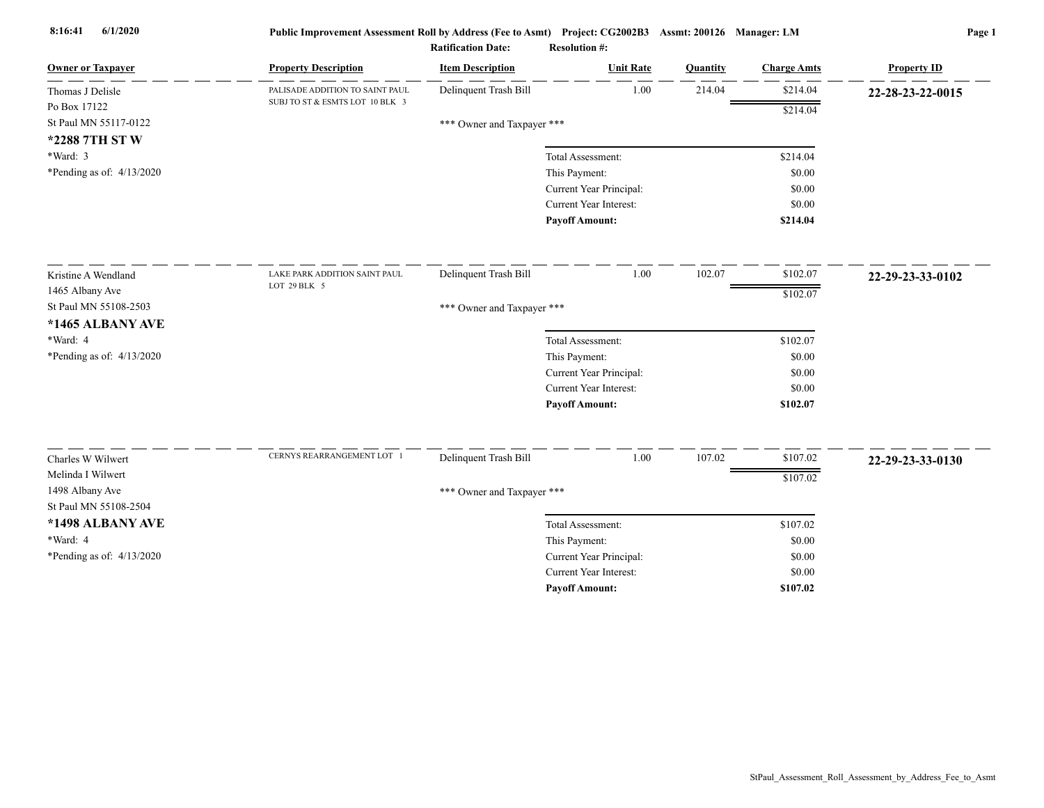| <b>Owner or Taxpayer</b>  | <b>Property Description</b>     | <b>Item Description</b>    | <b>Unit Rate</b>              | Quantity | <b>Charge Amts</b> | <b>Property ID</b> |
|---------------------------|---------------------------------|----------------------------|-------------------------------|----------|--------------------|--------------------|
| Thomas J Delisle          | PALISADE ADDITION TO SAINT PAUL | Delinquent Trash Bill      | 1.00                          | 214.04   | \$214.04           | 22-28-23-22-0015   |
| Po Box 17122              | SUBJ TO ST & ESMTS LOT 10 BLK 3 |                            |                               |          | \$214.04           |                    |
| St Paul MN 55117-0122     |                                 | *** Owner and Taxpayer *** |                               |          |                    |                    |
| *2288 7TH ST W            |                                 |                            |                               |          |                    |                    |
| *Ward: 3                  |                                 |                            | Total Assessment:             |          | \$214.04           |                    |
| *Pending as of: 4/13/2020 |                                 |                            | This Payment:                 |          | \$0.00             |                    |
|                           |                                 |                            | Current Year Principal:       |          | \$0.00             |                    |
|                           |                                 |                            | <b>Current Year Interest:</b> |          | \$0.00             |                    |
|                           |                                 |                            | <b>Payoff Amount:</b>         |          | \$214.04           |                    |
| Kristine A Wendland       | LAKE PARK ADDITION SAINT PAUL   | Delinquent Trash Bill      | 1.00                          | 102.07   | \$102.07           | 22-29-23-33-0102   |
| 1465 Albany Ave           | LOT 29 BLK 5                    |                            |                               |          | \$102.07           |                    |
| St Paul MN 55108-2503     |                                 | *** Owner and Taxpayer *** |                               |          |                    |                    |
| *1465 ALBANY AVE          |                                 |                            |                               |          |                    |                    |
| *Ward: 4                  |                                 |                            | Total Assessment:             |          | \$102.07           |                    |
| *Pending as of: 4/13/2020 |                                 |                            | This Payment:                 |          | \$0.00             |                    |
|                           |                                 |                            | Current Year Principal:       |          | \$0.00             |                    |
|                           |                                 |                            | <b>Current Year Interest:</b> |          | \$0.00             |                    |
|                           |                                 |                            | <b>Payoff Amount:</b>         |          | \$102.07           |                    |
| Charles W Wilwert         | CERNYS REARRANGEMENT LOT 1      | Delinquent Trash Bill      | 1.00                          | 107.02   | \$107.02           | 22-29-23-33-0130   |
| Melinda I Wilwert         |                                 |                            |                               |          | \$107.02           |                    |
| 1498 Albany Ave           |                                 | *** Owner and Taxpayer *** |                               |          |                    |                    |
| St Paul MN 55108-2504     |                                 |                            |                               |          |                    |                    |
| *1498 ALBANY AVE          |                                 |                            | Total Assessment:             |          | \$107.02           |                    |
| *Ward: 4                  |                                 |                            | This Payment:                 |          | \$0.00             |                    |
| *Pending as of: 4/13/2020 |                                 |                            | Current Year Principal:       |          | \$0.00             |                    |
|                           |                                 |                            | <b>Current Year Interest:</b> |          | \$0.00             |                    |
|                           |                                 |                            | <b>Payoff Amount:</b>         |          | \$107.02           |                    |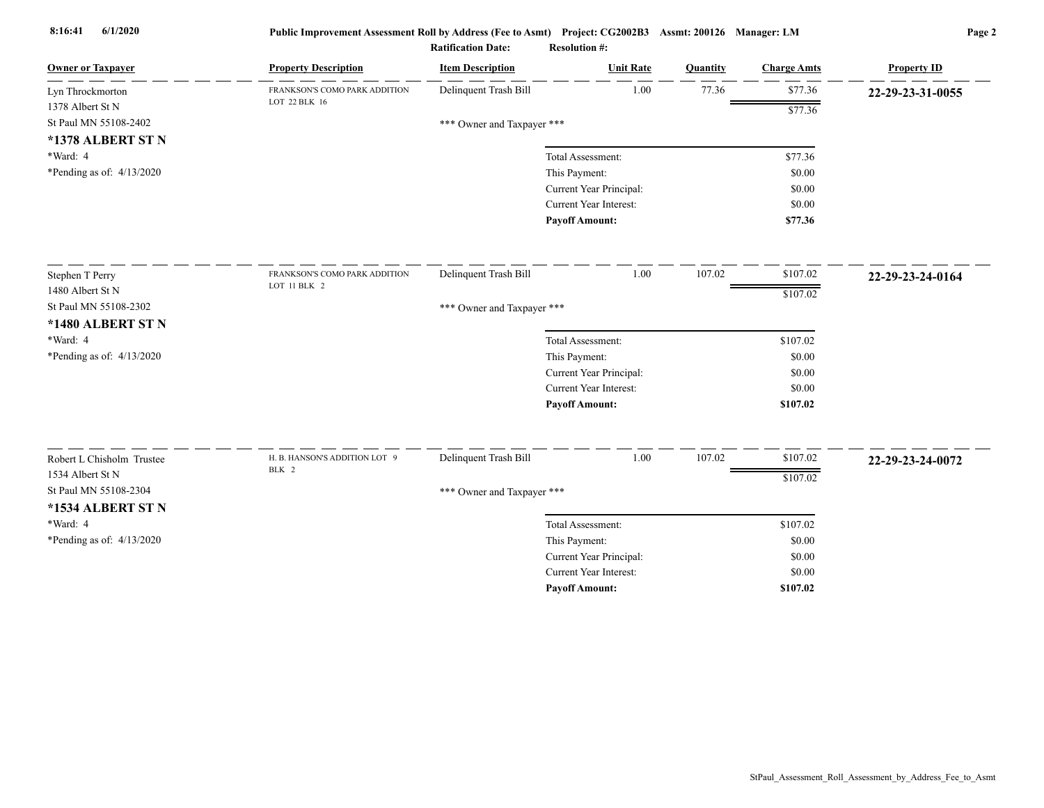| <b>Owner or Taxpayer</b>                      | <b>Property Description</b>   | <b>Item Description</b>    | <b>Unit Rate</b>              | Quantity | <b>Charge Amts</b> | <b>Property ID</b> |
|-----------------------------------------------|-------------------------------|----------------------------|-------------------------------|----------|--------------------|--------------------|
| Lyn Throckmorton                              | FRANKSON'S COMO PARK ADDITION | Delinquent Trash Bill      | 1.00                          | 77.36    | \$77.36            | 22-29-23-31-0055   |
| 1378 Albert St N                              | LOT 22 BLK 16                 |                            |                               |          | \$77.36            |                    |
| St Paul MN 55108-2402                         |                               | *** Owner and Taxpayer *** |                               |          |                    |                    |
| *1378 ALBERT ST N                             |                               |                            |                               |          |                    |                    |
| *Ward: 4                                      |                               |                            | Total Assessment:             |          | \$77.36            |                    |
| *Pending as of: $4/13/2020$                   |                               |                            | This Payment:                 |          | \$0.00             |                    |
|                                               |                               |                            | Current Year Principal:       |          | \$0.00             |                    |
|                                               |                               |                            | Current Year Interest:        |          | \$0.00             |                    |
|                                               |                               |                            | <b>Payoff Amount:</b>         |          | \$77.36            |                    |
| Stephen T Perry                               | FRANKSON'S COMO PARK ADDITION | Delinquent Trash Bill      | 1.00                          | 107.02   | \$107.02           | 22-29-23-24-0164   |
| 1480 Albert St N                              | LOT 11 BLK 2                  |                            |                               |          | \$107.02           |                    |
| St Paul MN 55108-2302                         |                               | *** Owner and Taxpayer *** |                               |          |                    |                    |
| *1480 ALBERT ST N                             |                               |                            |                               |          |                    |                    |
| *Ward: 4                                      |                               |                            | Total Assessment:             |          | \$107.02           |                    |
| *Pending as of: 4/13/2020                     |                               |                            | This Payment:                 |          | \$0.00             |                    |
|                                               |                               |                            | Current Year Principal:       |          | \$0.00             |                    |
|                                               |                               |                            | <b>Current Year Interest:</b> |          | \$0.00             |                    |
|                                               |                               |                            | <b>Payoff Amount:</b>         |          | \$107.02           |                    |
|                                               | H. B. HANSON'S ADDITION LOT 9 | Delinquent Trash Bill      | 1.00                          | 107.02   | \$107.02           |                    |
| Robert L Chisholm Trustee<br>1534 Albert St N | BLK 2                         |                            |                               |          |                    | 22-29-23-24-0072   |
| St Paul MN 55108-2304                         |                               |                            |                               |          | \$107.02           |                    |
|                                               |                               | *** Owner and Taxpayer *** |                               |          |                    |                    |
| *1534 ALBERT ST N                             |                               |                            |                               |          |                    |                    |
| *Ward: 4                                      |                               |                            | Total Assessment:             |          | \$107.02           |                    |
| *Pending as of: 4/13/2020                     |                               |                            | This Payment:                 |          | \$0.00             |                    |
|                                               |                               |                            | Current Year Principal:       |          | \$0.00             |                    |
|                                               |                               |                            | <b>Current Year Interest:</b> |          | \$0.00             |                    |
|                                               |                               |                            | <b>Payoff Amount:</b>         |          | \$107.02           |                    |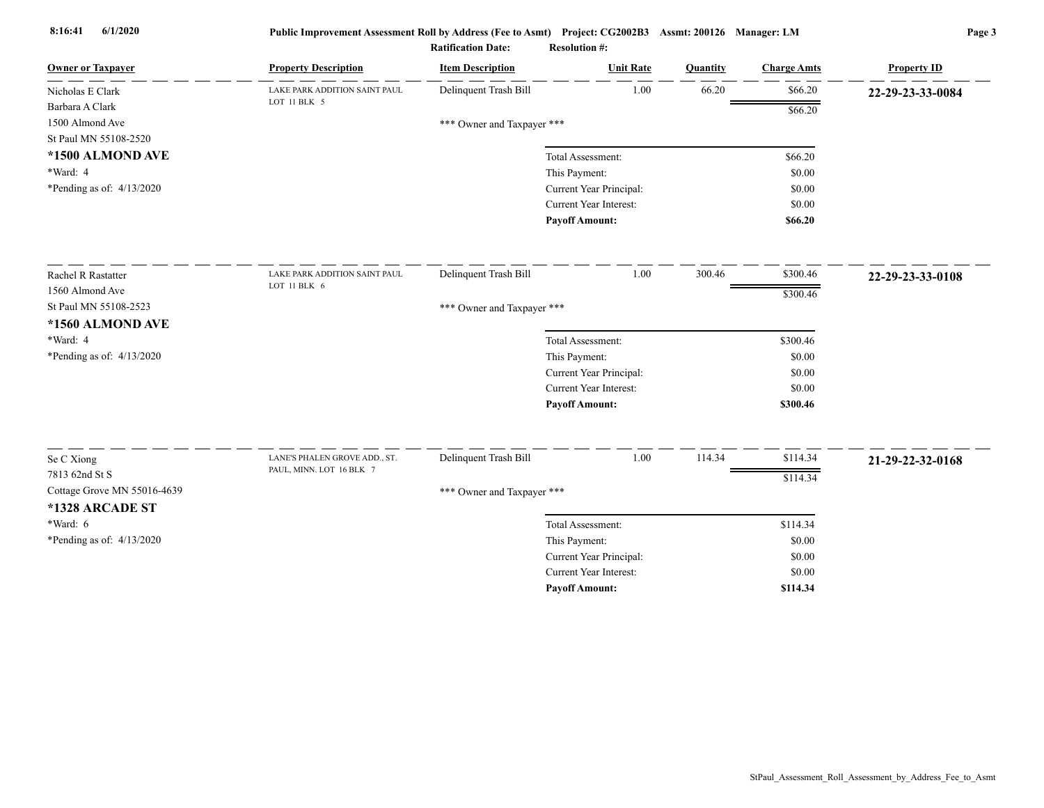| <b>Owner or Taxpayer</b>    | <b>Property Description</b>   | <b>Item Description</b>    | <b>Unit Rate</b>        | Quantity | <b>Charge Amts</b> | <b>Property ID</b> |
|-----------------------------|-------------------------------|----------------------------|-------------------------|----------|--------------------|--------------------|
| Nicholas E Clark            | LAKE PARK ADDITION SAINT PAUL | Delinquent Trash Bill      | 1.00                    | 66.20    | \$66.20            | 22-29-23-33-0084   |
| Barbara A Clark             | LOT 11 BLK 5                  |                            |                         |          | \$66.20            |                    |
| 1500 Almond Ave             |                               | *** Owner and Taxpayer *** |                         |          |                    |                    |
| St Paul MN 55108-2520       |                               |                            |                         |          |                    |                    |
| *1500 ALMOND AVE            |                               |                            | Total Assessment:       |          | \$66.20            |                    |
| *Ward: 4                    |                               |                            | This Payment:           |          | \$0.00             |                    |
| *Pending as of: $4/13/2020$ |                               |                            | Current Year Principal: |          | \$0.00             |                    |
|                             |                               |                            | Current Year Interest:  |          | \$0.00             |                    |
|                             |                               |                            | <b>Payoff Amount:</b>   |          | \$66.20            |                    |
| Rachel R Rastatter          | LAKE PARK ADDITION SAINT PAUL | Delinquent Trash Bill      | 1.00                    | 300.46   | \$300.46           | 22-29-23-33-0108   |
| 1560 Almond Ave             | LOT 11 BLK 6                  |                            |                         |          | \$300.46           |                    |
| St Paul MN 55108-2523       |                               | *** Owner and Taxpayer *** |                         |          |                    |                    |
| *1560 ALMOND AVE            |                               |                            |                         |          |                    |                    |
| *Ward: 4                    |                               |                            | Total Assessment:       |          | \$300.46           |                    |
| *Pending as of: 4/13/2020   |                               |                            | This Payment:           |          | \$0.00             |                    |
|                             |                               |                            | Current Year Principal: |          | \$0.00             |                    |
|                             |                               |                            | Current Year Interest:  |          | \$0.00             |                    |
|                             |                               |                            | <b>Payoff Amount:</b>   |          | \$300.46           |                    |
|                             | LANE'S PHALEN GROVE ADD., ST. | Delinquent Trash Bill      | 1.00                    | 114.34   | \$114.34           |                    |
| Se C Xiong                  | PAUL, MINN. LOT 16 BLK 7      |                            |                         |          |                    | 21-29-22-32-0168   |
| 7813 62nd St S              |                               |                            |                         |          | \$114.34           |                    |
| Cottage Grove MN 55016-4639 |                               | *** Owner and Taxpayer *** |                         |          |                    |                    |
| *1328 ARCADE ST             |                               |                            |                         |          |                    |                    |
| *Ward: 6                    |                               |                            | Total Assessment:       |          | \$114.34           |                    |
| *Pending as of: $4/13/2020$ |                               |                            | This Payment:           |          | \$0.00             |                    |
|                             |                               |                            | Current Year Principal: |          | \$0.00             |                    |
|                             |                               |                            | Current Year Interest:  |          | \$0.00             |                    |
|                             |                               |                            | <b>Payoff Amount:</b>   |          | \$114.34           |                    |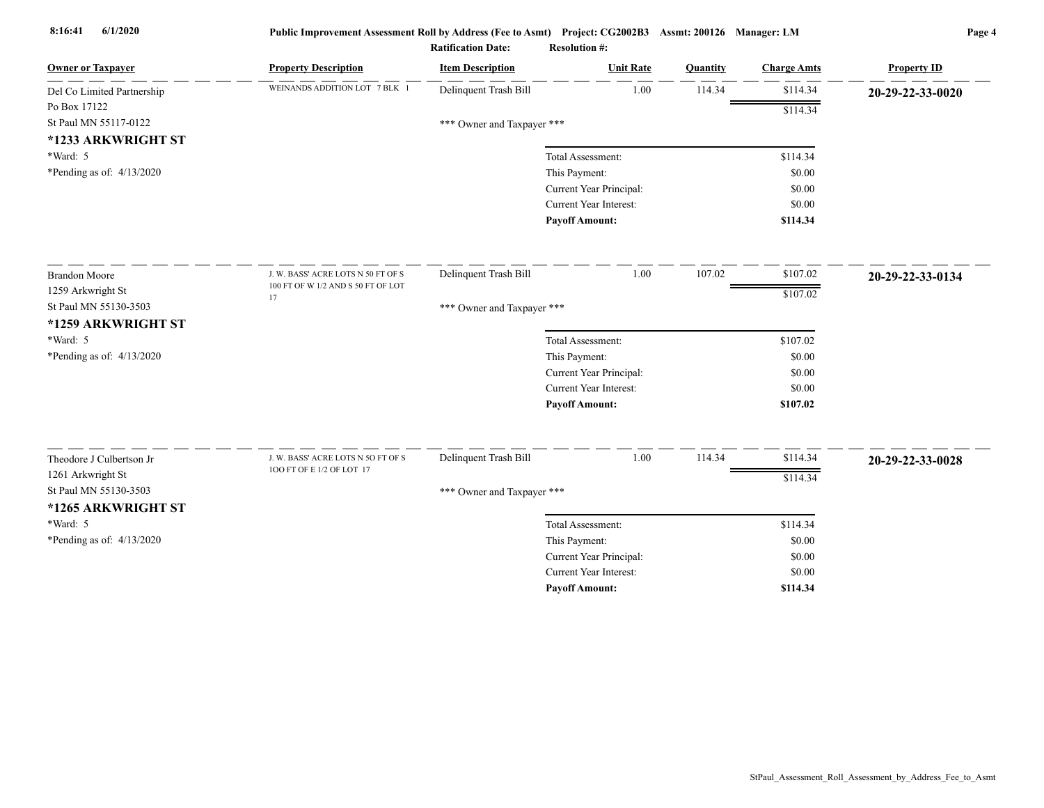| <b>Owner or Taxpayer</b>    | <b>Property Description</b>              | <b>Item Description</b>    | <b>Unit Rate</b>              | Quantity | <b>Charge Amts</b> | <b>Property ID</b> |
|-----------------------------|------------------------------------------|----------------------------|-------------------------------|----------|--------------------|--------------------|
| Del Co Limited Partnership  | WEINANDS ADDITION LOT 7 BLK 1            | Delinquent Trash Bill      | 1.00                          | 114.34   | \$114.34           | 20-29-22-33-0020   |
| Po Box 17122                |                                          |                            |                               |          | \$114.34           |                    |
| St Paul MN 55117-0122       |                                          | *** Owner and Taxpayer *** |                               |          |                    |                    |
| *1233 ARKWRIGHT ST          |                                          |                            |                               |          |                    |                    |
| *Ward: 5                    |                                          |                            | Total Assessment:             |          | \$114.34           |                    |
| *Pending as of: $4/13/2020$ |                                          |                            | This Payment:                 |          | \$0.00             |                    |
|                             |                                          |                            | Current Year Principal:       |          | \$0.00             |                    |
|                             |                                          |                            | <b>Current Year Interest:</b> |          | \$0.00             |                    |
|                             |                                          |                            | <b>Payoff Amount:</b>         |          | \$114.34           |                    |
| <b>Brandon Moore</b>        | J. W. BASS' ACRE LOTS N 50 FT OF S       | Delinquent Trash Bill      | 1.00                          | 107.02   | \$107.02           | 20-29-22-33-0134   |
| 1259 Arkwright St           | 100 FT OF W 1/2 AND S 50 FT OF LOT<br>17 |                            |                               |          | \$107.02           |                    |
| St Paul MN 55130-3503       |                                          | *** Owner and Taxpayer *** |                               |          |                    |                    |
| *1259 ARKWRIGHT ST          |                                          |                            |                               |          |                    |                    |
| *Ward: 5                    |                                          |                            | Total Assessment:             |          | \$107.02           |                    |
| *Pending as of: 4/13/2020   |                                          |                            | This Payment:                 |          | \$0.00             |                    |
|                             |                                          |                            | Current Year Principal:       |          | \$0.00             |                    |
|                             |                                          |                            | Current Year Interest:        |          | \$0.00             |                    |
|                             |                                          |                            | <b>Payoff Amount:</b>         |          | \$107.02           |                    |
| Theodore J Culbertson Jr    | J. W. BASS' ACRE LOTS N 5O FT OF S       | Delinquent Trash Bill      | 1.00                          | 114.34   | \$114.34           | 20-29-22-33-0028   |
| 1261 Arkwright St           | 100 FT OF E 1/2 OF LOT 17                |                            |                               |          | \$114.34           |                    |
| St Paul MN 55130-3503       |                                          | *** Owner and Taxpayer *** |                               |          |                    |                    |
| *1265 ARKWRIGHT ST          |                                          |                            |                               |          |                    |                    |
| *Ward: 5                    |                                          |                            | Total Assessment:             |          | \$114.34           |                    |
| *Pending as of: 4/13/2020   |                                          |                            | This Payment:                 |          | \$0.00             |                    |
|                             |                                          |                            | Current Year Principal:       |          | \$0.00             |                    |
|                             |                                          |                            | <b>Current Year Interest:</b> |          | \$0.00             |                    |
|                             |                                          |                            | <b>Pavoff Amount:</b>         |          | \$114.34           |                    |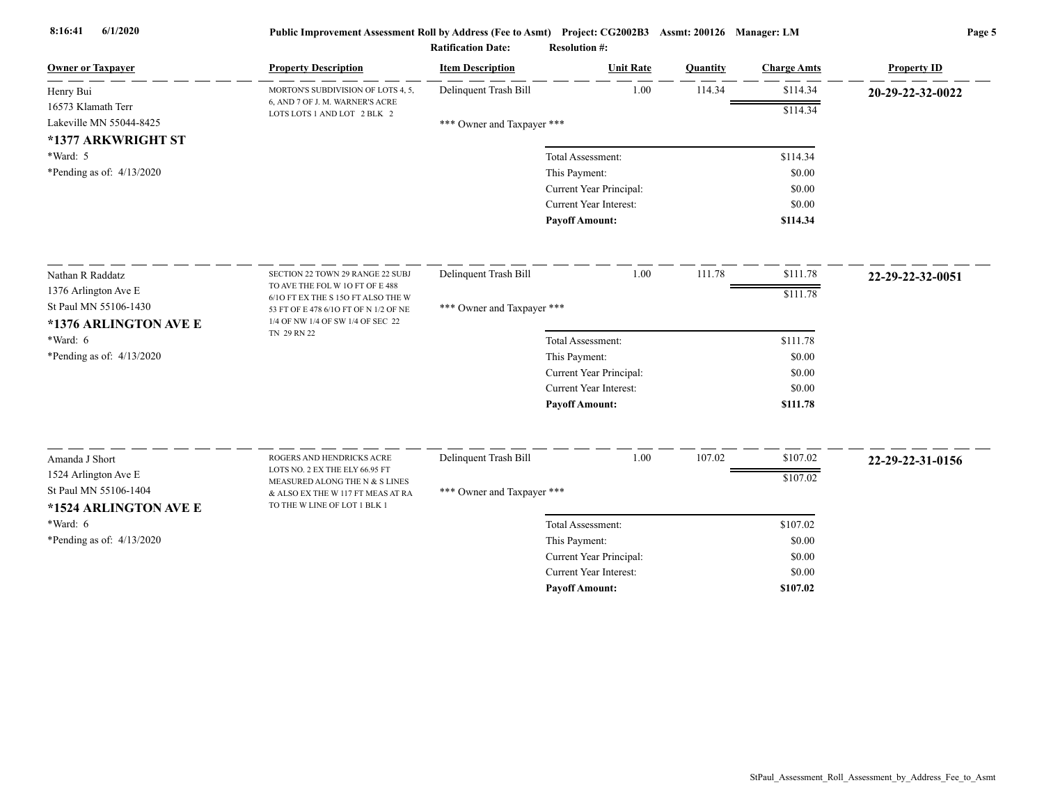| <b>Owner or Taxpayer</b>    | <b>Property Description</b>                                                 | <b>Item Description</b>    | <b>Unit Rate</b>        | Quantity | <b>Charge Amts</b> | <b>Property ID</b> |
|-----------------------------|-----------------------------------------------------------------------------|----------------------------|-------------------------|----------|--------------------|--------------------|
| Henry Bui                   | MORTON'S SUBDIVISION OF LOTS 4, 5,                                          | Delinquent Trash Bill      | 1.00                    | 114.34   | \$114.34           | 20-29-22-32-0022   |
| 16573 Klamath Terr          | 6, AND 7 OF J. M. WARNER'S ACRE<br>LOTS LOTS 1 AND LOT 2 BLK 2              |                            |                         |          | \$114.34           |                    |
| Lakeville MN 55044-8425     |                                                                             | *** Owner and Taxpayer *** |                         |          |                    |                    |
| *1377 ARKWRIGHT ST          |                                                                             |                            |                         |          |                    |                    |
| *Ward: 5                    |                                                                             |                            | Total Assessment:       |          | \$114.34           |                    |
| *Pending as of: $4/13/2020$ |                                                                             |                            | This Payment:           |          | \$0.00             |                    |
|                             |                                                                             |                            | Current Year Principal: |          | \$0.00             |                    |
|                             |                                                                             |                            | Current Year Interest:  |          | \$0.00             |                    |
|                             |                                                                             |                            | <b>Payoff Amount:</b>   |          | \$114.34           |                    |
| Nathan R Raddatz            | SECTION 22 TOWN 29 RANGE 22 SUBJ                                            | Delinquent Trash Bill      | 1.00                    | 111.78   | \$111.78           | 22-29-22-32-0051   |
| 1376 Arlington Ave E        | TO AVE THE FOL W 1O FT OF E 488                                             |                            |                         |          | \$111.78           |                    |
| St Paul MN 55106-1430       | 6/10 FT EX THE S 150 FT ALSO THE W<br>53 FT OF E 478 6/10 FT OF N 1/2 OF NE | *** Owner and Taxpayer *** |                         |          |                    |                    |
| *1376 ARLINGTON AVE E       | 1/4 OF NW 1/4 OF SW 1/4 OF SEC 22                                           |                            |                         |          |                    |                    |
| *Ward: 6                    | TN 29 RN 22                                                                 |                            | Total Assessment:       |          | \$111.78           |                    |
| *Pending as of: $4/13/2020$ |                                                                             |                            | This Payment:           |          | \$0.00             |                    |
|                             |                                                                             |                            | Current Year Principal: |          | \$0.00             |                    |
|                             |                                                                             |                            | Current Year Interest:  |          | \$0.00             |                    |
|                             |                                                                             |                            | <b>Payoff Amount:</b>   |          | \$111.78           |                    |
|                             |                                                                             |                            |                         |          |                    |                    |
| Amanda J Short              | ROGERS AND HENDRICKS ACRE<br>LOTS NO. 2 EX THE ELY 66.95 FT                 | Delinquent Trash Bill      | 1.00                    | 107.02   | \$107.02           | 22-29-22-31-0156   |
| 1524 Arlington Ave E        | MEASURED ALONG THE N & S LINES                                              |                            |                         |          | \$107.02           |                    |
| St Paul MN 55106-1404       | & ALSO EX THE W 117 FT MEAS AT RA                                           | *** Owner and Taxpayer *** |                         |          |                    |                    |
| *1524 ARLINGTON AVE E       | TO THE W LINE OF LOT 1 BLK 1                                                |                            |                         |          |                    |                    |
| $*Ward: 6$                  |                                                                             |                            | Total Assessment:       |          | \$107.02           |                    |
| *Pending as of: 4/13/2020   |                                                                             |                            | This Payment:           |          | \$0.00             |                    |
|                             |                                                                             |                            | Current Year Principal: |          | \$0.00             |                    |
|                             |                                                                             |                            | Current Year Interest:  |          | \$0.00             |                    |
|                             |                                                                             |                            | <b>Pavoff Amount:</b>   |          | \$107.02           |                    |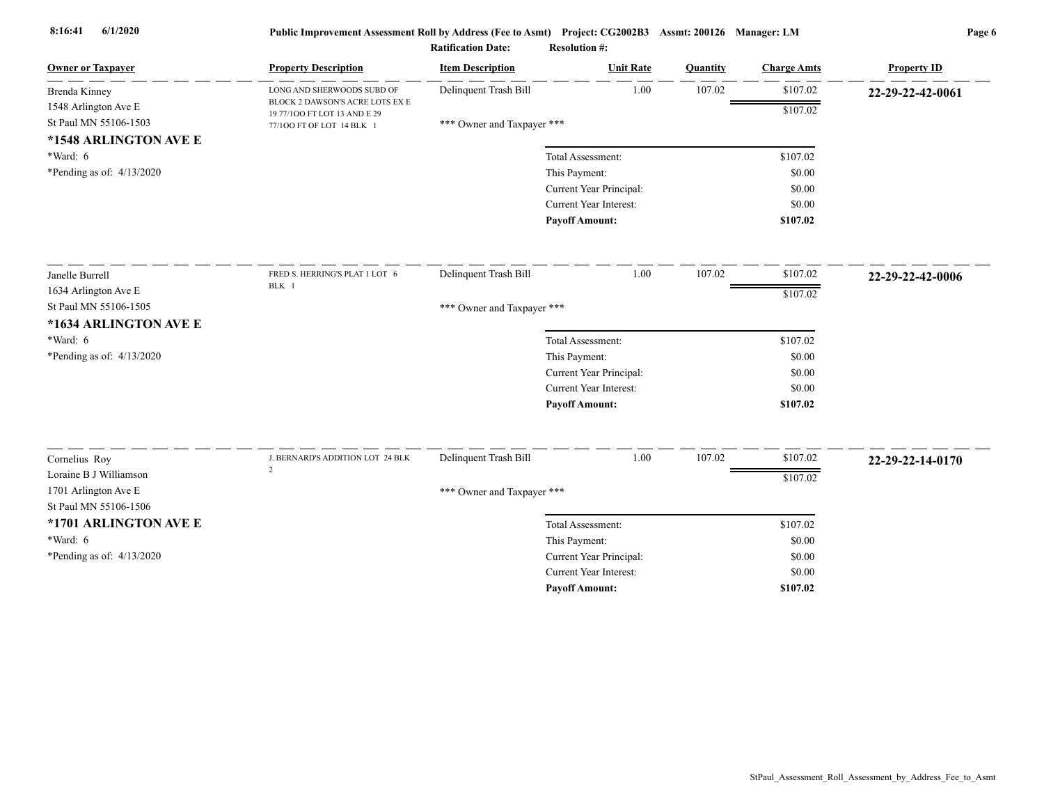| <b>Owner or Taxpayer</b>    | <b>Property Description</b>                                     | <b>Item Description</b>    | <b>Unit Rate</b>        | Quantity | <b>Charge Amts</b> | <b>Property ID</b> |
|-----------------------------|-----------------------------------------------------------------|----------------------------|-------------------------|----------|--------------------|--------------------|
| Brenda Kinney               | LONG AND SHERWOODS SUBD OF                                      | Delinquent Trash Bill      | 1.00                    | 107.02   | \$107.02           | 22-29-22-42-0061   |
| 1548 Arlington Ave E        | BLOCK 2 DAWSON'S ACRE LOTS EX E<br>19 77/100 FT LOT 13 AND E 29 |                            |                         |          | \$107.02           |                    |
| St Paul MN 55106-1503       | 77/100 FT OF LOT 14 BLK 1                                       | *** Owner and Taxpayer *** |                         |          |                    |                    |
| *1548 ARLINGTON AVE E       |                                                                 |                            |                         |          |                    |                    |
| *Ward: 6                    |                                                                 |                            | Total Assessment:       |          | \$107.02           |                    |
| *Pending as of: $4/13/2020$ |                                                                 |                            | This Payment:           |          | \$0.00             |                    |
|                             |                                                                 |                            | Current Year Principal: |          | \$0.00             |                    |
|                             |                                                                 |                            | Current Year Interest:  |          | \$0.00             |                    |
|                             |                                                                 |                            | <b>Payoff Amount:</b>   |          | \$107.02           |                    |
| Janelle Burrell             | FRED S. HERRING'S PLAT 1 LOT 6                                  | Delinquent Trash Bill      | 1.00                    | 107.02   | \$107.02           | 22-29-22-42-0006   |
| 1634 Arlington Ave E        | BLK 1                                                           |                            |                         |          | \$107.02           |                    |
| St Paul MN 55106-1505       |                                                                 | *** Owner and Taxpayer *** |                         |          |                    |                    |
| *1634 ARLINGTON AVE E       |                                                                 |                            |                         |          |                    |                    |
| *Ward: 6                    |                                                                 |                            | Total Assessment:       |          | \$107.02           |                    |
| *Pending as of: 4/13/2020   |                                                                 |                            | This Payment:           |          | \$0.00             |                    |
|                             |                                                                 |                            | Current Year Principal: |          | \$0.00             |                    |
|                             |                                                                 |                            | Current Year Interest:  |          | \$0.00             |                    |
|                             |                                                                 |                            | <b>Payoff Amount:</b>   |          | \$107.02           |                    |
| Cornelius Roy               | J. BERNARD'S ADDITION LOT 24 BLK                                | Delinquent Trash Bill      | 1.00                    | 107.02   | \$107.02           |                    |
| Loraine B J Williamson      | $\overline{2}$                                                  |                            |                         |          |                    | 22-29-22-14-0170   |
| 1701 Arlington Ave E        |                                                                 |                            |                         |          | \$107.02           |                    |
| St Paul MN 55106-1506       |                                                                 | *** Owner and Taxpayer *** |                         |          |                    |                    |
| *1701 ARLINGTON AVE E       |                                                                 |                            | Total Assessment:       |          | \$107.02           |                    |
| *Ward: 6                    |                                                                 |                            | This Payment:           |          | \$0.00             |                    |
| *Pending as of: $4/13/2020$ |                                                                 |                            | Current Year Principal: |          | \$0.00             |                    |
|                             |                                                                 |                            | Current Year Interest:  |          | \$0.00             |                    |
|                             |                                                                 |                            | <b>Pavoff Amount:</b>   |          | \$107.02           |                    |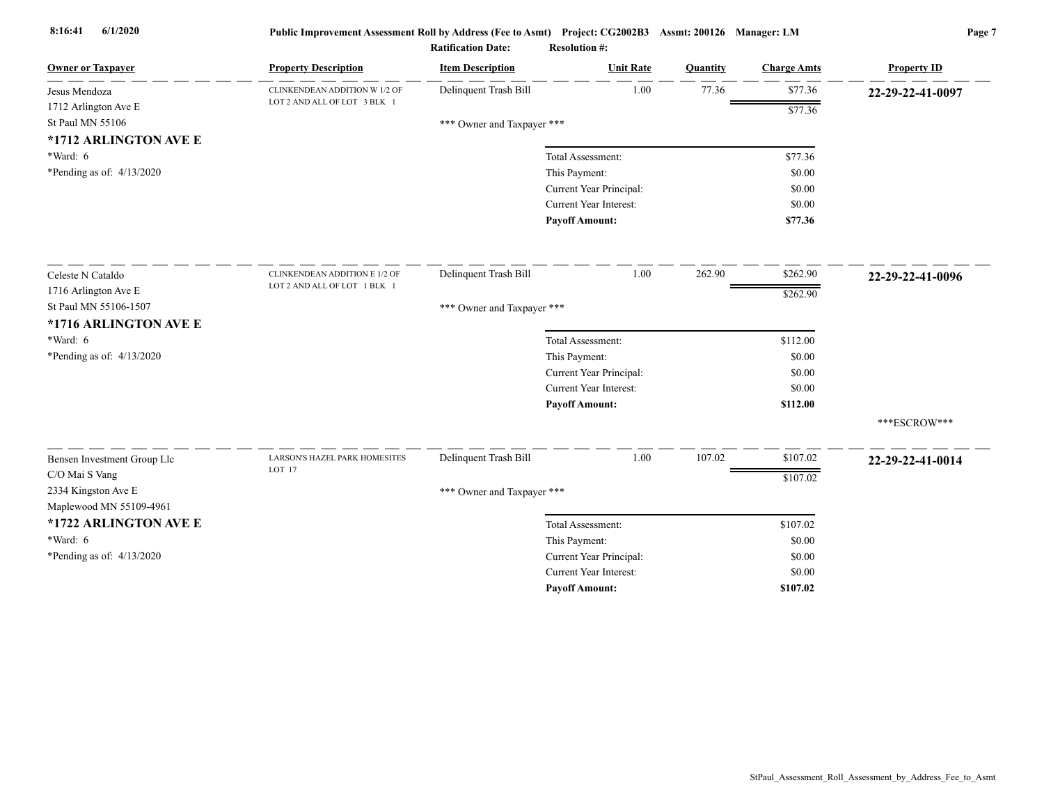| <b>Owner or Taxpayer</b>    | <b>Property Description</b>   | <b>Item Description</b>    | <b>Unit Rate</b>              | <b>Quantity</b> | <b>Charge Amts</b> | <b>Property ID</b> |
|-----------------------------|-------------------------------|----------------------------|-------------------------------|-----------------|--------------------|--------------------|
| Jesus Mendoza               | CLINKENDEAN ADDITION W 1/2 OF | Delinquent Trash Bill      | 1.00                          | 77.36           | \$77.36            | 22-29-22-41-0097   |
| 1712 Arlington Ave E        | LOT 2 AND ALL OF LOT 3 BLK 1  |                            |                               |                 | \$77.36            |                    |
| St Paul MN 55106            |                               | *** Owner and Taxpayer *** |                               |                 |                    |                    |
| *1712 ARLINGTON AVE E       |                               |                            |                               |                 |                    |                    |
| *Ward: 6                    |                               |                            | Total Assessment:             |                 | \$77.36            |                    |
| *Pending as of: $4/13/2020$ |                               |                            | This Payment:                 |                 | \$0.00             |                    |
|                             |                               |                            | Current Year Principal:       |                 | \$0.00             |                    |
|                             |                               |                            | Current Year Interest:        |                 | \$0.00             |                    |
|                             |                               |                            | <b>Payoff Amount:</b>         |                 | \$77.36            |                    |
| Celeste N Cataldo           | CLINKENDEAN ADDITION E 1/2 OF | Delinquent Trash Bill      | 1.00                          | 262.90          | \$262.90           | 22-29-22-41-0096   |
| 1716 Arlington Ave E        | LOT 2 AND ALL OF LOT 1 BLK 1  |                            |                               |                 | \$262.90           |                    |
| St Paul MN 55106-1507       |                               | *** Owner and Taxpayer *** |                               |                 |                    |                    |
| *1716 ARLINGTON AVE E       |                               |                            |                               |                 |                    |                    |
| $*Ward: 6$                  |                               |                            | Total Assessment:             |                 | \$112.00           |                    |
| *Pending as of: $4/13/2020$ |                               |                            | This Payment:                 |                 | \$0.00             |                    |
|                             |                               |                            | Current Year Principal:       |                 | \$0.00             |                    |
|                             |                               |                            | Current Year Interest:        |                 | \$0.00             |                    |
|                             |                               |                            | <b>Payoff Amount:</b>         |                 | \$112.00           |                    |
|                             |                               |                            |                               |                 |                    | ***ESCROW***       |
| Bensen Investment Group Llc | LARSON'S HAZEL PARK HOMESITES | Delinquent Trash Bill      | 1.00                          | 107.02          | \$107.02           | 22-29-22-41-0014   |
| C/O Mai S Vang              | LOT 17                        |                            |                               |                 | \$107.02           |                    |
| 2334 Kingston Ave E         |                               | *** Owner and Taxpayer *** |                               |                 |                    |                    |
| Maplewood MN 55109-4961     |                               |                            |                               |                 |                    |                    |
| *1722 ARLINGTON AVE E       |                               |                            | Total Assessment:             |                 | \$107.02           |                    |
| $*Ward: 6$                  |                               |                            | This Payment:                 |                 | \$0.00             |                    |
| *Pending as of: $4/13/2020$ |                               |                            | Current Year Principal:       |                 | \$0.00             |                    |
|                             |                               |                            | <b>Current Year Interest:</b> |                 | \$0.00             |                    |
|                             |                               |                            | <b>Payoff Amount:</b>         |                 | \$107.02           |                    |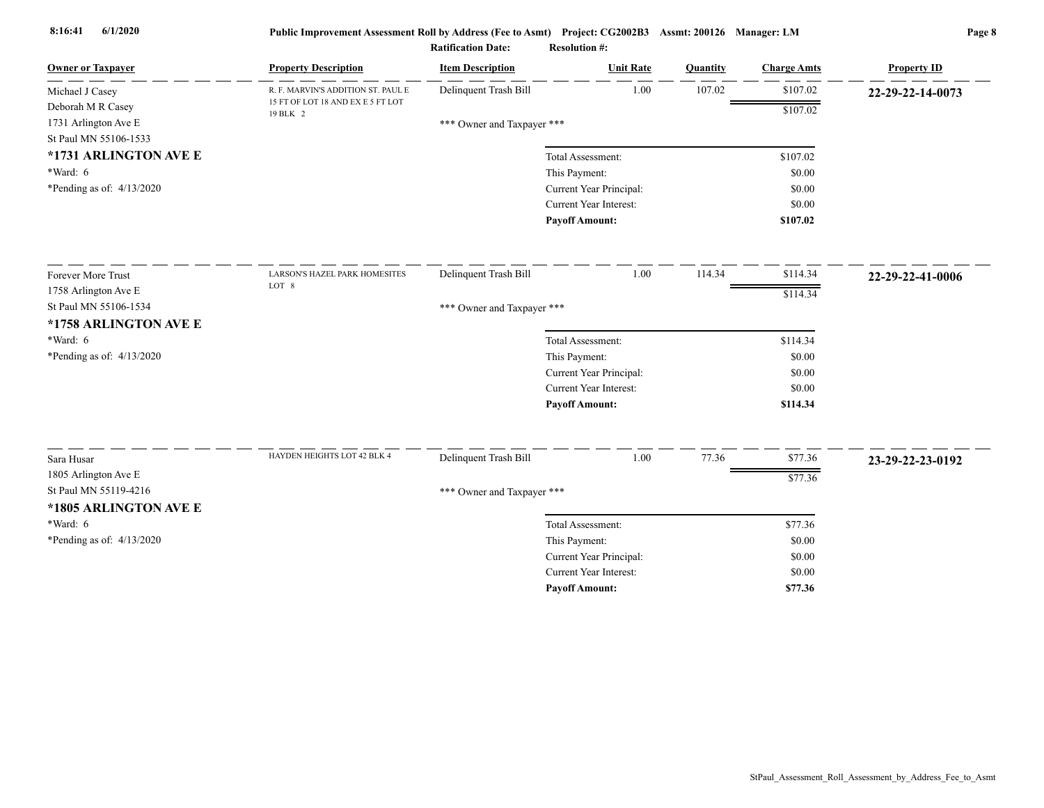| <b>Owner or Taxpayer</b>                      | <b>Property Description</b>                   | <b>Item Description</b>    | <b>Unit Rate</b>              | Quantity | <b>Charge Amts</b> | <b>Property ID</b> |
|-----------------------------------------------|-----------------------------------------------|----------------------------|-------------------------------|----------|--------------------|--------------------|
| Michael J Casey                               | R. F. MARVIN'S ADDITION ST. PAUL E            | Delinquent Trash Bill      | 1.00                          | 107.02   | \$107.02           | 22-29-22-14-0073   |
| Deborah M R Casey                             | 15 FT OF LOT 18 AND EX E 5 FT LOT<br>19 BLK 2 |                            |                               |          | \$107.02           |                    |
| 1731 Arlington Ave E<br>St Paul MN 55106-1533 |                                               | *** Owner and Taxpayer *** |                               |          |                    |                    |
| *1731 ARLINGTON AVE E                         |                                               |                            | Total Assessment:             |          | \$107.02           |                    |
| *Ward: 6                                      |                                               |                            | This Payment:                 |          | \$0.00             |                    |
| *Pending as of: 4/13/2020                     |                                               |                            | Current Year Principal:       |          | \$0.00             |                    |
|                                               |                                               |                            | Current Year Interest:        |          | \$0.00             |                    |
|                                               |                                               |                            | <b>Payoff Amount:</b>         |          | \$107.02           |                    |
| Forever More Trust                            | LARSON'S HAZEL PARK HOMESITES                 | Delinquent Trash Bill      | 1.00                          | 114.34   | \$114.34           | 22-29-22-41-0006   |
| 1758 Arlington Ave E                          | LOT 8                                         |                            |                               |          | \$114.34           |                    |
| St Paul MN 55106-1534                         |                                               | *** Owner and Taxpayer *** |                               |          |                    |                    |
| *1758 ARLINGTON AVE E                         |                                               |                            |                               |          |                    |                    |
| *Ward: 6                                      |                                               |                            | Total Assessment:             |          | \$114.34           |                    |
| *Pending as of: 4/13/2020                     |                                               |                            | This Payment:                 |          | \$0.00             |                    |
|                                               |                                               |                            | Current Year Principal:       |          | \$0.00             |                    |
|                                               |                                               |                            | Current Year Interest:        |          | \$0.00             |                    |
|                                               |                                               |                            | <b>Payoff Amount:</b>         |          | \$114.34           |                    |
| Sara Husar                                    | HAYDEN HEIGHTS LOT 42 BLK 4                   | Delinquent Trash Bill      | 1.00                          | 77.36    | \$77.36            | 23-29-22-23-0192   |
| 1805 Arlington Ave E                          |                                               |                            |                               |          | \$77.36            |                    |
| St Paul MN 55119-4216                         |                                               | *** Owner and Taxpayer *** |                               |          |                    |                    |
| *1805 ARLINGTON AVE E                         |                                               |                            |                               |          |                    |                    |
| *Ward: 6                                      |                                               |                            | Total Assessment:             |          | \$77.36            |                    |
| *Pending as of: 4/13/2020                     |                                               |                            | This Payment:                 |          | \$0.00             |                    |
|                                               |                                               |                            | Current Year Principal:       |          | \$0.00             |                    |
|                                               |                                               |                            | <b>Current Year Interest:</b> |          | \$0.00             |                    |
|                                               |                                               |                            | <b>Payoff Amount:</b>         |          | \$77.36            |                    |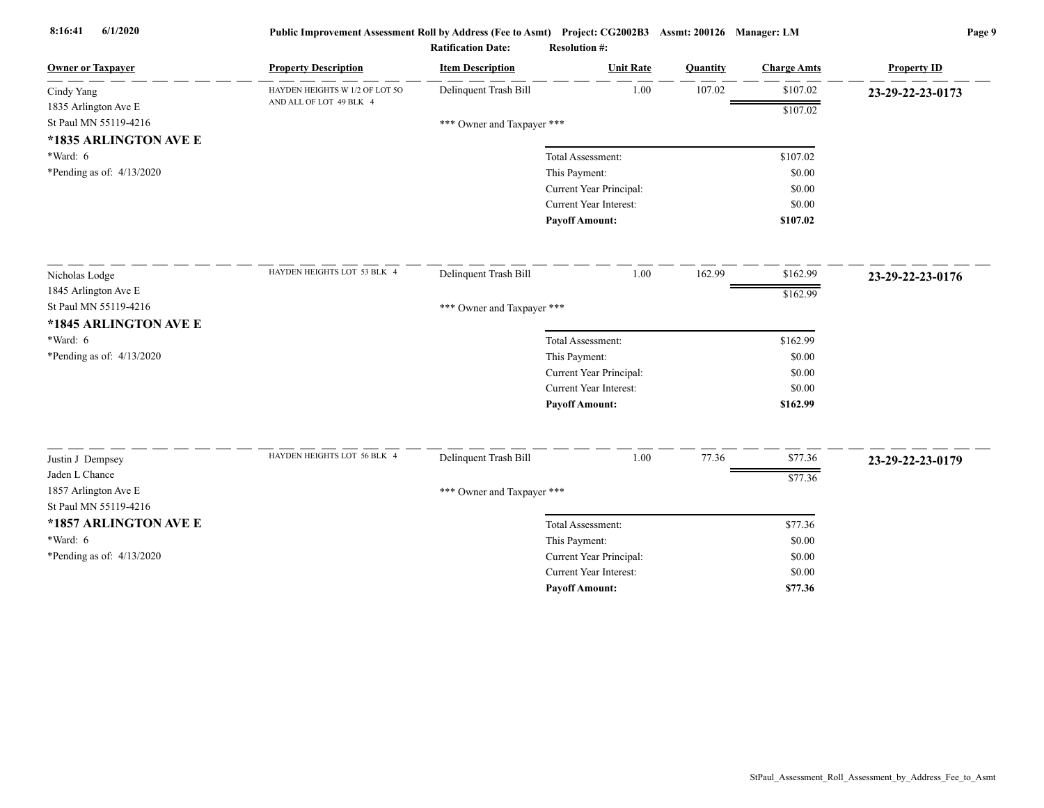| <b>Owner or Taxpayer</b>                      | <b>Property Description</b>    | <b>Item Description</b>    | <b>Unit Rate</b>              | Quantity | <b>Charge Amts</b> | <b>Property ID</b> |
|-----------------------------------------------|--------------------------------|----------------------------|-------------------------------|----------|--------------------|--------------------|
| Cindy Yang                                    | HAYDEN HEIGHTS W 1/2 OF LOT 50 | Delinquent Trash Bill      | 1.00                          | 107.02   | \$107.02           | 23-29-22-23-0173   |
| 1835 Arlington Ave E                          | AND ALL OF LOT 49 BLK 4        |                            |                               |          | \$107.02           |                    |
| St Paul MN 55119-4216                         |                                | *** Owner and Taxpayer *** |                               |          |                    |                    |
| *1835 ARLINGTON AVE E                         |                                |                            |                               |          |                    |                    |
| $*Ward: 6$                                    |                                |                            | Total Assessment:             |          | \$107.02           |                    |
| *Pending as of: $4/13/2020$                   |                                |                            | This Payment:                 |          | \$0.00             |                    |
|                                               |                                |                            | Current Year Principal:       |          | \$0.00             |                    |
|                                               |                                |                            | <b>Current Year Interest:</b> |          | \$0.00             |                    |
|                                               |                                |                            | <b>Payoff Amount:</b>         |          | \$107.02           |                    |
| Nicholas Lodge                                | HAYDEN HEIGHTS LOT 53 BLK 4    | Delinquent Trash Bill      | 1.00                          | 162.99   | \$162.99           | 23-29-22-23-0176   |
| 1845 Arlington Ave E                          |                                |                            |                               |          |                    |                    |
| St Paul MN 55119-4216                         |                                | *** Owner and Taxpayer *** |                               |          | \$162.99           |                    |
| *1845 ARLINGTON AVE E                         |                                |                            |                               |          |                    |                    |
| $*Ward: 6$                                    |                                |                            | Total Assessment:             |          | \$162.99           |                    |
| *Pending as of: $4/13/2020$                   |                                |                            | This Payment:                 |          | \$0.00             |                    |
|                                               |                                |                            | Current Year Principal:       |          | \$0.00             |                    |
|                                               |                                |                            | Current Year Interest:        |          | \$0.00             |                    |
|                                               |                                |                            | <b>Payoff Amount:</b>         |          | \$162.99           |                    |
|                                               | HAYDEN HEIGHTS LOT 56 BLK 4    |                            |                               |          |                    |                    |
| Justin J Dempsey                              |                                | Delinquent Trash Bill      | 1.00                          | 77.36    | \$77.36            | 23-29-22-23-0179   |
| Jaden L Chance                                |                                |                            |                               |          | \$77.36            |                    |
| 1857 Arlington Ave E<br>St Paul MN 55119-4216 |                                | *** Owner and Taxpayer *** |                               |          |                    |                    |
| *1857 ARLINGTON AVE E                         |                                |                            | Total Assessment:             |          | \$77.36            |                    |
| $*Ward: 6$                                    |                                |                            | This Payment:                 |          | \$0.00             |                    |
| *Pending as of: 4/13/2020                     |                                |                            | Current Year Principal:       |          | \$0.00             |                    |
|                                               |                                |                            | Current Year Interest:        |          | \$0.00             |                    |
|                                               |                                |                            | <b>Payoff Amount:</b>         |          | \$77.36            |                    |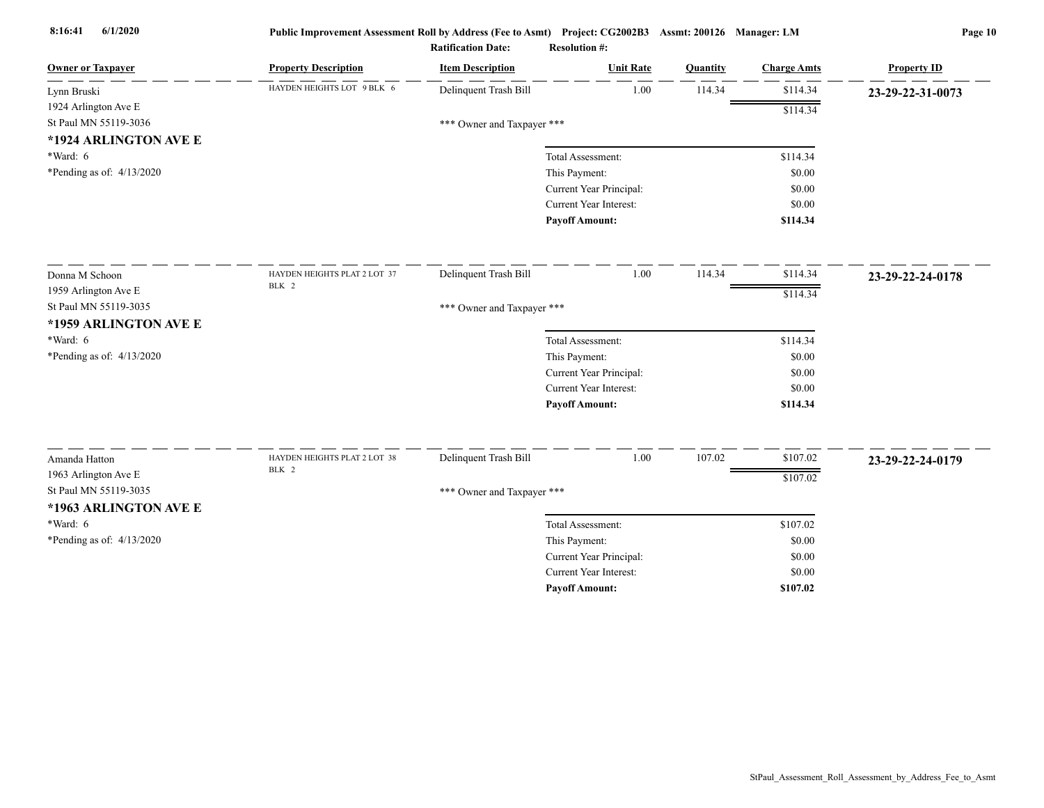| <b>Owner or Taxpayer</b>    | <b>Property Description</b>  | <b>Item Description</b>    | <b>Unit Rate</b>              | Quantity | <b>Charge Amts</b> | <b>Property ID</b> |
|-----------------------------|------------------------------|----------------------------|-------------------------------|----------|--------------------|--------------------|
| Lynn Bruski                 | HAYDEN HEIGHTS LOT 9 BLK 6   | Delinquent Trash Bill      | 1.00                          | 114.34   | \$114.34           | 23-29-22-31-0073   |
| 1924 Arlington Ave E        |                              |                            |                               |          | \$114.34           |                    |
| St Paul MN 55119-3036       |                              | *** Owner and Taxpayer *** |                               |          |                    |                    |
| *1924 ARLINGTON AVE E       |                              |                            |                               |          |                    |                    |
| *Ward: 6                    |                              |                            | Total Assessment:             |          | \$114.34           |                    |
| *Pending as of: $4/13/2020$ |                              |                            | This Payment:                 |          | \$0.00             |                    |
|                             |                              |                            | Current Year Principal:       |          | \$0.00             |                    |
|                             |                              |                            | <b>Current Year Interest:</b> |          | \$0.00             |                    |
|                             |                              |                            | <b>Payoff Amount:</b>         |          | \$114.34           |                    |
| Donna M Schoon              | HAYDEN HEIGHTS PLAT 2 LOT 37 | Delinquent Trash Bill      | 1.00                          | 114.34   | \$114.34           | 23-29-22-24-0178   |
| 1959 Arlington Ave E        | BLK 2                        |                            |                               |          | \$114.34           |                    |
| St Paul MN 55119-3035       |                              | *** Owner and Taxpayer *** |                               |          |                    |                    |
| *1959 ARLINGTON AVE E       |                              |                            |                               |          |                    |                    |
| *Ward: 6                    |                              |                            | Total Assessment:             |          | \$114.34           |                    |
| *Pending as of: 4/13/2020   |                              |                            | This Payment:                 |          | \$0.00             |                    |
|                             |                              |                            | Current Year Principal:       |          | \$0.00             |                    |
|                             |                              |                            | <b>Current Year Interest:</b> |          | \$0.00             |                    |
|                             |                              |                            | <b>Payoff Amount:</b>         |          | \$114.34           |                    |
| Amanda Hatton               | HAYDEN HEIGHTS PLAT 2 LOT 38 | Delinquent Trash Bill      | 1.00                          | 107.02   | \$107.02           | 23-29-22-24-0179   |
| 1963 Arlington Ave E        | BLK 2                        |                            |                               |          | \$107.02           |                    |
| St Paul MN 55119-3035       |                              | *** Owner and Taxpayer *** |                               |          |                    |                    |
| *1963 ARLINGTON AVE E       |                              |                            |                               |          |                    |                    |
| *Ward: 6                    |                              |                            | Total Assessment:             |          | \$107.02           |                    |
| *Pending as of: 4/13/2020   |                              |                            | This Payment:                 |          | \$0.00             |                    |
|                             |                              |                            | Current Year Principal:       |          | \$0.00             |                    |
|                             |                              |                            | <b>Current Year Interest:</b> |          | \$0.00             |                    |
|                             |                              |                            | <b>Pavoff Amount:</b>         |          | \$107.02           |                    |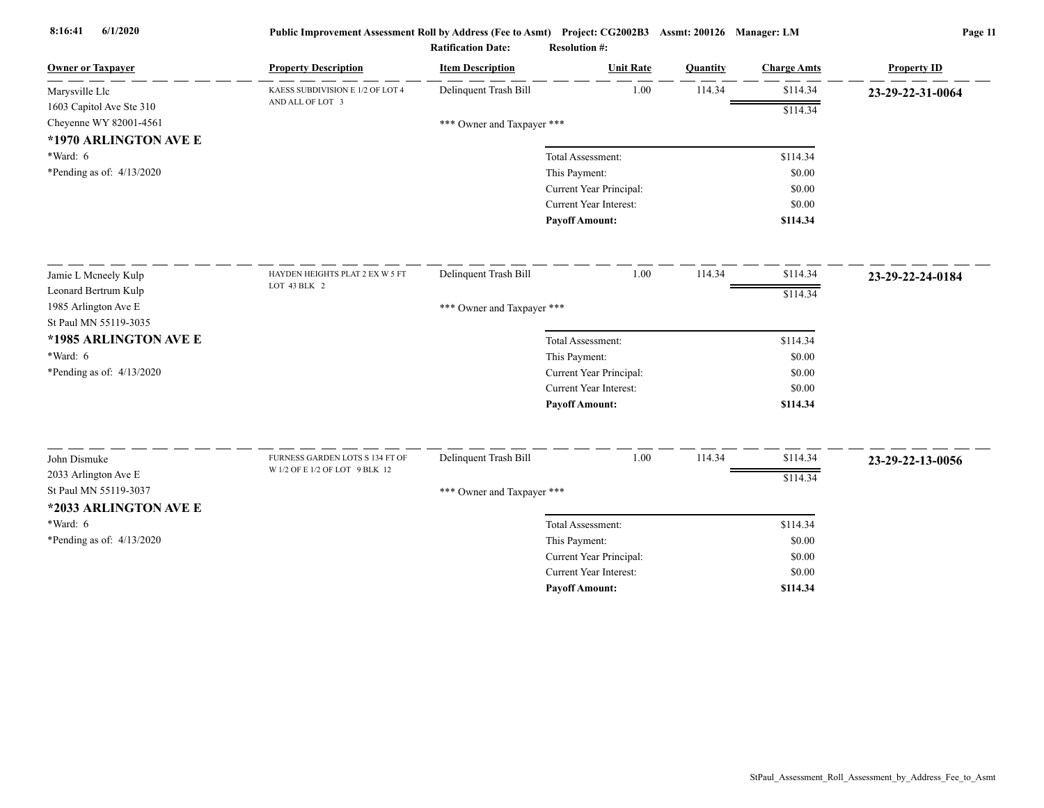| <b>Owner or Taxpayer</b>                | <b>Property Description</b>                          | <b>Item Description</b>    | <b>Unit Rate</b>                   | Quantity | <b>Charge Amts</b> | <b>Property ID</b> |
|-----------------------------------------|------------------------------------------------------|----------------------------|------------------------------------|----------|--------------------|--------------------|
| Marysville Llc                          | KAESS SUBDIVISION E 1/2 OF LOT 4<br>AND ALL OF LOT 3 | Delinquent Trash Bill      | 1.00                               | 114.34   | \$114.34           | 23-29-22-31-0064   |
| 1603 Capitol Ave Ste 310                |                                                      |                            |                                    |          | \$114.34           |                    |
| Cheyenne WY 82001-4561                  |                                                      | *** Owner and Taxpayer *** |                                    |          |                    |                    |
| *1970 ARLINGTON AVE E                   |                                                      |                            |                                    |          |                    |                    |
| *Ward: 6<br>*Pending as of: $4/13/2020$ |                                                      |                            | Total Assessment:<br>This Payment: |          | \$114.34<br>\$0.00 |                    |
|                                         |                                                      |                            | Current Year Principal:            |          | \$0.00             |                    |
|                                         |                                                      |                            | <b>Current Year Interest:</b>      |          | \$0.00             |                    |
|                                         |                                                      |                            | <b>Payoff Amount:</b>              |          | \$114.34           |                    |
|                                         |                                                      |                            |                                    |          |                    |                    |
| Jamie L Mcneely Kulp                    | HAYDEN HEIGHTS PLAT 2 EX W 5 FT                      | Delinquent Trash Bill      | 1.00                               | 114.34   | \$114.34           | 23-29-22-24-0184   |
| Leonard Bertrum Kulp                    | LOT 43 BLK 2                                         |                            |                                    |          | \$114.34           |                    |
| 1985 Arlington Ave E                    |                                                      | *** Owner and Taxpayer *** |                                    |          |                    |                    |
| St Paul MN 55119-3035                   |                                                      |                            |                                    |          |                    |                    |
| *1985 ARLINGTON AVE E                   |                                                      |                            | Total Assessment:                  |          | \$114.34           |                    |
| $*Ward: 6$                              |                                                      |                            | This Payment:                      |          | \$0.00             |                    |
| *Pending as of: $4/13/2020$             |                                                      |                            | Current Year Principal:            |          | \$0.00             |                    |
|                                         |                                                      |                            | <b>Current Year Interest:</b>      |          | \$0.00             |                    |
|                                         |                                                      |                            | <b>Payoff Amount:</b>              |          | \$114.34           |                    |
| John Dismuke                            | FURNESS GARDEN LOTS S 134 FT OF                      | Delinquent Trash Bill      | 1.00                               | 114.34   | \$114.34           | 23-29-22-13-0056   |
| 2033 Arlington Ave E                    | W 1/2 OF E 1/2 OF LOT 9 BLK 12                       |                            |                                    |          | \$114.34           |                    |
| St Paul MN 55119-3037                   |                                                      | *** Owner and Taxpayer *** |                                    |          |                    |                    |
| *2033 ARLINGTON AVE E                   |                                                      |                            |                                    |          |                    |                    |
| *Ward: 6                                |                                                      |                            | Total Assessment:                  |          | \$114.34           |                    |
| *Pending as of: 4/13/2020               |                                                      |                            | This Payment:                      |          | \$0.00             |                    |
|                                         |                                                      |                            | Current Year Principal:            |          | \$0.00             |                    |
|                                         |                                                      |                            | <b>Current Year Interest:</b>      |          | \$0.00             |                    |
|                                         |                                                      |                            | <b>Pavoff Amount:</b>              |          | \$114.34           |                    |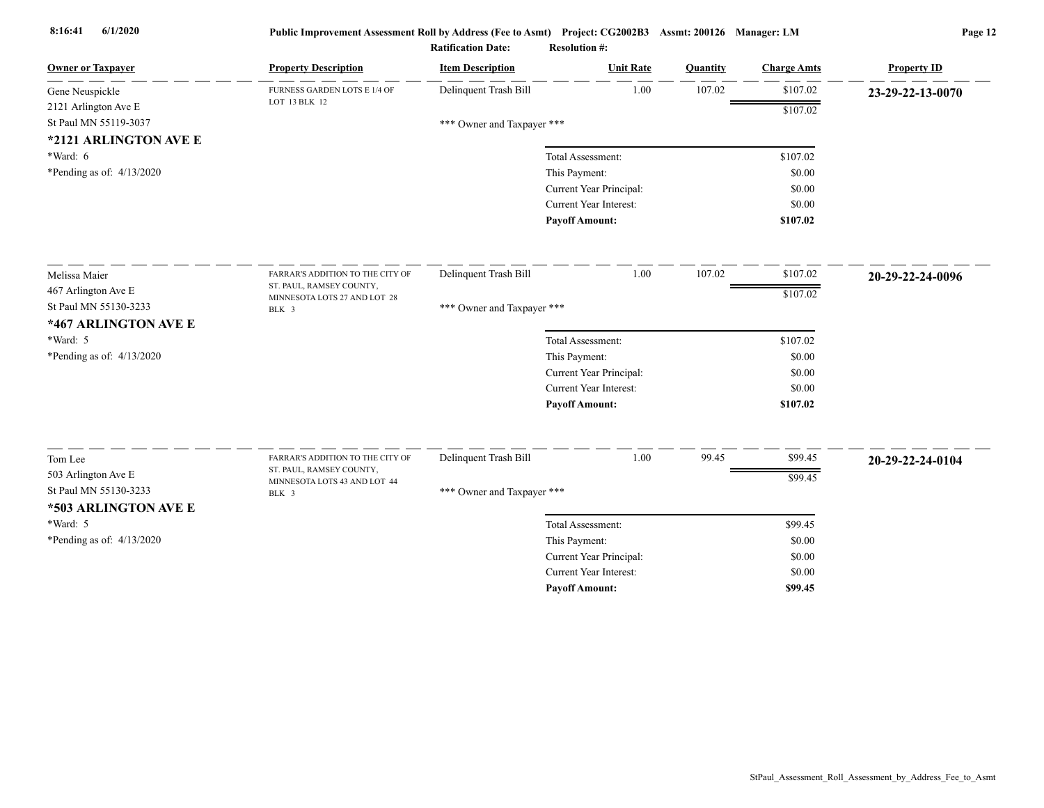| <b>Owner or Taxpayer</b>    | <b>Property Description</b>                              | <b>Item Description</b>    | <b>Unit Rate</b>              | Quantity | <b>Charge Amts</b> | <b>Property ID</b> |
|-----------------------------|----------------------------------------------------------|----------------------------|-------------------------------|----------|--------------------|--------------------|
| Gene Neuspickle             | FURNESS GARDEN LOTS E 1/4 OF                             | Delinquent Trash Bill      | 1.00                          | 107.02   | \$107.02           | 23-29-22-13-0070   |
| 2121 Arlington Ave E        | LOT 13 BLK 12                                            |                            |                               |          | \$107.02           |                    |
| St Paul MN 55119-3037       |                                                          | *** Owner and Taxpayer *** |                               |          |                    |                    |
| *2121 ARLINGTON AVE E       |                                                          |                            |                               |          |                    |                    |
| *Ward: 6                    |                                                          |                            | Total Assessment:             |          | \$107.02           |                    |
| *Pending as of: $4/13/2020$ |                                                          |                            | This Payment:                 |          | \$0.00             |                    |
|                             |                                                          |                            | Current Year Principal:       |          | \$0.00             |                    |
|                             |                                                          |                            | <b>Current Year Interest:</b> |          | \$0.00             |                    |
|                             |                                                          |                            | <b>Payoff Amount:</b>         |          | \$107.02           |                    |
| Melissa Maier               | FARRAR'S ADDITION TO THE CITY OF                         | Delinquent Trash Bill      | 1.00                          | 107.02   | \$107.02           | 20-29-22-24-0096   |
| 467 Arlington Ave E         | ST. PAUL, RAMSEY COUNTY,<br>MINNESOTA LOTS 27 AND LOT 28 |                            |                               |          | \$107.02           |                    |
| St Paul MN 55130-3233       | BLK 3                                                    | *** Owner and Taxpayer *** |                               |          |                    |                    |
| *467 ARLINGTON AVE E        |                                                          |                            |                               |          |                    |                    |
| *Ward: 5                    |                                                          |                            | Total Assessment:             |          | \$107.02           |                    |
| *Pending as of: 4/13/2020   |                                                          |                            | This Payment:                 |          | \$0.00             |                    |
|                             |                                                          |                            | Current Year Principal:       |          | \$0.00             |                    |
|                             |                                                          |                            | <b>Current Year Interest:</b> |          | \$0.00             |                    |
|                             |                                                          |                            | <b>Payoff Amount:</b>         |          | \$107.02           |                    |
| Tom Lee                     | FARRAR'S ADDITION TO THE CITY OF                         | Delinquent Trash Bill      | 1.00                          | 99.45    | \$99.45            | 20-29-22-24-0104   |
| 503 Arlington Ave E         | ST. PAUL, RAMSEY COUNTY,                                 |                            |                               |          |                    |                    |
| St Paul MN 55130-3233       | MINNESOTA LOTS 43 AND LOT 44                             | *** Owner and Taxpayer *** |                               |          | \$99.45            |                    |
| *503 ARLINGTON AVE E        | BLK 3                                                    |                            |                               |          |                    |                    |
| *Ward: 5                    |                                                          |                            | Total Assessment:             |          | \$99.45            |                    |
| *Pending as of: $4/13/2020$ |                                                          |                            | This Payment:                 |          | \$0.00             |                    |
|                             |                                                          |                            | Current Year Principal:       |          | \$0.00             |                    |
|                             |                                                          |                            | <b>Current Year Interest:</b> |          | \$0.00             |                    |
|                             |                                                          |                            | <b>Pavoff Amount:</b>         |          | \$99.45            |                    |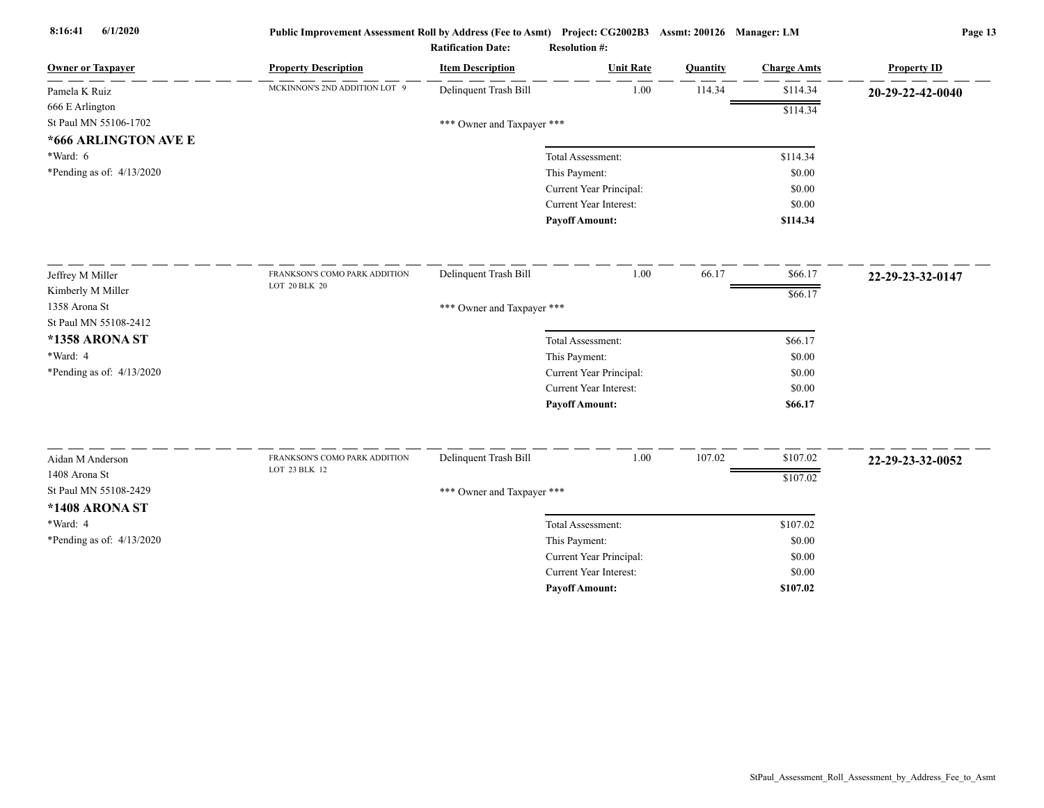| <b>Owner or Taxpayer</b>    | <b>Property Description</b>   | <b>Item Description</b>    | <b>Unit Rate</b>                         | Quantity | <b>Charge Amts</b> | <b>Property ID</b> |
|-----------------------------|-------------------------------|----------------------------|------------------------------------------|----------|--------------------|--------------------|
| Pamela K Ruiz               | MCKINNON'S 2ND ADDITION LOT 9 | Delinquent Trash Bill      | 1.00                                     | 114.34   | \$114.34           | 20-29-22-42-0040   |
| 666 E Arlington             |                               |                            |                                          |          | \$114.34           |                    |
| St Paul MN 55106-1702       |                               | *** Owner and Taxpayer *** |                                          |          |                    |                    |
| *666 ARLINGTON AVE E        |                               |                            |                                          |          |                    |                    |
| *Ward: 6                    |                               |                            | Total Assessment:                        |          | \$114.34           |                    |
| *Pending as of: $4/13/2020$ |                               |                            | This Payment:                            |          | \$0.00             |                    |
|                             |                               |                            | Current Year Principal:                  |          | \$0.00             |                    |
|                             |                               |                            | Current Year Interest:                   |          | \$0.00             |                    |
|                             |                               |                            | <b>Payoff Amount:</b>                    |          | \$114.34           |                    |
| Jeffrey M Miller            | FRANKSON'S COMO PARK ADDITION | Delinquent Trash Bill      | 1.00                                     | 66.17    | \$66.17            | 22-29-23-32-0147   |
| Kimberly M Miller           | LOT 20 BLK 20                 |                            |                                          |          | \$66.17            |                    |
| 1358 Arona St               |                               | *** Owner and Taxpayer *** |                                          |          |                    |                    |
| St Paul MN 55108-2412       |                               |                            |                                          |          |                    |                    |
| *1358 ARONA ST              |                               |                            | Total Assessment:                        |          | \$66.17            |                    |
| *Ward: 4                    |                               |                            | This Payment:                            |          | \$0.00             |                    |
| *Pending as of: 4/13/2020   |                               |                            | Current Year Principal:                  |          | \$0.00             |                    |
|                             |                               |                            | Current Year Interest:                   |          | \$0.00             |                    |
|                             |                               |                            | <b>Payoff Amount:</b>                    |          | \$66.17            |                    |
| Aidan M Anderson            | FRANKSON'S COMO PARK ADDITION | Delinquent Trash Bill      | 1.00                                     | 107.02   | \$107.02           |                    |
| 1408 Arona St               | LOT 23 BLK 12                 |                            |                                          |          |                    | 22-29-23-32-0052   |
| St Paul MN 55108-2429       |                               |                            |                                          |          | \$107.02           |                    |
| *1408 ARONA ST              |                               | *** Owner and Taxpayer *** |                                          |          |                    |                    |
| *Ward: 4                    |                               |                            | Total Assessment:                        |          |                    |                    |
|                             |                               |                            |                                          |          | \$107.02<br>\$0.00 |                    |
| *Pending as of: $4/13/2020$ |                               |                            | This Payment:<br>Current Year Principal: |          | \$0.00             |                    |
|                             |                               |                            | <b>Current Year Interest:</b>            |          | \$0.00             |                    |
|                             |                               |                            | <b>Payoff Amount:</b>                    |          | \$107.02           |                    |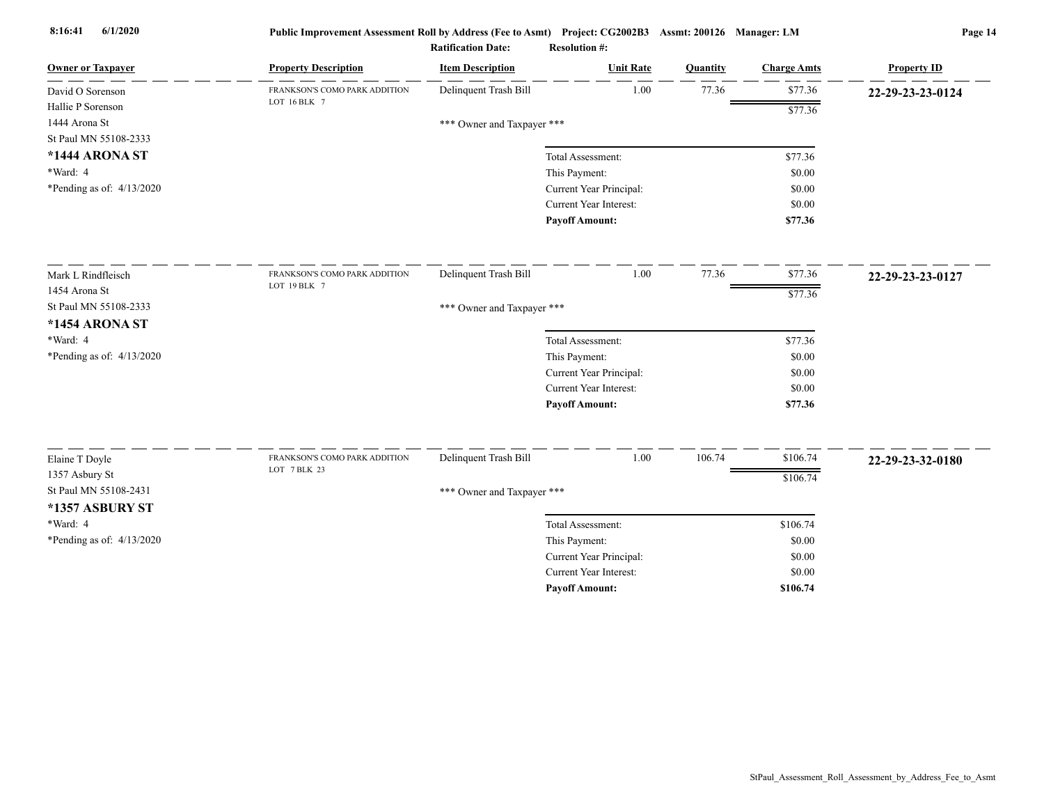| <b>Owner or Taxpayer</b>    | <b>Property Description</b>                   | <b>Item Description</b>    | <b>Unit Rate</b>              | Quantity | <b>Charge Amts</b> | <b>Property ID</b> |
|-----------------------------|-----------------------------------------------|----------------------------|-------------------------------|----------|--------------------|--------------------|
| David O Sorenson            | FRANKSON'S COMO PARK ADDITION                 | Delinquent Trash Bill      | 1.00                          | 77.36    | \$77.36            | 22-29-23-23-0124   |
| Hallie P Sorenson           | LOT 16 BLK 7                                  |                            |                               |          | \$77.36            |                    |
| 1444 Arona St               |                                               | *** Owner and Taxpayer *** |                               |          |                    |                    |
| St Paul MN 55108-2333       |                                               |                            |                               |          |                    |                    |
| *1444 ARONA ST              |                                               |                            | Total Assessment:             |          | \$77.36            |                    |
| *Ward: 4                    |                                               |                            | This Payment:                 |          | \$0.00             |                    |
| *Pending as of: $4/13/2020$ |                                               |                            | Current Year Principal:       |          | \$0.00             |                    |
|                             |                                               |                            | Current Year Interest:        |          | \$0.00             |                    |
|                             |                                               |                            | <b>Payoff Amount:</b>         |          | \$77.36            |                    |
| Mark L Rindfleisch          | FRANKSON'S COMO PARK ADDITION                 | Delinquent Trash Bill      | 1.00                          | 77.36    | \$77.36            | 22-29-23-23-0127   |
| 1454 Arona St               | LOT 19 BLK 7                                  |                            |                               |          | \$77.36            |                    |
| St Paul MN 55108-2333       |                                               | *** Owner and Taxpayer *** |                               |          |                    |                    |
| *1454 ARONA ST              |                                               |                            |                               |          |                    |                    |
| *Ward: 4                    |                                               |                            | Total Assessment:             |          | \$77.36            |                    |
| *Pending as of: 4/13/2020   |                                               |                            | This Payment:                 |          | \$0.00             |                    |
|                             |                                               |                            | Current Year Principal:       |          | \$0.00             |                    |
|                             |                                               |                            | <b>Current Year Interest:</b> |          | \$0.00             |                    |
|                             |                                               |                            | <b>Payoff Amount:</b>         |          | \$77.36            |                    |
|                             |                                               |                            | $1.00\,$                      |          |                    |                    |
| Elaine T Doyle              | FRANKSON'S COMO PARK ADDITION<br>LOT 7 BLK 23 | Delinquent Trash Bill      |                               | 106.74   | \$106.74           | 22-29-23-32-0180   |
| 1357 Asbury St              |                                               |                            |                               |          | \$106.74           |                    |
| St Paul MN 55108-2431       |                                               | *** Owner and Taxpayer *** |                               |          |                    |                    |
| *1357 ASBURY ST             |                                               |                            |                               |          |                    |                    |
| *Ward: 4                    |                                               |                            | Total Assessment:             |          | \$106.74           |                    |
| *Pending as of: 4/13/2020   |                                               |                            | This Payment:                 |          | \$0.00             |                    |
|                             |                                               |                            | Current Year Principal:       |          | \$0.00             |                    |
|                             |                                               |                            | <b>Current Year Interest:</b> |          | \$0.00             |                    |
|                             |                                               |                            | <b>Payoff Amount:</b>         |          | \$106.74           |                    |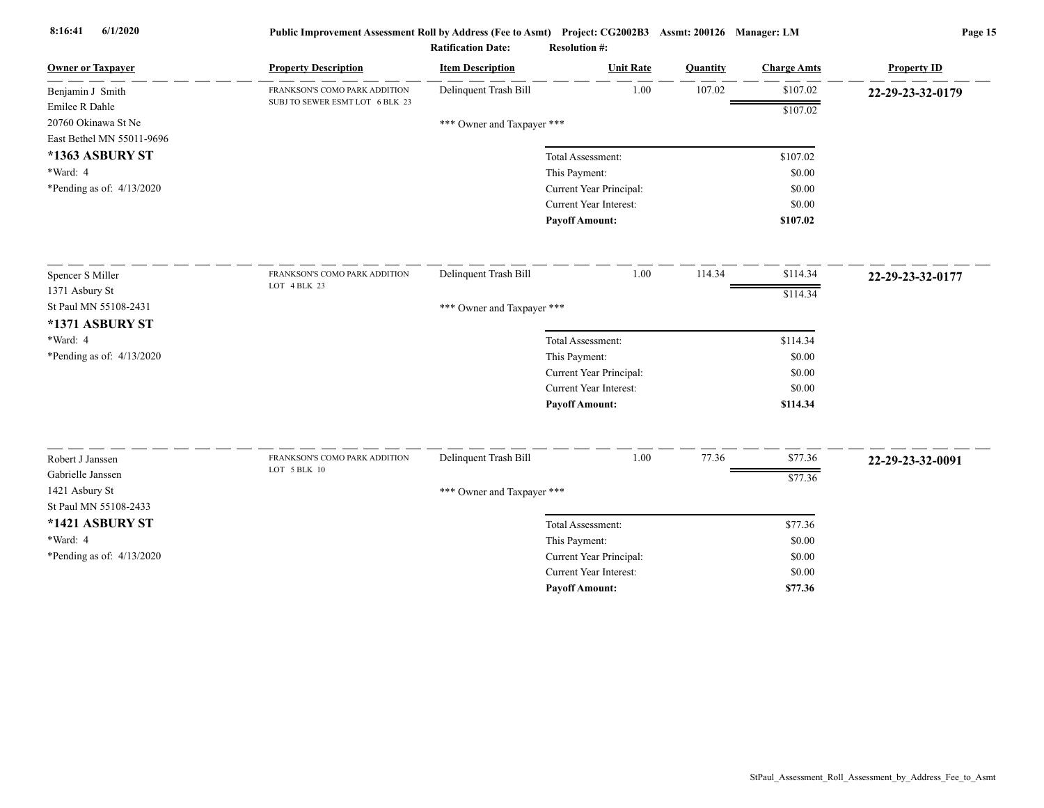| <b>Owner or Taxpayer</b>                | <b>Property Description</b>     | <b>Item Description</b>    | <b>Unit Rate</b>              | Quantity | <b>Charge Amts</b> | <b>Property ID</b> |
|-----------------------------------------|---------------------------------|----------------------------|-------------------------------|----------|--------------------|--------------------|
| Benjamin J Smith                        | FRANKSON'S COMO PARK ADDITION   | Delinquent Trash Bill      | 1.00                          | 107.02   | \$107.02           | 22-29-23-32-0179   |
| Emilee R Dahle                          | SUBJ TO SEWER ESMT LOT 6 BLK 23 |                            |                               |          | \$107.02           |                    |
| 20760 Okinawa St Ne                     |                                 | *** Owner and Taxpayer *** |                               |          |                    |                    |
| East Bethel MN 55011-9696               |                                 |                            |                               |          |                    |                    |
| *1363 ASBURY ST                         |                                 |                            | Total Assessment:             |          | \$107.02           |                    |
| *Ward: 4                                |                                 |                            | This Payment:                 |          | \$0.00             |                    |
| *Pending as of: $4/13/2020$             |                                 |                            | Current Year Principal:       |          | \$0.00             |                    |
|                                         |                                 |                            | Current Year Interest:        |          | \$0.00             |                    |
|                                         |                                 |                            | <b>Pavoff Amount:</b>         |          | \$107.02           |                    |
| Spencer S Miller                        | FRANKSON'S COMO PARK ADDITION   | Delinquent Trash Bill      | 1.00                          | 114.34   | \$114.34           | 22-29-23-32-0177   |
| 1371 Asbury St                          | LOT 4 BLK 23                    |                            |                               |          | \$114.34           |                    |
| St Paul MN 55108-2431                   |                                 | *** Owner and Taxpayer *** |                               |          |                    |                    |
| *1371 ASBURY ST                         |                                 |                            |                               |          |                    |                    |
| *Ward: 4                                |                                 |                            | Total Assessment:             |          | \$114.34           |                    |
| *Pending as of: 4/13/2020               |                                 |                            | This Payment:                 |          | \$0.00             |                    |
|                                         |                                 |                            | Current Year Principal:       |          | \$0.00             |                    |
|                                         |                                 |                            | <b>Current Year Interest:</b> |          | \$0.00             |                    |
|                                         |                                 |                            | <b>Payoff Amount:</b>         |          | \$114.34           |                    |
|                                         | FRANKSON'S COMO PARK ADDITION   |                            |                               |          |                    |                    |
| Robert J Janssen                        | LOT 5 BLK 10                    | Delinquent Trash Bill      | 1.00                          | 77.36    | \$77.36            | 22-29-23-32-0091   |
| Gabrielle Janssen                       |                                 |                            |                               |          | \$77.36            |                    |
| 1421 Asbury St<br>St Paul MN 55108-2433 |                                 | *** Owner and Taxpayer *** |                               |          |                    |                    |
| *1421 ASBURY ST                         |                                 |                            | Total Assessment:             |          | \$77.36            |                    |
| *Ward: 4                                |                                 |                            | This Payment:                 |          | \$0.00             |                    |
| *Pending as of: 4/13/2020               |                                 |                            | Current Year Principal:       |          | \$0.00             |                    |
|                                         |                                 |                            | <b>Current Year Interest:</b> |          | \$0.00             |                    |
|                                         |                                 |                            | <b>Pavoff Amount:</b>         |          | \$77.36            |                    |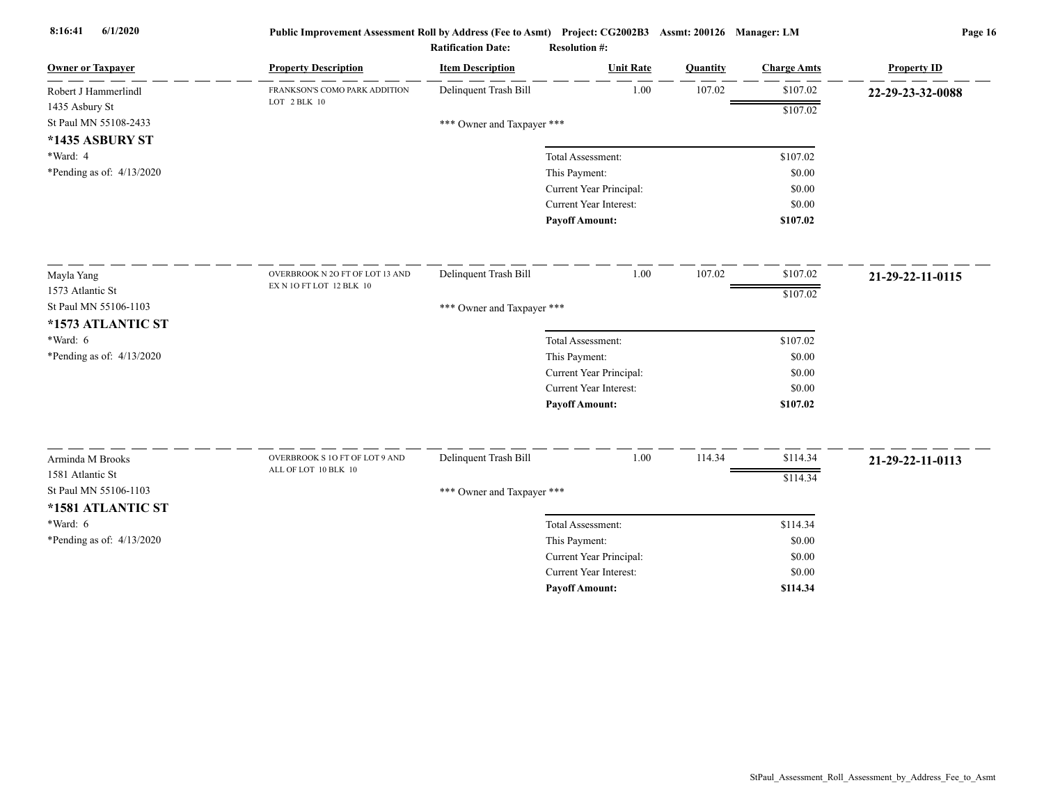| <b>Owner or Taxpayer</b>    | <b>Property Description</b>     | <b>Item Description</b>    | <b>Unit Rate</b>              | Quantity | <b>Charge Amts</b> | <b>Property ID</b> |
|-----------------------------|---------------------------------|----------------------------|-------------------------------|----------|--------------------|--------------------|
| Robert J Hammerlindl        | FRANKSON'S COMO PARK ADDITION   | Delinquent Trash Bill      | 1.00                          | 107.02   | \$107.02           | 22-29-23-32-0088   |
| 1435 Asbury St              | LOT 2 BLK 10                    |                            |                               |          | \$107.02           |                    |
| St Paul MN 55108-2433       |                                 | *** Owner and Taxpayer *** |                               |          |                    |                    |
| *1435 ASBURY ST             |                                 |                            |                               |          |                    |                    |
| *Ward: 4                    |                                 |                            | Total Assessment:             |          | \$107.02           |                    |
| *Pending as of: $4/13/2020$ |                                 |                            | This Payment:                 |          | \$0.00             |                    |
|                             |                                 |                            | Current Year Principal:       |          | \$0.00             |                    |
|                             |                                 |                            | <b>Current Year Interest:</b> |          | \$0.00             |                    |
|                             |                                 |                            | <b>Payoff Amount:</b>         |          | \$107.02           |                    |
| Mayla Yang                  | OVERBROOK N 2O FT OF LOT 13 AND | Delinquent Trash Bill      | 1.00                          | 107.02   | \$107.02           | 21-29-22-11-0115   |
| 1573 Atlantic St            | EX N 1O FT LOT 12 BLK 10        |                            |                               |          | \$107.02           |                    |
| St Paul MN 55106-1103       |                                 | *** Owner and Taxpayer *** |                               |          |                    |                    |
| *1573 ATLANTIC ST           |                                 |                            |                               |          |                    |                    |
| *Ward: 6                    |                                 |                            | Total Assessment:             |          | \$107.02           |                    |
| *Pending as of: 4/13/2020   |                                 |                            | This Payment:                 |          | \$0.00             |                    |
|                             |                                 |                            | Current Year Principal:       |          | \$0.00             |                    |
|                             |                                 |                            | Current Year Interest:        |          | \$0.00             |                    |
|                             |                                 |                            | <b>Payoff Amount:</b>         |          | \$107.02           |                    |
| Arminda M Brooks            | OVERBROOK S 1O FT OF LOT 9 AND  | Delinquent Trash Bill      | 1.00                          | 114.34   | \$114.34           | 21-29-22-11-0113   |
| 1581 Atlantic St            | ALL OF LOT 10 BLK 10            |                            |                               |          | \$114.34           |                    |
| St Paul MN 55106-1103       |                                 | *** Owner and Taxpayer *** |                               |          |                    |                    |
| *1581 ATLANTIC ST           |                                 |                            |                               |          |                    |                    |
| $*Ward: 6$                  |                                 |                            | Total Assessment:             |          | \$114.34           |                    |
| *Pending as of: $4/13/2020$ |                                 |                            | This Payment:                 |          | \$0.00             |                    |
|                             |                                 |                            | Current Year Principal:       |          | \$0.00             |                    |
|                             |                                 |                            | <b>Current Year Interest:</b> |          | \$0.00             |                    |
|                             |                                 |                            | <b>Pavoff Amount:</b>         |          | \$114.34           |                    |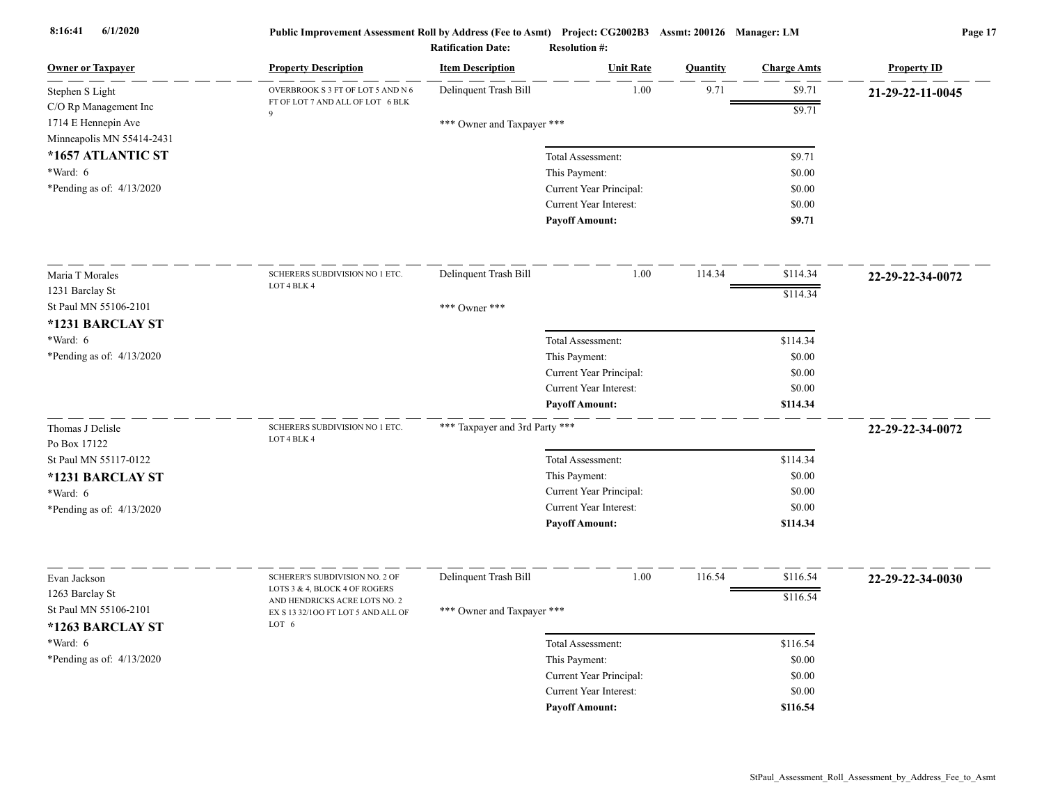| <b>Owner or Taxpayer</b>                                                  | <b>Property Description</b>                                    | <b>Item Description</b>        | <b>Unit Rate</b>                         | <b>Quantity</b> | <b>Charge Amts</b> | <b>Property ID</b> |
|---------------------------------------------------------------------------|----------------------------------------------------------------|--------------------------------|------------------------------------------|-----------------|--------------------|--------------------|
| Stephen S Light                                                           | OVERBROOK S 3 FT OF LOT 5 AND N 6                              | Delinquent Trash Bill          | 1.00                                     | 9.71            | \$9.71             | 21-29-22-11-0045   |
| C/O Rp Management Inc<br>1714 E Hennepin Ave<br>Minneapolis MN 55414-2431 | FT OF LOT 7 AND ALL OF LOT 6 BLK<br>9                          | *** Owner and Taxpayer ***     |                                          |                 | \$9.71             |                    |
| *1657 ATLANTIC ST                                                         |                                                                |                                | Total Assessment:                        |                 | \$9.71             |                    |
| *Ward: 6<br>*Pending as of: $4/13/2020$                                   |                                                                |                                | This Payment:<br>Current Year Principal: |                 | \$0.00<br>\$0.00   |                    |
|                                                                           |                                                                |                                | Current Year Interest:                   |                 | \$0.00             |                    |
|                                                                           |                                                                |                                | <b>Payoff Amount:</b>                    |                 | \$9.71             |                    |
| Maria T Morales                                                           | SCHERERS SUBDIVISION NO 1 ETC.                                 | Delinquent Trash Bill          | $1.00\,$                                 | 114.34          | \$114.34           | 22-29-22-34-0072   |
| 1231 Barclay St                                                           | LOT 4 BLK 4                                                    |                                |                                          |                 | \$114.34           |                    |
| St Paul MN 55106-2101                                                     |                                                                | *** Owner ***                  |                                          |                 |                    |                    |
| *1231 BARCLAY ST<br>*Ward: 6                                              |                                                                |                                | Total Assessment:                        |                 | \$114.34           |                    |
| *Pending as of: 4/13/2020                                                 |                                                                |                                | This Payment:                            |                 | \$0.00             |                    |
|                                                                           |                                                                |                                | Current Year Principal:                  |                 | \$0.00             |                    |
|                                                                           |                                                                |                                | Current Year Interest:                   |                 | \$0.00             |                    |
|                                                                           |                                                                |                                | <b>Payoff Amount:</b>                    |                 | \$114.34           |                    |
| Thomas J Delisle<br>Po Box 17122                                          | SCHERERS SUBDIVISION NO 1 ETC.<br>LOT 4 BLK 4                  | *** Taxpayer and 3rd Party *** |                                          |                 |                    | 22-29-22-34-0072   |
| St Paul MN 55117-0122                                                     |                                                                |                                | Total Assessment:                        |                 | \$114.34           |                    |
| *1231 BARCLAY ST                                                          |                                                                |                                | This Payment:                            |                 | \$0.00             |                    |
| *Ward: 6                                                                  |                                                                |                                | Current Year Principal:                  |                 | \$0.00             |                    |
| *Pending as of: $4/13/2020$                                               |                                                                |                                | <b>Current Year Interest:</b>            |                 | \$0.00             |                    |
|                                                                           |                                                                |                                | <b>Payoff Amount:</b>                    |                 | \$114.34           |                    |
| Evan Jackson                                                              | SCHERER'S SUBDIVISION NO. 2 OF                                 | Delinquent Trash Bill          | 1.00                                     | 116.54          | \$116.54           | 22-29-22-34-0030   |
| 1263 Barclay St                                                           | LOTS 3 & 4, BLOCK 4 OF ROGERS<br>AND HENDRICKS ACRE LOTS NO. 2 |                                |                                          |                 | \$116.54           |                    |
| St Paul MN 55106-2101<br>*1263 BARCLAY ST                                 | EX S 13 32/100 FT LOT 5 AND ALL OF<br>LOT 6                    | *** Owner and Taxpayer ***     |                                          |                 |                    |                    |
| *Ward: 6                                                                  |                                                                |                                | Total Assessment:                        |                 | \$116.54           |                    |
| *Pending as of: $4/13/2020$                                               |                                                                |                                | This Payment:                            |                 | \$0.00             |                    |
|                                                                           |                                                                |                                | Current Year Principal:                  |                 | \$0.00             |                    |
|                                                                           |                                                                |                                | Current Year Interest:                   |                 | \$0.00             |                    |
|                                                                           |                                                                |                                | <b>Pavoff Amount:</b>                    |                 | \$116.54           |                    |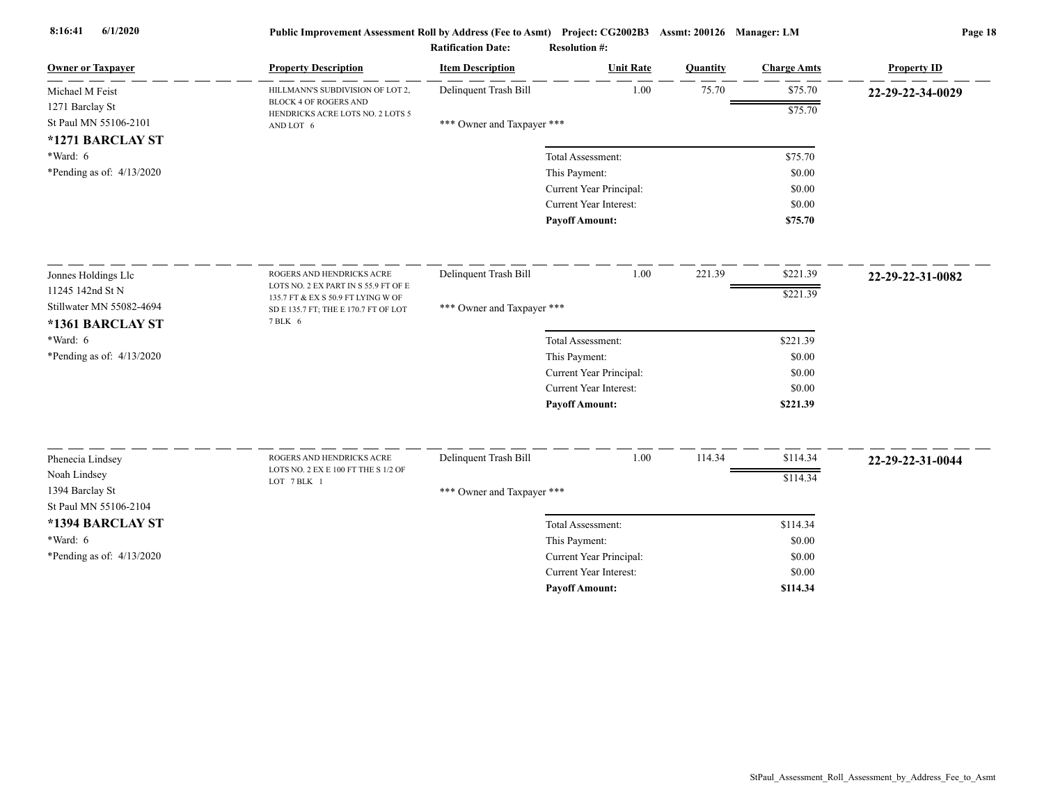| <b>Owner or Taxpayer</b>                     | <b>Property Description</b>                                                           | <b>Item Description</b>    | <b>Unit Rate</b>              | Quantity | <b>Charge Amts</b> | <b>Property ID</b> |
|----------------------------------------------|---------------------------------------------------------------------------------------|----------------------------|-------------------------------|----------|--------------------|--------------------|
| Michael M Feist                              | HILLMANN'S SUBDIVISION OF LOT 2,                                                      | Delinquent Trash Bill      | 1.00                          | 75.70    | \$75.70            | 22-29-22-34-0029   |
| 1271 Barclay St<br>St Paul MN 55106-2101     | <b>BLOCK 4 OF ROGERS AND</b><br>HENDRICKS ACRE LOTS NO. 2 LOTS 5<br>AND LOT 6         | *** Owner and Taxpayer *** |                               |          | \$75.70            |                    |
| *1271 BARCLAY ST<br>*Ward: 6                 |                                                                                       |                            | Total Assessment:             |          | \$75.70            |                    |
| *Pending as of: $4/13/2020$                  |                                                                                       |                            | This Payment:                 |          | \$0.00             |                    |
|                                              |                                                                                       |                            | Current Year Principal:       |          | \$0.00             |                    |
|                                              |                                                                                       |                            | <b>Current Year Interest:</b> |          | \$0.00             |                    |
|                                              |                                                                                       |                            | <b>Payoff Amount:</b>         |          | \$75.70            |                    |
| Jonnes Holdings Llc                          | ROGERS AND HENDRICKS ACRE                                                             | Delinquent Trash Bill      | 1.00                          | 221.39   | \$221.39           | 22-29-22-31-0082   |
| 11245 142nd St N                             | LOTS NO. 2 EX PART IN S 55.9 FT OF E                                                  |                            |                               |          | \$221.39           |                    |
| Stillwater MN 55082-4694<br>*1361 BARCLAY ST | 135.7 FT & EX S 50.9 FT LYING W OF<br>SD E 135.7 FT; THE E 170.7 FT OF LOT<br>7 BLK 6 | *** Owner and Taxpayer *** |                               |          |                    |                    |
| $*Ward: 6$                                   |                                                                                       |                            | Total Assessment:             |          | \$221.39           |                    |
| *Pending as of: 4/13/2020                    |                                                                                       |                            | This Payment:                 |          | \$0.00             |                    |
|                                              |                                                                                       |                            | Current Year Principal:       |          | \$0.00             |                    |
|                                              |                                                                                       |                            | <b>Current Year Interest:</b> |          | \$0.00             |                    |
|                                              |                                                                                       |                            | <b>Payoff Amount:</b>         |          | \$221.39           |                    |
| Phenecia Lindsey                             | ROGERS AND HENDRICKS ACRE                                                             | Delinquent Trash Bill      | 1.00                          | 114.34   | \$114.34           | 22-29-22-31-0044   |
| Noah Lindsey                                 | LOTS NO. 2 EX E 100 FT THE S 1/2 OF                                                   |                            |                               |          | \$114.34           |                    |
| 1394 Barclay St<br>St Paul MN 55106-2104     | LOT 7 BLK 1                                                                           | *** Owner and Taxpayer *** |                               |          |                    |                    |
| *1394 BARCLAY ST                             |                                                                                       |                            | Total Assessment:             |          | \$114.34           |                    |
| *Ward: 6                                     |                                                                                       |                            | This Payment:                 |          | \$0.00             |                    |
| *Pending as of: 4/13/2020                    |                                                                                       |                            | Current Year Principal:       |          | \$0.00             |                    |
|                                              |                                                                                       |                            | <b>Current Year Interest:</b> |          | \$0.00             |                    |
|                                              |                                                                                       |                            | <b>Pavoff Amount:</b>         |          | \$114.34           |                    |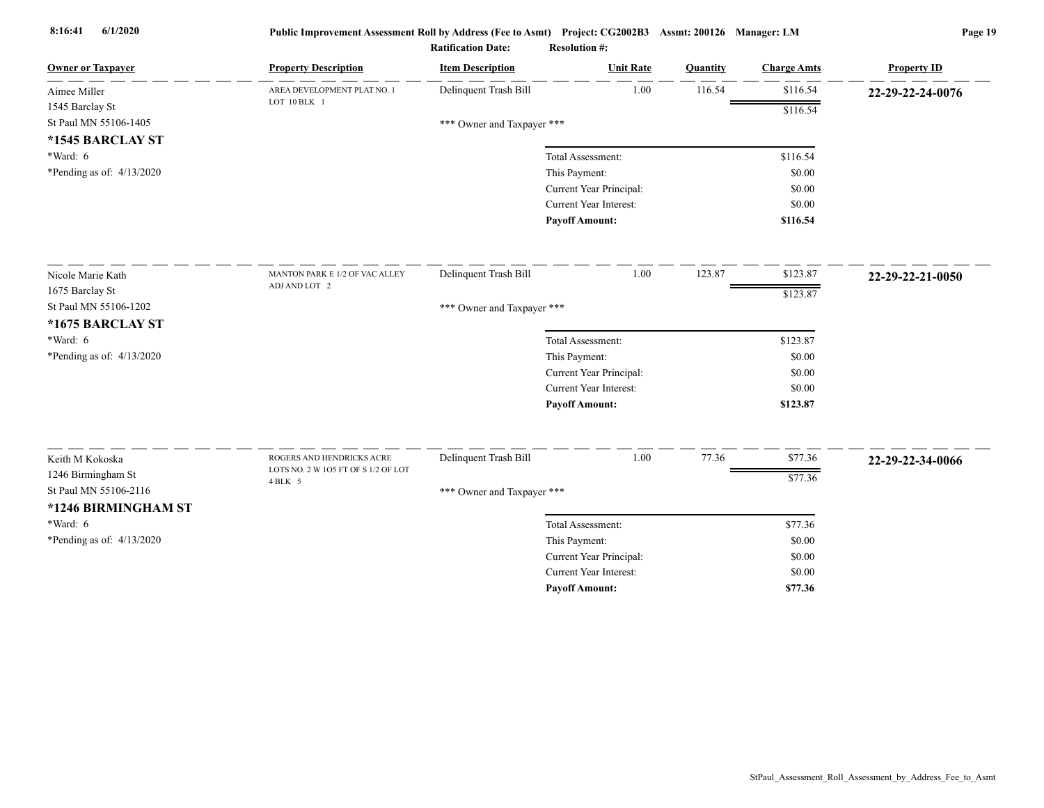| <b>Owner or Taxpayer</b>    | <b>Property Description</b>                                      | <b>Item Description</b>    | <b>Unit Rate</b>              | Quantity | <b>Charge Amts</b> | <b>Property ID</b> |
|-----------------------------|------------------------------------------------------------------|----------------------------|-------------------------------|----------|--------------------|--------------------|
| Aimee Miller                | AREA DEVELOPMENT PLAT NO. 1                                      | Delinquent Trash Bill      | 1.00                          | 116.54   | \$116.54           | 22-29-22-24-0076   |
| 1545 Barclay St             | LOT 10 BLK 1                                                     |                            |                               |          | \$116.54           |                    |
| St Paul MN 55106-1405       |                                                                  | *** Owner and Taxpayer *** |                               |          |                    |                    |
| *1545 BARCLAY ST            |                                                                  |                            |                               |          |                    |                    |
| *Ward: 6                    |                                                                  |                            | Total Assessment:             |          | \$116.54           |                    |
| *Pending as of: 4/13/2020   |                                                                  |                            | This Payment:                 |          | \$0.00             |                    |
|                             |                                                                  |                            | Current Year Principal:       |          | \$0.00             |                    |
|                             |                                                                  |                            | <b>Current Year Interest:</b> |          | \$0.00             |                    |
|                             |                                                                  |                            | <b>Payoff Amount:</b>         |          | \$116.54           |                    |
| Nicole Marie Kath           | MANTON PARK E 1/2 OF VAC ALLEY                                   | Delinquent Trash Bill      | 1.00                          | 123.87   | \$123.87           | 22-29-22-21-0050   |
| 1675 Barclay St             | ADJ AND LOT 2                                                    |                            |                               |          | \$123.87           |                    |
| St Paul MN 55106-1202       |                                                                  | *** Owner and Taxpayer *** |                               |          |                    |                    |
| *1675 BARCLAY ST            |                                                                  |                            |                               |          |                    |                    |
| *Ward: 6                    |                                                                  |                            | Total Assessment:             |          | \$123.87           |                    |
| *Pending as of: $4/13/2020$ |                                                                  |                            | This Payment:                 |          | \$0.00             |                    |
|                             |                                                                  |                            | Current Year Principal:       |          | \$0.00             |                    |
|                             |                                                                  |                            | <b>Current Year Interest:</b> |          | \$0.00             |                    |
|                             |                                                                  |                            | <b>Payoff Amount:</b>         |          | \$123.87           |                    |
|                             |                                                                  |                            |                               |          |                    |                    |
| Keith M Kokoska             | ROGERS AND HENDRICKS ACRE<br>LOTS NO. 2 W 105 FT OF S 1/2 OF LOT | Delinquent Trash Bill      | 1.00                          | 77.36    | \$77.36            | 22-29-22-34-0066   |
| 1246 Birmingham St          | 4 BLK 5                                                          |                            |                               |          | \$77.36            |                    |
| St Paul MN 55106-2116       |                                                                  | *** Owner and Taxpayer *** |                               |          |                    |                    |
| *1246 BIRMINGHAM ST         |                                                                  |                            |                               |          |                    |                    |
| *Ward: 6                    |                                                                  |                            | Total Assessment:             |          | \$77.36            |                    |
| *Pending as of: $4/13/2020$ |                                                                  |                            | This Payment:                 |          | \$0.00             |                    |
|                             |                                                                  |                            | Current Year Principal:       |          | \$0.00             |                    |
|                             |                                                                  |                            | <b>Current Year Interest:</b> |          | \$0.00             |                    |
|                             |                                                                  |                            | <b>Pavoff Amount:</b>         |          | \$77.36            |                    |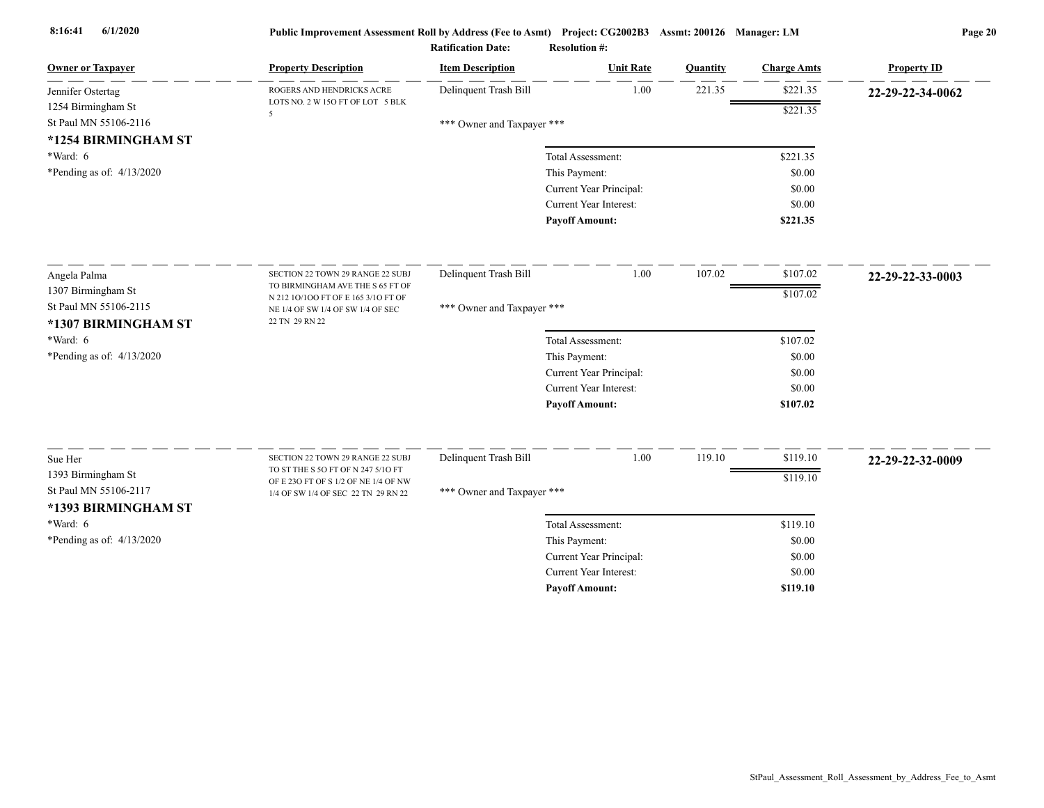| <b>Owner or Taxpayer</b>    | <b>Property Description</b>                                              | <b>Item Description</b>    | <b>Unit Rate</b>              | Quantity | <b>Charge Amts</b> | <b>Property ID</b> |
|-----------------------------|--------------------------------------------------------------------------|----------------------------|-------------------------------|----------|--------------------|--------------------|
| Jennifer Ostertag           | ROGERS AND HENDRICKS ACRE                                                | Delinquent Trash Bill      | 1.00                          | 221.35   | \$221.35           | 22-29-22-34-0062   |
| 1254 Birmingham St          | LOTS NO. 2 W 15O FT OF LOT 5 BLK<br>5                                    |                            |                               |          | \$221.35           |                    |
| St Paul MN 55106-2116       |                                                                          | *** Owner and Taxpayer *** |                               |          |                    |                    |
| *1254 BIRMINGHAM ST         |                                                                          |                            |                               |          |                    |                    |
| *Ward: 6                    |                                                                          |                            | Total Assessment:             |          | \$221.35           |                    |
| *Pending as of: $4/13/2020$ |                                                                          |                            | This Payment:                 |          | \$0.00             |                    |
|                             |                                                                          |                            | Current Year Principal:       |          | \$0.00             |                    |
|                             |                                                                          |                            | <b>Current Year Interest:</b> |          | \$0.00             |                    |
|                             |                                                                          |                            | <b>Payoff Amount:</b>         |          | \$221.35           |                    |
| Angela Palma                | SECTION 22 TOWN 29 RANGE 22 SUBJ                                         | Delinquent Trash Bill      | 1.00                          | 107.02   | \$107.02           | 22-29-22-33-0003   |
| 1307 Birmingham St          | TO BIRMINGHAM AVE THE S 65 FT OF                                         |                            |                               |          | \$107.02           |                    |
| St Paul MN 55106-2115       | N 212 10/100 FT OF E 165 3/10 FT OF<br>NE 1/4 OF SW 1/4 OF SW 1/4 OF SEC | *** Owner and Taxpayer *** |                               |          |                    |                    |
| *1307 BIRMINGHAM ST         | 22 TN 29 RN 22                                                           |                            |                               |          |                    |                    |
| *Ward: 6                    |                                                                          |                            | Total Assessment:             |          | \$107.02           |                    |
| *Pending as of: $4/13/2020$ |                                                                          |                            | This Payment:                 |          | \$0.00             |                    |
|                             |                                                                          |                            | Current Year Principal:       |          | \$0.00             |                    |
|                             |                                                                          |                            | <b>Current Year Interest:</b> |          | \$0.00             |                    |
|                             |                                                                          |                            | <b>Payoff Amount:</b>         |          | \$107.02           |                    |
|                             |                                                                          |                            |                               |          |                    |                    |
| Sue Her                     | SECTION 22 TOWN 29 RANGE 22 SUBJ<br>TO ST THE S 50 FT OF N 247 5/10 FT   | Delinquent Trash Bill      | 1.00                          | 119.10   | \$119.10           | 22-29-22-32-0009   |
| 1393 Birmingham St          | OF E 230 FT OF S 1/2 OF NE 1/4 OF NW                                     |                            |                               |          | \$119.10           |                    |
| St Paul MN 55106-2117       | 1/4 OF SW 1/4 OF SEC 22 TN 29 RN 22                                      | *** Owner and Taxpayer *** |                               |          |                    |                    |
| *1393 BIRMINGHAM ST         |                                                                          |                            |                               |          |                    |                    |
| *Ward: 6                    |                                                                          |                            | Total Assessment:             |          | \$119.10           |                    |
| *Pending as of: $4/13/2020$ |                                                                          |                            | This Payment:                 |          | \$0.00             |                    |
|                             |                                                                          |                            | Current Year Principal:       |          | \$0.00             |                    |
|                             |                                                                          |                            | <b>Current Year Interest:</b> |          | \$0.00             |                    |
|                             |                                                                          |                            | <b>Pavoff Amount:</b>         |          | \$119.10           |                    |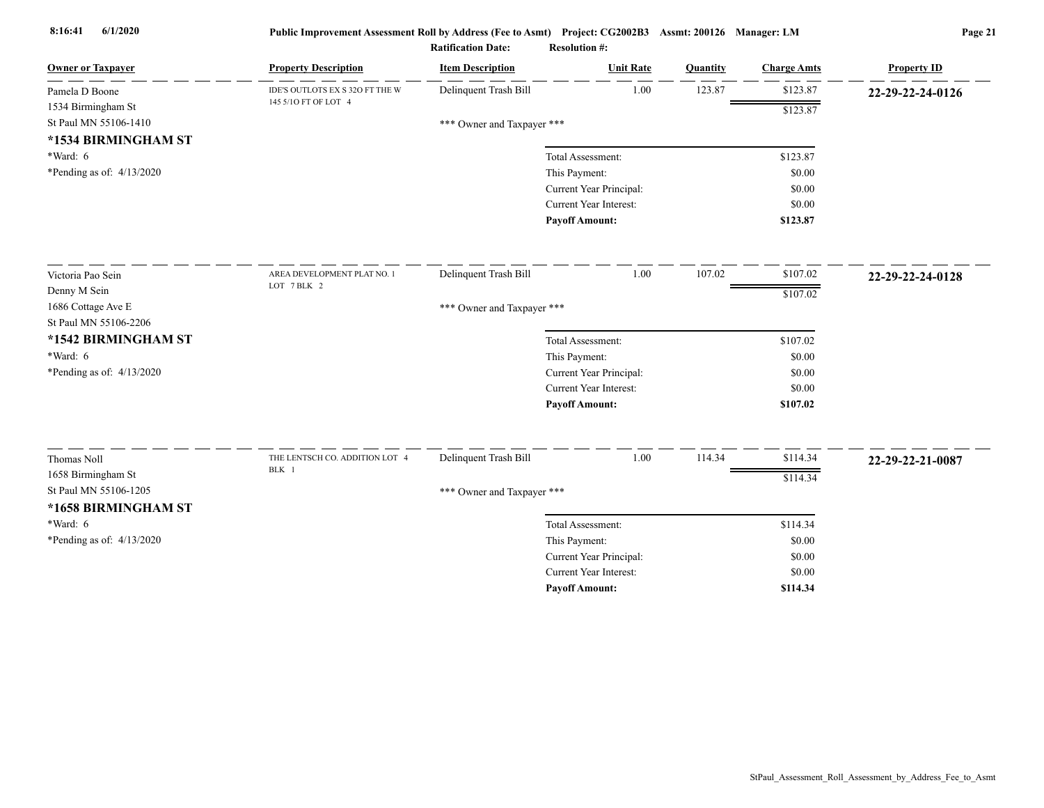| <b>Owner or Taxpayer</b>    | <b>Property Description</b>     | <b>Item Description</b>    | <b>Unit Rate</b>              | Quantity | <b>Charge Amts</b> | <b>Property ID</b> |
|-----------------------------|---------------------------------|----------------------------|-------------------------------|----------|--------------------|--------------------|
| Pamela D Boone              | IDE'S OUTLOTS EX S 32O FT THE W | Delinquent Trash Bill      | 1.00                          | 123.87   | \$123.87           | 22-29-22-24-0126   |
| 1534 Birmingham St          | 145 5/10 FT OF LOT 4            |                            |                               |          | \$123.87           |                    |
| St Paul MN 55106-1410       |                                 | *** Owner and Taxpayer *** |                               |          |                    |                    |
| *1534 BIRMINGHAM ST         |                                 |                            |                               |          |                    |                    |
| *Ward: 6                    |                                 |                            | Total Assessment:             |          | \$123.87           |                    |
| *Pending as of: 4/13/2020   |                                 |                            | This Payment:                 |          | \$0.00             |                    |
|                             |                                 |                            | Current Year Principal:       |          | \$0.00             |                    |
|                             |                                 |                            | Current Year Interest:        |          | \$0.00             |                    |
|                             |                                 |                            | <b>Payoff Amount:</b>         |          | \$123.87           |                    |
| Victoria Pao Sein           | AREA DEVELOPMENT PLAT NO. 1     | Delinquent Trash Bill      | 1.00                          | 107.02   | \$107.02           | 22-29-22-24-0128   |
| Denny M Sein                | LOT 7 BLK 2                     |                            |                               |          | \$107.02           |                    |
| 1686 Cottage Ave E          |                                 | *** Owner and Taxpayer *** |                               |          |                    |                    |
| St Paul MN 55106-2206       |                                 |                            |                               |          |                    |                    |
| *1542 BIRMINGHAM ST         |                                 |                            | Total Assessment:             |          | \$107.02           |                    |
| $*Ward: 6$                  |                                 |                            | This Payment:                 |          | \$0.00             |                    |
| *Pending as of: $4/13/2020$ |                                 |                            | Current Year Principal:       |          | \$0.00             |                    |
|                             |                                 |                            | <b>Current Year Interest:</b> |          | \$0.00             |                    |
|                             |                                 |                            | <b>Payoff Amount:</b>         |          | \$107.02           |                    |
| Thomas Noll                 | THE LENTSCH CO. ADDITION LOT 4  | Delinquent Trash Bill      | 1.00                          | 114.34   | \$114.34           | 22-29-22-21-0087   |
| 1658 Birmingham St          | BLK 1                           |                            |                               |          | \$114.34           |                    |
| St Paul MN 55106-1205       |                                 | *** Owner and Taxpayer *** |                               |          |                    |                    |
| *1658 BIRMINGHAM ST         |                                 |                            |                               |          |                    |                    |
| *Ward: 6                    |                                 |                            | Total Assessment:             |          | \$114.34           |                    |
| *Pending as of: 4/13/2020   |                                 |                            | This Payment:                 |          | \$0.00             |                    |
|                             |                                 |                            | Current Year Principal:       |          | \$0.00             |                    |
|                             |                                 |                            | Current Year Interest:        |          | \$0.00             |                    |
|                             |                                 |                            | <b>Pavoff Amount:</b>         |          | \$114.34           |                    |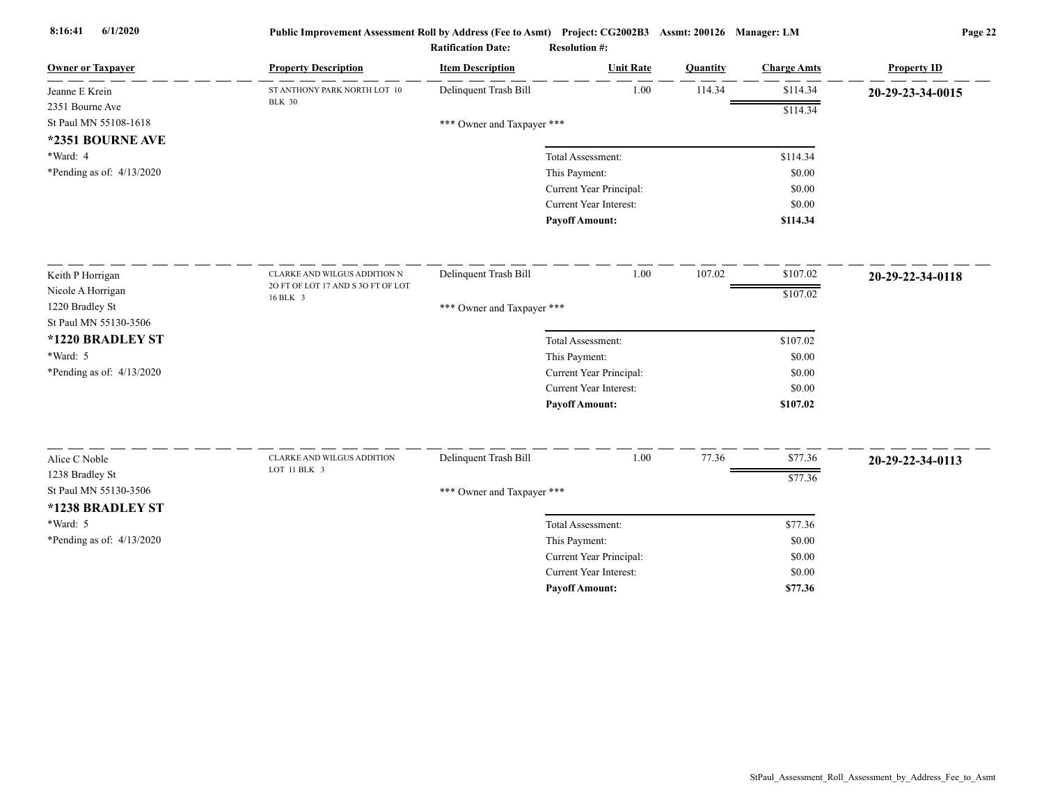| <b>Owner or Taxpayer</b>    | <b>Property Description</b>                | <b>Item Description</b>    | <b>Unit Rate</b>                                         | Quantity | <b>Charge Amts</b> | <b>Property ID</b> |
|-----------------------------|--------------------------------------------|----------------------------|----------------------------------------------------------|----------|--------------------|--------------------|
| Jeanne E Krein              | ST ANTHONY PARK NORTH LOT 10               | Delinquent Trash Bill      | 1.00                                                     | 114.34   | \$114.34           | 20-29-23-34-0015   |
| 2351 Bourne Ave             | <b>BLK 30</b>                              |                            |                                                          |          | \$114.34           |                    |
| St Paul MN 55108-1618       |                                            | *** Owner and Taxpayer *** |                                                          |          |                    |                    |
| *2351 BOURNE AVE            |                                            |                            |                                                          |          |                    |                    |
| *Ward: 4                    |                                            |                            | Total Assessment:                                        |          | \$114.34           |                    |
| *Pending as of: 4/13/2020   |                                            |                            | This Payment:                                            |          | \$0.00             |                    |
|                             |                                            |                            | Current Year Principal:                                  |          | \$0.00             |                    |
|                             |                                            |                            | <b>Current Year Interest:</b>                            |          | \$0.00             |                    |
|                             |                                            |                            | <b>Payoff Amount:</b>                                    |          | \$114.34           |                    |
| Keith P Horrigan            | CLARKE AND WILGUS ADDITION N               | Delinquent Trash Bill      | 1.00                                                     | 107.02   | \$107.02           | 20-29-22-34-0118   |
| Nicole A Horrigan           | 20 FT OF LOT 17 AND S 30 FT OF LOT         |                            |                                                          |          | \$107.02           |                    |
| 1220 Bradley St             | 16 BLK 3                                   | *** Owner and Taxpayer *** |                                                          |          |                    |                    |
| St Paul MN 55130-3506       |                                            |                            |                                                          |          |                    |                    |
| *1220 BRADLEY ST            |                                            |                            | Total Assessment:                                        |          | \$107.02           |                    |
| *Ward: 5                    |                                            |                            | This Payment:                                            |          | \$0.00             |                    |
| *Pending as of: 4/13/2020   |                                            |                            | Current Year Principal:                                  |          | \$0.00             |                    |
|                             |                                            |                            | <b>Current Year Interest:</b>                            |          | \$0.00             |                    |
|                             |                                            |                            | <b>Payoff Amount:</b>                                    |          | \$107.02           |                    |
|                             |                                            |                            |                                                          | 77.36    |                    |                    |
| Alice C Noble               | CLARKE AND WILGUS ADDITION<br>LOT 11 BLK 3 | Delinquent Trash Bill      | 1.00                                                     |          | \$77.36            | 20-29-22-34-0113   |
| 1238 Bradley St             |                                            |                            |                                                          |          | \$77.36            |                    |
| St Paul MN 55130-3506       |                                            | *** Owner and Taxpayer *** |                                                          |          |                    |                    |
| *1238 BRADLEY ST            |                                            |                            |                                                          |          |                    |                    |
| *Ward: 5                    |                                            |                            | Total Assessment:                                        |          | \$77.36            |                    |
| *Pending as of: $4/13/2020$ |                                            |                            | This Payment:                                            |          | \$0.00             |                    |
|                             |                                            |                            | Current Year Principal:<br><b>Current Year Interest:</b> |          | \$0.00             |                    |
|                             |                                            |                            |                                                          |          | \$0.00             |                    |
|                             |                                            |                            | <b>Pavoff Amount:</b>                                    |          | \$77.36            |                    |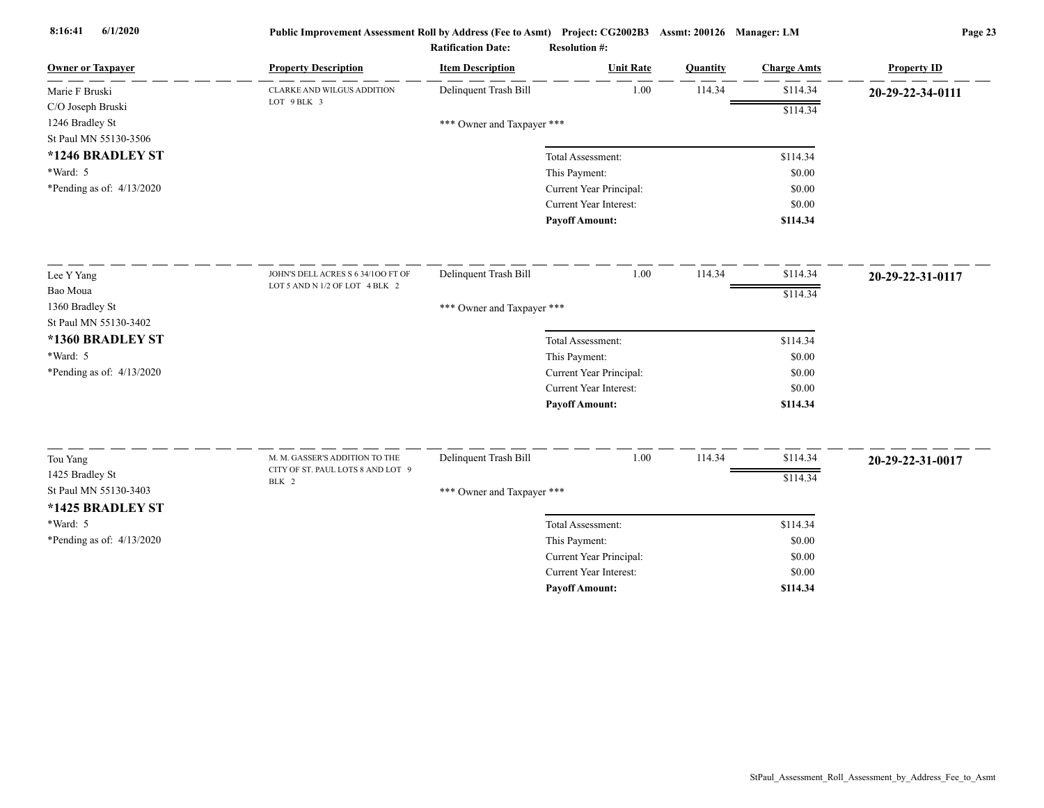| <b>Owner or Taxpayer</b>    | <b>Property Description</b>        | <b>Item Description</b>    | <b>Unit Rate</b>              | Quantity | <b>Charge Amts</b> | <b>Property ID</b> |
|-----------------------------|------------------------------------|----------------------------|-------------------------------|----------|--------------------|--------------------|
| Marie F Bruski              | CLARKE AND WILGUS ADDITION         | Delinquent Trash Bill      | 1.00                          | 114.34   | \$114.34           | 20-29-22-34-0111   |
| C/O Joseph Bruski           | LOT 9 BLK 3                        |                            |                               |          | \$114.34           |                    |
| 1246 Bradley St             |                                    | *** Owner and Taxpayer *** |                               |          |                    |                    |
| St Paul MN 55130-3506       |                                    |                            |                               |          |                    |                    |
| *1246 BRADLEY ST            |                                    |                            | Total Assessment:             |          | \$114.34           |                    |
| $*Ward: 5$                  |                                    |                            | This Payment:                 |          | \$0.00             |                    |
| *Pending as of: 4/13/2020   |                                    |                            | Current Year Principal:       |          | \$0.00             |                    |
|                             |                                    |                            | <b>Current Year Interest:</b> |          | \$0.00             |                    |
|                             |                                    |                            | <b>Payoff Amount:</b>         |          | \$114.34           |                    |
| Lee Y Yang                  | JOHN'S DELL ACRES S 6 34/100 FT OF | Delinquent Trash Bill      | 1.00                          | 114.34   | \$114.34           | 20-29-22-31-0117   |
| Bao Moua                    | LOT 5 AND N 1/2 OF LOT 4 BLK 2     |                            |                               |          | \$114.34           |                    |
| 1360 Bradley St             |                                    | *** Owner and Taxpayer *** |                               |          |                    |                    |
| St Paul MN 55130-3402       |                                    |                            |                               |          |                    |                    |
| *1360 BRADLEY ST            |                                    |                            | Total Assessment:             |          | \$114.34           |                    |
| *Ward: 5                    |                                    |                            | This Payment:                 |          | \$0.00             |                    |
| *Pending as of: $4/13/2020$ |                                    |                            | Current Year Principal:       |          | \$0.00             |                    |
|                             |                                    |                            | <b>Current Year Interest:</b> |          | \$0.00             |                    |
|                             |                                    |                            | <b>Payoff Amount:</b>         |          | \$114.34           |                    |
| Tou Yang                    | M. M. GASSER'S ADDITION TO THE     | Delinquent Trash Bill      | 1.00                          | 114.34   | \$114.34           | 20-29-22-31-0017   |
| 1425 Bradley St             | CITY OF ST. PAUL LOTS 8 AND LOT 9  |                            |                               |          | \$114.34           |                    |
| St Paul MN 55130-3403       | BLK 2                              | *** Owner and Taxpayer *** |                               |          |                    |                    |
| *1425 BRADLEY ST            |                                    |                            |                               |          |                    |                    |
| *Ward: 5                    |                                    |                            | Total Assessment:             |          | \$114.34           |                    |
| *Pending as of: 4/13/2020   |                                    |                            | This Payment:                 |          | \$0.00             |                    |
|                             |                                    |                            | Current Year Principal:       |          | \$0.00             |                    |
|                             |                                    |                            | <b>Current Year Interest:</b> |          | \$0.00             |                    |
|                             |                                    |                            | <b>Payoff Amount:</b>         |          | \$114.34           |                    |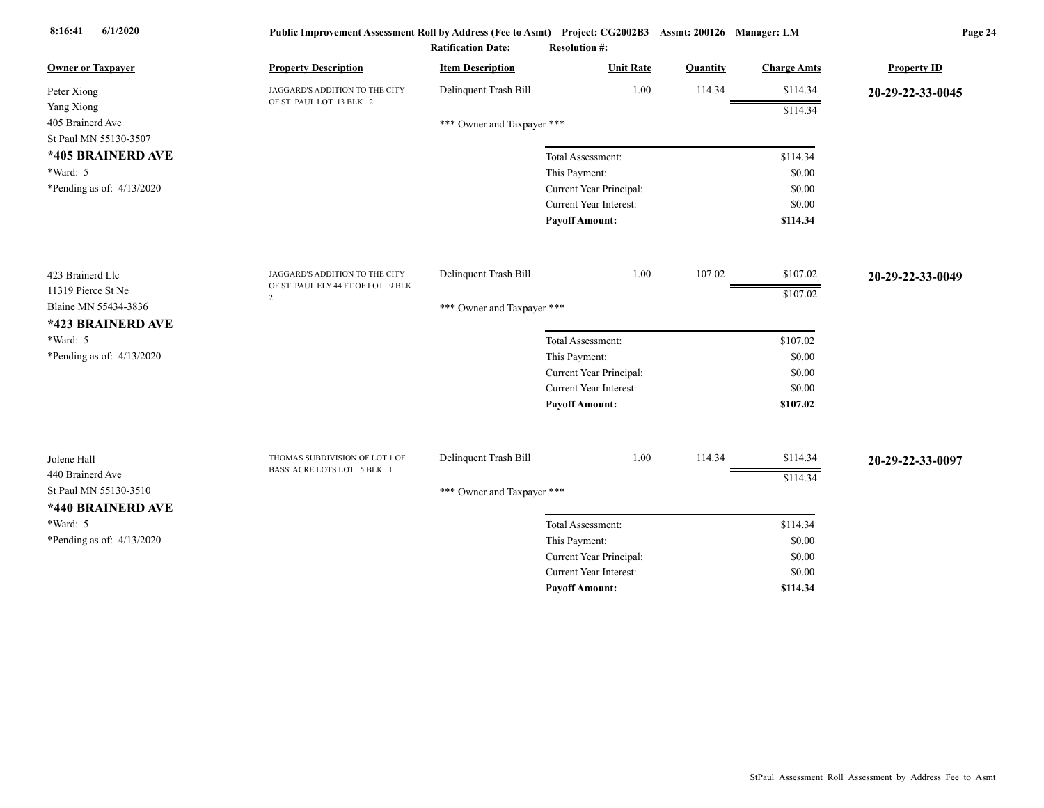| <b>Owner or Taxpayer</b>    | <b>Property Description</b>             | <b>Item Description</b>    | <b>Unit Rate</b>              | Quantity | <b>Charge Amts</b> | <b>Property ID</b> |
|-----------------------------|-----------------------------------------|----------------------------|-------------------------------|----------|--------------------|--------------------|
| Peter Xiong                 | JAGGARD'S ADDITION TO THE CITY          | Delinquent Trash Bill      | 1.00                          | 114.34   | \$114.34           | 20-29-22-33-0045   |
| Yang Xiong                  | OF ST. PAUL LOT 13 BLK 2                |                            |                               |          | \$114.34           |                    |
| 405 Brainerd Ave            |                                         | *** Owner and Taxpayer *** |                               |          |                    |                    |
| St Paul MN 55130-3507       |                                         |                            |                               |          |                    |                    |
| *405 BRAINERD AVE           |                                         |                            | Total Assessment:             |          | \$114.34           |                    |
| *Ward: 5                    |                                         |                            | This Payment:                 |          | \$0.00             |                    |
| *Pending as of: $4/13/2020$ |                                         |                            | Current Year Principal:       |          | \$0.00             |                    |
|                             |                                         |                            | Current Year Interest:        |          | \$0.00             |                    |
|                             |                                         |                            | <b>Payoff Amount:</b>         |          | \$114.34           |                    |
| 423 Brainerd Llc            | JAGGARD'S ADDITION TO THE CITY          | Delinquent Trash Bill      | 1.00                          | 107.02   | \$107.02           | 20-29-22-33-0049   |
| 11319 Pierce St Ne          | OF ST. PAUL ELY 44 FT OF LOT 9 BLK<br>2 |                            |                               |          | \$107.02           |                    |
| Blaine MN 55434-3836        |                                         | *** Owner and Taxpayer *** |                               |          |                    |                    |
| *423 BRAINERD AVE           |                                         |                            |                               |          |                    |                    |
| *Ward: 5                    |                                         |                            | Total Assessment:             |          | \$107.02           |                    |
| *Pending as of: 4/13/2020   |                                         |                            | This Payment:                 |          | \$0.00             |                    |
|                             |                                         |                            | Current Year Principal:       |          | \$0.00             |                    |
|                             |                                         |                            | Current Year Interest:        |          | \$0.00             |                    |
|                             |                                         |                            | <b>Payoff Amount:</b>         |          | \$107.02           |                    |
| Jolene Hall                 | THOMAS SUBDIVISION OF LOT 1 OF          | Delinquent Trash Bill      | 1.00                          | 114.34   | \$114.34           | 20-29-22-33-0097   |
| 440 Brainerd Ave            | BASS' ACRE LOTS LOT 5 BLK 1             |                            |                               |          | \$114.34           |                    |
| St Paul MN 55130-3510       |                                         | *** Owner and Taxpayer *** |                               |          |                    |                    |
| *440 BRAINERD AVE           |                                         |                            |                               |          |                    |                    |
| *Ward: 5                    |                                         |                            | Total Assessment:             |          | \$114.34           |                    |
| *Pending as of: $4/13/2020$ |                                         |                            | This Payment:                 |          | \$0.00             |                    |
|                             |                                         |                            | Current Year Principal:       |          | \$0.00             |                    |
|                             |                                         |                            | <b>Current Year Interest:</b> |          | \$0.00             |                    |
|                             |                                         |                            | <b>Payoff Amount:</b>         |          | \$114.34           |                    |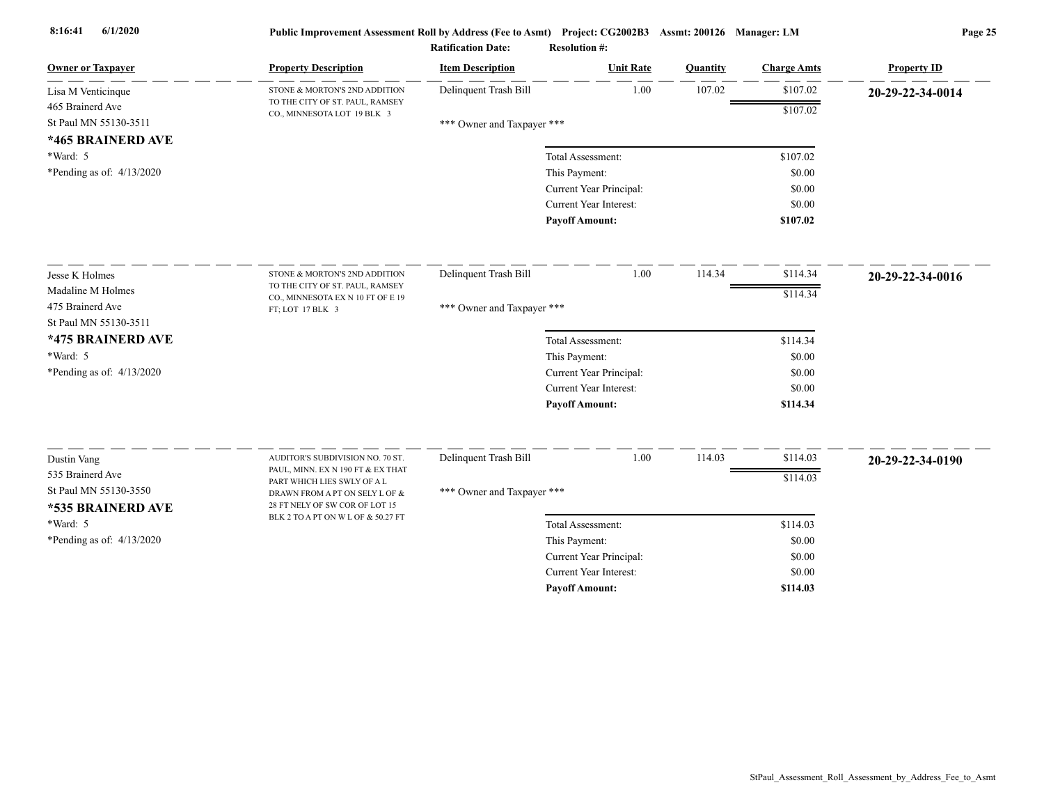| <b>Owner or Taxpayer</b>                                       | <b>Property Description</b>                                                                     | <b>Item Description</b>    | <b>Unit Rate</b>        | Quantity | <b>Charge Amts</b> | <b>Property ID</b> |
|----------------------------------------------------------------|-------------------------------------------------------------------------------------------------|----------------------------|-------------------------|----------|--------------------|--------------------|
| Lisa M Venticinque                                             | STONE & MORTON'S 2ND ADDITION<br>TO THE CITY OF ST. PAUL, RAMSEY                                | Delinquent Trash Bill      | 1.00                    | 107.02   | \$107.02           | 20-29-22-34-0014   |
| 465 Brainerd Ave<br>St Paul MN 55130-3511<br>*465 BRAINERD AVE | CO., MINNESOTA LOT 19 BLK 3                                                                     | *** Owner and Taxpayer *** |                         |          | \$107.02           |                    |
| $*Ward: 5$                                                     |                                                                                                 |                            | Total Assessment:       |          | \$107.02           |                    |
| *Pending as of: $4/13/2020$                                    |                                                                                                 |                            | This Payment:           |          | \$0.00             |                    |
|                                                                |                                                                                                 |                            | Current Year Principal: |          | \$0.00             |                    |
|                                                                |                                                                                                 |                            | Current Year Interest:  |          | \$0.00             |                    |
|                                                                |                                                                                                 |                            | <b>Payoff Amount:</b>   |          | \$107.02           |                    |
| Jesse K Holmes                                                 | STONE & MORTON'S 2ND ADDITION                                                                   | Delinquent Trash Bill      | 1.00                    | 114.34   | \$114.34           | 20-29-22-34-0016   |
| Madaline M Holmes                                              | TO THE CITY OF ST. PAUL, RAMSEY                                                                 |                            |                         |          | \$114.34           |                    |
| 475 Brainerd Ave                                               | CO., MINNESOTA EX N 10 FT OF E 19<br>FT; LOT 17 BLK 3                                           | *** Owner and Taxpayer *** |                         |          |                    |                    |
| St Paul MN 55130-3511                                          |                                                                                                 |                            |                         |          |                    |                    |
| *475 BRAINERD AVE                                              |                                                                                                 |                            | Total Assessment:       |          | \$114.34           |                    |
| *Ward: 5                                                       |                                                                                                 |                            | This Payment:           |          | \$0.00             |                    |
| *Pending as of: $4/13/2020$                                    |                                                                                                 |                            | Current Year Principal: |          | \$0.00             |                    |
|                                                                |                                                                                                 |                            | Current Year Interest:  |          | \$0.00             |                    |
|                                                                |                                                                                                 |                            | <b>Payoff Amount:</b>   |          | \$114.34           |                    |
| Dustin Vang                                                    | AUDITOR'S SUBDIVISION NO. 70 ST.                                                                | Delinquent Trash Bill      | 1.00                    | 114.03   | \$114.03           | 20-29-22-34-0190   |
| 535 Brainerd Ave                                               | PAUL, MINN. EX N 190 FT & EX THAT                                                               |                            |                         |          | \$114.03           |                    |
| St Paul MN 55130-3550<br>*535 BRAINERD AVE                     | PART WHICH LIES SWLY OF A L<br>DRAWN FROM A PT ON SELY L OF &<br>28 FT NELY OF SW COR OF LOT 15 | *** Owner and Taxpayer *** |                         |          |                    |                    |
| *Ward: 5                                                       | BLK 2 TO A PT ON W L OF & 50.27 FT                                                              |                            | Total Assessment:       |          | \$114.03           |                    |
| *Pending as of: $4/13/2020$                                    |                                                                                                 |                            | This Payment:           |          | \$0.00             |                    |
|                                                                |                                                                                                 |                            | Current Year Principal: |          | \$0.00             |                    |
|                                                                |                                                                                                 |                            | Current Year Interest:  |          | \$0.00             |                    |
|                                                                |                                                                                                 |                            | <b>Pavoff Amount:</b>   |          | \$114.03           |                    |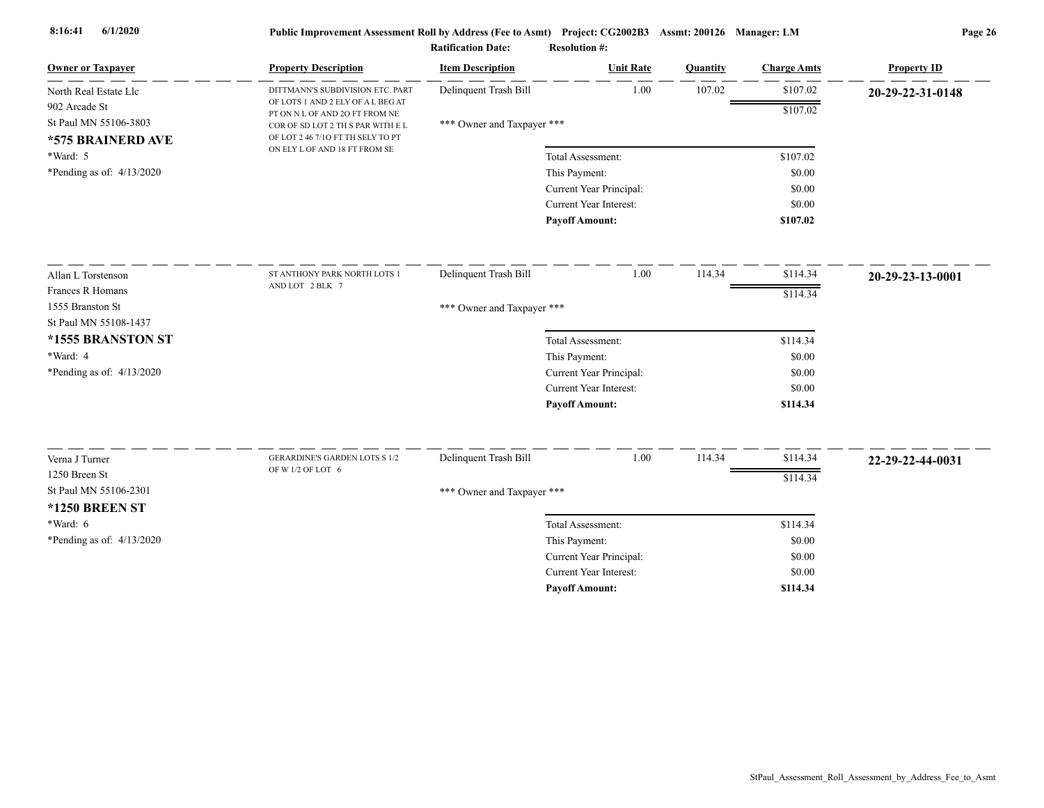| <b>Owner or Taxpayer</b>    | <b>Property Description</b>                                                                             | <b>Item Description</b>    | <b>Unit Rate</b>                                         | Quantity | <b>Charge Amts</b> | <b>Property ID</b> |
|-----------------------------|---------------------------------------------------------------------------------------------------------|----------------------------|----------------------------------------------------------|----------|--------------------|--------------------|
| North Real Estate Llc       | DITTMANN'S SUBDIVISION ETC. PART                                                                        | Delinquent Trash Bill      | 1.00                                                     | 107.02   | \$107.02           | 20-29-22-31-0148   |
| 902 Arcade St               | OF LOTS 1 AND 2 ELY OF A L BEG AT<br>PT ON N L OF AND 2O FT FROM NE                                     |                            |                                                          |          | \$107.02           |                    |
| St Paul MN 55106-3803       | COR OF SD LOT 2 TH S PAR WITH E L<br>OF LOT 2 46 7/10 FT TH SELY TO PT<br>ON ELY L OF AND 18 FT FROM SE | *** Owner and Taxpayer *** |                                                          |          |                    |                    |
| *575 BRAINERD AVE           |                                                                                                         |                            |                                                          |          |                    |                    |
| $*Ward: 5$                  |                                                                                                         |                            | Total Assessment:                                        |          | \$107.02           |                    |
| *Pending as of: $4/13/2020$ |                                                                                                         |                            | This Payment:                                            |          | \$0.00             |                    |
|                             |                                                                                                         |                            | Current Year Principal:                                  |          | \$0.00             |                    |
|                             |                                                                                                         |                            | Current Year Interest:                                   |          | \$0.00             |                    |
|                             |                                                                                                         |                            | <b>Payoff Amount:</b>                                    |          | \$107.02           |                    |
| Allan L Torstenson          | ST ANTHONY PARK NORTH LOTS 1                                                                            | Delinquent Trash Bill      | 1.00                                                     | 114.34   | \$114.34           | 20-29-23-13-0001   |
| Frances R Homans            | AND LOT 2 BLK 7                                                                                         |                            |                                                          |          | \$114.34           |                    |
| 1555 Branston St            |                                                                                                         | *** Owner and Taxpayer *** |                                                          |          |                    |                    |
| St Paul MN 55108-1437       |                                                                                                         |                            |                                                          |          |                    |                    |
| *1555 BRANSTON ST           |                                                                                                         |                            | Total Assessment:                                        |          | \$114.34           |                    |
| *Ward: 4                    |                                                                                                         |                            | This Payment:                                            |          | \$0.00             |                    |
| *Pending as of: $4/13/2020$ |                                                                                                         |                            | Current Year Principal:                                  |          | \$0.00             |                    |
|                             |                                                                                                         |                            | Current Year Interest:                                   |          | \$0.00             |                    |
|                             |                                                                                                         |                            | <b>Payoff Amount:</b>                                    |          | \$114.34           |                    |
| Verna J Turner              | <b>GERARDINE'S GARDEN LOTS S 1/2</b>                                                                    | Delinquent Trash Bill      | 1.00                                                     | 114.34   | \$114.34           |                    |
| 1250 Breen St               | OF W 1/2 OF LOT 6                                                                                       |                            |                                                          |          |                    | 22-29-22-44-0031   |
| St Paul MN 55106-2301       |                                                                                                         |                            |                                                          |          | \$114.34           |                    |
|                             |                                                                                                         | *** Owner and Taxpayer *** |                                                          |          |                    |                    |
| <b>*1250 BREEN ST</b>       |                                                                                                         |                            |                                                          |          |                    |                    |
| *Ward: 6                    |                                                                                                         |                            | Total Assessment:                                        |          | \$114.34           |                    |
| *Pending as of: $4/13/2020$ |                                                                                                         |                            | This Payment:                                            |          | \$0.00             |                    |
|                             |                                                                                                         |                            | Current Year Principal:<br><b>Current Year Interest:</b> |          | \$0.00             |                    |
|                             |                                                                                                         |                            |                                                          |          | \$0.00             |                    |
|                             |                                                                                                         |                            | <b>Pavoff Amount:</b>                                    |          | \$114.34           |                    |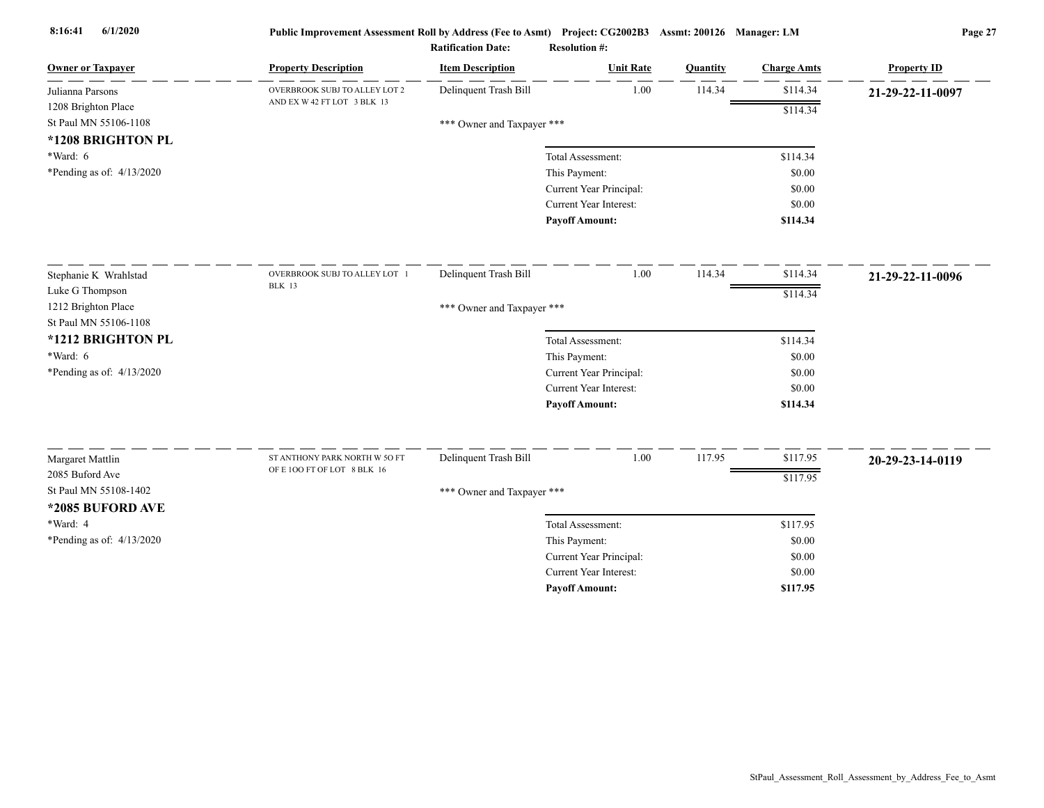| <b>Owner or Taxpayer</b>    | <b>Property Description</b>                                  | <b>Item Description</b>    | <b>Unit Rate</b>              | Quantity | <b>Charge Amts</b> | <b>Property ID</b> |
|-----------------------------|--------------------------------------------------------------|----------------------------|-------------------------------|----------|--------------------|--------------------|
| Julianna Parsons            | OVERBROOK SUBJ TO ALLEY LOT 2                                | Delinquent Trash Bill      | 1.00                          | 114.34   | \$114.34           | 21-29-22-11-0097   |
| 1208 Brighton Place         | AND EX W 42 FT LOT 3 BLK 13                                  |                            |                               |          | \$114.34           |                    |
| St Paul MN 55106-1108       |                                                              | *** Owner and Taxpayer *** |                               |          |                    |                    |
| *1208 BRIGHTON PL           |                                                              |                            |                               |          |                    |                    |
| $*Ward: 6$                  |                                                              |                            | Total Assessment:             |          | \$114.34           |                    |
| *Pending as of: $4/13/2020$ |                                                              |                            | This Payment:                 |          | \$0.00             |                    |
|                             |                                                              |                            | Current Year Principal:       |          | \$0.00             |                    |
|                             |                                                              |                            | Current Year Interest:        |          | \$0.00             |                    |
|                             |                                                              |                            | <b>Payoff Amount:</b>         |          | \$114.34           |                    |
| Stephanie K Wrahlstad       | OVERBROOK SUBJ TO ALLEY LOT 1                                | Delinquent Trash Bill      | 1.00                          | 114.34   | \$114.34           | 21-29-22-11-0096   |
| Luke G Thompson             | <b>BLK</b> 13                                                |                            |                               |          |                    |                    |
| 1212 Brighton Place         |                                                              | *** Owner and Taxpayer *** |                               |          | \$114.34           |                    |
| St Paul MN 55106-1108       |                                                              |                            |                               |          |                    |                    |
| *1212 BRIGHTON PL           |                                                              |                            | Total Assessment:             |          | \$114.34           |                    |
| $*Ward: 6$                  |                                                              |                            | This Payment:                 |          | \$0.00             |                    |
| *Pending as of: $4/13/2020$ |                                                              |                            | Current Year Principal:       |          | \$0.00             |                    |
|                             |                                                              |                            | <b>Current Year Interest:</b> |          | \$0.00             |                    |
|                             |                                                              |                            | <b>Payoff Amount:</b>         |          | \$114.34           |                    |
|                             |                                                              |                            |                               |          |                    |                    |
| Margaret Mattlin            | ST ANTHONY PARK NORTH W 50 FT<br>OF E 100 FT OF LOT 8 BLK 16 | Delinquent Trash Bill      | 1.00                          | 117.95   | \$117.95           | 20-29-23-14-0119   |
| 2085 Buford Ave             |                                                              |                            |                               |          | \$117.95           |                    |
| St Paul MN 55108-1402       |                                                              | *** Owner and Taxpayer *** |                               |          |                    |                    |
| *2085 BUFORD AVE            |                                                              |                            |                               |          |                    |                    |
| *Ward: 4                    |                                                              |                            | Total Assessment:             |          | \$117.95           |                    |
| *Pending as of: 4/13/2020   |                                                              |                            | This Payment:                 |          | \$0.00             |                    |
|                             |                                                              |                            | Current Year Principal:       |          | \$0.00             |                    |
|                             |                                                              |                            | <b>Current Year Interest:</b> |          | \$0.00             |                    |
|                             |                                                              |                            | <b>Pavoff Amount:</b>         |          | \$117.95           |                    |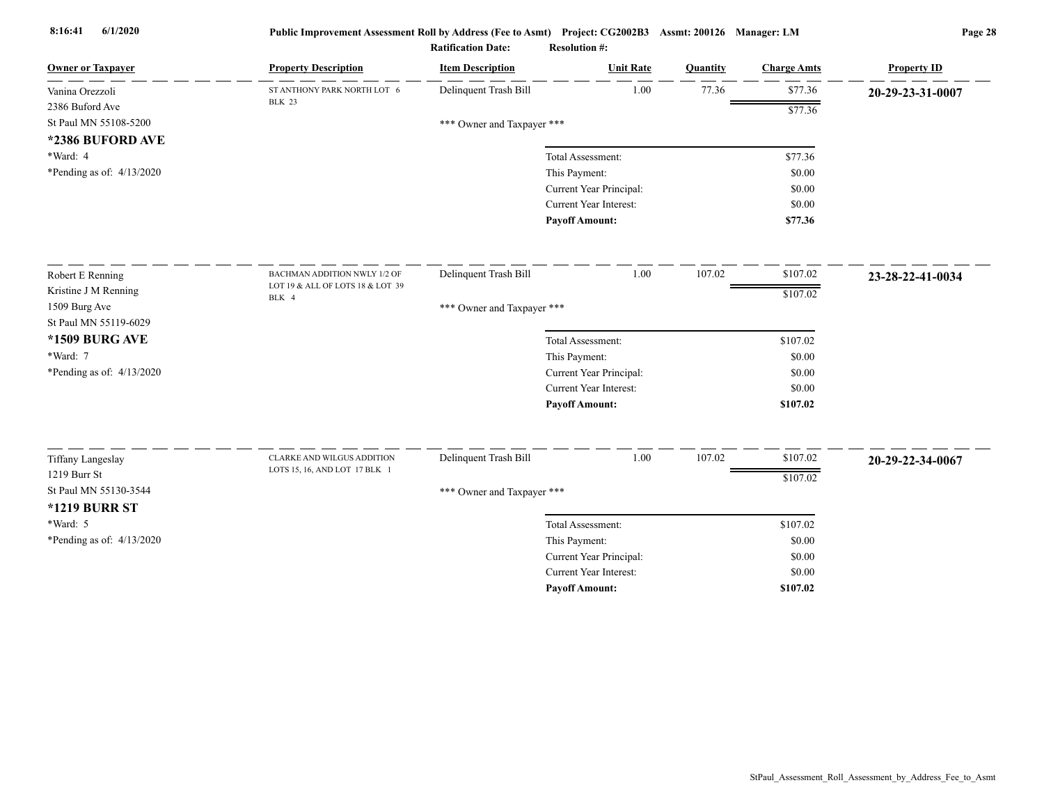| <b>Owner or Taxpayer</b>               | <b>Property Description</b>                  | <b>Item Description</b>    | <b>Unit Rate</b>              | Quantity | <b>Charge Amts</b> | <b>Property ID</b> |
|----------------------------------------|----------------------------------------------|----------------------------|-------------------------------|----------|--------------------|--------------------|
| Vanina Orezzoli                        | ST ANTHONY PARK NORTH LOT 6<br><b>BLK 23</b> | Delinquent Trash Bill      | 1.00                          | 77.36    | \$77.36            | 20-29-23-31-0007   |
| 2386 Buford Ave                        |                                              |                            |                               |          | \$77.36            |                    |
| St Paul MN 55108-5200                  |                                              | *** Owner and Taxpayer *** |                               |          |                    |                    |
| *2386 BUFORD AVE                       |                                              |                            |                               |          |                    |                    |
| *Ward: 4                               |                                              |                            | Total Assessment:             |          | \$77.36            |                    |
| *Pending as of: $4/13/2020$            |                                              |                            | This Payment:                 |          | \$0.00             |                    |
|                                        |                                              |                            | Current Year Principal:       |          | \$0.00             |                    |
|                                        |                                              |                            | <b>Current Year Interest:</b> |          | \$0.00             |                    |
|                                        |                                              |                            | <b>Payoff Amount:</b>         |          | \$77.36            |                    |
| Robert E Renning                       | BACHMAN ADDITION NWLY 1/2 OF                 | Delinquent Trash Bill      | 1.00                          | 107.02   | \$107.02           | 23-28-22-41-0034   |
| Kristine J M Renning                   | LOT 19 & ALL OF LOTS 18 & LOT 39<br>BLK 4    |                            |                               |          | \$107.02           |                    |
| 1509 Burg Ave<br>St Paul MN 55119-6029 |                                              | *** Owner and Taxpayer *** |                               |          |                    |                    |
| *1509 BURG AVE                         |                                              |                            | Total Assessment:             |          | \$107.02           |                    |
| *Ward: 7                               |                                              |                            | This Payment:                 |          | \$0.00             |                    |
| *Pending as of: $4/13/2020$            |                                              |                            | Current Year Principal:       |          | \$0.00             |                    |
|                                        |                                              |                            | <b>Current Year Interest:</b> |          | \$0.00             |                    |
|                                        |                                              |                            | <b>Payoff Amount:</b>         |          | \$107.02           |                    |
| <b>Tiffany Langeslay</b>               | <b>CLARKE AND WILGUS ADDITION</b>            | Delinquent Trash Bill      | 1.00                          | 107.02   | \$107.02           | 20-29-22-34-0067   |
| 1219 Burr St                           | LOTS 15, 16, AND LOT 17 BLK 1                |                            |                               |          | \$107.02           |                    |
| St Paul MN 55130-3544                  |                                              | *** Owner and Taxpayer *** |                               |          |                    |                    |
| <b>*1219 BURR ST</b>                   |                                              |                            |                               |          |                    |                    |
| *Ward: 5                               |                                              |                            | Total Assessment:             |          | \$107.02           |                    |
| *Pending as of: 4/13/2020              |                                              |                            | This Payment:                 |          | \$0.00             |                    |
|                                        |                                              |                            | Current Year Principal:       |          | \$0.00             |                    |
|                                        |                                              |                            | <b>Current Year Interest:</b> |          | \$0.00             |                    |
|                                        |                                              |                            | <b>Payoff Amount:</b>         |          | \$107.02           |                    |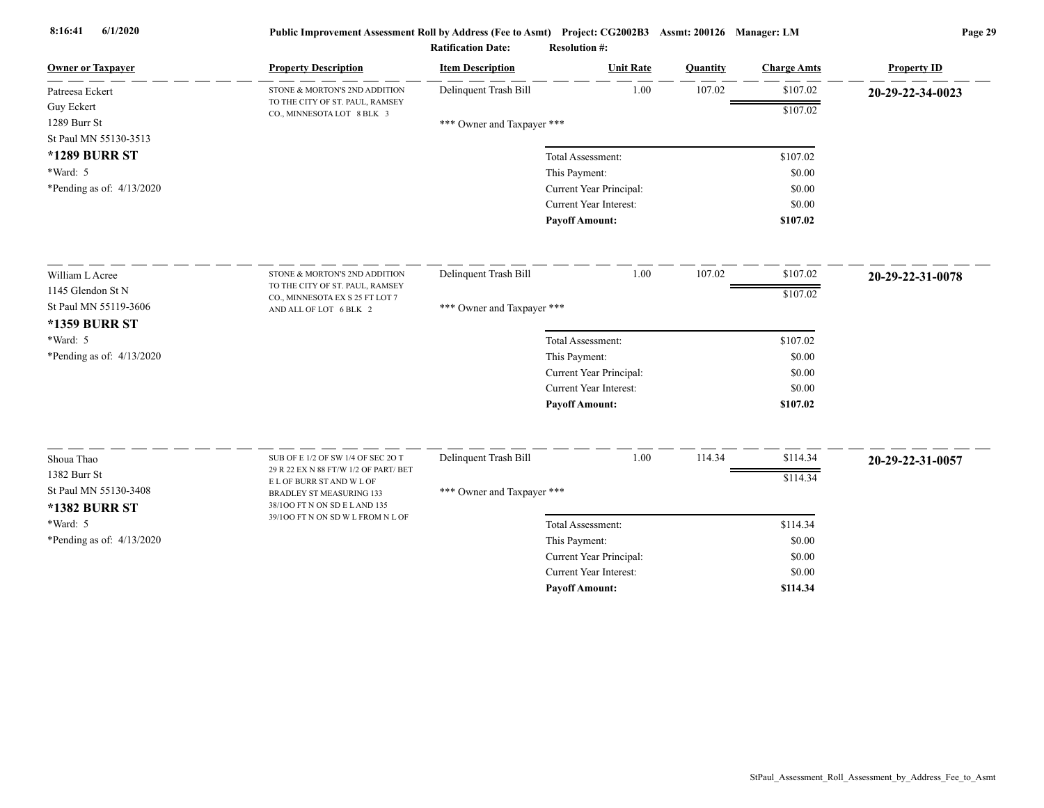| <b>Owner or Taxpayer</b>    | <b>Property Description</b>                                                 | <b>Item Description</b>    | <b>Unit Rate</b>        | Quantity | <b>Charge Amts</b> | <b>Property ID</b> |
|-----------------------------|-----------------------------------------------------------------------------|----------------------------|-------------------------|----------|--------------------|--------------------|
| Patreesa Eckert             | STONE & MORTON'S 2ND ADDITION                                               | Delinquent Trash Bill      | 1.00                    | 107.02   | \$107.02           | 20-29-22-34-0023   |
| <b>Guy Eckert</b>           | TO THE CITY OF ST. PAUL, RAMSEY<br>CO., MINNESOTA LOT 8 BLK 3               |                            |                         |          | \$107.02           |                    |
| 1289 Burr St                |                                                                             | *** Owner and Taxpayer *** |                         |          |                    |                    |
| St Paul MN 55130-3513       |                                                                             |                            |                         |          |                    |                    |
| <b>*1289 BURR ST</b>        |                                                                             |                            | Total Assessment:       |          | \$107.02           |                    |
| *Ward: 5                    |                                                                             |                            | This Payment:           |          | \$0.00             |                    |
| *Pending as of: $4/13/2020$ |                                                                             |                            | Current Year Principal: |          | \$0.00             |                    |
|                             |                                                                             |                            | Current Year Interest:  |          | \$0.00             |                    |
|                             |                                                                             |                            | <b>Payoff Amount:</b>   |          | \$107.02           |                    |
| William L Acree             | STONE & MORTON'S 2ND ADDITION                                               | Delinquent Trash Bill      | 1.00                    | 107.02   | \$107.02           | 20-29-22-31-0078   |
| 1145 Glendon St N           | TO THE CITY OF ST. PAUL, RAMSEY                                             |                            |                         |          | \$107.02           |                    |
| St Paul MN 55119-3606       | CO., MINNESOTA EX S 25 FT LOT 7<br>AND ALL OF LOT 6 BLK 2                   | *** Owner and Taxpayer *** |                         |          |                    |                    |
| <b>*1359 BURR ST</b>        |                                                                             |                            |                         |          |                    |                    |
| *Ward: 5                    |                                                                             |                            | Total Assessment:       |          | \$107.02           |                    |
| *Pending as of: $4/13/2020$ |                                                                             |                            | This Payment:           |          | \$0.00             |                    |
|                             |                                                                             |                            | Current Year Principal: |          | \$0.00             |                    |
|                             |                                                                             |                            | Current Year Interest:  |          | \$0.00             |                    |
|                             |                                                                             |                            | <b>Payoff Amount:</b>   |          | \$107.02           |                    |
|                             |                                                                             |                            |                         |          |                    |                    |
| Shoua Thao                  | SUB OF E 1/2 OF SW 1/4 OF SEC 2O T<br>29 R 22 EX N 88 FT/W 1/2 OF PART/ BET | Delinquent Trash Bill      | 1.00                    | 114.34   | \$114.34           | 20-29-22-31-0057   |
| 1382 Burr St                | E L OF BURR ST AND W L OF                                                   |                            |                         |          | \$114.34           |                    |
| St Paul MN 55130-3408       | BRADLEY ST MEASURING 133<br>38/100 FT N ON SD E LAND 135                    | *** Owner and Taxpayer *** |                         |          |                    |                    |
| <b>*1382 BURR ST</b>        | 39/100 FT N ON SD W L FROM N L OF                                           |                            |                         |          |                    |                    |
| *Ward: 5                    |                                                                             |                            | Total Assessment:       |          | \$114.34           |                    |
| *Pending as of: 4/13/2020   |                                                                             |                            | This Payment:           |          | \$0.00             |                    |
|                             |                                                                             |                            | Current Year Principal: |          | \$0.00             |                    |
|                             |                                                                             |                            | Current Year Interest:  |          | \$0.00             |                    |
|                             |                                                                             |                            | <b>Payoff Amount:</b>   |          | \$114.34           |                    |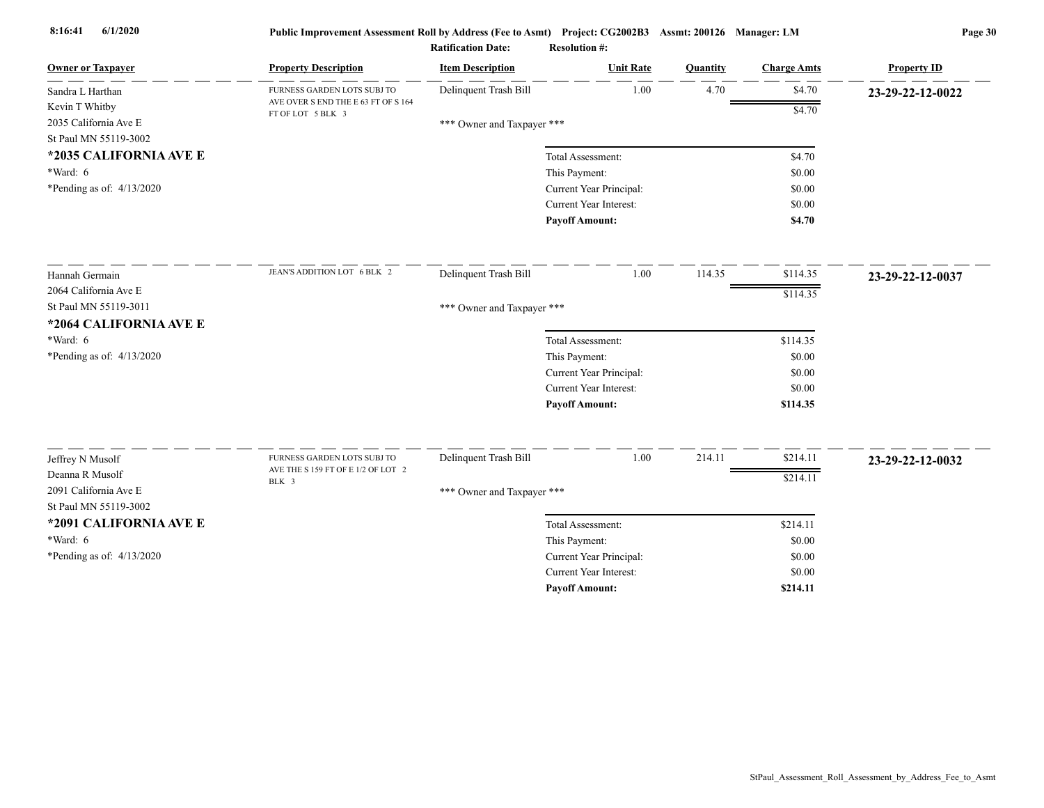| <b>Owner or Taxpayer</b>            | <b>Property Description</b>                              | <b>Item Description</b>    | <b>Unit Rate</b>              | Quantity | <b>Charge Amts</b> | <b>Property ID</b> |
|-------------------------------------|----------------------------------------------------------|----------------------------|-------------------------------|----------|--------------------|--------------------|
| Sandra L Harthan                    | FURNESS GARDEN LOTS SUBJ TO                              | Delinquent Trash Bill      | 1.00                          | 4.70     | \$4.70             | 23-29-22-12-0022   |
| Kevin T Whitby                      | AVE OVER S END THE E 63 FT OF S 164<br>FT OF LOT 5 BLK 3 |                            |                               |          | \$4.70             |                    |
| 2035 California Ave E               |                                                          | *** Owner and Taxpayer *** |                               |          |                    |                    |
| St Paul MN 55119-3002               |                                                          |                            |                               |          |                    |                    |
| *2035 CALIFORNIA AVE E              |                                                          |                            | Total Assessment:             |          | \$4.70             |                    |
| *Ward: 6                            |                                                          |                            | This Payment:                 |          | \$0.00             |                    |
| *Pending as of: $4/13/2020$         |                                                          |                            | Current Year Principal:       |          | \$0.00             |                    |
|                                     |                                                          |                            | Current Year Interest:        |          | \$0.00             |                    |
|                                     |                                                          |                            | <b>Payoff Amount:</b>         |          | \$4.70             |                    |
| Hannah Germain                      | JEAN'S ADDITION LOT 6 BLK 2                              | Delinquent Trash Bill      | 1.00                          | 114.35   | \$114.35           | 23-29-22-12-0037   |
| 2064 California Ave E               |                                                          |                            |                               |          | \$114.35           |                    |
| St Paul MN 55119-3011               |                                                          | *** Owner and Taxpayer *** |                               |          |                    |                    |
| *2064 CALIFORNIA AVE E              |                                                          |                            |                               |          |                    |                    |
| $*Ward: 6$                          |                                                          |                            | Total Assessment:             |          | \$114.35           |                    |
| *Pending as of: $4/13/2020$         |                                                          |                            | This Payment:                 |          | \$0.00             |                    |
|                                     |                                                          |                            | Current Year Principal:       |          | \$0.00             |                    |
|                                     |                                                          |                            | <b>Current Year Interest:</b> |          | \$0.00             |                    |
|                                     |                                                          |                            | <b>Payoff Amount:</b>         |          | \$114.35           |                    |
|                                     | FURNESS GARDEN LOTS SUBJ TO                              | Delinquent Trash Bill      | 1.00                          | 214.11   | \$214.11           |                    |
| Jeffrey N Musolf<br>Deanna R Musolf | AVE THE S 159 FT OF E 1/2 OF LOT 2                       |                            |                               |          |                    | 23-29-22-12-0032   |
| 2091 California Ave E               | BLK 3                                                    |                            |                               |          | \$214.11           |                    |
| St Paul MN 55119-3002               |                                                          | *** Owner and Taxpayer *** |                               |          |                    |                    |
| *2091 CALIFORNIA AVE E              |                                                          |                            | Total Assessment:             |          | \$214.11           |                    |
| $*Ward: 6$                          |                                                          |                            | This Payment:                 |          | \$0.00             |                    |
| *Pending as of: 4/13/2020           |                                                          |                            | Current Year Principal:       |          | \$0.00             |                    |
|                                     |                                                          |                            | <b>Current Year Interest:</b> |          | \$0.00             |                    |
|                                     |                                                          |                            | <b>Pavoff Amount:</b>         |          | \$214.11           |                    |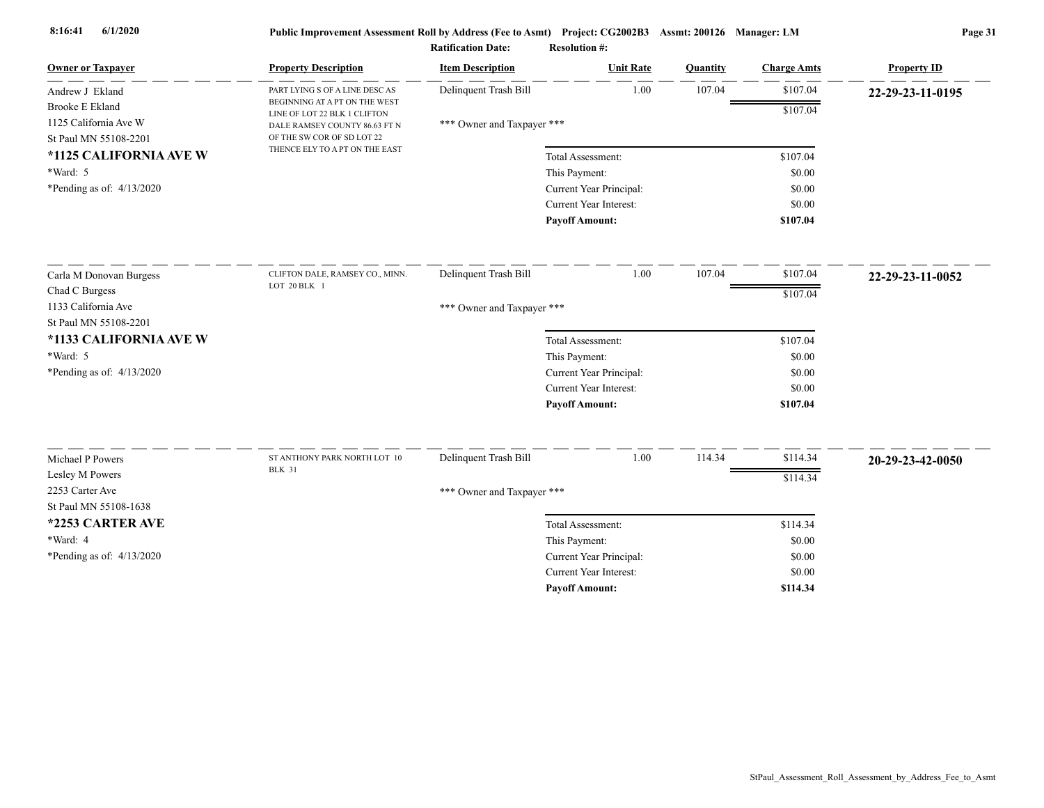| <b>Owner or Taxpayer</b>    | <b>Property Description</b>                                   | <b>Item Description</b>    | <b>Unit Rate</b>        | Quantity | <b>Charge Amts</b> | <b>Property ID</b> |
|-----------------------------|---------------------------------------------------------------|----------------------------|-------------------------|----------|--------------------|--------------------|
| Andrew J Ekland             | PART LYING S OF A LINE DESC AS                                | Delinquent Trash Bill      | 1.00                    | 107.04   | \$107.04           | 22-29-23-11-0195   |
| <b>Brooke E Ekland</b>      | BEGINNING AT A PT ON THE WEST<br>LINE OF LOT 22 BLK 1 CLIFTON |                            |                         |          | \$107.04           |                    |
| 1125 California Ave W       | DALE RAMSEY COUNTY 86.63 FT N                                 | *** Owner and Taxpayer *** |                         |          |                    |                    |
| St Paul MN 55108-2201       | OF THE SW COR OF SD LOT 22                                    |                            |                         |          |                    |                    |
| *1125 CALIFORNIA AVE W      | THENCE ELY TO A PT ON THE EAST                                |                            | Total Assessment:       |          | \$107.04           |                    |
| *Ward: 5                    |                                                               |                            | This Payment:           |          | \$0.00             |                    |
| *Pending as of: $4/13/2020$ |                                                               |                            | Current Year Principal: |          | \$0.00             |                    |
|                             |                                                               |                            | Current Year Interest:  |          | \$0.00             |                    |
|                             |                                                               |                            | <b>Payoff Amount:</b>   |          | \$107.04           |                    |
| Carla M Donovan Burgess     | CLIFTON DALE, RAMSEY CO., MINN.                               | Delinquent Trash Bill      | 1.00                    | 107.04   | \$107.04           | 22-29-23-11-0052   |
| Chad C Burgess              | LOT 20 BLK 1                                                  |                            |                         |          | \$107.04           |                    |
| 1133 California Ave         |                                                               | *** Owner and Taxpayer *** |                         |          |                    |                    |
| St Paul MN 55108-2201       |                                                               |                            |                         |          |                    |                    |
| *1133 CALIFORNIA AVE W      |                                                               |                            | Total Assessment:       |          | \$107.04           |                    |
| *Ward: 5                    |                                                               |                            | This Payment:           |          | \$0.00             |                    |
| *Pending as of: $4/13/2020$ |                                                               |                            | Current Year Principal: |          | \$0.00             |                    |
|                             |                                                               |                            | Current Year Interest:  |          | \$0.00             |                    |
|                             |                                                               |                            | <b>Payoff Amount:</b>   |          | \$107.04           |                    |
|                             |                                                               |                            |                         |          |                    |                    |
| Michael P Powers            | ST ANTHONY PARK NORTH LOT 10<br><b>BLK 31</b>                 | Delinquent Trash Bill      | 1.00                    | 114.34   | \$114.34           | 20-29-23-42-0050   |
| Lesley M Powers             |                                                               |                            |                         |          | \$114.34           |                    |
| 2253 Carter Ave             |                                                               | *** Owner and Taxpayer *** |                         |          |                    |                    |
| St Paul MN 55108-1638       |                                                               |                            |                         |          |                    |                    |
| *2253 CARTER AVE            |                                                               |                            | Total Assessment:       |          | \$114.34           |                    |
| *Ward: 4                    |                                                               |                            | This Payment:           |          | \$0.00             |                    |
| *Pending as of: $4/13/2020$ |                                                               |                            | Current Year Principal: |          | \$0.00             |                    |
|                             |                                                               |                            | Current Year Interest:  |          | \$0.00             |                    |
|                             |                                                               |                            | <b>Payoff Amount:</b>   |          | \$114.34           |                    |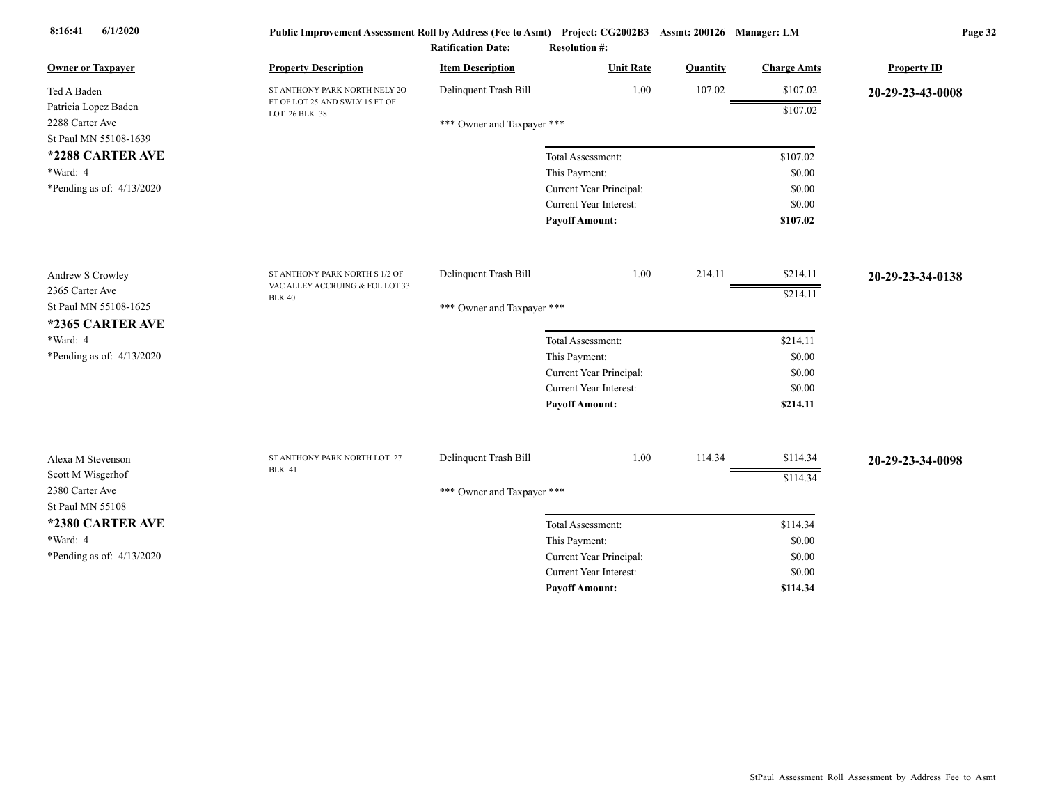| <b>Owner or Taxpayer</b>            | <b>Property Description</b>                     | <b>Item Description</b>    | <b>Unit Rate</b>              | Quantity | <b>Charge Amts</b> | <b>Property ID</b> |
|-------------------------------------|-------------------------------------------------|----------------------------|-------------------------------|----------|--------------------|--------------------|
| Ted A Baden                         | ST ANTHONY PARK NORTH NELY 20                   | Delinquent Trash Bill      | 1.00                          | 107.02   | \$107.02           | 20-29-23-43-0008   |
| Patricia Lopez Baden                | FT OF LOT 25 AND SWLY 15 FT OF<br>LOT 26 BLK 38 |                            |                               |          | \$107.02           |                    |
| 2288 Carter Ave                     |                                                 | *** Owner and Taxpayer *** |                               |          |                    |                    |
| St Paul MN 55108-1639               |                                                 |                            |                               |          |                    |                    |
| *2288 CARTER AVE                    |                                                 |                            | Total Assessment:             |          | \$107.02           |                    |
| *Ward: 4                            |                                                 |                            | This Payment:                 |          | \$0.00             |                    |
| *Pending as of: $4/13/2020$         |                                                 |                            | Current Year Principal:       |          | \$0.00             |                    |
|                                     |                                                 |                            | Current Year Interest:        |          | \$0.00             |                    |
|                                     |                                                 |                            | <b>Payoff Amount:</b>         |          | \$107.02           |                    |
| Andrew S Crowley                    | ST ANTHONY PARK NORTH S 1/2 OF                  | Delinquent Trash Bill      | 1.00                          | 214.11   | \$214.11           | 20-29-23-34-0138   |
| 2365 Carter Ave                     | VAC ALLEY ACCRUING $\&$ FOL LOT 33              |                            |                               |          | \$214.11           |                    |
| St Paul MN 55108-1625               | <b>BLK 40</b>                                   | *** Owner and Taxpayer *** |                               |          |                    |                    |
| *2365 CARTER AVE                    |                                                 |                            |                               |          |                    |                    |
| *Ward: 4                            |                                                 |                            | Total Assessment:             |          | \$214.11           |                    |
| *Pending as of: 4/13/2020           |                                                 |                            | This Payment:                 |          | \$0.00             |                    |
|                                     |                                                 |                            | Current Year Principal:       |          | \$0.00             |                    |
|                                     |                                                 |                            | Current Year Interest:        |          | \$0.00             |                    |
|                                     |                                                 |                            | <b>Payoff Amount:</b>         |          | \$214.11           |                    |
|                                     |                                                 |                            |                               |          |                    |                    |
| Alexa M Stevenson                   | ST ANTHONY PARK NORTH LOT 27<br><b>BLK 41</b>   | Delinquent Trash Bill      | 1.00                          | 114.34   | \$114.34           | 20-29-23-34-0098   |
| Scott M Wisgerhof                   |                                                 |                            |                               |          | \$114.34           |                    |
| 2380 Carter Ave<br>St Paul MN 55108 |                                                 | *** Owner and Taxpayer *** |                               |          |                    |                    |
| *2380 CARTER AVE                    |                                                 |                            | Total Assessment:             |          | \$114.34           |                    |
| *Ward: 4                            |                                                 |                            | This Payment:                 |          | \$0.00             |                    |
| *Pending as of: $4/13/2020$         |                                                 |                            | Current Year Principal:       |          | \$0.00             |                    |
|                                     |                                                 |                            | <b>Current Year Interest:</b> |          | \$0.00             |                    |
|                                     |                                                 |                            | <b>Pavoff Amount:</b>         |          | \$114.34           |                    |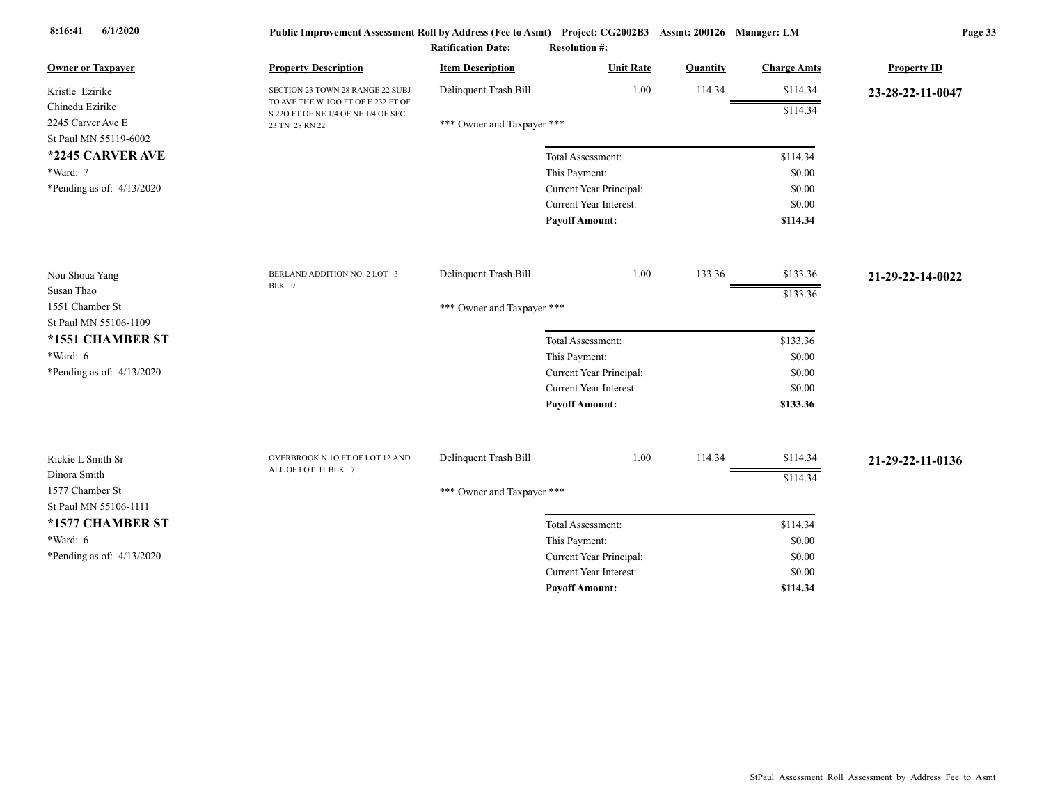| <b>Owner or Taxpayer</b>    | <b>Property Description</b>                                               | <b>Item Description</b>    | <b>Unit Rate</b>                         | Quantity | <b>Charge Amts</b> | <b>Property ID</b> |
|-----------------------------|---------------------------------------------------------------------------|----------------------------|------------------------------------------|----------|--------------------|--------------------|
| Kristle Ezirike             | SECTION 23 TOWN 28 RANGE 22 SUBJ                                          | Delinquent Trash Bill      | 1.00                                     | 114.34   | \$114.34           | 23-28-22-11-0047   |
| Chinedu Ezirike             | TO AVE THE W 100 FT OF E 232 FT OF<br>S 22O FT OF NE 1/4 OF NE 1/4 OF SEC |                            |                                          |          | \$114.34           |                    |
| 2245 Carver Ave E           | 23 TN 28 RN 22                                                            | *** Owner and Taxpayer *** |                                          |          |                    |                    |
| St Paul MN 55119-6002       |                                                                           |                            |                                          |          |                    |                    |
| *2245 CARVER AVE            |                                                                           |                            | Total Assessment:                        |          | \$114.34           |                    |
| *Ward: 7                    |                                                                           |                            | This Payment:                            |          | \$0.00             |                    |
| *Pending as of: $4/13/2020$ |                                                                           |                            | Current Year Principal:                  |          | \$0.00             |                    |
|                             |                                                                           |                            | Current Year Interest:                   |          | \$0.00             |                    |
|                             |                                                                           |                            | <b>Payoff Amount:</b>                    |          | \$114.34           |                    |
| Nou Shoua Yang              | BERLAND ADDITION NO. 2 LOT 3                                              | Delinquent Trash Bill      | 1.00                                     | 133.36   | \$133.36           | 21-29-22-14-0022   |
| Susan Thao                  | BLK 9                                                                     |                            |                                          |          | \$133.36           |                    |
| 1551 Chamber St             |                                                                           | *** Owner and Taxpayer *** |                                          |          |                    |                    |
| St Paul MN 55106-1109       |                                                                           |                            |                                          |          |                    |                    |
| *1551 CHAMBER ST            |                                                                           |                            | Total Assessment:                        |          | \$133.36           |                    |
| $*Ward: 6$                  |                                                                           |                            | This Payment:                            |          | \$0.00             |                    |
| *Pending as of: $4/13/2020$ |                                                                           |                            | Current Year Principal:                  |          | \$0.00             |                    |
|                             |                                                                           |                            | Current Year Interest:                   |          | \$0.00             |                    |
|                             |                                                                           |                            | <b>Payoff Amount:</b>                    |          | \$133.36           |                    |
| Rickie L Smith Sr           | OVERBROOK N 10 FT OF LOT 12 AND                                           | Delinquent Trash Bill      | 1.00                                     | 114.34   | \$114.34           |                    |
| Dinora Smith                | ALL OF LOT 11 BLK 7                                                       |                            |                                          |          |                    | 21-29-22-11-0136   |
| 1577 Chamber St             |                                                                           |                            |                                          |          | \$114.34           |                    |
| St Paul MN 55106-1111       |                                                                           | *** Owner and Taxpayer *** |                                          |          |                    |                    |
| *1577 CHAMBER ST            |                                                                           |                            |                                          |          |                    |                    |
| $*Ward: 6$                  |                                                                           |                            | Total Assessment:                        |          | \$114.34<br>\$0.00 |                    |
| *Pending as of: 4/13/2020   |                                                                           |                            | This Payment:<br>Current Year Principal: |          | \$0.00             |                    |
|                             |                                                                           |                            | <b>Current Year Interest:</b>            |          | \$0.00             |                    |
|                             |                                                                           |                            | <b>Pavoff Amount:</b>                    |          | \$114.34           |                    |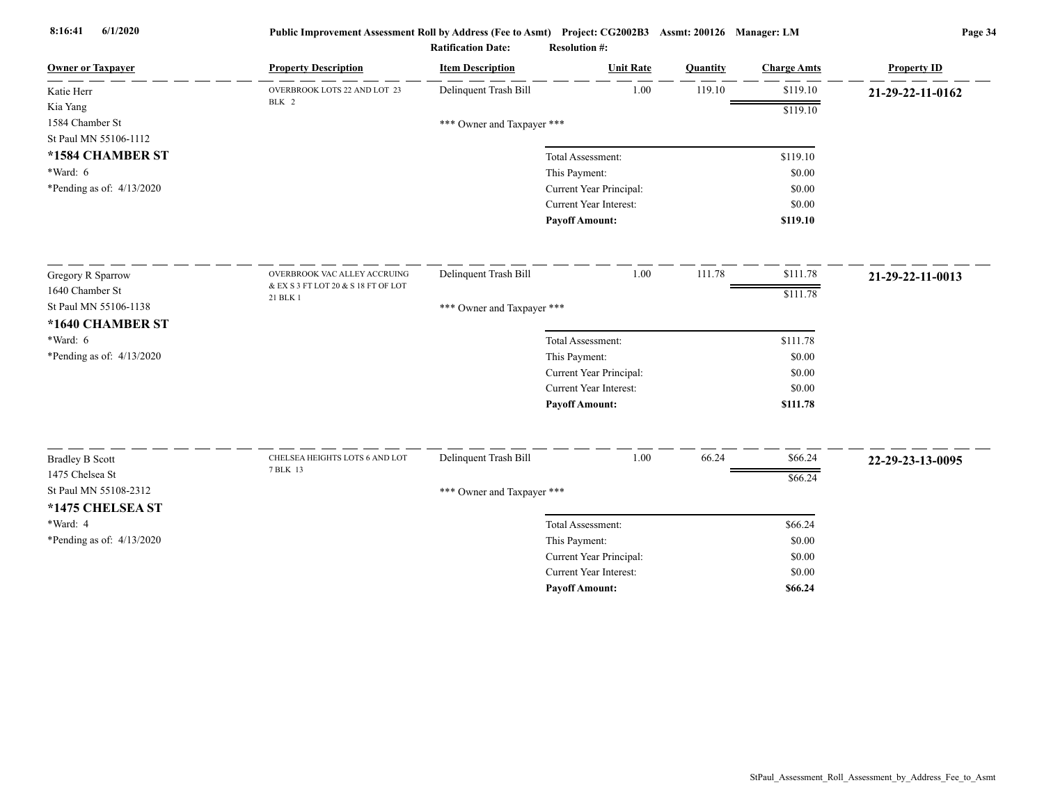| <b>Owner or Taxpayer</b>                  | <b>Property Description</b>         | <b>Item Description</b>    | <b>Unit Rate</b>                                  | Quantity | <b>Charge Amts</b> | <b>Property ID</b> |
|-------------------------------------------|-------------------------------------|----------------------------|---------------------------------------------------|----------|--------------------|--------------------|
| Katie Herr                                | OVERBROOK LOTS 22 AND LOT 23        | Delinquent Trash Bill      | 1.00                                              | 119.10   | \$119.10           | 21-29-22-11-0162   |
| Kia Yang                                  | BLK 2                               |                            |                                                   |          | \$119.10           |                    |
| 1584 Chamber St                           |                                     | *** Owner and Taxpayer *** |                                                   |          |                    |                    |
| St Paul MN 55106-1112                     |                                     |                            |                                                   |          |                    |                    |
| *1584 CHAMBER ST                          |                                     |                            | Total Assessment:                                 |          | \$119.10           |                    |
| *Ward: 6                                  |                                     |                            | This Payment:                                     |          | \$0.00             |                    |
| *Pending as of: 4/13/2020                 |                                     |                            | Current Year Principal:                           |          | \$0.00             |                    |
|                                           |                                     |                            | <b>Current Year Interest:</b>                     |          | \$0.00             |                    |
|                                           |                                     |                            | <b>Payoff Amount:</b>                             |          | \$119.10           |                    |
| Gregory R Sparrow                         | OVERBROOK VAC ALLEY ACCRUING        | Delinquent Trash Bill      | 1.00                                              | 111.78   | \$111.78           | 21-29-22-11-0013   |
| 1640 Chamber St                           | & EX S 3 FT LOT 20 & S 18 FT OF LOT |                            |                                                   |          | \$111.78           |                    |
| St Paul MN 55106-1138                     | 21 BLK 1                            | *** Owner and Taxpayer *** |                                                   |          |                    |                    |
| *1640 CHAMBER ST                          |                                     |                            |                                                   |          |                    |                    |
| $*Ward: 6$                                |                                     |                            | Total Assessment:                                 |          | \$111.78           |                    |
| *Pending as of: 4/13/2020                 |                                     |                            | This Payment:                                     |          | \$0.00             |                    |
|                                           |                                     |                            | Current Year Principal:                           |          | \$0.00             |                    |
|                                           |                                     |                            | <b>Current Year Interest:</b>                     |          | \$0.00             |                    |
|                                           |                                     |                            | <b>Payoff Amount:</b>                             |          | \$111.78           |                    |
|                                           | CHELSEA HEIGHTS LOTS 6 AND LOT      | Delinquent Trash Bill      | $1.00\,$                                          | 66.24    | \$66.24            |                    |
| <b>Bradley B Scott</b><br>1475 Chelsea St | 7 BLK 13                            |                            |                                                   |          |                    | 22-29-23-13-0095   |
| St Paul MN 55108-2312                     |                                     |                            |                                                   |          | \$66.24            |                    |
|                                           |                                     | *** Owner and Taxpayer *** |                                                   |          |                    |                    |
| *1475 CHELSEA ST<br>*Ward: 4              |                                     |                            |                                                   |          |                    |                    |
|                                           |                                     |                            | Total Assessment:                                 |          | \$66.24            |                    |
| *Pending as of: $4/13/2020$               |                                     |                            | This Payment:                                     |          | \$0.00<br>\$0.00   |                    |
|                                           |                                     |                            | Current Year Principal:<br>Current Year Interest: |          | \$0.00             |                    |
|                                           |                                     |                            | <b>Payoff Amount:</b>                             |          | \$66.24            |                    |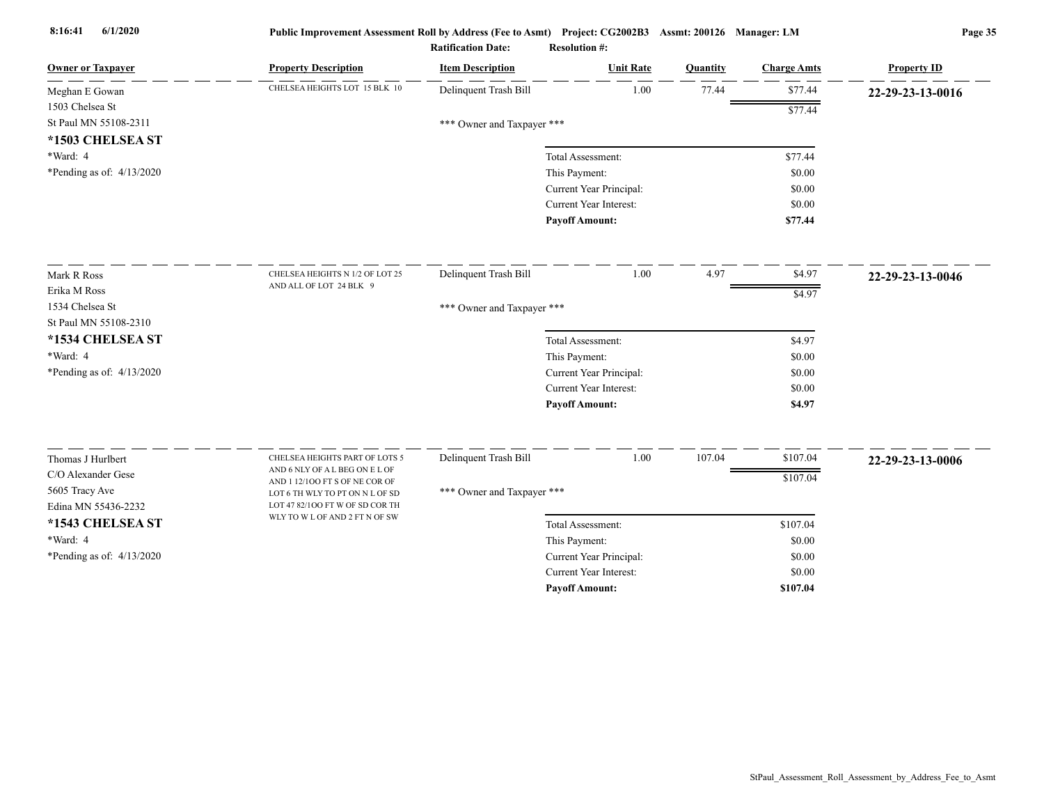| <b>Owner or Taxpayer</b>    | <b>Property Description</b>                                        | <b>Item Description</b>    | <b>Unit Rate</b>        | Quantity | <b>Charge Amts</b> | <b>Property ID</b> |
|-----------------------------|--------------------------------------------------------------------|----------------------------|-------------------------|----------|--------------------|--------------------|
| Meghan E Gowan              | CHELSEA HEIGHTS LOT 15 BLK 10                                      | Delinquent Trash Bill      | 1.00                    | 77.44    | \$77.44            | 22-29-23-13-0016   |
| 1503 Chelsea St             |                                                                    |                            |                         |          | \$77.44            |                    |
| St Paul MN 55108-2311       |                                                                    | *** Owner and Taxpayer *** |                         |          |                    |                    |
| *1503 CHELSEA ST            |                                                                    |                            |                         |          |                    |                    |
| *Ward: 4                    |                                                                    |                            | Total Assessment:       |          | \$77.44            |                    |
| *Pending as of: 4/13/2020   |                                                                    |                            | This Payment:           |          | \$0.00             |                    |
|                             |                                                                    |                            | Current Year Principal: |          | \$0.00             |                    |
|                             |                                                                    |                            | Current Year Interest:  |          | \$0.00             |                    |
|                             |                                                                    |                            | <b>Payoff Amount:</b>   |          | \$77.44            |                    |
| Mark R Ross                 | CHELSEA HEIGHTS N 1/2 OF LOT 25                                    | Delinquent Trash Bill      | 1.00                    | 4.97     | \$4.97             | 22-29-23-13-0046   |
| Erika M Ross                | AND ALL OF LOT 24 BLK 9                                            |                            |                         |          | \$4.97             |                    |
| 1534 Chelsea St             |                                                                    | *** Owner and Taxpayer *** |                         |          |                    |                    |
| St Paul MN 55108-2310       |                                                                    |                            |                         |          |                    |                    |
| *1534 CHELSEA ST            |                                                                    |                            | Total Assessment:       |          | \$4.97             |                    |
| *Ward: 4                    |                                                                    |                            | This Payment:           |          | \$0.00             |                    |
| *Pending as of: $4/13/2020$ |                                                                    |                            | Current Year Principal: |          | \$0.00             |                    |
|                             |                                                                    |                            | Current Year Interest:  |          | \$0.00             |                    |
|                             |                                                                    |                            | <b>Payoff Amount:</b>   |          | \$4.97             |                    |
|                             |                                                                    |                            |                         |          |                    |                    |
| Thomas J Hurlbert           | CHELSEA HEIGHTS PART OF LOTS 5<br>AND 6 NLY OF A L BEG ON E L OF   | Delinquent Trash Bill      | 1.00                    | 107.04   | \$107.04           | 22-29-23-13-0006   |
| C/O Alexander Gese          | AND 1 12/100 FT S OF NE COR OF                                     |                            |                         |          | \$107.04           |                    |
| 5605 Tracy Ave              | LOT 6 TH WLY TO PT ON N L OF SD<br>LOT 47 82/100 FT W OF SD COR TH | *** Owner and Taxpayer *** |                         |          |                    |                    |
| Edina MN 55436-2232         | WLY TO W L OF AND 2 FT N OF SW                                     |                            |                         |          |                    |                    |
| *1543 CHELSEA ST            |                                                                    |                            | Total Assessment:       |          | \$107.04           |                    |
| *Ward: 4                    |                                                                    |                            | This Payment:           |          | \$0.00             |                    |
| *Pending as of: 4/13/2020   |                                                                    |                            | Current Year Principal: |          | \$0.00             |                    |
|                             |                                                                    |                            | Current Year Interest:  |          | \$0.00             |                    |
|                             |                                                                    |                            | <b>Payoff Amount:</b>   |          | \$107.04           |                    |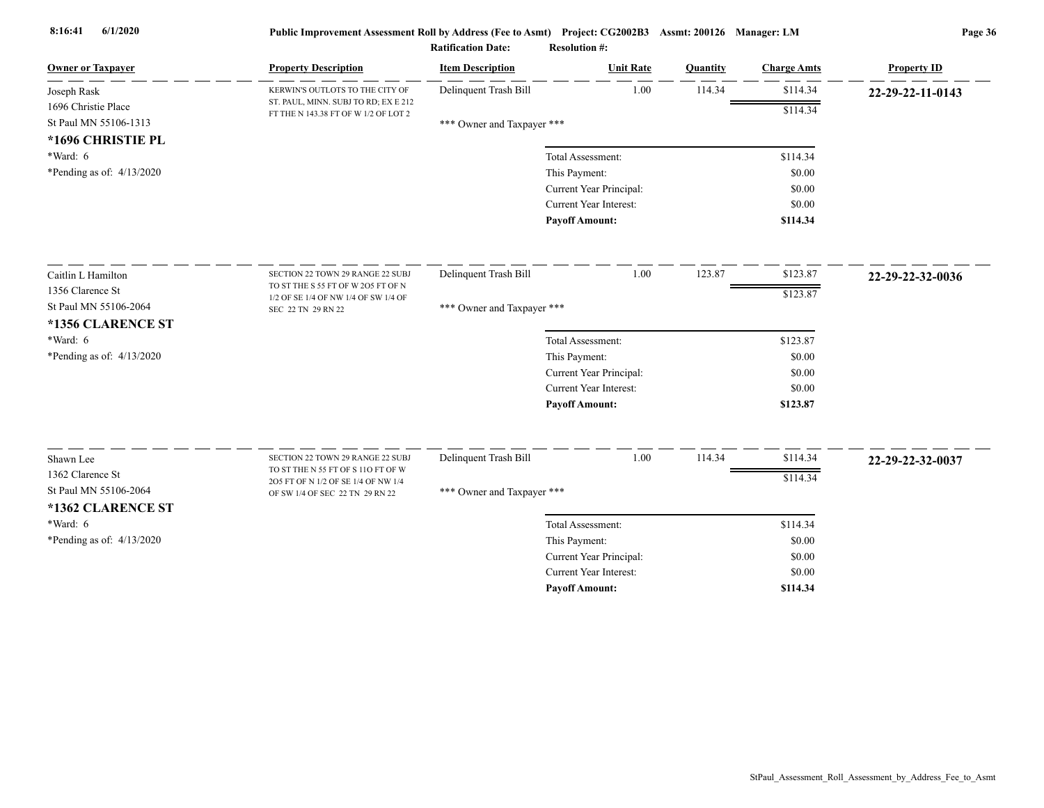| <b>Owner or Taxpayer</b>    | <b>Property Description</b>                                                  | <b>Item Description</b>    | <b>Unit Rate</b>        | Quantity | <b>Charge Amts</b> | <b>Property ID</b> |
|-----------------------------|------------------------------------------------------------------------------|----------------------------|-------------------------|----------|--------------------|--------------------|
| Joseph Rask                 | KERWIN'S OUTLOTS TO THE CITY OF                                              | Delinquent Trash Bill      | 1.00                    | 114.34   | \$114.34           | 22-29-22-11-0143   |
| 1696 Christie Place         | ST. PAUL, MINN. SUBJ TO RD; EX E 212<br>FT THE N 143.38 FT OF W 1/2 OF LOT 2 |                            |                         |          | \$114.34           |                    |
| St Paul MN 55106-1313       |                                                                              | *** Owner and Taxpayer *** |                         |          |                    |                    |
| *1696 CHRISTIE PL           |                                                                              |                            |                         |          |                    |                    |
| *Ward: 6                    |                                                                              |                            | Total Assessment:       |          | \$114.34           |                    |
| *Pending as of: $4/13/2020$ |                                                                              |                            | This Payment:           |          | \$0.00             |                    |
|                             |                                                                              |                            | Current Year Principal: |          | \$0.00             |                    |
|                             |                                                                              |                            | Current Year Interest:  |          | \$0.00             |                    |
|                             |                                                                              |                            | <b>Payoff Amount:</b>   |          | \$114.34           |                    |
| Caitlin L Hamilton          | SECTION 22 TOWN 29 RANGE 22 SUBJ                                             | Delinquent Trash Bill      | 1.00                    | 123.87   | \$123.87           | 22-29-22-32-0036   |
| 1356 Clarence St            | TO ST THE S 55 FT OF W 2O5 FT OF N                                           |                            |                         |          | \$123.87           |                    |
| St Paul MN 55106-2064       | 1/2 OF SE 1/4 OF NW 1/4 OF SW 1/4 OF<br>SEC 22 TN 29 RN 22                   | *** Owner and Taxpayer *** |                         |          |                    |                    |
| *1356 CLARENCE ST           |                                                                              |                            |                         |          |                    |                    |
| $*Ward: 6$                  |                                                                              |                            | Total Assessment:       |          | \$123.87           |                    |
| *Pending as of: $4/13/2020$ |                                                                              |                            | This Payment:           |          | \$0.00             |                    |
|                             |                                                                              |                            | Current Year Principal: |          | \$0.00             |                    |
|                             |                                                                              |                            | Current Year Interest:  |          | \$0.00             |                    |
|                             |                                                                              |                            | <b>Payoff Amount:</b>   |          | \$123.87           |                    |
|                             |                                                                              |                            |                         |          |                    |                    |
| Shawn Lee                   | SECTION 22 TOWN 29 RANGE 22 SUBJ<br>TO ST THE N 55 FT OF S 11O FT OF W       | Delinquent Trash Bill      | 1.00                    | 114.34   | \$114.34           | 22-29-22-32-0037   |
| 1362 Clarence St            | 205 FT OF N 1/2 OF SE 1/4 OF NW 1/4                                          |                            |                         |          | \$114.34           |                    |
| St Paul MN 55106-2064       | OF SW 1/4 OF SEC 22 TN 29 RN 22                                              | *** Owner and Taxpayer *** |                         |          |                    |                    |
| *1362 CLARENCE ST           |                                                                              |                            |                         |          |                    |                    |
| *Ward: 6                    |                                                                              |                            | Total Assessment:       |          | \$114.34           |                    |
| *Pending as of: 4/13/2020   |                                                                              |                            | This Payment:           |          | \$0.00             |                    |
|                             |                                                                              |                            | Current Year Principal: |          | \$0.00             |                    |
|                             |                                                                              |                            | Current Year Interest:  |          | \$0.00             |                    |
|                             |                                                                              |                            | <b>Pavoff Amount:</b>   |          | \$114.34           |                    |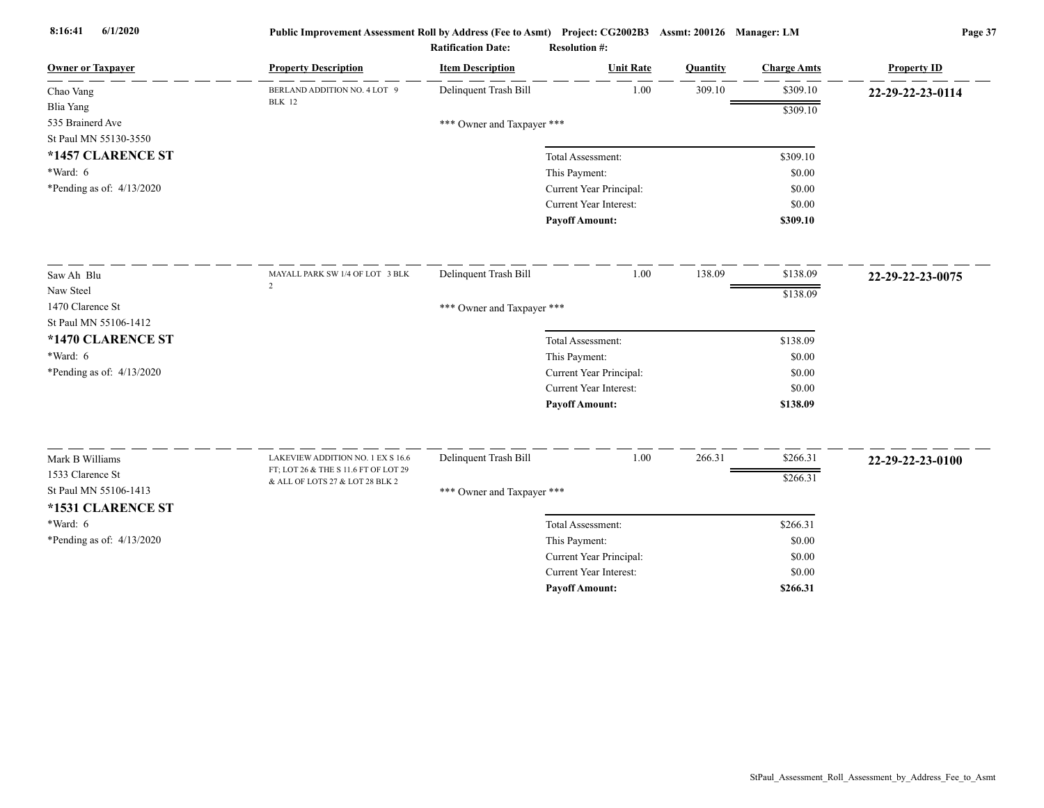| 1.00<br>309.10<br>\$309.10<br>Delinquent Trash Bill<br>BERLAND ADDITION NO. 4 LOT 9<br>22-29-22-23-0114<br><b>BLK</b> 12<br>\$309.10<br>*** Owner and Taxpayer ***<br>St Paul MN 55130-3550<br>*1457 CLARENCE ST<br>Total Assessment:<br>\$309.10<br>*Ward: 6<br>This Payment:<br>\$0.00<br>*Pending as of: $4/13/2020$<br>Current Year Principal:<br>\$0.00<br>Current Year Interest:<br>\$0.00<br><b>Payoff Amount:</b><br>\$309.10<br>1.00<br>138.09<br>\$138.09<br>Delinquent Trash Bill<br>MAYALL PARK SW 1/4 OF LOT 3 BLK<br>22-29-22-23-0075<br>$\overline{2}$<br>\$138.09<br>*** Owner and Taxpayer ***<br>*1470 CLARENCE ST<br>Total Assessment:<br>\$138.09<br>This Payment:<br>\$0.00<br>Current Year Principal:<br>\$0.00<br>Current Year Interest:<br>\$0.00<br><b>Payoff Amount:</b><br>\$138.09<br>Delinquent Trash Bill<br>1.00<br>266.31<br>\$266.31<br>Mark B Williams<br>LAKEVIEW ADDITION NO. 1 EX S 16.6<br>22-29-22-23-0100<br>FT; LOT 26 & THE S 11.6 FT OF LOT 29<br>1533 Clarence St<br>\$266.31<br>& ALL OF LOTS 27 & LOT 28 BLK 2<br>St Paul MN 55106-1413<br>*** Owner and Taxpayer ***<br>*1531 CLARENCE ST<br>*Ward: 6<br>\$266.31<br>Total Assessment:<br>*Pending as of: $4/13/2020$<br>This Payment:<br>\$0.00<br>Current Year Principal:<br>\$0.00<br>Current Year Interest:<br>\$0.00 | <b>Owner or Taxpayer</b>    | <b>Property Description</b> | <b>Item Description</b> | <b>Unit Rate</b>      | Quantity | <b>Charge Amts</b> | <b>Property ID</b> |
|--------------------------------------------------------------------------------------------------------------------------------------------------------------------------------------------------------------------------------------------------------------------------------------------------------------------------------------------------------------------------------------------------------------------------------------------------------------------------------------------------------------------------------------------------------------------------------------------------------------------------------------------------------------------------------------------------------------------------------------------------------------------------------------------------------------------------------------------------------------------------------------------------------------------------------------------------------------------------------------------------------------------------------------------------------------------------------------------------------------------------------------------------------------------------------------------------------------------------------------------------------------------------------------------------------------------------|-----------------------------|-----------------------------|-------------------------|-----------------------|----------|--------------------|--------------------|
|                                                                                                                                                                                                                                                                                                                                                                                                                                                                                                                                                                                                                                                                                                                                                                                                                                                                                                                                                                                                                                                                                                                                                                                                                                                                                                                          | Chao Vang                   |                             |                         |                       |          |                    |                    |
|                                                                                                                                                                                                                                                                                                                                                                                                                                                                                                                                                                                                                                                                                                                                                                                                                                                                                                                                                                                                                                                                                                                                                                                                                                                                                                                          | <b>Blia Yang</b>            |                             |                         |                       |          |                    |                    |
|                                                                                                                                                                                                                                                                                                                                                                                                                                                                                                                                                                                                                                                                                                                                                                                                                                                                                                                                                                                                                                                                                                                                                                                                                                                                                                                          | 535 Brainerd Ave            |                             |                         |                       |          |                    |                    |
|                                                                                                                                                                                                                                                                                                                                                                                                                                                                                                                                                                                                                                                                                                                                                                                                                                                                                                                                                                                                                                                                                                                                                                                                                                                                                                                          |                             |                             |                         |                       |          |                    |                    |
|                                                                                                                                                                                                                                                                                                                                                                                                                                                                                                                                                                                                                                                                                                                                                                                                                                                                                                                                                                                                                                                                                                                                                                                                                                                                                                                          |                             |                             |                         |                       |          |                    |                    |
|                                                                                                                                                                                                                                                                                                                                                                                                                                                                                                                                                                                                                                                                                                                                                                                                                                                                                                                                                                                                                                                                                                                                                                                                                                                                                                                          |                             |                             |                         |                       |          |                    |                    |
|                                                                                                                                                                                                                                                                                                                                                                                                                                                                                                                                                                                                                                                                                                                                                                                                                                                                                                                                                                                                                                                                                                                                                                                                                                                                                                                          |                             |                             |                         |                       |          |                    |                    |
|                                                                                                                                                                                                                                                                                                                                                                                                                                                                                                                                                                                                                                                                                                                                                                                                                                                                                                                                                                                                                                                                                                                                                                                                                                                                                                                          |                             |                             |                         |                       |          |                    |                    |
|                                                                                                                                                                                                                                                                                                                                                                                                                                                                                                                                                                                                                                                                                                                                                                                                                                                                                                                                                                                                                                                                                                                                                                                                                                                                                                                          |                             |                             |                         |                       |          |                    |                    |
|                                                                                                                                                                                                                                                                                                                                                                                                                                                                                                                                                                                                                                                                                                                                                                                                                                                                                                                                                                                                                                                                                                                                                                                                                                                                                                                          | Saw Ah Blu                  |                             |                         |                       |          |                    |                    |
|                                                                                                                                                                                                                                                                                                                                                                                                                                                                                                                                                                                                                                                                                                                                                                                                                                                                                                                                                                                                                                                                                                                                                                                                                                                                                                                          | Naw Steel                   |                             |                         |                       |          |                    |                    |
|                                                                                                                                                                                                                                                                                                                                                                                                                                                                                                                                                                                                                                                                                                                                                                                                                                                                                                                                                                                                                                                                                                                                                                                                                                                                                                                          | 1470 Clarence St            |                             |                         |                       |          |                    |                    |
|                                                                                                                                                                                                                                                                                                                                                                                                                                                                                                                                                                                                                                                                                                                                                                                                                                                                                                                                                                                                                                                                                                                                                                                                                                                                                                                          | St Paul MN 55106-1412       |                             |                         |                       |          |                    |                    |
|                                                                                                                                                                                                                                                                                                                                                                                                                                                                                                                                                                                                                                                                                                                                                                                                                                                                                                                                                                                                                                                                                                                                                                                                                                                                                                                          |                             |                             |                         |                       |          |                    |                    |
|                                                                                                                                                                                                                                                                                                                                                                                                                                                                                                                                                                                                                                                                                                                                                                                                                                                                                                                                                                                                                                                                                                                                                                                                                                                                                                                          | *Ward: 6                    |                             |                         |                       |          |                    |                    |
|                                                                                                                                                                                                                                                                                                                                                                                                                                                                                                                                                                                                                                                                                                                                                                                                                                                                                                                                                                                                                                                                                                                                                                                                                                                                                                                          | *Pending as of: $4/13/2020$ |                             |                         |                       |          |                    |                    |
|                                                                                                                                                                                                                                                                                                                                                                                                                                                                                                                                                                                                                                                                                                                                                                                                                                                                                                                                                                                                                                                                                                                                                                                                                                                                                                                          |                             |                             |                         |                       |          |                    |                    |
|                                                                                                                                                                                                                                                                                                                                                                                                                                                                                                                                                                                                                                                                                                                                                                                                                                                                                                                                                                                                                                                                                                                                                                                                                                                                                                                          |                             |                             |                         |                       |          |                    |                    |
|                                                                                                                                                                                                                                                                                                                                                                                                                                                                                                                                                                                                                                                                                                                                                                                                                                                                                                                                                                                                                                                                                                                                                                                                                                                                                                                          |                             |                             |                         |                       |          |                    |                    |
|                                                                                                                                                                                                                                                                                                                                                                                                                                                                                                                                                                                                                                                                                                                                                                                                                                                                                                                                                                                                                                                                                                                                                                                                                                                                                                                          |                             |                             |                         |                       |          |                    |                    |
|                                                                                                                                                                                                                                                                                                                                                                                                                                                                                                                                                                                                                                                                                                                                                                                                                                                                                                                                                                                                                                                                                                                                                                                                                                                                                                                          |                             |                             |                         |                       |          |                    |                    |
|                                                                                                                                                                                                                                                                                                                                                                                                                                                                                                                                                                                                                                                                                                                                                                                                                                                                                                                                                                                                                                                                                                                                                                                                                                                                                                                          |                             |                             |                         |                       |          |                    |                    |
|                                                                                                                                                                                                                                                                                                                                                                                                                                                                                                                                                                                                                                                                                                                                                                                                                                                                                                                                                                                                                                                                                                                                                                                                                                                                                                                          |                             |                             |                         |                       |          |                    |                    |
|                                                                                                                                                                                                                                                                                                                                                                                                                                                                                                                                                                                                                                                                                                                                                                                                                                                                                                                                                                                                                                                                                                                                                                                                                                                                                                                          |                             |                             |                         |                       |          |                    |                    |
|                                                                                                                                                                                                                                                                                                                                                                                                                                                                                                                                                                                                                                                                                                                                                                                                                                                                                                                                                                                                                                                                                                                                                                                                                                                                                                                          |                             |                             |                         |                       |          |                    |                    |
|                                                                                                                                                                                                                                                                                                                                                                                                                                                                                                                                                                                                                                                                                                                                                                                                                                                                                                                                                                                                                                                                                                                                                                                                                                                                                                                          |                             |                             |                         |                       |          |                    |                    |
|                                                                                                                                                                                                                                                                                                                                                                                                                                                                                                                                                                                                                                                                                                                                                                                                                                                                                                                                                                                                                                                                                                                                                                                                                                                                                                                          |                             |                             |                         | <b>Payoff Amount:</b> |          | \$266.31           |                    |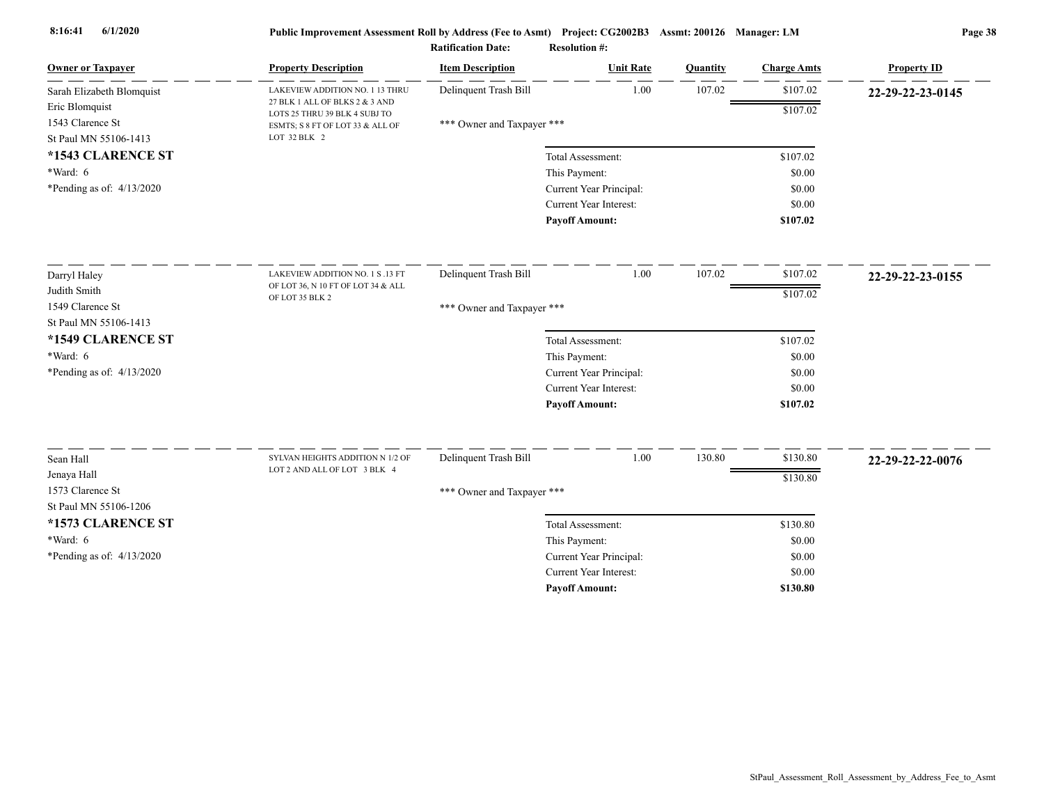| <b>Owner or Taxpayer</b>    | <b>Property Description</b>                                     | <b>Item Description</b>    | <b>Unit Rate</b>              | Quantity | <b>Charge Amts</b> | <b>Property ID</b> |
|-----------------------------|-----------------------------------------------------------------|----------------------------|-------------------------------|----------|--------------------|--------------------|
| Sarah Elizabeth Blomquist   | LAKEVIEW ADDITION NO. 1 13 THRU                                 | Delinquent Trash Bill      | 1.00                          | 107.02   | \$107.02           | 22-29-22-23-0145   |
| Eric Blomquist              | 27 BLK 1 ALL OF BLKS 2 & 3 AND<br>LOTS 25 THRU 39 BLK 4 SUBJ TO |                            |                               |          | \$107.02           |                    |
| 1543 Clarence St            | ESMTS; S 8 FT OF LOT 33 & ALL OF                                | *** Owner and Taxpayer *** |                               |          |                    |                    |
| St Paul MN 55106-1413       | LOT 32 BLK 2                                                    |                            |                               |          |                    |                    |
| *1543 CLARENCE ST           |                                                                 |                            | Total Assessment:             |          | \$107.02           |                    |
| *Ward: 6                    |                                                                 |                            | This Payment:                 |          | \$0.00             |                    |
| *Pending as of: $4/13/2020$ |                                                                 |                            | Current Year Principal:       |          | \$0.00             |                    |
|                             |                                                                 |                            | Current Year Interest:        |          | \$0.00             |                    |
|                             |                                                                 |                            | <b>Payoff Amount:</b>         |          | \$107.02           |                    |
| Darryl Haley                | LAKEVIEW ADDITION NO. 1 S .13 FT                                | Delinquent Trash Bill      | 1.00                          | 107.02   | \$107.02           | 22-29-22-23-0155   |
| Judith Smith                | OF LOT 36, N 10 FT OF LOT 34 & ALL                              |                            |                               |          | \$107.02           |                    |
| 1549 Clarence St            | OF LOT 35 BLK 2                                                 | *** Owner and Taxpayer *** |                               |          |                    |                    |
| St Paul MN 55106-1413       |                                                                 |                            |                               |          |                    |                    |
| *1549 CLARENCE ST           |                                                                 |                            | Total Assessment:             |          | \$107.02           |                    |
| $*Ward: 6$                  |                                                                 |                            | This Payment:                 |          | \$0.00             |                    |
| *Pending as of: $4/13/2020$ |                                                                 |                            | Current Year Principal:       |          | \$0.00             |                    |
|                             |                                                                 |                            | <b>Current Year Interest:</b> |          | \$0.00             |                    |
|                             |                                                                 |                            | <b>Payoff Amount:</b>         |          | \$107.02           |                    |
| Sean Hall                   | SYLVAN HEIGHTS ADDITION N 1/2 OF                                | Delinquent Trash Bill      | 1.00                          | 130.80   | \$130.80           |                    |
| Jenaya Hall                 | LOT 2 AND ALL OF LOT 3 BLK 4                                    |                            |                               |          |                    | 22-29-22-22-0076   |
| 1573 Clarence St            |                                                                 | *** Owner and Taxpayer *** |                               |          | \$130.80           |                    |
| St Paul MN 55106-1206       |                                                                 |                            |                               |          |                    |                    |
| *1573 CLARENCE ST           |                                                                 |                            | Total Assessment:             |          | \$130.80           |                    |
| $*Ward: 6$                  |                                                                 |                            | This Payment:                 |          | \$0.00             |                    |
| *Pending as of: 4/13/2020   |                                                                 |                            | Current Year Principal:       |          | \$0.00             |                    |
|                             |                                                                 |                            | <b>Current Year Interest:</b> |          | \$0.00             |                    |
|                             |                                                                 |                            | <b>Payoff Amount:</b>         |          | \$130.80           |                    |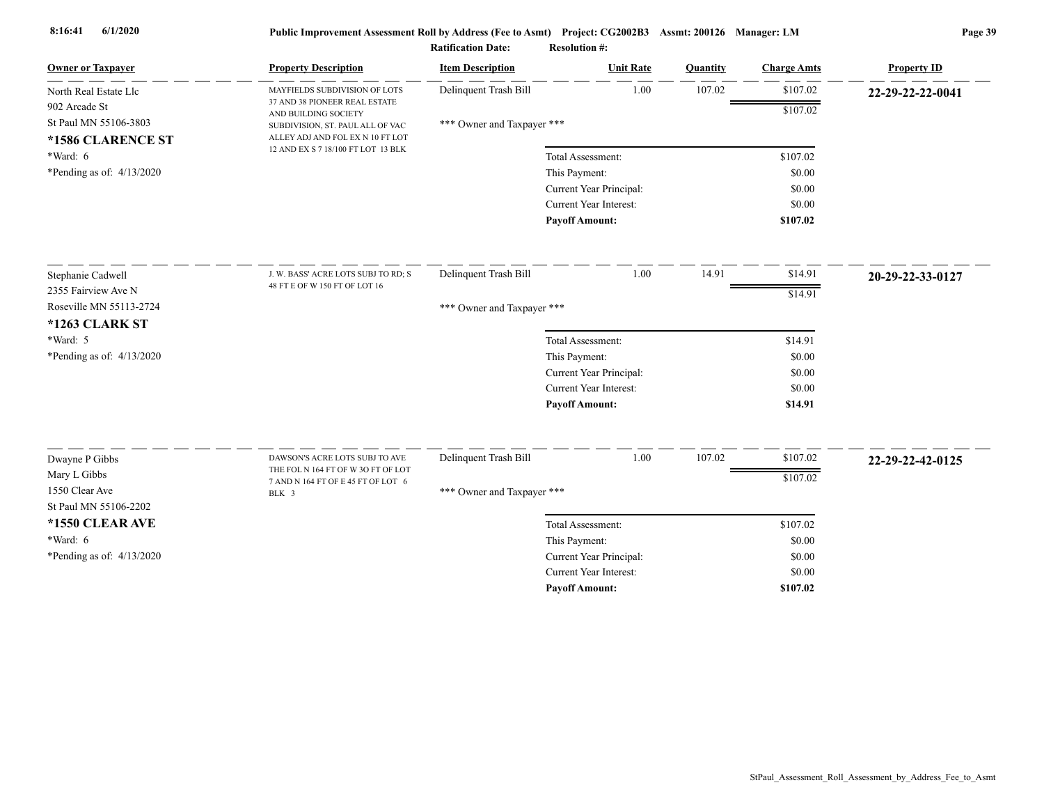| <b>Owner or Taxpayer</b>    | <b>Property Description</b>                                                                                | <b>Item Description</b>    | <b>Unit Rate</b>              | Quantity | <b>Charge Amts</b> | <b>Property ID</b> |
|-----------------------------|------------------------------------------------------------------------------------------------------------|----------------------------|-------------------------------|----------|--------------------|--------------------|
| North Real Estate Llc       | MAYFIELDS SUBDIVISION OF LOTS                                                                              | Delinquent Trash Bill      | 1.00                          | 107.02   | \$107.02           | 22-29-22-22-0041   |
| 902 Arcade St               | 37 AND 38 PIONEER REAL ESTATE<br>AND BUILDING SOCIETY                                                      |                            |                               |          | \$107.02           |                    |
| St Paul MN 55106-3803       | SUBDIVISION, ST. PAUL ALL OF VAC<br>ALLEY ADJ AND FOL EX N 10 FT LOT<br>12 AND EX S 7 18/100 FT LOT 13 BLK | *** Owner and Taxpayer *** |                               |          |                    |                    |
| *1586 CLARENCE ST           |                                                                                                            |                            |                               |          |                    |                    |
| *Ward: 6                    |                                                                                                            |                            | Total Assessment:             |          | \$107.02           |                    |
| *Pending as of: $4/13/2020$ |                                                                                                            |                            | This Payment:                 |          | \$0.00             |                    |
|                             |                                                                                                            |                            | Current Year Principal:       |          | \$0.00             |                    |
|                             |                                                                                                            |                            | Current Year Interest:        |          | \$0.00             |                    |
|                             |                                                                                                            |                            | <b>Payoff Amount:</b>         |          | \$107.02           |                    |
| Stephanie Cadwell           | J. W. BASS' ACRE LOTS SUBJ TO RD; S                                                                        | Delinquent Trash Bill      | 1.00                          | 14.91    | \$14.91            | 20-29-22-33-0127   |
| 2355 Fairview Ave N         | 48 FT E OF W 150 FT OF LOT 16                                                                              |                            |                               |          | \$14.91            |                    |
| Roseville MN 55113-2724     |                                                                                                            | *** Owner and Taxpayer *** |                               |          |                    |                    |
| <b>*1263 CLARK ST</b>       |                                                                                                            |                            |                               |          |                    |                    |
| *Ward: 5                    |                                                                                                            |                            | Total Assessment:             |          | \$14.91            |                    |
| *Pending as of: $4/13/2020$ |                                                                                                            |                            | This Payment:                 |          | \$0.00             |                    |
|                             |                                                                                                            |                            | Current Year Principal:       |          | \$0.00             |                    |
|                             |                                                                                                            |                            | <b>Current Year Interest:</b> |          | \$0.00             |                    |
|                             |                                                                                                            |                            | <b>Payoff Amount:</b>         |          | \$14.91            |                    |
| Dwayne P Gibbs              | DAWSON'S ACRE LOTS SUBJ TO AVE                                                                             | Delinquent Trash Bill      | 1.00                          | 107.02   | \$107.02           |                    |
| Mary L Gibbs                | THE FOL N 164 FT OF W 3O FT OF LOT                                                                         |                            |                               |          |                    | 22-29-22-42-0125   |
| 1550 Clear Ave              | 7 AND N 164 FT OF E 45 FT OF LOT 6                                                                         |                            |                               |          | \$107.02           |                    |
| St Paul MN 55106-2202       | BLK 3                                                                                                      | *** Owner and Taxpayer *** |                               |          |                    |                    |
| *1550 CLEAR AVE             |                                                                                                            |                            | Total Assessment:             |          | \$107.02           |                    |
| $*Ward: 6$                  |                                                                                                            |                            | This Payment:                 |          | \$0.00             |                    |
| *Pending as of: $4/13/2020$ |                                                                                                            |                            | Current Year Principal:       |          | \$0.00             |                    |
|                             |                                                                                                            |                            | <b>Current Year Interest:</b> |          | \$0.00             |                    |
|                             |                                                                                                            |                            | <b>Pavoff Amount:</b>         |          | \$107.02           |                    |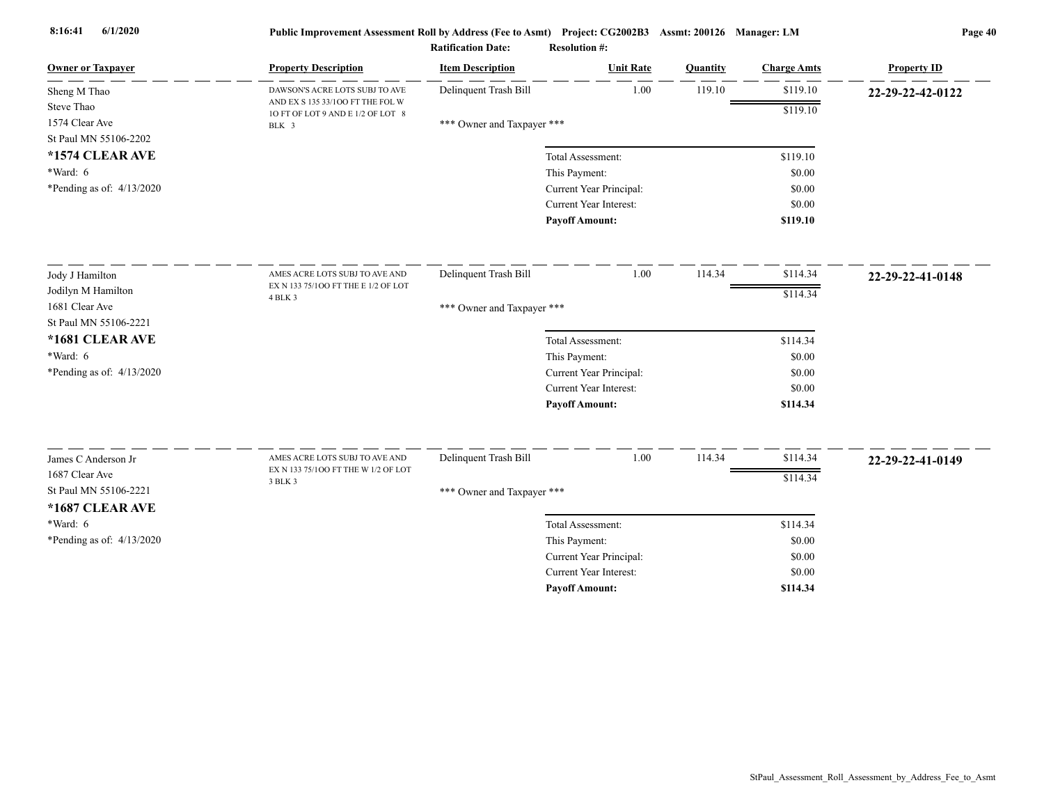| <b>Owner or Taxpayer</b>    | <b>Property Description</b>                                           | <b>Item Description</b>    | <b>Unit Rate</b>              | Quantity | <b>Charge Amts</b> | <b>Property ID</b> |
|-----------------------------|-----------------------------------------------------------------------|----------------------------|-------------------------------|----------|--------------------|--------------------|
| Sheng M Thao                | DAWSON'S ACRE LOTS SUBJ TO AVE                                        | Delinquent Trash Bill      | 1.00                          | 119.10   | \$119.10           | 22-29-22-42-0122   |
| Steve Thao                  | AND EX S 135 33/100 FT THE FOL W<br>10 FT OF LOT 9 AND E 1/2 OF LOT 8 |                            |                               |          | \$119.10           |                    |
| 1574 Clear Ave              | BLK 3                                                                 | *** Owner and Taxpayer *** |                               |          |                    |                    |
| St Paul MN 55106-2202       |                                                                       |                            |                               |          |                    |                    |
| *1574 CLEAR AVE             |                                                                       |                            | Total Assessment:             |          | \$119.10           |                    |
| *Ward: 6                    |                                                                       |                            | This Payment:                 |          | \$0.00             |                    |
| *Pending as of: $4/13/2020$ |                                                                       |                            | Current Year Principal:       |          | \$0.00             |                    |
|                             |                                                                       |                            | Current Year Interest:        |          | \$0.00             |                    |
|                             |                                                                       |                            | <b>Payoff Amount:</b>         |          | \$119.10           |                    |
| Jody J Hamilton             | AMES ACRE LOTS SUBJ TO AVE AND                                        | Delinquent Trash Bill      | 1.00                          | 114.34   | \$114.34           | 22-29-22-41-0148   |
| Jodilyn M Hamilton          | EX N 133 75/100 FT THE E 1/2 OF LOT                                   |                            |                               |          | \$114.34           |                    |
| 1681 Clear Ave              | 4 BLK 3                                                               | *** Owner and Taxpayer *** |                               |          |                    |                    |
| St Paul MN 55106-2221       |                                                                       |                            |                               |          |                    |                    |
| *1681 CLEAR AVE             |                                                                       |                            | Total Assessment:             |          | \$114.34           |                    |
| *Ward: 6                    |                                                                       |                            | This Payment:                 |          | \$0.00             |                    |
| *Pending as of: $4/13/2020$ |                                                                       |                            | Current Year Principal:       |          | \$0.00             |                    |
|                             |                                                                       |                            | Current Year Interest:        |          | \$0.00             |                    |
|                             |                                                                       |                            | <b>Payoff Amount:</b>         |          | \$114.34           |                    |
|                             |                                                                       |                            |                               |          |                    |                    |
| James C Anderson Jr         | AMES ACRE LOTS SUBJ TO AVE AND<br>EX N 133 75/100 FT THE W 1/2 OF LOT | Delinquent Trash Bill      | 1.00                          | 114.34   | \$114.34           | 22-29-22-41-0149   |
| 1687 Clear Ave              | 3 BLK 3                                                               |                            |                               |          | \$114.34           |                    |
| St Paul MN 55106-2221       |                                                                       | *** Owner and Taxpayer *** |                               |          |                    |                    |
| *1687 CLEAR AVE             |                                                                       |                            |                               |          |                    |                    |
| *Ward: 6                    |                                                                       |                            | Total Assessment:             |          | \$114.34           |                    |
| *Pending as of: $4/13/2020$ |                                                                       |                            | This Payment:                 |          | \$0.00             |                    |
|                             |                                                                       |                            | Current Year Principal:       |          | \$0.00             |                    |
|                             |                                                                       |                            | <b>Current Year Interest:</b> |          | \$0.00             |                    |
|                             |                                                                       |                            | <b>Pavoff Amount:</b>         |          | \$114.34           |                    |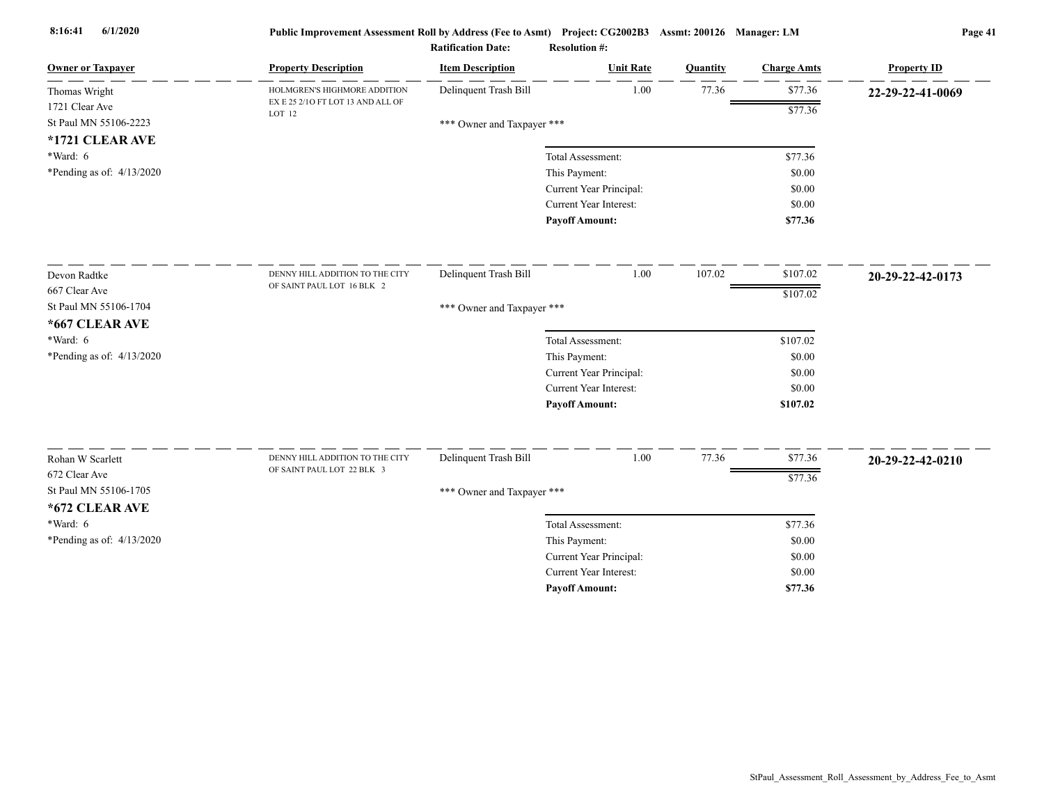| <b>Owner or Taxpayer</b>                                                                                          | <b>Property Description</b>                                   | <b>Item Description</b>                             | <b>Unit Rate</b>                                                                                       | Quantity | <b>Charge Amts</b>                                             | <b>Property ID</b> |
|-------------------------------------------------------------------------------------------------------------------|---------------------------------------------------------------|-----------------------------------------------------|--------------------------------------------------------------------------------------------------------|----------|----------------------------------------------------------------|--------------------|
| Thomas Wright                                                                                                     | HOLMGREN'S HIGHMORE ADDITION                                  | Delinquent Trash Bill                               | 1.00                                                                                                   | 77.36    | \$77.36                                                        | 22-29-22-41-0069   |
| 1721 Clear Ave                                                                                                    | EX E 25 2/10 FT LOT 13 AND ALL OF<br>LOT 12                   |                                                     |                                                                                                        |          | \$77.36                                                        |                    |
| St Paul MN 55106-2223                                                                                             |                                                               | *** Owner and Taxpayer ***                          |                                                                                                        |          |                                                                |                    |
| *1721 CLEAR AVE                                                                                                   |                                                               |                                                     |                                                                                                        |          |                                                                |                    |
| *Ward: 6                                                                                                          |                                                               |                                                     | Total Assessment:                                                                                      |          | \$77.36                                                        |                    |
| *Pending as of: 4/13/2020                                                                                         |                                                               |                                                     | This Payment:                                                                                          |          | \$0.00<br>\$0.00                                               |                    |
|                                                                                                                   |                                                               |                                                     | Current Year Principal:<br><b>Current Year Interest:</b>                                               |          | \$0.00                                                         |                    |
|                                                                                                                   |                                                               |                                                     | <b>Payoff Amount:</b>                                                                                  |          | \$77.36                                                        |                    |
| Devon Radtke<br>667 Clear Ave<br>St Paul MN 55106-1704<br>*667 CLEAR AVE<br>*Ward: 6<br>*Pending as of: 4/13/2020 | DENNY HILL ADDITION TO THE CITY<br>OF SAINT PAUL LOT 16 BLK 2 | Delinquent Trash Bill<br>*** Owner and Taxpayer *** | 1.00<br>Total Assessment:<br>This Payment:<br>Current Year Principal:<br><b>Current Year Interest:</b> | 107.02   | \$107.02<br>\$107.02<br>\$107.02<br>\$0.00<br>\$0.00<br>\$0.00 | 20-29-22-42-0173   |
| Rohan W Scarlett<br>672 Clear Ave<br>St Paul MN 55106-1705<br>*672 CLEAR AVE<br>*Ward: 6                          | DENNY HILL ADDITION TO THE CITY<br>OF SAINT PAUL LOT 22 BLK 3 | Delinquent Trash Bill<br>*** Owner and Taxpayer *** | <b>Payoff Amount:</b><br>1.00<br>Total Assessment:                                                     | 77.36    | \$107.02<br>\$77.36<br>\$77.36<br>\$77.36                      | 20-29-22-42-0210   |
| *Pending as of: 4/13/2020                                                                                         |                                                               |                                                     | This Payment:<br>Current Year Principal:<br><b>Current Year Interest:</b>                              |          | \$0.00<br>\$0.00<br>\$0.00                                     |                    |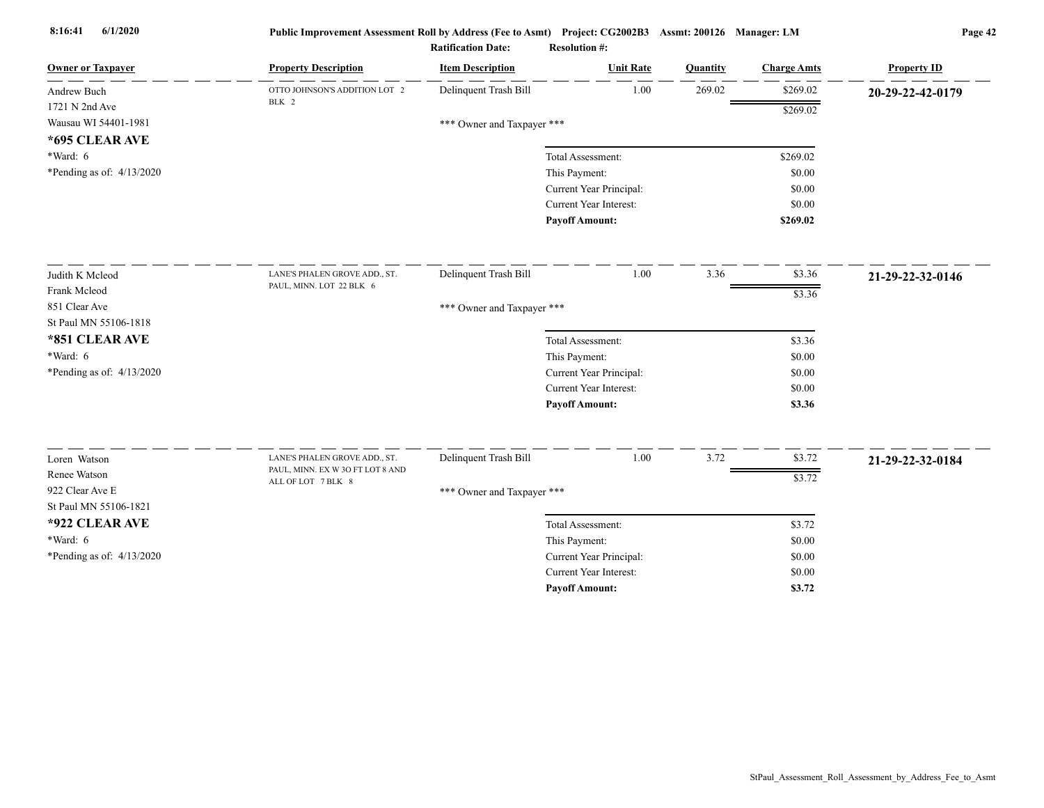| <b>Owner or Taxpayer</b>    | <b>Property Description</b>                                       | <b>Item Description</b>    | <b>Unit Rate</b>        | Quantity | <b>Charge Amts</b> | <b>Property ID</b> |
|-----------------------------|-------------------------------------------------------------------|----------------------------|-------------------------|----------|--------------------|--------------------|
| Andrew Buch                 | OTTO JOHNSON'S ADDITION LOT 2                                     | Delinquent Trash Bill      | 1.00                    | 269.02   | \$269.02           | 20-29-22-42-0179   |
| 1721 N 2nd Ave              | BLK 2                                                             |                            |                         |          | \$269.02           |                    |
| Wausau WI 54401-1981        |                                                                   | *** Owner and Taxpayer *** |                         |          |                    |                    |
| *695 CLEAR AVE              |                                                                   |                            |                         |          |                    |                    |
| *Ward: 6                    |                                                                   |                            | Total Assessment:       |          | \$269.02           |                    |
| *Pending as of: 4/13/2020   |                                                                   |                            | This Payment:           |          | \$0.00             |                    |
|                             |                                                                   |                            | Current Year Principal: |          | \$0.00             |                    |
|                             |                                                                   |                            | Current Year Interest:  |          | \$0.00             |                    |
|                             |                                                                   |                            | <b>Payoff Amount:</b>   |          | \$269.02           |                    |
| Judith K Mcleod             | LANE'S PHALEN GROVE ADD., ST.                                     | Delinquent Trash Bill      | 1.00                    | 3.36     | \$3.36             | 21-29-22-32-0146   |
| Frank Mcleod                | PAUL, MINN. LOT 22 BLK 6                                          |                            |                         |          | \$3.36             |                    |
| 851 Clear Ave               |                                                                   |                            |                         |          |                    |                    |
| St Paul MN 55106-1818       |                                                                   | *** Owner and Taxpayer *** |                         |          |                    |                    |
| *851 CLEAR AVE              |                                                                   |                            | Total Assessment:       |          | \$3.36             |                    |
| *Ward: 6                    |                                                                   |                            | This Payment:           |          | \$0.00             |                    |
| *Pending as of: $4/13/2020$ |                                                                   |                            | Current Year Principal: |          | \$0.00             |                    |
|                             |                                                                   |                            | Current Year Interest:  |          | \$0.00             |                    |
|                             |                                                                   |                            | <b>Payoff Amount:</b>   |          | \$3.36             |                    |
|                             |                                                                   |                            |                         |          |                    |                    |
| Loren Watson                | LANE'S PHALEN GROVE ADD., ST.<br>PAUL, MINN. EX W 3O FT LOT 8 AND | Delinquent Trash Bill      | 1.00                    | 3.72     | \$3.72             | 21-29-22-32-0184   |
| Renee Watson                | ALL OF LOT 7 BLK 8                                                |                            |                         |          | \$3.72             |                    |
| 922 Clear Ave E             |                                                                   | *** Owner and Taxpayer *** |                         |          |                    |                    |
| St Paul MN 55106-1821       |                                                                   |                            |                         |          |                    |                    |
| *922 CLEAR AVE              |                                                                   |                            | Total Assessment:       |          | \$3.72             |                    |
| *Ward: 6                    |                                                                   |                            | This Payment:           |          | \$0.00             |                    |
| *Pending as of: 4/13/2020   |                                                                   |                            | Current Year Principal: |          | \$0.00             |                    |
|                             |                                                                   |                            | Current Year Interest:  |          | \$0.00             |                    |
|                             |                                                                   |                            | <b>Payoff Amount:</b>   |          | \$3.72             |                    |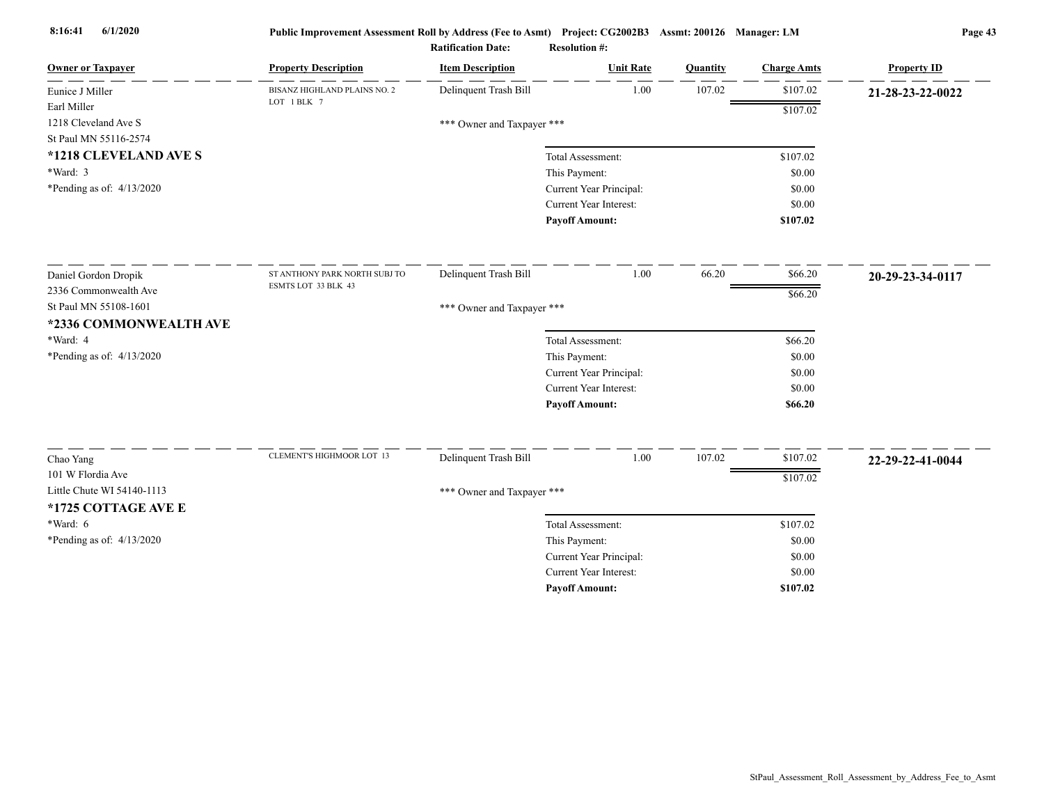| <b>Owner or Taxpayer</b>            | <b>Property Description</b>                 | <b>Item Description</b>    | <b>Unit Rate</b>                                  | Quantity | <b>Charge Amts</b> | <b>Property ID</b> |
|-------------------------------------|---------------------------------------------|----------------------------|---------------------------------------------------|----------|--------------------|--------------------|
| Eunice J Miller                     | BISANZ HIGHLAND PLAINS NO. 2<br>LOT 1 BLK 7 | Delinquent Trash Bill      | 1.00                                              | 107.02   | \$107.02           | 21-28-23-22-0022   |
| Earl Miller                         |                                             |                            |                                                   |          | \$107.02           |                    |
| 1218 Cleveland Ave S                |                                             | *** Owner and Taxpayer *** |                                                   |          |                    |                    |
| St Paul MN 55116-2574               |                                             |                            |                                                   |          |                    |                    |
| *1218 CLEVELAND AVE S<br>$*Ward: 3$ |                                             |                            | Total Assessment:                                 |          | \$107.02           |                    |
| *Pending as of: 4/13/2020           |                                             |                            | This Payment:                                     |          | \$0.00<br>\$0.00   |                    |
|                                     |                                             |                            | Current Year Principal:<br>Current Year Interest: |          | \$0.00             |                    |
|                                     |                                             |                            | <b>Payoff Amount:</b>                             |          | \$107.02           |                    |
|                                     |                                             |                            |                                                   |          |                    |                    |
| Daniel Gordon Dropik                | ST ANTHONY PARK NORTH SUBJ TO               | Delinquent Trash Bill      | 1.00                                              | 66.20    | \$66.20            | 20-29-23-34-0117   |
| 2336 Commonwealth Ave               | ESMTS LOT 33 BLK 43                         |                            |                                                   |          | \$66.20            |                    |
| St Paul MN 55108-1601               |                                             | *** Owner and Taxpayer *** |                                                   |          |                    |                    |
| *2336 COMMONWEALTH AVE              |                                             |                            |                                                   |          |                    |                    |
| *Ward: 4                            |                                             |                            | Total Assessment:                                 |          | \$66.20            |                    |
| *Pending as of: 4/13/2020           |                                             |                            | This Payment:                                     |          | \$0.00             |                    |
|                                     |                                             |                            | Current Year Principal:                           |          | \$0.00             |                    |
|                                     |                                             |                            | Current Year Interest:                            |          | \$0.00             |                    |
|                                     |                                             |                            | <b>Payoff Amount:</b>                             |          | \$66.20            |                    |
| Chao Yang                           | <b>CLEMENT'S HIGHMOOR LOT 13</b>            | Delinquent Trash Bill      | 1.00                                              | 107.02   | \$107.02           | 22-29-22-41-0044   |
| 101 W Flordia Ave                   |                                             |                            |                                                   |          | \$107.02           |                    |
| Little Chute WI 54140-1113          |                                             | *** Owner and Taxpayer *** |                                                   |          |                    |                    |
| *1725 COTTAGE AVE E                 |                                             |                            |                                                   |          |                    |                    |
| *Ward: 6                            |                                             |                            | Total Assessment:                                 |          | \$107.02           |                    |
| *Pending as of: $4/13/2020$         |                                             |                            | This Payment:                                     |          | \$0.00             |                    |
|                                     |                                             |                            | Current Year Principal:                           |          | \$0.00             |                    |
|                                     |                                             |                            | Current Year Interest:                            |          | \$0.00             |                    |
|                                     |                                             |                            | <b>Payoff Amount:</b>                             |          | \$107.02           |                    |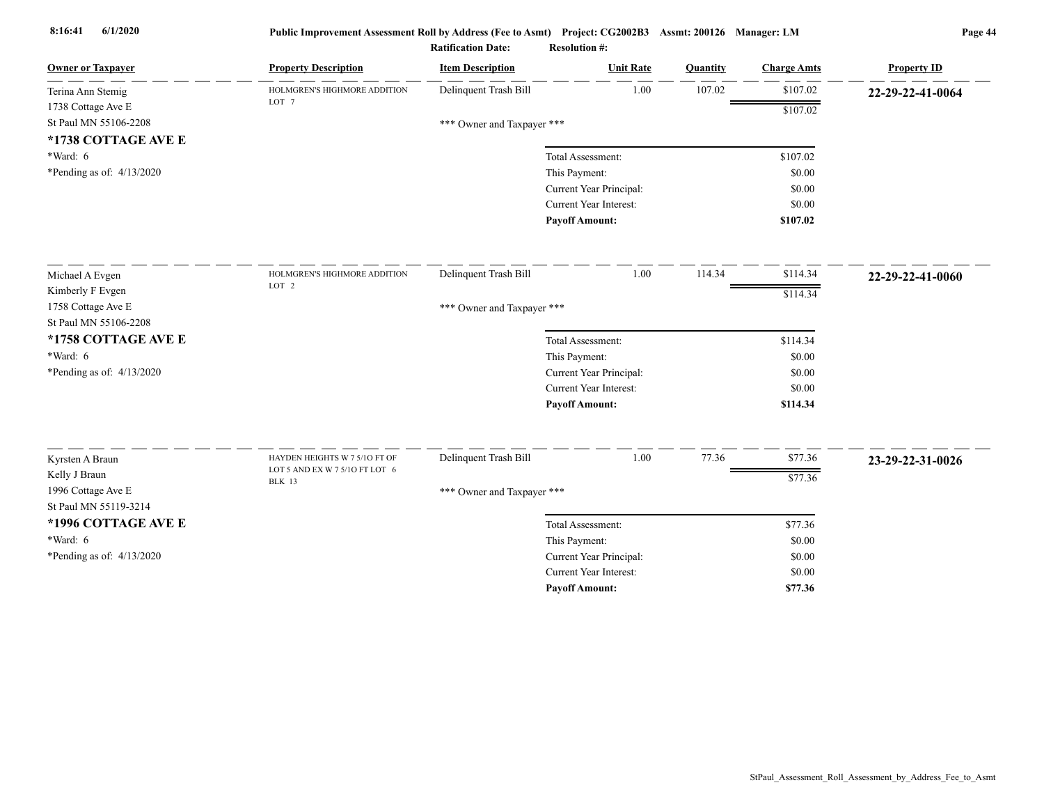| <b>Owner or Taxpayer</b>                    | <b>Property Description</b>                                     | <b>Item Description</b>    | <b>Unit Rate</b>        | Quantity | <b>Charge Amts</b> | <b>Property ID</b> |
|---------------------------------------------|-----------------------------------------------------------------|----------------------------|-------------------------|----------|--------------------|--------------------|
| Terina Ann Stemig                           | HOLMGREN'S HIGHMORE ADDITION                                    | Delinquent Trash Bill      | 1.00                    | 107.02   | \$107.02           | 22-29-22-41-0064   |
| 1738 Cottage Ave E                          | LOT <sub>7</sub>                                                |                            |                         |          | \$107.02           |                    |
| St Paul MN 55106-2208                       |                                                                 | *** Owner and Taxpayer *** |                         |          |                    |                    |
| *1738 COTTAGE AVE E                         |                                                                 |                            |                         |          |                    |                    |
| *Ward: 6                                    |                                                                 |                            | Total Assessment:       |          | \$107.02           |                    |
| *Pending as of: 4/13/2020                   |                                                                 |                            | This Payment:           |          | \$0.00             |                    |
|                                             |                                                                 |                            | Current Year Principal: |          | \$0.00             |                    |
|                                             |                                                                 |                            | Current Year Interest:  |          | \$0.00             |                    |
|                                             |                                                                 |                            | <b>Payoff Amount:</b>   |          | \$107.02           |                    |
| Michael A Evgen                             | HOLMGREN'S HIGHMORE ADDITION                                    | Delinquent Trash Bill      | 1.00                    | 114.34   | \$114.34           | 22-29-22-41-0060   |
| Kimberly F Evgen                            | LOT 2                                                           |                            |                         |          | \$114.34           |                    |
| 1758 Cottage Ave E                          |                                                                 | *** Owner and Taxpayer *** |                         |          |                    |                    |
| St Paul MN 55106-2208                       |                                                                 |                            |                         |          |                    |                    |
| *1758 COTTAGE AVE E                         |                                                                 |                            | Total Assessment:       |          | \$114.34           |                    |
| $*Ward: 6$                                  |                                                                 |                            | This Payment:           |          | \$0.00             |                    |
| *Pending as of: 4/13/2020                   |                                                                 |                            | Current Year Principal: |          | \$0.00             |                    |
|                                             |                                                                 |                            | Current Year Interest:  |          | \$0.00             |                    |
|                                             |                                                                 |                            | <b>Payoff Amount:</b>   |          | \$114.34           |                    |
|                                             |                                                                 |                            |                         |          |                    |                    |
| Kyrsten A Braun                             | HAYDEN HEIGHTS W 7 5/10 FT OF<br>LOT 5 AND EX W 7 5/10 FT LOT 6 | Delinquent Trash Bill      | 1.00                    | 77.36    | \$77.36            | 23-29-22-31-0026   |
| Kelly J Braun                               | <b>BLK 13</b>                                                   |                            |                         |          | \$77.36            |                    |
| 1996 Cottage Ave E<br>St Paul MN 55119-3214 |                                                                 | *** Owner and Taxpayer *** |                         |          |                    |                    |
| *1996 COTTAGE AVE E                         |                                                                 |                            | Total Assessment:       |          | \$77.36            |                    |
| *Ward: 6                                    |                                                                 |                            | This Payment:           |          | \$0.00             |                    |
| *Pending as of: 4/13/2020                   |                                                                 |                            | Current Year Principal: |          | \$0.00             |                    |
|                                             |                                                                 |                            | Current Year Interest:  |          | \$0.00             |                    |
|                                             |                                                                 |                            | <b>Payoff Amount:</b>   |          | \$77.36            |                    |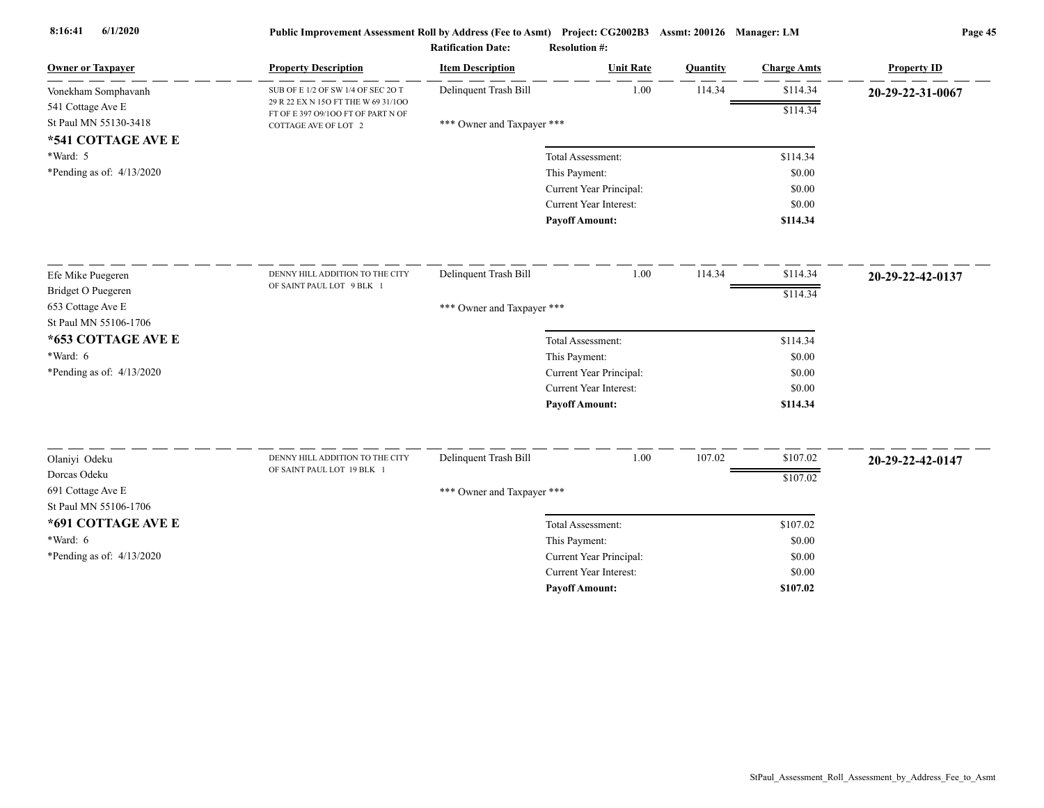| <b>Owner or Taxpayer</b>      | <b>Property Description</b>                                               | <b>Item Description</b>    | <b>Unit Rate</b>                                  | Quantity | <b>Charge Amts</b> | <b>Property ID</b> |
|-------------------------------|---------------------------------------------------------------------------|----------------------------|---------------------------------------------------|----------|--------------------|--------------------|
| Vonekham Somphavanh           | SUB OF E 1/2 OF SW 1/4 OF SEC 2O T                                        | Delinquent Trash Bill      | 1.00                                              | 114.34   | \$114.34           | 20-29-22-31-0067   |
| 541 Cottage Ave E             | 29 R 22 EX N 15O FT THE W 69 31/100<br>FT OF E 397 O9/100 FT OF PART N OF |                            |                                                   |          | \$114.34           |                    |
| St Paul MN 55130-3418         | COTTAGE AVE OF LOT 2                                                      | *** Owner and Taxpayer *** |                                                   |          |                    |                    |
| *541 COTTAGE AVE E            |                                                                           |                            |                                                   |          |                    |                    |
| *Ward: 5                      |                                                                           |                            | Total Assessment:                                 |          | \$114.34           |                    |
| *Pending as of: $4/13/2020$   |                                                                           |                            | This Payment:                                     |          | \$0.00             |                    |
|                               |                                                                           |                            | Current Year Principal:                           |          | \$0.00             |                    |
|                               |                                                                           |                            | <b>Current Year Interest:</b>                     |          | \$0.00             |                    |
|                               |                                                                           |                            | <b>Payoff Amount:</b>                             |          | \$114.34           |                    |
| Efe Mike Puegeren             | DENNY HILL ADDITION TO THE CITY                                           | Delinquent Trash Bill      | 1.00                                              | 114.34   | \$114.34           | 20-29-22-42-0137   |
| Bridget O Puegeren            | OF SAINT PAUL LOT 9 BLK 1                                                 |                            |                                                   |          | \$114.34           |                    |
| 653 Cottage Ave E             |                                                                           | *** Owner and Taxpayer *** |                                                   |          |                    |                    |
| St Paul MN 55106-1706         |                                                                           |                            |                                                   |          |                    |                    |
| *653 COTTAGE AVE E            |                                                                           |                            | Total Assessment:                                 |          | \$114.34           |                    |
| $*Ward: 6$                    |                                                                           |                            | This Payment:                                     |          | \$0.00             |                    |
| *Pending as of: $4/13/2020$   |                                                                           |                            | Current Year Principal:                           |          | \$0.00             |                    |
|                               |                                                                           |                            | <b>Current Year Interest:</b>                     |          | \$0.00             |                    |
|                               |                                                                           |                            | <b>Payoff Amount:</b>                             |          | \$114.34           |                    |
|                               |                                                                           |                            | 1.00                                              | 107.02   | \$107.02           |                    |
| Olaniyi Odeku<br>Dorcas Odeku | DENNY HILL ADDITION TO THE CITY<br>OF SAINT PAUL LOT 19 BLK 1             | Delinquent Trash Bill      |                                                   |          |                    | 20-29-22-42-0147   |
| 691 Cottage Ave E             |                                                                           |                            |                                                   |          | \$107.02           |                    |
| St Paul MN 55106-1706         |                                                                           | *** Owner and Taxpayer *** |                                                   |          |                    |                    |
| *691 COTTAGE AVE E            |                                                                           |                            |                                                   |          |                    |                    |
| *Ward: $6$                    |                                                                           |                            | Total Assessment:                                 |          | \$107.02           |                    |
|                               |                                                                           |                            | This Payment:                                     |          | \$0.00             |                    |
| *Pending as of: 4/13/2020     |                                                                           |                            | Current Year Principal:<br>Current Year Interest: |          | \$0.00<br>\$0.00   |                    |
|                               |                                                                           |                            | <b>Pavoff Amount:</b>                             |          | \$107.02           |                    |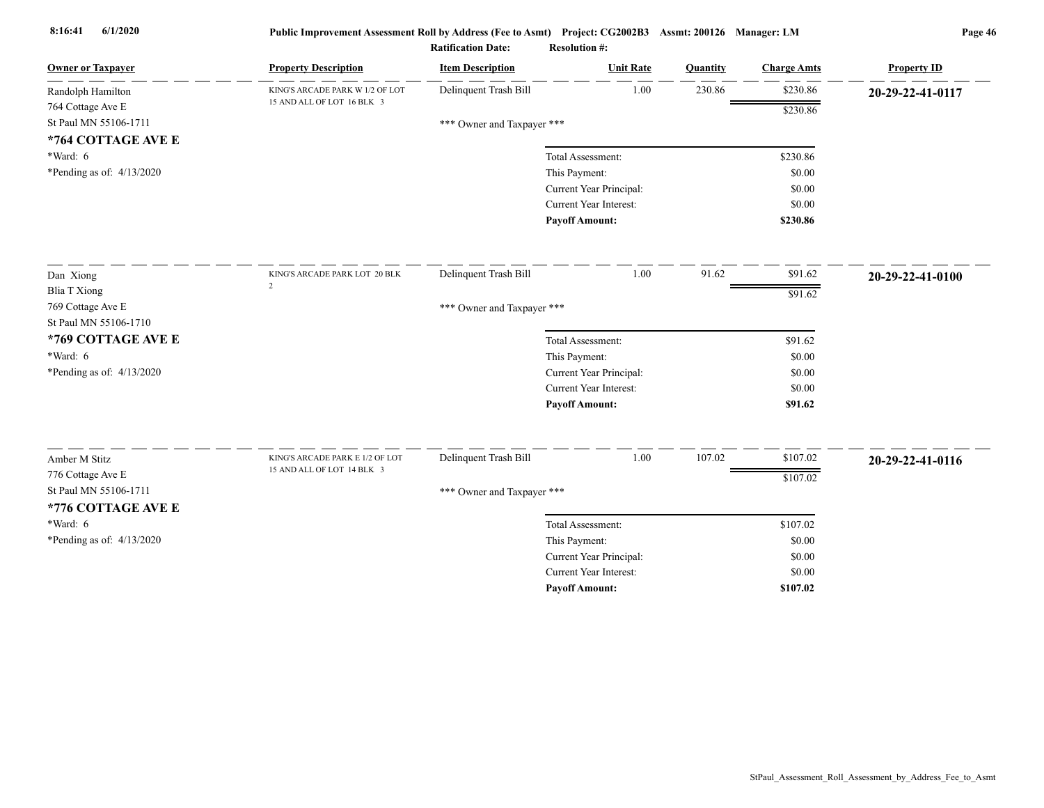| <b>Owner or Taxpayer</b>    | <b>Property Description</b>     | <b>Item Description</b>    | <b>Unit Rate</b>              | Quantity | <b>Charge Amts</b> | <b>Property ID</b> |  |  |  |
|-----------------------------|---------------------------------|----------------------------|-------------------------------|----------|--------------------|--------------------|--|--|--|
| Randolph Hamilton           | KING'S ARCADE PARK W 1/2 OF LOT | Delinquent Trash Bill      | 1.00                          | 230.86   | \$230.86           | 20-29-22-41-0117   |  |  |  |
| 764 Cottage Ave E           | 15 AND ALL OF LOT 16 BLK 3      |                            |                               |          | \$230.86           |                    |  |  |  |
| St Paul MN 55106-1711       |                                 | *** Owner and Taxpayer *** |                               |          |                    |                    |  |  |  |
| *764 COTTAGE AVE E          |                                 |                            |                               |          |                    |                    |  |  |  |
| *Ward: 6                    |                                 |                            | Total Assessment:             |          | \$230.86           |                    |  |  |  |
| *Pending as of: $4/13/2020$ |                                 |                            | This Payment:                 |          | \$0.00             |                    |  |  |  |
|                             |                                 |                            | Current Year Principal:       |          | \$0.00             |                    |  |  |  |
|                             |                                 |                            | <b>Current Year Interest:</b> |          | \$0.00             |                    |  |  |  |
|                             |                                 |                            | <b>Payoff Amount:</b>         |          | \$230.86           |                    |  |  |  |
| Dan Xiong                   | KING'S ARCADE PARK LOT 20 BLK   | Delinquent Trash Bill      | 1.00                          | 91.62    | \$91.62            | 20-29-22-41-0100   |  |  |  |
| <b>Blia T Xiong</b>         | $\overline{2}$                  |                            |                               |          | \$91.62            |                    |  |  |  |
| 769 Cottage Ave E           |                                 | *** Owner and Taxpayer *** |                               |          |                    |                    |  |  |  |
| St Paul MN 55106-1710       |                                 |                            |                               |          |                    |                    |  |  |  |
| *769 COTTAGE AVE E          |                                 |                            | Total Assessment:             |          | \$91.62            |                    |  |  |  |
| $*Ward: 6$                  |                                 |                            | This Payment:                 |          | \$0.00             |                    |  |  |  |
| *Pending as of: $4/13/2020$ |                                 |                            | Current Year Principal:       |          | \$0.00             |                    |  |  |  |
|                             |                                 |                            | Current Year Interest:        |          | \$0.00             |                    |  |  |  |
|                             |                                 |                            | <b>Payoff Amount:</b>         |          | \$91.62            |                    |  |  |  |
| Amber M Stitz               | KING'S ARCADE PARK E 1/2 OF LOT | Delinquent Trash Bill      | 1.00                          | 107.02   | \$107.02           | 20-29-22-41-0116   |  |  |  |
| 776 Cottage Ave E           | 15 AND ALL OF LOT 14 BLK 3      |                            |                               |          | \$107.02           |                    |  |  |  |
| St Paul MN 55106-1711       |                                 | *** Owner and Taxpayer *** |                               |          |                    |                    |  |  |  |
| *776 COTTAGE AVE E          |                                 |                            |                               |          |                    |                    |  |  |  |
| $*Ward: 6$                  |                                 |                            | Total Assessment:             |          | \$107.02           |                    |  |  |  |
| *Pending as of: $4/13/2020$ |                                 |                            | This Payment:                 |          | \$0.00             |                    |  |  |  |
|                             |                                 |                            | Current Year Principal:       |          | \$0.00             |                    |  |  |  |
|                             |                                 |                            | <b>Current Year Interest:</b> |          | \$0.00             |                    |  |  |  |
|                             |                                 |                            | <b>Pavoff Amount:</b>         |          | \$107.02           |                    |  |  |  |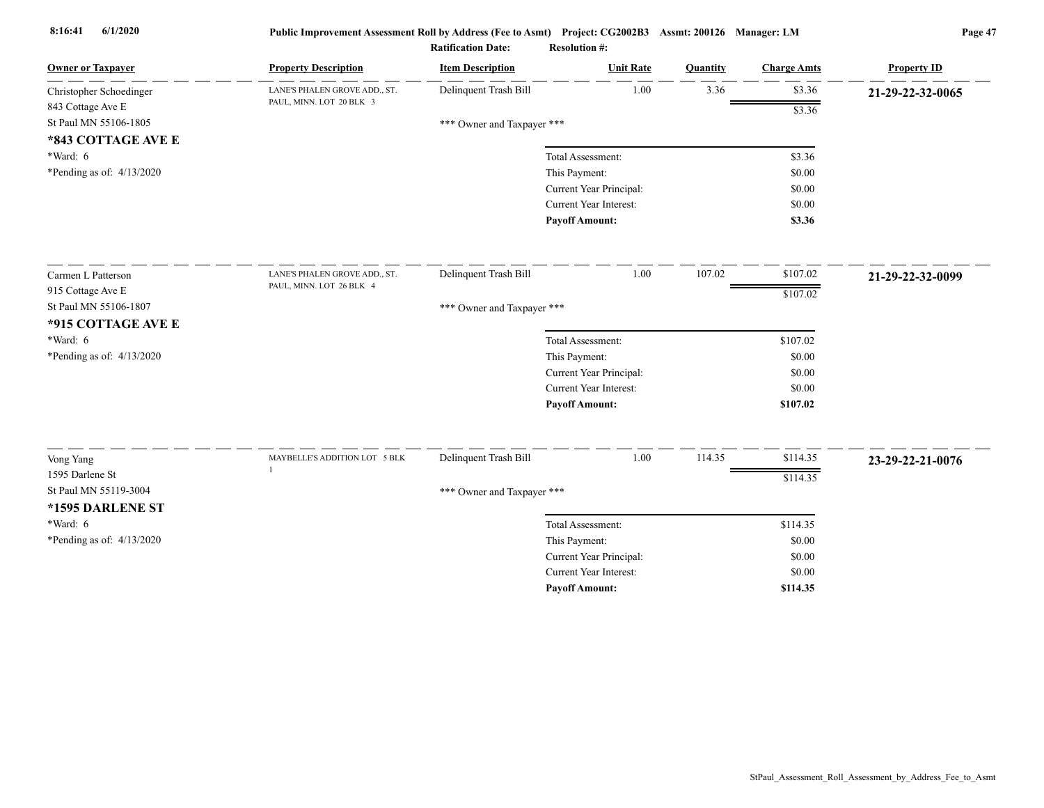| <b>Owner or Taxpayer</b>     | <b>Property Description</b>   | <b>Item Description</b>    | <b>Unit Rate</b>        | Quantity | <b>Charge Amts</b> | <b>Property ID</b> |
|------------------------------|-------------------------------|----------------------------|-------------------------|----------|--------------------|--------------------|
| Christopher Schoedinger      | LANE'S PHALEN GROVE ADD., ST. | Delinquent Trash Bill      | 1.00                    | 3.36     | \$3.36             | 21-29-22-32-0065   |
| 843 Cottage Ave E            | PAUL, MINN. LOT 20 BLK 3      |                            |                         |          | \$3.36             |                    |
| St Paul MN 55106-1805        |                               | *** Owner and Taxpayer *** |                         |          |                    |                    |
| *843 COTTAGE AVE E           |                               |                            |                         |          |                    |                    |
| *Ward: 6                     |                               |                            | Total Assessment:       |          | \$3.36             |                    |
| *Pending as of: 4/13/2020    |                               |                            | This Payment:           |          | \$0.00             |                    |
|                              |                               |                            | Current Year Principal: |          | \$0.00             |                    |
|                              |                               |                            | Current Year Interest:  |          | \$0.00             |                    |
|                              |                               |                            | <b>Payoff Amount:</b>   |          | \$3.36             |                    |
| Carmen L Patterson           | LANE'S PHALEN GROVE ADD., ST. | Delinquent Trash Bill      | 1.00                    | 107.02   | \$107.02           | 21-29-22-32-0099   |
| 915 Cottage Ave E            | PAUL, MINN. LOT 26 BLK 4      |                            |                         |          | \$107.02           |                    |
| St Paul MN 55106-1807        |                               | *** Owner and Taxpayer *** |                         |          |                    |                    |
| *915 COTTAGE AVE E           |                               |                            |                         |          |                    |                    |
| *Ward: 6                     |                               |                            | Total Assessment:       |          | \$107.02           |                    |
| *Pending as of: $4/13/2020$  |                               |                            | This Payment:           |          | \$0.00             |                    |
|                              |                               |                            | Current Year Principal: |          | \$0.00             |                    |
|                              |                               |                            | Current Year Interest:  |          | \$0.00             |                    |
|                              |                               |                            | <b>Payoff Amount:</b>   |          | \$107.02           |                    |
|                              | MAYBELLE'S ADDITION LOT 5 BLK | Delinquent Trash Bill      | 1.00                    | 114.35   | \$114.35           |                    |
| Vong Yang<br>1595 Darlene St |                               |                            |                         |          |                    | 23-29-22-21-0076   |
| St Paul MN 55119-3004        |                               |                            |                         |          | \$114.35           |                    |
|                              |                               | *** Owner and Taxpayer *** |                         |          |                    |                    |
| *1595 DARLENE ST             |                               |                            |                         |          |                    |                    |
| $*Ward: 6$                   |                               |                            | Total Assessment:       |          | \$114.35           |                    |
| *Pending as of: $4/13/2020$  |                               |                            | This Payment:           |          | \$0.00             |                    |
|                              |                               |                            | Current Year Principal: |          | \$0.00             |                    |
|                              |                               |                            | Current Year Interest:  |          | \$0.00             |                    |
|                              |                               |                            | <b>Payoff Amount:</b>   |          | \$114.35           |                    |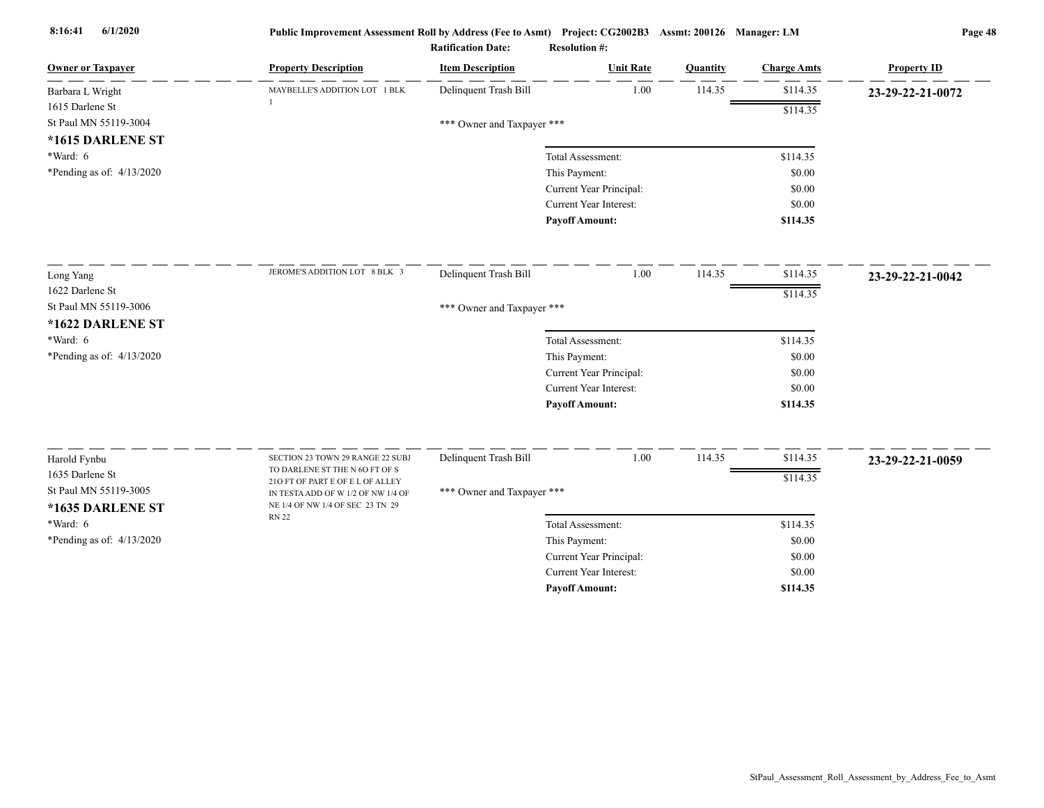| <b>Owner or Taxpayer</b>  | <b>Property Description</b>                                            | <b>Item Description</b>    | <b>Unit Rate</b>              | Quantity | <b>Charge Amts</b> | <b>Property ID</b> |
|---------------------------|------------------------------------------------------------------------|----------------------------|-------------------------------|----------|--------------------|--------------------|
| Barbara L Wright          | MAYBELLE'S ADDITION LOT 1 BLK                                          | Delinquent Trash Bill      | 1.00                          | 114.35   | \$114.35           | 23-29-22-21-0072   |
| 1615 Darlene St           |                                                                        |                            |                               |          | \$114.35           |                    |
| St Paul MN 55119-3004     |                                                                        | *** Owner and Taxpayer *** |                               |          |                    |                    |
| *1615 DARLENE ST          |                                                                        |                            |                               |          |                    |                    |
| *Ward: 6                  |                                                                        |                            | Total Assessment:             |          | \$114.35           |                    |
| *Pending as of: 4/13/2020 |                                                                        |                            | This Payment:                 |          | \$0.00             |                    |
|                           |                                                                        |                            | Current Year Principal:       |          | \$0.00             |                    |
|                           |                                                                        |                            | Current Year Interest:        |          | \$0.00             |                    |
|                           |                                                                        |                            | <b>Payoff Amount:</b>         |          | \$114.35           |                    |
| Long Yang                 | JEROME'S ADDITION LOT 8 BLK 3                                          | Delinquent Trash Bill      | 1.00                          | 114.35   | \$114.35           | 23-29-22-21-0042   |
| 1622 Darlene St           |                                                                        |                            |                               |          | \$114.35           |                    |
| St Paul MN 55119-3006     |                                                                        | *** Owner and Taxpayer *** |                               |          |                    |                    |
| *1622 DARLENE ST          |                                                                        |                            |                               |          |                    |                    |
| *Ward: 6                  |                                                                        |                            | Total Assessment:             |          | \$114.35           |                    |
| *Pending as of: 4/13/2020 |                                                                        |                            | This Payment:                 |          | \$0.00             |                    |
|                           |                                                                        |                            | Current Year Principal:       |          | \$0.00             |                    |
|                           |                                                                        |                            | <b>Current Year Interest:</b> |          | \$0.00             |                    |
|                           |                                                                        |                            | <b>Payoff Amount:</b>         |          | \$114.35           |                    |
| Harold Fynbu              | SECTION 23 TOWN 29 RANGE 22 SUBJ                                       | Delinquent Trash Bill      | 1.00                          | 114.35   | \$114.35           | 23-29-22-21-0059   |
| 1635 Darlene St           | TO DARLENE ST THE N 6O FT OF S                                         |                            |                               |          |                    |                    |
| St Paul MN 55119-3005     | 210 FT OF PART E OF E L OF ALLEY                                       | *** Owner and Taxpayer *** |                               |          | \$114.35           |                    |
| *1635 DARLENE ST          | IN TESTA ADD OF W 1/2 OF NW 1/4 OF<br>NE 1/4 OF NW 1/4 OF SEC 23 TN 29 |                            |                               |          |                    |                    |
| *Ward: 6                  | <b>RN 22</b>                                                           |                            | Total Assessment:             |          | \$114.35           |                    |
| *Pending as of: 4/13/2020 |                                                                        |                            | This Payment:                 |          | \$0.00             |                    |
|                           |                                                                        |                            | Current Year Principal:       |          | \$0.00             |                    |
|                           |                                                                        |                            | Current Year Interest:        |          | \$0.00             |                    |
|                           |                                                                        |                            | <b>Payoff Amount:</b>         |          | \$114.35           |                    |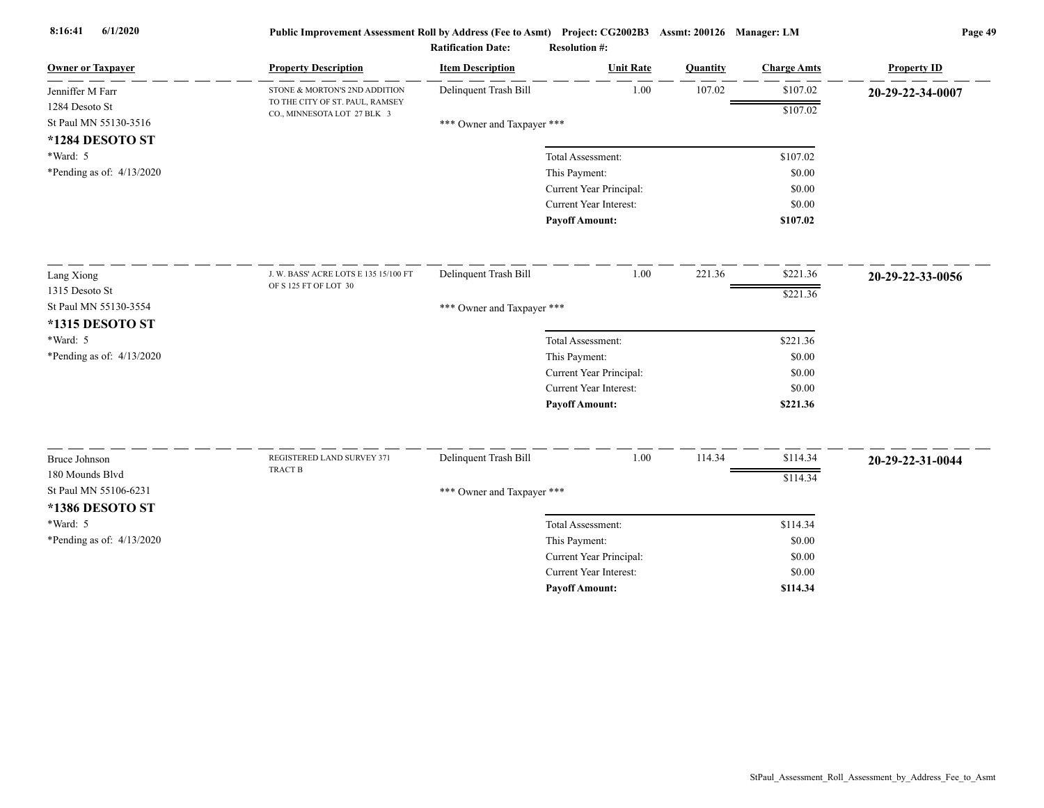| <b>Owner or Taxpayer</b>    | <b>Property Description</b>                                    | <b>Item Description</b>    | <b>Unit Rate</b>        | Quantity | <b>Charge Amts</b> | <b>Property ID</b> |
|-----------------------------|----------------------------------------------------------------|----------------------------|-------------------------|----------|--------------------|--------------------|
| Jenniffer M Farr            | STONE & MORTON'S 2ND ADDITION                                  | Delinquent Trash Bill      | 1.00                    | 107.02   | \$107.02           | 20-29-22-34-0007   |
| 1284 Desoto St              | TO THE CITY OF ST. PAUL, RAMSEY<br>CO., MINNESOTA LOT 27 BLK 3 |                            |                         |          | \$107.02           |                    |
| St Paul MN 55130-3516       |                                                                | *** Owner and Taxpayer *** |                         |          |                    |                    |
| *1284 DESOTO ST             |                                                                |                            |                         |          |                    |                    |
| *Ward: 5                    |                                                                |                            | Total Assessment:       |          | \$107.02           |                    |
| *Pending as of: $4/13/2020$ |                                                                |                            | This Payment:           |          | \$0.00             |                    |
|                             |                                                                |                            | Current Year Principal: |          | \$0.00             |                    |
|                             |                                                                |                            | Current Year Interest:  |          | \$0.00             |                    |
|                             |                                                                |                            | <b>Payoff Amount:</b>   |          | \$107.02           |                    |
| Lang Xiong                  | J. W. BASS' ACRE LOTS E 135 15/100 FT                          | Delinquent Trash Bill      | 1.00                    | 221.36   | \$221.36           | 20-29-22-33-0056   |
| 1315 Desoto St              | OF S 125 FT OF LOT 30                                          |                            |                         |          | \$221.36           |                    |
| St Paul MN 55130-3554       |                                                                | *** Owner and Taxpayer *** |                         |          |                    |                    |
| *1315 DESOTO ST             |                                                                |                            |                         |          |                    |                    |
| *Ward: 5                    |                                                                |                            | Total Assessment:       |          | \$221.36           |                    |
| *Pending as of: $4/13/2020$ |                                                                |                            | This Payment:           |          | \$0.00             |                    |
|                             |                                                                |                            | Current Year Principal: |          | \$0.00             |                    |
|                             |                                                                |                            | Current Year Interest:  |          | \$0.00             |                    |
|                             |                                                                |                            | <b>Payoff Amount:</b>   |          | \$221.36           |                    |
|                             |                                                                |                            |                         |          |                    |                    |
| <b>Bruce Johnson</b>        | REGISTERED LAND SURVEY 371<br>TRACT B                          | Delinquent Trash Bill      | 1.00                    | 114.34   | \$114.34           | 20-29-22-31-0044   |
| 180 Mounds Blvd             |                                                                |                            |                         |          | \$114.34           |                    |
| St Paul MN 55106-6231       |                                                                | *** Owner and Taxpayer *** |                         |          |                    |                    |
| *1386 DESOTO ST             |                                                                |                            |                         |          |                    |                    |
| *Ward: 5                    |                                                                |                            | Total Assessment:       |          | \$114.34           |                    |
| *Pending as of: $4/13/2020$ |                                                                |                            | This Payment:           |          | \$0.00             |                    |
|                             |                                                                |                            | Current Year Principal: |          | \$0.00             |                    |
|                             |                                                                |                            | Current Year Interest:  |          | \$0.00             |                    |
|                             |                                                                |                            | <b>Payoff Amount:</b>   |          | \$114.34           |                    |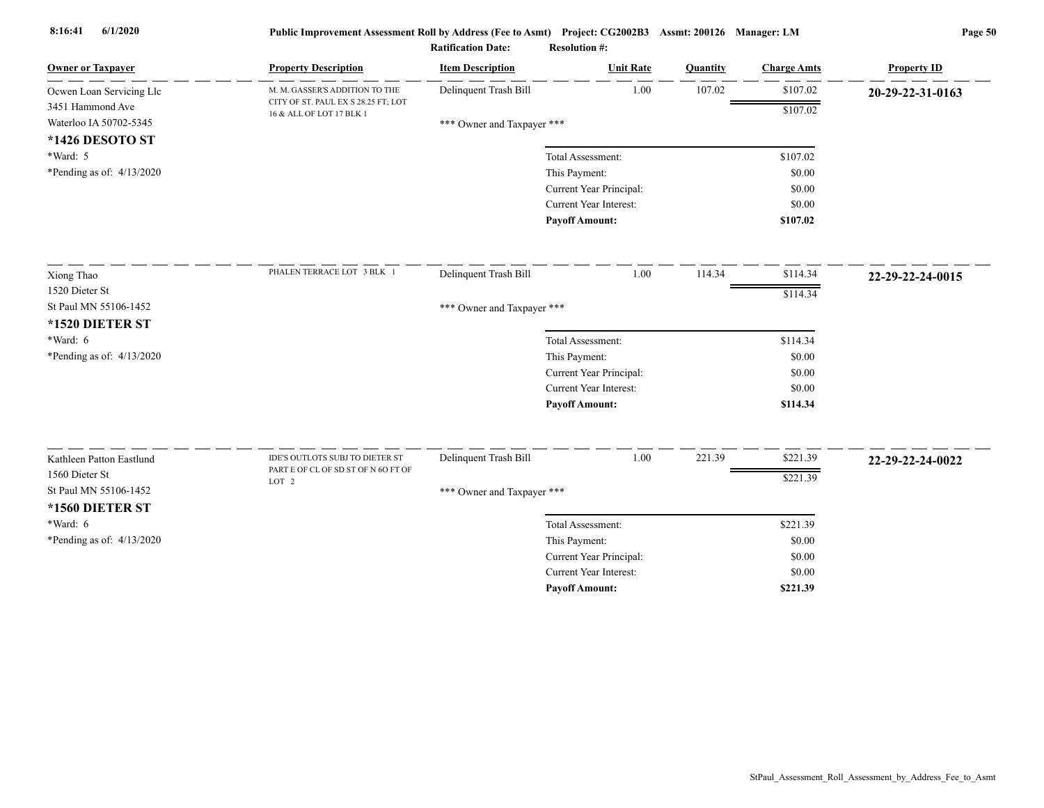| <b>Owner or Taxpayer</b>                   | <b>Property Description</b>                                     | <b>Item Description</b>    | <b>Unit Rate</b>              | Quantity | <b>Charge Amts</b> | <b>Property ID</b> |
|--------------------------------------------|-----------------------------------------------------------------|----------------------------|-------------------------------|----------|--------------------|--------------------|
| Ocwen Loan Servicing Llc                   | M. M. GASSER'S ADDITION TO THE                                  | Delinquent Trash Bill      | 1.00                          | 107.02   | \$107.02           | 20-29-22-31-0163   |
| 3451 Hammond Ave<br>Waterloo IA 50702-5345 | CITY OF ST. PAUL EX S 28.25 FT; LOT<br>16 & ALL OF LOT 17 BLK 1 | *** Owner and Taxpayer *** |                               |          | \$107.02           |                    |
| *1426 DESOTO ST                            |                                                                 |                            |                               |          |                    |                    |
| *Ward: 5                                   |                                                                 |                            | Total Assessment:             |          | \$107.02           |                    |
| *Pending as of: $4/13/2020$                |                                                                 |                            | This Payment:                 |          | \$0.00             |                    |
|                                            |                                                                 |                            | Current Year Principal:       |          | \$0.00             |                    |
|                                            |                                                                 |                            | Current Year Interest:        |          | \$0.00             |                    |
|                                            |                                                                 |                            | <b>Payoff Amount:</b>         |          | \$107.02           |                    |
| Xiong Thao                                 | PHALEN TERRACE LOT 3 BLK 1                                      | Delinquent Trash Bill      | 1.00                          | 114.34   | \$114.34           | 22-29-22-24-0015   |
| 1520 Dieter St                             |                                                                 |                            |                               |          | \$114.34           |                    |
| St Paul MN 55106-1452                      |                                                                 | *** Owner and Taxpayer *** |                               |          |                    |                    |
| *1520 DIETER ST                            |                                                                 |                            |                               |          |                    |                    |
| *Ward: 6                                   |                                                                 |                            | Total Assessment:             |          | \$114.34           |                    |
| *Pending as of: $4/13/2020$                |                                                                 |                            | This Payment:                 |          | \$0.00             |                    |
|                                            |                                                                 |                            | Current Year Principal:       |          | \$0.00             |                    |
|                                            |                                                                 |                            | <b>Current Year Interest:</b> |          | \$0.00             |                    |
|                                            |                                                                 |                            | <b>Payoff Amount:</b>         |          | \$114.34           |                    |
| Kathleen Patton Eastlund                   | IDE'S OUTLOTS SUBJ TO DIETER ST                                 | Delinquent Trash Bill      | 1.00                          | 221.39   | \$221.39           | 22-29-22-24-0022   |
| 1560 Dieter St                             | PART E OF CL OF SD ST OF N 6O FT OF                             |                            |                               |          | \$221.39           |                    |
| St Paul MN 55106-1452                      | LOT <sub>2</sub>                                                | *** Owner and Taxpayer *** |                               |          |                    |                    |
| *1560 DIETER ST                            |                                                                 |                            |                               |          |                    |                    |
| *Ward: 6                                   |                                                                 |                            | Total Assessment:             |          | \$221.39           |                    |
| *Pending as of: $4/13/2020$                |                                                                 |                            | This Payment:                 |          | \$0.00             |                    |
|                                            |                                                                 |                            | Current Year Principal:       |          | \$0.00             |                    |
|                                            |                                                                 |                            | <b>Current Year Interest:</b> |          | \$0.00             |                    |
|                                            |                                                                 |                            | <b>Pavoff Amount:</b>         |          | \$221.39           |                    |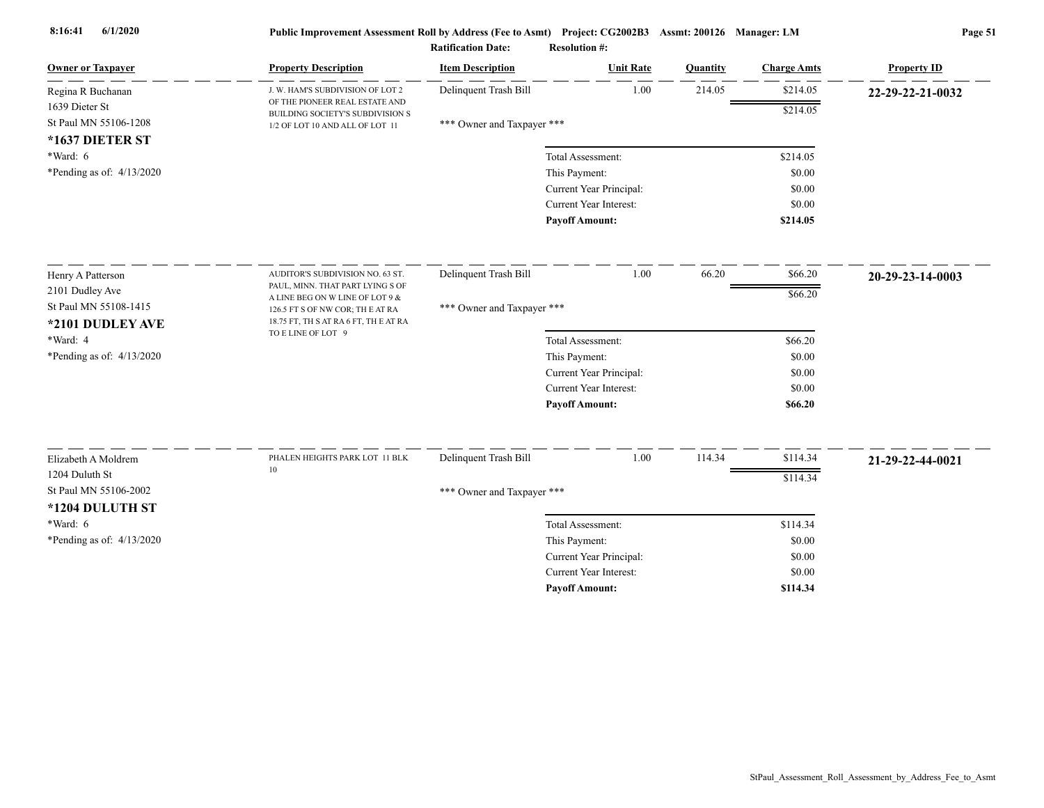| <b>Owner or Taxpayer</b>    | <b>Property Description</b>                                         | <b>Item Description</b>    | <b>Unit Rate</b>              | Quantity | <b>Charge Amts</b> | <b>Property ID</b> |
|-----------------------------|---------------------------------------------------------------------|----------------------------|-------------------------------|----------|--------------------|--------------------|
| Regina R Buchanan           | J. W. HAM'S SUBDIVISION OF LOT 2                                    | Delinquent Trash Bill      | 1.00                          | 214.05   | \$214.05           | 22-29-22-21-0032   |
| 1639 Dieter St              | OF THE PIONEER REAL ESTATE AND<br>BUILDING SOCIETY'S SUBDIVISION S  |                            |                               |          | \$214.05           |                    |
| St Paul MN 55106-1208       | 1/2 OF LOT 10 AND ALL OF LOT 11                                     | *** Owner and Taxpayer *** |                               |          |                    |                    |
| *1637 DIETER ST             |                                                                     |                            |                               |          |                    |                    |
| $*Ward: 6$                  |                                                                     |                            | Total Assessment:             |          | \$214.05           |                    |
| *Pending as of: $4/13/2020$ |                                                                     |                            | This Payment:                 |          | \$0.00             |                    |
|                             |                                                                     |                            | Current Year Principal:       |          | \$0.00             |                    |
|                             |                                                                     |                            | Current Year Interest:        |          | \$0.00             |                    |
|                             |                                                                     |                            | <b>Payoff Amount:</b>         |          | \$214.05           |                    |
| Henry A Patterson           | AUDITOR'S SUBDIVISION NO. 63 ST.                                    | Delinquent Trash Bill      | 1.00                          | 66.20    | \$66.20            | 20-29-23-14-0003   |
| 2101 Dudley Ave             | PAUL, MINN. THAT PART LYING S OF                                    |                            |                               |          | \$66.20            |                    |
| St Paul MN 55108-1415       | A LINE BEG ON W LINE OF LOT 9 &<br>126.5 FT S OF NW COR; TH E AT RA | *** Owner and Taxpayer *** |                               |          |                    |                    |
| *2101 DUDLEY AVE            | 18.75 FT, TH S AT RA 6 FT, TH E AT RA                               |                            |                               |          |                    |                    |
| *Ward: 4                    | TO E LINE OF LOT 9                                                  |                            | Total Assessment:             |          | \$66.20            |                    |
| *Pending as of: 4/13/2020   |                                                                     |                            | This Payment:                 |          | \$0.00             |                    |
|                             |                                                                     |                            | Current Year Principal:       |          | \$0.00             |                    |
|                             |                                                                     |                            | <b>Current Year Interest:</b> |          | \$0.00             |                    |
|                             |                                                                     |                            | <b>Payoff Amount:</b>         |          | \$66.20            |                    |
|                             |                                                                     |                            |                               |          |                    |                    |
| Elizabeth A Moldrem         | PHALEN HEIGHTS PARK LOT 11 BLK<br>$10\,$                            | Delinquent Trash Bill      | 1.00                          | 114.34   | \$114.34           | 21-29-22-44-0021   |
| 1204 Duluth St              |                                                                     |                            |                               |          | \$114.34           |                    |
| St Paul MN 55106-2002       |                                                                     | *** Owner and Taxpayer *** |                               |          |                    |                    |
| *1204 DULUTH ST             |                                                                     |                            |                               |          |                    |                    |
| *Ward: 6                    |                                                                     |                            | Total Assessment:             |          | \$114.34           |                    |
| *Pending as of: $4/13/2020$ |                                                                     |                            | This Payment:                 |          | \$0.00             |                    |
|                             |                                                                     |                            | Current Year Principal:       |          | \$0.00             |                    |
|                             |                                                                     |                            | <b>Current Year Interest:</b> |          | \$0.00             |                    |
|                             |                                                                     |                            | <b>Payoff Amount:</b>         |          | \$114.34           |                    |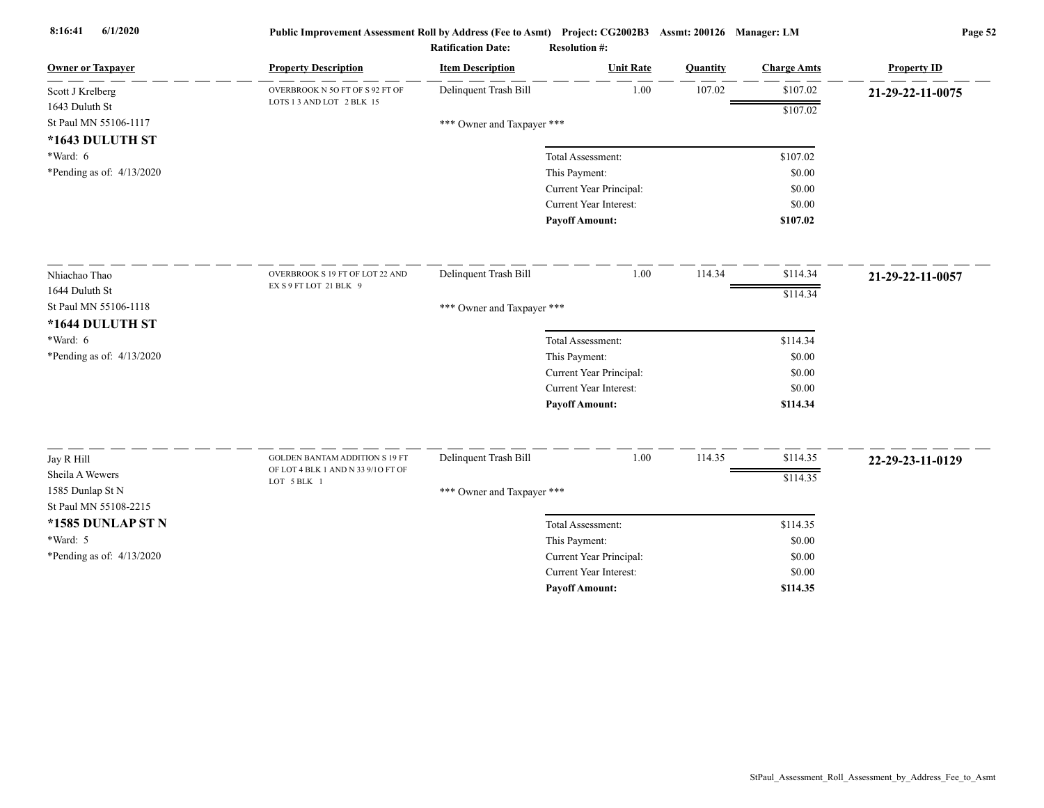| <b>Owner or Taxpayer</b>  | <b>Property Description</b>                                  | <b>Item Description</b>    | <b>Unit Rate</b>              | Quantity | <b>Charge Amts</b> | <b>Property ID</b> |
|---------------------------|--------------------------------------------------------------|----------------------------|-------------------------------|----------|--------------------|--------------------|
| Scott J Krelberg          | OVERBROOK N 5O FT OF S 92 FT OF<br>LOTS 1 3 AND LOT 2 BLK 15 | Delinquent Trash Bill      | 1.00                          | 107.02   | \$107.02           | 21-29-22-11-0075   |
| 1643 Duluth St            |                                                              |                            |                               |          | \$107.02           |                    |
| St Paul MN 55106-1117     |                                                              | *** Owner and Taxpayer *** |                               |          |                    |                    |
| *1643 DULUTH ST           |                                                              |                            |                               |          |                    |                    |
| *Ward: 6                  |                                                              |                            | Total Assessment:             |          | \$107.02           |                    |
| *Pending as of: 4/13/2020 |                                                              |                            | This Payment:                 |          | \$0.00             |                    |
|                           |                                                              |                            | Current Year Principal:       |          | \$0.00             |                    |
|                           |                                                              |                            | Current Year Interest:        |          | \$0.00             |                    |
|                           |                                                              |                            | <b>Payoff Amount:</b>         |          | \$107.02           |                    |
| Nhiachao Thao             | OVERBROOK S 19 FT OF LOT 22 AND                              | Delinquent Trash Bill      | 1.00                          | 114.34   | \$114.34           | 21-29-22-11-0057   |
| 1644 Duluth St            | EX S 9 FT LOT 21 BLK 9                                       |                            |                               |          | \$114.34           |                    |
| St Paul MN 55106-1118     |                                                              | *** Owner and Taxpayer *** |                               |          |                    |                    |
| *1644 DULUTH ST           |                                                              |                            |                               |          |                    |                    |
| $*Ward: 6$                |                                                              |                            | Total Assessment:             |          | \$114.34           |                    |
| *Pending as of: 4/13/2020 |                                                              |                            | This Payment:                 |          | \$0.00             |                    |
|                           |                                                              |                            | Current Year Principal:       |          | \$0.00             |                    |
|                           |                                                              |                            | <b>Current Year Interest:</b> |          | \$0.00             |                    |
|                           |                                                              |                            | <b>Payoff Amount:</b>         |          | \$114.34           |                    |
| Jay R Hill                | <b>GOLDEN BANTAM ADDITION S 19 FT</b>                        | Delinquent Trash Bill      | 1.00                          | 114.35   | \$114.35           | 22-29-23-11-0129   |
| Sheila A Wewers           | OF LOT 4 BLK 1 AND N 33 9/10 FT OF                           |                            |                               |          | \$114.35           |                    |
| 1585 Dunlap St N          | LOT 5 BLK 1                                                  | *** Owner and Taxpayer *** |                               |          |                    |                    |
| St Paul MN 55108-2215     |                                                              |                            |                               |          |                    |                    |
| *1585 DUNLAP ST N         |                                                              |                            | Total Assessment:             |          | \$114.35           |                    |
| *Ward: 5                  |                                                              |                            | This Payment:                 |          | \$0.00             |                    |
| *Pending as of: 4/13/2020 |                                                              |                            | Current Year Principal:       |          | \$0.00             |                    |
|                           |                                                              |                            | <b>Current Year Interest:</b> |          | \$0.00             |                    |
|                           |                                                              |                            | <b>Payoff Amount:</b>         |          | \$114.35           |                    |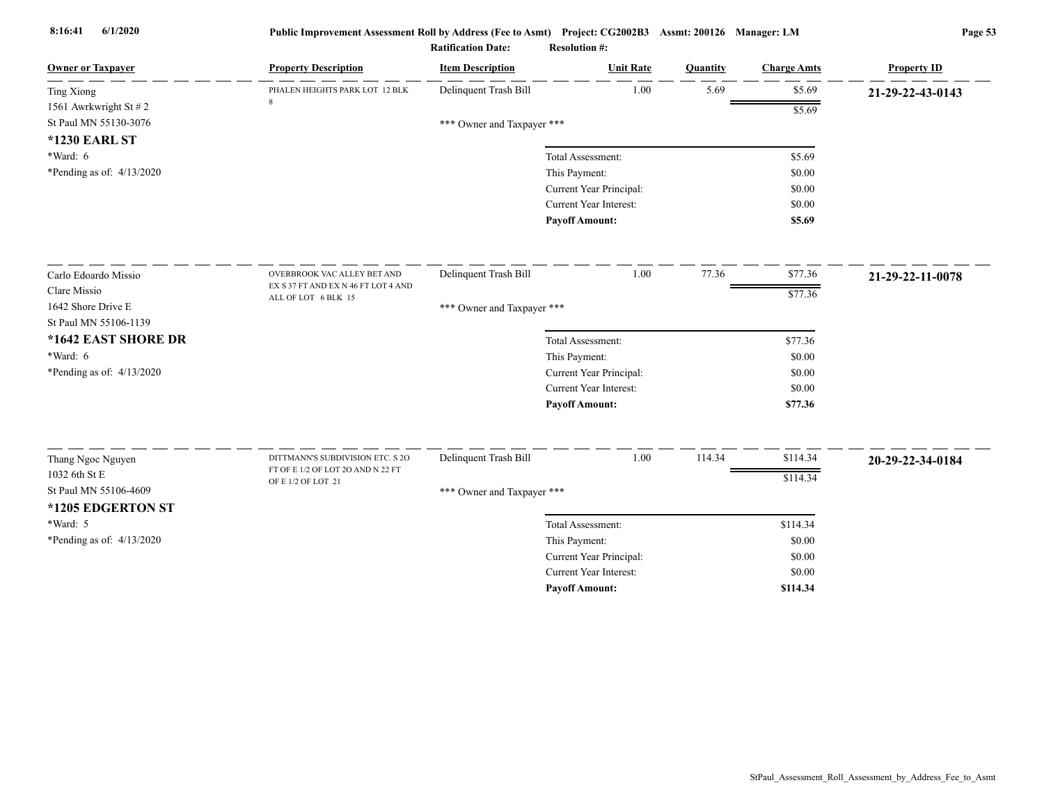| <b>Owner or Taxpayer</b>                                                   | <b>Property Description</b>         | <b>Item Description</b>    | <b>Unit Rate</b>              | Quantity | <b>Charge Amts</b> | <b>Property ID</b> |
|----------------------------------------------------------------------------|-------------------------------------|----------------------------|-------------------------------|----------|--------------------|--------------------|
| <b>Ting Xiong</b>                                                          | PHALEN HEIGHTS PARK LOT 12 BLK      | Delinquent Trash Bill      | 1.00                          | 5.69     | \$5.69             | 21-29-22-43-0143   |
| 1561 Awrkwright St $\# 2$<br>St Paul MN 55130-3076<br><b>*1230 EARL ST</b> |                                     | *** Owner and Taxpayer *** |                               |          | \$5.69             |                    |
| $*Ward: 6$                                                                 |                                     |                            | Total Assessment:             |          | \$5.69             |                    |
| *Pending as of: $4/13/2020$                                                |                                     |                            | This Payment:                 |          | \$0.00             |                    |
|                                                                            |                                     |                            | Current Year Principal:       |          | \$0.00             |                    |
|                                                                            |                                     |                            | Current Year Interest:        |          | \$0.00             |                    |
|                                                                            |                                     |                            | <b>Payoff Amount:</b>         |          | \$5.69             |                    |
| Carlo Edoardo Missio                                                       | OVERBROOK VAC ALLEY BET AND         | Delinquent Trash Bill      | 1.00                          | 77.36    | \$77.36            | 21-29-22-11-0078   |
| Clare Missio                                                               | EX S 37 FT AND EX N 46 FT LOT 4 AND |                            |                               |          | \$77.36            |                    |
| 1642 Shore Drive E<br>St Paul MN 55106-1139                                | ALL OF LOT 6 BLK 15                 | *** Owner and Taxpayer *** |                               |          |                    |                    |
| *1642 EAST SHORE DR                                                        |                                     |                            | Total Assessment:             |          | \$77.36            |                    |
| *Ward: 6                                                                   |                                     |                            | This Payment:                 |          | \$0.00             |                    |
| *Pending as of: $4/13/2020$                                                |                                     |                            | Current Year Principal:       |          | \$0.00             |                    |
|                                                                            |                                     |                            | Current Year Interest:        |          | \$0.00             |                    |
|                                                                            |                                     |                            | <b>Payoff Amount:</b>         |          | \$77.36            |                    |
|                                                                            | DITTMANN'S SUBDIVISION ETC. S 2O    | Delinquent Trash Bill      | 1.00                          | 114.34   | \$114.34           |                    |
| Thang Ngoc Nguyen<br>1032 6th St E                                         | FT OF E 1/2 OF LOT 2O AND N 22 FT   |                            |                               |          |                    | 20-29-22-34-0184   |
| St Paul MN 55106-4609                                                      | OF E 1/2 OF LOT 21                  |                            |                               |          | \$114.34           |                    |
| *1205 EDGERTON ST                                                          |                                     | *** Owner and Taxpayer *** |                               |          |                    |                    |
| *Ward: 5                                                                   |                                     |                            | Total Assessment:             |          | \$114.34           |                    |
| *Pending as of: 4/13/2020                                                  |                                     |                            | This Payment:                 |          | \$0.00             |                    |
|                                                                            |                                     |                            | Current Year Principal:       |          | \$0.00             |                    |
|                                                                            |                                     |                            | <b>Current Year Interest:</b> |          | \$0.00             |                    |
|                                                                            |                                     |                            | <b>Payoff Amount:</b>         |          | \$114.34           |                    |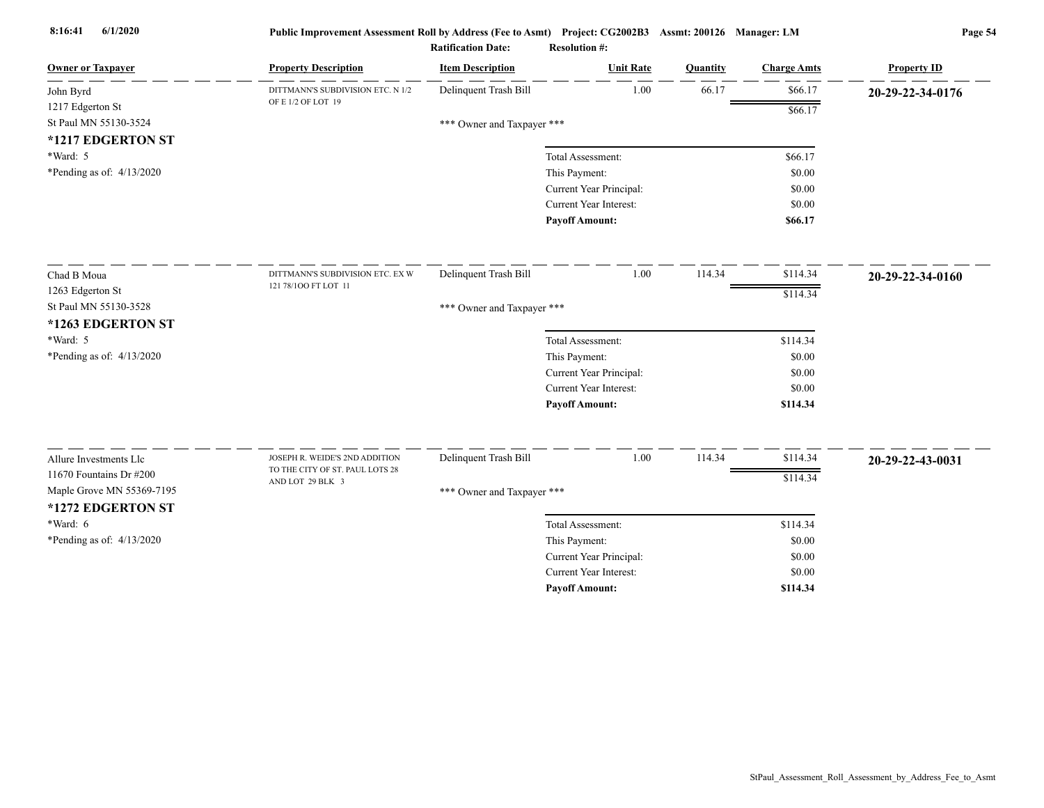| <b>Owner or Taxpayer</b>    | <b>Property Description</b>       | <b>Item Description</b>    | <b>Unit Rate</b>              | Quantity | <b>Charge Amts</b> | <b>Property ID</b> |
|-----------------------------|-----------------------------------|----------------------------|-------------------------------|----------|--------------------|--------------------|
| John Byrd                   | DITTMANN'S SUBDIVISION ETC. N 1/2 | Delinquent Trash Bill      | 1.00                          | 66.17    | \$66.17            | 20-29-22-34-0176   |
| 1217 Edgerton St            | OF E 1/2 OF LOT 19                |                            |                               |          | \$66.17            |                    |
| St Paul MN 55130-3524       |                                   | *** Owner and Taxpayer *** |                               |          |                    |                    |
| *1217 EDGERTON ST           |                                   |                            |                               |          |                    |                    |
| $*Ward: 5$                  |                                   |                            | Total Assessment:             |          | \$66.17            |                    |
| *Pending as of: $4/13/2020$ |                                   |                            | This Payment:                 |          | \$0.00             |                    |
|                             |                                   |                            | Current Year Principal:       |          | \$0.00             |                    |
|                             |                                   |                            | <b>Current Year Interest:</b> |          | \$0.00             |                    |
|                             |                                   |                            | <b>Payoff Amount:</b>         |          | \$66.17            |                    |
| Chad B Moua                 | DITTMANN'S SUBDIVISION ETC. EX W  | Delinquent Trash Bill      | 1.00                          | 114.34   | \$114.34           | 20-29-22-34-0160   |
| 1263 Edgerton St            | 121 78/100 FT LOT 11              |                            |                               |          | \$114.34           |                    |
| St Paul MN 55130-3528       |                                   | *** Owner and Taxpayer *** |                               |          |                    |                    |
| *1263 EDGERTON ST           |                                   |                            |                               |          |                    |                    |
| *Ward: 5                    |                                   |                            | Total Assessment:             |          | \$114.34           |                    |
| *Pending as of: 4/13/2020   |                                   |                            | This Payment:                 |          | \$0.00             |                    |
|                             |                                   |                            | Current Year Principal:       |          | \$0.00             |                    |
|                             |                                   |                            | Current Year Interest:        |          | \$0.00             |                    |
|                             |                                   |                            | <b>Payoff Amount:</b>         |          | \$114.34           |                    |
| Allure Investments Llc      | JOSEPH R. WEIDE'S 2ND ADDITION    | Delinquent Trash Bill      | 1.00                          | 114.34   | \$114.34           |                    |
| 11670 Fountains Dr #200     | TO THE CITY OF ST. PAUL LOTS 28   |                            |                               |          |                    | 20-29-22-43-0031   |
| Maple Grove MN 55369-7195   | AND LOT 29 BLK 3                  | *** Owner and Taxpayer *** |                               |          | \$114.34           |                    |
| *1272 EDGERTON ST           |                                   |                            |                               |          |                    |                    |
| *Ward: 6                    |                                   |                            | Total Assessment:             |          | \$114.34           |                    |
| *Pending as of: $4/13/2020$ |                                   |                            | This Payment:                 |          | \$0.00             |                    |
|                             |                                   |                            | Current Year Principal:       |          | \$0.00             |                    |
|                             |                                   |                            | Current Year Interest:        |          | \$0.00             |                    |
|                             |                                   |                            | <b>Pavoff Amount:</b>         |          | \$114.34           |                    |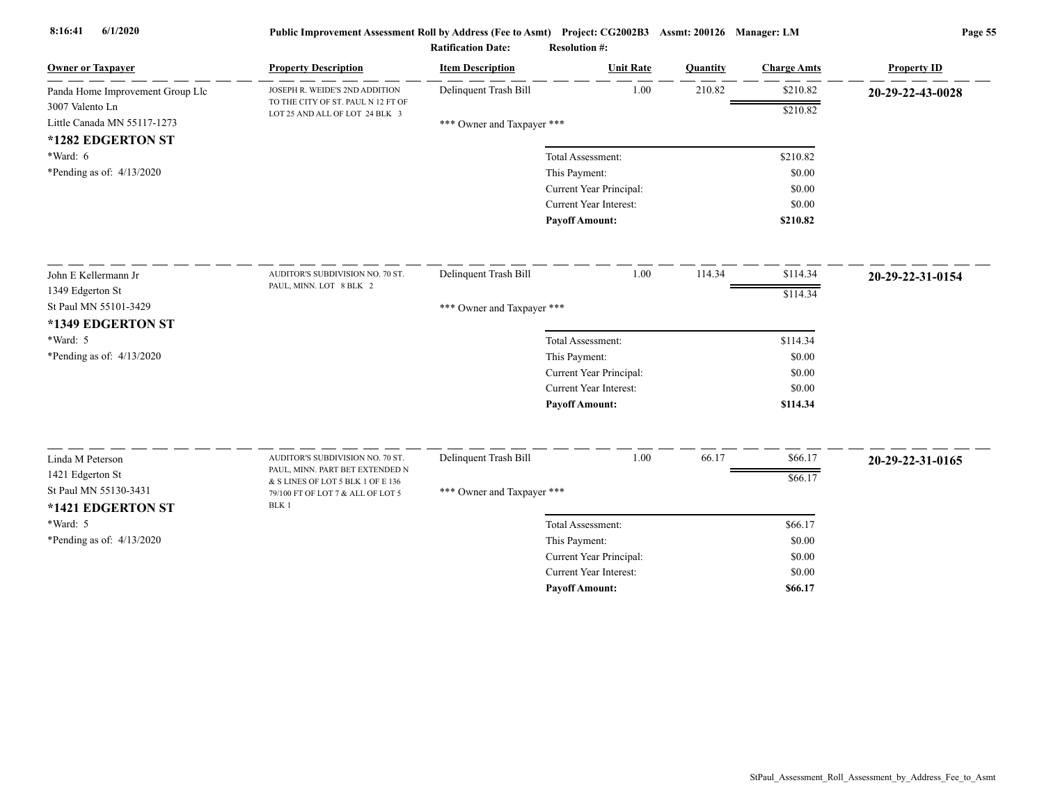| <b>Owner or Taxpayer</b>                       | <b>Property Description</b>                                             | <b>Item Description</b>    | <b>Unit Rate</b>              | Quantity | <b>Charge Amts</b> | <b>Property ID</b> |
|------------------------------------------------|-------------------------------------------------------------------------|----------------------------|-------------------------------|----------|--------------------|--------------------|
| Panda Home Improvement Group Llc               | JOSEPH R. WEIDE'S 2ND ADDITION<br>TO THE CITY OF ST. PAUL N 12 FT OF    | Delinquent Trash Bill      | 1.00                          | 210.82   | \$210.82           | 20-29-22-43-0028   |
| 3007 Valento Ln<br>Little Canada MN 55117-1273 | LOT 25 AND ALL OF LOT 24 BLK 3                                          |                            |                               |          | \$210.82           |                    |
| *1282 EDGERTON ST                              |                                                                         | *** Owner and Taxpayer *** |                               |          |                    |                    |
| *Ward: 6                                       |                                                                         |                            | Total Assessment:             |          | \$210.82           |                    |
| *Pending as of: $4/13/2020$                    |                                                                         |                            | This Payment:                 |          | \$0.00             |                    |
|                                                |                                                                         |                            | Current Year Principal:       |          | \$0.00             |                    |
|                                                |                                                                         |                            | Current Year Interest:        |          | \$0.00             |                    |
|                                                |                                                                         |                            | <b>Payoff Amount:</b>         |          | \$210.82           |                    |
| John E Kellermann Jr                           | AUDITOR'S SUBDIVISION NO. 70 ST.                                        | Delinquent Trash Bill      | 1.00                          | 114.34   | \$114.34           | 20-29-22-31-0154   |
| 1349 Edgerton St                               | PAUL, MINN. LOT 8 BLK 2                                                 |                            |                               |          | \$114.34           |                    |
| St Paul MN 55101-3429                          |                                                                         | *** Owner and Taxpayer *** |                               |          |                    |                    |
| *1349 EDGERTON ST                              |                                                                         |                            |                               |          |                    |                    |
| *Ward: 5                                       |                                                                         |                            | Total Assessment:             |          | \$114.34           |                    |
| *Pending as of: 4/13/2020                      |                                                                         |                            | This Payment:                 |          | \$0.00             |                    |
|                                                |                                                                         |                            | Current Year Principal:       |          | \$0.00             |                    |
|                                                |                                                                         |                            | Current Year Interest:        |          | \$0.00             |                    |
|                                                |                                                                         |                            | <b>Payoff Amount:</b>         |          | \$114.34           |                    |
| Linda M Peterson                               | AUDITOR'S SUBDIVISION NO. 70 ST.                                        | Delinquent Trash Bill      | 1.00                          | 66.17    | \$66.17            | 20-29-22-31-0165   |
| 1421 Edgerton St                               | PAUL, MINN. PART BET EXTENDED N<br>$\&$ S LINES OF LOT 5 BLK 1 OF E 136 |                            |                               |          | \$66.17            |                    |
| St Paul MN 55130-3431<br>*1421 EDGERTON ST     | 79/100 FT OF LOT 7 & ALL OF LOT 5<br>BLK 1                              | *** Owner and Taxpayer *** |                               |          |                    |                    |
| *Ward: 5                                       |                                                                         |                            | Total Assessment:             |          | \$66.17            |                    |
| *Pending as of: $4/13/2020$                    |                                                                         |                            | This Payment:                 |          | \$0.00             |                    |
|                                                |                                                                         |                            | Current Year Principal:       |          | \$0.00             |                    |
|                                                |                                                                         |                            | <b>Current Year Interest:</b> |          | \$0.00             |                    |
|                                                |                                                                         |                            | <b>Payoff Amount:</b>         |          | \$66.17            |                    |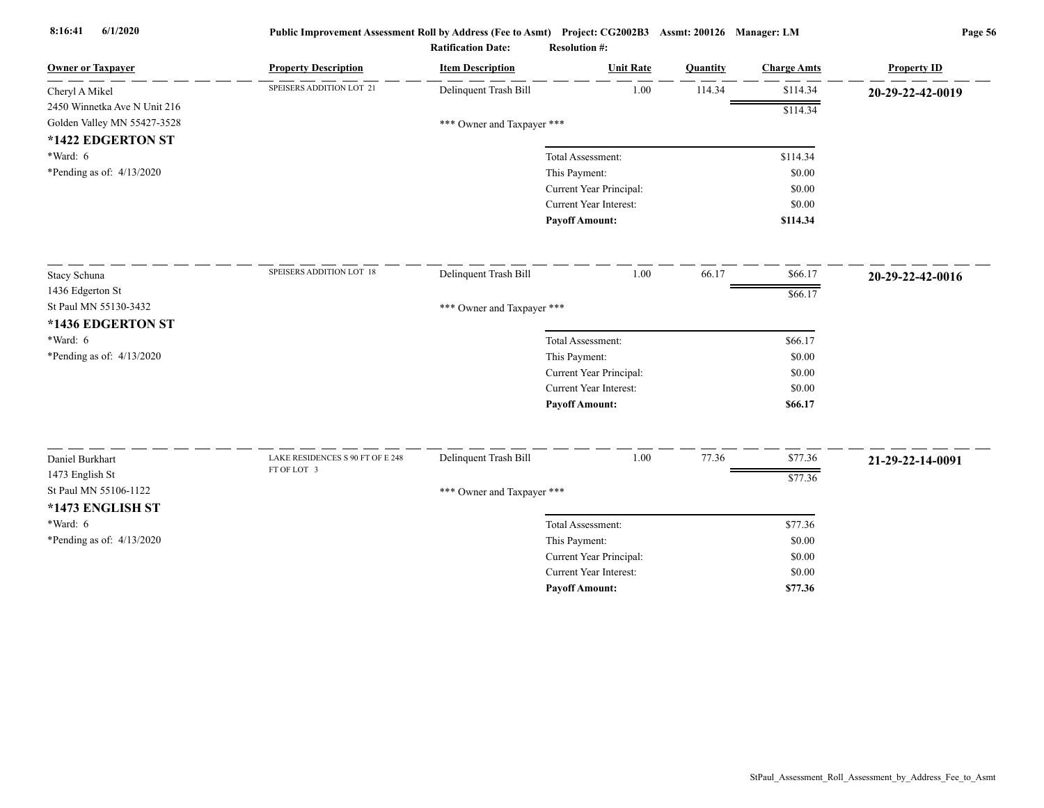| <b>Owner or Taxpayer</b>     | <b>Property Description</b>                     | <b>Item Description</b>    | <b>Unit Rate</b>              | Quantity | <b>Charge Amts</b> | <b>Property ID</b> |
|------------------------------|-------------------------------------------------|----------------------------|-------------------------------|----------|--------------------|--------------------|
| Cheryl A Mikel               | SPEISERS ADDITION LOT 21                        | Delinquent Trash Bill      | 1.00                          | 114.34   | \$114.34           | 20-29-22-42-0019   |
| 2450 Winnetka Ave N Unit 216 |                                                 |                            |                               |          | \$114.34           |                    |
| Golden Valley MN 55427-3528  |                                                 | *** Owner and Taxpayer *** |                               |          |                    |                    |
| *1422 EDGERTON ST            |                                                 |                            |                               |          |                    |                    |
| *Ward: 6                     |                                                 |                            | Total Assessment:             |          | \$114.34           |                    |
| *Pending as of: $4/13/2020$  |                                                 |                            | This Payment:                 |          | \$0.00             |                    |
|                              |                                                 |                            | Current Year Principal:       |          | \$0.00             |                    |
|                              |                                                 |                            | <b>Current Year Interest:</b> |          | \$0.00             |                    |
|                              |                                                 |                            | <b>Payoff Amount:</b>         |          | \$114.34           |                    |
| Stacy Schuna                 | SPEISERS ADDITION LOT 18                        | Delinquent Trash Bill      | 1.00                          | 66.17    | \$66.17            | 20-29-22-42-0016   |
| 1436 Edgerton St             |                                                 |                            |                               |          |                    |                    |
| St Paul MN 55130-3432        |                                                 | *** Owner and Taxpayer *** |                               |          | \$66.17            |                    |
| *1436 EDGERTON ST            |                                                 |                            |                               |          |                    |                    |
| $*Ward: 6$                   |                                                 |                            | Total Assessment:             |          | \$66.17            |                    |
| *Pending as of: 4/13/2020    |                                                 |                            | This Payment:                 |          | \$0.00             |                    |
|                              |                                                 |                            | Current Year Principal:       |          | \$0.00             |                    |
|                              |                                                 |                            | <b>Current Year Interest:</b> |          | \$0.00             |                    |
|                              |                                                 |                            | <b>Payoff Amount:</b>         |          | \$66.17            |                    |
|                              |                                                 |                            |                               |          |                    |                    |
| Daniel Burkhart              | LAKE RESIDENCES S 90 FT OF E 248<br>FT OF LOT 3 | Delinquent Trash Bill      | 1.00                          | 77.36    | \$77.36            | 21-29-22-14-0091   |
| 1473 English St              |                                                 |                            |                               |          | \$77.36            |                    |
| St Paul MN 55106-1122        |                                                 | *** Owner and Taxpayer *** |                               |          |                    |                    |
| *1473 ENGLISH ST             |                                                 |                            |                               |          |                    |                    |
| $*Ward: 6$                   |                                                 |                            | Total Assessment:             |          | \$77.36            |                    |
| *Pending as of: 4/13/2020    |                                                 |                            | This Payment:                 |          | \$0.00             |                    |
|                              |                                                 |                            | Current Year Principal:       |          | \$0.00             |                    |
|                              |                                                 |                            | Current Year Interest:        |          | \$0.00             |                    |
|                              |                                                 |                            | <b>Payoff Amount:</b>         |          | \$77.36            |                    |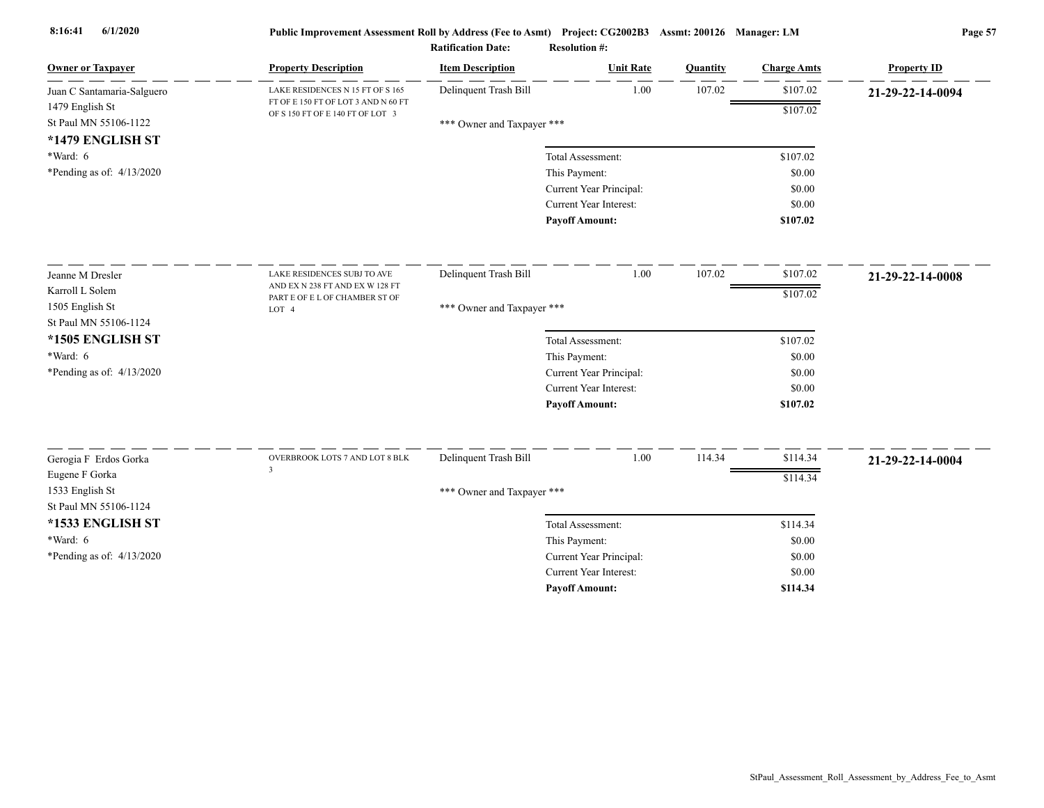| <b>Owner or Taxpayer</b>                 | <b>Property Description</b>                                             | <b>Item Description</b>    | <b>Unit Rate</b>        | Quantity | <b>Charge Amts</b> | <b>Property ID</b> |
|------------------------------------------|-------------------------------------------------------------------------|----------------------------|-------------------------|----------|--------------------|--------------------|
| Juan C Santamaria-Salguero               | LAKE RESIDENCES N 15 FT OF S 165                                        | Delinquent Trash Bill      | 1.00                    | 107.02   | \$107.02           | 21-29-22-14-0094   |
| 1479 English St                          | FT OF E 150 FT OF LOT 3 AND N 60 FT<br>OF S 150 FT OF E 140 FT OF LOT 3 |                            |                         |          | \$107.02           |                    |
| St Paul MN 55106-1122                    |                                                                         | *** Owner and Taxpayer *** |                         |          |                    |                    |
| *1479 ENGLISH ST<br>*Ward: 6             |                                                                         |                            | Total Assessment:       |          | \$107.02           |                    |
| *Pending as of: 4/13/2020                |                                                                         |                            | This Payment:           |          | \$0.00             |                    |
|                                          |                                                                         |                            | Current Year Principal: |          | \$0.00             |                    |
|                                          |                                                                         |                            | Current Year Interest:  |          | \$0.00             |                    |
|                                          |                                                                         |                            | <b>Payoff Amount:</b>   |          | \$107.02           |                    |
| Jeanne M Dresler                         | LAKE RESIDENCES SUBJ TO AVE                                             | Delinquent Trash Bill      | 1.00                    | 107.02   | \$107.02           | 21-29-22-14-0008   |
| Karroll L Solem                          | AND EX N 238 FT AND EX W 128 FT                                         |                            |                         |          | \$107.02           |                    |
| 1505 English St                          | PART E OF E L OF CHAMBER ST OF<br>LOT 4                                 | *** Owner and Taxpayer *** |                         |          |                    |                    |
| St Paul MN 55106-1124                    |                                                                         |                            |                         |          |                    |                    |
| *1505 ENGLISH ST                         |                                                                         |                            | Total Assessment:       |          | \$107.02           |                    |
| *Ward: 6                                 |                                                                         |                            | This Payment:           |          | \$0.00             |                    |
| *Pending as of: $4/13/2020$              |                                                                         |                            | Current Year Principal: |          | \$0.00             |                    |
|                                          |                                                                         |                            | Current Year Interest:  |          | \$0.00             |                    |
|                                          |                                                                         |                            | <b>Payoff Amount:</b>   |          | \$107.02           |                    |
| Gerogia F Erdos Gorka                    | OVERBROOK LOTS 7 AND LOT 8 BLK                                          | Delinquent Trash Bill      | 1.00                    | 114.34   | \$114.34           | 21-29-22-14-0004   |
| Eugene F Gorka                           | 3                                                                       |                            |                         |          | \$114.34           |                    |
| 1533 English St<br>St Paul MN 55106-1124 |                                                                         | *** Owner and Taxpayer *** |                         |          |                    |                    |
| *1533 ENGLISH ST                         |                                                                         |                            | Total Assessment:       |          | \$114.34           |                    |
| *Ward: 6                                 |                                                                         |                            | This Payment:           |          | \$0.00             |                    |
| *Pending as of: 4/13/2020                |                                                                         |                            | Current Year Principal: |          | \$0.00             |                    |
|                                          |                                                                         |                            | Current Year Interest:  |          | \$0.00             |                    |
|                                          |                                                                         |                            | <b>Payoff Amount:</b>   |          | \$114.34           |                    |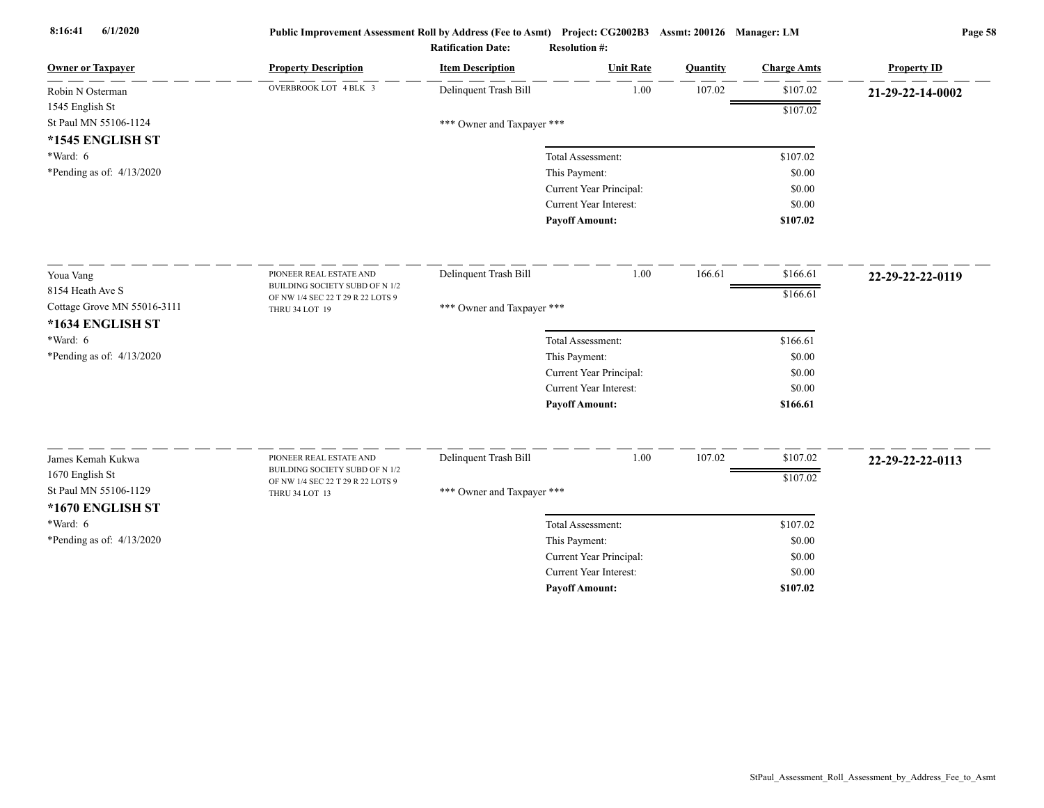| <b>Owner or Taxpayer</b>    | <b>Property Description</b>                               | <b>Item Description</b>    | <b>Unit Rate</b>              | Quantity | <b>Charge Amts</b> | <b>Property ID</b> |
|-----------------------------|-----------------------------------------------------------|----------------------------|-------------------------------|----------|--------------------|--------------------|
| Robin N Osterman            | OVERBROOK LOT 4 BLK 3                                     | Delinquent Trash Bill      | 1.00                          | 107.02   | \$107.02           | 21-29-22-14-0002   |
| 1545 English St             |                                                           |                            |                               |          | \$107.02           |                    |
| St Paul MN 55106-1124       |                                                           | *** Owner and Taxpayer *** |                               |          |                    |                    |
| *1545 ENGLISH ST            |                                                           |                            |                               |          |                    |                    |
| *Ward: 6                    |                                                           |                            | Total Assessment:             |          | \$107.02           |                    |
| *Pending as of: 4/13/2020   |                                                           |                            | This Payment:                 |          | \$0.00             |                    |
|                             |                                                           |                            | Current Year Principal:       |          | \$0.00             |                    |
|                             |                                                           |                            | Current Year Interest:        |          | \$0.00             |                    |
|                             |                                                           |                            | <b>Payoff Amount:</b>         |          | \$107.02           |                    |
| Youa Vang                   | PIONEER REAL ESTATE AND                                   | Delinquent Trash Bill      | 1.00                          | 166.61   | \$166.61           | 22-29-22-22-0119   |
| 8154 Heath Ave S            | BUILDING SOCIETY SUBD OF N 1/2                            |                            |                               |          | \$166.61           |                    |
| Cottage Grove MN 55016-3111 | OF NW 1/4 SEC 22 T 29 R 22 LOTS 9<br>THRU 34 LOT 19       | *** Owner and Taxpayer *** |                               |          |                    |                    |
| *1634 ENGLISH ST            |                                                           |                            |                               |          |                    |                    |
| $*Ward: 6$                  |                                                           |                            | Total Assessment:             |          | \$166.61           |                    |
| *Pending as of: 4/13/2020   |                                                           |                            | This Payment:                 |          | \$0.00             |                    |
|                             |                                                           |                            | Current Year Principal:       |          | \$0.00             |                    |
|                             |                                                           |                            | <b>Current Year Interest:</b> |          | \$0.00             |                    |
|                             |                                                           |                            | <b>Payoff Amount:</b>         |          | \$166.61           |                    |
|                             |                                                           |                            |                               |          |                    |                    |
| James Kemah Kukwa           | PIONEER REAL ESTATE AND<br>BUILDING SOCIETY SUBD OF N 1/2 | Delinquent Trash Bill      | 1.00                          | 107.02   | \$107.02           | 22-29-22-22-0113   |
| 1670 English St             | OF NW 1/4 SEC 22 T 29 R 22 LOTS 9                         |                            |                               |          | \$107.02           |                    |
| St Paul MN 55106-1129       | THRU 34 LOT 13                                            | *** Owner and Taxpayer *** |                               |          |                    |                    |
| *1670 ENGLISH ST            |                                                           |                            |                               |          |                    |                    |
| $*Ward: 6$                  |                                                           |                            | Total Assessment:             |          | \$107.02           |                    |
| *Pending as of: $4/13/2020$ |                                                           |                            | This Payment:                 |          | \$0.00             |                    |
|                             |                                                           |                            | Current Year Principal:       |          | \$0.00             |                    |
|                             |                                                           |                            | Current Year Interest:        |          | \$0.00             |                    |
|                             |                                                           |                            | <b>Payoff Amount:</b>         |          | \$107.02           |                    |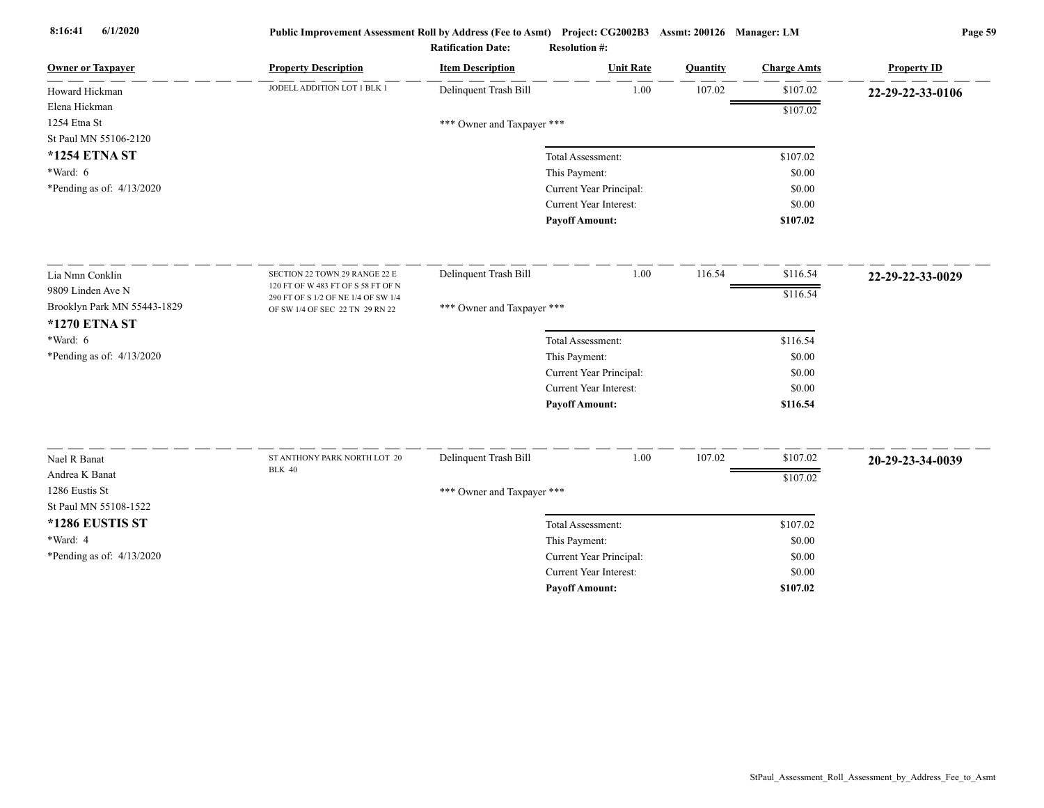| <b>Owner or Taxpayer</b>    | <b>Property Description</b>                                            | <b>Item Description</b>    | <b>Unit Rate</b>                         | Quantity | <b>Charge Amts</b> | <b>Property ID</b> |
|-----------------------------|------------------------------------------------------------------------|----------------------------|------------------------------------------|----------|--------------------|--------------------|
| Howard Hickman              | JODELL ADDITION LOT 1 BLK 1                                            | Delinquent Trash Bill      | 1.00                                     | 107.02   | \$107.02           | 22-29-22-33-0106   |
| Elena Hickman               |                                                                        |                            |                                          |          | \$107.02           |                    |
| 1254 Etna St                |                                                                        | *** Owner and Taxpayer *** |                                          |          |                    |                    |
| St Paul MN 55106-2120       |                                                                        |                            |                                          |          |                    |                    |
| *1254 ETNA ST               |                                                                        |                            | Total Assessment:                        |          | \$107.02           |                    |
| *Ward: 6                    |                                                                        |                            | This Payment:                            |          | \$0.00             |                    |
| *Pending as of: $4/13/2020$ |                                                                        |                            | Current Year Principal:                  |          | \$0.00             |                    |
|                             |                                                                        |                            | Current Year Interest:                   |          | \$0.00             |                    |
|                             |                                                                        |                            | <b>Payoff Amount:</b>                    |          | \$107.02           |                    |
| Lia Nmn Conklin             | SECTION 22 TOWN 29 RANGE 22 E                                          | Delinquent Trash Bill      | 1.00                                     | 116.54   | \$116.54           | 22-29-22-33-0029   |
| 9809 Linden Ave N           | 120 FT OF W 483 FT OF S 58 FT OF N                                     |                            |                                          |          | \$116.54           |                    |
| Brooklyn Park MN 55443-1829 | 290 FT OF S 1/2 OF NE 1/4 OF SW 1/4<br>OF SW 1/4 OF SEC 22 TN 29 RN 22 | *** Owner and Taxpayer *** |                                          |          |                    |                    |
| *1270 ETNA ST               |                                                                        |                            |                                          |          |                    |                    |
| *Ward: 6                    |                                                                        |                            | Total Assessment:                        |          | \$116.54           |                    |
| *Pending as of: 4/13/2020   |                                                                        |                            | This Payment:                            |          | \$0.00             |                    |
|                             |                                                                        |                            | Current Year Principal:                  |          | \$0.00             |                    |
|                             |                                                                        |                            | Current Year Interest:                   |          | \$0.00             |                    |
|                             |                                                                        |                            | <b>Payoff Amount:</b>                    |          | \$116.54           |                    |
| Nael R Banat                | ST ANTHONY PARK NORTH LOT 20                                           | Delinquent Trash Bill      | 1.00                                     | 107.02   | \$107.02           |                    |
| Andrea K Banat              | <b>BLK 40</b>                                                          |                            |                                          |          |                    | 20-29-23-34-0039   |
| 1286 Eustis St              |                                                                        |                            |                                          |          | \$107.02           |                    |
| St Paul MN 55108-1522       |                                                                        | *** Owner and Taxpayer *** |                                          |          |                    |                    |
| *1286 EUSTIS ST             |                                                                        |                            |                                          |          |                    |                    |
| *Ward: 4                    |                                                                        |                            | Total Assessment:                        |          | \$107.02           |                    |
| *Pending as of: 4/13/2020   |                                                                        |                            | This Payment:<br>Current Year Principal: |          | \$0.00<br>\$0.00   |                    |
|                             |                                                                        |                            | Current Year Interest:                   |          | \$0.00             |                    |
|                             |                                                                        |                            | <b>Payoff Amount:</b>                    |          | \$107.02           |                    |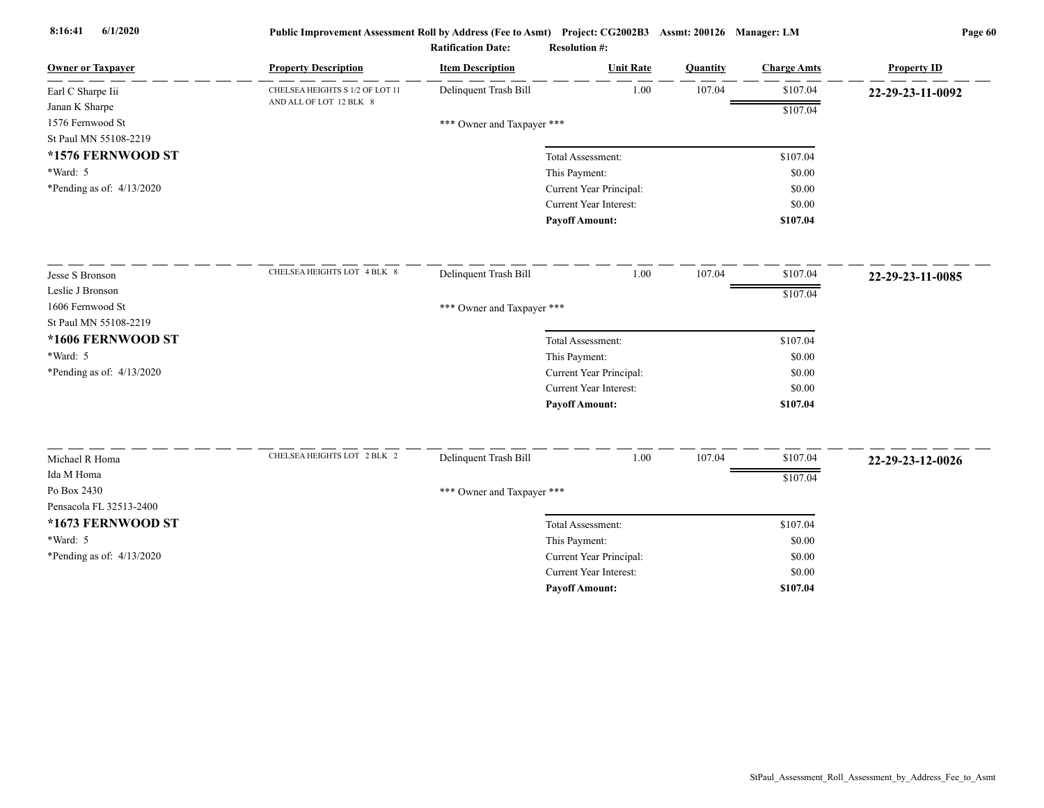| <b>Owner or Taxpayer</b>               | <b>Property Description</b>     | <b>Item Description</b>    | <b>Unit Rate</b>              | Quantity | <b>Charge Amts</b> | <b>Property ID</b> |
|----------------------------------------|---------------------------------|----------------------------|-------------------------------|----------|--------------------|--------------------|
| Earl C Sharpe Iii                      | CHELSEA HEIGHTS S 1/2 OF LOT 11 | Delinquent Trash Bill      | 1.00                          | 107.04   | \$107.04           | 22-29-23-11-0092   |
| Janan K Sharpe                         | AND ALL OF LOT 12 BLK 8         |                            |                               |          | \$107.04           |                    |
| 1576 Fernwood St                       |                                 | *** Owner and Taxpayer *** |                               |          |                    |                    |
| St Paul MN 55108-2219                  |                                 |                            |                               |          |                    |                    |
| *1576 FERNWOOD ST                      |                                 |                            | Total Assessment:             |          | \$107.04           |                    |
| *Ward: 5                               |                                 |                            | This Payment:                 |          | \$0.00             |                    |
| *Pending as of: $4/13/2020$            |                                 |                            | Current Year Principal:       |          | \$0.00             |                    |
|                                        |                                 |                            | Current Year Interest:        |          | \$0.00             |                    |
|                                        |                                 |                            | <b>Payoff Amount:</b>         |          | \$107.04           |                    |
| Jesse S Bronson                        | CHELSEA HEIGHTS LOT 4 BLK 8     | Delinquent Trash Bill      | 1.00                          | 107.04   | \$107.04           | 22-29-23-11-0085   |
| Leslie J Bronson                       |                                 |                            |                               |          | \$107.04           |                    |
| 1606 Fernwood St                       |                                 | *** Owner and Taxpayer *** |                               |          |                    |                    |
| St Paul MN 55108-2219                  |                                 |                            |                               |          |                    |                    |
| *1606 FERNWOOD ST                      |                                 |                            | Total Assessment:             |          | \$107.04           |                    |
| $*Ward: 5$                             |                                 |                            | This Payment:                 |          | \$0.00             |                    |
| *Pending as of: $4/13/2020$            |                                 |                            | Current Year Principal:       |          | \$0.00             |                    |
|                                        |                                 |                            | <b>Current Year Interest:</b> |          | \$0.00             |                    |
|                                        |                                 |                            | <b>Payoff Amount:</b>         |          | \$107.04           |                    |
|                                        | CHELSEA HEIGHTS LOT 2 BLK 2     | Delinquent Trash Bill      | 1.00                          | 107.04   | \$107.04           |                    |
| Michael R Homa                         |                                 |                            |                               |          |                    | 22-29-23-12-0026   |
| Ida M Homa                             |                                 |                            |                               |          | \$107.04           |                    |
| Po Box 2430<br>Pensacola FL 32513-2400 |                                 | *** Owner and Taxpayer *** |                               |          |                    |                    |
|                                        |                                 |                            |                               |          |                    |                    |
| *1673 FERNWOOD ST                      |                                 |                            | Total Assessment:             |          | \$107.04           |                    |
| *Ward: 5                               |                                 |                            | This Payment:                 |          | \$0.00             |                    |
| *Pending as of: 4/13/2020              |                                 |                            | Current Year Principal:       |          | \$0.00             |                    |
|                                        |                                 |                            | Current Year Interest:        |          | \$0.00             |                    |
|                                        |                                 |                            | <b>Payoff Amount:</b>         |          | \$107.04           |                    |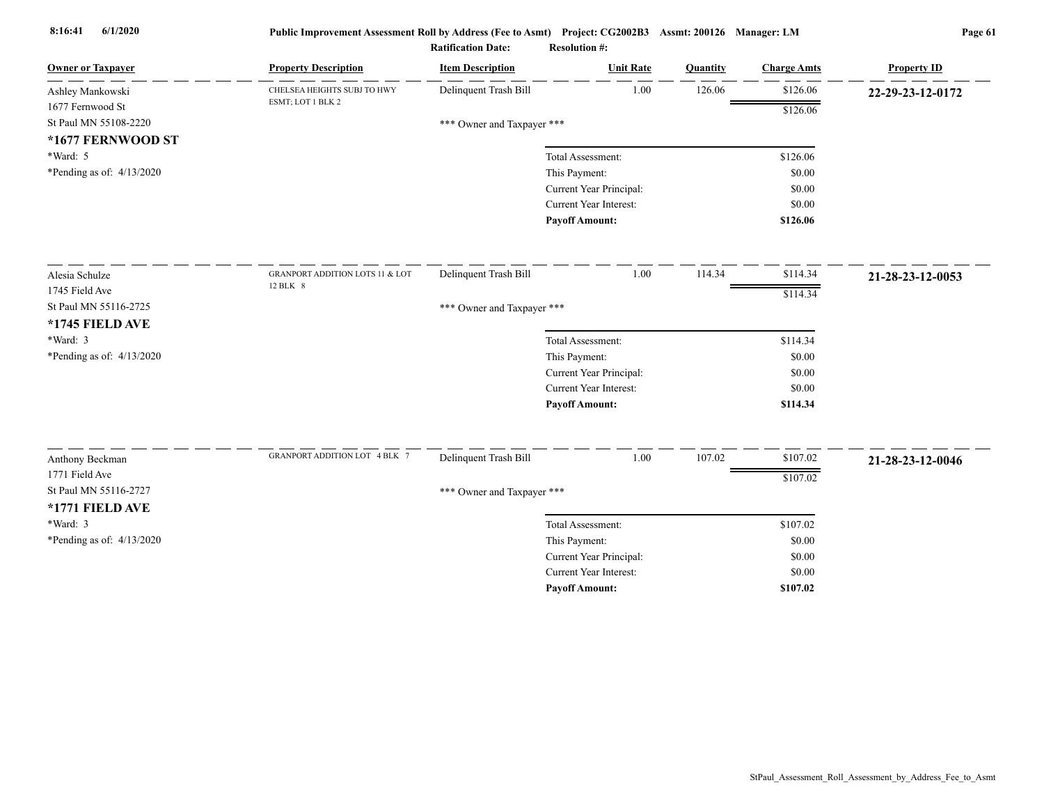| <b>Owner or Taxpayer</b>    | <b>Property Description</b>                | <b>Item Description</b>    | <b>Unit Rate</b>              | Quantity | <b>Charge Amts</b> | <b>Property ID</b> |
|-----------------------------|--------------------------------------------|----------------------------|-------------------------------|----------|--------------------|--------------------|
| Ashley Mankowski            | CHELSEA HEIGHTS SUBJ TO HWY                | Delinquent Trash Bill      | 1.00                          | 126.06   | \$126.06           | 22-29-23-12-0172   |
| 1677 Fernwood St            | ESMT; LOT 1 BLK 2                          |                            |                               |          | \$126.06           |                    |
| St Paul MN 55108-2220       |                                            | *** Owner and Taxpayer *** |                               |          |                    |                    |
| *1677 FERNWOOD ST           |                                            |                            |                               |          |                    |                    |
| *Ward: 5                    |                                            |                            | Total Assessment:             |          | \$126.06           |                    |
| *Pending as of: $4/13/2020$ |                                            |                            | This Payment:                 |          | \$0.00             |                    |
|                             |                                            |                            | Current Year Principal:       |          | \$0.00             |                    |
|                             |                                            |                            | Current Year Interest:        |          | \$0.00             |                    |
|                             |                                            |                            | <b>Payoff Amount:</b>         |          | \$126.06           |                    |
| Alesia Schulze              | <b>GRANPORT ADDITION LOTS 11 &amp; LOT</b> | Delinquent Trash Bill      | 1.00                          | 114.34   | \$114.34           | 21-28-23-12-0053   |
| 1745 Field Ave              | 12 BLK 8                                   |                            |                               |          | \$114.34           |                    |
| St Paul MN 55116-2725       |                                            | *** Owner and Taxpayer *** |                               |          |                    |                    |
| *1745 FIELD AVE             |                                            |                            |                               |          |                    |                    |
| *Ward: 3                    |                                            |                            | Total Assessment:             |          | \$114.34           |                    |
| *Pending as of: 4/13/2020   |                                            |                            | This Payment:                 |          | \$0.00             |                    |
|                             |                                            |                            | Current Year Principal:       |          | \$0.00             |                    |
|                             |                                            |                            | <b>Current Year Interest:</b> |          | \$0.00             |                    |
|                             |                                            |                            | <b>Payoff Amount:</b>         |          | \$114.34           |                    |
| Anthony Beckman             | <b>GRANPORT ADDITION LOT 4 BLK 7</b>       | Delinquent Trash Bill      | 1.00                          | 107.02   | \$107.02           |                    |
| 1771 Field Ave              |                                            |                            |                               |          |                    | 21-28-23-12-0046   |
| St Paul MN 55116-2727       |                                            |                            |                               |          | \$107.02           |                    |
| *1771 FIELD AVE             |                                            | *** Owner and Taxpayer *** |                               |          |                    |                    |
| $*Ward: 3$                  |                                            |                            | Total Assessment:             |          | \$107.02           |                    |
| *Pending as of: $4/13/2020$ |                                            |                            | This Payment:                 |          | \$0.00             |                    |
|                             |                                            |                            | Current Year Principal:       |          | \$0.00             |                    |
|                             |                                            |                            | Current Year Interest:        |          | \$0.00             |                    |
|                             |                                            |                            | <b>Payoff Amount:</b>         |          | \$107.02           |                    |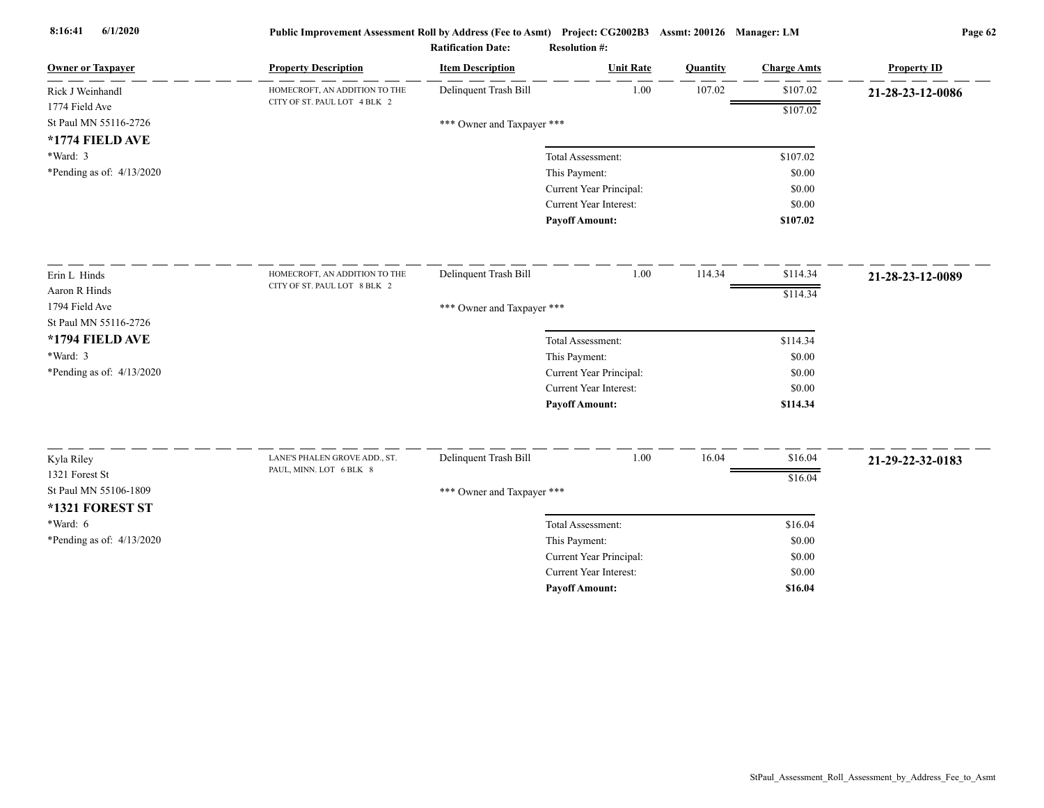| <b>Owner or Taxpayer</b>    | <b>Property Description</b>                              | <b>Item Description</b>    | <b>Unit Rate</b>              | Quantity | <b>Charge Amts</b> | <b>Property ID</b> |
|-----------------------------|----------------------------------------------------------|----------------------------|-------------------------------|----------|--------------------|--------------------|
| Rick J Weinhandl            | HOMECROFT, AN ADDITION TO THE                            | Delinquent Trash Bill      | 1.00                          | 107.02   | \$107.02           | 21-28-23-12-0086   |
| 1774 Field Ave              | CITY OF ST. PAUL LOT 4 BLK 2                             |                            |                               |          | \$107.02           |                    |
| St Paul MN 55116-2726       |                                                          | *** Owner and Taxpayer *** |                               |          |                    |                    |
| *1774 FIELD AVE             |                                                          |                            |                               |          |                    |                    |
| $*Ward: 3$                  |                                                          |                            | Total Assessment:             |          | \$107.02           |                    |
| *Pending as of: 4/13/2020   |                                                          |                            | This Payment:                 |          | \$0.00             |                    |
|                             |                                                          |                            | Current Year Principal:       |          | \$0.00             |                    |
|                             |                                                          |                            | Current Year Interest:        |          | \$0.00             |                    |
|                             |                                                          |                            | <b>Payoff Amount:</b>         |          | \$107.02           |                    |
| Erin L Hinds                | HOMECROFT, AN ADDITION TO THE                            | Delinquent Trash Bill      | 1.00                          | 114.34   | \$114.34           | 21-28-23-12-0089   |
| Aaron R Hinds               | CITY OF ST. PAUL LOT 8 BLK 2                             |                            |                               |          | \$114.34           |                    |
| 1794 Field Ave              |                                                          | *** Owner and Taxpayer *** |                               |          |                    |                    |
| St Paul MN 55116-2726       |                                                          |                            |                               |          |                    |                    |
| *1794 FIELD AVE             |                                                          |                            | Total Assessment:             |          | \$114.34           |                    |
| *Ward: 3                    |                                                          |                            | This Payment:                 |          | \$0.00             |                    |
| *Pending as of: $4/13/2020$ |                                                          |                            | Current Year Principal:       |          | \$0.00             |                    |
|                             |                                                          |                            | <b>Current Year Interest:</b> |          | \$0.00             |                    |
|                             |                                                          |                            | <b>Payoff Amount:</b>         |          | \$114.34           |                    |
|                             |                                                          |                            |                               |          |                    |                    |
| Kyla Riley                  | LANE'S PHALEN GROVE ADD., ST.<br>PAUL, MINN. LOT 6 BLK 8 | Delinquent Trash Bill      | 1.00                          | 16.04    | \$16.04            | 21-29-22-32-0183   |
| 1321 Forest St              |                                                          |                            |                               |          | \$16.04            |                    |
| St Paul MN 55106-1809       |                                                          | *** Owner and Taxpayer *** |                               |          |                    |                    |
| *1321 FOREST ST             |                                                          |                            |                               |          |                    |                    |
| *Ward: 6                    |                                                          |                            | Total Assessment:             |          | \$16.04            |                    |
| *Pending as of: 4/13/2020   |                                                          |                            | This Payment:                 |          | \$0.00             |                    |
|                             |                                                          |                            | Current Year Principal:       |          | \$0.00             |                    |
|                             |                                                          |                            | <b>Current Year Interest:</b> |          | \$0.00             |                    |
|                             |                                                          |                            | <b>Pavoff Amount:</b>         |          | \$16.04            |                    |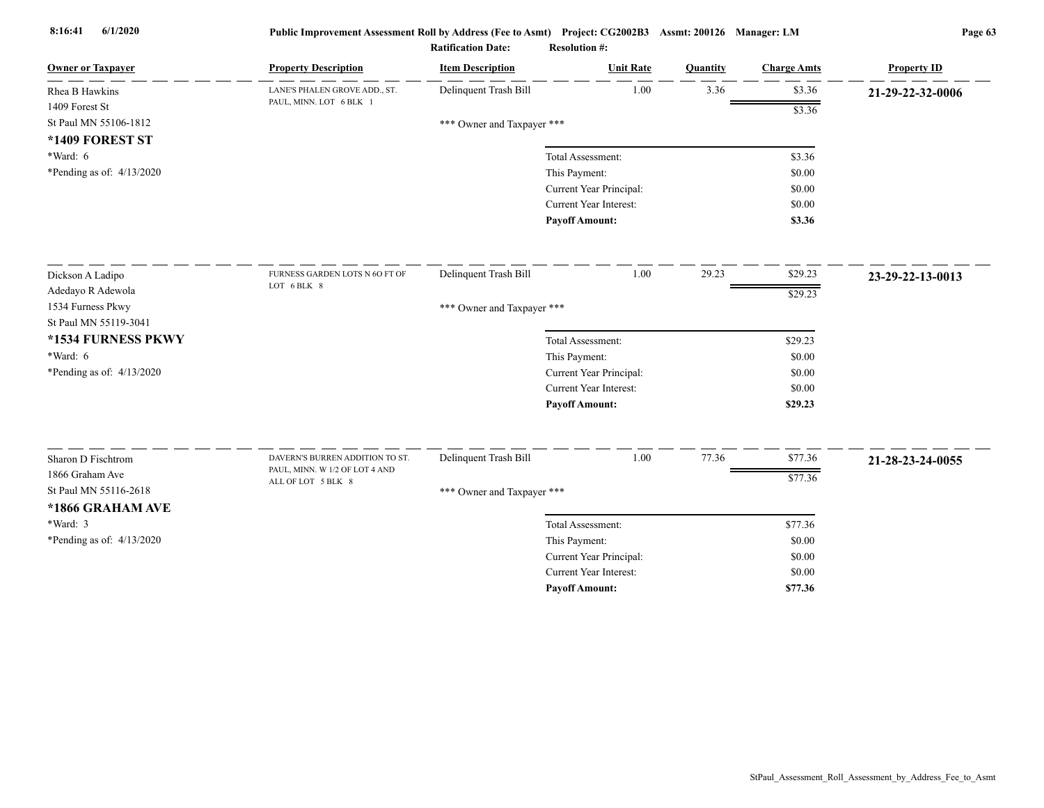| <b>Owner or Taxpayer</b>    | <b>Property Description</b>                                       | <b>Item Description</b>    | <b>Unit Rate</b>              | Quantity | <b>Charge Amts</b> | <b>Property ID</b> |
|-----------------------------|-------------------------------------------------------------------|----------------------------|-------------------------------|----------|--------------------|--------------------|
| Rhea B Hawkins              | LANE'S PHALEN GROVE ADD., ST.                                     | Delinquent Trash Bill      | 1.00                          | 3.36     | \$3.36             | 21-29-22-32-0006   |
| 1409 Forest St              | PAUL, MINN. LOT 6 BLK 1                                           |                            |                               |          | \$3.36             |                    |
| St Paul MN 55106-1812       |                                                                   | *** Owner and Taxpayer *** |                               |          |                    |                    |
| *1409 FOREST ST             |                                                                   |                            |                               |          |                    |                    |
| $*Ward: 6$                  |                                                                   |                            | Total Assessment:             |          | \$3.36             |                    |
| *Pending as of: $4/13/2020$ |                                                                   |                            | This Payment:                 |          | \$0.00             |                    |
|                             |                                                                   |                            | Current Year Principal:       |          | \$0.00             |                    |
|                             |                                                                   |                            | <b>Current Year Interest:</b> |          | \$0.00             |                    |
|                             |                                                                   |                            | <b>Payoff Amount:</b>         |          | \$3.36             |                    |
| Dickson A Ladipo            | FURNESS GARDEN LOTS N 6O FT OF                                    | Delinquent Trash Bill      | 1.00                          | 29.23    | \$29.23            | 23-29-22-13-0013   |
| Adedayo R Adewola           | LOT 6 BLK 8                                                       |                            |                               |          | \$29.23            |                    |
| 1534 Furness Pkwy           |                                                                   | *** Owner and Taxpayer *** |                               |          |                    |                    |
| St Paul MN 55119-3041       |                                                                   |                            |                               |          |                    |                    |
| *1534 FURNESS PKWY          |                                                                   |                            | Total Assessment:             |          | \$29.23            |                    |
| *Ward: 6                    |                                                                   |                            | This Payment:                 |          | \$0.00             |                    |
| *Pending as of: 4/13/2020   |                                                                   |                            | Current Year Principal:       |          | \$0.00             |                    |
|                             |                                                                   |                            | Current Year Interest:        |          | \$0.00             |                    |
|                             |                                                                   |                            | <b>Payoff Amount:</b>         |          | \$29.23            |                    |
|                             |                                                                   |                            |                               |          |                    |                    |
| Sharon D Fischtrom          | DAVERN'S BURREN ADDITION TO ST.<br>PAUL, MINN. W 1/2 OF LOT 4 AND | Delinquent Trash Bill      | 1.00                          | 77.36    | \$77.36            | 21-28-23-24-0055   |
| 1866 Graham Ave             | ALL OF LOT 5 BLK 8                                                |                            |                               |          | \$77.36            |                    |
| St Paul MN 55116-2618       |                                                                   | *** Owner and Taxpayer *** |                               |          |                    |                    |
| *1866 GRAHAM AVE            |                                                                   |                            |                               |          |                    |                    |
| *Ward: 3                    |                                                                   |                            | Total Assessment:             |          | \$77.36            |                    |
| *Pending as of: 4/13/2020   |                                                                   |                            | This Payment:                 |          | \$0.00             |                    |
|                             |                                                                   |                            | Current Year Principal:       |          | \$0.00             |                    |
|                             |                                                                   |                            | <b>Current Year Interest:</b> |          | \$0.00             |                    |
|                             |                                                                   |                            | <b>Pavoff Amount:</b>         |          | \$77.36            |                    |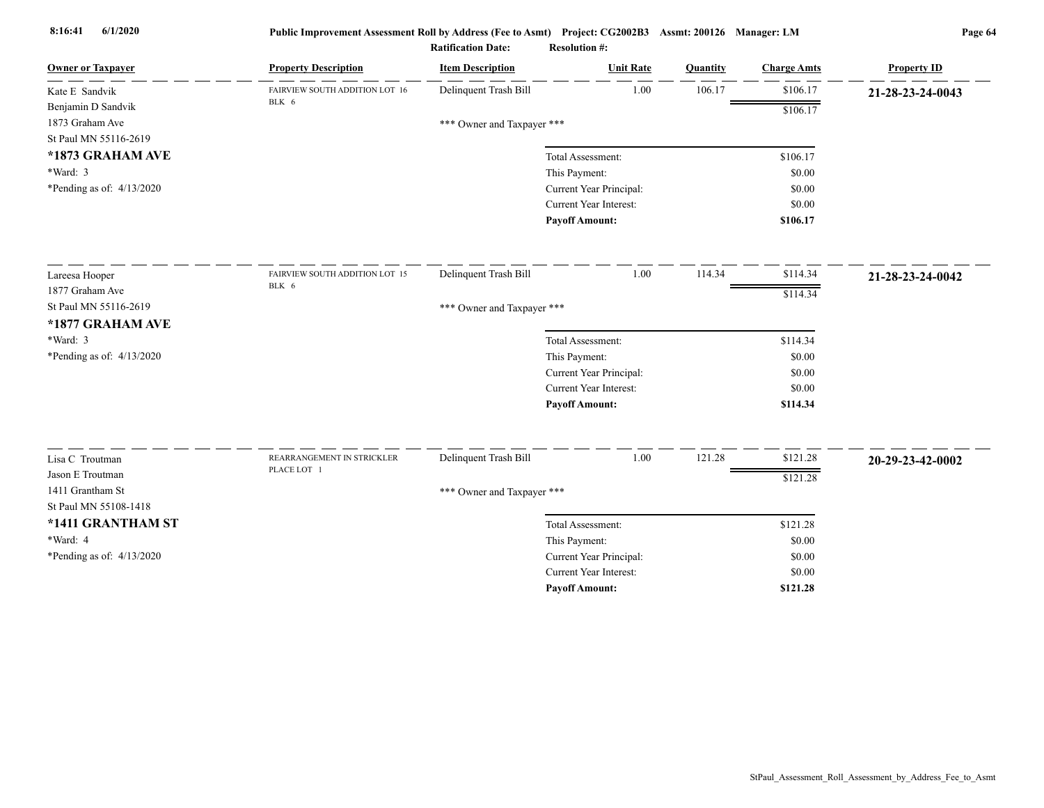| <b>Owner or Taxpayer</b>            | <b>Property Description</b>    | <b>Item Description</b>    | <b>Unit Rate</b>              | Quantity | <b>Charge Amts</b> | <b>Property ID</b> |
|-------------------------------------|--------------------------------|----------------------------|-------------------------------|----------|--------------------|--------------------|
| Kate E Sandvik                      | FAIRVIEW SOUTH ADDITION LOT 16 | Delinquent Trash Bill      | 1.00                          | 106.17   | \$106.17           | 21-28-23-24-0043   |
| Benjamin D Sandvik                  | BLK 6                          |                            |                               |          | \$106.17           |                    |
| 1873 Graham Ave                     |                                | *** Owner and Taxpayer *** |                               |          |                    |                    |
| St Paul MN 55116-2619               |                                |                            |                               |          |                    |                    |
| *1873 GRAHAM AVE                    |                                |                            | Total Assessment:             |          | \$106.17           |                    |
| $*Ward: 3$                          |                                |                            | This Payment:                 |          | \$0.00             |                    |
| *Pending as of: 4/13/2020           |                                |                            | Current Year Principal:       |          | \$0.00             |                    |
|                                     |                                |                            | Current Year Interest:        |          | \$0.00             |                    |
|                                     |                                |                            | <b>Payoff Amount:</b>         |          | \$106.17           |                    |
| Lareesa Hooper                      | FAIRVIEW SOUTH ADDITION LOT 15 | Delinquent Trash Bill      | 1.00                          | 114.34   | \$114.34           | 21-28-23-24-0042   |
| 1877 Graham Ave                     | BLK 6                          |                            |                               |          | \$114.34           |                    |
| St Paul MN 55116-2619               |                                | *** Owner and Taxpayer *** |                               |          |                    |                    |
| *1877 GRAHAM AVE                    |                                |                            |                               |          |                    |                    |
| *Ward: 3                            |                                |                            | Total Assessment:             |          | \$114.34           |                    |
| *Pending as of: 4/13/2020           |                                |                            | This Payment:                 |          | \$0.00             |                    |
|                                     |                                |                            | Current Year Principal:       |          | \$0.00             |                    |
|                                     |                                |                            | <b>Current Year Interest:</b> |          | \$0.00             |                    |
|                                     |                                |                            | <b>Payoff Amount:</b>         |          | \$114.34           |                    |
|                                     | REARRANGEMENT IN STRICKLER     | Delinquent Trash Bill      | 1.00                          | 121.28   | \$121.28           |                    |
| Lisa C Troutman<br>Jason E Troutman | PLACE LOT 1                    |                            |                               |          |                    | 20-29-23-42-0002   |
| 1411 Grantham St                    |                                |                            |                               |          | \$121.28           |                    |
| St Paul MN 55108-1418               |                                | *** Owner and Taxpayer *** |                               |          |                    |                    |
| *1411 GRANTHAM ST                   |                                |                            | Total Assessment:             |          | \$121.28           |                    |
| *Ward: 4                            |                                |                            | This Payment:                 |          | \$0.00             |                    |
| *Pending as of: 4/13/2020           |                                |                            | Current Year Principal:       |          | \$0.00             |                    |
|                                     |                                |                            | <b>Current Year Interest:</b> |          | \$0.00             |                    |
|                                     |                                |                            | <b>Payoff Amount:</b>         |          | \$121.28           |                    |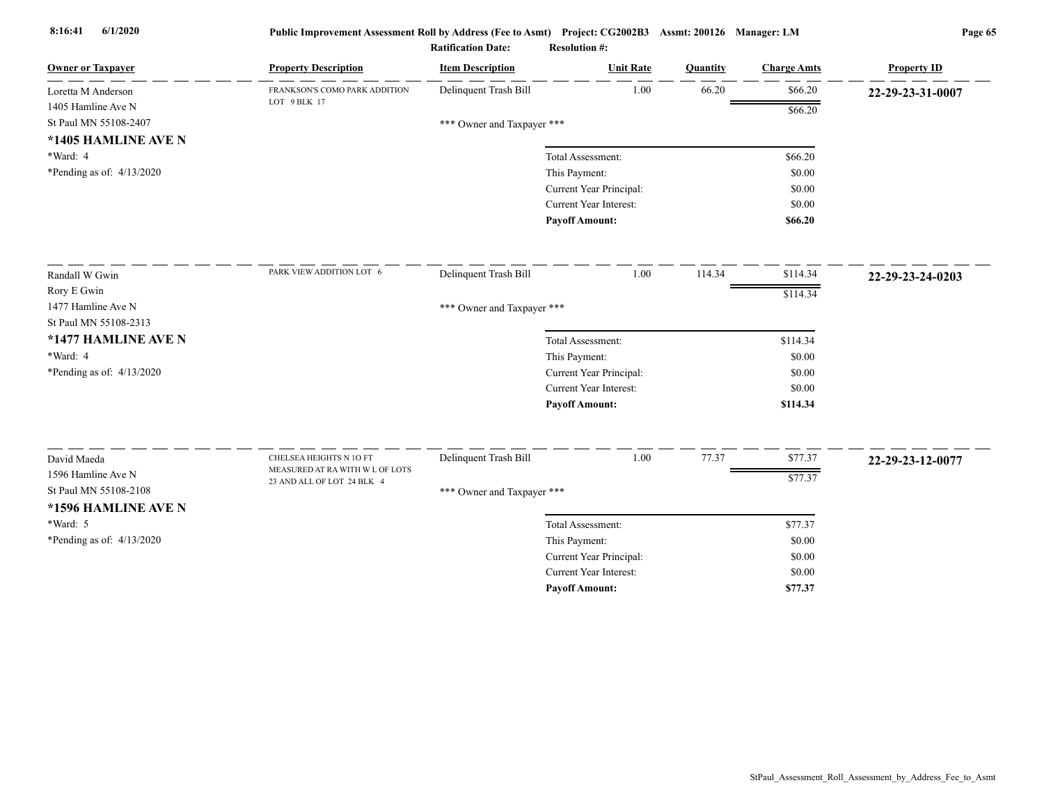| <b>Owner or Taxpayer</b>    | <b>Property Description</b>     | <b>Item Description</b>    | <b>Unit Rate</b>              | Quantity | <b>Charge Amts</b> | <b>Property ID</b> |
|-----------------------------|---------------------------------|----------------------------|-------------------------------|----------|--------------------|--------------------|
| Loretta M Anderson          | FRANKSON'S COMO PARK ADDITION   | Delinquent Trash Bill      | 1.00                          | 66.20    | \$66.20            | 22-29-23-31-0007   |
| 1405 Hamline Ave N          | LOT 9 BLK 17                    |                            |                               |          | \$66.20            |                    |
| St Paul MN 55108-2407       |                                 | *** Owner and Taxpayer *** |                               |          |                    |                    |
| *1405 HAMLINE AVE N         |                                 |                            |                               |          |                    |                    |
| *Ward: 4                    |                                 |                            | Total Assessment:             |          | \$66.20            |                    |
| *Pending as of: 4/13/2020   |                                 |                            | This Payment:                 |          | \$0.00             |                    |
|                             |                                 |                            | Current Year Principal:       |          | \$0.00             |                    |
|                             |                                 |                            | Current Year Interest:        |          | \$0.00             |                    |
|                             |                                 |                            | <b>Payoff Amount:</b>         |          | \$66.20            |                    |
| Randall W Gwin              | PARK VIEW ADDITION LOT 6        | Delinquent Trash Bill      | 1.00                          | 114.34   | \$114.34           | 22-29-23-24-0203   |
| Rory E Gwin                 |                                 |                            |                               |          | \$114.34           |                    |
| 1477 Hamline Ave N          |                                 | *** Owner and Taxpayer *** |                               |          |                    |                    |
| St Paul MN 55108-2313       |                                 |                            |                               |          |                    |                    |
| *1477 HAMLINE AVE N         |                                 |                            | Total Assessment:             |          | \$114.34           |                    |
| *Ward: 4                    |                                 |                            | This Payment:                 |          | \$0.00             |                    |
| *Pending as of: $4/13/2020$ |                                 |                            | Current Year Principal:       |          | \$0.00             |                    |
|                             |                                 |                            | <b>Current Year Interest:</b> |          | \$0.00             |                    |
|                             |                                 |                            | <b>Payoff Amount:</b>         |          | \$114.34           |                    |
| David Maeda                 | CHELSEA HEIGHTS N 10 FT         | Delinquent Trash Bill      | 1.00                          | 77.37    | \$77.37            | 22-29-23-12-0077   |
| 1596 Hamline Ave N          | MEASURED AT RA WITH W L OF LOTS |                            |                               |          |                    |                    |
| St Paul MN 55108-2108       | 23 AND ALL OF LOT 24 BLK 4      | *** Owner and Taxpayer *** |                               |          | \$77.37            |                    |
| *1596 HAMLINE AVE N         |                                 |                            |                               |          |                    |                    |
| *Ward: 5                    |                                 |                            | Total Assessment:             |          | \$77.37            |                    |
| *Pending as of: 4/13/2020   |                                 |                            | This Payment:                 |          | \$0.00             |                    |
|                             |                                 |                            | Current Year Principal:       |          | \$0.00             |                    |
|                             |                                 |                            | <b>Current Year Interest:</b> |          | \$0.00             |                    |
|                             |                                 |                            | <b>Pavoff Amount:</b>         |          | \$77.37            |                    |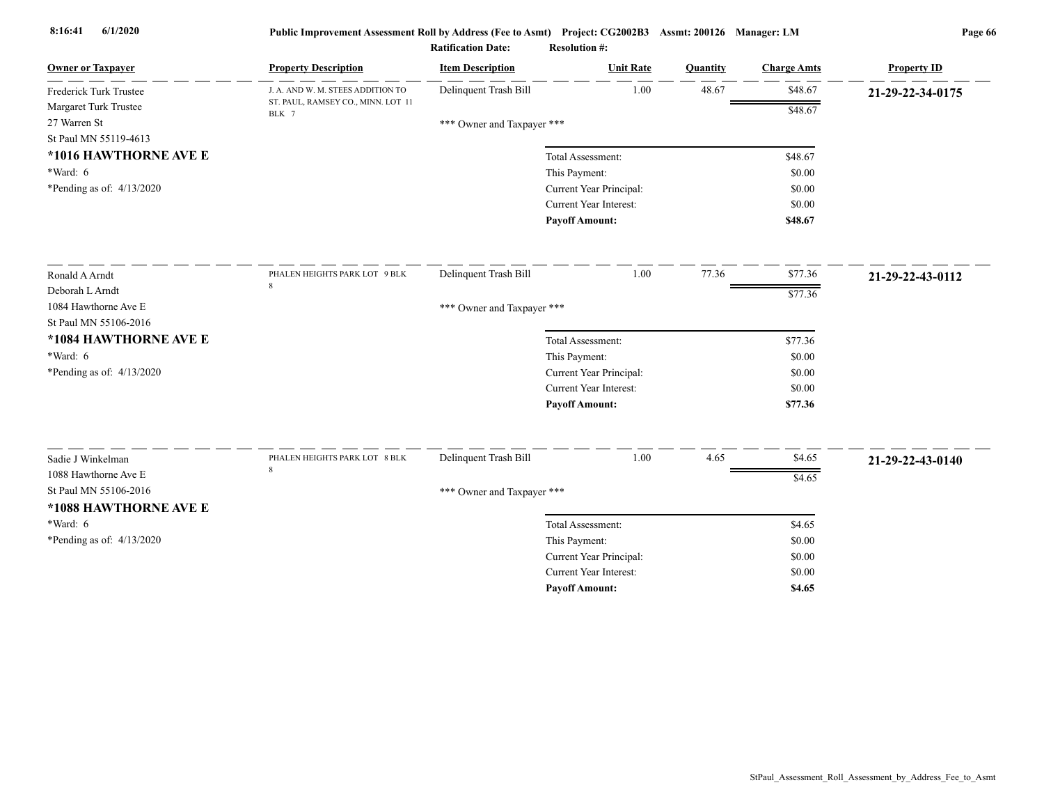| <b>Owner or Taxpayer</b>    | <b>Property Description</b>                 | <b>Item Description</b>    | <b>Unit Rate</b>              | Quantity | <b>Charge Amts</b> | <b>Property ID</b> |
|-----------------------------|---------------------------------------------|----------------------------|-------------------------------|----------|--------------------|--------------------|
| Frederick Turk Trustee      | J. A. AND W. M. STEES ADDITION TO           | Delinquent Trash Bill      | 1.00                          | 48.67    | \$48.67            | 21-29-22-34-0175   |
| Margaret Turk Trustee       | ST. PAUL, RAMSEY CO., MINN. LOT 11<br>BLK 7 |                            |                               |          | \$48.67            |                    |
| 27 Warren St                |                                             | *** Owner and Taxpayer *** |                               |          |                    |                    |
| St Paul MN 55119-4613       |                                             |                            |                               |          |                    |                    |
| *1016 HAWTHORNE AVE E       |                                             |                            | Total Assessment:             |          | \$48.67            |                    |
| *Ward: 6                    |                                             |                            | This Payment:                 |          | \$0.00             |                    |
| *Pending as of: 4/13/2020   |                                             |                            | Current Year Principal:       |          | \$0.00             |                    |
|                             |                                             |                            | Current Year Interest:        |          | \$0.00             |                    |
|                             |                                             |                            | <b>Payoff Amount:</b>         |          | \$48.67            |                    |
| Ronald A Arndt              | PHALEN HEIGHTS PARK LOT 9 BLK               | Delinquent Trash Bill      | 1.00                          | 77.36    | \$77.36            | 21-29-22-43-0112   |
| Deborah L Arndt             | 8                                           |                            |                               |          | \$77.36            |                    |
| 1084 Hawthorne Ave E        |                                             | *** Owner and Taxpayer *** |                               |          |                    |                    |
| St Paul MN 55106-2016       |                                             |                            |                               |          |                    |                    |
| *1084 HAWTHORNE AVE E       |                                             |                            | Total Assessment:             |          | \$77.36            |                    |
| $*Ward: 6$                  |                                             |                            | This Payment:                 |          | \$0.00             |                    |
| *Pending as of: $4/13/2020$ |                                             |                            | Current Year Principal:       |          | \$0.00             |                    |
|                             |                                             |                            | <b>Current Year Interest:</b> |          | \$0.00             |                    |
|                             |                                             |                            | <b>Payoff Amount:</b>         |          | \$77.36            |                    |
|                             |                                             |                            |                               |          |                    |                    |
| Sadie J Winkelman           | PHALEN HEIGHTS PARK LOT 8 BLK<br>8          | Delinquent Trash Bill      | 1.00                          | 4.65     | \$4.65             | 21-29-22-43-0140   |
| 1088 Hawthorne Ave E        |                                             |                            |                               |          | \$4.65             |                    |
| St Paul MN 55106-2016       |                                             | *** Owner and Taxpayer *** |                               |          |                    |                    |
| *1088 HAWTHORNE AVE E       |                                             |                            |                               |          |                    |                    |
| *Ward: 6                    |                                             |                            | Total Assessment:             |          | \$4.65             |                    |
| *Pending as of: $4/13/2020$ |                                             |                            | This Payment:                 |          | \$0.00             |                    |
|                             |                                             |                            | Current Year Principal:       |          | \$0.00             |                    |
|                             |                                             |                            | <b>Current Year Interest:</b> |          | \$0.00             |                    |
|                             |                                             |                            | <b>Pavoff Amount:</b>         |          | \$4.65             |                    |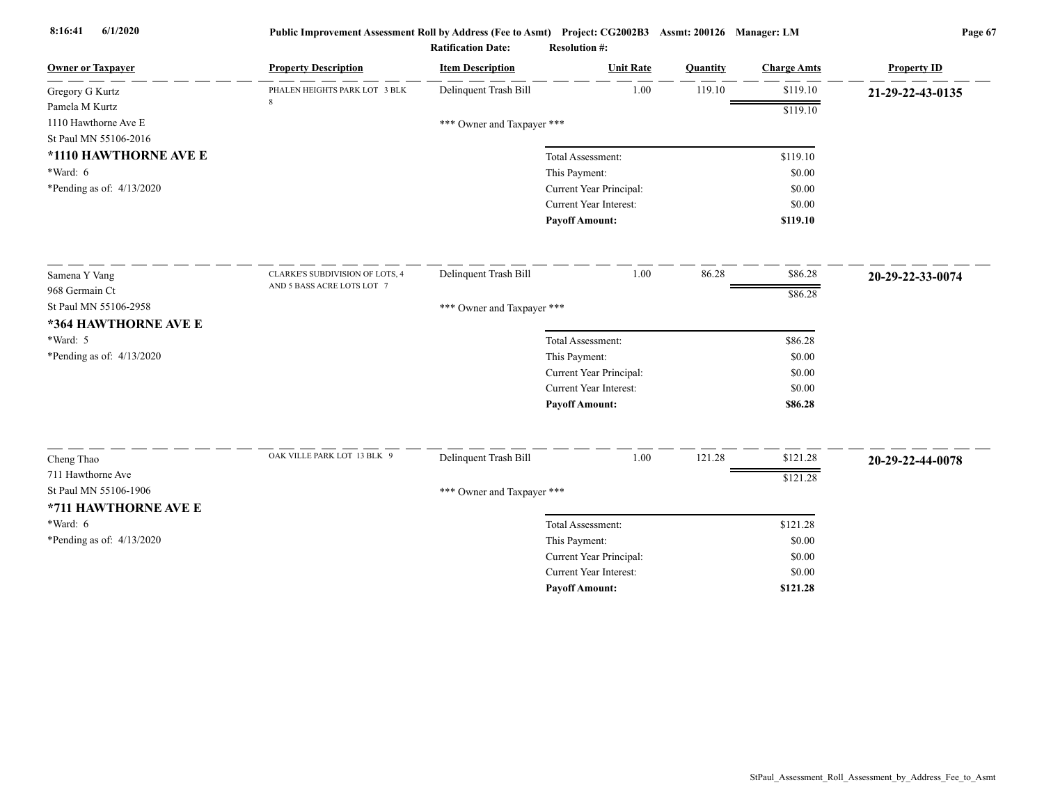| <b>Owner or Taxpayer</b>    | <b>Property Description</b>     | <b>Item Description</b>    | <b>Unit Rate</b>              | Quantity | <b>Charge Amts</b> | <b>Property ID</b> |
|-----------------------------|---------------------------------|----------------------------|-------------------------------|----------|--------------------|--------------------|
| Gregory G Kurtz             | PHALEN HEIGHTS PARK LOT 3 BLK   | Delinquent Trash Bill      | 1.00                          | 119.10   | \$119.10           | 21-29-22-43-0135   |
| Pamela M Kurtz              |                                 |                            |                               |          | \$119.10           |                    |
| 1110 Hawthorne Ave E        |                                 | *** Owner and Taxpayer *** |                               |          |                    |                    |
| St Paul MN 55106-2016       |                                 |                            |                               |          |                    |                    |
| *1110 HAWTHORNE AVE E       |                                 |                            | Total Assessment:             |          | \$119.10           |                    |
| *Ward: 6                    |                                 |                            | This Payment:                 |          | \$0.00             |                    |
| *Pending as of: $4/13/2020$ |                                 |                            | Current Year Principal:       |          | \$0.00             |                    |
|                             |                                 |                            | <b>Current Year Interest:</b> |          | \$0.00             |                    |
|                             |                                 |                            | <b>Payoff Amount:</b>         |          | \$119.10           |                    |
| Samena Y Vang               | CLARKE'S SUBDIVISION OF LOTS, 4 | Delinquent Trash Bill      | 1.00                          | 86.28    | \$86.28            | 20-29-22-33-0074   |
| 968 Germain Ct              | AND 5 BASS ACRE LOTS LOT 7      |                            |                               |          |                    |                    |
| St Paul MN 55106-2958       |                                 | *** Owner and Taxpayer *** |                               |          | \$86.28            |                    |
| *364 HAWTHORNE AVE E        |                                 |                            |                               |          |                    |                    |
| *Ward: 5                    |                                 |                            | Total Assessment:             |          | \$86.28            |                    |
| *Pending as of: 4/13/2020   |                                 |                            | This Payment:                 |          | \$0.00             |                    |
|                             |                                 |                            | Current Year Principal:       |          | \$0.00             |                    |
|                             |                                 |                            | Current Year Interest:        |          | \$0.00             |                    |
|                             |                                 |                            | <b>Payoff Amount:</b>         |          | \$86.28            |                    |
|                             |                                 |                            |                               |          |                    |                    |
| Cheng Thao                  | OAK VILLE PARK LOT 13 BLK 9     | Delinquent Trash Bill      | 1.00                          | 121.28   | \$121.28           | 20-29-22-44-0078   |
| 711 Hawthorne Ave           |                                 |                            |                               |          | \$121.28           |                    |
| St Paul MN 55106-1906       |                                 | *** Owner and Taxpayer *** |                               |          |                    |                    |
| *711 HAWTHORNE AVE E        |                                 |                            |                               |          |                    |                    |
| $*Ward: 6$                  |                                 |                            | Total Assessment:             |          | \$121.28           |                    |
| *Pending as of: $4/13/2020$ |                                 |                            | This Payment:                 |          | \$0.00             |                    |
|                             |                                 |                            | Current Year Principal:       |          | \$0.00             |                    |
|                             |                                 |                            | Current Year Interest:        |          | \$0.00             |                    |
|                             |                                 |                            | <b>Payoff Amount:</b>         |          | \$121.28           |                    |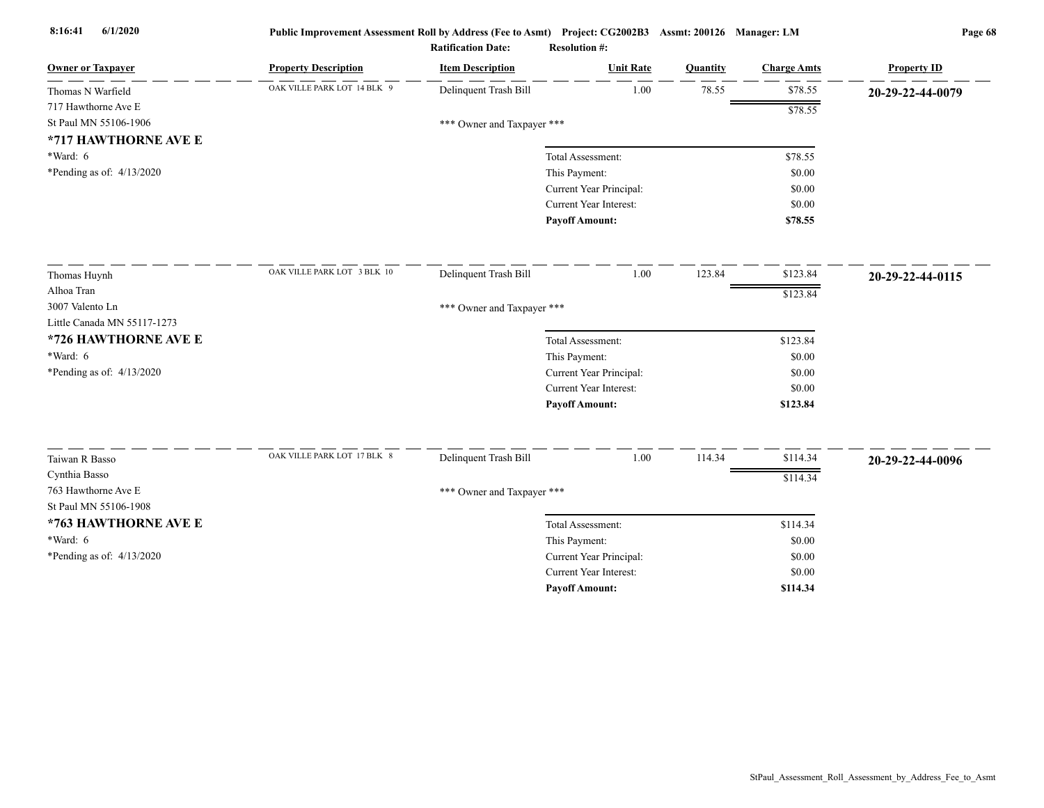| <b>Owner or Taxpayer</b>    | <b>Property Description</b> | <b>Item Description</b>    | <b>Unit Rate</b>              | <b>Quantity</b> | <b>Charge Amts</b> | <b>Property ID</b> |
|-----------------------------|-----------------------------|----------------------------|-------------------------------|-----------------|--------------------|--------------------|
| Thomas N Warfield           | OAK VILLE PARK LOT 14 BLK 9 | Delinquent Trash Bill      | 1.00                          | 78.55           | \$78.55            | 20-29-22-44-0079   |
| 717 Hawthorne Ave E         |                             |                            |                               |                 | \$78.55            |                    |
| St Paul MN 55106-1906       |                             | *** Owner and Taxpayer *** |                               |                 |                    |                    |
| *717 HAWTHORNE AVE E        |                             |                            |                               |                 |                    |                    |
| *Ward: 6                    |                             |                            | Total Assessment:             |                 | \$78.55            |                    |
| *Pending as of: $4/13/2020$ |                             |                            | This Payment:                 |                 | \$0.00             |                    |
|                             |                             |                            | Current Year Principal:       |                 | \$0.00             |                    |
|                             |                             |                            | Current Year Interest:        |                 | \$0.00             |                    |
|                             |                             |                            | <b>Payoff Amount:</b>         |                 | \$78.55            |                    |
| Thomas Huynh                | OAK VILLE PARK LOT 3 BLK 10 | Delinquent Trash Bill      | 1.00                          | 123.84          | \$123.84           | 20-29-22-44-0115   |
| Alhoa Tran                  |                             |                            |                               |                 | \$123.84           |                    |
| 3007 Valento Ln             |                             | *** Owner and Taxpayer *** |                               |                 |                    |                    |
| Little Canada MN 55117-1273 |                             |                            |                               |                 |                    |                    |
| *726 HAWTHORNE AVE E        |                             |                            | Total Assessment:             |                 | \$123.84           |                    |
| *Ward: 6                    |                             |                            | This Payment:                 |                 | \$0.00             |                    |
| *Pending as of: $4/13/2020$ |                             |                            | Current Year Principal:       |                 | \$0.00             |                    |
|                             |                             |                            | Current Year Interest:        |                 | \$0.00             |                    |
|                             |                             |                            | <b>Payoff Amount:</b>         |                 | \$123.84           |                    |
|                             | OAK VILLE PARK LOT 17 BLK 8 |                            |                               |                 |                    |                    |
| Taiwan R Basso              |                             | Delinquent Trash Bill      | 1.00                          | 114.34          | \$114.34           | 20-29-22-44-0096   |
| Cynthia Basso               |                             |                            |                               |                 | \$114.34           |                    |
| 763 Hawthorne Ave E         |                             | *** Owner and Taxpayer *** |                               |                 |                    |                    |
| St Paul MN 55106-1908       |                             |                            |                               |                 |                    |                    |
| *763 HAWTHORNE AVE E        |                             |                            | Total Assessment:             |                 | \$114.34           |                    |
| *Ward: $6$                  |                             |                            | This Payment:                 |                 | \$0.00             |                    |
| *Pending as of: 4/13/2020   |                             |                            | Current Year Principal:       |                 | \$0.00             |                    |
|                             |                             |                            | <b>Current Year Interest:</b> |                 | \$0.00             |                    |
|                             |                             |                            | <b>Payoff Amount:</b>         |                 | \$114.34           |                    |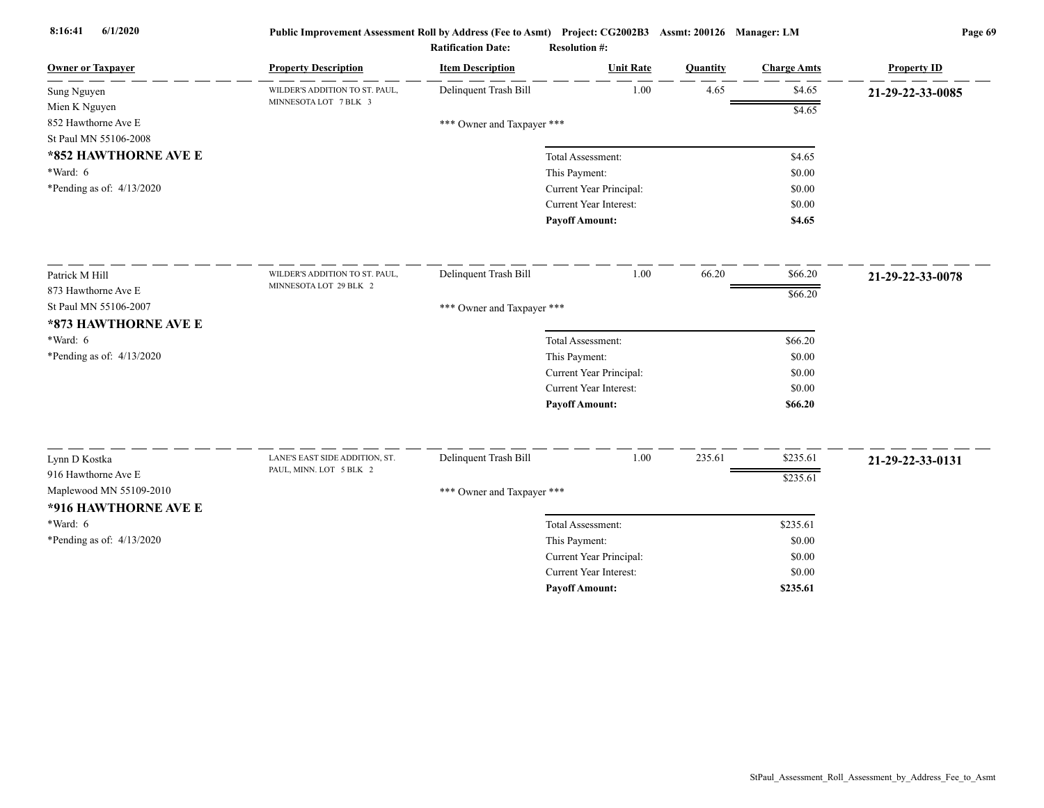| <b>Owner or Taxpayer</b>    | <b>Property Description</b>    | <b>Item Description</b>    | <b>Unit Rate</b>                                         | Quantity | <b>Charge Amts</b> | <b>Property ID</b> |
|-----------------------------|--------------------------------|----------------------------|----------------------------------------------------------|----------|--------------------|--------------------|
| Sung Nguyen                 | WILDER'S ADDITION TO ST. PAUL, | Delinquent Trash Bill      | 1.00                                                     | 4.65     | \$4.65             | 21-29-22-33-0085   |
| Mien K Nguyen               | MINNESOTA LOT 7 BLK 3          |                            |                                                          |          | \$4.65             |                    |
| 852 Hawthorne Ave E         |                                | *** Owner and Taxpayer *** |                                                          |          |                    |                    |
| St Paul MN 55106-2008       |                                |                            |                                                          |          |                    |                    |
| *852 HAWTHORNE AVE E        |                                |                            | Total Assessment:                                        |          | \$4.65             |                    |
| $*Ward: 6$                  |                                |                            | This Payment:                                            |          | \$0.00             |                    |
| *Pending as of: $4/13/2020$ |                                |                            | Current Year Principal:                                  |          | \$0.00             |                    |
|                             |                                |                            | Current Year Interest:                                   |          | \$0.00             |                    |
|                             |                                |                            | <b>Pavoff Amount:</b>                                    |          | \$4.65             |                    |
| Patrick M Hill              | WILDER'S ADDITION TO ST. PAUL, | Delinquent Trash Bill      | 1.00                                                     | 66.20    | \$66.20            | 21-29-22-33-0078   |
| 873 Hawthorne Ave E         | MINNESOTA LOT 29 BLK 2         |                            |                                                          |          | \$66.20            |                    |
| St Paul MN 55106-2007       |                                | *** Owner and Taxpayer *** |                                                          |          |                    |                    |
| *873 HAWTHORNE AVE E        |                                |                            |                                                          |          |                    |                    |
| *Ward: 6                    |                                |                            | Total Assessment:                                        |          | \$66.20            |                    |
| *Pending as of: 4/13/2020   |                                |                            | This Payment:                                            |          | \$0.00             |                    |
|                             |                                |                            | Current Year Principal:                                  |          | \$0.00             |                    |
|                             |                                |                            | <b>Current Year Interest:</b>                            |          | \$0.00             |                    |
|                             |                                |                            | <b>Payoff Amount:</b>                                    |          | \$66.20            |                    |
|                             | LANE'S EAST SIDE ADDITION, ST. | Delinquent Trash Bill      | 1.00                                                     | 235.61   | \$235.61           |                    |
| Lynn D Kostka               | PAUL, MINN. LOT 5 BLK 2        |                            |                                                          |          |                    | 21-29-22-33-0131   |
| 916 Hawthorne Ave E         |                                |                            |                                                          |          | \$235.61           |                    |
| Maplewood MN 55109-2010     |                                | *** Owner and Taxpayer *** |                                                          |          |                    |                    |
| *916 HAWTHORNE AVE E        |                                |                            |                                                          |          |                    |                    |
| *Ward: 6                    |                                |                            | Total Assessment:                                        |          | \$235.61           |                    |
| *Pending as of: $4/13/2020$ |                                |                            | This Payment:                                            |          | \$0.00             |                    |
|                             |                                |                            | Current Year Principal:<br><b>Current Year Interest:</b> |          | \$0.00             |                    |
|                             |                                |                            |                                                          |          | \$0.00             |                    |
|                             |                                |                            | <b>Pavoff Amount:</b>                                    |          | \$235.61           |                    |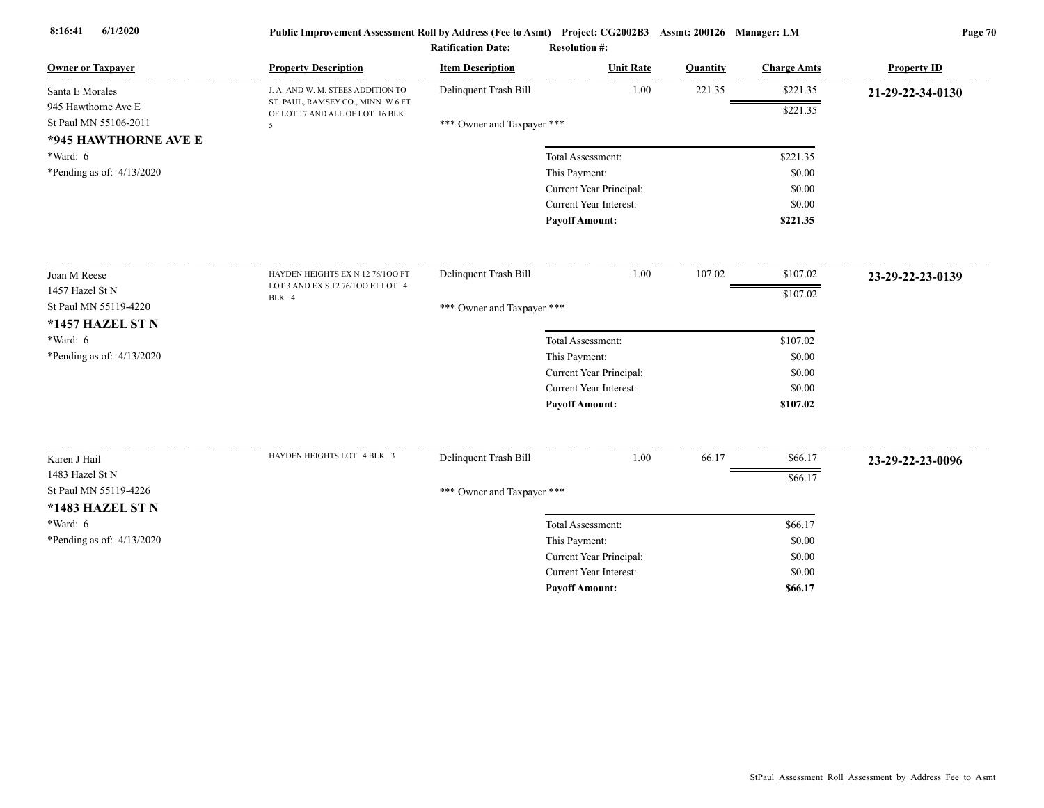| <b>Owner or Taxpayer</b>    | <b>Property Description</b>                                           | <b>Item Description</b>    | <b>Unit Rate</b>        | Quantity | <b>Charge Amts</b> | <b>Property ID</b> |
|-----------------------------|-----------------------------------------------------------------------|----------------------------|-------------------------|----------|--------------------|--------------------|
| Santa E Morales             | J. A. AND W. M. STEES ADDITION TO                                     | Delinquent Trash Bill      | 1.00                    | 221.35   | \$221.35           | 21-29-22-34-0130   |
| 945 Hawthorne Ave E         | ST. PAUL, RAMSEY CO., MINN. W 6 FT<br>OF LOT 17 AND ALL OF LOT 16 BLK |                            |                         |          | \$221.35           |                    |
| St Paul MN 55106-2011       | 5                                                                     | *** Owner and Taxpayer *** |                         |          |                    |                    |
| *945 HAWTHORNE AVE E        |                                                                       |                            |                         |          |                    |                    |
| $*Ward: 6$                  |                                                                       |                            | Total Assessment:       |          | \$221.35           |                    |
| *Pending as of: $4/13/2020$ |                                                                       |                            | This Payment:           |          | \$0.00             |                    |
|                             |                                                                       |                            | Current Year Principal: |          | \$0.00             |                    |
|                             |                                                                       |                            | Current Year Interest:  |          | \$0.00             |                    |
|                             |                                                                       |                            | <b>Payoff Amount:</b>   |          | \$221.35           |                    |
| Joan M Reese                | HAYDEN HEIGHTS EX N 12 76/100 FT                                      | Delinquent Trash Bill      | 1.00                    | 107.02   | \$107.02           | 23-29-22-23-0139   |
| 1457 Hazel St N             | LOT 3 AND EX S 12 76/100 FT LOT 4                                     |                            |                         |          | \$107.02           |                    |
| St Paul MN 55119-4220       | BLK 4                                                                 | *** Owner and Taxpayer *** |                         |          |                    |                    |
| *1457 HAZEL ST N            |                                                                       |                            |                         |          |                    |                    |
| *Ward: $6$                  |                                                                       |                            | Total Assessment:       |          | \$107.02           |                    |
| *Pending as of: 4/13/2020   |                                                                       |                            | This Payment:           |          | \$0.00             |                    |
|                             |                                                                       |                            | Current Year Principal: |          | \$0.00             |                    |
|                             |                                                                       |                            | Current Year Interest:  |          | \$0.00             |                    |
|                             |                                                                       |                            | <b>Payoff Amount:</b>   |          | \$107.02           |                    |
|                             |                                                                       |                            |                         |          |                    |                    |
| Karen J Hail                | HAYDEN HEIGHTS LOT 4 BLK 3                                            | Delinquent Trash Bill      | 1.00                    | 66.17    | \$66.17            | 23-29-22-23-0096   |
| 1483 Hazel St N             |                                                                       |                            |                         |          | \$66.17            |                    |
| St Paul MN 55119-4226       |                                                                       | *** Owner and Taxpayer *** |                         |          |                    |                    |
| *1483 HAZEL ST N            |                                                                       |                            |                         |          |                    |                    |
| *Ward: $6$                  |                                                                       |                            | Total Assessment:       |          | \$66.17            |                    |
| *Pending as of: 4/13/2020   |                                                                       |                            | This Payment:           |          | \$0.00             |                    |
|                             |                                                                       |                            | Current Year Principal: |          | \$0.00             |                    |
|                             |                                                                       |                            | Current Year Interest:  |          | \$0.00             |                    |
|                             |                                                                       |                            | <b>Payoff Amount:</b>   |          | \$66.17            |                    |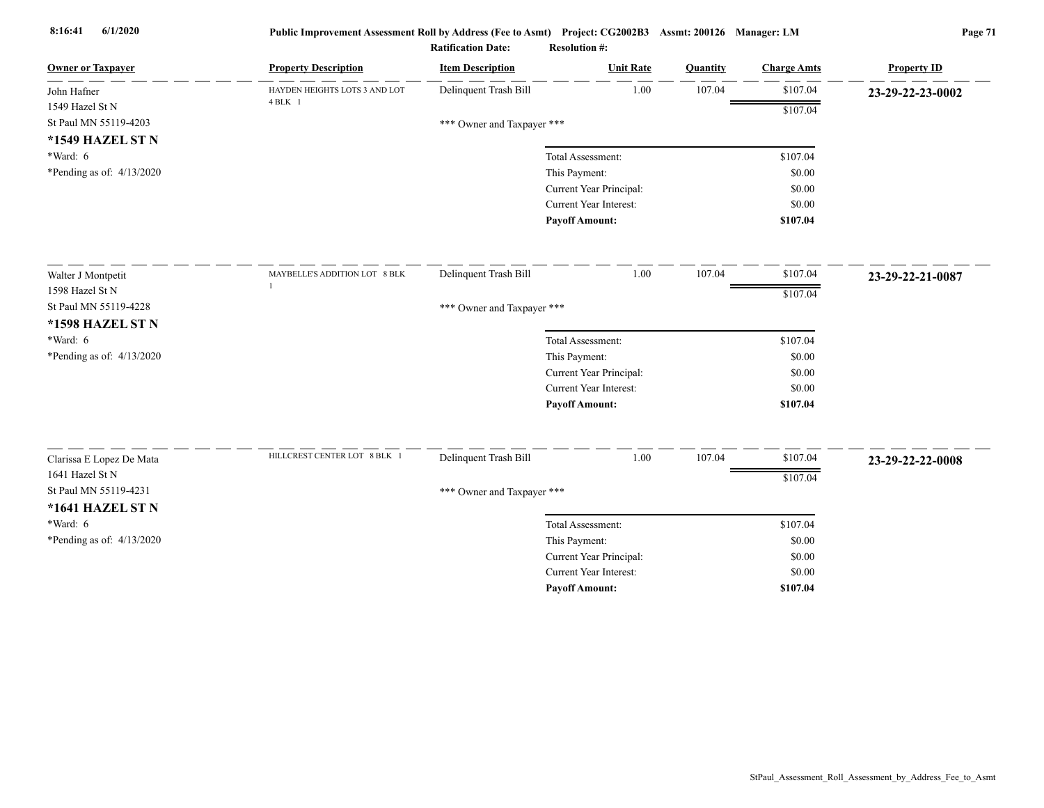| <b>Owner or Taxpayer</b>                    | <b>Property Description</b>   | <b>Item Description</b>    | <b>Unit Rate</b>              | <b>Quantity</b> | <b>Charge Amts</b> | <b>Property ID</b> |
|---------------------------------------------|-------------------------------|----------------------------|-------------------------------|-----------------|--------------------|--------------------|
| John Hafner                                 | HAYDEN HEIGHTS LOTS 3 AND LOT | Delinquent Trash Bill      | 1.00                          | 107.04          | \$107.04           | 23-29-22-23-0002   |
| 1549 Hazel St N                             | $4$ BLK $1$                   |                            |                               |                 | \$107.04           |                    |
| St Paul MN 55119-4203                       |                               | *** Owner and Taxpayer *** |                               |                 |                    |                    |
| *1549 HAZEL ST N                            |                               |                            |                               |                 |                    |                    |
| $*Ward: 6$                                  |                               |                            | Total Assessment:             |                 | \$107.04           |                    |
| *Pending as of: $4/13/2020$                 |                               |                            | This Payment:                 |                 | \$0.00             |                    |
|                                             |                               |                            | Current Year Principal:       |                 | \$0.00             |                    |
|                                             |                               |                            | Current Year Interest:        |                 | \$0.00             |                    |
|                                             |                               |                            | <b>Payoff Amount:</b>         |                 | \$107.04           |                    |
| Walter J Montpetit                          | MAYBELLE'S ADDITION LOT 8 BLK | Delinquent Trash Bill      | 1.00                          | 107.04          | \$107.04           | 23-29-22-21-0087   |
| 1598 Hazel St N                             |                               |                            |                               |                 | \$107.04           |                    |
| St Paul MN 55119-4228                       |                               | *** Owner and Taxpayer *** |                               |                 |                    |                    |
| *1598 HAZEL ST N                            |                               |                            |                               |                 |                    |                    |
| *Ward: $6$                                  |                               |                            | Total Assessment:             |                 | \$107.04           |                    |
| *Pending as of: 4/13/2020                   |                               |                            | This Payment:                 |                 | \$0.00             |                    |
|                                             |                               |                            | Current Year Principal:       |                 | \$0.00             |                    |
|                                             |                               |                            | <b>Current Year Interest:</b> |                 | \$0.00             |                    |
|                                             |                               |                            | <b>Payoff Amount:</b>         |                 | \$107.04           |                    |
|                                             | HILLCREST CENTER LOT 8 BLK 1  | Delinquent Trash Bill      | 1.00                          | 107.04          | \$107.04           |                    |
| Clarissa E Lopez De Mata<br>1641 Hazel St N |                               |                            |                               |                 |                    | 23-29-22-22-0008   |
| St Paul MN 55119-4231                       |                               |                            |                               |                 | \$107.04           |                    |
|                                             |                               | *** Owner and Taxpayer *** |                               |                 |                    |                    |
| <b>*1641 HAZEL ST N</b>                     |                               |                            |                               |                 |                    |                    |
| $*Ward: 6$                                  |                               |                            | Total Assessment:             |                 | \$107.04           |                    |
| *Pending as of: $4/13/2020$                 |                               |                            | This Payment:                 |                 | \$0.00             |                    |
|                                             |                               |                            | Current Year Principal:       |                 | \$0.00             |                    |
|                                             |                               |                            | Current Year Interest:        |                 | \$0.00             |                    |
|                                             |                               |                            | <b>Payoff Amount:</b>         |                 | \$107.04           |                    |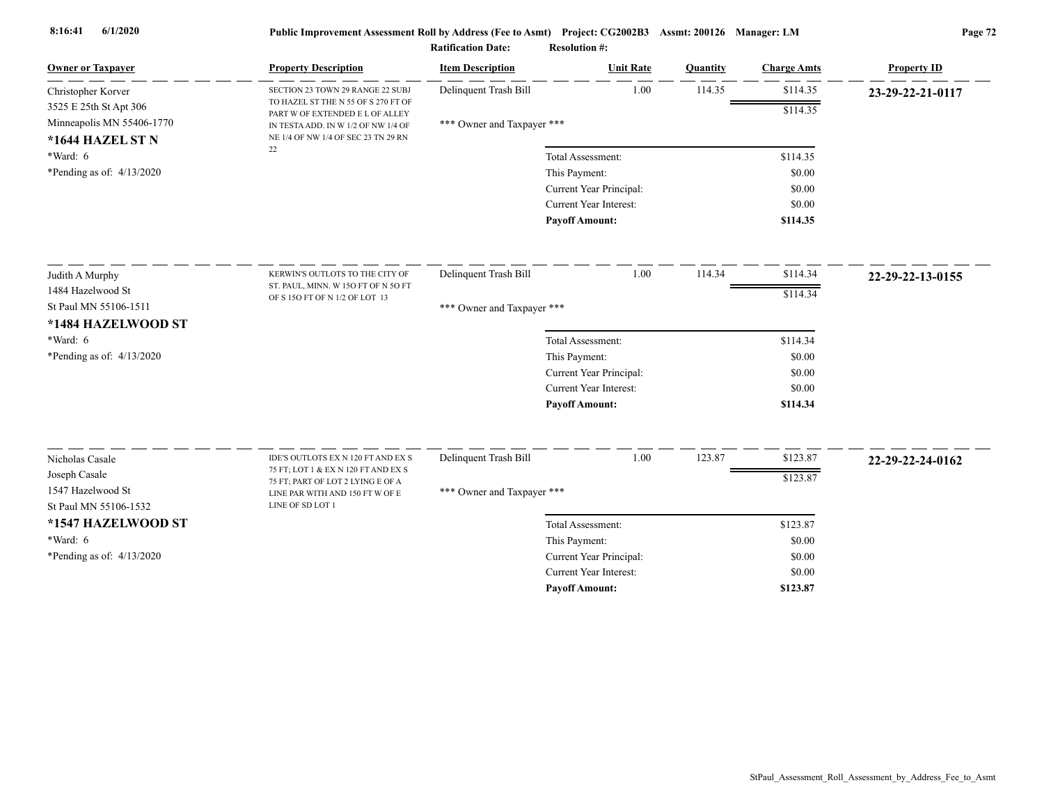| <b>Owner or Taxpayer</b>     | <b>Property Description</b>                                            | <b>Item Description</b>    | <b>Unit Rate</b>              | Quantity | <b>Charge Amts</b> | <b>Property ID</b> |
|------------------------------|------------------------------------------------------------------------|----------------------------|-------------------------------|----------|--------------------|--------------------|
| Christopher Korver           | SECTION 23 TOWN 29 RANGE 22 SUBJ                                       | Delinquent Trash Bill      | 1.00                          | 114.35   | \$114.35           | 23-29-22-21-0117   |
| 3525 E 25th St Apt 306       | TO HAZEL ST THE N 55 OF S 270 FT OF<br>PART W OF EXTENDED E L OF ALLEY |                            |                               |          | \$114.35           |                    |
| Minneapolis MN 55406-1770    | IN TESTA ADD. IN W 1/2 OF NW 1/4 OF                                    | *** Owner and Taxpayer *** |                               |          |                    |                    |
| *1644 HAZEL ST N<br>*Ward: 6 | NE 1/4 OF NW 1/4 OF SEC 23 TN 29 RN<br>22                              |                            | Total Assessment:             |          | \$114.35           |                    |
| *Pending as of: $4/13/2020$  |                                                                        |                            | This Payment:                 |          | \$0.00             |                    |
|                              |                                                                        |                            | Current Year Principal:       |          | \$0.00             |                    |
|                              |                                                                        |                            | <b>Current Year Interest:</b> |          | \$0.00             |                    |
|                              |                                                                        |                            | <b>Payoff Amount:</b>         |          | \$114.35           |                    |
|                              |                                                                        |                            |                               |          |                    |                    |
| Judith A Murphy              | KERWIN'S OUTLOTS TO THE CITY OF                                        | Delinquent Trash Bill      | 1.00                          | 114.34   | \$114.34           | 22-29-22-13-0155   |
| 1484 Hazelwood St            | ST. PAUL, MINN. W 15O FT OF N 5O FT<br>OF S 15O FT OF N 1/2 OF LOT 13  |                            |                               |          | \$114.34           |                    |
| St Paul MN 55106-1511        |                                                                        | *** Owner and Taxpayer *** |                               |          |                    |                    |
| *1484 HAZELWOOD ST           |                                                                        |                            |                               |          |                    |                    |
| *Ward: 6                     |                                                                        |                            | Total Assessment:             |          | \$114.34           |                    |
| *Pending as of: $4/13/2020$  |                                                                        |                            | This Payment:                 |          | \$0.00             |                    |
|                              |                                                                        |                            | Current Year Principal:       |          | \$0.00             |                    |
|                              |                                                                        |                            | <b>Current Year Interest:</b> |          | \$0.00             |                    |
|                              |                                                                        |                            | <b>Payoff Amount:</b>         |          | \$114.34           |                    |
| Nicholas Casale              | IDE'S OUTLOTS EX N 120 FT AND EX S                                     | Delinquent Trash Bill      | 1.00                          | 123.87   | \$123.87           |                    |
| Joseph Casale                | 75 FT; LOT 1 & EX N 120 FT AND EX S                                    |                            |                               |          |                    | 22-29-22-24-0162   |
| 1547 Hazelwood St            | 75 FT; PART OF LOT 2 LYING E OF A                                      | *** Owner and Taxpayer *** |                               |          | \$123.87           |                    |
| St Paul MN 55106-1532        | LINE PAR WITH AND 150 FT W OF E<br>LINE OF SD LOT 1                    |                            |                               |          |                    |                    |
| *1547 HAZELWOOD ST           |                                                                        |                            | Total Assessment:             |          | \$123.87           |                    |
| $*Ward: 6$                   |                                                                        |                            | This Payment:                 |          | \$0.00             |                    |
| *Pending as of: $4/13/2020$  |                                                                        |                            | Current Year Principal:       |          | \$0.00             |                    |
|                              |                                                                        |                            | <b>Current Year Interest:</b> |          | \$0.00             |                    |
|                              |                                                                        |                            | <b>Pavoff Amount:</b>         |          | \$123.87           |                    |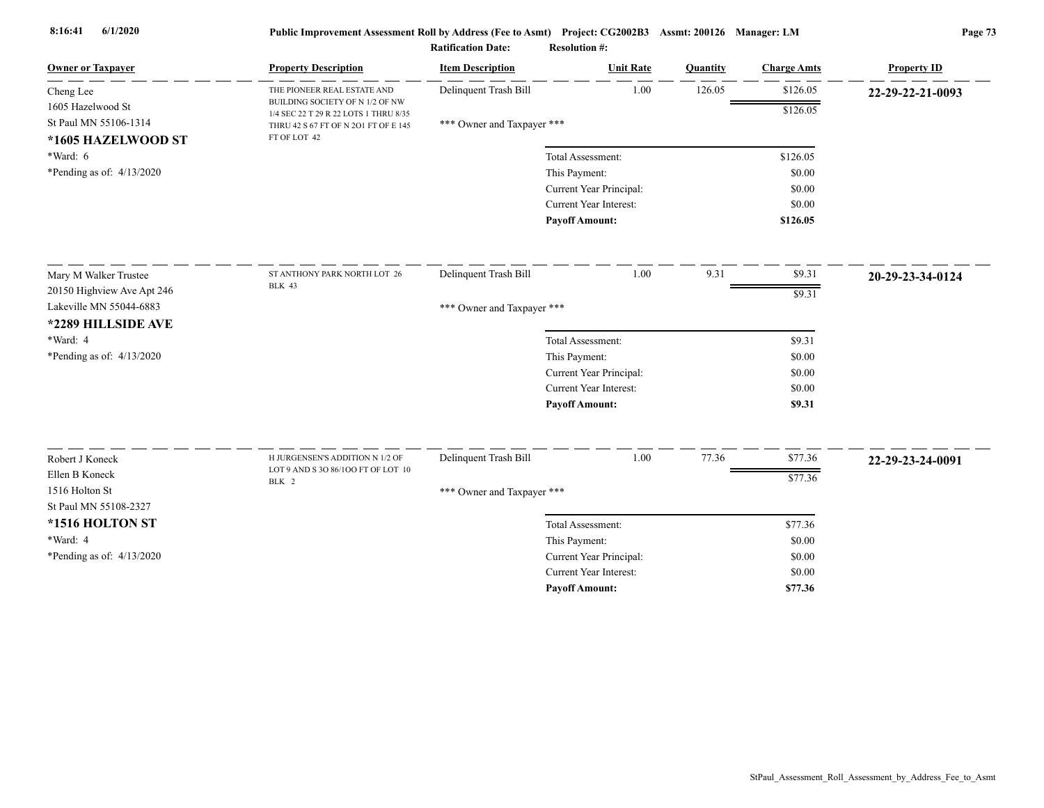| <b>Owner or Taxpayer</b>                | <b>Property Description</b>                                              | <b>Item Description</b>    | <b>Unit Rate</b>              | Quantity | <b>Charge Amts</b> | <b>Property ID</b> |
|-----------------------------------------|--------------------------------------------------------------------------|----------------------------|-------------------------------|----------|--------------------|--------------------|
| Cheng Lee                               | THE PIONEER REAL ESTATE AND                                              | Delinquent Trash Bill      | 1.00                          | 126.05   | \$126.05           | 22-29-22-21-0093   |
| 1605 Hazelwood St                       | BUILDING SOCIETY OF N 1/2 OF NW<br>1/4 SEC 22 T 29 R 22 LOTS 1 THRU 8/35 |                            |                               |          | \$126.05           |                    |
| St Paul MN 55106-1314                   | THRU 42 S 67 FT OF N 201 FT OF E 145                                     | *** Owner and Taxpayer *** |                               |          |                    |                    |
| *1605 HAZELWOOD ST                      | FT OF LOT 42                                                             |                            |                               |          |                    |                    |
| *Ward: 6                                |                                                                          |                            | Total Assessment:             |          | \$126.05           |                    |
| *Pending as of: $4/13/2020$             |                                                                          |                            | This Payment:                 |          | \$0.00             |                    |
|                                         |                                                                          |                            | Current Year Principal:       |          | \$0.00             |                    |
|                                         |                                                                          |                            | Current Year Interest:        |          | \$0.00             |                    |
|                                         |                                                                          |                            | <b>Payoff Amount:</b>         |          | \$126.05           |                    |
| Mary M Walker Trustee                   | ST ANTHONY PARK NORTH LOT 26                                             | Delinquent Trash Bill      | 1.00                          | 9.31     | \$9.31             | 20-29-23-34-0124   |
| 20150 Highview Ave Apt 246              | <b>BLK 43</b>                                                            |                            |                               |          | \$9.31             |                    |
| Lakeville MN 55044-6883                 |                                                                          | *** Owner and Taxpayer *** |                               |          |                    |                    |
| *2289 HILLSIDE AVE                      |                                                                          |                            |                               |          |                    |                    |
| *Ward: 4                                |                                                                          |                            | Total Assessment:             |          | \$9.31             |                    |
| *Pending as of: 4/13/2020               |                                                                          |                            | This Payment:                 |          | \$0.00             |                    |
|                                         |                                                                          |                            | Current Year Principal:       |          | \$0.00             |                    |
|                                         |                                                                          |                            | Current Year Interest:        |          | \$0.00             |                    |
|                                         |                                                                          |                            | <b>Payoff Amount:</b>         |          | \$9.31             |                    |
|                                         |                                                                          |                            |                               |          |                    |                    |
| Robert J Koneck                         | H JURGENSEN'S ADDITION N 1/2 OF<br>LOT 9 AND S 3O 86/100 FT OF LOT 10    | Delinquent Trash Bill      | 1.00                          | 77.36    | \$77.36            | 22-29-23-24-0091   |
| Ellen B Koneck                          | BLK 2                                                                    |                            |                               |          | \$77.36            |                    |
| 1516 Holton St<br>St Paul MN 55108-2327 |                                                                          | *** Owner and Taxpayer *** |                               |          |                    |                    |
| *1516 HOLTON ST                         |                                                                          |                            | Total Assessment:             |          | \$77.36            |                    |
| *Ward: 4                                |                                                                          |                            | This Payment:                 |          | \$0.00             |                    |
| *Pending as of: $4/13/2020$             |                                                                          |                            | Current Year Principal:       |          | \$0.00             |                    |
|                                         |                                                                          |                            | <b>Current Year Interest:</b> |          | \$0.00             |                    |
|                                         |                                                                          |                            | <b>Pavoff Amount:</b>         |          | \$77.36            |                    |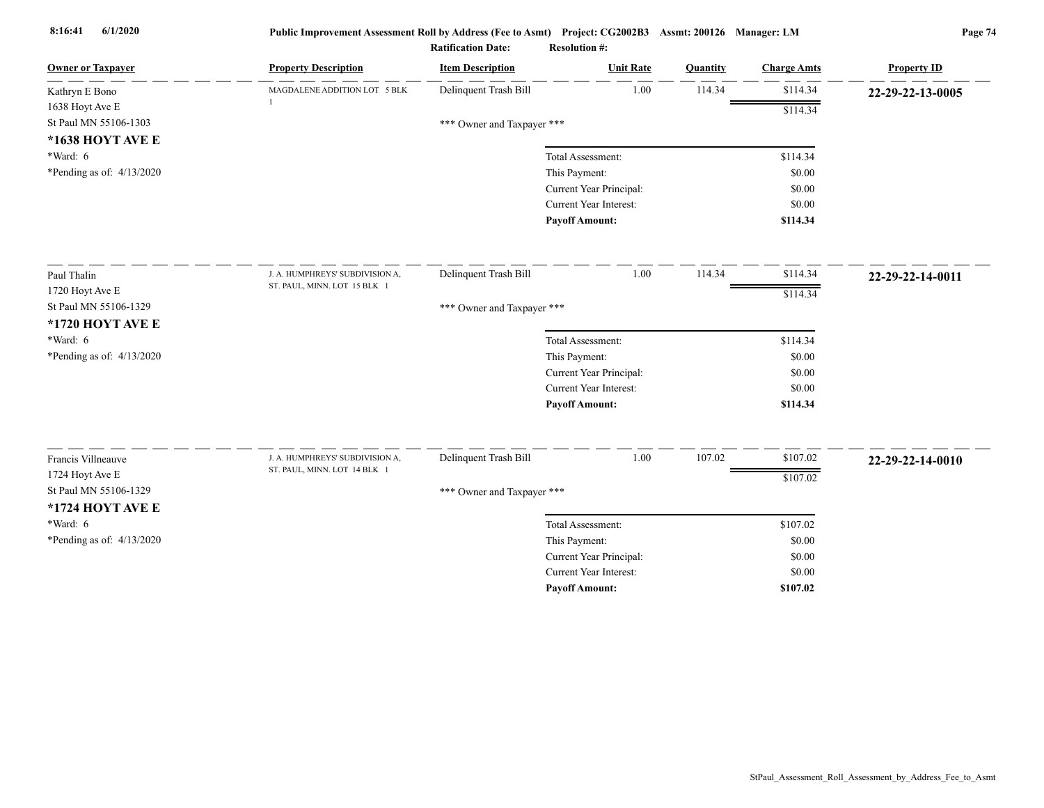| 1.00<br>114.34<br>\$114.34<br>Delinquent Trash Bill<br>MAGDALENE ADDITION LOT 5 BLK<br>Kathryn E Bono        | 22-29-22-13-0005 |
|--------------------------------------------------------------------------------------------------------------|------------------|
| 1638 Hoyt Ave E<br>\$114.34                                                                                  |                  |
| St Paul MN 55106-1303<br>*** Owner and Taxpayer ***                                                          |                  |
| *1638 HOYT AVE E                                                                                             |                  |
| $*Ward: 6$<br>Total Assessment:<br>\$114.34                                                                  |                  |
| *Pending as of: $4/13/2020$<br>This Payment:<br>\$0.00                                                       |                  |
| Current Year Principal:<br>\$0.00                                                                            |                  |
| <b>Current Year Interest:</b><br>\$0.00                                                                      |                  |
| <b>Payoff Amount:</b><br>\$114.34                                                                            |                  |
| Delinquent Trash Bill<br>1.00<br>114.34<br>\$114.34<br>Paul Thalin<br>J. A. HUMPHREYS' SUBDIVISION A,        | 22-29-22-14-0011 |
| ST. PAUL, MINN. LOT 15 BLK 1<br>1720 Hoyt Ave E<br>\$114.34                                                  |                  |
| St Paul MN 55106-1329<br>*** Owner and Taxpayer ***                                                          |                  |
| *1720 HOYT AVE E                                                                                             |                  |
| *Ward: 6<br>Total Assessment:<br>\$114.34                                                                    |                  |
| *Pending as of: $4/13/2020$<br>This Payment:<br>\$0.00                                                       |                  |
| Current Year Principal:<br>\$0.00                                                                            |                  |
| Current Year Interest:<br>\$0.00                                                                             |                  |
| <b>Payoff Amount:</b><br>\$114.34                                                                            |                  |
| Delinquent Trash Bill<br>1.00<br>107.02<br>\$107.02<br>Francis Villneauve<br>J. A. HUMPHREYS' SUBDIVISION A, |                  |
| ST. PAUL, MINN. LOT 14 BLK 1<br>1724 Hoyt Ave E                                                              | 22-29-22-14-0010 |
| \$107.02<br>St Paul MN 55106-1329                                                                            |                  |
| *** Owner and Taxpayer ***<br>*1724 HOYT AVE E                                                               |                  |
| $*Ward: 6$                                                                                                   |                  |
| Total Assessment:<br>\$107.02                                                                                |                  |
| *Pending as of: $4/13/2020$<br>This Payment:<br>\$0.00<br>Current Year Principal:<br>\$0.00                  |                  |
| <b>Current Year Interest:</b><br>\$0.00                                                                      |                  |
| \$107.02<br><b>Payoff Amount:</b>                                                                            |                  |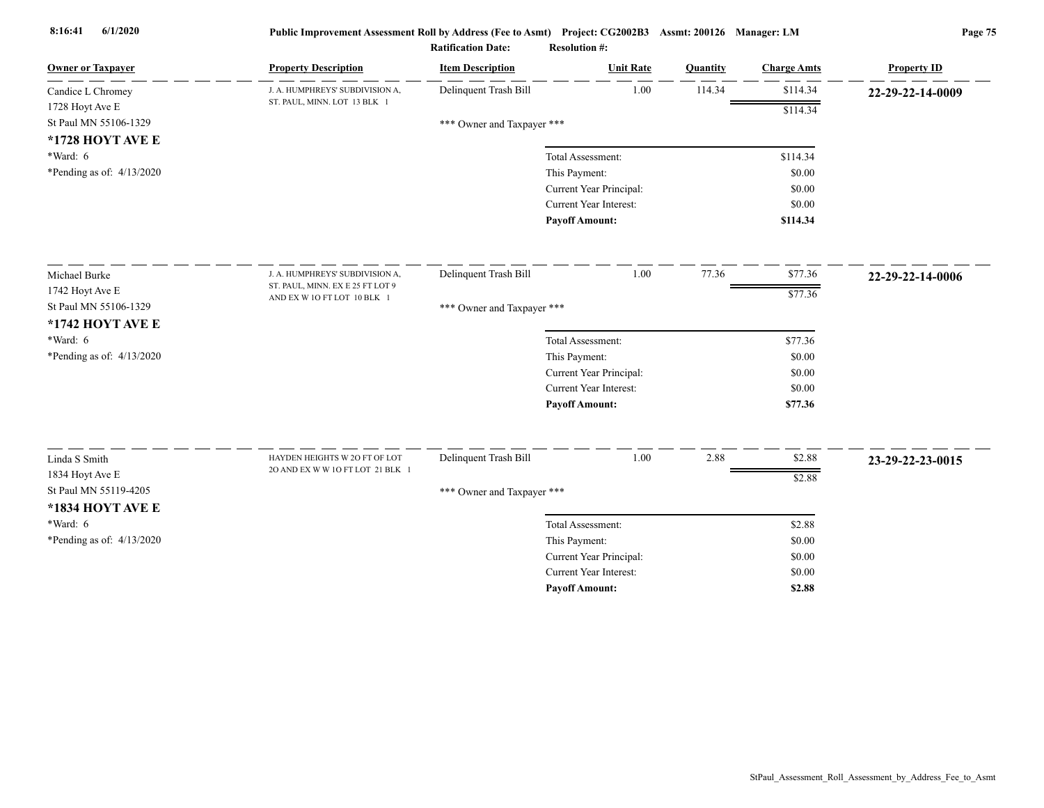| <b>Owner or Taxpayer</b>    | <b>Property Description</b>                                       | <b>Item Description</b>    | <b>Unit Rate</b>              | Quantity | <b>Charge Amts</b> | <b>Property ID</b> |
|-----------------------------|-------------------------------------------------------------------|----------------------------|-------------------------------|----------|--------------------|--------------------|
| Candice L Chromey           | J. A. HUMPHREYS' SUBDIVISION A,                                   | Delinquent Trash Bill      | 1.00                          | 114.34   | \$114.34           | 22-29-22-14-0009   |
| 1728 Hoyt Ave E             | ST. PAUL, MINN. LOT 13 BLK 1                                      |                            |                               |          | \$114.34           |                    |
| St Paul MN 55106-1329       |                                                                   | *** Owner and Taxpayer *** |                               |          |                    |                    |
| *1728 HOYT AVE E            |                                                                   |                            |                               |          |                    |                    |
| $*Ward: 6$                  |                                                                   |                            | Total Assessment:             |          | \$114.34           |                    |
| *Pending as of: $4/13/2020$ |                                                                   |                            | This Payment:                 |          | \$0.00             |                    |
|                             |                                                                   |                            | Current Year Principal:       |          | \$0.00             |                    |
|                             |                                                                   |                            | <b>Current Year Interest:</b> |          | \$0.00             |                    |
|                             |                                                                   |                            | <b>Payoff Amount:</b>         |          | \$114.34           |                    |
| Michael Burke               | J. A. HUMPHREYS' SUBDIVISION A,                                   | Delinquent Trash Bill      | 1.00                          | 77.36    | \$77.36            | 22-29-22-14-0006   |
| 1742 Hoyt Ave E             | ST. PAUL, MINN. EX E 25 FT LOT 9                                  |                            |                               |          | \$77.36            |                    |
| St Paul MN 55106-1329       | AND EX W 1O FT LOT 10 BLK 1                                       | *** Owner and Taxpayer *** |                               |          |                    |                    |
| *1742 HOYT AVE E            |                                                                   |                            |                               |          |                    |                    |
| $*Ward: 6$                  |                                                                   |                            | Total Assessment:             |          | \$77.36            |                    |
| *Pending as of: 4/13/2020   |                                                                   |                            | This Payment:                 |          | \$0.00             |                    |
|                             |                                                                   |                            | Current Year Principal:       |          | \$0.00             |                    |
|                             |                                                                   |                            | <b>Current Year Interest:</b> |          | \$0.00             |                    |
|                             |                                                                   |                            | <b>Payoff Amount:</b>         |          | \$77.36            |                    |
|                             |                                                                   |                            |                               |          |                    |                    |
| Linda S Smith               | HAYDEN HEIGHTS W 2O FT OF LOT<br>20 AND EX W W 10 FT LOT 21 BLK 1 | Delinquent Trash Bill      | 1.00                          | 2.88     | \$2.88             | 23-29-22-23-0015   |
| 1834 Hoyt Ave E             |                                                                   |                            |                               |          | \$2.88             |                    |
| St Paul MN 55119-4205       |                                                                   | *** Owner and Taxpayer *** |                               |          |                    |                    |
| *1834 HOYT AVE E            |                                                                   |                            |                               |          |                    |                    |
| *Ward: 6                    |                                                                   |                            | Total Assessment:             |          | \$2.88             |                    |
| *Pending as of: 4/13/2020   |                                                                   |                            | This Payment:                 |          | \$0.00             |                    |
|                             |                                                                   |                            | Current Year Principal:       |          | \$0.00             |                    |
|                             |                                                                   |                            | <b>Current Year Interest:</b> |          | \$0.00             |                    |
|                             |                                                                   |                            | <b>Pavoff Amount:</b>         |          | \$2.88             |                    |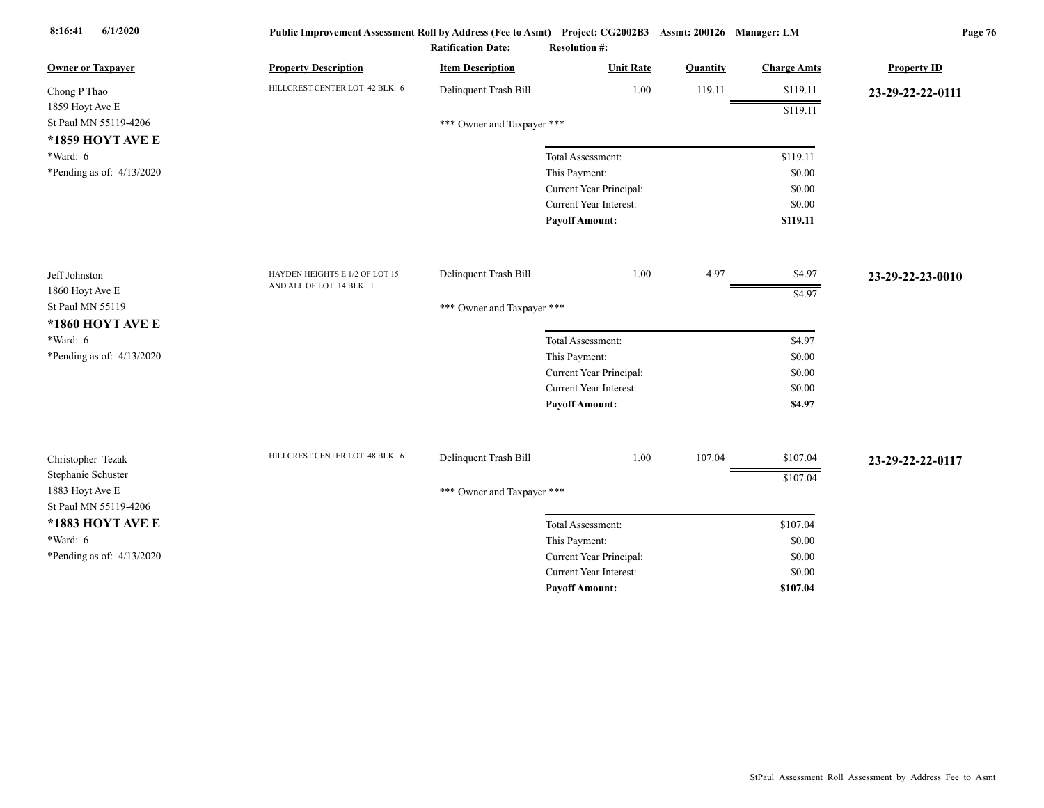| <b>Owner or Taxpayer</b>    | <b>Property Description</b>    | <b>Item Description</b>    | <b>Unit Rate</b>        | Quantity | <b>Charge Amts</b> | <b>Property ID</b> |
|-----------------------------|--------------------------------|----------------------------|-------------------------|----------|--------------------|--------------------|
| Chong P Thao                | HILLCREST CENTER LOT 42 BLK 6  | Delinquent Trash Bill      | 1.00                    | 119.11   | \$119.11           | 23-29-22-22-0111   |
| 1859 Hoyt Ave E             |                                |                            |                         |          | \$119.11           |                    |
| St Paul MN 55119-4206       |                                | *** Owner and Taxpayer *** |                         |          |                    |                    |
| *1859 HOYT AVE E            |                                |                            |                         |          |                    |                    |
| *Ward: 6                    |                                |                            | Total Assessment:       |          | \$119.11           |                    |
| *Pending as of: $4/13/2020$ |                                |                            | This Payment:           |          | \$0.00             |                    |
|                             |                                |                            | Current Year Principal: |          | \$0.00             |                    |
|                             |                                |                            | Current Year Interest:  |          | \$0.00             |                    |
|                             |                                |                            | <b>Payoff Amount:</b>   |          | \$119.11           |                    |
| Jeff Johnston               | HAYDEN HEIGHTS E 1/2 OF LOT 15 | Delinquent Trash Bill      | 1.00                    | 4.97     | \$4.97             | 23-29-22-23-0010   |
| 1860 Hoyt Ave E             | AND ALL OF LOT 14 BLK 1        |                            |                         |          | \$4.97             |                    |
| St Paul MN 55119            |                                | *** Owner and Taxpayer *** |                         |          |                    |                    |
| *1860 HOYT AVE E            |                                |                            |                         |          |                    |                    |
| $*Ward: 6$                  |                                |                            | Total Assessment:       |          | \$4.97             |                    |
| *Pending as of: 4/13/2020   |                                |                            | This Payment:           |          | \$0.00             |                    |
|                             |                                |                            | Current Year Principal: |          | \$0.00             |                    |
|                             |                                |                            | Current Year Interest:  |          | \$0.00             |                    |
|                             |                                |                            | <b>Payoff Amount:</b>   |          | \$4.97             |                    |
| Christopher Tezak           | HILLCREST CENTER LOT 48 BLK 6  | Delinquent Trash Bill      | 1.00                    | 107.04   | \$107.04           | 23-29-22-22-0117   |
| Stephanie Schuster          |                                |                            |                         |          |                    |                    |
| 1883 Hoyt Ave E             |                                | *** Owner and Taxpayer *** |                         |          | \$107.04           |                    |
| St Paul MN 55119-4206       |                                |                            |                         |          |                    |                    |
| *1883 HOYT AVE E            |                                |                            | Total Assessment:       |          | \$107.04           |                    |
| *Ward: 6                    |                                |                            | This Payment:           |          | \$0.00             |                    |
| *Pending as of: 4/13/2020   |                                |                            | Current Year Principal: |          | \$0.00             |                    |
|                             |                                |                            | Current Year Interest:  |          | \$0.00             |                    |
|                             |                                |                            | <b>Payoff Amount:</b>   |          | \$107.04           |                    |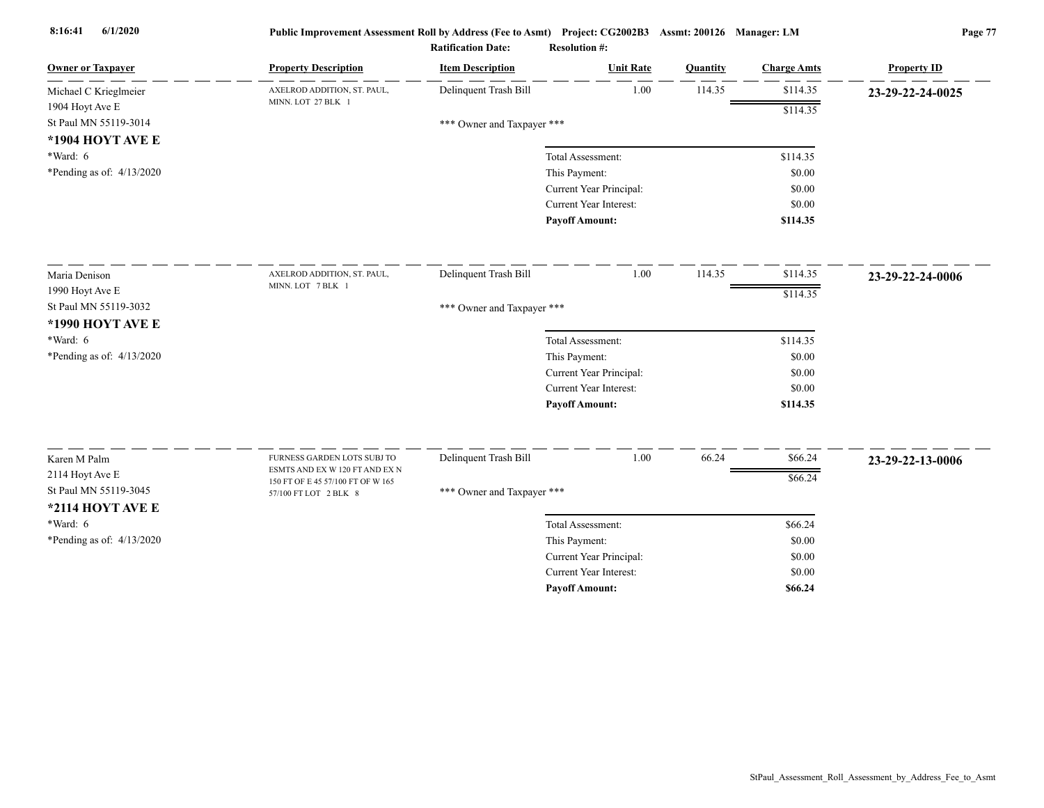| <b>Owner or Taxpayer</b>    | <b>Property Description</b>                                   | <b>Item Description</b>    | <b>Unit Rate</b>              | Quantity | <b>Charge Amts</b> | <b>Property ID</b> |
|-----------------------------|---------------------------------------------------------------|----------------------------|-------------------------------|----------|--------------------|--------------------|
| Michael C Krieglmeier       | AXELROD ADDITION, ST. PAUL,                                   | Delinquent Trash Bill      | 1.00                          | 114.35   | \$114.35           | 23-29-22-24-0025   |
| 1904 Hoyt Ave E             | MINN. LOT 27 BLK 1                                            |                            |                               |          | \$114.35           |                    |
| St Paul MN 55119-3014       |                                                               | *** Owner and Taxpayer *** |                               |          |                    |                    |
| *1904 HOYT AVE E            |                                                               |                            |                               |          |                    |                    |
| *Ward: 6                    |                                                               |                            | Total Assessment:             |          | \$114.35           |                    |
| *Pending as of: $4/13/2020$ |                                                               |                            | This Payment:                 |          | \$0.00             |                    |
|                             |                                                               |                            | Current Year Principal:       |          | \$0.00             |                    |
|                             |                                                               |                            | Current Year Interest:        |          | \$0.00             |                    |
|                             |                                                               |                            | <b>Payoff Amount:</b>         |          | \$114.35           |                    |
| Maria Denison               | AXELROD ADDITION, ST. PAUL,                                   | Delinquent Trash Bill      | 1.00                          | 114.35   | \$114.35           | 23-29-22-24-0006   |
| 1990 Hoyt Ave E             | MINN. LOT 7 BLK 1                                             |                            |                               |          | \$114.35           |                    |
| St Paul MN 55119-3032       |                                                               | *** Owner and Taxpayer *** |                               |          |                    |                    |
| *1990 HOYT AVE E            |                                                               |                            |                               |          |                    |                    |
| $*Ward: 6$                  |                                                               |                            | Total Assessment:             |          | \$114.35           |                    |
| *Pending as of: 4/13/2020   |                                                               |                            | This Payment:                 |          | \$0.00             |                    |
|                             |                                                               |                            | Current Year Principal:       |          | \$0.00             |                    |
|                             |                                                               |                            | <b>Current Year Interest:</b> |          | \$0.00             |                    |
|                             |                                                               |                            | <b>Payoff Amount:</b>         |          | \$114.35           |                    |
|                             |                                                               |                            |                               |          |                    |                    |
| Karen M Palm                | FURNESS GARDEN LOTS SUBJ TO<br>ESMTS AND EX W 120 FT AND EX N | Delinquent Trash Bill      | 1.00                          | 66.24    | \$66.24            | 23-29-22-13-0006   |
| 2114 Hoyt Ave E             | 150 FT OF E 45 57/100 FT OF W 165                             |                            |                               |          | \$66.24            |                    |
| St Paul MN 55119-3045       | 57/100 FT LOT 2 BLK 8                                         | *** Owner and Taxpayer *** |                               |          |                    |                    |
| *2114 HOYT AVE E            |                                                               |                            |                               |          |                    |                    |
| $*Ward: 6$                  |                                                               |                            | Total Assessment:             |          | \$66.24            |                    |
| *Pending as of: $4/13/2020$ |                                                               |                            | This Payment:                 |          | \$0.00             |                    |
|                             |                                                               |                            | Current Year Principal:       |          | \$0.00             |                    |
|                             |                                                               |                            | <b>Current Year Interest:</b> |          | \$0.00             |                    |
|                             |                                                               |                            | <b>Pavoff Amount:</b>         |          | \$66.24            |                    |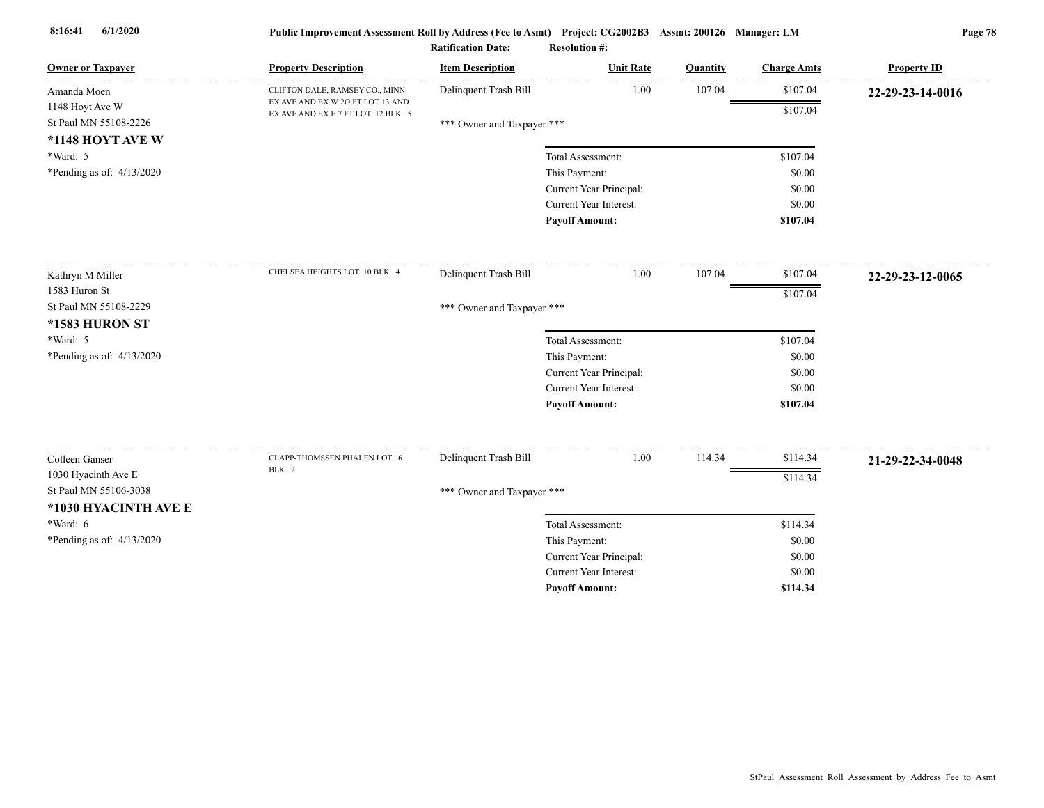| <b>Owner or Taxpayer</b>    | <b>Property Description</b>                                           | <b>Item Description</b>    | <b>Unit Rate</b>              | Quantity | <b>Charge Amts</b> | <b>Property ID</b> |
|-----------------------------|-----------------------------------------------------------------------|----------------------------|-------------------------------|----------|--------------------|--------------------|
| Amanda Moen                 | CLIFTON DALE, RAMSEY CO., MINN.                                       | Delinquent Trash Bill      | 1.00                          | 107.04   | \$107.04           | 22-29-23-14-0016   |
| 1148 Hoyt Ave W             | EX AVE AND EX W 2O FT LOT 13 AND<br>EX AVE AND EX E 7 FT LOT 12 BLK 5 |                            |                               |          | \$107.04           |                    |
| St Paul MN 55108-2226       |                                                                       | *** Owner and Taxpayer *** |                               |          |                    |                    |
| *1148 HOYT AVE W            |                                                                       |                            |                               |          |                    |                    |
| *Ward: 5                    |                                                                       |                            | Total Assessment:             |          | \$107.04           |                    |
| *Pending as of: $4/13/2020$ |                                                                       |                            | This Payment:                 |          | \$0.00             |                    |
|                             |                                                                       |                            | Current Year Principal:       |          | \$0.00             |                    |
|                             |                                                                       |                            | Current Year Interest:        |          | \$0.00             |                    |
|                             |                                                                       |                            | <b>Payoff Amount:</b>         |          | \$107.04           |                    |
| Kathryn M Miller            | CHELSEA HEIGHTS LOT 10 BLK 4                                          | Delinquent Trash Bill      | 1.00                          | 107.04   | \$107.04           | 22-29-23-12-0065   |
| 1583 Huron St               |                                                                       |                            |                               |          | \$107.04           |                    |
| St Paul MN 55108-2229       |                                                                       | *** Owner and Taxpayer *** |                               |          |                    |                    |
| <b>*1583 HURON ST</b>       |                                                                       |                            |                               |          |                    |                    |
| *Ward: 5                    |                                                                       |                            | Total Assessment:             |          | \$107.04           |                    |
| *Pending as of: $4/13/2020$ |                                                                       |                            | This Payment:                 |          | \$0.00             |                    |
|                             |                                                                       |                            | Current Year Principal:       |          | \$0.00             |                    |
|                             |                                                                       |                            | <b>Current Year Interest:</b> |          | \$0.00             |                    |
|                             |                                                                       |                            | <b>Payoff Amount:</b>         |          | \$107.04           |                    |
| Colleen Ganser              | CLAPP-THOMSSEN PHALEN LOT 6                                           | Delinquent Trash Bill      | 1.00                          | 114.34   | \$114.34           |                    |
| 1030 Hyacinth Ave E         | BLK 2                                                                 |                            |                               |          |                    | 21-29-22-34-0048   |
| St Paul MN 55106-3038       |                                                                       | *** Owner and Taxpayer *** |                               |          | \$114.34           |                    |
| *1030 HYACINTH AVE E        |                                                                       |                            |                               |          |                    |                    |
| $*Ward: 6$                  |                                                                       |                            | Total Assessment:             |          | \$114.34           |                    |
| *Pending as of: 4/13/2020   |                                                                       |                            | This Payment:                 |          | \$0.00             |                    |
|                             |                                                                       |                            | Current Year Principal:       |          | \$0.00             |                    |
|                             |                                                                       |                            | <b>Current Year Interest:</b> |          | \$0.00             |                    |
|                             |                                                                       |                            | <b>Payoff Amount:</b>         |          | \$114.34           |                    |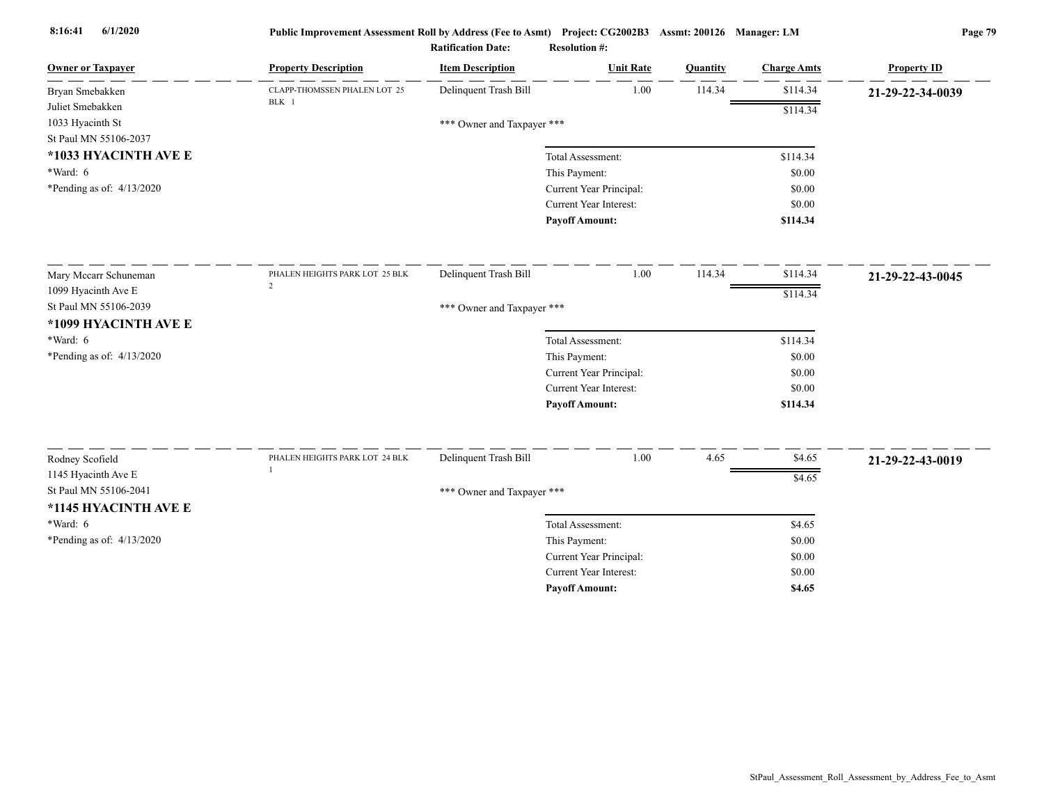| <b>Owner or Taxpayer</b>    | <b>Property Description</b>           | <b>Item Description</b>    | <b>Unit Rate</b>              | Quantity | <b>Charge Amts</b> | <b>Property ID</b> |
|-----------------------------|---------------------------------------|----------------------------|-------------------------------|----------|--------------------|--------------------|
| Bryan Smebakken             | CLAPP-THOMSSEN PHALEN LOT 25<br>BLK 1 | Delinquent Trash Bill      | 1.00                          | 114.34   | \$114.34           | 21-29-22-34-0039   |
| Juliet Smebakken            |                                       |                            |                               |          | \$114.34           |                    |
| 1033 Hyacinth St            |                                       | *** Owner and Taxpayer *** |                               |          |                    |                    |
| St Paul MN 55106-2037       |                                       |                            |                               |          |                    |                    |
| *1033 HYACINTH AVE E        |                                       |                            | Total Assessment:             |          | \$114.34           |                    |
| *Ward: 6                    |                                       |                            | This Payment:                 |          | \$0.00             |                    |
| *Pending as of: $4/13/2020$ |                                       |                            | Current Year Principal:       |          | \$0.00             |                    |
|                             |                                       |                            | <b>Current Year Interest:</b> |          | \$0.00             |                    |
|                             |                                       |                            | <b>Payoff Amount:</b>         |          | \$114.34           |                    |
| Mary Mccarr Schuneman       | PHALEN HEIGHTS PARK LOT 25 BLK        | Delinquent Trash Bill      | 1.00                          | 114.34   | \$114.34           | 21-29-22-43-0045   |
| 1099 Hyacinth Ave E         | $\overline{c}$                        |                            |                               |          | \$114.34           |                    |
| St Paul MN 55106-2039       |                                       | *** Owner and Taxpayer *** |                               |          |                    |                    |
| *1099 HYACINTH AVE E        |                                       |                            |                               |          |                    |                    |
| *Ward: 6                    |                                       |                            | Total Assessment:             |          | \$114.34           |                    |
| *Pending as of: 4/13/2020   |                                       |                            | This Payment:                 |          | \$0.00             |                    |
|                             |                                       |                            | Current Year Principal:       |          | \$0.00             |                    |
|                             |                                       |                            | <b>Current Year Interest:</b> |          | \$0.00             |                    |
|                             |                                       |                            | <b>Payoff Amount:</b>         |          | \$114.34           |                    |
|                             |                                       |                            |                               |          |                    |                    |
| Rodney Scofield             | PHALEN HEIGHTS PARK LOT 24 BLK        | Delinquent Trash Bill      | 1.00                          | 4.65     | \$4.65             | 21-29-22-43-0019   |
| 1145 Hyacinth Ave E         |                                       |                            |                               |          | \$4.65             |                    |
| St Paul MN 55106-2041       |                                       | *** Owner and Taxpayer *** |                               |          |                    |                    |
| *1145 HYACINTH AVE E        |                                       |                            |                               |          |                    |                    |
| $*Ward: 6$                  |                                       |                            | Total Assessment:             |          | \$4.65             |                    |
| *Pending as of: $4/13/2020$ |                                       |                            | This Payment:                 |          | \$0.00             |                    |
|                             |                                       |                            | Current Year Principal:       |          | \$0.00             |                    |
|                             |                                       |                            | <b>Current Year Interest:</b> |          | \$0.00             |                    |
|                             |                                       |                            | <b>Pavoff Amount:</b>         |          | \$4.65             |                    |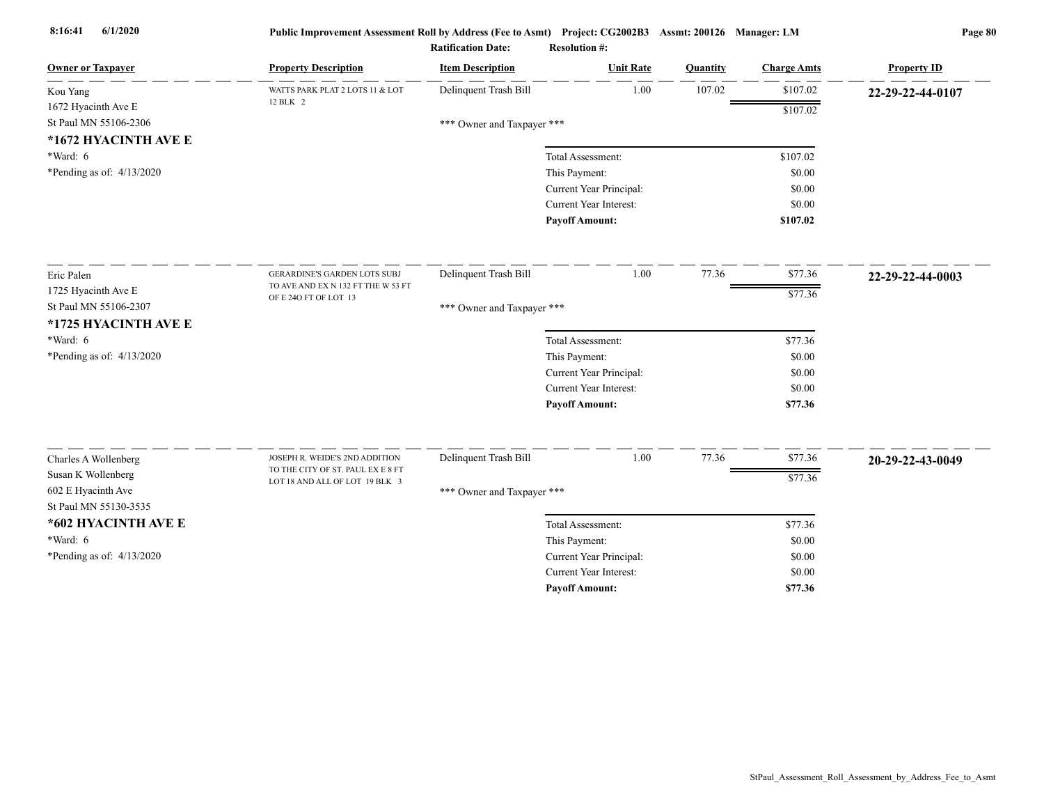| <b>Owner or Taxpayer</b>    | <b>Property Description</b>                                         | <b>Item Description</b>    | <b>Unit Rate</b>              | Quantity | <b>Charge Amts</b> | <b>Property ID</b> |
|-----------------------------|---------------------------------------------------------------------|----------------------------|-------------------------------|----------|--------------------|--------------------|
| Kou Yang                    | WATTS PARK PLAT 2 LOTS 11 & LOT<br>12 BLK 2                         | Delinquent Trash Bill      | 1.00                          | 107.02   | \$107.02           | 22-29-22-44-0107   |
| 1672 Hyacinth Ave E         |                                                                     |                            |                               |          | \$107.02           |                    |
| St Paul MN 55106-2306       |                                                                     | *** Owner and Taxpayer *** |                               |          |                    |                    |
| *1672 HYACINTH AVE E        |                                                                     |                            |                               |          |                    |                    |
| *Ward: 6                    |                                                                     |                            | Total Assessment:             |          | \$107.02           |                    |
| *Pending as of: 4/13/2020   |                                                                     |                            | This Payment:                 |          | \$0.00             |                    |
|                             |                                                                     |                            | Current Year Principal:       |          | \$0.00             |                    |
|                             |                                                                     |                            | Current Year Interest:        |          | \$0.00             |                    |
|                             |                                                                     |                            | <b>Payoff Amount:</b>         |          | \$107.02           |                    |
| Eric Palen                  | GERARDINE'S GARDEN LOTS SUBJ                                        | Delinquent Trash Bill      | 1.00                          | 77.36    | \$77.36            | 22-29-22-44-0003   |
| 1725 Hyacinth Ave E         | TO AVE AND EX N 132 FT THE W 53 FT                                  |                            |                               |          | \$77.36            |                    |
| St Paul MN 55106-2307       | OF E 24O FT OF LOT 13                                               | *** Owner and Taxpayer *** |                               |          |                    |                    |
| *1725 HYACINTH AVE E        |                                                                     |                            |                               |          |                    |                    |
| $*Ward: 6$                  |                                                                     |                            | Total Assessment:             |          | \$77.36            |                    |
| *Pending as of: $4/13/2020$ |                                                                     |                            | This Payment:                 |          | \$0.00             |                    |
|                             |                                                                     |                            | Current Year Principal:       |          | \$0.00             |                    |
|                             |                                                                     |                            | <b>Current Year Interest:</b> |          | \$0.00             |                    |
|                             |                                                                     |                            | <b>Payoff Amount:</b>         |          | \$77.36            |                    |
|                             |                                                                     |                            |                               |          |                    |                    |
| Charles A Wollenberg        | JOSEPH R. WEIDE'S 2ND ADDITION<br>TO THE CITY OF ST. PAUL EX E 8 FT | Delinquent Trash Bill      | 1.00                          | 77.36    | \$77.36            | 20-29-22-43-0049   |
| Susan K Wollenberg          | LOT 18 AND ALL OF LOT 19 BLK 3                                      |                            |                               |          | \$77.36            |                    |
| 602 E Hyacinth Ave          |                                                                     | *** Owner and Taxpayer *** |                               |          |                    |                    |
| St Paul MN 55130-3535       |                                                                     |                            |                               |          |                    |                    |
| *602 HYACINTH AVE E         |                                                                     |                            | Total Assessment:             |          | \$77.36            |                    |
| *Ward: 6                    |                                                                     |                            | This Payment:                 |          | \$0.00             |                    |
| *Pending as of: 4/13/2020   |                                                                     |                            | Current Year Principal:       |          | \$0.00             |                    |
|                             |                                                                     |                            | Current Year Interest:        |          | \$0.00             |                    |
|                             |                                                                     |                            | <b>Payoff Amount:</b>         |          | \$77.36            |                    |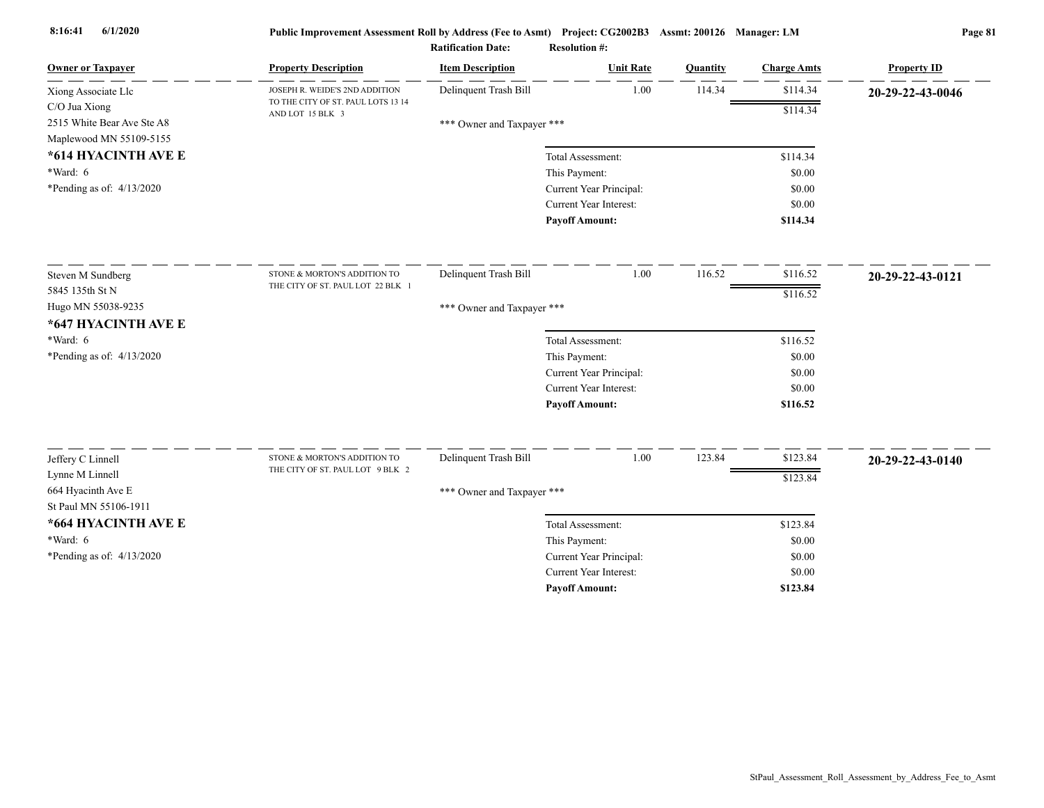| <b>Owner or Taxpayer</b>                    | <b>Property Description</b>                                      | <b>Item Description</b>    | <b>Unit Rate</b>                                         | Quantity | <b>Charge Amts</b> | <b>Property ID</b> |
|---------------------------------------------|------------------------------------------------------------------|----------------------------|----------------------------------------------------------|----------|--------------------|--------------------|
| Xiong Associate Llc                         | JOSEPH R. WEIDE'S 2ND ADDITION                                   | Delinquent Trash Bill      | 1.00                                                     | 114.34   | \$114.34           | 20-29-22-43-0046   |
| C/O Jua Xiong                               | TO THE CITY OF ST. PAUL LOTS 13 14<br>AND LOT 15 BLK 3           |                            |                                                          |          | \$114.34           |                    |
| 2515 White Bear Ave Ste A8                  |                                                                  | *** Owner and Taxpayer *** |                                                          |          |                    |                    |
| Maplewood MN 55109-5155                     |                                                                  |                            |                                                          |          |                    |                    |
| *614 HYACINTH AVE E                         |                                                                  |                            | Total Assessment:                                        |          | \$114.34           |                    |
| *Ward: 6                                    |                                                                  |                            | This Payment:                                            |          | \$0.00             |                    |
| *Pending as of: $4/13/2020$                 |                                                                  |                            | Current Year Principal:                                  |          | \$0.00             |                    |
|                                             |                                                                  |                            | Current Year Interest:                                   |          | \$0.00             |                    |
|                                             |                                                                  |                            | <b>Payoff Amount:</b>                                    |          | \$114.34           |                    |
| Steven M Sundberg                           | STONE & MORTON'S ADDITION TO                                     | Delinquent Trash Bill      | 1.00                                                     | 116.52   | \$116.52           | 20-29-22-43-0121   |
| 5845 135th St N                             | THE CITY OF ST. PAUL LOT 22 BLK 1                                |                            |                                                          |          | \$116.52           |                    |
| Hugo MN 55038-9235                          |                                                                  | *** Owner and Taxpayer *** |                                                          |          |                    |                    |
| *647 HYACINTH AVE E                         |                                                                  |                            |                                                          |          |                    |                    |
| *Ward: 6                                    |                                                                  |                            | Total Assessment:                                        |          | \$116.52           |                    |
| *Pending as of: $4/13/2020$                 |                                                                  |                            | This Payment:                                            |          | \$0.00             |                    |
|                                             |                                                                  |                            | Current Year Principal:                                  |          | \$0.00             |                    |
|                                             |                                                                  |                            | Current Year Interest:                                   |          | \$0.00             |                    |
|                                             |                                                                  |                            | <b>Payoff Amount:</b>                                    |          | \$116.52           |                    |
|                                             |                                                                  |                            | 1.00                                                     | 123.84   |                    |                    |
| Jeffery C Linnell                           | STONE & MORTON'S ADDITION TO<br>THE CITY OF ST. PAUL LOT 9 BLK 2 | Delinquent Trash Bill      |                                                          |          | \$123.84           | 20-29-22-43-0140   |
| Lynne M Linnell                             |                                                                  |                            |                                                          |          | \$123.84           |                    |
| 664 Hyacinth Ave E<br>St Paul MN 55106-1911 |                                                                  | *** Owner and Taxpayer *** |                                                          |          |                    |                    |
|                                             |                                                                  |                            |                                                          |          |                    |                    |
| *664 HYACINTH AVE E                         |                                                                  |                            | Total Assessment:                                        |          | \$123.84           |                    |
| *Ward: 6                                    |                                                                  |                            | This Payment:                                            |          | \$0.00             |                    |
| *Pending as of: $4/13/2020$                 |                                                                  |                            | Current Year Principal:<br><b>Current Year Interest:</b> |          | \$0.00             |                    |
|                                             |                                                                  |                            | <b>Pavoff Amount:</b>                                    |          | \$0.00<br>\$123.84 |                    |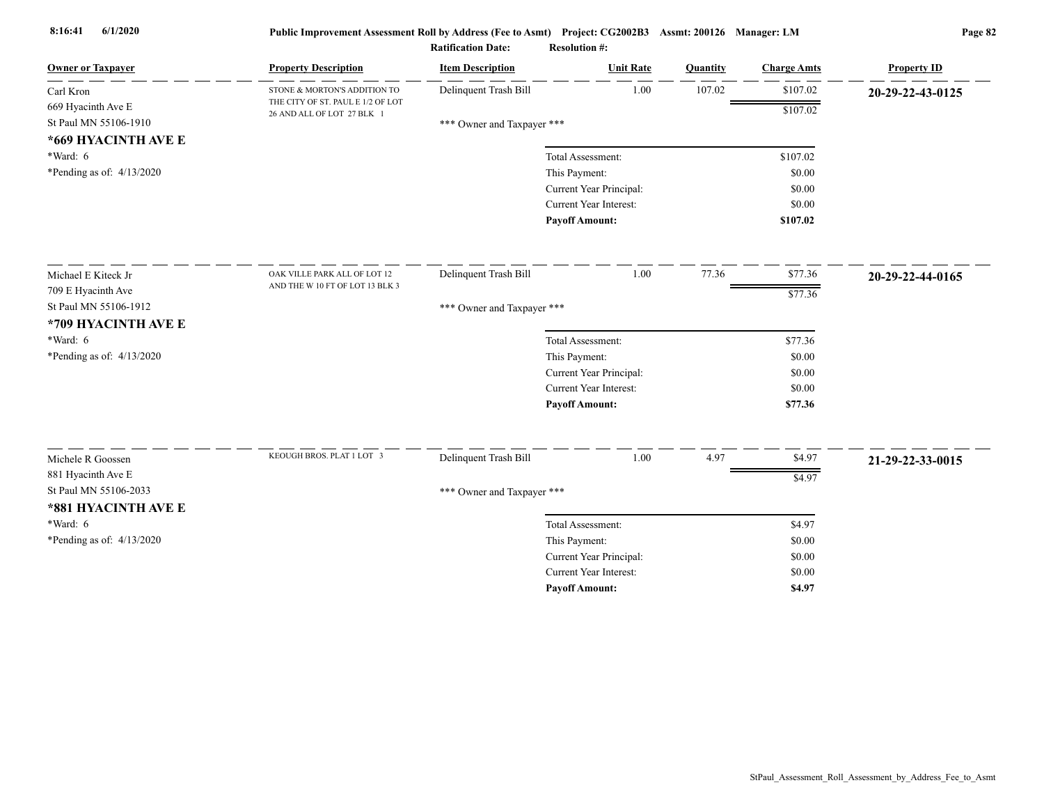| <b>Owner or Taxpayer</b>                    | <b>Property Description</b>                                     | <b>Item Description</b>    | <b>Unit Rate</b>                                  | Quantity | <b>Charge Amts</b> | <b>Property ID</b> |
|---------------------------------------------|-----------------------------------------------------------------|----------------------------|---------------------------------------------------|----------|--------------------|--------------------|
| Carl Kron                                   | STONE & MORTON'S ADDITION TO                                    | Delinquent Trash Bill      | 1.00                                              | 107.02   | \$107.02           | 20-29-22-43-0125   |
| 669 Hyacinth Ave E<br>St Paul MN 55106-1910 | THE CITY OF ST. PAUL E 1/2 OF LOT<br>26 AND ALL OF LOT 27 BLK 1 | *** Owner and Taxpayer *** |                                                   |          | \$107.02           |                    |
| *669 HYACINTH AVE E<br>*Ward: 6             |                                                                 |                            | Total Assessment:                                 |          | \$107.02           |                    |
| *Pending as of: 4/13/2020                   |                                                                 |                            | This Payment:                                     |          | \$0.00             |                    |
|                                             |                                                                 |                            | Current Year Principal:                           |          | \$0.00             |                    |
|                                             |                                                                 |                            | Current Year Interest:                            |          | \$0.00             |                    |
|                                             |                                                                 |                            | <b>Payoff Amount:</b>                             |          | \$107.02           |                    |
| Michael E Kiteck Jr                         | OAK VILLE PARK ALL OF LOT 12                                    | Delinquent Trash Bill      | 1.00                                              | 77.36    | \$77.36            | 20-29-22-44-0165   |
| 709 E Hyacinth Ave                          | AND THE W 10 FT OF LOT 13 BLK 3                                 |                            |                                                   |          | \$77.36            |                    |
| St Paul MN 55106-1912                       |                                                                 | *** Owner and Taxpayer *** |                                                   |          |                    |                    |
| *709 HYACINTH AVE E                         |                                                                 |                            |                                                   |          |                    |                    |
| *Ward: 6                                    |                                                                 |                            | Total Assessment:                                 |          | \$77.36            |                    |
| *Pending as of: $4/13/2020$                 |                                                                 |                            | This Payment:                                     |          | \$0.00             |                    |
|                                             |                                                                 |                            | Current Year Principal:                           |          | \$0.00             |                    |
|                                             |                                                                 |                            | Current Year Interest:                            |          | \$0.00             |                    |
|                                             |                                                                 |                            | <b>Payoff Amount:</b>                             |          | \$77.36            |                    |
|                                             | KEOUGH BROS. PLAT 1 LOT 3                                       |                            |                                                   |          |                    |                    |
| Michele R Goossen                           |                                                                 | Delinquent Trash Bill      | 1.00                                              | 4.97     | \$4.97             | 21-29-22-33-0015   |
| 881 Hyacinth Ave E<br>St Paul MN 55106-2033 |                                                                 |                            |                                                   |          | \$4.97             |                    |
|                                             |                                                                 | *** Owner and Taxpayer *** |                                                   |          |                    |                    |
| *881 HYACINTH AVE E<br>*Ward: 6             |                                                                 |                            |                                                   |          |                    |                    |
|                                             |                                                                 |                            | Total Assessment:                                 |          | \$4.97<br>\$0.00   |                    |
| *Pending as of: 4/13/2020                   |                                                                 |                            | This Payment:                                     |          | \$0.00             |                    |
|                                             |                                                                 |                            | Current Year Principal:<br>Current Year Interest: |          | \$0.00             |                    |
|                                             |                                                                 |                            | <b>Payoff Amount:</b>                             |          | \$4.97             |                    |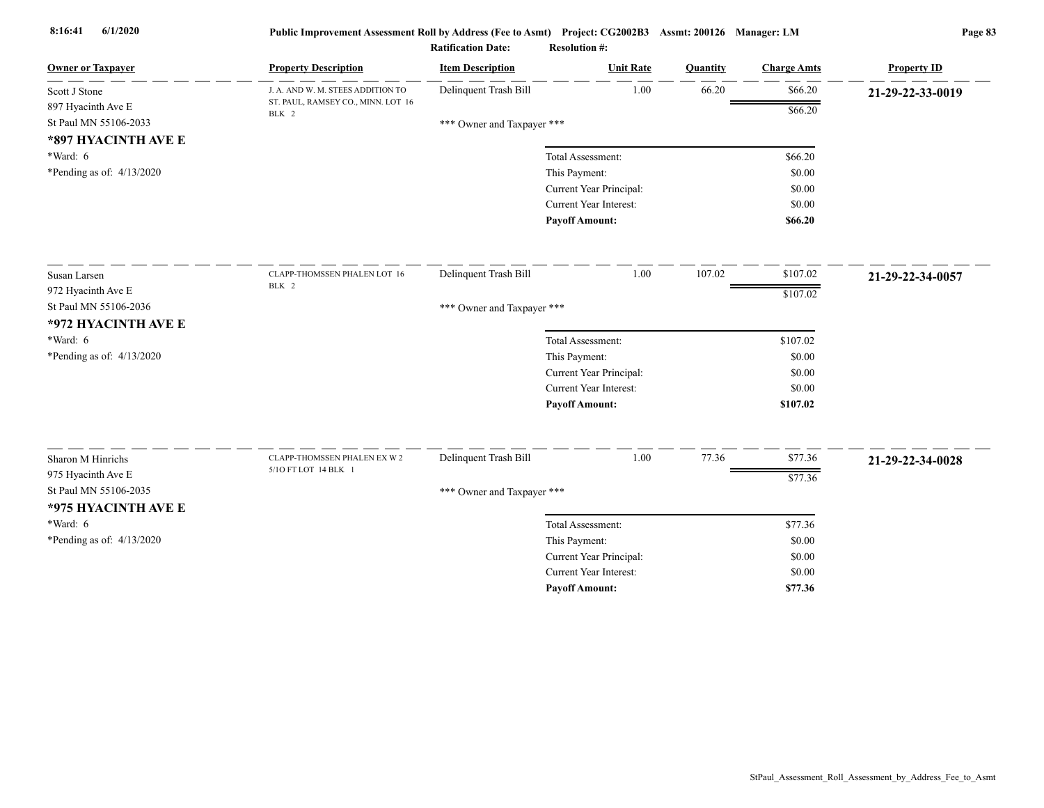| <b>Owner or Taxpayer</b>                                           | <b>Property Description</b>                 | <b>Item Description</b>    | <b>Unit Rate</b>              | Quantity | <b>Charge Amts</b> | <b>Property ID</b> |
|--------------------------------------------------------------------|---------------------------------------------|----------------------------|-------------------------------|----------|--------------------|--------------------|
| Scott J Stone                                                      | J. A. AND W. M. STEES ADDITION TO           | Delinquent Trash Bill      | 1.00                          | 66.20    | \$66.20            | 21-29-22-33-0019   |
| 897 Hyacinth Ave E<br>St Paul MN 55106-2033<br>*897 HYACINTH AVE E | ST. PAUL, RAMSEY CO., MINN. LOT 16<br>BLK 2 | *** Owner and Taxpayer *** |                               |          | \$66.20            |                    |
| $*Ward: 6$                                                         |                                             |                            | Total Assessment:             |          | \$66.20            |                    |
| *Pending as of: $4/13/2020$                                        |                                             |                            | This Payment:                 |          | \$0.00             |                    |
|                                                                    |                                             |                            | Current Year Principal:       |          | \$0.00             |                    |
|                                                                    |                                             |                            | Current Year Interest:        |          | \$0.00             |                    |
|                                                                    |                                             |                            | <b>Payoff Amount:</b>         |          | \$66.20            |                    |
| Susan Larsen                                                       | CLAPP-THOMSSEN PHALEN LOT 16                | Delinquent Trash Bill      | 1.00                          | 107.02   | \$107.02           | 21-29-22-34-0057   |
| 972 Hyacinth Ave E                                                 | BLK 2                                       |                            |                               |          | \$107.02           |                    |
| St Paul MN 55106-2036                                              |                                             | *** Owner and Taxpayer *** |                               |          |                    |                    |
| *972 HYACINTH AVE E                                                |                                             |                            |                               |          |                    |                    |
| *Ward: 6                                                           |                                             |                            | Total Assessment:             |          | \$107.02           |                    |
| *Pending as of: 4/13/2020                                          |                                             |                            | This Payment:                 |          | \$0.00             |                    |
|                                                                    |                                             |                            | Current Year Principal:       |          | \$0.00             |                    |
|                                                                    |                                             |                            | Current Year Interest:        |          | \$0.00             |                    |
|                                                                    |                                             |                            | <b>Payoff Amount:</b>         |          | \$107.02           |                    |
| Sharon M Hinrichs                                                  | CLAPP-THOMSSEN PHALEN EX W 2                | Delinquent Trash Bill      | 1.00                          | 77.36    | \$77.36            |                    |
| 975 Hyacinth Ave E                                                 | 5/10 FT LOT 14 BLK 1                        |                            |                               |          |                    | 21-29-22-34-0028   |
| St Paul MN 55106-2035                                              |                                             | *** Owner and Taxpayer *** |                               |          | \$77.36            |                    |
| *975 HYACINTH AVE E                                                |                                             |                            |                               |          |                    |                    |
| *Ward: 6                                                           |                                             |                            | Total Assessment:             |          | \$77.36            |                    |
| *Pending as of: 4/13/2020                                          |                                             |                            | This Payment:                 |          | \$0.00             |                    |
|                                                                    |                                             |                            | Current Year Principal:       |          | \$0.00             |                    |
|                                                                    |                                             |                            | <b>Current Year Interest:</b> |          | \$0.00             |                    |
|                                                                    |                                             |                            | <b>Payoff Amount:</b>         |          | \$77.36            |                    |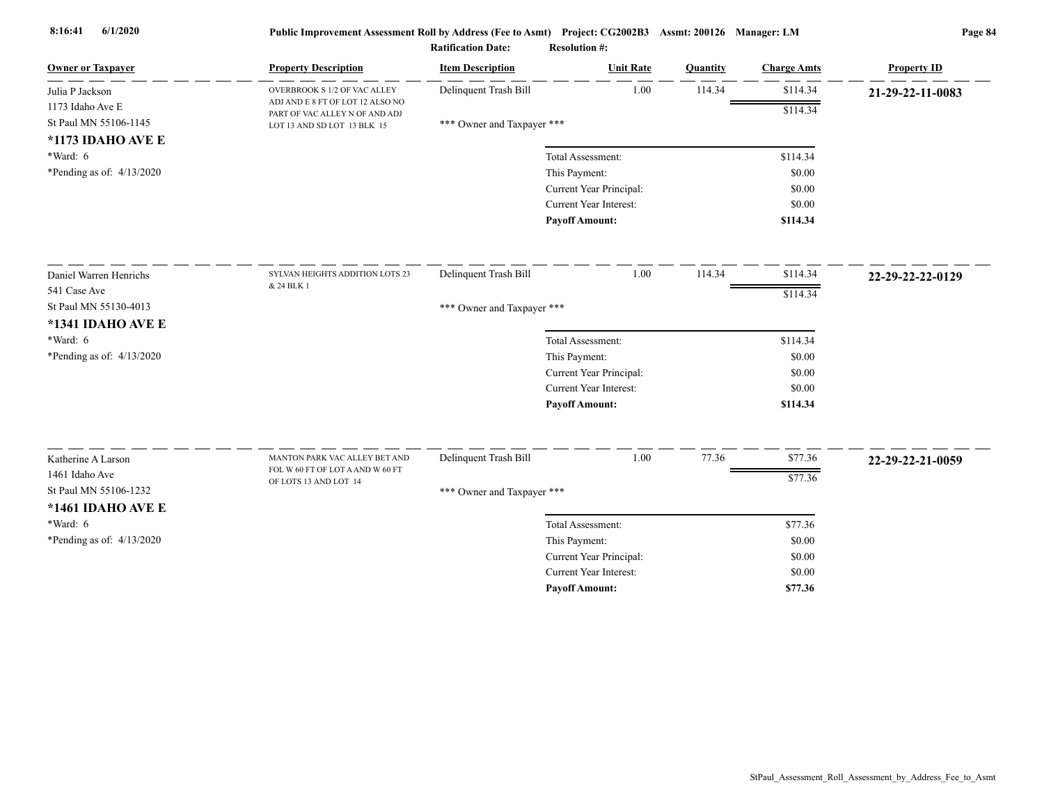| <b>Owner or Taxpayer</b>    | <b>Property Description</b>                                        | <b>Item Description</b>    | <b>Unit Rate</b>        | Quantity | <b>Charge Amts</b> | <b>Property ID</b> |
|-----------------------------|--------------------------------------------------------------------|----------------------------|-------------------------|----------|--------------------|--------------------|
| Julia P Jackson             | OVERBROOK S 1/2 OF VAC ALLEY                                       | Delinquent Trash Bill      | 1.00                    | 114.34   | \$114.34           | 21-29-22-11-0083   |
| 1173 Idaho Ave E            | ADJ AND E 8 FT OF LOT 12 ALSO NO<br>PART OF VAC ALLEY N OF AND ADJ |                            |                         |          | \$114.34           |                    |
| St Paul MN 55106-1145       | LOT 13 AND SD LOT 13 BLK 15                                        | *** Owner and Taxpayer *** |                         |          |                    |                    |
| *1173 IDAHO AVE E           |                                                                    |                            |                         |          |                    |                    |
| $*Ward: 6$                  |                                                                    |                            | Total Assessment:       |          | \$114.34           |                    |
| *Pending as of: $4/13/2020$ |                                                                    |                            | This Payment:           |          | \$0.00             |                    |
|                             |                                                                    |                            | Current Year Principal: |          | \$0.00             |                    |
|                             |                                                                    |                            | Current Year Interest:  |          | \$0.00             |                    |
|                             |                                                                    |                            | <b>Payoff Amount:</b>   |          | \$114.34           |                    |
| Daniel Warren Henrichs      | SYLVAN HEIGHTS ADDITION LOTS 23                                    | Delinquent Trash Bill      | 1.00                    | 114.34   | \$114.34           | 22-29-22-22-0129   |
| 541 Case Ave                | & 24 BLK 1                                                         |                            |                         |          | \$114.34           |                    |
| St Paul MN 55130-4013       |                                                                    | *** Owner and Taxpayer *** |                         |          |                    |                    |
| *1341 IDAHO AVE E           |                                                                    |                            |                         |          |                    |                    |
| *Ward: 6                    |                                                                    |                            | Total Assessment:       |          | \$114.34           |                    |
| *Pending as of: $4/13/2020$ |                                                                    |                            | This Payment:           |          | \$0.00             |                    |
|                             |                                                                    |                            | Current Year Principal: |          | \$0.00             |                    |
|                             |                                                                    |                            | Current Year Interest:  |          | \$0.00             |                    |
|                             |                                                                    |                            | <b>Payoff Amount:</b>   |          | \$114.34           |                    |
|                             | MANTON PARK VAC ALLEY BET AND                                      |                            | 1.00                    | 77.36    | \$77.36            |                    |
| Katherine A Larson          | FOL W 60 FT OF LOT A AND W 60 FT                                   | Delinquent Trash Bill      |                         |          |                    | 22-29-22-21-0059   |
| 1461 Idaho Ave              | OF LOTS 13 AND LOT 14                                              |                            |                         |          | \$77.36            |                    |
| St Paul MN 55106-1232       |                                                                    | *** Owner and Taxpayer *** |                         |          |                    |                    |
| *1461 IDAHO AVE E           |                                                                    |                            |                         |          |                    |                    |
| $*Ward: 6$                  |                                                                    |                            | Total Assessment:       |          | \$77.36            |                    |
| *Pending as of: 4/13/2020   |                                                                    |                            | This Payment:           |          | \$0.00             |                    |
|                             |                                                                    |                            | Current Year Principal: |          | \$0.00             |                    |
|                             |                                                                    |                            | Current Year Interest:  |          | \$0.00             |                    |
|                             |                                                                    |                            | <b>Pavoff Amount:</b>   |          | \$77.36            |                    |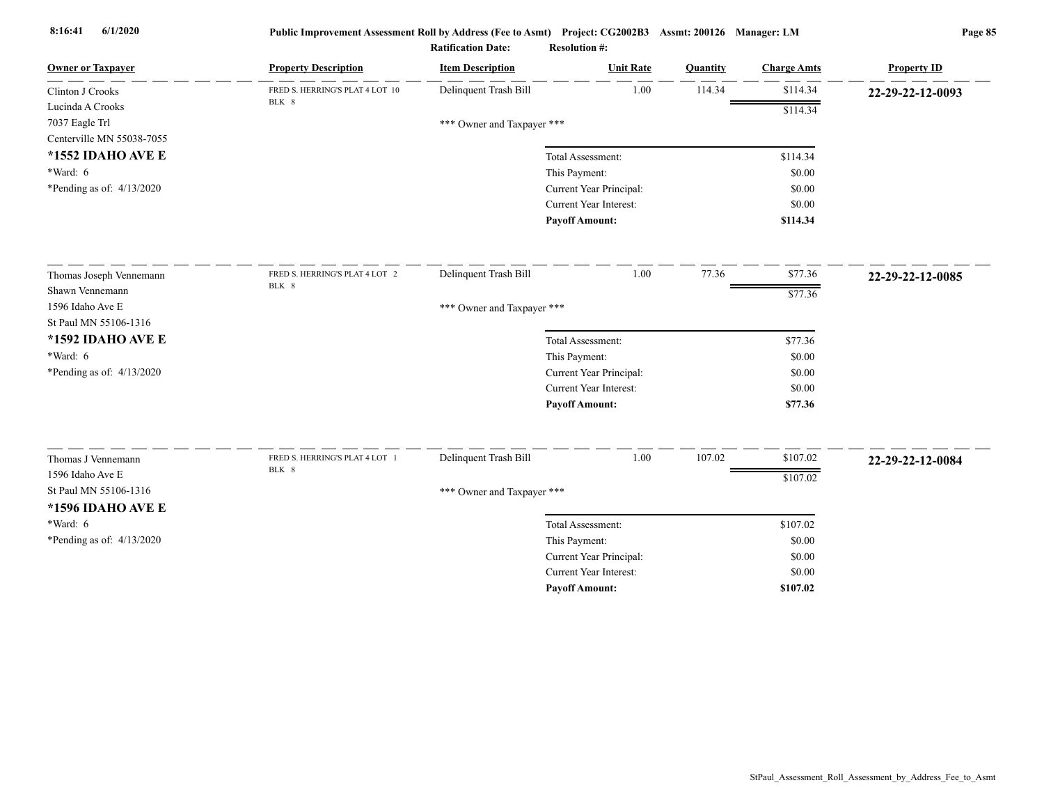| <b>Owner or Taxpayer</b>               | <b>Property Description</b>     | <b>Item Description</b>    | <b>Unit Rate</b>                         | Quantity | <b>Charge Amts</b> | <b>Property ID</b> |
|----------------------------------------|---------------------------------|----------------------------|------------------------------------------|----------|--------------------|--------------------|
| Clinton J Crooks                       | FRED S. HERRING'S PLAT 4 LOT 10 | Delinquent Trash Bill      | 1.00                                     | 114.34   | \$114.34           | 22-29-22-12-0093   |
| Lucinda A Crooks                       | BLK 8                           |                            |                                          |          | \$114.34           |                    |
| 7037 Eagle Trl                         |                                 | *** Owner and Taxpayer *** |                                          |          |                    |                    |
| Centerville MN 55038-7055              |                                 |                            |                                          |          |                    |                    |
| *1552 IDAHO AVE E                      |                                 |                            | Total Assessment:                        |          | \$114.34           |                    |
| $*Ward: 6$                             |                                 |                            | This Payment:                            |          | \$0.00             |                    |
| *Pending as of: 4/13/2020              |                                 |                            | Current Year Principal:                  |          | \$0.00             |                    |
|                                        |                                 |                            | Current Year Interest:                   |          | \$0.00             |                    |
|                                        |                                 |                            | <b>Payoff Amount:</b>                    |          | \$114.34           |                    |
| Thomas Joseph Vennemann                | FRED S. HERRING'S PLAT 4 LOT 2  | Delinquent Trash Bill      | 1.00                                     | 77.36    | \$77.36            | 22-29-22-12-0085   |
| Shawn Vennemann                        | BLK 8                           |                            |                                          |          | \$77.36            |                    |
| 1596 Idaho Ave E                       |                                 | *** Owner and Taxpayer *** |                                          |          |                    |                    |
| St Paul MN 55106-1316                  |                                 |                            |                                          |          |                    |                    |
| *1592 IDAHO AVE E                      |                                 |                            | Total Assessment:                        |          | \$77.36            |                    |
| *Ward: 6                               |                                 |                            | This Payment:                            |          | \$0.00             |                    |
| *Pending as of: $4/13/2020$            |                                 |                            | Current Year Principal:                  |          | \$0.00             |                    |
|                                        |                                 |                            | <b>Current Year Interest:</b>            |          | \$0.00             |                    |
|                                        |                                 |                            | <b>Payoff Amount:</b>                    |          | \$77.36            |                    |
|                                        | FRED S. HERRING'S PLAT 4 LOT 1  | Delinquent Trash Bill      | 1.00                                     | 107.02   | \$107.02           |                    |
| Thomas J Vennemann<br>1596 Idaho Ave E | BLK 8                           |                            |                                          |          |                    | 22-29-22-12-0084   |
| St Paul MN 55106-1316                  |                                 |                            |                                          |          | \$107.02           |                    |
|                                        |                                 | *** Owner and Taxpayer *** |                                          |          |                    |                    |
| *1596 IDAHO AVE E<br>*Ward: 6          |                                 |                            |                                          |          |                    |                    |
|                                        |                                 |                            | Total Assessment:                        |          | \$107.02<br>\$0.00 |                    |
| *Pending as of: $4/13/2020$            |                                 |                            | This Payment:<br>Current Year Principal: |          | \$0.00             |                    |
|                                        |                                 |                            | <b>Current Year Interest:</b>            |          | \$0.00             |                    |
|                                        |                                 |                            | <b>Pavoff Amount:</b>                    |          | \$107.02           |                    |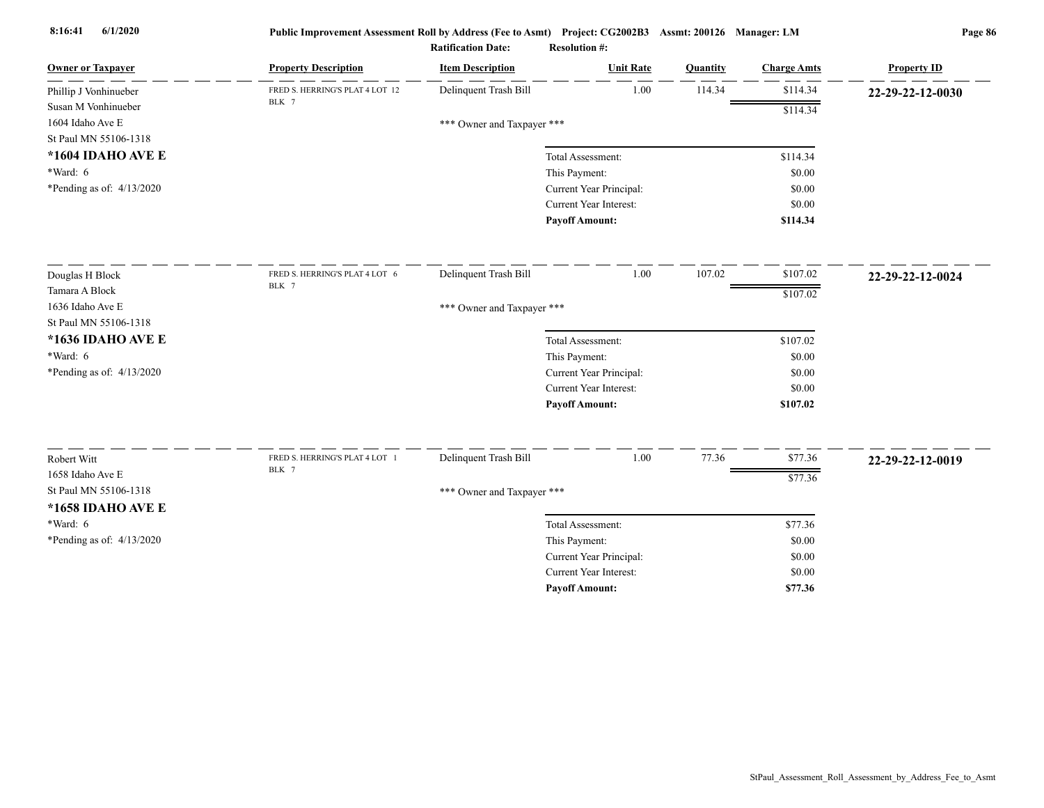| Delinquent Trash Bill<br>1.00<br>114.34<br>\$114.34<br>FRED S. HERRING'S PLAT 4 LOT 12<br>Phillip J Vonhinueber<br>22-29-22-12-0030<br>BLK 7<br>Susan M Vonhinueber<br>\$114.34<br>1604 Idaho Ave E<br>*** Owner and Taxpayer ***<br>St Paul MN 55106-1318<br>*1604 IDAHO AVE E<br>Total Assessment:<br>\$114.34<br>$*Ward: 6$<br>This Payment:<br>\$0.00<br>*Pending as of: 4/13/2020<br>Current Year Principal:<br>\$0.00<br>Current Year Interest:<br>\$0.00<br><b>Payoff Amount:</b><br>\$114.34<br>107.02<br>Delinquent Trash Bill<br>1.00<br>\$107.02<br>FRED S. HERRING'S PLAT 4 LOT 6<br>Douglas H Block<br>22-29-22-12-0024<br>BLK 7<br>Tamara A Block<br>\$107.02<br>1636 Idaho Ave E<br>*** Owner and Taxpayer ***<br>St Paul MN 55106-1318<br>*1636 IDAHO AVE E<br>\$107.02<br>Total Assessment:<br>$*Ward: 6$<br>This Payment:<br>\$0.00<br>*Pending as of: $4/13/2020$<br>Current Year Principal:<br>\$0.00 |
|---------------------------------------------------------------------------------------------------------------------------------------------------------------------------------------------------------------------------------------------------------------------------------------------------------------------------------------------------------------------------------------------------------------------------------------------------------------------------------------------------------------------------------------------------------------------------------------------------------------------------------------------------------------------------------------------------------------------------------------------------------------------------------------------------------------------------------------------------------------------------------------------------------------------------|
|                                                                                                                                                                                                                                                                                                                                                                                                                                                                                                                                                                                                                                                                                                                                                                                                                                                                                                                           |
|                                                                                                                                                                                                                                                                                                                                                                                                                                                                                                                                                                                                                                                                                                                                                                                                                                                                                                                           |
|                                                                                                                                                                                                                                                                                                                                                                                                                                                                                                                                                                                                                                                                                                                                                                                                                                                                                                                           |
|                                                                                                                                                                                                                                                                                                                                                                                                                                                                                                                                                                                                                                                                                                                                                                                                                                                                                                                           |
|                                                                                                                                                                                                                                                                                                                                                                                                                                                                                                                                                                                                                                                                                                                                                                                                                                                                                                                           |
|                                                                                                                                                                                                                                                                                                                                                                                                                                                                                                                                                                                                                                                                                                                                                                                                                                                                                                                           |
|                                                                                                                                                                                                                                                                                                                                                                                                                                                                                                                                                                                                                                                                                                                                                                                                                                                                                                                           |
|                                                                                                                                                                                                                                                                                                                                                                                                                                                                                                                                                                                                                                                                                                                                                                                                                                                                                                                           |
|                                                                                                                                                                                                                                                                                                                                                                                                                                                                                                                                                                                                                                                                                                                                                                                                                                                                                                                           |
|                                                                                                                                                                                                                                                                                                                                                                                                                                                                                                                                                                                                                                                                                                                                                                                                                                                                                                                           |
|                                                                                                                                                                                                                                                                                                                                                                                                                                                                                                                                                                                                                                                                                                                                                                                                                                                                                                                           |
|                                                                                                                                                                                                                                                                                                                                                                                                                                                                                                                                                                                                                                                                                                                                                                                                                                                                                                                           |
|                                                                                                                                                                                                                                                                                                                                                                                                                                                                                                                                                                                                                                                                                                                                                                                                                                                                                                                           |
|                                                                                                                                                                                                                                                                                                                                                                                                                                                                                                                                                                                                                                                                                                                                                                                                                                                                                                                           |
|                                                                                                                                                                                                                                                                                                                                                                                                                                                                                                                                                                                                                                                                                                                                                                                                                                                                                                                           |
|                                                                                                                                                                                                                                                                                                                                                                                                                                                                                                                                                                                                                                                                                                                                                                                                                                                                                                                           |
| <b>Current Year Interest:</b><br>\$0.00                                                                                                                                                                                                                                                                                                                                                                                                                                                                                                                                                                                                                                                                                                                                                                                                                                                                                   |
| <b>Payoff Amount:</b><br>\$107.02                                                                                                                                                                                                                                                                                                                                                                                                                                                                                                                                                                                                                                                                                                                                                                                                                                                                                         |
| Delinquent Trash Bill<br>1.00<br>77.36<br>\$77.36<br>FRED S. HERRING'S PLAT 4 LOT 1                                                                                                                                                                                                                                                                                                                                                                                                                                                                                                                                                                                                                                                                                                                                                                                                                                       |
| Robert Witt<br>22-29-22-12-0019<br>BLK 7<br>1658 Idaho Ave E                                                                                                                                                                                                                                                                                                                                                                                                                                                                                                                                                                                                                                                                                                                                                                                                                                                              |
| \$77.36<br>St Paul MN 55106-1318                                                                                                                                                                                                                                                                                                                                                                                                                                                                                                                                                                                                                                                                                                                                                                                                                                                                                          |
| *** Owner and Taxpayer ***                                                                                                                                                                                                                                                                                                                                                                                                                                                                                                                                                                                                                                                                                                                                                                                                                                                                                                |
| *1658 IDAHO AVE E                                                                                                                                                                                                                                                                                                                                                                                                                                                                                                                                                                                                                                                                                                                                                                                                                                                                                                         |
| *Ward: 6<br>Total Assessment:<br>\$77.36                                                                                                                                                                                                                                                                                                                                                                                                                                                                                                                                                                                                                                                                                                                                                                                                                                                                                  |
| *Pending as of: 4/13/2020<br>This Payment:<br>\$0.00                                                                                                                                                                                                                                                                                                                                                                                                                                                                                                                                                                                                                                                                                                                                                                                                                                                                      |
| Current Year Principal:<br>\$0.00<br><b>Current Year Interest:</b><br>\$0.00                                                                                                                                                                                                                                                                                                                                                                                                                                                                                                                                                                                                                                                                                                                                                                                                                                              |
| \$77.36<br><b>Pavoff Amount:</b>                                                                                                                                                                                                                                                                                                                                                                                                                                                                                                                                                                                                                                                                                                                                                                                                                                                                                          |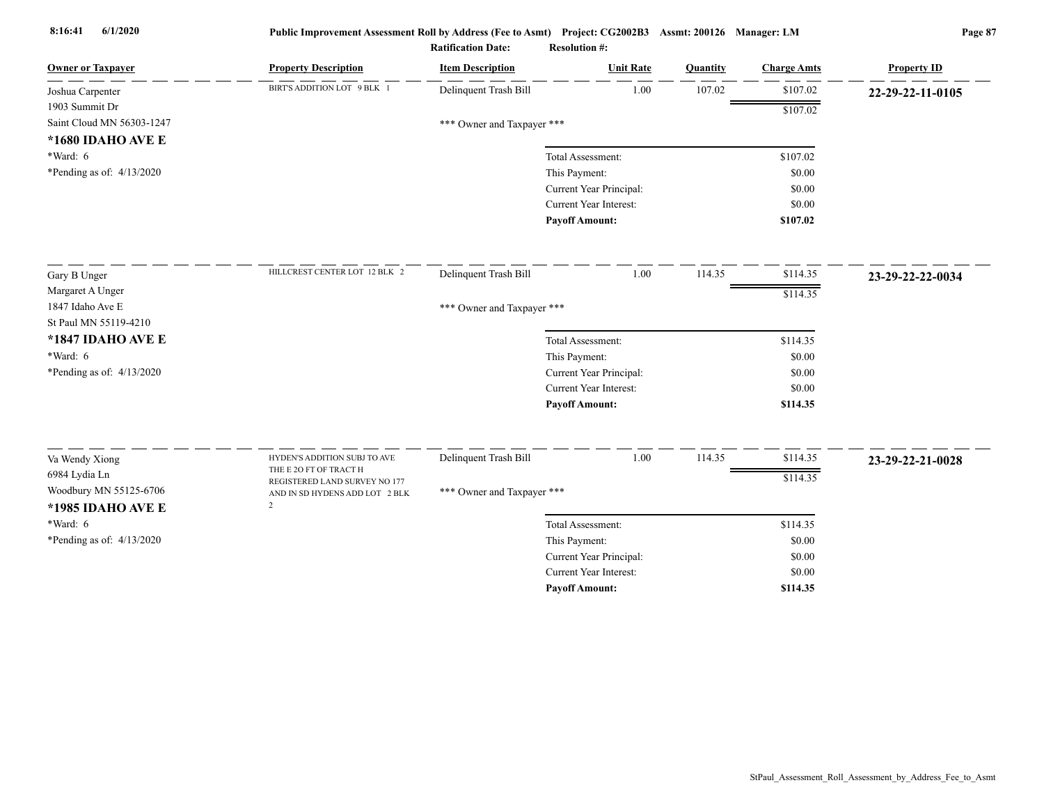| <b>Owner or Taxpayer</b>    | <b>Property Description</b>                            | <b>Item Description</b>    | <b>Unit Rate</b>              | <b>Quantity</b> | <b>Charge Amts</b> | <b>Property ID</b> |
|-----------------------------|--------------------------------------------------------|----------------------------|-------------------------------|-----------------|--------------------|--------------------|
| Joshua Carpenter            | BIRT'S ADDITION LOT 9 BLK 1                            | Delinquent Trash Bill      | 1.00                          | 107.02          | \$107.02           | 22-29-22-11-0105   |
| 1903 Summit Dr              |                                                        |                            |                               |                 | \$107.02           |                    |
| Saint Cloud MN 56303-1247   |                                                        | *** Owner and Taxpayer *** |                               |                 |                    |                    |
| *1680 IDAHO AVE E           |                                                        |                            |                               |                 |                    |                    |
| $*Ward: 6$                  |                                                        |                            | Total Assessment:             |                 | \$107.02           |                    |
| *Pending as of: $4/13/2020$ |                                                        |                            | This Payment:                 |                 | \$0.00             |                    |
|                             |                                                        |                            | Current Year Principal:       |                 | \$0.00             |                    |
|                             |                                                        |                            | <b>Current Year Interest:</b> |                 | \$0.00             |                    |
|                             |                                                        |                            | <b>Payoff Amount:</b>         |                 | \$107.02           |                    |
| Gary B Unger                | HILLCREST CENTER LOT 12 BLK 2                          | Delinquent Trash Bill      | 1.00                          | 114.35          | \$114.35           | 23-29-22-22-0034   |
| Margaret A Unger            |                                                        |                            |                               |                 | \$114.35           |                    |
| 1847 Idaho Ave E            |                                                        | *** Owner and Taxpayer *** |                               |                 |                    |                    |
| St Paul MN 55119-4210       |                                                        |                            |                               |                 |                    |                    |
| *1847 IDAHO AVE E           |                                                        |                            | Total Assessment:             |                 | \$114.35           |                    |
| $*Ward: 6$                  |                                                        |                            | This Payment:                 |                 | \$0.00             |                    |
| *Pending as of: $4/13/2020$ |                                                        |                            | Current Year Principal:       |                 | \$0.00             |                    |
|                             |                                                        |                            | Current Year Interest:        |                 | \$0.00             |                    |
|                             |                                                        |                            | <b>Payoff Amount:</b>         |                 | \$114.35           |                    |
|                             |                                                        |                            |                               |                 |                    |                    |
| Va Wendy Xiong              | HYDEN'S ADDITION SUBJ TO AVE<br>THE E 2O FT OF TRACT H | Delinquent Trash Bill      | $1.00\,$                      | 114.35          | \$114.35           | 23-29-22-21-0028   |
| 6984 Lydia Ln               | REGISTERED LAND SURVEY NO 177                          |                            |                               |                 | \$114.35           |                    |
| Woodbury MN 55125-6706      | AND IN SD HYDENS ADD LOT 2 BLK<br>$\mathcal{D}$        | *** Owner and Taxpayer *** |                               |                 |                    |                    |
| *1985 IDAHO AVE E           |                                                        |                            |                               |                 |                    |                    |
| $*Ward: 6$                  |                                                        |                            | Total Assessment:             |                 | \$114.35           |                    |
| *Pending as of: $4/13/2020$ |                                                        |                            | This Payment:                 |                 | \$0.00             |                    |
|                             |                                                        |                            | Current Year Principal:       |                 | \$0.00             |                    |
|                             |                                                        |                            | <b>Current Year Interest:</b> |                 | \$0.00             |                    |
|                             |                                                        |                            | <b>Pavoff Amount:</b>         |                 | \$114.35           |                    |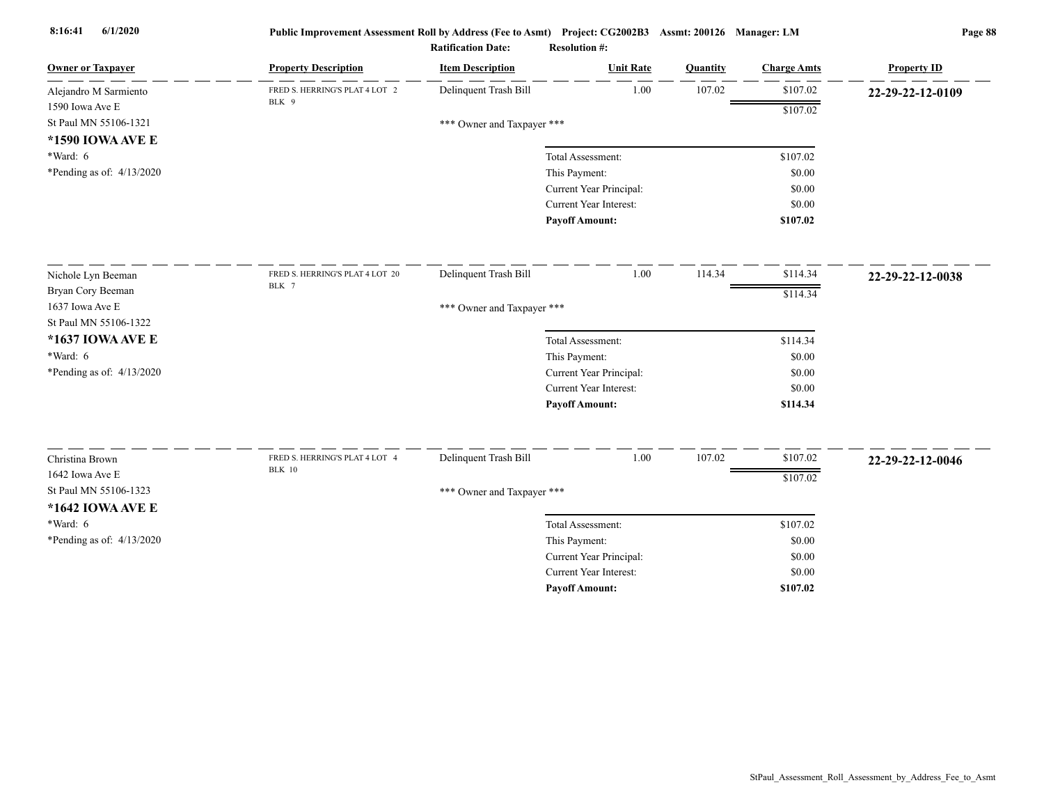| <b>Owner or Taxpayer</b>    | <b>Property Description</b>             | <b>Item Description</b>    | <b>Unit Rate</b>                                | Quantity | <b>Charge Amts</b> | <b>Property ID</b> |
|-----------------------------|-----------------------------------------|----------------------------|-------------------------------------------------|----------|--------------------|--------------------|
| Alejandro M Sarmiento       | FRED S. HERRING'S PLAT 4 LOT 2<br>BLK 9 | Delinquent Trash Bill      | 1.00                                            | 107.02   | \$107.02           | 22-29-22-12-0109   |
| 1590 Iowa Ave E             |                                         |                            |                                                 |          | \$107.02           |                    |
| St Paul MN 55106-1321       |                                         | *** Owner and Taxpayer *** |                                                 |          |                    |                    |
| *1590 IOWA AVE E            |                                         |                            |                                                 |          |                    |                    |
| $*Ward: 6$                  |                                         |                            | Total Assessment:                               |          | \$107.02           |                    |
| *Pending as of: $4/13/2020$ |                                         |                            | This Payment:                                   |          | \$0.00             |                    |
|                             |                                         |                            | Current Year Principal:                         |          | \$0.00             |                    |
|                             |                                         |                            | Current Year Interest:<br><b>Payoff Amount:</b> |          | \$0.00<br>\$107.02 |                    |
|                             |                                         |                            |                                                 |          |                    |                    |
| Nichole Lyn Beeman          | FRED S. HERRING'S PLAT 4 LOT 20         | Delinquent Trash Bill      | 1.00                                            | 114.34   | \$114.34           | 22-29-22-12-0038   |
| Bryan Cory Beeman           | BLK 7                                   |                            |                                                 |          | \$114.34           |                    |
| 1637 Iowa Ave E             |                                         | *** Owner and Taxpayer *** |                                                 |          |                    |                    |
| St Paul MN 55106-1322       |                                         |                            |                                                 |          |                    |                    |
| *1637 IOWA AVE E            |                                         |                            | Total Assessment:                               |          | \$114.34           |                    |
| *Ward: 6                    |                                         |                            | This Payment:                                   |          | \$0.00             |                    |
| *Pending as of: $4/13/2020$ |                                         |                            | Current Year Principal:                         |          | \$0.00             |                    |
|                             |                                         |                            | <b>Current Year Interest:</b>                   |          | \$0.00             |                    |
|                             |                                         |                            | <b>Payoff Amount:</b>                           |          | \$114.34           |                    |
| Christina Brown             | FRED S. HERRING'S PLAT 4 LOT 4          | Delinquent Trash Bill      | 1.00                                            | 107.02   | \$107.02           | 22-29-22-12-0046   |
| 1642 Iowa Ave E             | <b>BLK</b> 10                           |                            |                                                 |          | \$107.02           |                    |
| St Paul MN 55106-1323       |                                         | *** Owner and Taxpayer *** |                                                 |          |                    |                    |
| *1642 IOWA AVE E            |                                         |                            |                                                 |          |                    |                    |
| *Ward: 6                    |                                         |                            | Total Assessment:                               |          | \$107.02           |                    |
| *Pending as of: 4/13/2020   |                                         |                            | This Payment:                                   |          | \$0.00             |                    |
|                             |                                         |                            | Current Year Principal:                         |          | \$0.00             |                    |
|                             |                                         |                            | <b>Current Year Interest:</b>                   |          | \$0.00             |                    |
|                             |                                         |                            | <b>Payoff Amount:</b>                           |          | \$107.02           |                    |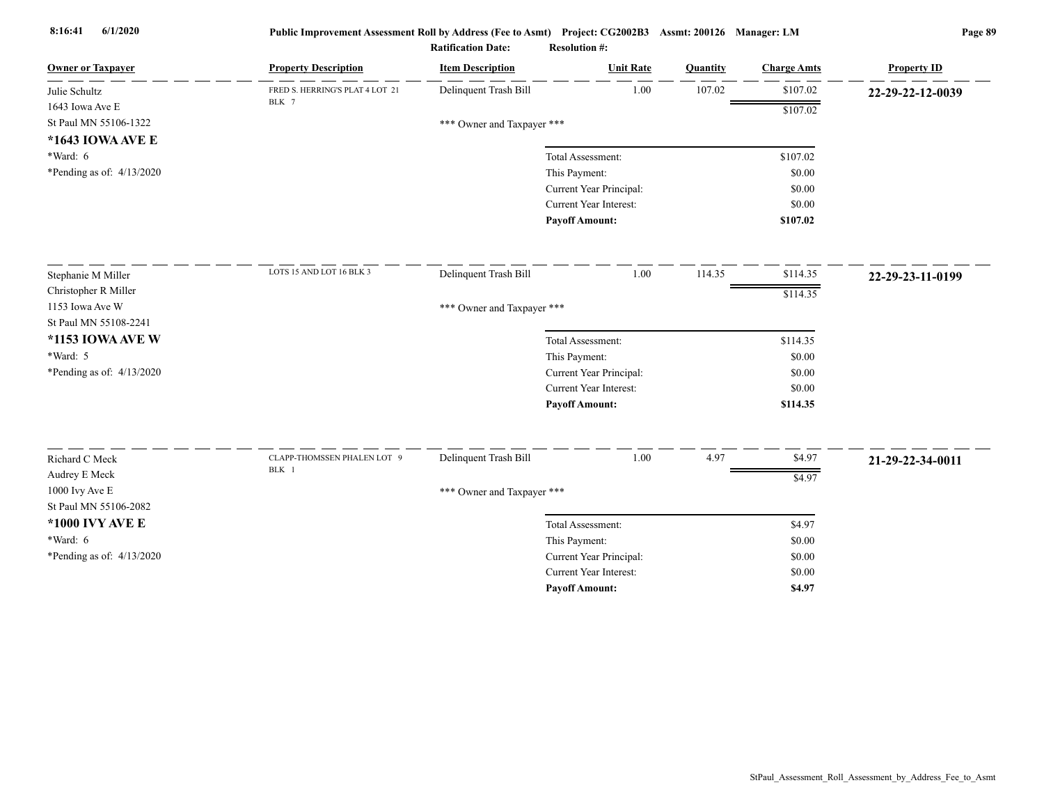| <b>Owner or Taxpayer</b>    | <b>Property Description</b>     | <b>Item Description</b>    | <b>Unit Rate</b>              | Quantity | <b>Charge Amts</b> | <b>Property ID</b> |
|-----------------------------|---------------------------------|----------------------------|-------------------------------|----------|--------------------|--------------------|
| Julie Schultz               | FRED S. HERRING'S PLAT 4 LOT 21 | Delinquent Trash Bill      | 1.00                          | 107.02   | \$107.02           | 22-29-22-12-0039   |
| 1643 Iowa Ave E             | BLK 7                           |                            |                               |          | \$107.02           |                    |
| St Paul MN 55106-1322       |                                 | *** Owner and Taxpayer *** |                               |          |                    |                    |
| *1643 IOWA AVE E            |                                 |                            |                               |          |                    |                    |
| *Ward: 6                    |                                 |                            | Total Assessment:             |          | \$107.02           |                    |
| *Pending as of: 4/13/2020   |                                 |                            | This Payment:                 |          | \$0.00             |                    |
|                             |                                 |                            | Current Year Principal:       |          | \$0.00             |                    |
|                             |                                 |                            | Current Year Interest:        |          | \$0.00             |                    |
|                             |                                 |                            | <b>Payoff Amount:</b>         |          | \$107.02           |                    |
| Stephanie M Miller          | LOTS 15 AND LOT 16 BLK 3        | Delinquent Trash Bill      | 1.00                          | 114.35   | \$114.35           | 22-29-23-11-0199   |
| Christopher R Miller        |                                 |                            |                               |          | \$114.35           |                    |
| 1153 Iowa Ave W             |                                 | *** Owner and Taxpayer *** |                               |          |                    |                    |
| St Paul MN 55108-2241       |                                 |                            |                               |          |                    |                    |
| *1153 IOWA AVE W            |                                 |                            | Total Assessment:             |          | \$114.35           |                    |
| *Ward: 5                    |                                 |                            | This Payment:                 |          | \$0.00             |                    |
| *Pending as of: $4/13/2020$ |                                 |                            | Current Year Principal:       |          | \$0.00             |                    |
|                             |                                 |                            | <b>Current Year Interest:</b> |          | \$0.00             |                    |
|                             |                                 |                            | <b>Payoff Amount:</b>         |          | \$114.35           |                    |
|                             |                                 |                            |                               |          |                    |                    |
| Richard C Meck              | CLAPP-THOMSSEN PHALEN LOT 9     | Delinquent Trash Bill      | 1.00                          | 4.97     | \$4.97             | 21-29-22-34-0011   |
| Audrey E Meck               | BLK 1                           |                            |                               |          | \$4.97             |                    |
| 1000 Ivy Ave E              |                                 | *** Owner and Taxpayer *** |                               |          |                    |                    |
| St Paul MN 55106-2082       |                                 |                            |                               |          |                    |                    |
| *1000 IVY AVE E             |                                 |                            | Total Assessment:             |          | \$4.97             |                    |
| *Ward: 6                    |                                 |                            | This Payment:                 |          | \$0.00             |                    |
| *Pending as of: 4/13/2020   |                                 |                            | Current Year Principal:       |          | \$0.00             |                    |
|                             |                                 |                            | Current Year Interest:        |          | \$0.00             |                    |
|                             |                                 |                            | <b>Payoff Amount:</b>         |          | \$4.97             |                    |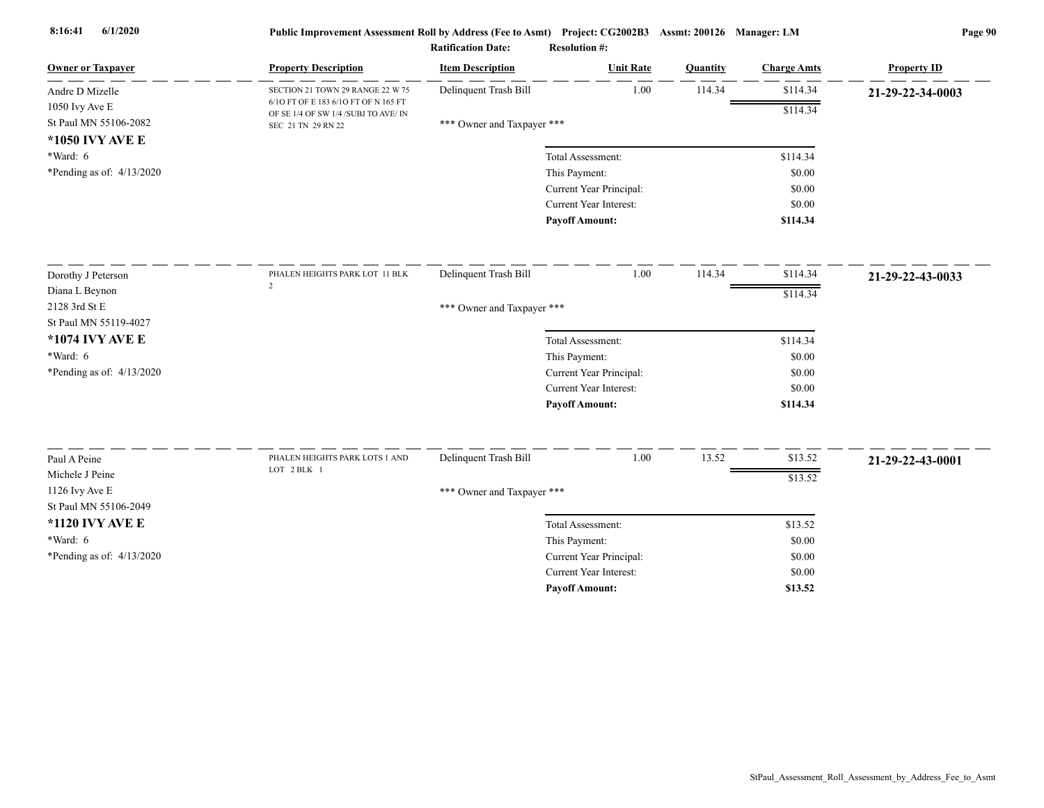| <b>Owner or Taxpayer</b>    | <b>Property Description</b>                                                  | <b>Item Description</b>    | <b>Unit Rate</b>                   | Quantity | <b>Charge Amts</b> | <b>Property ID</b> |
|-----------------------------|------------------------------------------------------------------------------|----------------------------|------------------------------------|----------|--------------------|--------------------|
| Andre D Mizelle             | SECTION 21 TOWN 29 RANGE 22 W 75                                             | Delinquent Trash Bill      | 1.00                               | 114.34   | \$114.34           | 21-29-22-34-0003   |
| $1050$ Ivy Ave E            | 6/10 FT OF E 183 6/10 FT OF N 165 FT<br>OF SE 1/4 OF SW 1/4 /SUBJ TO AVE/ IN |                            |                                    |          | \$114.34           |                    |
| St Paul MN 55106-2082       | SEC 21 TN 29 RN 22                                                           | *** Owner and Taxpayer *** |                                    |          |                    |                    |
| *1050 IVY AVE E             |                                                                              |                            |                                    |          |                    |                    |
| $*Ward: 6$                  |                                                                              |                            | Total Assessment:                  |          | \$114.34           |                    |
| *Pending as of: $4/13/2020$ |                                                                              |                            | This Payment:                      |          | \$0.00             |                    |
|                             |                                                                              |                            | Current Year Principal:            |          | \$0.00             |                    |
|                             |                                                                              |                            | Current Year Interest:             |          | \$0.00             |                    |
|                             |                                                                              |                            | <b>Payoff Amount:</b>              |          | \$114.34           |                    |
| Dorothy J Peterson          | PHALEN HEIGHTS PARK LOT 11 BLK                                               | Delinquent Trash Bill      | 1.00                               | 114.34   | \$114.34           | 21-29-22-43-0033   |
| Diana L Beynon              | 2                                                                            |                            |                                    |          | \$114.34           |                    |
| 2128 3rd St E               |                                                                              | *** Owner and Taxpayer *** |                                    |          |                    |                    |
| St Paul MN 55119-4027       |                                                                              |                            |                                    |          |                    |                    |
| *1074 IVY AVE E             |                                                                              |                            | Total Assessment:                  |          | \$114.34           |                    |
| *Ward: 6                    |                                                                              |                            | This Payment:                      |          | \$0.00             |                    |
| *Pending as of: $4/13/2020$ |                                                                              |                            | Current Year Principal:            |          | \$0.00             |                    |
|                             |                                                                              |                            | Current Year Interest:             |          | \$0.00             |                    |
|                             |                                                                              |                            | <b>Payoff Amount:</b>              |          | \$114.34           |                    |
| Paul A Peine                | PHALEN HEIGHTS PARK LOTS 1 AND                                               | Delinquent Trash Bill      | $1.00\,$                           | 13.52    | \$13.52            |                    |
| Michele J Peine             | LOT 2 BLK 1                                                                  |                            |                                    |          |                    | 21-29-22-43-0001   |
| 1126 Ivy Ave E              |                                                                              |                            |                                    |          | \$13.52            |                    |
| St Paul MN 55106-2049       |                                                                              | *** Owner and Taxpayer *** |                                    |          |                    |                    |
| *1120 IVY AVE E             |                                                                              |                            |                                    |          | \$13.52            |                    |
| $*Ward: 6$                  |                                                                              |                            | Total Assessment:<br>This Payment: |          | \$0.00             |                    |
| *Pending as of: 4/13/2020   |                                                                              |                            | Current Year Principal:            |          | \$0.00             |                    |
|                             |                                                                              |                            | Current Year Interest:             |          | \$0.00             |                    |
|                             |                                                                              |                            | <b>Payoff Amount:</b>              |          | \$13.52            |                    |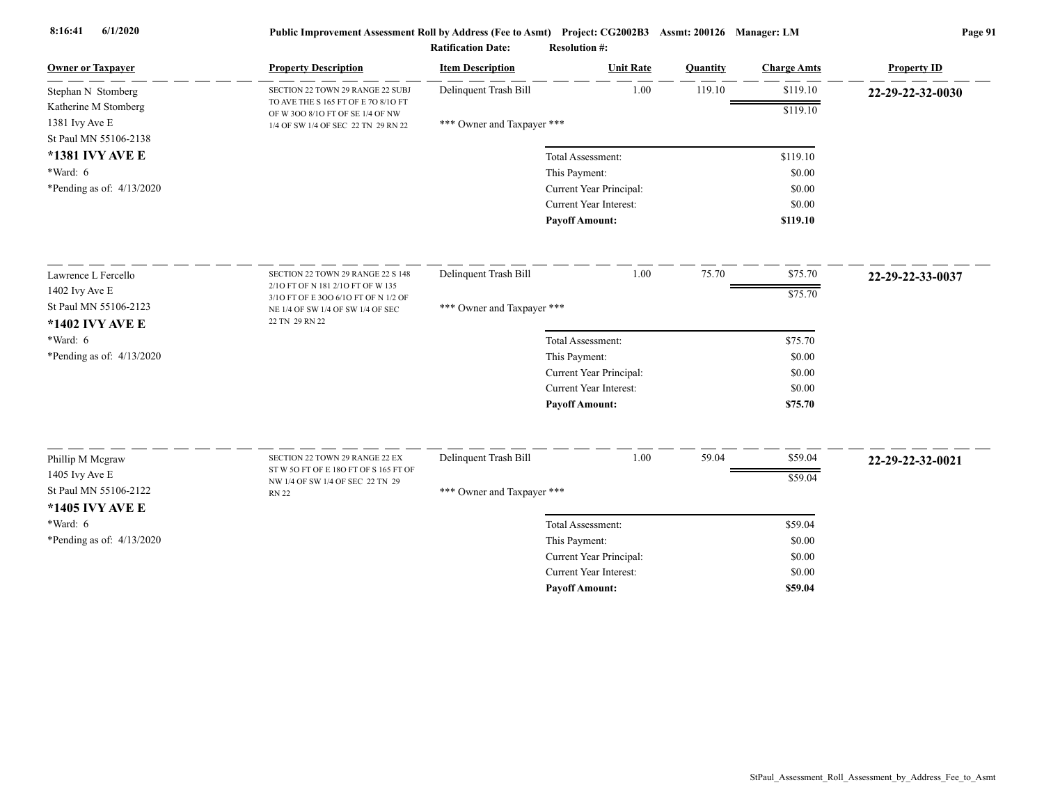| <b>Owner or Taxpayer</b>                 | <b>Property Description</b>                                               | <b>Item Description</b>    | <b>Unit Rate</b>              | Quantity | <b>Charge Amts</b> | <b>Property ID</b> |
|------------------------------------------|---------------------------------------------------------------------------|----------------------------|-------------------------------|----------|--------------------|--------------------|
| Stephan N Stomberg                       | SECTION 22 TOWN 29 RANGE 22 SUBJ                                          | Delinquent Trash Bill      | 1.00                          | 119.10   | \$119.10           | 22-29-22-32-0030   |
| Katherine M Stomberg                     | TO AVE THE S 165 FT OF E 70 8/10 FT<br>OF W 300 8/10 FT OF SE 1/4 OF NW   |                            |                               |          | \$119.10           |                    |
| 1381 Ivy Ave E                           | 1/4 OF SW 1/4 OF SEC 22 TN 29 RN 22                                       | *** Owner and Taxpayer *** |                               |          |                    |                    |
| St Paul MN 55106-2138                    |                                                                           |                            |                               |          |                    |                    |
| *1381 IVY AVE E                          |                                                                           |                            | Total Assessment:             |          | \$119.10           |                    |
| *Ward: 6                                 |                                                                           |                            | This Payment:                 |          | \$0.00             |                    |
| *Pending as of: $4/13/2020$              |                                                                           |                            | Current Year Principal:       |          | \$0.00             |                    |
|                                          |                                                                           |                            | Current Year Interest:        |          | \$0.00             |                    |
|                                          |                                                                           |                            | <b>Payoff Amount:</b>         |          | \$119.10           |                    |
| Lawrence L Fercello                      | SECTION 22 TOWN 29 RANGE 22 S 148                                         | Delinquent Trash Bill      | 1.00                          | 75.70    | \$75.70            | 22-29-22-33-0037   |
| 1402 Ivy Ave E                           | 2/10 FT OF N 181 2/10 FT OF W 135                                         |                            |                               |          | \$75.70            |                    |
| St Paul MN 55106-2123                    | 3/10 FT OF E 300 6/10 FT OF N 1/2 OF<br>NE 1/4 OF SW 1/4 OF SW 1/4 OF SEC | *** Owner and Taxpayer *** |                               |          |                    |                    |
| *1402 IVY AVE E                          | 22 TN 29 RN 22                                                            |                            |                               |          |                    |                    |
| $*Ward: 6$                               |                                                                           |                            | Total Assessment:             |          | \$75.70            |                    |
| *Pending as of: $4/13/2020$              |                                                                           |                            | This Payment:                 |          | \$0.00             |                    |
|                                          |                                                                           |                            | Current Year Principal:       |          | \$0.00             |                    |
|                                          |                                                                           |                            | Current Year Interest:        |          | \$0.00             |                    |
|                                          |                                                                           |                            | <b>Payoff Amount:</b>         |          | \$75.70            |                    |
|                                          | SECTION 22 TOWN 29 RANGE 22 EX                                            | Delinquent Trash Bill      | 1.00                          | 59.04    | \$59.04            |                    |
| Phillip M Mcgraw                         | ST W 5O FT OF E 18O FT OF S 165 FT OF                                     |                            |                               |          |                    | 22-29-22-32-0021   |
| 1405 Ivy Ave E                           | NW 1/4 OF SW 1/4 OF SEC 22 TN 29                                          |                            |                               |          | \$59.04            |                    |
| St Paul MN 55106-2122<br>*1405 IVY AVE E | <b>RN 22</b>                                                              | *** Owner and Taxpayer *** |                               |          |                    |                    |
| $*Ward: 6$                               |                                                                           |                            | Total Assessment:             |          | \$59.04            |                    |
| *Pending as of: 4/13/2020                |                                                                           |                            | This Payment:                 |          | \$0.00             |                    |
|                                          |                                                                           |                            | Current Year Principal:       |          | \$0.00             |                    |
|                                          |                                                                           |                            | <b>Current Year Interest:</b> |          | \$0.00             |                    |
|                                          |                                                                           |                            | <b>Pavoff Amount:</b>         |          | \$59.04            |                    |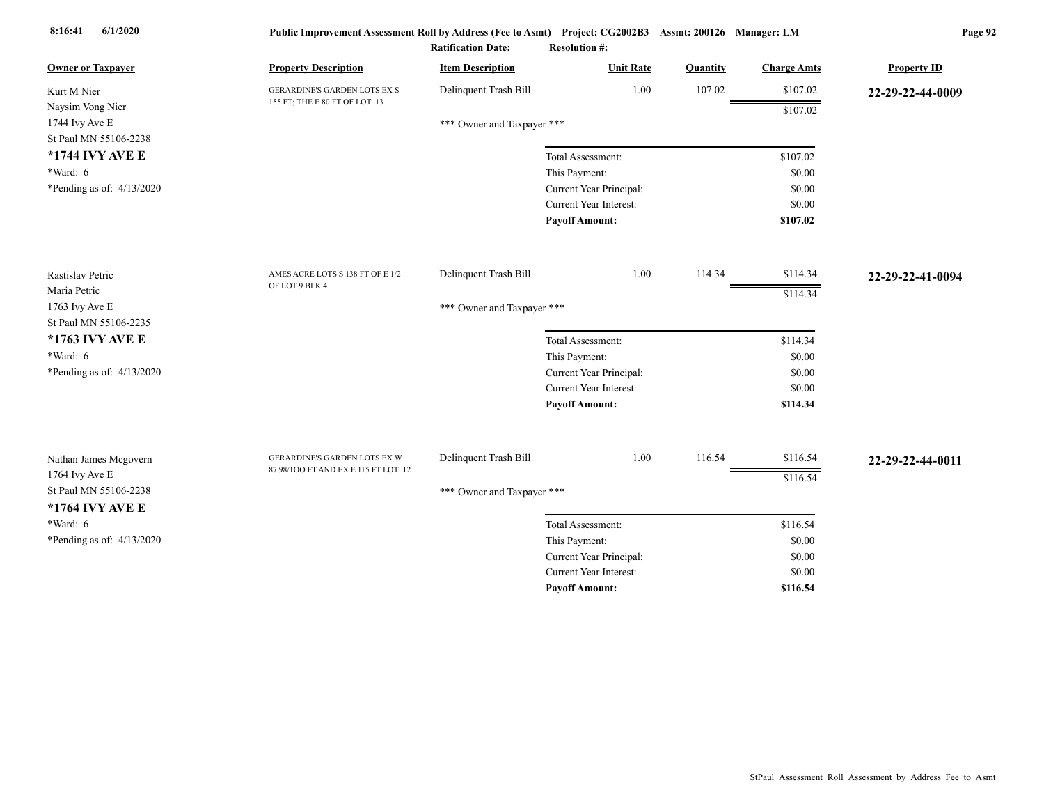| <b>Owner or Taxpayer</b>    | <b>Property Description</b>         | <b>Item Description</b>    | <b>Unit Rate</b>              | Quantity | <b>Charge Amts</b> | <b>Property ID</b> |
|-----------------------------|-------------------------------------|----------------------------|-------------------------------|----------|--------------------|--------------------|
| Kurt M Nier                 | <b>GERARDINE'S GARDEN LOTS EX S</b> | Delinquent Trash Bill      | 1.00                          | 107.02   | \$107.02           | 22-29-22-44-0009   |
| Naysim Vong Nier            | 155 FT; THE E 80 FT OF LOT 13       |                            |                               |          | \$107.02           |                    |
| 1744 Ivy Ave E              |                                     | *** Owner and Taxpayer *** |                               |          |                    |                    |
| St Paul MN 55106-2238       |                                     |                            |                               |          |                    |                    |
| *1744 IVY AVE E             |                                     |                            | Total Assessment:             |          | \$107.02           |                    |
| $*Ward: 6$                  |                                     |                            | This Payment:                 |          | \$0.00             |                    |
| *Pending as of: $4/13/2020$ |                                     |                            | Current Year Principal:       |          | \$0.00             |                    |
|                             |                                     |                            | <b>Current Year Interest:</b> |          | \$0.00             |                    |
|                             |                                     |                            | <b>Payoff Amount:</b>         |          | \$107.02           |                    |
| Rastislav Petric            | AMES ACRE LOTS S 138 FT OF E 1/2    | Delinquent Trash Bill      | 1.00                          | 114.34   | \$114.34           | 22-29-22-41-0094   |
| Maria Petric                | OF LOT 9 BLK 4                      |                            |                               |          | \$114.34           |                    |
| 1763 Ivy Ave E              |                                     | *** Owner and Taxpayer *** |                               |          |                    |                    |
| St Paul MN 55106-2235       |                                     |                            |                               |          |                    |                    |
| *1763 IVY AVE E             |                                     |                            | Total Assessment:             |          | \$114.34           |                    |
| $*Ward: 6$                  |                                     |                            | This Payment:                 |          | \$0.00             |                    |
| *Pending as of: 4/13/2020   |                                     |                            | Current Year Principal:       |          | \$0.00             |                    |
|                             |                                     |                            | Current Year Interest:        |          | \$0.00             |                    |
|                             |                                     |                            | <b>Payoff Amount:</b>         |          | \$114.34           |                    |
| Nathan James Mcgovern       | GERARDINE'S GARDEN LOTS EX W        | Delinquent Trash Bill      | 1.00                          | 116.54   | \$116.54           | 22-29-22-44-0011   |
| 1764 Ivy Ave E              | 87 98/100 FT AND EX E 115 FT LOT 12 |                            |                               |          | \$116.54           |                    |
| St Paul MN 55106-2238       |                                     | *** Owner and Taxpayer *** |                               |          |                    |                    |
| *1764 IVY AVE E             |                                     |                            |                               |          |                    |                    |
| *Ward: 6                    |                                     |                            | Total Assessment:             |          | \$116.54           |                    |
| *Pending as of: $4/13/2020$ |                                     |                            | This Payment:                 |          | \$0.00             |                    |
|                             |                                     |                            | Current Year Principal:       |          | \$0.00             |                    |
|                             |                                     |                            | <b>Current Year Interest:</b> |          | \$0.00             |                    |
|                             |                                     |                            | <b>Payoff Amount:</b>         |          | \$116.54           |                    |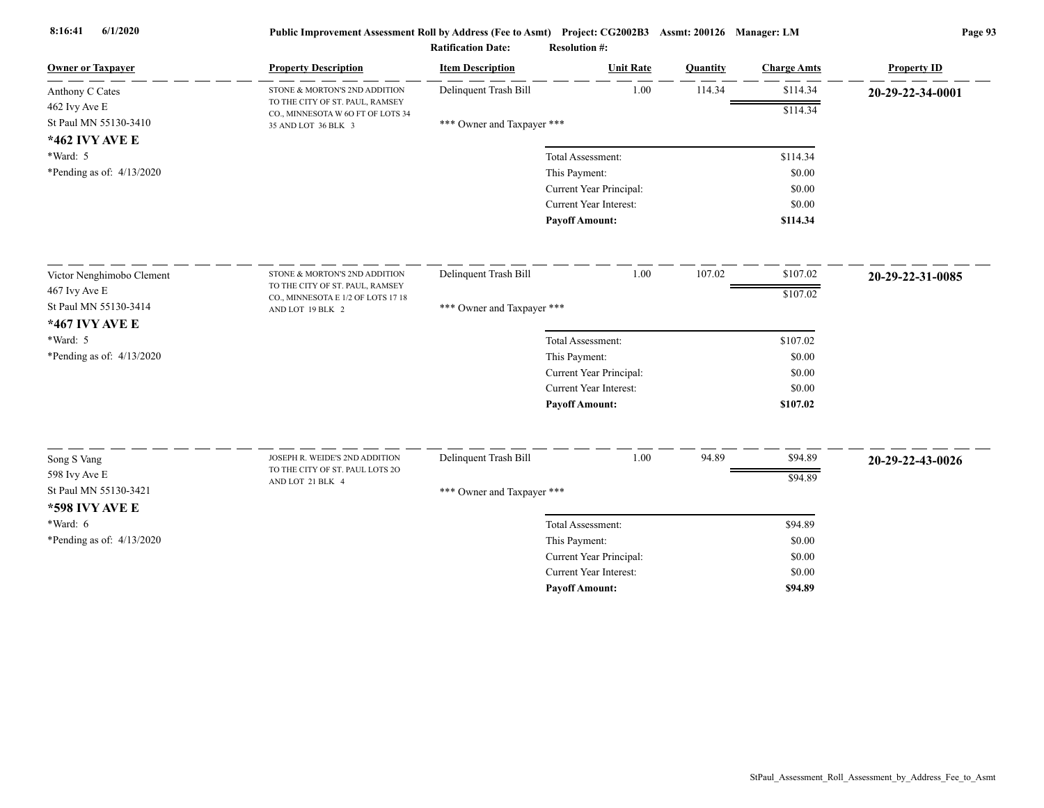| <b>Owner or Taxpayer</b>                | <b>Property Description</b>                                           | <b>Item Description</b>    | <b>Unit Rate</b>        | Quantity | <b>Charge Amts</b> | <b>Property ID</b> |
|-----------------------------------------|-----------------------------------------------------------------------|----------------------------|-------------------------|----------|--------------------|--------------------|
| Anthony C Cates                         | STONE & MORTON'S 2ND ADDITION                                         | Delinquent Trash Bill      | 1.00                    | 114.34   | \$114.34           | 20-29-22-34-0001   |
| 462 Ivy Ave E                           | TO THE CITY OF ST. PAUL, RAMSEY<br>CO., MINNESOTA W 6O FT OF LOTS 34  |                            |                         |          | \$114.34           |                    |
| St Paul MN 55130-3410                   | 35 AND LOT 36 BLK 3                                                   | *** Owner and Taxpayer *** |                         |          |                    |                    |
| *462 IVY AVE E                          |                                                                       |                            |                         |          |                    |                    |
| *Ward: 5                                |                                                                       |                            | Total Assessment:       |          | \$114.34           |                    |
| *Pending as of: $4/13/2020$             |                                                                       |                            | This Payment:           |          | \$0.00             |                    |
|                                         |                                                                       |                            | Current Year Principal: |          | \$0.00             |                    |
|                                         |                                                                       |                            | Current Year Interest:  |          | \$0.00             |                    |
|                                         |                                                                       |                            | <b>Payoff Amount:</b>   |          | \$114.34           |                    |
| Victor Nenghimobo Clement               | STONE & MORTON'S 2ND ADDITION                                         | Delinquent Trash Bill      | 1.00                    | 107.02   | \$107.02           | 20-29-22-31-0085   |
| 467 Ivy Ave E                           | TO THE CITY OF ST. PAUL, RAMSEY<br>CO., MINNESOTA E 1/2 OF LOTS 17 18 |                            |                         |          | \$107.02           |                    |
| St Paul MN 55130-3414<br>*467 IVY AVE E | AND LOT 19 BLK 2                                                      | *** Owner and Taxpayer *** |                         |          |                    |                    |
| *Ward: 5                                |                                                                       |                            | Total Assessment:       |          | \$107.02           |                    |
| *Pending as of: 4/13/2020               |                                                                       |                            | This Payment:           |          | \$0.00             |                    |
|                                         |                                                                       |                            | Current Year Principal: |          | \$0.00             |                    |
|                                         |                                                                       |                            | Current Year Interest:  |          | \$0.00             |                    |
|                                         |                                                                       |                            | <b>Payoff Amount:</b>   |          | \$107.02           |                    |
| Song S Vang                             | JOSEPH R. WEIDE'S 2ND ADDITION                                        | Delinquent Trash Bill      | 1.00                    | 94.89    | \$94.89            |                    |
| 598 Ivy Ave E                           | TO THE CITY OF ST. PAUL LOTS 2O                                       |                            |                         |          |                    | 20-29-22-43-0026   |
| St Paul MN 55130-3421                   | AND LOT 21 BLK 4                                                      | *** Owner and Taxpayer *** |                         |          | \$94.89            |                    |
| <b>*598 IVY AVE E</b>                   |                                                                       |                            |                         |          |                    |                    |
| *Ward: 6                                |                                                                       |                            | Total Assessment:       |          | \$94.89            |                    |
| *Pending as of: $4/13/2020$             |                                                                       |                            | This Payment:           |          | \$0.00             |                    |
|                                         |                                                                       |                            | Current Year Principal: |          | \$0.00             |                    |
|                                         |                                                                       |                            | Current Year Interest:  |          | \$0.00             |                    |
|                                         |                                                                       |                            | <b>Pavoff Amount:</b>   |          | \$94.89            |                    |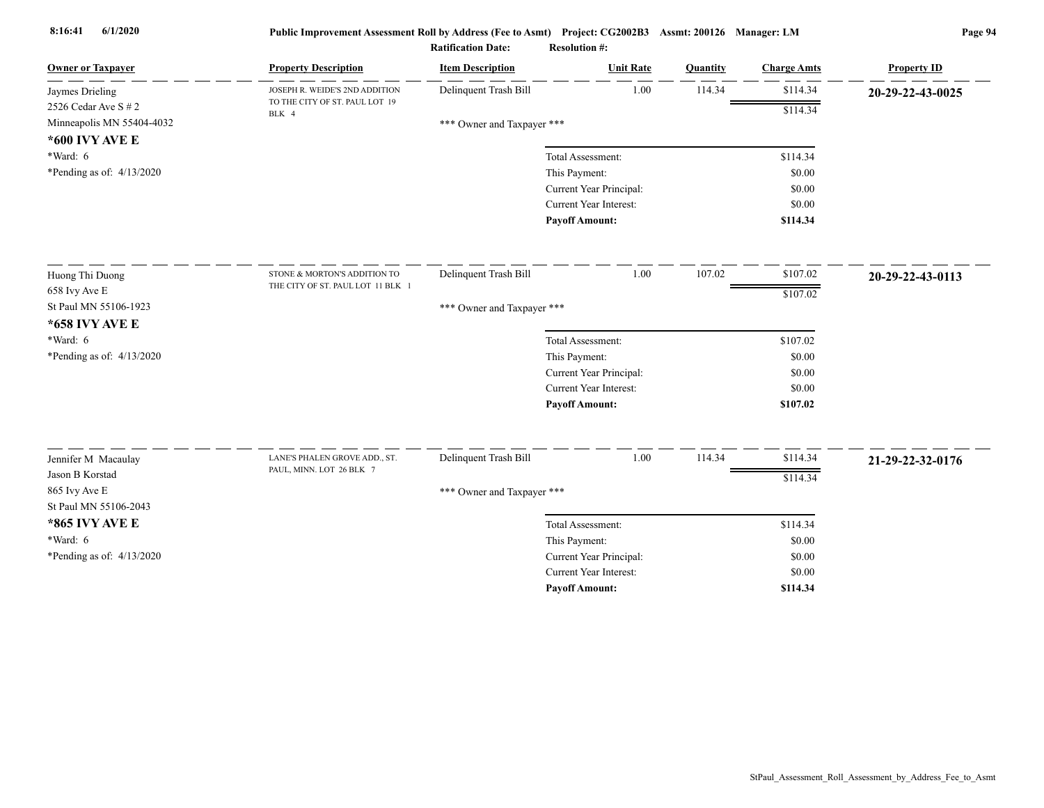| <b>Owner or Taxpayer</b>               | <b>Property Description</b>             | <b>Item Description</b>    | <b>Unit Rate</b>                                         | Quantity | <b>Charge Amts</b> | <b>Property ID</b> |
|----------------------------------------|-----------------------------------------|----------------------------|----------------------------------------------------------|----------|--------------------|--------------------|
| Jaymes Drieling                        | JOSEPH R. WEIDE'S 2ND ADDITION          | Delinquent Trash Bill      | 1.00                                                     | 114.34   | \$114.34           | 20-29-22-43-0025   |
| 2526 Cedar Ave $S \# 2$                | TO THE CITY OF ST. PAUL LOT 19<br>BLK 4 |                            |                                                          |          | \$114.34           |                    |
| Minneapolis MN 55404-4032              |                                         | *** Owner and Taxpayer *** |                                                          |          |                    |                    |
| *600 IVY AVE E                         |                                         |                            |                                                          |          |                    |                    |
| *Ward: 6                               |                                         |                            | Total Assessment:                                        |          | \$114.34           |                    |
| *Pending as of: $4/13/2020$            |                                         |                            | This Payment:                                            |          | \$0.00             |                    |
|                                        |                                         |                            | Current Year Principal:<br><b>Current Year Interest:</b> |          | \$0.00<br>\$0.00   |                    |
|                                        |                                         |                            | <b>Payoff Amount:</b>                                    |          | \$114.34           |                    |
|                                        |                                         |                            |                                                          |          |                    |                    |
| Huong Thi Duong                        | STONE & MORTON'S ADDITION TO            | Delinquent Trash Bill      | 1.00                                                     | 107.02   | \$107.02           | 20-29-22-43-0113   |
| 658 Ivy Ave E                          | THE CITY OF ST. PAUL LOT 11 BLK 1       |                            |                                                          |          | \$107.02           |                    |
| St Paul MN 55106-1923                  |                                         | *** Owner and Taxpayer *** |                                                          |          |                    |                    |
| *658 IVY AVE E                         |                                         |                            |                                                          |          |                    |                    |
| *Ward: 6                               |                                         |                            | Total Assessment:                                        |          | \$107.02           |                    |
| *Pending as of: 4/13/2020              |                                         |                            | This Payment:                                            |          | \$0.00             |                    |
|                                        |                                         |                            | Current Year Principal:                                  |          | \$0.00             |                    |
|                                        |                                         |                            | Current Year Interest:                                   |          | \$0.00             |                    |
|                                        |                                         |                            | <b>Payoff Amount:</b>                                    |          | \$107.02           |                    |
| Jennifer M Macaulay                    | LANE'S PHALEN GROVE ADD., ST.           | Delinquent Trash Bill      | 1.00                                                     | 114.34   | \$114.34           | 21-29-22-32-0176   |
| Jason B Korstad                        | PAUL, MINN. LOT 26 BLK 7                |                            |                                                          |          | \$114.34           |                    |
| 865 Ivy Ave E<br>St Paul MN 55106-2043 |                                         | *** Owner and Taxpayer *** |                                                          |          |                    |                    |
| *865 IVY AVE E                         |                                         |                            | Total Assessment:                                        |          | \$114.34           |                    |
| *Ward: 6                               |                                         |                            | This Payment:                                            |          | \$0.00             |                    |
| *Pending as of: 4/13/2020              |                                         |                            | Current Year Principal:                                  |          | \$0.00             |                    |
|                                        |                                         |                            | <b>Current Year Interest:</b>                            |          | \$0.00             |                    |
|                                        |                                         |                            | <b>Payoff Amount:</b>                                    |          | \$114.34           |                    |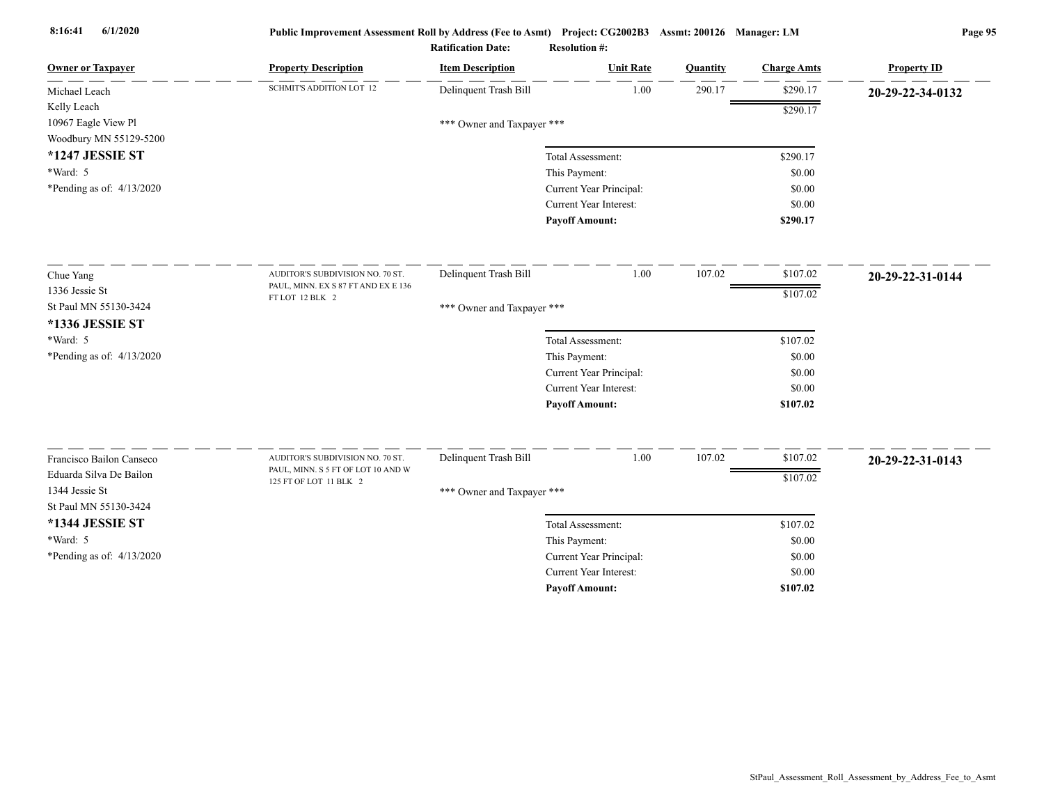| <b>Owner or Taxpayer</b>    | <b>Property Description</b>         | <b>Item Description</b>    | <b>Unit Rate</b>              | Quantity | <b>Charge Amts</b> | <b>Property ID</b> |
|-----------------------------|-------------------------------------|----------------------------|-------------------------------|----------|--------------------|--------------------|
| Michael Leach               | <b>SCHMIT'S ADDITION LOT 12</b>     | Delinquent Trash Bill      | 1.00                          | 290.17   | \$290.17           | 20-29-22-34-0132   |
| Kelly Leach                 |                                     |                            |                               |          | \$290.17           |                    |
| 10967 Eagle View Pl         |                                     | *** Owner and Taxpayer *** |                               |          |                    |                    |
| Woodbury MN 55129-5200      |                                     |                            |                               |          |                    |                    |
| *1247 JESSIE ST             |                                     |                            | Total Assessment:             |          | \$290.17           |                    |
| *Ward: 5                    |                                     |                            | This Payment:                 |          | \$0.00             |                    |
| *Pending as of: $4/13/2020$ |                                     |                            | Current Year Principal:       |          | \$0.00             |                    |
|                             |                                     |                            | <b>Current Year Interest:</b> |          | \$0.00             |                    |
|                             |                                     |                            | <b>Payoff Amount:</b>         |          | \$290.17           |                    |
| Chue Yang                   | AUDITOR'S SUBDIVISION NO. 70 ST.    | Delinquent Trash Bill      | 1.00                          | 107.02   | \$107.02           | 20-29-22-31-0144   |
| 1336 Jessie St              | PAUL, MINN. EX S 87 FT AND EX E 136 |                            |                               |          | \$107.02           |                    |
| St Paul MN 55130-3424       | FT LOT 12 BLK 2                     | *** Owner and Taxpayer *** |                               |          |                    |                    |
| *1336 JESSIE ST             |                                     |                            |                               |          |                    |                    |
| *Ward: 5                    |                                     |                            | Total Assessment:             |          | \$107.02           |                    |
| *Pending as of: 4/13/2020   |                                     |                            | This Payment:                 |          | \$0.00             |                    |
|                             |                                     |                            | Current Year Principal:       |          | \$0.00             |                    |
|                             |                                     |                            | Current Year Interest:        |          | \$0.00             |                    |
|                             |                                     |                            | <b>Payoff Amount:</b>         |          | \$107.02           |                    |
| Francisco Bailon Canseco    | AUDITOR'S SUBDIVISION NO. 70 ST.    | Delinquent Trash Bill      | 1.00                          | 107.02   | \$107.02           |                    |
| Eduarda Silva De Bailon     | PAUL, MINN. S 5 FT OF LOT 10 AND W  |                            |                               |          |                    | 20-29-22-31-0143   |
| 1344 Jessie St              | 125 FT OF LOT 11 BLK 2              | *** Owner and Taxpayer *** |                               |          | \$107.02           |                    |
| St Paul MN 55130-3424       |                                     |                            |                               |          |                    |                    |
| *1344 JESSIE ST             |                                     |                            | Total Assessment:             |          | \$107.02           |                    |
| *Ward: 5                    |                                     |                            | This Payment:                 |          | \$0.00             |                    |
| *Pending as of: 4/13/2020   |                                     |                            | Current Year Principal:       |          | \$0.00             |                    |
|                             |                                     |                            | <b>Current Year Interest:</b> |          | \$0.00             |                    |
|                             |                                     |                            | <b>Pavoff Amount:</b>         |          | \$107.02           |                    |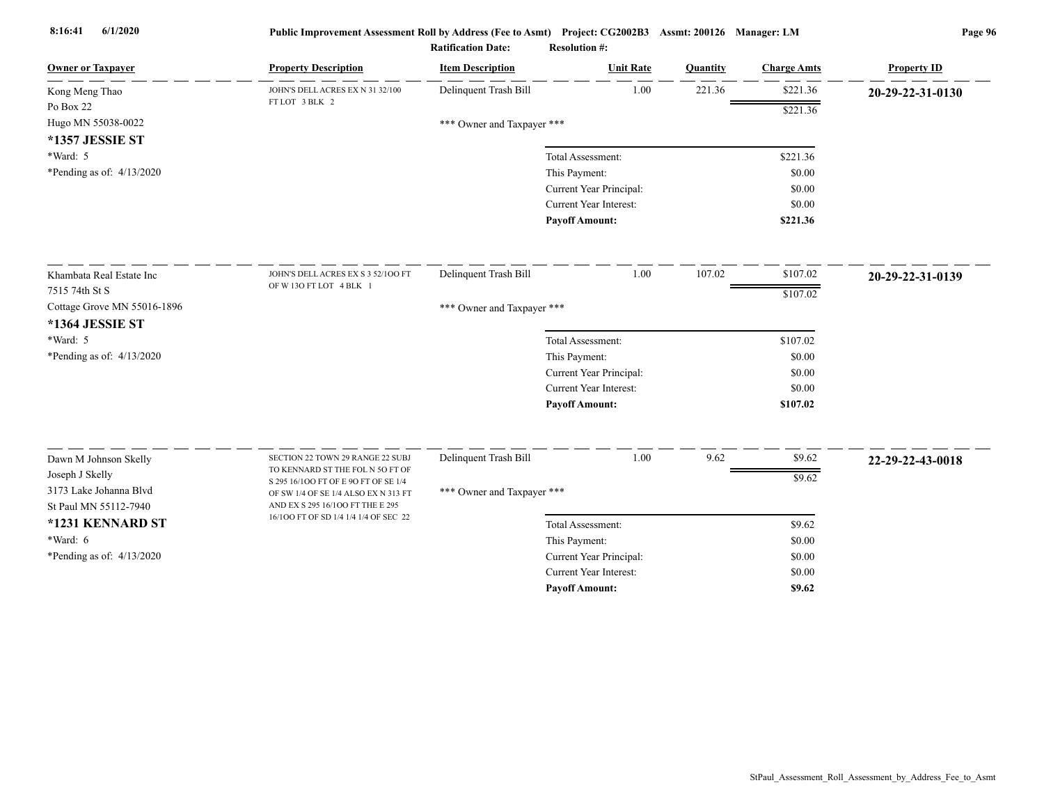| <b>Owner or Taxpayer</b>    | <b>Property Description</b>                                               | <b>Item Description</b>    | <b>Unit Rate</b>              | Quantity | <b>Charge Amts</b> | <b>Property ID</b> |
|-----------------------------|---------------------------------------------------------------------------|----------------------------|-------------------------------|----------|--------------------|--------------------|
| Kong Meng Thao              | JOHN'S DELL ACRES EX N 31 32/100                                          | Delinquent Trash Bill      | 1.00                          | 221.36   | \$221.36           | 20-29-22-31-0130   |
| Po Box 22                   | FTLOT 3 BLK 2                                                             |                            |                               |          | \$221.36           |                    |
| Hugo MN 55038-0022          |                                                                           | *** Owner and Taxpayer *** |                               |          |                    |                    |
| *1357 JESSIE ST             |                                                                           |                            |                               |          |                    |                    |
| *Ward: 5                    |                                                                           |                            | Total Assessment:             |          | \$221.36           |                    |
| *Pending as of: 4/13/2020   |                                                                           |                            | This Payment:                 |          | \$0.00             |                    |
|                             |                                                                           |                            | Current Year Principal:       |          | \$0.00             |                    |
|                             |                                                                           |                            | Current Year Interest:        |          | \$0.00             |                    |
|                             |                                                                           |                            | <b>Payoff Amount:</b>         |          | \$221.36           |                    |
| Khambata Real Estate Inc.   | JOHN'S DELL ACRES EX S 3 52/100 FT                                        | Delinquent Trash Bill      | 1.00                          | 107.02   | \$107.02           | 20-29-22-31-0139   |
| 7515 74th St S              | OF W 13O FT LOT 4 BLK 1                                                   |                            |                               |          | \$107.02           |                    |
| Cottage Grove MN 55016-1896 |                                                                           | *** Owner and Taxpayer *** |                               |          |                    |                    |
| *1364 JESSIE ST             |                                                                           |                            |                               |          |                    |                    |
| *Ward: 5                    |                                                                           |                            | Total Assessment:             |          | \$107.02           |                    |
| *Pending as of: 4/13/2020   |                                                                           |                            | This Payment:                 |          | \$0.00             |                    |
|                             |                                                                           |                            | Current Year Principal:       |          | \$0.00             |                    |
|                             |                                                                           |                            | <b>Current Year Interest:</b> |          | \$0.00             |                    |
|                             |                                                                           |                            | <b>Payoff Amount:</b>         |          | \$107.02           |                    |
|                             |                                                                           |                            |                               |          |                    |                    |
| Dawn M Johnson Skelly       | SECTION 22 TOWN 29 RANGE 22 SUBJ<br>TO KENNARD ST THE FOL N 5O FT OF      | Delinquent Trash Bill      | 1.00                          | 9.62     | \$9.62             | 22-29-22-43-0018   |
| Joseph J Skelly             | S 295 16/100 FT OF E 90 FT OF SE 1/4                                      |                            |                               |          | \$9.62             |                    |
| 3173 Lake Johanna Blvd      | OF SW 1/4 OF SE 1/4 ALSO EX N 313 FT                                      | *** Owner and Taxpayer *** |                               |          |                    |                    |
| St Paul MN 55112-7940       | AND EX S 295 16/100 FT THE E 295<br>16/100 FT OF SD 1/4 1/4 1/4 OF SEC 22 |                            |                               |          |                    |                    |
| *1231 KENNARD ST            |                                                                           |                            | Total Assessment:             |          | \$9.62             |                    |
| *Ward: 6                    |                                                                           |                            | This Payment:                 |          | \$0.00             |                    |
| *Pending as of: 4/13/2020   |                                                                           |                            | Current Year Principal:       |          | \$0.00             |                    |
|                             |                                                                           |                            | Current Year Interest:        |          | \$0.00             |                    |
|                             |                                                                           |                            | <b>Pavoff Amount:</b>         |          | \$9.62             |                    |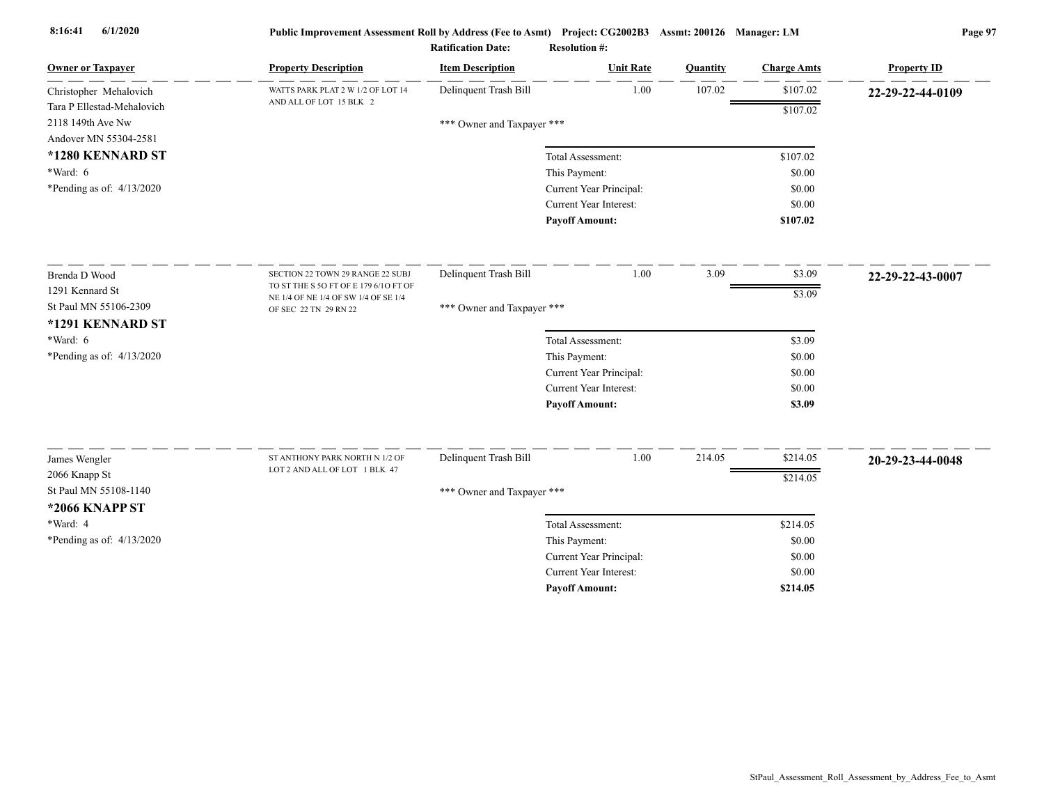| <b>Owner or Taxpayer</b>               | <b>Property Description</b>                                   | <b>Item Description</b>    | <b>Unit Rate</b>                         | Quantity | <b>Charge Amts</b> | <b>Property ID</b> |
|----------------------------------------|---------------------------------------------------------------|----------------------------|------------------------------------------|----------|--------------------|--------------------|
| Christopher Mehalovich                 | WATTS PARK PLAT 2 W 1/2 OF LOT 14                             | Delinquent Trash Bill      | 1.00                                     | 107.02   | \$107.02           | 22-29-22-44-0109   |
| Tara P Ellestad-Mehalovich             | AND ALL OF LOT 15 BLK 2                                       |                            |                                          |          | \$107.02           |                    |
| 2118 149th Ave Nw                      |                                                               | *** Owner and Taxpayer *** |                                          |          |                    |                    |
| Andover MN 55304-2581                  |                                                               |                            |                                          |          |                    |                    |
| *1280 KENNARD ST                       |                                                               |                            | Total Assessment:                        |          | \$107.02           |                    |
| *Ward: 6                               |                                                               |                            | This Payment:                            |          | \$0.00             |                    |
| *Pending as of: $4/13/2020$            |                                                               |                            | Current Year Principal:                  |          | \$0.00             |                    |
|                                        |                                                               |                            | <b>Current Year Interest:</b>            |          | \$0.00             |                    |
|                                        |                                                               |                            | <b>Payoff Amount:</b>                    |          | \$107.02           |                    |
| Brenda D Wood                          | SECTION 22 TOWN 29 RANGE 22 SUBJ                              | Delinquent Trash Bill      | 1.00                                     | 3.09     | \$3.09             | 22-29-22-43-0007   |
| 1291 Kennard St                        | TO ST THE S 50 FT OF E 179 6/10 FT OF                         |                            |                                          |          | \$3.09             |                    |
| St Paul MN 55106-2309                  | NE 1/4 OF NE 1/4 OF SW 1/4 OF SE 1/4<br>OF SEC 22 TN 29 RN 22 | *** Owner and Taxpayer *** |                                          |          |                    |                    |
| *1291 KENNARD ST                       |                                                               |                            |                                          |          |                    |                    |
| *Ward: 6                               |                                                               |                            | Total Assessment:                        |          | \$3.09             |                    |
| *Pending as of: $4/13/2020$            |                                                               |                            | This Payment:                            |          | \$0.00             |                    |
|                                        |                                                               |                            | Current Year Principal:                  |          | \$0.00             |                    |
|                                        |                                                               |                            | <b>Current Year Interest:</b>            |          | \$0.00             |                    |
|                                        |                                                               |                            | <b>Payoff Amount:</b>                    |          | \$3.09             |                    |
|                                        | ST ANTHONY PARK NORTH N 1/2 OF                                | Delinquent Trash Bill      | 1.00                                     | 214.05   | \$214.05           |                    |
| James Wengler                          | LOT 2 AND ALL OF LOT 1 BLK 47                                 |                            |                                          |          |                    | 20-29-23-44-0048   |
| 2066 Knapp St<br>St Paul MN 55108-1140 |                                                               |                            |                                          |          | \$214.05           |                    |
| *2066 KNAPP ST                         |                                                               | *** Owner and Taxpayer *** |                                          |          |                    |                    |
| *Ward: 4                               |                                                               |                            |                                          |          |                    |                    |
|                                        |                                                               |                            | Total Assessment:                        |          | \$214.05<br>\$0.00 |                    |
| *Pending as of: 4/13/2020              |                                                               |                            | This Payment:<br>Current Year Principal: |          | \$0.00             |                    |
|                                        |                                                               |                            | <b>Current Year Interest:</b>            |          | \$0.00             |                    |
|                                        |                                                               |                            | <b>Pavoff Amount:</b>                    |          | \$214.05           |                    |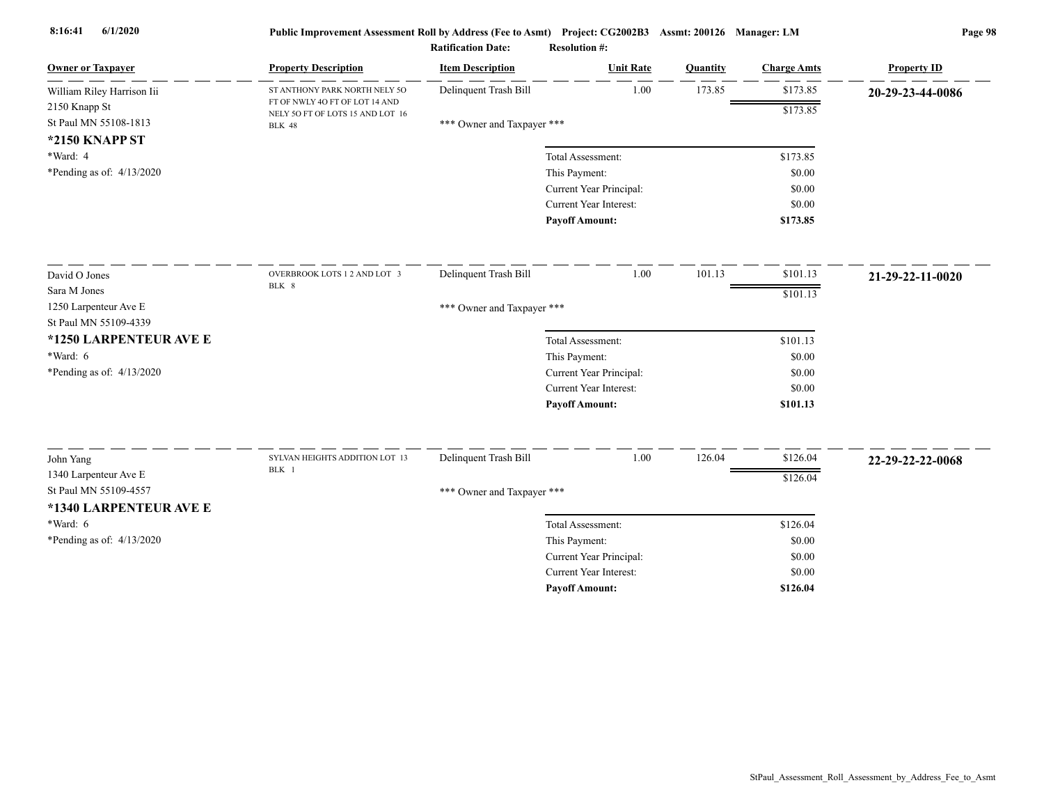| <b>Owner or Taxpayer</b>    | <b>Property Description</b>                                        | <b>Item Description</b>    | <b>Unit Rate</b>                                | Quantity | <b>Charge Amts</b> | <b>Property ID</b> |
|-----------------------------|--------------------------------------------------------------------|----------------------------|-------------------------------------------------|----------|--------------------|--------------------|
| William Riley Harrison Iii  | ST ANTHONY PARK NORTH NELY 50                                      | Delinquent Trash Bill      | 1.00                                            | 173.85   | \$173.85           | 20-29-23-44-0086   |
| 2150 Knapp St               | FT OF NWLY 4O FT OF LOT 14 AND<br>NELY 50 FT OF LOTS 15 AND LOT 16 |                            |                                                 |          | \$173.85           |                    |
| St Paul MN 55108-1813       | <b>BLK 48</b>                                                      | *** Owner and Taxpayer *** |                                                 |          |                    |                    |
| *2150 KNAPP ST              |                                                                    |                            |                                                 |          |                    |                    |
| *Ward: 4                    |                                                                    |                            | Total Assessment:                               |          | \$173.85           |                    |
| *Pending as of: $4/13/2020$ |                                                                    |                            | This Payment:                                   |          | \$0.00             |                    |
|                             |                                                                    |                            | Current Year Principal:                         |          | \$0.00             |                    |
|                             |                                                                    |                            | Current Year Interest:<br><b>Payoff Amount:</b> |          | \$0.00<br>\$173.85 |                    |
|                             |                                                                    |                            |                                                 |          |                    |                    |
| David O Jones               | OVERBROOK LOTS 1 2 AND LOT 3                                       | Delinquent Trash Bill      | 1.00                                            | 101.13   | \$101.13           | 21-29-22-11-0020   |
| Sara M Jones                | BLK 8                                                              |                            |                                                 |          | \$101.13           |                    |
| 1250 Larpenteur Ave E       |                                                                    | *** Owner and Taxpayer *** |                                                 |          |                    |                    |
| St Paul MN 55109-4339       |                                                                    |                            |                                                 |          |                    |                    |
| *1250 LARPENTEUR AVE E      |                                                                    |                            | Total Assessment:                               |          | \$101.13           |                    |
| $*Ward: 6$                  |                                                                    |                            | This Payment:                                   |          | \$0.00             |                    |
| *Pending as of: 4/13/2020   |                                                                    |                            | Current Year Principal:                         |          | \$0.00             |                    |
|                             |                                                                    |                            | Current Year Interest:                          |          | \$0.00             |                    |
|                             |                                                                    |                            | <b>Payoff Amount:</b>                           |          | \$101.13           |                    |
| John Yang                   | SYLVAN HEIGHTS ADDITION LOT 13                                     | Delinquent Trash Bill      | 1.00                                            | 126.04   | \$126.04           | 22-29-22-22-0068   |
| 1340 Larpenteur Ave E       | BLK 1                                                              |                            |                                                 |          |                    |                    |
| St Paul MN 55109-4557       |                                                                    | *** Owner and Taxpayer *** |                                                 |          | \$126.04           |                    |
| *1340 LARPENTEUR AVE E      |                                                                    |                            |                                                 |          |                    |                    |
| *Ward: 6                    |                                                                    |                            | Total Assessment:                               |          | \$126.04           |                    |
| *Pending as of: 4/13/2020   |                                                                    |                            | This Payment:                                   |          | \$0.00             |                    |
|                             |                                                                    |                            | Current Year Principal:                         |          | \$0.00             |                    |
|                             |                                                                    |                            | <b>Current Year Interest:</b>                   |          | \$0.00             |                    |
|                             |                                                                    |                            | <b>Pavoff Amount:</b>                           |          | \$126.04           |                    |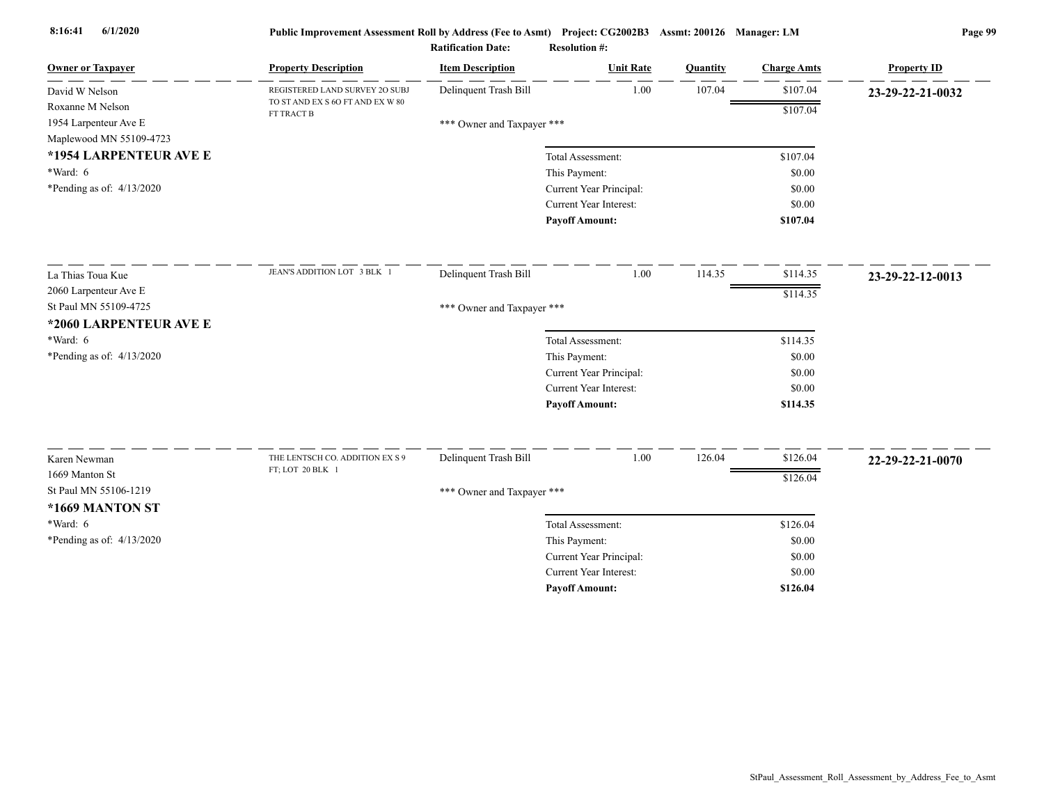| <b>Owner or Taxpayer</b>                                             | <b>Property Description</b>                    | <b>Item Description</b>    | <b>Unit Rate</b>        | Quantity | <b>Charge Amts</b> | <b>Property ID</b> |
|----------------------------------------------------------------------|------------------------------------------------|----------------------------|-------------------------|----------|--------------------|--------------------|
| David W Nelson                                                       | REGISTERED LAND SURVEY 20 SUBJ                 | Delinquent Trash Bill      | 1.00                    | 107.04   | \$107.04           | 23-29-22-21-0032   |
| Roxanne M Nelson<br>1954 Larpenteur Ave E<br>Maplewood MN 55109-4723 | TO ST AND EX S 6O FT AND EX W 80<br>FT TRACT B | *** Owner and Taxpayer *** |                         |          | \$107.04           |                    |
| *1954 LARPENTEUR AVE E                                               |                                                |                            | Total Assessment:       |          | \$107.04           |                    |
| *Ward: 6                                                             |                                                |                            | This Payment:           |          | \$0.00             |                    |
| *Pending as of: $4/13/2020$                                          |                                                |                            | Current Year Principal: |          | \$0.00             |                    |
|                                                                      |                                                |                            | Current Year Interest:  |          | \$0.00             |                    |
|                                                                      |                                                |                            | <b>Payoff Amount:</b>   |          | \$107.04           |                    |
| La Thias Toua Kue                                                    | JEAN'S ADDITION LOT 3 BLK 1                    | Delinquent Trash Bill      | 1.00                    | 114.35   | \$114.35           | 23-29-22-12-0013   |
| 2060 Larpenteur Ave E                                                |                                                |                            |                         |          | \$114.35           |                    |
| St Paul MN 55109-4725                                                |                                                | *** Owner and Taxpayer *** |                         |          |                    |                    |
| *2060 LARPENTEUR AVE E                                               |                                                |                            |                         |          |                    |                    |
| *Ward: 6                                                             |                                                |                            | Total Assessment:       |          | \$114.35           |                    |
| *Pending as of: 4/13/2020                                            |                                                |                            | This Payment:           |          | \$0.00             |                    |
|                                                                      |                                                |                            | Current Year Principal: |          | \$0.00             |                    |
|                                                                      |                                                |                            | Current Year Interest:  |          | \$0.00             |                    |
|                                                                      |                                                |                            | <b>Payoff Amount:</b>   |          | \$114.35           |                    |
| Karen Newman                                                         | THE LENTSCH CO. ADDITION EX S 9                | Delinquent Trash Bill      | 1.00                    | 126.04   | \$126.04           | 22-29-22-21-0070   |
| 1669 Manton St                                                       | FT; LOT 20 BLK 1                               |                            |                         |          |                    |                    |
| St Paul MN 55106-1219                                                |                                                | *** Owner and Taxpayer *** |                         |          | \$126.04           |                    |
| *1669 MANTON ST                                                      |                                                |                            |                         |          |                    |                    |
| *Ward: 6                                                             |                                                |                            | Total Assessment:       |          | \$126.04           |                    |
| *Pending as of: $4/13/2020$                                          |                                                |                            | This Payment:           |          | \$0.00             |                    |
|                                                                      |                                                |                            | Current Year Principal: |          | \$0.00             |                    |
|                                                                      |                                                |                            | Current Year Interest:  |          | \$0.00             |                    |
|                                                                      |                                                |                            | <b>Pavoff Amount:</b>   |          | \$126.04           |                    |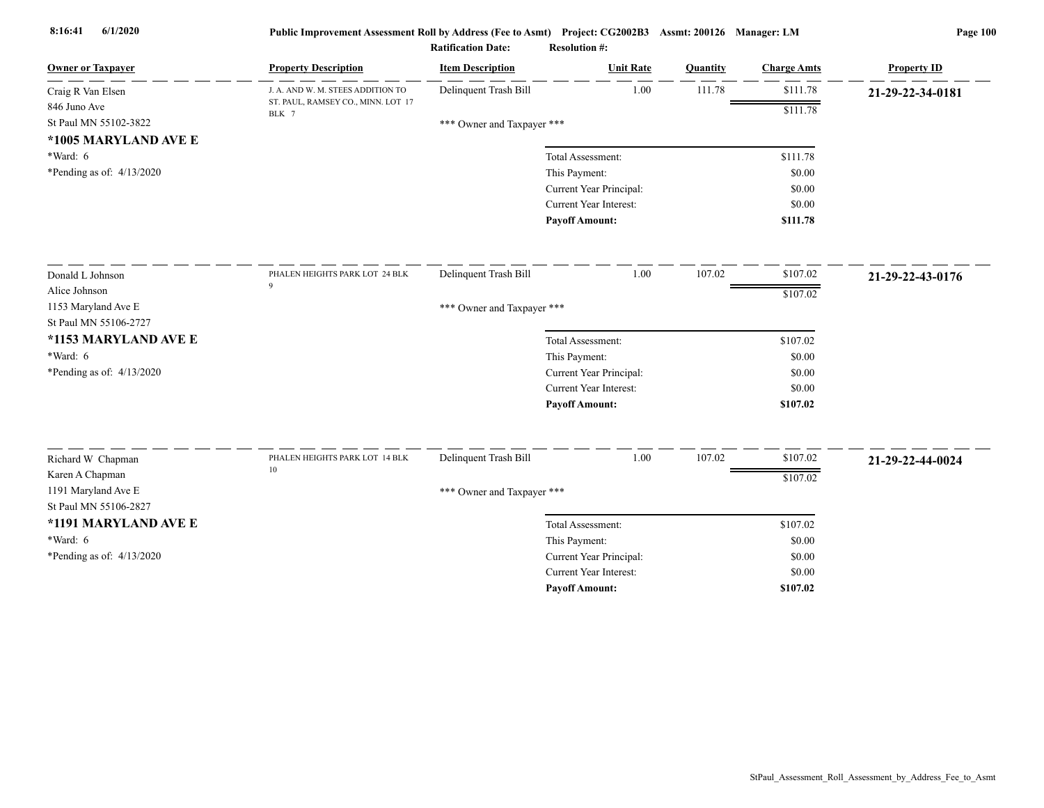| <b>Owner or Taxpayer</b>                                      | <b>Property Description</b>                 | <b>Item Description</b>    | <b>Unit Rate</b>                                  | Quantity | <b>Charge Amts</b> | <b>Property ID</b> |
|---------------------------------------------------------------|---------------------------------------------|----------------------------|---------------------------------------------------|----------|--------------------|--------------------|
| Craig R Van Elsen                                             | J. A. AND W. M. STEES ADDITION TO           | Delinquent Trash Bill      | 1.00                                              | 111.78   | \$111.78           | 21-29-22-34-0181   |
| 846 Juno Ave<br>St Paul MN 55102-3822<br>*1005 MARYLAND AVE E | ST. PAUL, RAMSEY CO., MINN. LOT 17<br>BLK 7 | *** Owner and Taxpayer *** |                                                   |          | \$111.78           |                    |
| *Ward: 6<br>*Pending as of: $4/13/2020$                       |                                             |                            | Total Assessment:<br>This Payment:                |          | \$111.78<br>\$0.00 |                    |
|                                                               |                                             |                            | Current Year Principal:<br>Current Year Interest: |          | \$0.00<br>\$0.00   |                    |
|                                                               |                                             |                            | <b>Payoff Amount:</b>                             |          | \$111.78           |                    |
| Donald L Johnson                                              | PHALEN HEIGHTS PARK LOT 24 BLK              | Delinquent Trash Bill      | 1.00                                              | 107.02   | \$107.02           | 21-29-22-43-0176   |
| Alice Johnson<br>1153 Maryland Ave E<br>St Paul MN 55106-2727 | $\mathbf Q$                                 | *** Owner and Taxpayer *** |                                                   |          | \$107.02           |                    |
| *1153 MARYLAND AVE E                                          |                                             |                            | Total Assessment:                                 |          | \$107.02           |                    |
| $*Ward: 6$                                                    |                                             |                            | This Payment:                                     |          | \$0.00             |                    |
| *Pending as of: $4/13/2020$                                   |                                             |                            | Current Year Principal:                           |          | \$0.00             |                    |
|                                                               |                                             |                            | Current Year Interest:                            |          | \$0.00             |                    |
|                                                               |                                             |                            | <b>Payoff Amount:</b>                             |          | \$107.02           |                    |
| Richard W Chapman                                             | PHALEN HEIGHTS PARK LOT 14 BLK              | Delinquent Trash Bill      | 1.00                                              | 107.02   | \$107.02           | 21-29-22-44-0024   |
| Karen A Chapman                                               | $10\,$                                      |                            |                                                   |          | \$107.02           |                    |
| 1191 Maryland Ave E<br>St Paul MN 55106-2827                  |                                             | *** Owner and Taxpayer *** |                                                   |          |                    |                    |
| *1191 MARYLAND AVE E                                          |                                             |                            | Total Assessment:                                 |          | \$107.02           |                    |
| *Ward: 6                                                      |                                             |                            | This Payment:                                     |          | \$0.00             |                    |
| *Pending as of: 4/13/2020                                     |                                             |                            | Current Year Principal:                           |          | \$0.00             |                    |
|                                                               |                                             |                            | <b>Current Year Interest:</b>                     |          | \$0.00             |                    |
|                                                               |                                             |                            | <b>Payoff Amount:</b>                             |          | \$107.02           |                    |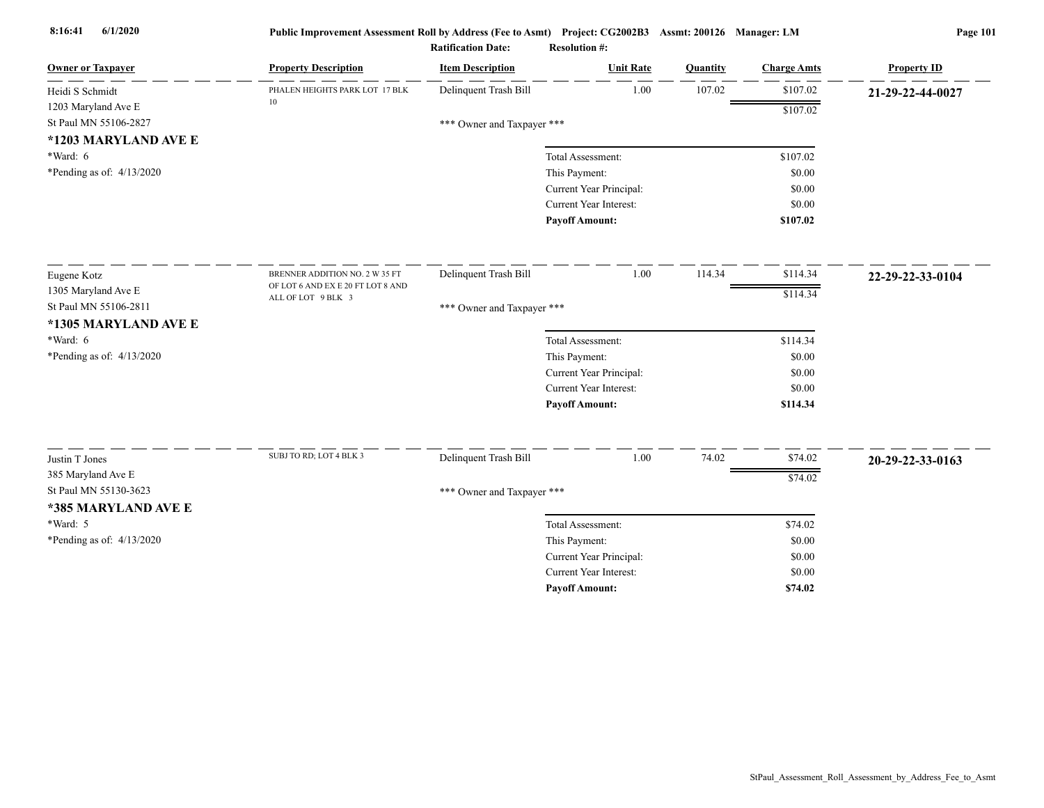| <b>Owner or Taxpayer</b>    | <b>Property Description</b>       | <b>Item Description</b>    | <b>Unit Rate</b>              | Quantity | <b>Charge Amts</b> | <b>Property ID</b> |
|-----------------------------|-----------------------------------|----------------------------|-------------------------------|----------|--------------------|--------------------|
| Heidi S Schmidt             | PHALEN HEIGHTS PARK LOT 17 BLK    | Delinquent Trash Bill      | 1.00                          | 107.02   | \$107.02           | 21-29-22-44-0027   |
| 1203 Maryland Ave E         | 10                                |                            |                               |          | \$107.02           |                    |
| St Paul MN 55106-2827       |                                   | *** Owner and Taxpayer *** |                               |          |                    |                    |
| *1203 MARYLAND AVE E        |                                   |                            |                               |          |                    |                    |
| *Ward: 6                    |                                   |                            | Total Assessment:             |          | \$107.02           |                    |
| *Pending as of: 4/13/2020   |                                   |                            | This Payment:                 |          | \$0.00             |                    |
|                             |                                   |                            | Current Year Principal:       |          | \$0.00             |                    |
|                             |                                   |                            | Current Year Interest:        |          | \$0.00             |                    |
|                             |                                   |                            | <b>Payoff Amount:</b>         |          | \$107.02           |                    |
| Eugene Kotz                 | BRENNER ADDITION NO. 2 W 35 FT    | Delinquent Trash Bill      | 1.00                          | 114.34   | \$114.34           | 22-29-22-33-0104   |
| 1305 Maryland Ave E         | OF LOT 6 AND EX E 20 FT LOT 8 AND |                            |                               |          | \$114.34           |                    |
| St Paul MN 55106-2811       | ALL OF LOT 9 BLK 3                | *** Owner and Taxpayer *** |                               |          |                    |                    |
| *1305 MARYLAND AVE E        |                                   |                            |                               |          |                    |                    |
| $*Ward: 6$                  |                                   |                            | Total Assessment:             |          | \$114.34           |                    |
| *Pending as of: 4/13/2020   |                                   |                            | This Payment:                 |          | \$0.00             |                    |
|                             |                                   |                            | Current Year Principal:       |          | \$0.00             |                    |
|                             |                                   |                            | <b>Current Year Interest:</b> |          | \$0.00             |                    |
|                             |                                   |                            | <b>Payoff Amount:</b>         |          | \$114.34           |                    |
|                             | SUBJ TO RD; LOT 4 BLK 3           |                            |                               |          |                    |                    |
| Justin T Jones              |                                   | Delinquent Trash Bill      | 1.00                          | 74.02    | \$74.02            | 20-29-22-33-0163   |
| 385 Maryland Ave E          |                                   |                            |                               |          | \$74.02            |                    |
| St Paul MN 55130-3623       |                                   | *** Owner and Taxpayer *** |                               |          |                    |                    |
| *385 MARYLAND AVE E         |                                   |                            |                               |          |                    |                    |
| *Ward: 5                    |                                   |                            | Total Assessment:             |          | \$74.02            |                    |
| *Pending as of: $4/13/2020$ |                                   |                            | This Payment:                 |          | \$0.00             |                    |
|                             |                                   |                            | Current Year Principal:       |          | \$0.00             |                    |
|                             |                                   |                            | Current Year Interest:        |          | \$0.00             |                    |
|                             |                                   |                            | <b>Payoff Amount:</b>         |          | \$74.02            |                    |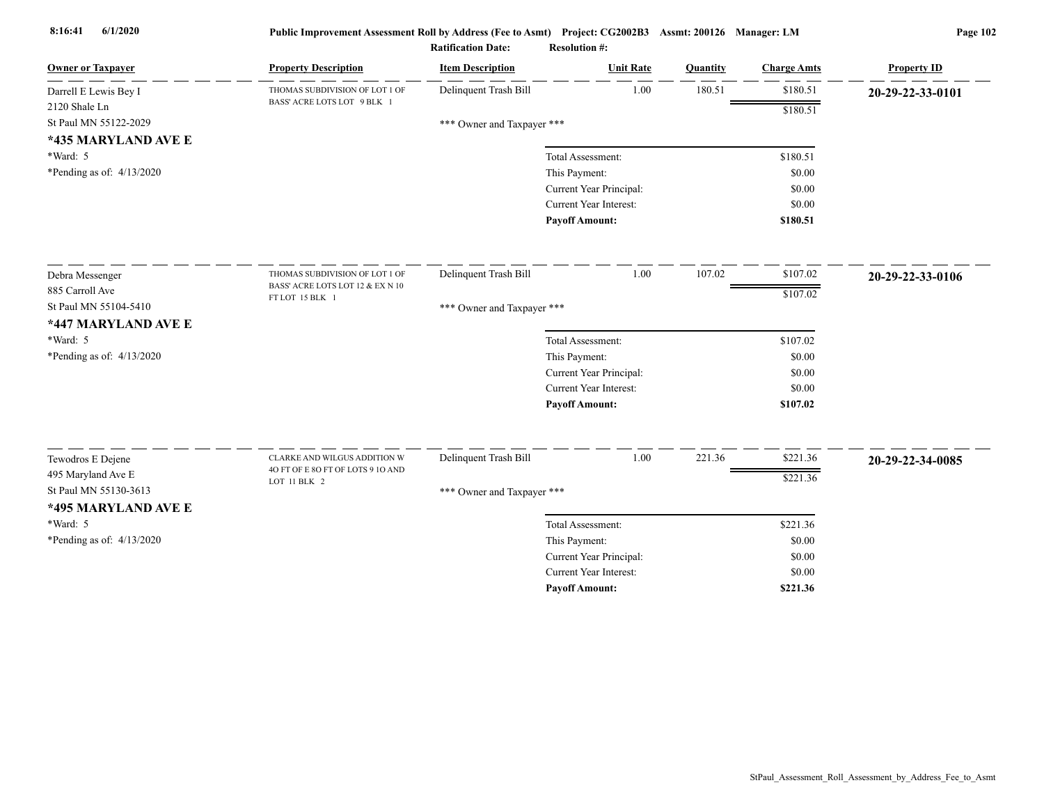| <b>Owner or Taxpayer</b>    | <b>Property Description</b>                         | <b>Item Description</b>    | <b>Unit Rate</b>              | Quantity | <b>Charge Amts</b> | <b>Property ID</b> |
|-----------------------------|-----------------------------------------------------|----------------------------|-------------------------------|----------|--------------------|--------------------|
| Darrell E Lewis Bey I       | THOMAS SUBDIVISION OF LOT 1 OF                      | Delinquent Trash Bill      | 1.00                          | 180.51   | \$180.51           | 20-29-22-33-0101   |
| 2120 Shale Ln               | BASS' ACRE LOTS LOT 9 BLK 1                         |                            |                               |          | \$180.51           |                    |
| St Paul MN 55122-2029       |                                                     | *** Owner and Taxpayer *** |                               |          |                    |                    |
| *435 MARYLAND AVE E         |                                                     |                            |                               |          |                    |                    |
| *Ward: 5                    |                                                     |                            | Total Assessment:             |          | \$180.51           |                    |
| *Pending as of: $4/13/2020$ |                                                     |                            | This Payment:                 |          | \$0.00             |                    |
|                             |                                                     |                            | Current Year Principal:       |          | \$0.00             |                    |
|                             |                                                     |                            | Current Year Interest:        |          | \$0.00             |                    |
|                             |                                                     |                            | <b>Payoff Amount:</b>         |          | \$180.51           |                    |
| Debra Messenger             | THOMAS SUBDIVISION OF LOT 1 OF                      | Delinquent Trash Bill      | 1.00                          | 107.02   | \$107.02           | 20-29-22-33-0106   |
| 885 Carroll Ave             | BASS' ACRE LOTS LOT 12 & EX N 10<br>FT LOT 15 BLK 1 |                            |                               |          | \$107.02           |                    |
| St Paul MN 55104-5410       |                                                     | *** Owner and Taxpayer *** |                               |          |                    |                    |
| *447 MARYLAND AVE E         |                                                     |                            |                               |          |                    |                    |
| *Ward: 5                    |                                                     |                            | Total Assessment:             |          | \$107.02           |                    |
| *Pending as of: 4/13/2020   |                                                     |                            | This Payment:                 |          | \$0.00             |                    |
|                             |                                                     |                            | Current Year Principal:       |          | \$0.00             |                    |
|                             |                                                     |                            | <b>Current Year Interest:</b> |          | \$0.00             |                    |
|                             |                                                     |                            | <b>Payoff Amount:</b>         |          | \$107.02           |                    |
| Tewodros E Dejene           | CLARKE AND WILGUS ADDITION W                        | Delinquent Trash Bill      | 1.00                          | 221.36   | \$221.36           | 20-29-22-34-0085   |
| 495 Maryland Ave E          | 40 FT OF E 80 FT OF LOTS 9 10 AND                   |                            |                               |          | \$221.36           |                    |
| St Paul MN 55130-3613       | LOT 11 BLK 2                                        | *** Owner and Taxpayer *** |                               |          |                    |                    |
| *495 MARYLAND AVE E         |                                                     |                            |                               |          |                    |                    |
| *Ward: 5                    |                                                     |                            | Total Assessment:             |          | \$221.36           |                    |
| *Pending as of: 4/13/2020   |                                                     |                            | This Payment:                 |          | \$0.00             |                    |
|                             |                                                     |                            | Current Year Principal:       |          | \$0.00             |                    |
|                             |                                                     |                            | <b>Current Year Interest:</b> |          | \$0.00             |                    |
|                             |                                                     |                            | <b>Pavoff Amount:</b>         |          | \$221.36           |                    |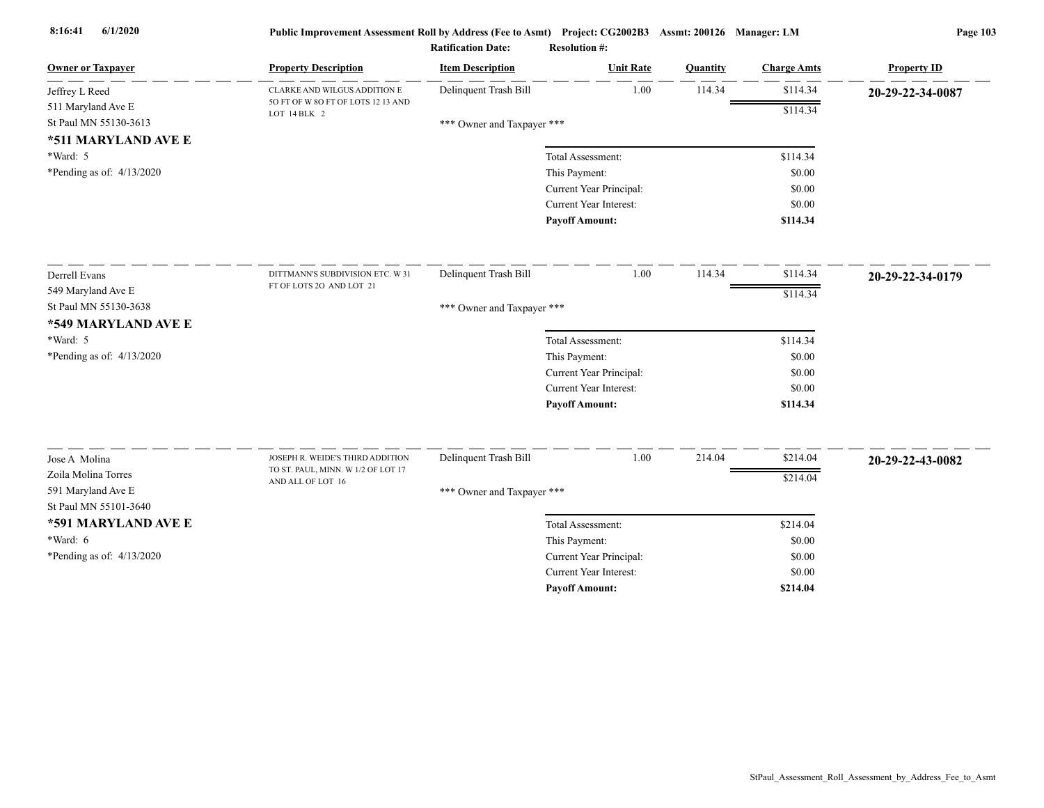| <b>Owner or Taxpayer</b>    | <b>Property Description</b>                        | <b>Item Description</b>    | <b>Unit Rate</b>              | <b>Quantity</b> | <b>Charge Amts</b> | <b>Property ID</b> |
|-----------------------------|----------------------------------------------------|----------------------------|-------------------------------|-----------------|--------------------|--------------------|
| Jeffrey L Reed              | CLARKE AND WILGUS ADDITION E                       | Delinquent Trash Bill      | 1.00                          | 114.34          | \$114.34           | 20-29-22-34-0087   |
| 511 Maryland Ave E          | 5O FT OF W 8O FT OF LOTS 12 13 AND<br>LOT 14 BLK 2 |                            |                               |                 | \$114.34           |                    |
| St Paul MN 55130-3613       |                                                    | *** Owner and Taxpayer *** |                               |                 |                    |                    |
| *511 MARYLAND AVE E         |                                                    |                            |                               |                 |                    |                    |
| *Ward: 5                    |                                                    |                            | Total Assessment:             |                 | \$114.34           |                    |
| *Pending as of: $4/13/2020$ |                                                    |                            | This Payment:                 |                 | \$0.00             |                    |
|                             |                                                    |                            | Current Year Principal:       |                 | \$0.00             |                    |
|                             |                                                    |                            | Current Year Interest:        |                 | \$0.00             |                    |
|                             |                                                    |                            | <b>Payoff Amount:</b>         |                 | \$114.34           |                    |
| Derrell Evans               | DITTMANN'S SUBDIVISION ETC. W 31                   | Delinquent Trash Bill      | 1.00                          | 114.34          | \$114.34           | 20-29-22-34-0179   |
| 549 Maryland Ave E          | FT OF LOTS 2O AND LOT 21                           |                            |                               |                 | \$114.34           |                    |
| St Paul MN 55130-3638       |                                                    | *** Owner and Taxpayer *** |                               |                 |                    |                    |
| *549 MARYLAND AVE E         |                                                    |                            |                               |                 |                    |                    |
| *Ward: 5                    |                                                    |                            | Total Assessment:             |                 | \$114.34           |                    |
| *Pending as of: 4/13/2020   |                                                    |                            | This Payment:                 |                 | \$0.00             |                    |
|                             |                                                    |                            | Current Year Principal:       |                 | \$0.00             |                    |
|                             |                                                    |                            | Current Year Interest:        |                 | \$0.00             |                    |
|                             |                                                    |                            | <b>Payoff Amount:</b>         |                 | \$114.34           |                    |
| Jose A Molina               | JOSEPH R. WEIDE'S THIRD ADDITION                   | Delinquent Trash Bill      | 1.00                          | 214.04          | \$214.04           | 20-29-22-43-0082   |
| Zoila Molina Torres         | TO ST. PAUL, MINN. W 1/2 OF LOT 17                 |                            |                               |                 | \$214.04           |                    |
| 591 Maryland Ave E          | AND ALL OF LOT 16                                  | *** Owner and Taxpayer *** |                               |                 |                    |                    |
| St Paul MN 55101-3640       |                                                    |                            |                               |                 |                    |                    |
| *591 MARYLAND AVE E         |                                                    |                            | Total Assessment:             |                 | \$214.04           |                    |
| *Ward: 6                    |                                                    |                            | This Payment:                 |                 | \$0.00             |                    |
| *Pending as of: $4/13/2020$ |                                                    |                            | Current Year Principal:       |                 | \$0.00             |                    |
|                             |                                                    |                            | <b>Current Year Interest:</b> |                 | \$0.00             |                    |
|                             |                                                    |                            | <b>Pavoff Amount:</b>         |                 | \$214.04           |                    |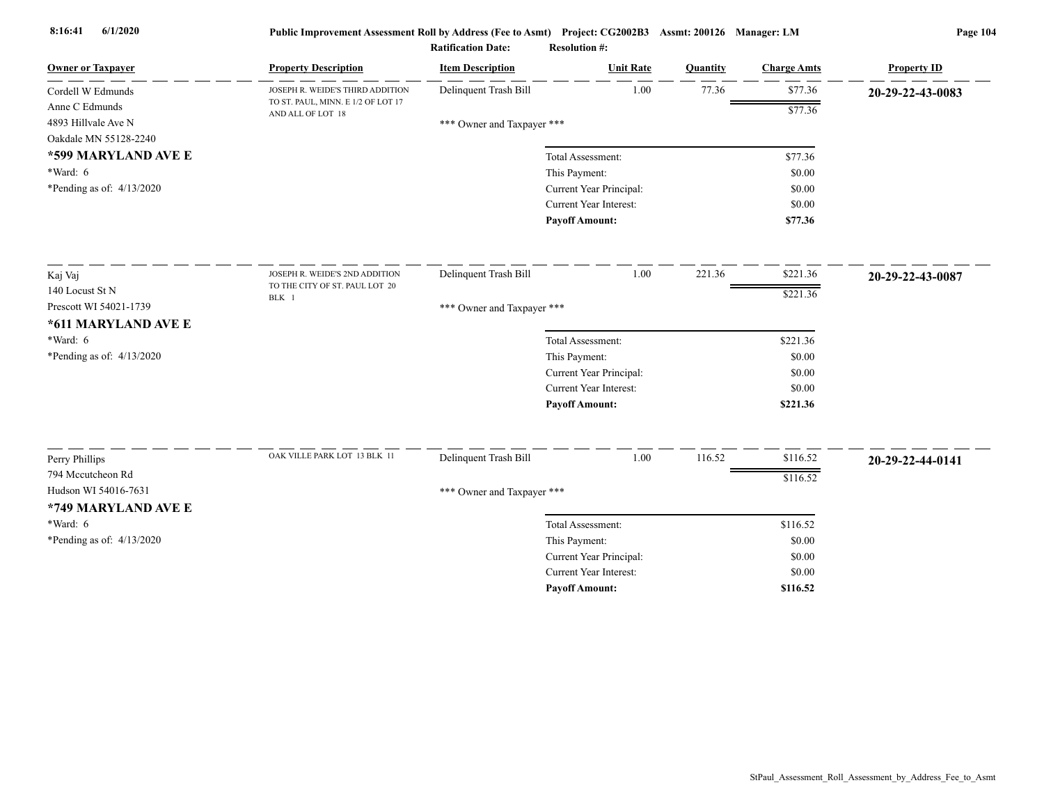| <b>Owner or Taxpayer</b>    | <b>Property Description</b>                             | <b>Item Description</b>    | <b>Unit Rate</b>                                         | <b>Ouantity</b> | <b>Charge Amts</b> | <b>Property ID</b> |
|-----------------------------|---------------------------------------------------------|----------------------------|----------------------------------------------------------|-----------------|--------------------|--------------------|
| Cordell W Edmunds           | JOSEPH R. WEIDE'S THIRD ADDITION                        | Delinquent Trash Bill      | 1.00                                                     | 77.36           | \$77.36            | 20-29-22-43-0083   |
| Anne C Edmunds              | TO ST. PAUL, MINN. E 1/2 OF LOT 17<br>AND ALL OF LOT 18 |                            |                                                          |                 | \$77.36            |                    |
| 4893 Hillvale Ave N         |                                                         | *** Owner and Taxpayer *** |                                                          |                 |                    |                    |
| Oakdale MN 55128-2240       |                                                         |                            |                                                          |                 |                    |                    |
| *599 MARYLAND AVE E         |                                                         |                            | Total Assessment:                                        |                 | \$77.36            |                    |
| $*Ward: 6$                  |                                                         |                            | This Payment:                                            |                 | \$0.00             |                    |
| *Pending as of: $4/13/2020$ |                                                         |                            | Current Year Principal:                                  |                 | \$0.00             |                    |
|                             |                                                         |                            | Current Year Interest:                                   |                 | \$0.00             |                    |
|                             |                                                         |                            | <b>Payoff Amount:</b>                                    |                 | \$77.36            |                    |
| Kaj Vaj                     | JOSEPH R. WEIDE'S 2ND ADDITION                          | Delinquent Trash Bill      | 1.00                                                     | 221.36          | \$221.36           | 20-29-22-43-0087   |
| 140 Locust St N             | TO THE CITY OF ST. PAUL LOT 20                          |                            |                                                          |                 | \$221.36           |                    |
| Prescott WI 54021-1739      | BLK 1                                                   | *** Owner and Taxpayer *** |                                                          |                 |                    |                    |
| *611 MARYLAND AVE E         |                                                         |                            |                                                          |                 |                    |                    |
| $*Ward: 6$                  |                                                         |                            | Total Assessment:                                        |                 | \$221.36           |                    |
| *Pending as of: $4/13/2020$ |                                                         |                            | This Payment:                                            |                 | \$0.00             |                    |
|                             |                                                         |                            | Current Year Principal:                                  |                 | \$0.00             |                    |
|                             |                                                         |                            | <b>Current Year Interest:</b>                            |                 | \$0.00             |                    |
|                             |                                                         |                            | <b>Payoff Amount:</b>                                    |                 | \$221.36           |                    |
|                             | OAK VILLE PARK LOT 13 BLK 11                            |                            |                                                          |                 |                    |                    |
| Perry Phillips              |                                                         | Delinquent Trash Bill      | 1.00                                                     | 116.52          | \$116.52           | 20-29-22-44-0141   |
| 794 Mccutcheon Rd           |                                                         |                            |                                                          |                 | \$116.52           |                    |
| Hudson WI 54016-7631        |                                                         | *** Owner and Taxpayer *** |                                                          |                 |                    |                    |
| *749 MARYLAND AVE E         |                                                         |                            |                                                          |                 |                    |                    |
| *Ward: 6                    |                                                         |                            | Total Assessment:                                        |                 | \$116.52           |                    |
| *Pending as of: $4/13/2020$ |                                                         |                            | This Payment:                                            |                 | \$0.00             |                    |
|                             |                                                         |                            | Current Year Principal:<br><b>Current Year Interest:</b> |                 | \$0.00             |                    |
|                             |                                                         |                            |                                                          |                 | \$0.00             |                    |
|                             |                                                         |                            | <b>Payoff Amount:</b>                                    |                 | \$116.52           |                    |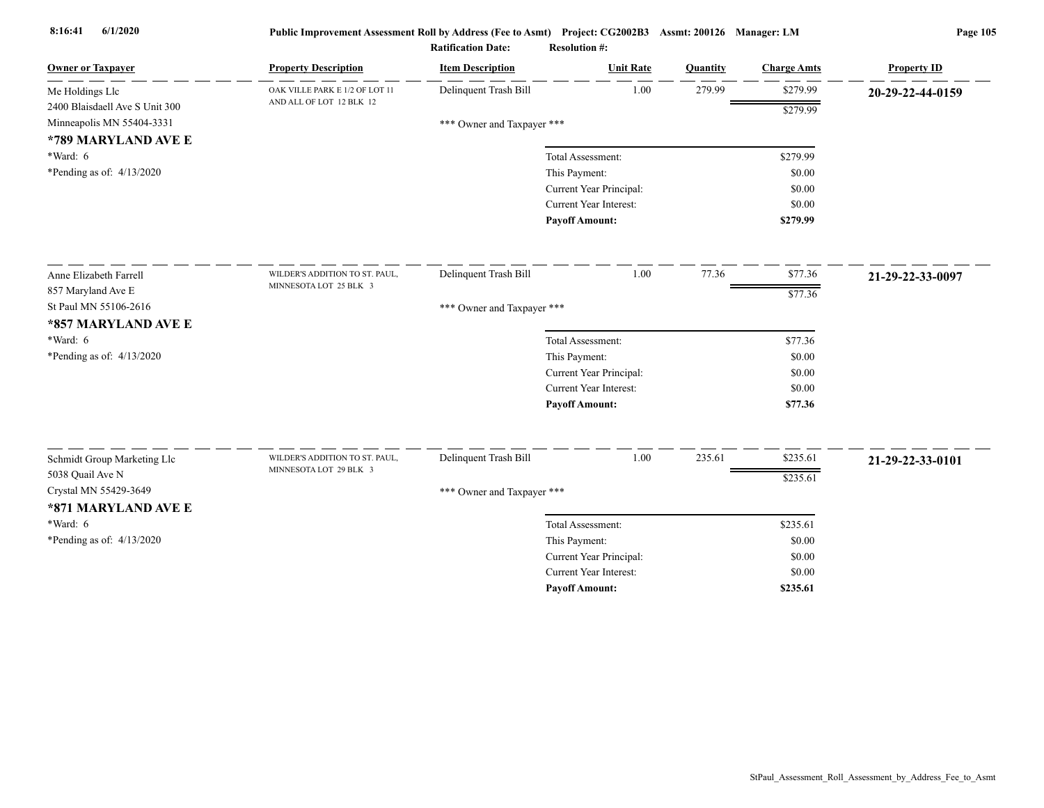| <b>Owner or Taxpayer</b>          | <b>Property Description</b>    | <b>Item Description</b>    | <b>Unit Rate</b>              | Quantity | <b>Charge Amts</b> | <b>Property ID</b> |
|-----------------------------------|--------------------------------|----------------------------|-------------------------------|----------|--------------------|--------------------|
| Me Holdings Llc                   | OAK VILLE PARK E 1/2 OF LOT 11 | Delinquent Trash Bill      | 1.00                          | 279.99   | \$279.99           | 20-29-22-44-0159   |
| 2400 Blaisdaell Ave S Unit 300    | AND ALL OF LOT 12 BLK 12       |                            |                               |          | \$279.99           |                    |
| Minneapolis MN 55404-3331         |                                | *** Owner and Taxpayer *** |                               |          |                    |                    |
| *789 MARYLAND AVE E<br>$*Ward: 6$ |                                |                            | Total Assessment:             |          | \$279.99           |                    |
| *Pending as of: $4/13/2020$       |                                |                            | This Payment:                 |          | \$0.00             |                    |
|                                   |                                |                            | Current Year Principal:       |          | \$0.00             |                    |
|                                   |                                |                            | Current Year Interest:        |          | \$0.00             |                    |
|                                   |                                |                            | <b>Payoff Amount:</b>         |          | \$279.99           |                    |
| Anne Elizabeth Farrell            | WILDER'S ADDITION TO ST. PAUL, | Delinquent Trash Bill      | 1.00                          | 77.36    | \$77.36            | 21-29-22-33-0097   |
| 857 Maryland Ave E                | MINNESOTA LOT 25 BLK 3         |                            |                               |          | \$77.36            |                    |
| St Paul MN 55106-2616             |                                | *** Owner and Taxpayer *** |                               |          |                    |                    |
| *857 MARYLAND AVE E               |                                |                            |                               |          |                    |                    |
| *Ward: 6                          |                                |                            | Total Assessment:             |          | \$77.36            |                    |
| *Pending as of: $4/13/2020$       |                                |                            | This Payment:                 |          | \$0.00             |                    |
|                                   |                                |                            | Current Year Principal:       |          | \$0.00             |                    |
|                                   |                                |                            | <b>Current Year Interest:</b> |          | \$0.00             |                    |
|                                   |                                |                            | <b>Payoff Amount:</b>         |          | \$77.36            |                    |
| Schmidt Group Marketing Llc       | WILDER'S ADDITION TO ST. PAUL, | Delinquent Trash Bill      | 1.00                          | 235.61   | \$235.61           | 21-29-22-33-0101   |
| 5038 Quail Ave N                  | MINNESOTA LOT 29 BLK 3         |                            |                               |          | \$235.61           |                    |
| Crystal MN 55429-3649             |                                | *** Owner and Taxpayer *** |                               |          |                    |                    |
| *871 MARYLAND AVE E               |                                |                            |                               |          |                    |                    |
| $*Ward: 6$                        |                                |                            | Total Assessment:             |          | \$235.61           |                    |
| *Pending as of: $4/13/2020$       |                                |                            | This Payment:                 |          | \$0.00             |                    |
|                                   |                                |                            | Current Year Principal:       |          | \$0.00             |                    |
|                                   |                                |                            | <b>Current Year Interest:</b> |          | \$0.00             |                    |
|                                   |                                |                            | <b>Pavoff Amount:</b>         |          | \$235.61           |                    |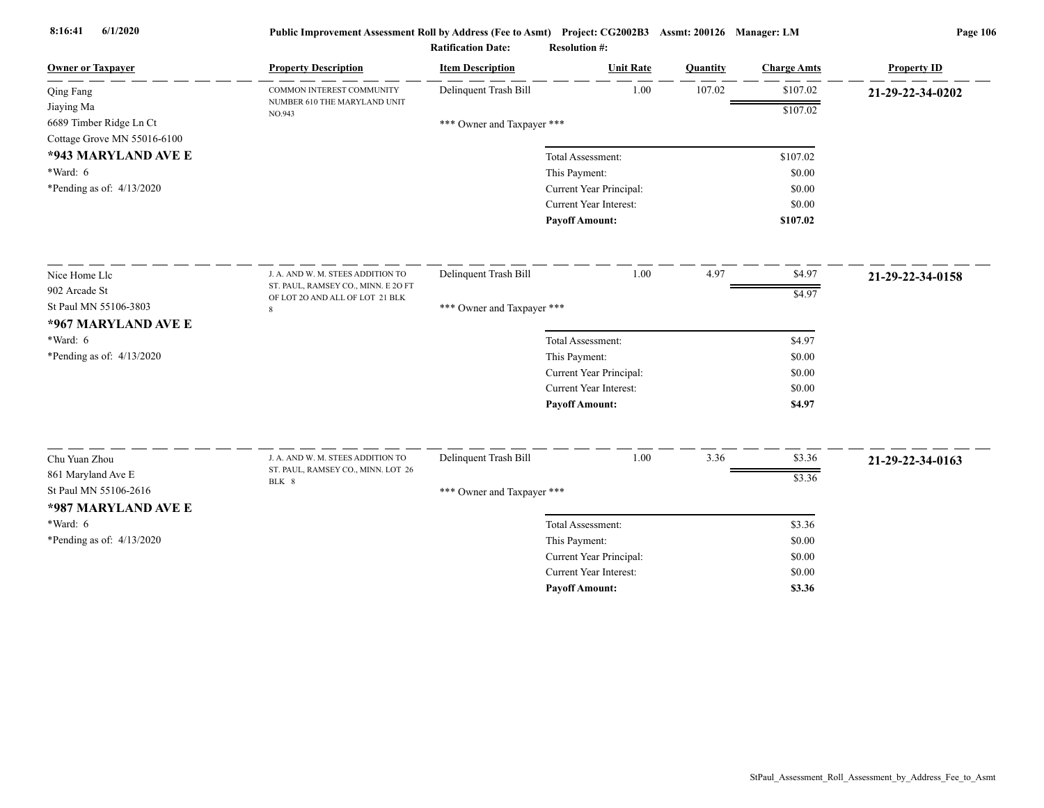| <b>Owner or Taxpayer</b>                                             | <b>Property Description</b>            | <b>Item Description</b>    | <b>Unit Rate</b>              | Quantity | <b>Charge Amts</b> | <b>Property ID</b> |
|----------------------------------------------------------------------|----------------------------------------|----------------------------|-------------------------------|----------|--------------------|--------------------|
| Qing Fang                                                            | COMMON INTEREST COMMUNITY              | Delinquent Trash Bill      | 1.00                          | 107.02   | \$107.02           | 21-29-22-34-0202   |
| Jiaying Ma<br>6689 Timber Ridge Ln Ct<br>Cottage Grove MN 55016-6100 | NUMBER 610 THE MARYLAND UNIT<br>NO.943 | *** Owner and Taxpayer *** |                               |          | \$107.02           |                    |
| *943 MARYLAND AVE E                                                  |                                        |                            | Total Assessment:             |          | \$107.02           |                    |
| *Ward: 6                                                             |                                        |                            | This Payment:                 |          | \$0.00             |                    |
| *Pending as of: $4/13/2020$                                          |                                        |                            | Current Year Principal:       |          | \$0.00             |                    |
|                                                                      |                                        |                            | Current Year Interest:        |          | \$0.00             |                    |
|                                                                      |                                        |                            | <b>Payoff Amount:</b>         |          | \$107.02           |                    |
| Nice Home Llc                                                        | J. A. AND W. M. STEES ADDITION TO      | Delinquent Trash Bill      | 1.00                          | 4.97     | \$4.97             | 21-29-22-34-0158   |
| 902 Arcade St                                                        | ST. PAUL, RAMSEY CO., MINN. E 2O FT    |                            |                               |          | \$4.97             |                    |
| St Paul MN 55106-3803                                                | OF LOT 20 AND ALL OF LOT 21 BLK        | *** Owner and Taxpayer *** |                               |          |                    |                    |
| *967 MARYLAND AVE E                                                  |                                        |                            |                               |          |                    |                    |
| *Ward: 6                                                             |                                        |                            | Total Assessment:             |          | \$4.97             |                    |
| *Pending as of: 4/13/2020                                            |                                        |                            | This Payment:                 |          | \$0.00             |                    |
|                                                                      |                                        |                            | Current Year Principal:       |          | \$0.00             |                    |
|                                                                      |                                        |                            | <b>Current Year Interest:</b> |          | \$0.00             |                    |
|                                                                      |                                        |                            | <b>Payoff Amount:</b>         |          | \$4.97             |                    |
| Chu Yuan Zhou                                                        | J. A. AND W. M. STEES ADDITION TO      | Delinquent Trash Bill      | 1.00                          | 3.36     | \$3.36             |                    |
| 861 Maryland Ave E                                                   | ST. PAUL, RAMSEY CO., MINN. LOT 26     |                            |                               |          |                    | 21-29-22-34-0163   |
| St Paul MN 55106-2616                                                | BLK 8                                  |                            |                               |          | \$3.36             |                    |
| *987 MARYLAND AVE E                                                  |                                        | *** Owner and Taxpayer *** |                               |          |                    |                    |
| $*Ward: 6$                                                           |                                        |                            | Total Assessment:             |          | \$3.36             |                    |
| *Pending as of: $4/13/2020$                                          |                                        |                            | This Payment:                 |          | \$0.00             |                    |
|                                                                      |                                        |                            | Current Year Principal:       |          | \$0.00             |                    |
|                                                                      |                                        |                            | <b>Current Year Interest:</b> |          | \$0.00             |                    |
|                                                                      |                                        |                            | <b>Pavoff Amount:</b>         |          | \$3.36             |                    |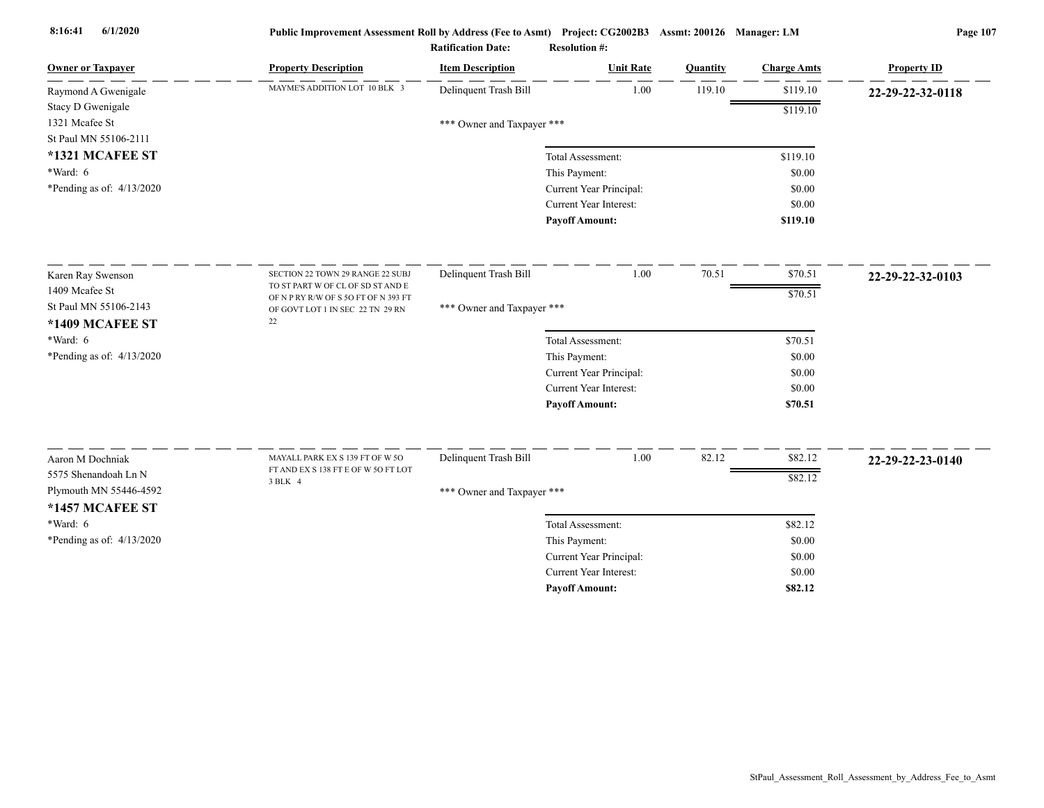| <b>Owner or Taxpayer</b>    | <b>Property Description</b>                                            | <b>Item Description</b>    | <b>Unit Rate</b>              | Quantity | <b>Charge Amts</b> | <b>Property ID</b> |
|-----------------------------|------------------------------------------------------------------------|----------------------------|-------------------------------|----------|--------------------|--------------------|
| Raymond A Gwenigale         | MAYME'S ADDITION LOT 10 BLK 3                                          | Delinquent Trash Bill      | 1.00                          | 119.10   | \$119.10           | 22-29-22-32-0118   |
| Stacy D Gwenigale           |                                                                        |                            |                               |          | \$119.10           |                    |
| 1321 Mcafee St              |                                                                        | *** Owner and Taxpayer *** |                               |          |                    |                    |
| St Paul MN 55106-2111       |                                                                        |                            |                               |          |                    |                    |
| *1321 MCAFEE ST             |                                                                        |                            | Total Assessment:             |          | \$119.10           |                    |
| *Ward: 6                    |                                                                        |                            | This Payment:                 |          | \$0.00             |                    |
| *Pending as of: $4/13/2020$ |                                                                        |                            | Current Year Principal:       |          | \$0.00             |                    |
|                             |                                                                        |                            | <b>Current Year Interest:</b> |          | \$0.00             |                    |
|                             |                                                                        |                            | <b>Payoff Amount:</b>         |          | \$119.10           |                    |
| Karen Ray Swenson           | SECTION 22 TOWN 29 RANGE 22 SUBJ                                       | Delinquent Trash Bill      | 1.00                          | 70.51    | \$70.51            | 22-29-22-32-0103   |
| 1409 Mcafee St              | TO ST PART W OF CL OF SD ST AND E                                      |                            |                               |          | \$70.51            |                    |
| St Paul MN 55106-2143       | OF N P RY R/W OF S 5O FT OF N 393 FT                                   | *** Owner and Taxpayer *** |                               |          |                    |                    |
| *1409 MCAFEE ST             | OF GOVT LOT 1 IN SEC 22 TN 29 RN<br>$22\,$                             |                            |                               |          |                    |                    |
| *Ward: 6                    |                                                                        |                            | Total Assessment:             |          | \$70.51            |                    |
| *Pending as of: $4/13/2020$ |                                                                        |                            | This Payment:                 |          | \$0.00             |                    |
|                             |                                                                        |                            | Current Year Principal:       |          | \$0.00             |                    |
|                             |                                                                        |                            | <b>Current Year Interest:</b> |          | \$0.00             |                    |
|                             |                                                                        |                            | <b>Payoff Amount:</b>         |          | \$70.51            |                    |
|                             |                                                                        | Delinquent Trash Bill      | 1.00                          | 82.12    |                    |                    |
| Aaron M Dochniak            | MAYALL PARK EX S 139 FT OF W 5O<br>FT AND EX S 138 FT E OF W 50 FT LOT |                            |                               |          | \$82.12            | 22-29-22-23-0140   |
| 5575 Shenandoah Ln N        | 3 BLK 4                                                                |                            |                               |          | \$82.12            |                    |
| Plymouth MN 55446-4592      |                                                                        | *** Owner and Taxpayer *** |                               |          |                    |                    |
| *1457 MCAFEE ST             |                                                                        |                            |                               |          |                    |                    |
| $*Ward: 6$                  |                                                                        |                            | Total Assessment:             |          | \$82.12            |                    |
| *Pending as of: 4/13/2020   |                                                                        |                            | This Payment:                 |          | \$0.00             |                    |
|                             |                                                                        |                            | Current Year Principal:       |          | \$0.00             |                    |
|                             |                                                                        |                            | Current Year Interest:        |          | \$0.00             |                    |
|                             |                                                                        |                            | <b>Payoff Amount:</b>         |          | \$82.12            |                    |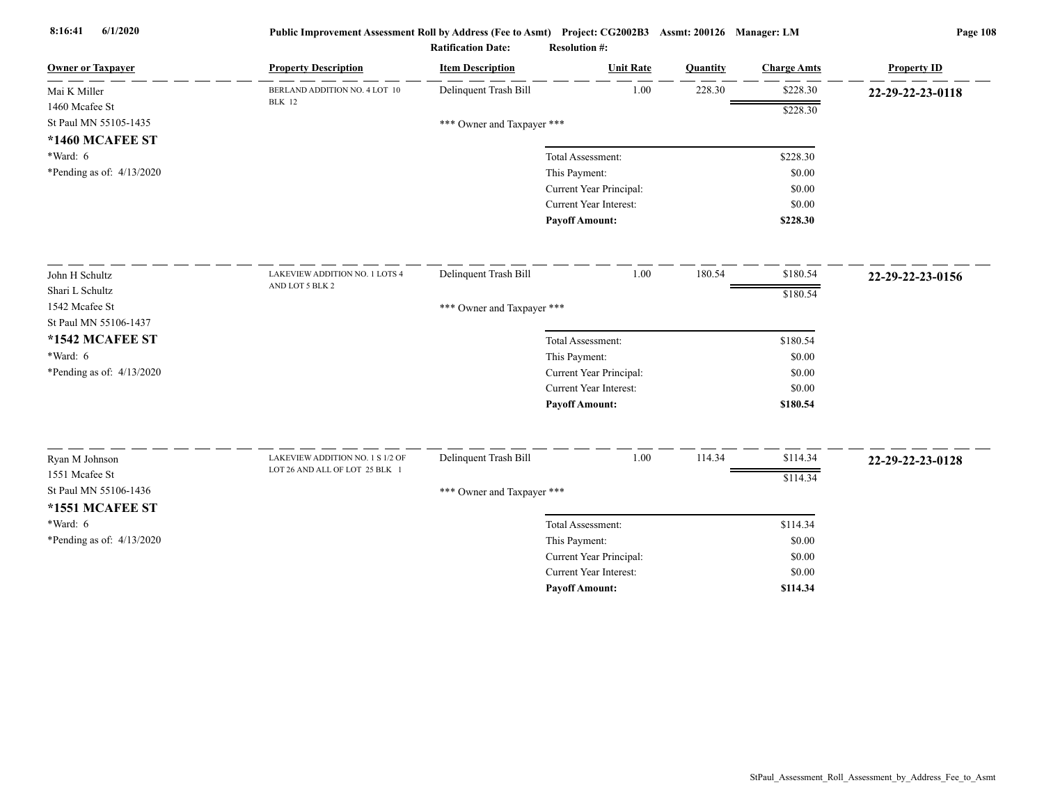| <b>Owner or Taxpayer</b>    | <b>Property Description</b>                    | <b>Item Description</b>    | <b>Unit Rate</b>              | Quantity | <b>Charge Amts</b> | <b>Property ID</b> |
|-----------------------------|------------------------------------------------|----------------------------|-------------------------------|----------|--------------------|--------------------|
| Mai K Miller                | BERLAND ADDITION NO. 4 LOT 10<br><b>BLK</b> 12 | Delinquent Trash Bill      | 1.00                          | 228.30   | \$228.30           | 22-29-22-23-0118   |
| 1460 Mcafee St              |                                                |                            |                               |          | \$228.30           |                    |
| St Paul MN 55105-1435       |                                                | *** Owner and Taxpayer *** |                               |          |                    |                    |
| <b>*1460 MCAFEE ST</b>      |                                                |                            |                               |          |                    |                    |
| *Ward: 6                    |                                                |                            | Total Assessment:             |          | \$228.30           |                    |
| *Pending as of: $4/13/2020$ |                                                |                            | This Payment:                 |          | \$0.00             |                    |
|                             |                                                |                            | Current Year Principal:       |          | \$0.00             |                    |
|                             |                                                |                            | Current Year Interest:        |          | \$0.00             |                    |
|                             |                                                |                            | <b>Payoff Amount:</b>         |          | \$228.30           |                    |
| John H Schultz              | LAKEVIEW ADDITION NO. 1 LOTS 4                 | Delinquent Trash Bill      | 1.00                          | 180.54   | \$180.54           | 22-29-22-23-0156   |
| Shari L Schultz             | AND LOT 5 BLK 2                                |                            |                               |          | \$180.54           |                    |
| 1542 Mcafee St              |                                                | *** Owner and Taxpayer *** |                               |          |                    |                    |
| St Paul MN 55106-1437       |                                                |                            |                               |          |                    |                    |
| *1542 MCAFEE ST             |                                                |                            | Total Assessment:             |          | \$180.54           |                    |
| $*Ward: 6$                  |                                                |                            | This Payment:                 |          | \$0.00             |                    |
| *Pending as of: 4/13/2020   |                                                |                            | Current Year Principal:       |          | \$0.00             |                    |
|                             |                                                |                            | Current Year Interest:        |          | \$0.00             |                    |
|                             |                                                |                            | <b>Payoff Amount:</b>         |          | \$180.54           |                    |
| Ryan M Johnson              | LAKEVIEW ADDITION NO. 1 S 1/2 OF               | Delinquent Trash Bill      | 1.00                          | 114.34   | \$114.34           | 22-29-22-23-0128   |
| 1551 Mcafee St              | LOT 26 AND ALL OF LOT 25 BLK 1                 |                            |                               |          | \$114.34           |                    |
| St Paul MN 55106-1436       |                                                | *** Owner and Taxpayer *** |                               |          |                    |                    |
| *1551 MCAFEE ST             |                                                |                            |                               |          |                    |                    |
| *Ward: 6                    |                                                |                            | Total Assessment:             |          | \$114.34           |                    |
| *Pending as of: 4/13/2020   |                                                |                            | This Payment:                 |          | \$0.00             |                    |
|                             |                                                |                            | Current Year Principal:       |          | \$0.00             |                    |
|                             |                                                |                            | <b>Current Year Interest:</b> |          | \$0.00             |                    |
|                             |                                                |                            | <b>Payoff Amount:</b>         |          | \$114.34           |                    |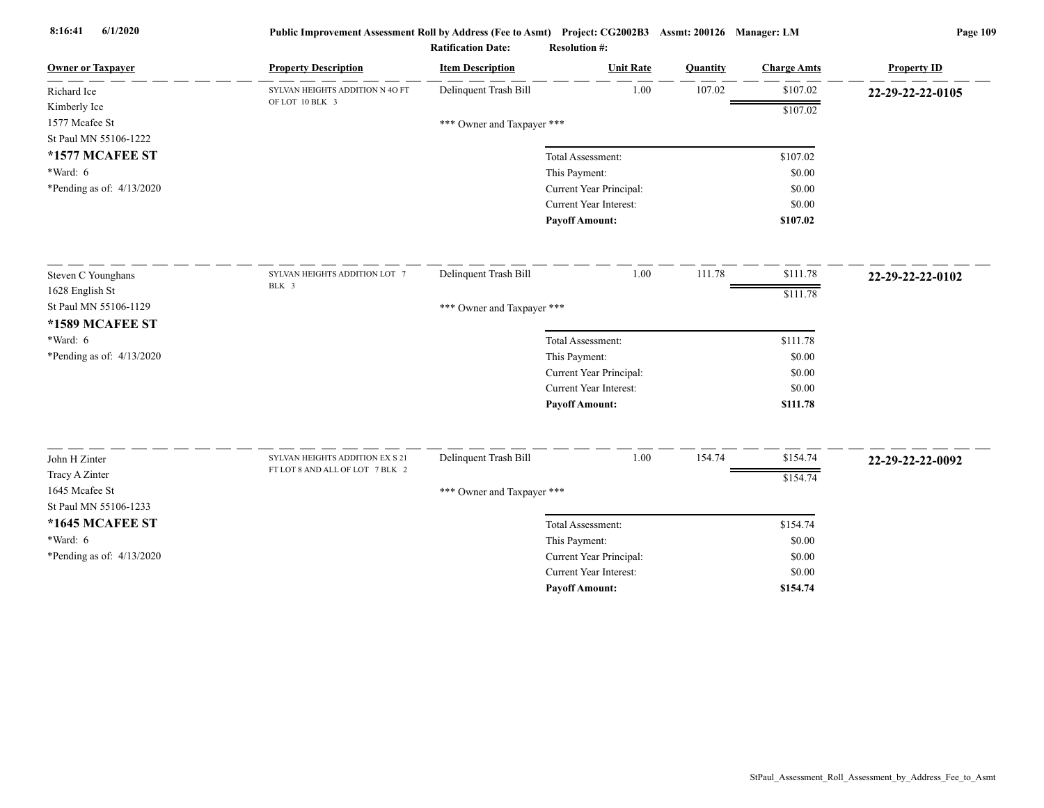| <b>Owner or Taxpayer</b>         | <b>Property Description</b>     | <b>Item Description</b>    | <b>Unit Rate</b>                                         | Quantity | <b>Charge Amts</b> | <b>Property ID</b> |
|----------------------------------|---------------------------------|----------------------------|----------------------------------------------------------|----------|--------------------|--------------------|
| Richard Ice                      | SYLVAN HEIGHTS ADDITION N 4O FT | Delinquent Trash Bill      | 1.00                                                     | 107.02   | \$107.02           | 22-29-22-22-0105   |
| Kimberly Ice                     | OF LOT 10 BLK 3                 |                            |                                                          |          | \$107.02           |                    |
| 1577 Mcafee St                   |                                 | *** Owner and Taxpayer *** |                                                          |          |                    |                    |
| St Paul MN 55106-1222            |                                 |                            |                                                          |          |                    |                    |
| *1577 MCAFEE ST                  |                                 |                            | Total Assessment:                                        |          | \$107.02           |                    |
| *Ward: 6                         |                                 |                            | This Payment:                                            |          | \$0.00             |                    |
| *Pending as of: $4/13/2020$      |                                 |                            | Current Year Principal:                                  |          | \$0.00             |                    |
|                                  |                                 |                            | <b>Current Year Interest:</b>                            |          | \$0.00             |                    |
|                                  |                                 |                            | <b>Payoff Amount:</b>                                    |          | \$107.02           |                    |
| Steven C Younghans               | SYLVAN HEIGHTS ADDITION LOT 7   | Delinquent Trash Bill      | 1.00                                                     | 111.78   | \$111.78           | 22-29-22-22-0102   |
| 1628 English St                  | BLK 3                           |                            |                                                          |          | \$111.78           |                    |
| St Paul MN 55106-1129            |                                 | *** Owner and Taxpayer *** |                                                          |          |                    |                    |
| *1589 MCAFEE ST                  |                                 |                            |                                                          |          |                    |                    |
| $*Ward: 6$                       |                                 |                            | Total Assessment:                                        |          | \$111.78           |                    |
| *Pending as of: $4/13/2020$      |                                 |                            | This Payment:                                            |          | \$0.00             |                    |
|                                  |                                 |                            | Current Year Principal:                                  |          | \$0.00             |                    |
|                                  |                                 |                            | Current Year Interest:                                   |          | \$0.00             |                    |
|                                  |                                 |                            | <b>Payoff Amount:</b>                                    |          | \$111.78           |                    |
|                                  | SYLVAN HEIGHTS ADDITION EX S 21 | Delinquent Trash Bill      | 1.00                                                     | 154.74   | \$154.74           |                    |
| John H Zinter                    | FT LOT 8 AND ALL OF LOT 7 BLK 2 |                            |                                                          |          |                    | 22-29-22-22-0092   |
| Tracy A Zinter<br>1645 Mcafee St |                                 |                            |                                                          |          | \$154.74           |                    |
| St Paul MN 55106-1233            |                                 | *** Owner and Taxpayer *** |                                                          |          |                    |                    |
| *1645 MCAFEE ST                  |                                 |                            |                                                          |          |                    |                    |
| $*Ward: 6$                       |                                 |                            | Total Assessment:                                        |          | \$154.74           |                    |
| *Pending as of: 4/13/2020        |                                 |                            | This Payment:                                            |          | \$0.00<br>\$0.00   |                    |
|                                  |                                 |                            | Current Year Principal:<br><b>Current Year Interest:</b> |          | \$0.00             |                    |
|                                  |                                 |                            | <b>Pavoff Amount:</b>                                    |          | \$154.74           |                    |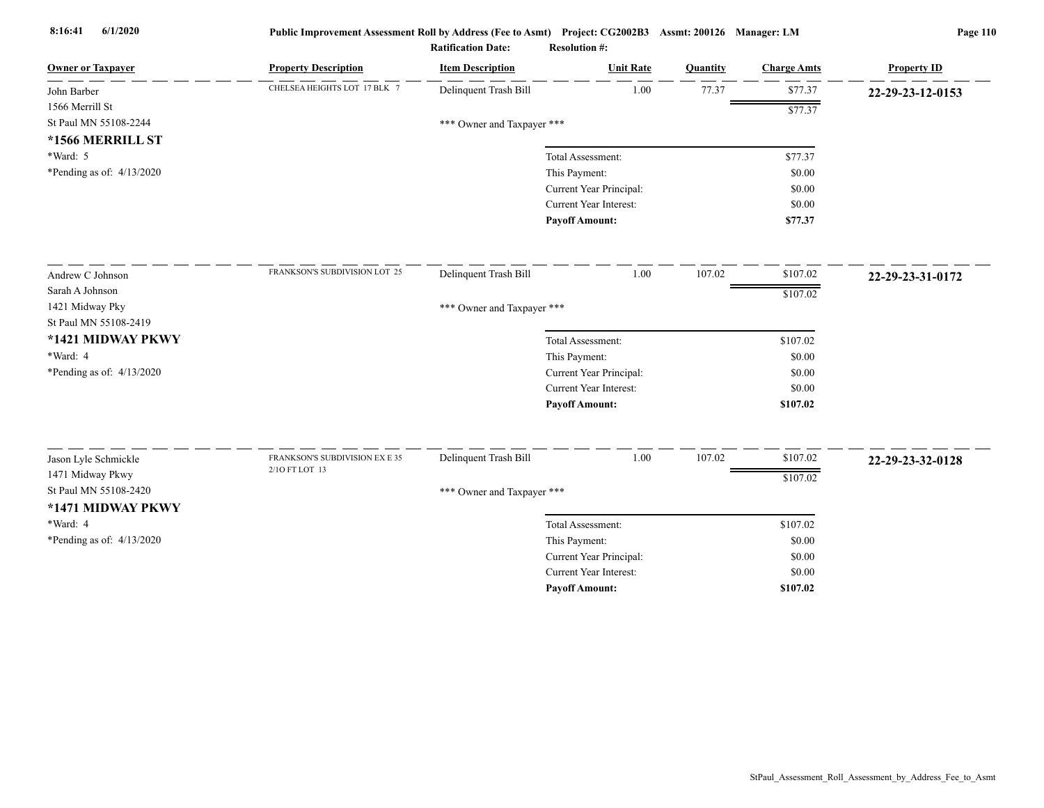| CHELSEA HEIGHTS LOT 17 BLK 7<br>Delinquent Trash Bill<br>1.00<br>77.37<br>\$77.37<br>22-29-23-12-0153<br>\$77.37<br>*** Owner and Taxpayer ***<br>*1566 MERRILL ST<br>\$77.37<br>Total Assessment:<br>This Payment:<br>\$0.00<br>Current Year Principal:<br>\$0.00<br>Current Year Interest:<br>\$0.00<br><b>Payoff Amount:</b><br>\$77.37<br>FRANKSON'S SUBDIVISION LOT 25<br>Delinquent Trash Bill<br>1.00<br>107.02<br>\$107.02<br>22-29-23-31-0172<br>\$107.02<br>1421 Midway Pky<br>*** Owner and Taxpayer ***<br>\$107.02<br>Total Assessment:<br>This Payment:<br>\$0.00<br>Current Year Principal:<br>\$0.00<br>Current Year Interest:<br>\$0.00<br><b>Payoff Amount:</b><br>\$107.02<br>Delinquent Trash Bill<br>1.00<br>107.02<br>\$107.02<br>Jason Lyle Schmickle<br>FRANKSON'S SUBDIVISION EX E 35<br>22-29-23-32-0128<br>2/10 FT LOT 13<br>1471 Midway Pkwy<br>\$107.02<br>St Paul MN 55108-2420<br>*** Owner and Taxpayer ***<br>*1471 MIDWAY PKWY<br>*Ward: 4<br>\$107.02<br>Total Assessment:<br>*Pending as of: $4/13/2020$<br>This Payment:<br>\$0.00<br>Current Year Principal:<br>\$0.00<br>Current Year Interest:<br>\$0.00<br>\$107.02<br><b>Payoff Amount:</b> | <b>Owner or Taxpayer</b>    | <b>Property Description</b> | <b>Item Description</b> | <b>Unit Rate</b> | Quantity | <b>Charge Amts</b> | <b>Property ID</b> |  |  |  |
|---------------------------------------------------------------------------------------------------------------------------------------------------------------------------------------------------------------------------------------------------------------------------------------------------------------------------------------------------------------------------------------------------------------------------------------------------------------------------------------------------------------------------------------------------------------------------------------------------------------------------------------------------------------------------------------------------------------------------------------------------------------------------------------------------------------------------------------------------------------------------------------------------------------------------------------------------------------------------------------------------------------------------------------------------------------------------------------------------------------------------------------------------------------------------------------|-----------------------------|-----------------------------|-------------------------|------------------|----------|--------------------|--------------------|--|--|--|
|                                                                                                                                                                                                                                                                                                                                                                                                                                                                                                                                                                                                                                                                                                                                                                                                                                                                                                                                                                                                                                                                                                                                                                                       | John Barber                 |                             |                         |                  |          |                    |                    |  |  |  |
|                                                                                                                                                                                                                                                                                                                                                                                                                                                                                                                                                                                                                                                                                                                                                                                                                                                                                                                                                                                                                                                                                                                                                                                       | 1566 Merrill St             |                             |                         |                  |          |                    |                    |  |  |  |
|                                                                                                                                                                                                                                                                                                                                                                                                                                                                                                                                                                                                                                                                                                                                                                                                                                                                                                                                                                                                                                                                                                                                                                                       | St Paul MN 55108-2244       |                             |                         |                  |          |                    |                    |  |  |  |
|                                                                                                                                                                                                                                                                                                                                                                                                                                                                                                                                                                                                                                                                                                                                                                                                                                                                                                                                                                                                                                                                                                                                                                                       |                             |                             |                         |                  |          |                    |                    |  |  |  |
|                                                                                                                                                                                                                                                                                                                                                                                                                                                                                                                                                                                                                                                                                                                                                                                                                                                                                                                                                                                                                                                                                                                                                                                       | *Ward: 5                    |                             |                         |                  |          |                    |                    |  |  |  |
|                                                                                                                                                                                                                                                                                                                                                                                                                                                                                                                                                                                                                                                                                                                                                                                                                                                                                                                                                                                                                                                                                                                                                                                       | *Pending as of: 4/13/2020   |                             |                         |                  |          |                    |                    |  |  |  |
|                                                                                                                                                                                                                                                                                                                                                                                                                                                                                                                                                                                                                                                                                                                                                                                                                                                                                                                                                                                                                                                                                                                                                                                       |                             |                             |                         |                  |          |                    |                    |  |  |  |
|                                                                                                                                                                                                                                                                                                                                                                                                                                                                                                                                                                                                                                                                                                                                                                                                                                                                                                                                                                                                                                                                                                                                                                                       |                             |                             |                         |                  |          |                    |                    |  |  |  |
|                                                                                                                                                                                                                                                                                                                                                                                                                                                                                                                                                                                                                                                                                                                                                                                                                                                                                                                                                                                                                                                                                                                                                                                       |                             |                             |                         |                  |          |                    |                    |  |  |  |
|                                                                                                                                                                                                                                                                                                                                                                                                                                                                                                                                                                                                                                                                                                                                                                                                                                                                                                                                                                                                                                                                                                                                                                                       | Andrew C Johnson            |                             |                         |                  |          |                    |                    |  |  |  |
|                                                                                                                                                                                                                                                                                                                                                                                                                                                                                                                                                                                                                                                                                                                                                                                                                                                                                                                                                                                                                                                                                                                                                                                       | Sarah A Johnson             |                             |                         |                  |          |                    |                    |  |  |  |
|                                                                                                                                                                                                                                                                                                                                                                                                                                                                                                                                                                                                                                                                                                                                                                                                                                                                                                                                                                                                                                                                                                                                                                                       |                             |                             |                         |                  |          |                    |                    |  |  |  |
|                                                                                                                                                                                                                                                                                                                                                                                                                                                                                                                                                                                                                                                                                                                                                                                                                                                                                                                                                                                                                                                                                                                                                                                       | St Paul MN 55108-2419       |                             |                         |                  |          |                    |                    |  |  |  |
|                                                                                                                                                                                                                                                                                                                                                                                                                                                                                                                                                                                                                                                                                                                                                                                                                                                                                                                                                                                                                                                                                                                                                                                       | *1421 MIDWAY PKWY           |                             |                         |                  |          |                    |                    |  |  |  |
|                                                                                                                                                                                                                                                                                                                                                                                                                                                                                                                                                                                                                                                                                                                                                                                                                                                                                                                                                                                                                                                                                                                                                                                       | *Ward: 4                    |                             |                         |                  |          |                    |                    |  |  |  |
|                                                                                                                                                                                                                                                                                                                                                                                                                                                                                                                                                                                                                                                                                                                                                                                                                                                                                                                                                                                                                                                                                                                                                                                       | *Pending as of: $4/13/2020$ |                             |                         |                  |          |                    |                    |  |  |  |
|                                                                                                                                                                                                                                                                                                                                                                                                                                                                                                                                                                                                                                                                                                                                                                                                                                                                                                                                                                                                                                                                                                                                                                                       |                             |                             |                         |                  |          |                    |                    |  |  |  |
|                                                                                                                                                                                                                                                                                                                                                                                                                                                                                                                                                                                                                                                                                                                                                                                                                                                                                                                                                                                                                                                                                                                                                                                       |                             |                             |                         |                  |          |                    |                    |  |  |  |
|                                                                                                                                                                                                                                                                                                                                                                                                                                                                                                                                                                                                                                                                                                                                                                                                                                                                                                                                                                                                                                                                                                                                                                                       |                             |                             |                         |                  |          |                    |                    |  |  |  |
|                                                                                                                                                                                                                                                                                                                                                                                                                                                                                                                                                                                                                                                                                                                                                                                                                                                                                                                                                                                                                                                                                                                                                                                       |                             |                             |                         |                  |          |                    |                    |  |  |  |
|                                                                                                                                                                                                                                                                                                                                                                                                                                                                                                                                                                                                                                                                                                                                                                                                                                                                                                                                                                                                                                                                                                                                                                                       |                             |                             |                         |                  |          |                    |                    |  |  |  |
|                                                                                                                                                                                                                                                                                                                                                                                                                                                                                                                                                                                                                                                                                                                                                                                                                                                                                                                                                                                                                                                                                                                                                                                       |                             |                             |                         |                  |          |                    |                    |  |  |  |
|                                                                                                                                                                                                                                                                                                                                                                                                                                                                                                                                                                                                                                                                                                                                                                                                                                                                                                                                                                                                                                                                                                                                                                                       |                             |                             |                         |                  |          |                    |                    |  |  |  |
|                                                                                                                                                                                                                                                                                                                                                                                                                                                                                                                                                                                                                                                                                                                                                                                                                                                                                                                                                                                                                                                                                                                                                                                       |                             |                             |                         |                  |          |                    |                    |  |  |  |
|                                                                                                                                                                                                                                                                                                                                                                                                                                                                                                                                                                                                                                                                                                                                                                                                                                                                                                                                                                                                                                                                                                                                                                                       |                             |                             |                         |                  |          |                    |                    |  |  |  |
|                                                                                                                                                                                                                                                                                                                                                                                                                                                                                                                                                                                                                                                                                                                                                                                                                                                                                                                                                                                                                                                                                                                                                                                       |                             |                             |                         |                  |          |                    |                    |  |  |  |
|                                                                                                                                                                                                                                                                                                                                                                                                                                                                                                                                                                                                                                                                                                                                                                                                                                                                                                                                                                                                                                                                                                                                                                                       |                             |                             |                         |                  |          |                    |                    |  |  |  |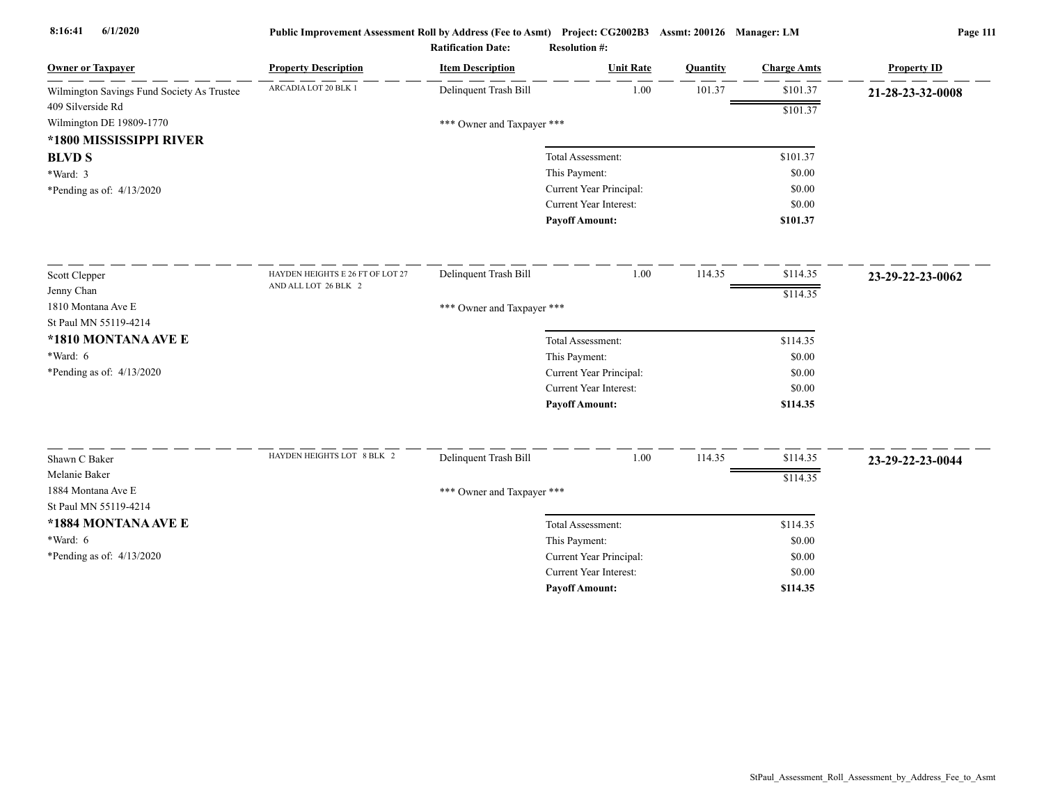| <b>Owner or Taxpayer</b>                   | <b>Property Description</b>      | <b>Item Description</b>    | <b>Unit Rate</b>                                  | Quantity | <b>Charge Amts</b> | <b>Property ID</b> |
|--------------------------------------------|----------------------------------|----------------------------|---------------------------------------------------|----------|--------------------|--------------------|
| Wilmington Savings Fund Society As Trustee | ARCADIA LOT 20 BLK 1             | Delinquent Trash Bill      | 1.00                                              | 101.37   | \$101.37           | 21-28-23-32-0008   |
| 409 Silverside Rd                          |                                  |                            |                                                   |          | \$101.37           |                    |
| Wilmington DE 19809-1770                   |                                  | *** Owner and Taxpayer *** |                                                   |          |                    |                    |
| *1800 MISSISSIPPI RIVER                    |                                  |                            |                                                   |          |                    |                    |
| <b>BLVD S</b>                              |                                  |                            | Total Assessment:                                 |          | \$101.37           |                    |
| *Ward: 3                                   |                                  |                            | This Payment:                                     |          | \$0.00             |                    |
| *Pending as of: $4/13/2020$                |                                  |                            | Current Year Principal:                           |          | \$0.00             |                    |
|                                            |                                  |                            | Current Year Interest:                            |          | \$0.00             |                    |
|                                            |                                  |                            | <b>Pavoff Amount:</b>                             |          | \$101.37           |                    |
| Scott Clepper                              | HAYDEN HEIGHTS E 26 FT OF LOT 27 | Delinquent Trash Bill      | 1.00                                              | 114.35   | \$114.35           | 23-29-22-23-0062   |
| Jenny Chan                                 | AND ALL LOT 26 BLK 2             |                            |                                                   |          | \$114.35           |                    |
| 1810 Montana Ave E                         |                                  | *** Owner and Taxpayer *** |                                                   |          |                    |                    |
| St Paul MN 55119-4214                      |                                  |                            |                                                   |          |                    |                    |
| *1810 MONTANA AVE E                        |                                  |                            | Total Assessment:                                 |          | \$114.35           |                    |
| *Ward: 6                                   |                                  |                            | This Payment:                                     |          | \$0.00             |                    |
| *Pending as of: 4/13/2020                  |                                  |                            | Current Year Principal:                           |          | \$0.00             |                    |
|                                            |                                  |                            | Current Year Interest:                            |          | \$0.00             |                    |
|                                            |                                  |                            | <b>Payoff Amount:</b>                             |          | \$114.35           |                    |
| Shawn C Baker                              | HAYDEN HEIGHTS LOT 8 BLK 2       | Delinquent Trash Bill      | 1.00                                              | 114.35   | \$114.35           |                    |
| Melanie Baker                              |                                  |                            |                                                   |          |                    | 23-29-22-23-0044   |
| 1884 Montana Ave E                         |                                  |                            |                                                   |          | \$114.35           |                    |
| St Paul MN 55119-4214                      |                                  | *** Owner and Taxpayer *** |                                                   |          |                    |                    |
| *1884 MONTANA AVE E                        |                                  |                            |                                                   |          |                    |                    |
| *Ward: 6                                   |                                  |                            | Total Assessment:                                 |          | \$114.35           |                    |
|                                            |                                  |                            | This Payment:                                     |          | \$0.00             |                    |
| *Pending as of: $4/13/2020$                |                                  |                            | Current Year Principal:<br>Current Year Interest: |          | \$0.00<br>\$0.00   |                    |
|                                            |                                  |                            | <b>Payoff Amount:</b>                             |          | \$114.35           |                    |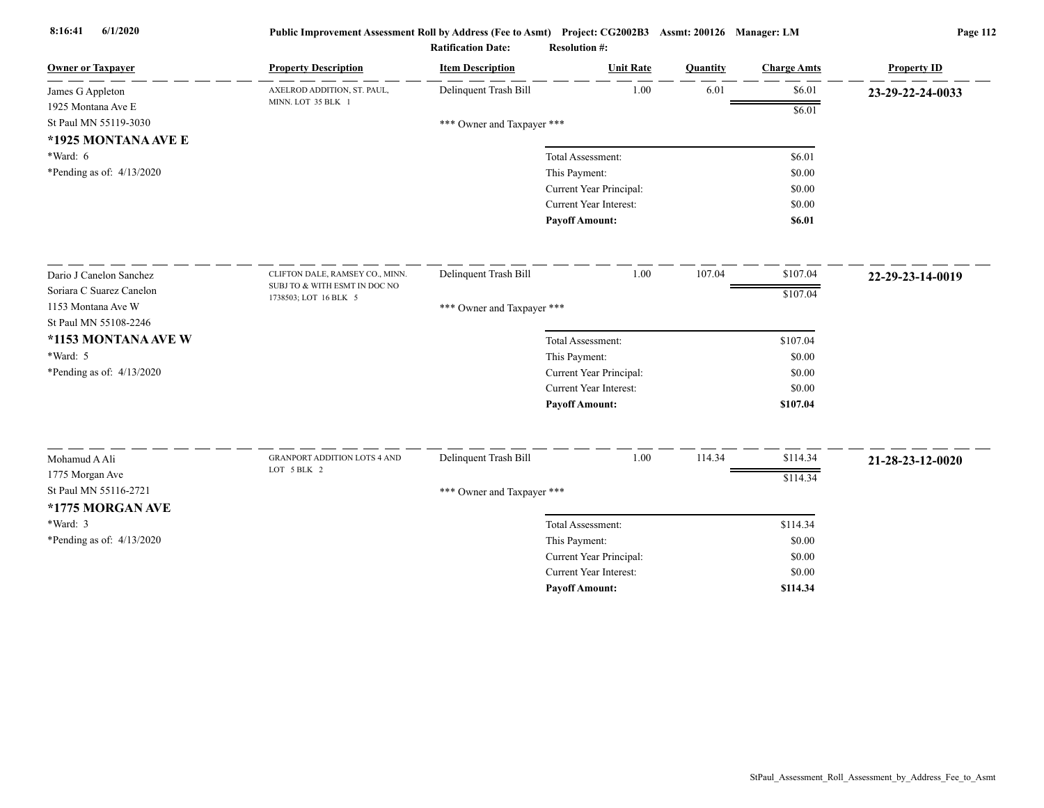| <b>Owner or Taxpayer</b>    | <b>Property Description</b>                        | <b>Item Description</b>    | <b>Unit Rate</b>              | Quantity | <b>Charge Amts</b> | <b>Property ID</b> |
|-----------------------------|----------------------------------------------------|----------------------------|-------------------------------|----------|--------------------|--------------------|
| James G Appleton            | AXELROD ADDITION, ST. PAUL,                        | Delinquent Trash Bill      | 1.00                          | 6.01     | \$6.01             | 23-29-22-24-0033   |
| 1925 Montana Ave E          | MINN. LOT 35 BLK 1                                 |                            |                               |          | \$6.01             |                    |
| St Paul MN 55119-3030       |                                                    | *** Owner and Taxpayer *** |                               |          |                    |                    |
| *1925 MONTANA AVE E         |                                                    |                            |                               |          |                    |                    |
| *Ward: 6                    |                                                    |                            | Total Assessment:             |          | \$6.01             |                    |
| *Pending as of: $4/13/2020$ |                                                    |                            | This Payment:                 |          | \$0.00             |                    |
|                             |                                                    |                            | Current Year Principal:       |          | \$0.00             |                    |
|                             |                                                    |                            | <b>Current Year Interest:</b> |          | \$0.00             |                    |
|                             |                                                    |                            | <b>Payoff Amount:</b>         |          | \$6.01             |                    |
| Dario J Canelon Sanchez     | CLIFTON DALE, RAMSEY CO., MINN.                    | Delinquent Trash Bill      | 1.00                          | 107.04   | \$107.04           | 22-29-23-14-0019   |
| Soriara C Suarez Canelon    | SUBJ TO & WITH ESMT IN DOC NO                      |                            |                               |          |                    |                    |
| 1153 Montana Ave W          | 1738503; LOT 16 BLK 5                              | *** Owner and Taxpayer *** |                               |          | \$107.04           |                    |
| St Paul MN 55108-2246       |                                                    |                            |                               |          |                    |                    |
| *1153 MONTANA AVE W         |                                                    |                            | Total Assessment:             |          | \$107.04           |                    |
| *Ward: 5                    |                                                    |                            | This Payment:                 |          | \$0.00             |                    |
| *Pending as of: $4/13/2020$ |                                                    |                            | Current Year Principal:       |          | \$0.00             |                    |
|                             |                                                    |                            | Current Year Interest:        |          | \$0.00             |                    |
|                             |                                                    |                            | <b>Payoff Amount:</b>         |          | \$107.04           |                    |
|                             |                                                    |                            |                               |          |                    |                    |
| Mohamud A Ali               | <b>GRANPORT ADDITION LOTS 4 AND</b><br>LOT 5 BLK 2 | Delinquent Trash Bill      | 1.00                          | 114.34   | \$114.34           | 21-28-23-12-0020   |
| 1775 Morgan Ave             |                                                    |                            |                               |          | \$114.34           |                    |
| St Paul MN 55116-2721       |                                                    | *** Owner and Taxpayer *** |                               |          |                    |                    |
| *1775 MORGAN AVE            |                                                    |                            |                               |          |                    |                    |
| *Ward: 3                    |                                                    |                            | Total Assessment:             |          | \$114.34           |                    |
| *Pending as of: 4/13/2020   |                                                    |                            | This Payment:                 |          | \$0.00             |                    |
|                             |                                                    |                            | Current Year Principal:       |          | \$0.00             |                    |
|                             |                                                    |                            | Current Year Interest:        |          | \$0.00             |                    |
|                             |                                                    |                            | <b>Payoff Amount:</b>         |          | \$114.34           |                    |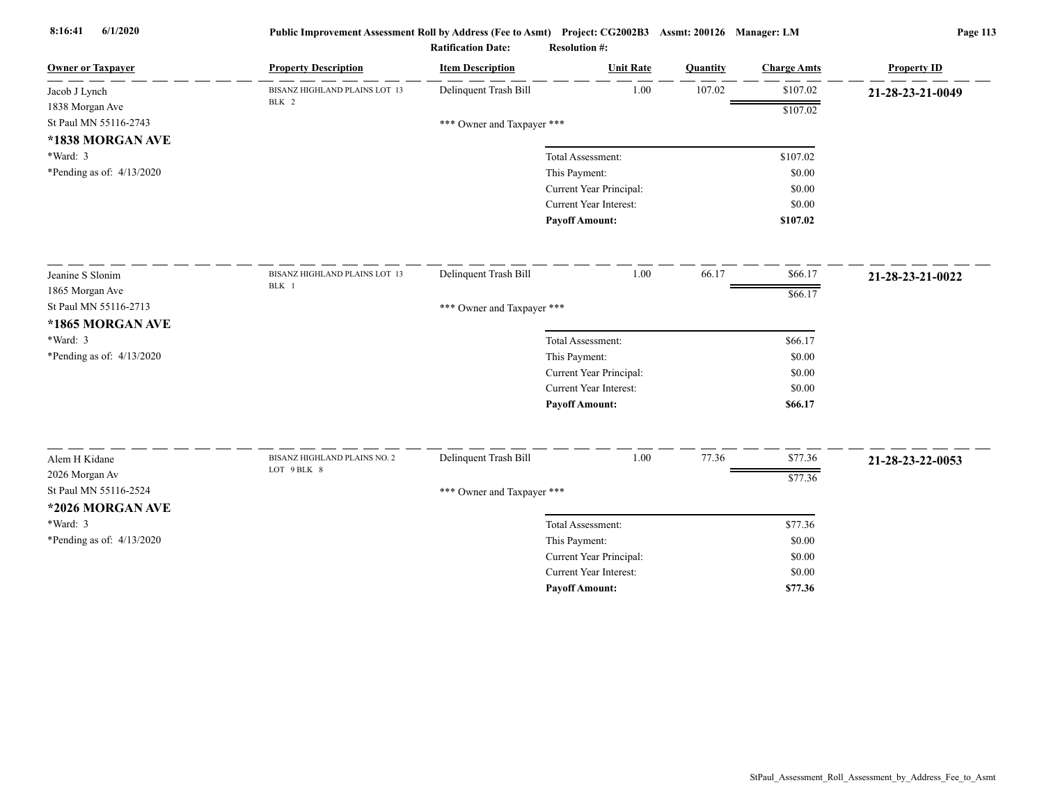| <b>Owner or Taxpayer</b>    | <b>Property Description</b>                 | <b>Item Description</b>    | <b>Unit Rate</b>                                         | <b>Quantity</b> | <b>Charge Amts</b> | <b>Property ID</b> |
|-----------------------------|---------------------------------------------|----------------------------|----------------------------------------------------------|-----------------|--------------------|--------------------|
| Jacob J Lynch               | BISANZ HIGHLAND PLAINS LOT 13               | Delinquent Trash Bill      | 1.00                                                     | 107.02          | \$107.02           | 21-28-23-21-0049   |
| 1838 Morgan Ave             | BLK 2                                       |                            |                                                          |                 | \$107.02           |                    |
| St Paul MN 55116-2743       |                                             | *** Owner and Taxpayer *** |                                                          |                 |                    |                    |
| *1838 MORGAN AVE            |                                             |                            |                                                          |                 |                    |                    |
| *Ward: 3                    |                                             |                            | Total Assessment:                                        |                 | \$107.02           |                    |
| *Pending as of: 4/13/2020   |                                             |                            | This Payment:                                            |                 | \$0.00             |                    |
|                             |                                             |                            | Current Year Principal:                                  |                 | \$0.00             |                    |
|                             |                                             |                            | Current Year Interest:                                   |                 | \$0.00             |                    |
|                             |                                             |                            | <b>Payoff Amount:</b>                                    |                 | \$107.02           |                    |
| Jeanine S Slonim            | BISANZ HIGHLAND PLAINS LOT 13               | Delinquent Trash Bill      | 1.00                                                     | 66.17           | \$66.17            | 21-28-23-21-0022   |
| 1865 Morgan Ave             | BLK 1                                       |                            |                                                          |                 | \$66.17            |                    |
| St Paul MN 55116-2713       |                                             | *** Owner and Taxpayer *** |                                                          |                 |                    |                    |
| *1865 MORGAN AVE            |                                             |                            |                                                          |                 |                    |                    |
| *Ward: 3                    |                                             |                            | Total Assessment:                                        |                 | \$66.17            |                    |
| *Pending as of: 4/13/2020   |                                             |                            | This Payment:                                            |                 | \$0.00             |                    |
|                             |                                             |                            | Current Year Principal:                                  |                 | \$0.00             |                    |
|                             |                                             |                            | Current Year Interest:                                   |                 | \$0.00             |                    |
|                             |                                             |                            | <b>Payoff Amount:</b>                                    |                 | \$66.17            |                    |
|                             |                                             |                            | 1.00                                                     |                 |                    |                    |
| Alem H Kidane               | BISANZ HIGHLAND PLAINS NO. 2<br>LOT 9 BLK 8 | Delinquent Trash Bill      |                                                          | 77.36           | \$77.36            | 21-28-23-22-0053   |
| 2026 Morgan Av              |                                             |                            |                                                          |                 | \$77.36            |                    |
| St Paul MN 55116-2524       |                                             | *** Owner and Taxpayer *** |                                                          |                 |                    |                    |
| *2026 MORGAN AVE            |                                             |                            |                                                          |                 |                    |                    |
| *Ward: 3                    |                                             |                            | Total Assessment:                                        |                 | \$77.36            |                    |
| *Pending as of: $4/13/2020$ |                                             |                            | This Payment:                                            |                 | \$0.00             |                    |
|                             |                                             |                            | Current Year Principal:<br><b>Current Year Interest:</b> |                 | \$0.00             |                    |
|                             |                                             |                            |                                                          |                 | \$0.00             |                    |
|                             |                                             |                            | <b>Payoff Amount:</b>                                    |                 | \$77.36            |                    |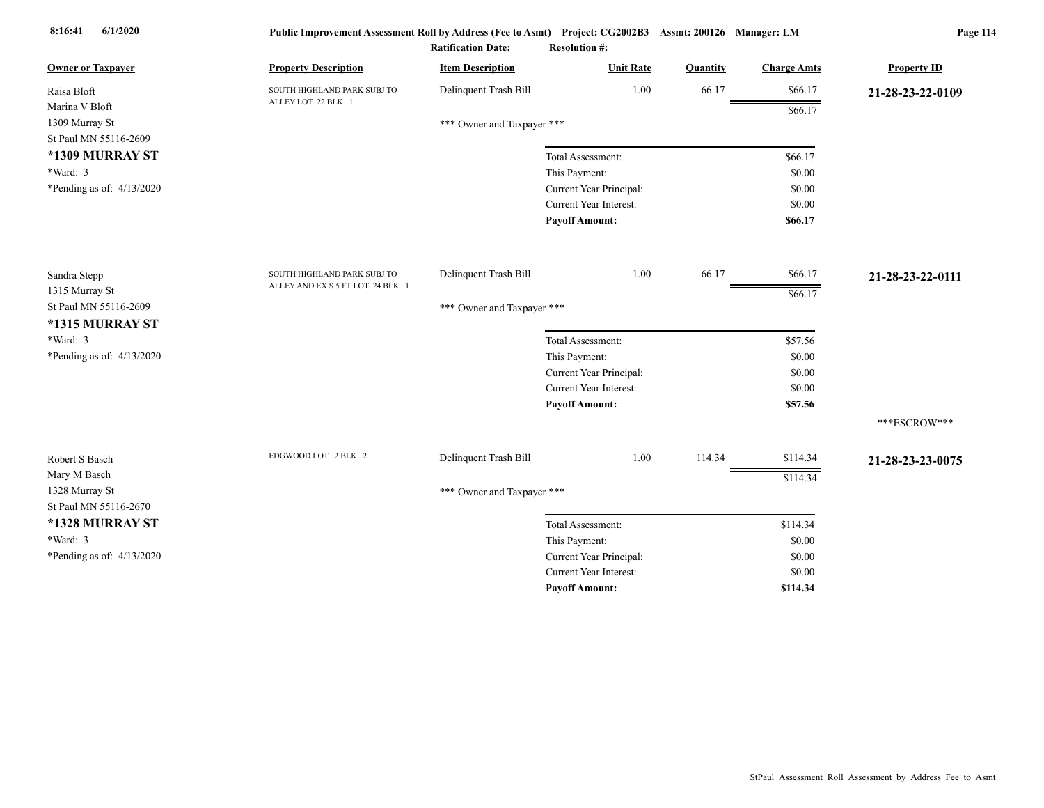| <b>Owner or Taxpayer</b>    | <b>Property Description</b>      | <b>Item Description</b>    | <b>Unit Rate</b>              | Quantity | <b>Charge Amts</b> | <b>Property ID</b> |
|-----------------------------|----------------------------------|----------------------------|-------------------------------|----------|--------------------|--------------------|
| Raisa Bloft                 | SOUTH HIGHLAND PARK SUBJ TO      | Delinquent Trash Bill      | 1.00                          | 66.17    | \$66.17            | 21-28-23-22-0109   |
| Marina V Bloft              | ALLEY LOT 22 BLK 1               |                            |                               |          | \$66.17            |                    |
| 1309 Murray St              |                                  | *** Owner and Taxpayer *** |                               |          |                    |                    |
| St Paul MN 55116-2609       |                                  |                            |                               |          |                    |                    |
| *1309 MURRAY ST             |                                  |                            | Total Assessment:             |          | \$66.17            |                    |
| *Ward: 3                    |                                  |                            | This Payment:                 |          | \$0.00             |                    |
| *Pending as of: $4/13/2020$ |                                  |                            | Current Year Principal:       |          | \$0.00             |                    |
|                             |                                  |                            | Current Year Interest:        |          | \$0.00             |                    |
|                             |                                  |                            | <b>Payoff Amount:</b>         |          | \$66.17            |                    |
| Sandra Stepp                | SOUTH HIGHLAND PARK SUBJ TO      | Delinquent Trash Bill      | 1.00                          | 66.17    | \$66.17            | 21-28-23-22-0111   |
| 1315 Murray St              | ALLEY AND EX S 5 FT LOT 24 BLK 1 |                            |                               |          | \$66.17            |                    |
| St Paul MN 55116-2609       |                                  | *** Owner and Taxpayer *** |                               |          |                    |                    |
| *1315 MURRAY ST             |                                  |                            |                               |          |                    |                    |
| *Ward: 3                    |                                  |                            | Total Assessment:             |          | \$57.56            |                    |
| *Pending as of: 4/13/2020   |                                  |                            | This Payment:                 |          | \$0.00             |                    |
|                             |                                  |                            | Current Year Principal:       |          | \$0.00             |                    |
|                             |                                  |                            | Current Year Interest:        |          | \$0.00             |                    |
|                             |                                  |                            | <b>Payoff Amount:</b>         |          | \$57.56            |                    |
|                             |                                  |                            |                               |          |                    | ***ESCROW***       |
| Robert S Basch              | EDGWOOD LOT 2 BLK 2              | Delinquent Trash Bill      | 1.00                          | 114.34   | \$114.34           | 21-28-23-23-0075   |
| Mary M Basch                |                                  |                            |                               |          | \$114.34           |                    |
| 1328 Murray St              |                                  | *** Owner and Taxpayer *** |                               |          |                    |                    |
| St Paul MN 55116-2670       |                                  |                            |                               |          |                    |                    |
| *1328 MURRAY ST             |                                  |                            | Total Assessment:             |          | \$114.34           |                    |
| *Ward: 3                    |                                  |                            | This Payment:                 |          | \$0.00             |                    |
| *Pending as of: $4/13/2020$ |                                  |                            | Current Year Principal:       |          | \$0.00             |                    |
|                             |                                  |                            | <b>Current Year Interest:</b> |          | \$0.00             |                    |
|                             |                                  |                            | <b>Payoff Amount:</b>         |          | \$114.34           |                    |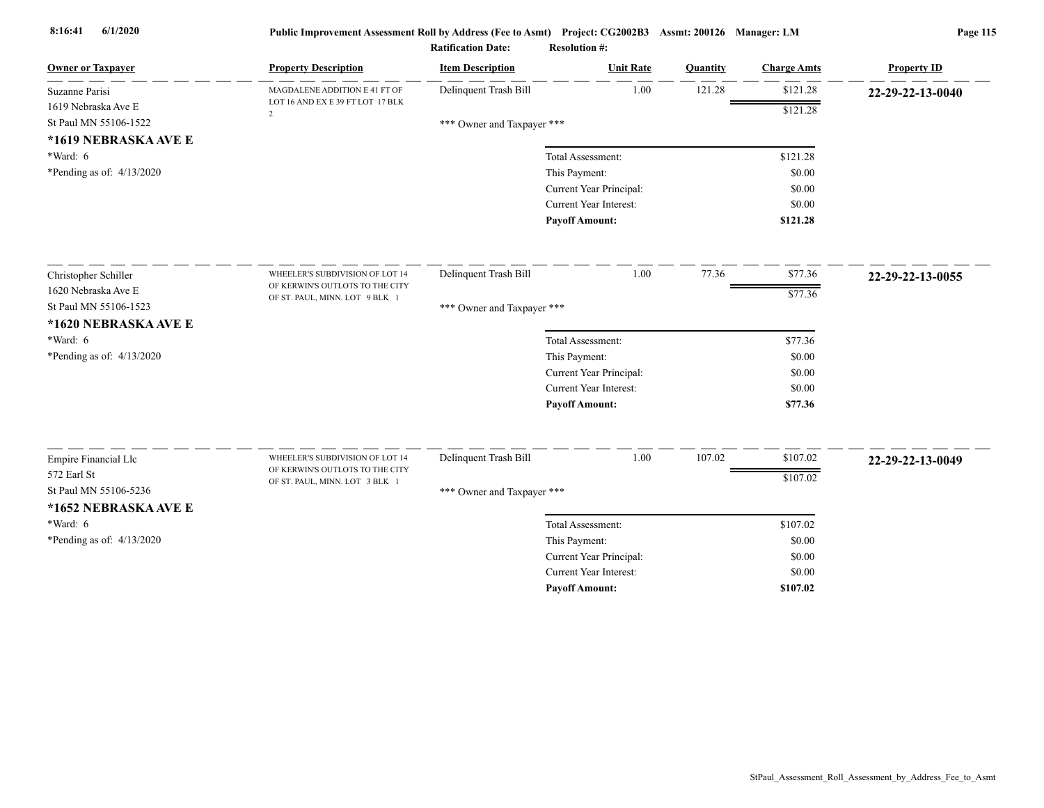| <b>Owner or Taxpayer</b>             | <b>Property Description</b>                                        | <b>Item Description</b>    | <b>Unit Rate</b>        | Quantity | <b>Charge Amts</b> | <b>Property ID</b> |
|--------------------------------------|--------------------------------------------------------------------|----------------------------|-------------------------|----------|--------------------|--------------------|
| Suzanne Parisi                       | MAGDALENE ADDITION E 41 FT OF                                      | Delinquent Trash Bill      | 1.00                    | 121.28   | \$121.28           | 22-29-22-13-0040   |
| 1619 Nebraska Ave E                  | LOT 16 AND EX E 39 FT LOT 17 BLK<br>$\overline{2}$                 |                            |                         |          | \$121.28           |                    |
| St Paul MN 55106-1522                |                                                                    | *** Owner and Taxpayer *** |                         |          |                    |                    |
| *1619 NEBRASKA AVE E                 |                                                                    |                            |                         |          |                    |                    |
| *Ward: 6                             |                                                                    |                            | Total Assessment:       |          | \$121.28           |                    |
| *Pending as of: $4/13/2020$          |                                                                    |                            | This Payment:           |          | \$0.00             |                    |
|                                      |                                                                    |                            | Current Year Principal: |          | \$0.00             |                    |
|                                      |                                                                    |                            | Current Year Interest:  |          | \$0.00             |                    |
|                                      |                                                                    |                            | <b>Payoff Amount:</b>   |          | \$121.28           |                    |
| Christopher Schiller                 | WHEELER'S SUBDIVISION OF LOT 14                                    | Delinquent Trash Bill      | 1.00                    | 77.36    | \$77.36            | 22-29-22-13-0055   |
| 1620 Nebraska Ave E                  | OF KERWIN'S OUTLOTS TO THE CITY                                    |                            |                         |          | \$77.36            |                    |
| St Paul MN 55106-1523                | OF ST. PAUL, MINN. LOT 9 BLK 1                                     | *** Owner and Taxpayer *** |                         |          |                    |                    |
| *1620 NEBRASKA AVE E                 |                                                                    |                            |                         |          |                    |                    |
| *Ward: 6                             |                                                                    |                            | Total Assessment:       |          | \$77.36            |                    |
| *Pending as of: 4/13/2020            |                                                                    |                            | This Payment:           |          | \$0.00             |                    |
|                                      |                                                                    |                            | Current Year Principal: |          | \$0.00             |                    |
|                                      |                                                                    |                            | Current Year Interest:  |          | \$0.00             |                    |
|                                      |                                                                    |                            | <b>Payoff Amount:</b>   |          | \$77.36            |                    |
|                                      |                                                                    |                            |                         |          |                    |                    |
| Empire Financial Llc                 | WHEELER'S SUBDIVISION OF LOT 14<br>OF KERWIN'S OUTLOTS TO THE CITY | Delinquent Trash Bill      | 1.00                    | 107.02   | \$107.02           | 22-29-22-13-0049   |
| 572 Earl St<br>St Paul MN 55106-5236 | OF ST. PAUL, MINN. LOT 3 BLK 1                                     |                            |                         |          | \$107.02           |                    |
|                                      |                                                                    | *** Owner and Taxpayer *** |                         |          |                    |                    |
| *1652 NEBRASKA AVE E                 |                                                                    |                            |                         |          |                    |                    |
| *Ward: 6                             |                                                                    |                            | Total Assessment:       |          | \$107.02           |                    |
| *Pending as of: $4/13/2020$          |                                                                    |                            | This Payment:           |          | \$0.00             |                    |
|                                      |                                                                    |                            | Current Year Principal: |          | \$0.00             |                    |
|                                      |                                                                    |                            | Current Year Interest:  |          | \$0.00             |                    |
|                                      |                                                                    |                            | <b>Pavoff Amount:</b>   |          | \$107.02           |                    |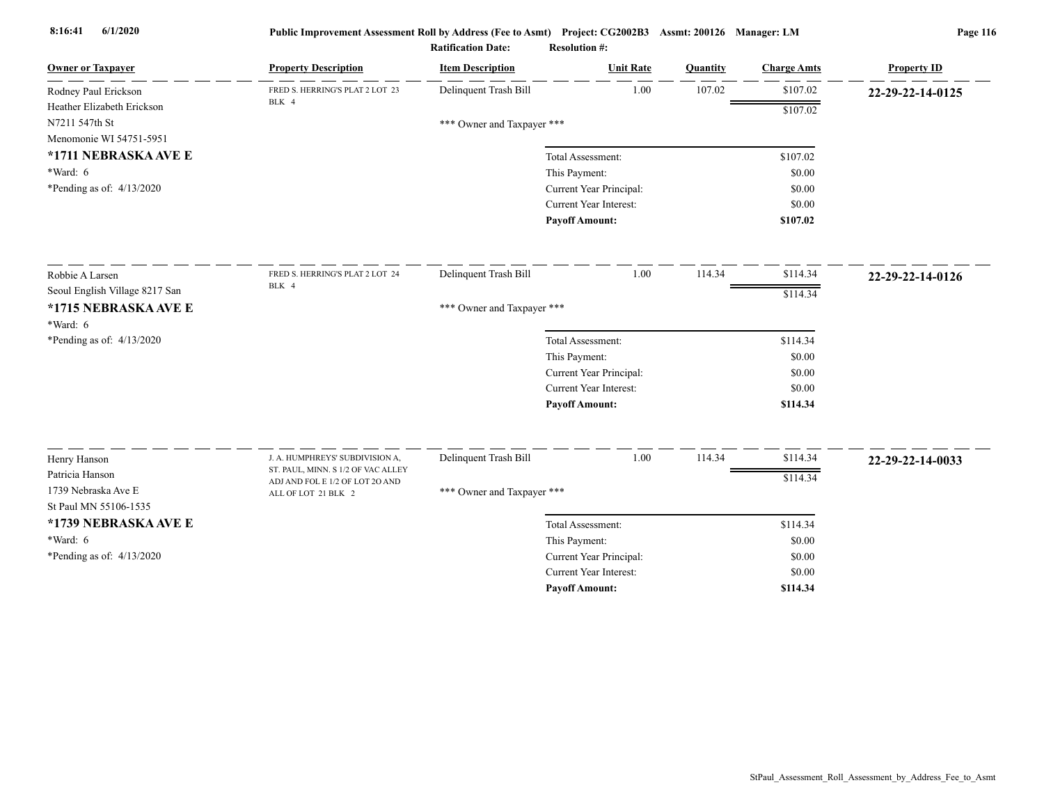| <b>Owner or Taxpayer</b>       | <b>Property Description</b>        | <b>Item Description</b>    | <b>Unit Rate</b>              | Quantity | <b>Charge Amts</b> | <b>Property ID</b> |
|--------------------------------|------------------------------------|----------------------------|-------------------------------|----------|--------------------|--------------------|
| Rodney Paul Erickson           | FRED S. HERRING'S PLAT 2 LOT 23    | Delinquent Trash Bill      | 1.00                          | 107.02   | \$107.02           | 22-29-22-14-0125   |
| Heather Elizabeth Erickson     | BLK 4                              |                            |                               |          | \$107.02           |                    |
| N7211 547th St                 |                                    | *** Owner and Taxpayer *** |                               |          |                    |                    |
| Menomonie WI 54751-5951        |                                    |                            |                               |          |                    |                    |
| *1711 NEBRASKA AVE E           |                                    |                            | Total Assessment:             |          | \$107.02           |                    |
| $*Ward: 6$                     |                                    |                            | This Payment:                 |          | \$0.00             |                    |
| *Pending as of: $4/13/2020$    |                                    |                            | Current Year Principal:       |          | \$0.00             |                    |
|                                |                                    |                            | Current Year Interest:        |          | \$0.00             |                    |
|                                |                                    |                            | <b>Payoff Amount:</b>         |          | \$107.02           |                    |
| Robbie A Larsen                | FRED S. HERRING'S PLAT 2 LOT 24    | Delinquent Trash Bill      | 1.00                          | 114.34   | \$114.34           | 22-29-22-14-0126   |
| Seoul English Village 8217 San | BLK 4                              |                            |                               |          | \$114.34           |                    |
| *1715 NEBRASKA AVE E           |                                    | *** Owner and Taxpayer *** |                               |          |                    |                    |
| *Ward: 6                       |                                    |                            |                               |          |                    |                    |
| *Pending as of: $4/13/2020$    |                                    |                            | Total Assessment:             |          | \$114.34           |                    |
|                                |                                    |                            | This Payment:                 |          | \$0.00             |                    |
|                                |                                    |                            | Current Year Principal:       |          | \$0.00             |                    |
|                                |                                    |                            | <b>Current Year Interest:</b> |          | \$0.00             |                    |
|                                |                                    |                            | <b>Payoff Amount:</b>         |          | \$114.34           |                    |
| Henry Hanson                   | J. A. HUMPHREYS' SUBDIVISION A,    | Delinquent Trash Bill      | 1.00                          | 114.34   | \$114.34           | 22-29-22-14-0033   |
| Patricia Hanson                | ST. PAUL, MINN. S 1/2 OF VAC ALLEY |                            |                               |          |                    |                    |
| 1739 Nebraska Ave E            | ADJ AND FOL E 1/2 OF LOT 20 AND    | *** Owner and Taxpayer *** |                               |          | \$114.34           |                    |
| St Paul MN 55106-1535          | ALL OF LOT 21 BLK 2                |                            |                               |          |                    |                    |
| *1739 NEBRASKA AVE E           |                                    |                            | Total Assessment:             |          | \$114.34           |                    |
| *Ward: 6                       |                                    |                            | This Payment:                 |          | \$0.00             |                    |
| *Pending as of: 4/13/2020      |                                    |                            | Current Year Principal:       |          | \$0.00             |                    |
|                                |                                    |                            | Current Year Interest:        |          | \$0.00             |                    |
|                                |                                    |                            | <b>Pavoff Amount:</b>         |          | \$114.34           |                    |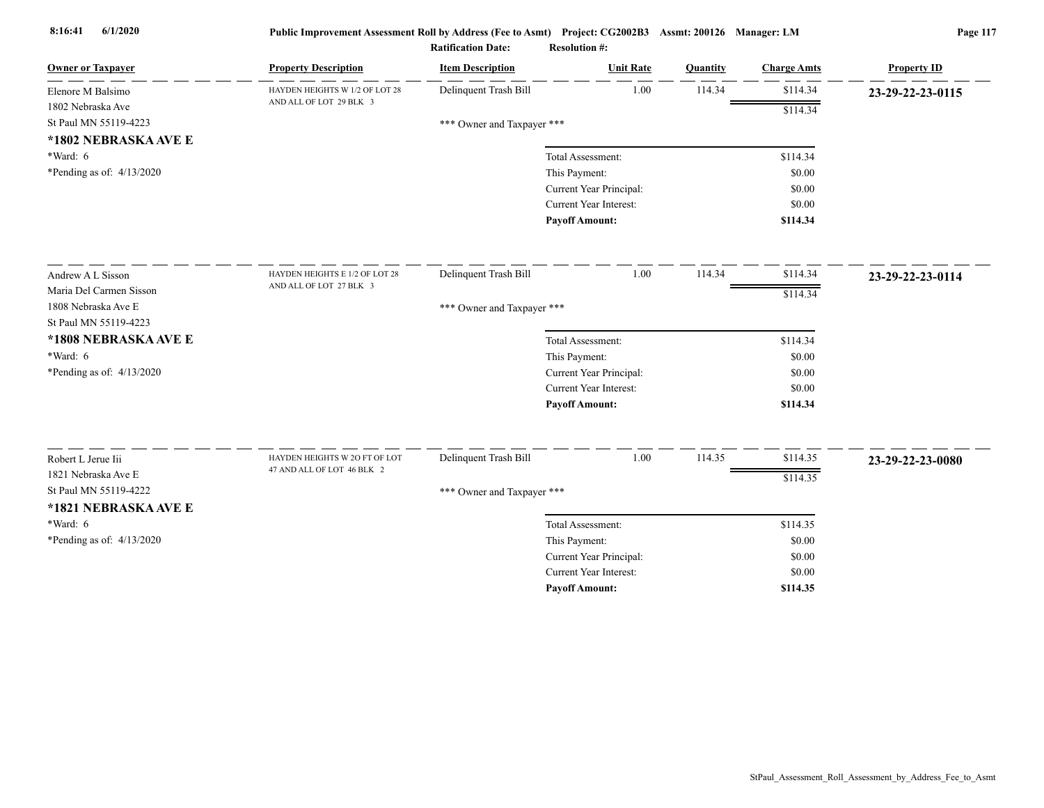| <b>Owner or Taxpayer</b>    | <b>Property Description</b>                                 | <b>Item Description</b>    | <b>Unit Rate</b>              | Quantity | <b>Charge Amts</b> | <b>Property ID</b> |
|-----------------------------|-------------------------------------------------------------|----------------------------|-------------------------------|----------|--------------------|--------------------|
| Elenore M Balsimo           | HAYDEN HEIGHTS W 1/2 OF LOT 28                              | Delinquent Trash Bill      | 1.00                          | 114.34   | \$114.34           | 23-29-22-23-0115   |
| 1802 Nebraska Ave           | AND ALL OF LOT 29 BLK 3                                     |                            |                               |          | \$114.34           |                    |
| St Paul MN 55119-4223       |                                                             | *** Owner and Taxpayer *** |                               |          |                    |                    |
| *1802 NEBRASKA AVE E        |                                                             |                            |                               |          |                    |                    |
| $*Ward: 6$                  |                                                             |                            | Total Assessment:             |          | \$114.34           |                    |
| *Pending as of: $4/13/2020$ |                                                             |                            | This Payment:                 |          | \$0.00             |                    |
|                             |                                                             |                            | Current Year Principal:       |          | \$0.00             |                    |
|                             |                                                             |                            | Current Year Interest:        |          | \$0.00             |                    |
|                             |                                                             |                            | <b>Payoff Amount:</b>         |          | \$114.34           |                    |
| Andrew A L Sisson           | HAYDEN HEIGHTS E 1/2 OF LOT 28                              | Delinquent Trash Bill      | 1.00                          | 114.34   | \$114.34           | 23-29-22-23-0114   |
| Maria Del Carmen Sisson     | AND ALL OF LOT 27 BLK 3                                     |                            |                               |          |                    |                    |
| 1808 Nebraska Ave E         |                                                             | *** Owner and Taxpayer *** |                               |          | \$114.34           |                    |
| St Paul MN 55119-4223       |                                                             |                            |                               |          |                    |                    |
| *1808 NEBRASKA AVE E        |                                                             |                            | Total Assessment:             |          | \$114.34           |                    |
| $*Ward: 6$                  |                                                             |                            | This Payment:                 |          | \$0.00             |                    |
| *Pending as of: $4/13/2020$ |                                                             |                            | Current Year Principal:       |          | \$0.00             |                    |
|                             |                                                             |                            | Current Year Interest:        |          | \$0.00             |                    |
|                             |                                                             |                            | <b>Payoff Amount:</b>         |          | \$114.34           |                    |
|                             |                                                             |                            |                               |          |                    |                    |
| Robert L Jerue Iii          | HAYDEN HEIGHTS W 2O FT OF LOT<br>47 AND ALL OF LOT 46 BLK 2 | Delinquent Trash Bill      | 1.00                          | 114.35   | \$114.35           | 23-29-22-23-0080   |
| 1821 Nebraska Ave E         |                                                             |                            |                               |          | \$114.35           |                    |
| St Paul MN 55119-4222       |                                                             | *** Owner and Taxpayer *** |                               |          |                    |                    |
| *1821 NEBRASKA AVE E        |                                                             |                            |                               |          |                    |                    |
| $*Ward: 6$                  |                                                             |                            | Total Assessment:             |          | \$114.35           |                    |
| *Pending as of: 4/13/2020   |                                                             |                            | This Payment:                 |          | \$0.00             |                    |
|                             |                                                             |                            | Current Year Principal:       |          | \$0.00             |                    |
|                             |                                                             |                            | <b>Current Year Interest:</b> |          | \$0.00             |                    |
|                             |                                                             |                            | <b>Pavoff Amount:</b>         |          | \$114.35           |                    |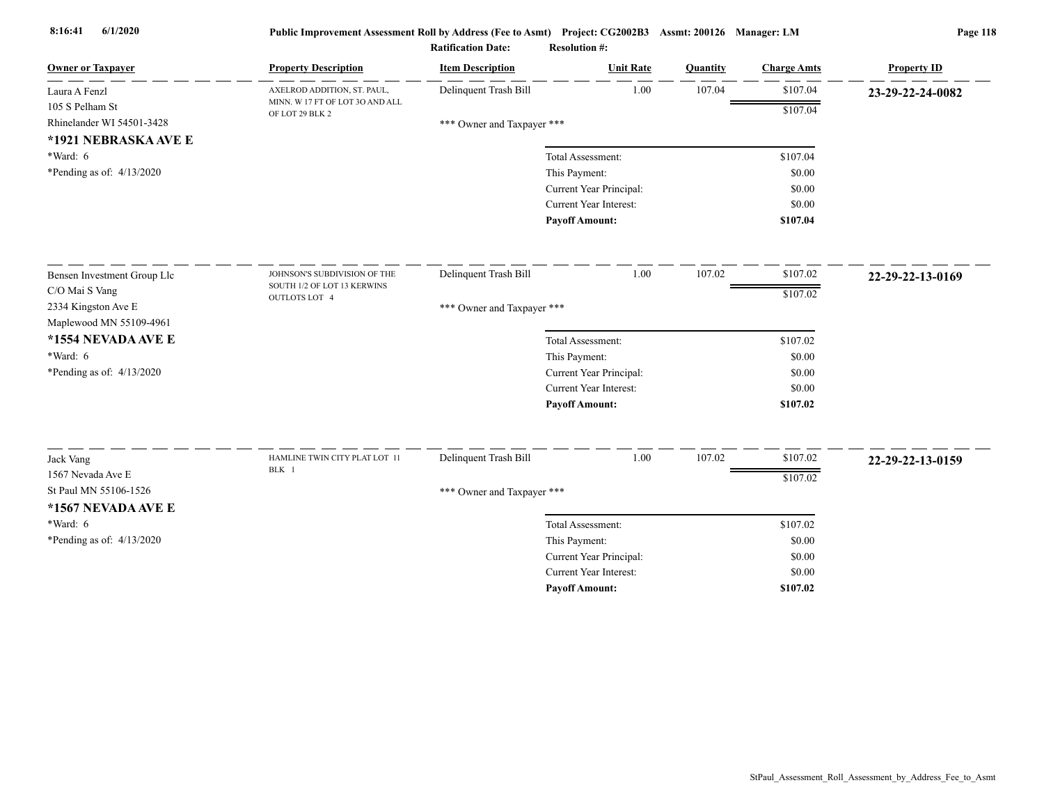| <b>Owner or Taxpayer</b>                                             | <b>Property Description</b>                        | <b>Item Description</b>    | <b>Unit Rate</b>              | <b>Quantity</b> | <b>Charge Amts</b> | <b>Property ID</b> |
|----------------------------------------------------------------------|----------------------------------------------------|----------------------------|-------------------------------|-----------------|--------------------|--------------------|
| Laura A Fenzl                                                        | AXELROD ADDITION, ST. PAUL,                        | Delinquent Trash Bill      | 1.00                          | 107.04          | \$107.04           | 23-29-22-24-0082   |
| 105 S Pelham St<br>Rhinelander WI 54501-3428<br>*1921 NEBRASKA AVE E | MINN. W 17 FT OF LOT 30 AND ALL<br>OF LOT 29 BLK 2 | *** Owner and Taxpayer *** |                               |                 | \$107.04           |                    |
| *Ward: 6                                                             |                                                    |                            | Total Assessment:             |                 | \$107.04           |                    |
| *Pending as of: 4/13/2020                                            |                                                    |                            | This Payment:                 |                 | \$0.00             |                    |
|                                                                      |                                                    |                            | Current Year Principal:       |                 | \$0.00             |                    |
|                                                                      |                                                    |                            | Current Year Interest:        |                 | \$0.00             |                    |
|                                                                      |                                                    |                            | <b>Payoff Amount:</b>         |                 | \$107.04           |                    |
| Bensen Investment Group Llc                                          | JOHNSON'S SUBDIVISION OF THE                       | Delinquent Trash Bill      | 1.00                          | 107.02          | \$107.02           | 22-29-22-13-0169   |
| C/O Mai S Vang                                                       | SOUTH 1/2 OF LOT 13 KERWINS                        |                            |                               |                 | \$107.02           |                    |
| 2334 Kingston Ave E                                                  | <b>OUTLOTS LOT 4</b>                               | *** Owner and Taxpayer *** |                               |                 |                    |                    |
| Maplewood MN 55109-4961                                              |                                                    |                            |                               |                 |                    |                    |
| *1554 NEVADA AVE E                                                   |                                                    |                            | Total Assessment:             |                 | \$107.02           |                    |
| $*Ward: 6$                                                           |                                                    |                            | This Payment:                 |                 | \$0.00             |                    |
| *Pending as of: $4/13/2020$                                          |                                                    |                            | Current Year Principal:       |                 | \$0.00             |                    |
|                                                                      |                                                    |                            | <b>Current Year Interest:</b> |                 | \$0.00             |                    |
|                                                                      |                                                    |                            | <b>Payoff Amount:</b>         |                 | \$107.02           |                    |
| Jack Vang                                                            | HAMLINE TWIN CITY PLAT LOT 11                      | Delinquent Trash Bill      | 1.00                          | 107.02          | \$107.02           | 22-29-22-13-0159   |
| 1567 Nevada Ave E                                                    | BLK 1                                              |                            |                               |                 |                    |                    |
| St Paul MN 55106-1526                                                |                                                    | *** Owner and Taxpayer *** |                               |                 | \$107.02           |                    |
| *1567 NEVADA AVE E                                                   |                                                    |                            |                               |                 |                    |                    |
| *Ward: 6                                                             |                                                    |                            | Total Assessment:             |                 | \$107.02           |                    |
| *Pending as of: $4/13/2020$                                          |                                                    |                            | This Payment:                 |                 | \$0.00             |                    |
|                                                                      |                                                    |                            | Current Year Principal:       |                 | \$0.00             |                    |
|                                                                      |                                                    |                            | Current Year Interest:        |                 | \$0.00             |                    |
|                                                                      |                                                    |                            | <b>Payoff Amount:</b>         |                 | \$107.02           |                    |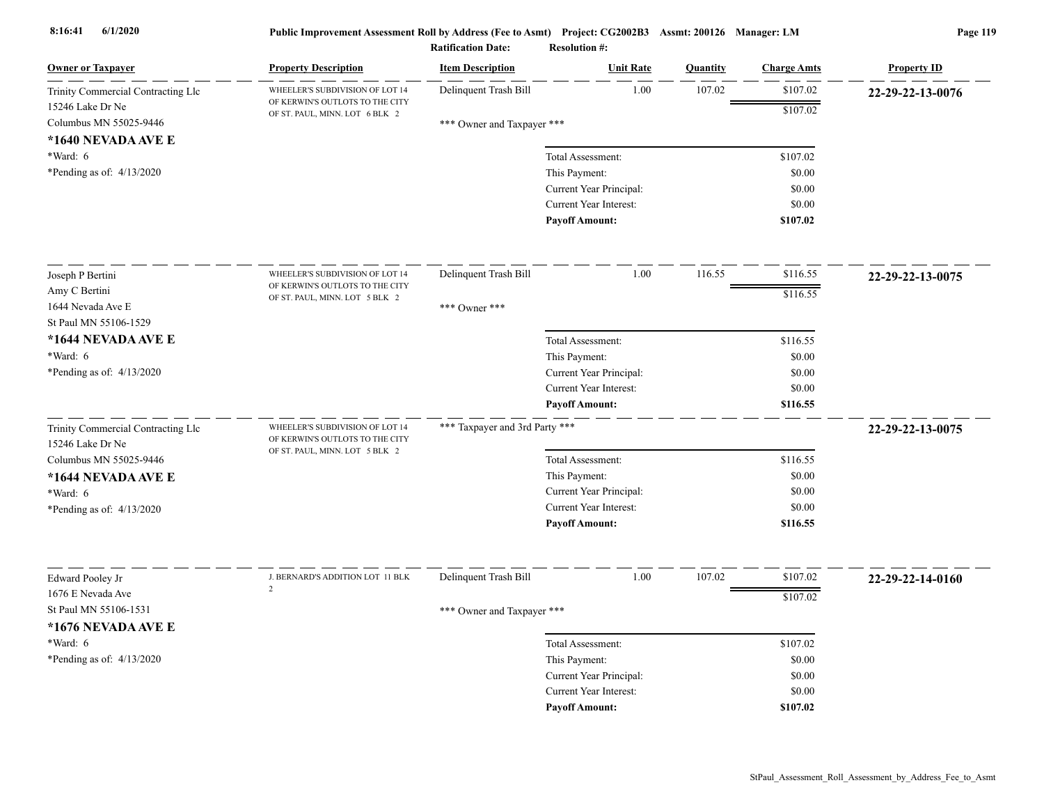| <b>Owner or Taxpayer</b>                   | <b>Property Description</b>                                        | <b>Item Description</b>        | <b>Unit Rate</b>        | Quantity | <b>Charge Amts</b> | <b>Property ID</b> |
|--------------------------------------------|--------------------------------------------------------------------|--------------------------------|-------------------------|----------|--------------------|--------------------|
| Trinity Commercial Contracting Llc         | WHEELER'S SUBDIVISION OF LOT 14                                    | Delinquent Trash Bill          | 1.00                    | 107.02   | \$107.02           | 22-29-22-13-0076   |
| 15246 Lake Dr Ne                           | OF KERWIN'S OUTLOTS TO THE CITY<br>OF ST. PAUL, MINN. LOT 6 BLK 2  |                                |                         |          | \$107.02           |                    |
| Columbus MN 55025-9446                     |                                                                    | *** Owner and Taxpayer ***     |                         |          |                    |                    |
| *1640 NEVADA AVE E                         |                                                                    |                                |                         |          |                    |                    |
| *Ward: 6                                   |                                                                    |                                | Total Assessment:       |          | \$107.02           |                    |
| *Pending as of: 4/13/2020                  |                                                                    |                                | This Payment:           |          | \$0.00             |                    |
|                                            |                                                                    |                                | Current Year Principal: |          | \$0.00             |                    |
|                                            |                                                                    |                                | Current Year Interest:  |          | \$0.00             |                    |
|                                            |                                                                    |                                | <b>Payoff Amount:</b>   |          | \$107.02           |                    |
| Joseph P Bertini                           | WHEELER'S SUBDIVISION OF LOT 14                                    | Delinquent Trash Bill          | 1.00                    | 116.55   | \$116.55           | 22-29-22-13-0075   |
| Amy C Bertini                              | OF KERWIN'S OUTLOTS TO THE CITY                                    |                                |                         |          | \$116.55           |                    |
| 1644 Nevada Ave E                          | OF ST. PAUL, MINN. LOT 5 BLK 2                                     | *** Owner ***                  |                         |          |                    |                    |
| St Paul MN 55106-1529                      |                                                                    |                                |                         |          |                    |                    |
| *1644 NEVADA AVE E                         |                                                                    |                                | Total Assessment:       |          | \$116.55           |                    |
| *Ward: 6                                   |                                                                    |                                | This Payment:           |          | \$0.00             |                    |
| *Pending as of: $4/13/2020$                |                                                                    |                                | Current Year Principal: |          | \$0.00             |                    |
|                                            |                                                                    |                                | Current Year Interest:  |          | \$0.00             |                    |
|                                            |                                                                    |                                | <b>Payoff Amount:</b>   |          | \$116.55           |                    |
| Trinity Commercial Contracting Llc         | WHEELER'S SUBDIVISION OF LOT 14<br>OF KERWIN'S OUTLOTS TO THE CITY | *** Taxpayer and 3rd Party *** |                         |          |                    | 22-29-22-13-0075   |
| 15246 Lake Dr Ne<br>Columbus MN 55025-9446 | OF ST. PAUL, MINN. LOT 5 BLK 2                                     |                                | Total Assessment:       |          | \$116.55           |                    |
| *1644 NEVADA AVE E                         |                                                                    |                                | This Payment:           |          | \$0.00             |                    |
| *Ward: 6                                   |                                                                    |                                | Current Year Principal: |          | \$0.00             |                    |
| *Pending as of: 4/13/2020                  |                                                                    |                                | Current Year Interest:  |          | \$0.00             |                    |
|                                            |                                                                    |                                | <b>Payoff Amount:</b>   |          | \$116.55           |                    |
|                                            |                                                                    |                                |                         |          |                    |                    |
| Edward Pooley Jr                           | J. BERNARD'S ADDITION LOT 11 BLK                                   | Delinquent Trash Bill          | 1.00                    | 107.02   | \$107.02           | 22-29-22-14-0160   |
| 1676 E Nevada Ave                          | $\overline{2}$                                                     |                                |                         |          | \$107.02           |                    |
| St Paul MN 55106-1531                      |                                                                    | *** Owner and Taxpayer ***     |                         |          |                    |                    |
| *1676 NEVADA AVE E                         |                                                                    |                                |                         |          |                    |                    |
| *Ward: 6                                   |                                                                    |                                | Total Assessment:       |          | \$107.02           |                    |
| *Pending as of: $4/13/2020$                |                                                                    |                                | This Payment:           |          | \$0.00             |                    |
|                                            |                                                                    |                                | Current Year Principal: |          | \$0.00             |                    |
|                                            |                                                                    |                                | Current Year Interest:  |          | \$0.00             |                    |
|                                            |                                                                    |                                | <b>Pavoff Amount:</b>   |          | \$107.02           |                    |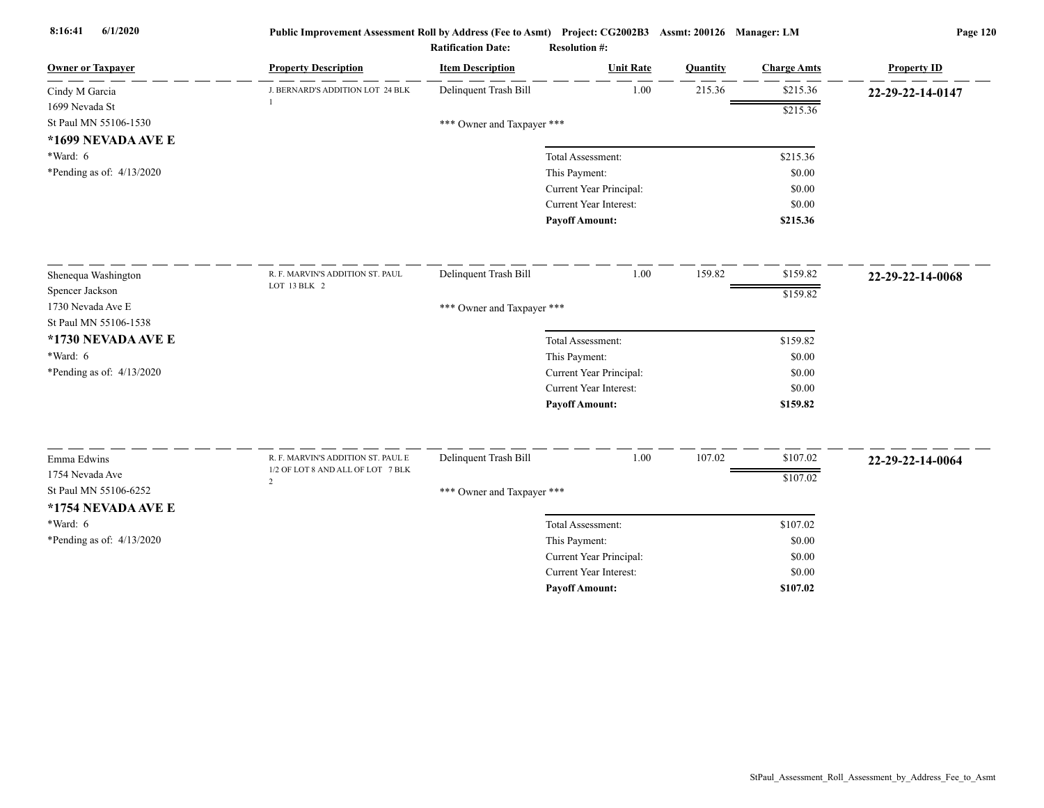| <b>Owner or Taxpayer</b>    | <b>Property Description</b>                         | <b>Item Description</b>    | <b>Unit Rate</b>              | Quantity | <b>Charge Amts</b> | <b>Property ID</b> |
|-----------------------------|-----------------------------------------------------|----------------------------|-------------------------------|----------|--------------------|--------------------|
| Cindy M Garcia              | J. BERNARD'S ADDITION LOT 24 BLK                    | Delinquent Trash Bill      | 1.00                          | 215.36   | \$215.36           | 22-29-22-14-0147   |
| 1699 Nevada St              |                                                     |                            |                               |          | \$215.36           |                    |
| St Paul MN 55106-1530       |                                                     | *** Owner and Taxpayer *** |                               |          |                    |                    |
| *1699 NEVADA AVE E          |                                                     |                            |                               |          |                    |                    |
| *Ward: 6                    |                                                     |                            | Total Assessment:             |          | \$215.36           |                    |
| *Pending as of: $4/13/2020$ |                                                     |                            | This Payment:                 |          | \$0.00             |                    |
|                             |                                                     |                            | Current Year Principal:       |          | \$0.00             |                    |
|                             |                                                     |                            | <b>Current Year Interest:</b> |          | \$0.00             |                    |
|                             |                                                     |                            | <b>Payoff Amount:</b>         |          | \$215.36           |                    |
| Shenequa Washington         | R. F. MARVIN'S ADDITION ST. PAUL                    | Delinquent Trash Bill      | 1.00                          | 159.82   | \$159.82           | 22-29-22-14-0068   |
| Spencer Jackson             | LOT 13 BLK 2                                        |                            |                               |          | \$159.82           |                    |
| 1730 Nevada Ave E           |                                                     | *** Owner and Taxpayer *** |                               |          |                    |                    |
| St Paul MN 55106-1538       |                                                     |                            |                               |          |                    |                    |
| *1730 NEVADA AVE E          |                                                     |                            | Total Assessment:             |          | \$159.82           |                    |
| $*Ward: 6$                  |                                                     |                            | This Payment:                 |          | \$0.00             |                    |
| *Pending as of: 4/13/2020   |                                                     |                            | Current Year Principal:       |          | \$0.00             |                    |
|                             |                                                     |                            | <b>Current Year Interest:</b> |          | \$0.00             |                    |
|                             |                                                     |                            | <b>Payoff Amount:</b>         |          | \$159.82           |                    |
| Emma Edwins                 | R. F. MARVIN'S ADDITION ST. PAUL E                  | Delinquent Trash Bill      | 1.00                          | 107.02   | \$107.02           | 22-29-22-14-0064   |
| 1754 Nevada Ave             | 1/2 OF LOT 8 AND ALL OF LOT 7 BLK<br>$\overline{2}$ |                            |                               |          | \$107.02           |                    |
| St Paul MN 55106-6252       |                                                     | *** Owner and Taxpayer *** |                               |          |                    |                    |
| *1754 NEVADA AVE E          |                                                     |                            |                               |          |                    |                    |
| *Ward: 6                    |                                                     |                            | Total Assessment:             |          | \$107.02           |                    |
| *Pending as of: $4/13/2020$ |                                                     |                            | This Payment:                 |          | \$0.00             |                    |
|                             |                                                     |                            | Current Year Principal:       |          | \$0.00             |                    |
|                             |                                                     |                            | <b>Current Year Interest:</b> |          | \$0.00             |                    |
|                             |                                                     |                            | <b>Pavoff Amount:</b>         |          | \$107.02           |                    |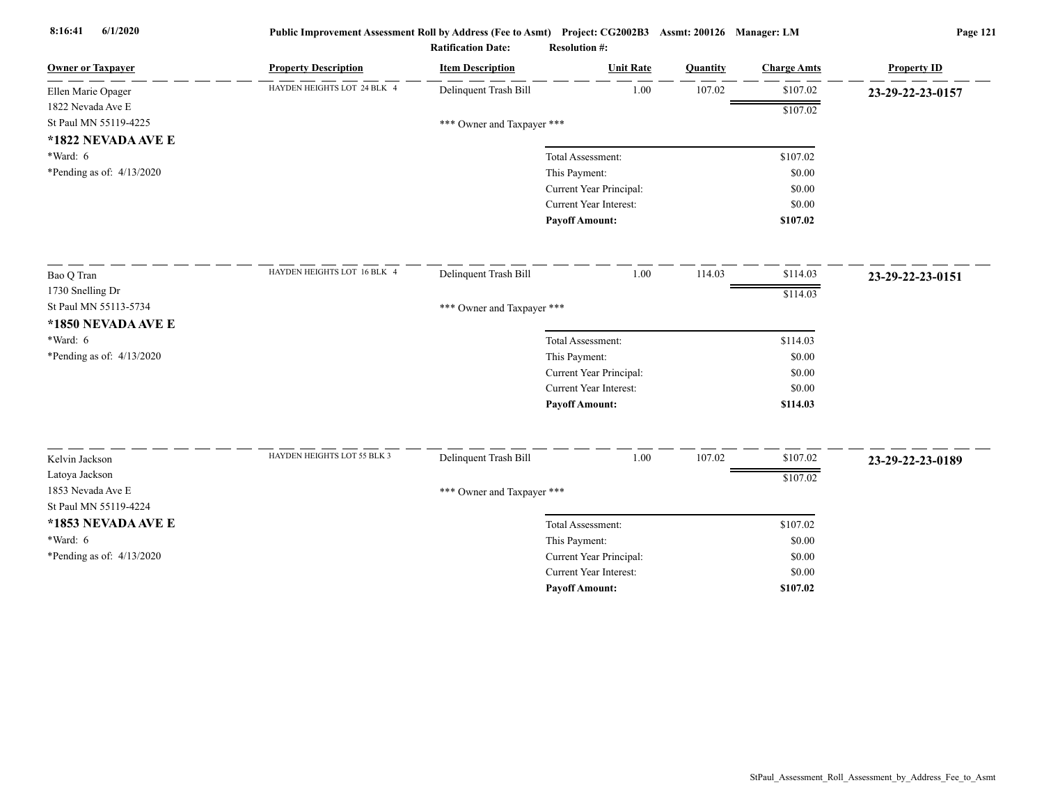| <b>Owner or Taxpayer</b>    | <b>Property Description</b> | <b>Item Description</b>    | <b>Unit Rate</b>              | Quantity | <b>Charge Amts</b> | <b>Property ID</b> |
|-----------------------------|-----------------------------|----------------------------|-------------------------------|----------|--------------------|--------------------|
| Ellen Marie Opager          | HAYDEN HEIGHTS LOT 24 BLK 4 | Delinquent Trash Bill      | 1.00                          | 107.02   | \$107.02           | 23-29-22-23-0157   |
| 1822 Nevada Ave E           |                             |                            |                               |          | \$107.02           |                    |
| St Paul MN 55119-4225       |                             | *** Owner and Taxpayer *** |                               |          |                    |                    |
| *1822 NEVADA AVE E          |                             |                            |                               |          |                    |                    |
| *Ward: 6                    |                             |                            | Total Assessment:             |          | \$107.02           |                    |
| *Pending as of: $4/13/2020$ |                             |                            | This Payment:                 |          | \$0.00             |                    |
|                             |                             |                            | Current Year Principal:       |          | \$0.00             |                    |
|                             |                             |                            | <b>Current Year Interest:</b> |          | \$0.00             |                    |
|                             |                             |                            | <b>Payoff Amount:</b>         |          | \$107.02           |                    |
| Bao Q Tran                  | HAYDEN HEIGHTS LOT 16 BLK 4 | Delinquent Trash Bill      | 1.00                          | 114.03   | \$114.03           | 23-29-22-23-0151   |
| 1730 Snelling Dr            |                             |                            |                               |          | \$114.03           |                    |
| St Paul MN 55113-5734       |                             | *** Owner and Taxpayer *** |                               |          |                    |                    |
| *1850 NEVADA AVE E          |                             |                            |                               |          |                    |                    |
| *Ward: 6                    |                             |                            | Total Assessment:             |          | \$114.03           |                    |
| *Pending as of: $4/13/2020$ |                             |                            | This Payment:                 |          | \$0.00             |                    |
|                             |                             |                            | Current Year Principal:       |          | \$0.00             |                    |
|                             |                             |                            | Current Year Interest:        |          | \$0.00             |                    |
|                             |                             |                            | <b>Payoff Amount:</b>         |          | \$114.03           |                    |
| Kelvin Jackson              | HAYDEN HEIGHTS LOT 55 BLK 3 | Delinquent Trash Bill      | $1.00\,$                      | 107.02   | \$107.02           |                    |
| Latoya Jackson              |                             |                            |                               |          |                    | 23-29-22-23-0189   |
| 1853 Nevada Ave E           |                             | *** Owner and Taxpayer *** |                               |          | \$107.02           |                    |
| St Paul MN 55119-4224       |                             |                            |                               |          |                    |                    |
| *1853 NEVADA AVE E          |                             |                            | Total Assessment:             |          | \$107.02           |                    |
| *Ward: 6                    |                             |                            | This Payment:                 |          | \$0.00             |                    |
| *Pending as of: 4/13/2020   |                             |                            | Current Year Principal:       |          | \$0.00             |                    |
|                             |                             |                            | Current Year Interest:        |          | \$0.00             |                    |
|                             |                             |                            | <b>Payoff Amount:</b>         |          | \$107.02           |                    |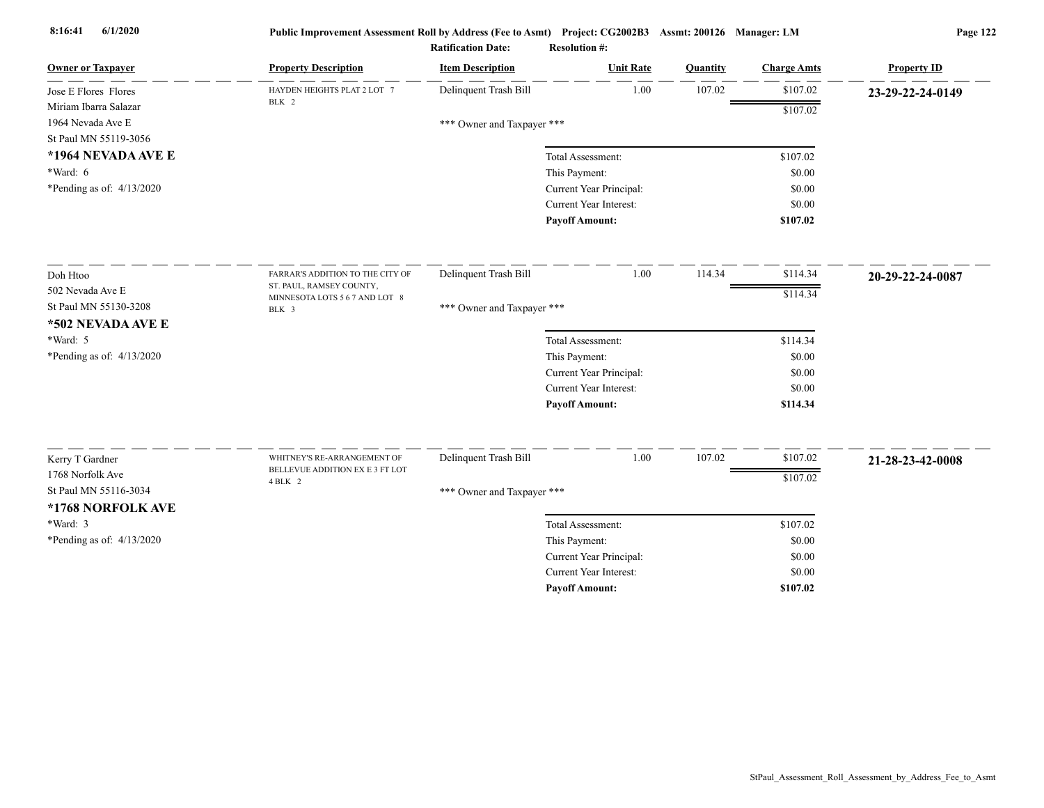| <b>Owner or Taxpayer</b>    | <b>Property Description</b>                                    | <b>Item Description</b>    | <b>Unit Rate</b>              | Quantity | <b>Charge Amts</b> | <b>Property ID</b> |
|-----------------------------|----------------------------------------------------------------|----------------------------|-------------------------------|----------|--------------------|--------------------|
| Jose E Flores Flores        | HAYDEN HEIGHTS PLAT 2 LOT 7                                    | Delinquent Trash Bill      | 1.00                          | 107.02   | \$107.02           | 23-29-22-24-0149   |
| Miriam Ibarra Salazar       | BLK 2                                                          |                            |                               |          | \$107.02           |                    |
| 1964 Nevada Ave E           |                                                                | *** Owner and Taxpayer *** |                               |          |                    |                    |
| St Paul MN 55119-3056       |                                                                |                            |                               |          |                    |                    |
| *1964 NEVADA AVE E          |                                                                |                            | Total Assessment:             |          | \$107.02           |                    |
| *Ward: 6                    |                                                                |                            | This Payment:                 |          | \$0.00             |                    |
| *Pending as of: $4/13/2020$ |                                                                |                            | Current Year Principal:       |          | \$0.00             |                    |
|                             |                                                                |                            | <b>Current Year Interest:</b> |          | \$0.00             |                    |
|                             |                                                                |                            | <b>Payoff Amount:</b>         |          | \$107.02           |                    |
| Doh Htoo                    | FARRAR'S ADDITION TO THE CITY OF                               | Delinquent Trash Bill      | 1.00                          | 114.34   | \$114.34           | 20-29-22-24-0087   |
| 502 Nevada Ave E            | ST. PAUL, RAMSEY COUNTY,                                       |                            |                               |          |                    |                    |
| St Paul MN 55130-3208       | MINNESOTA LOTS 5 6 7 AND LOT 8<br>BLK 3                        | *** Owner and Taxpayer *** |                               |          | \$114.34           |                    |
| *502 NEVADA AVE E           |                                                                |                            |                               |          |                    |                    |
| *Ward: 5                    |                                                                |                            | Total Assessment:             |          | \$114.34           |                    |
| *Pending as of: 4/13/2020   |                                                                |                            | This Payment:                 |          | \$0.00             |                    |
|                             |                                                                |                            | Current Year Principal:       |          | \$0.00             |                    |
|                             |                                                                |                            | <b>Current Year Interest:</b> |          | \$0.00             |                    |
|                             |                                                                |                            | <b>Payoff Amount:</b>         |          | \$114.34           |                    |
|                             |                                                                |                            |                               |          |                    |                    |
| Kerry T Gardner             | WHITNEY'S RE-ARRANGEMENT OF<br>BELLEVUE ADDITION EX E 3 FT LOT | Delinquent Trash Bill      | 1.00                          | 107.02   | \$107.02           | 21-28-23-42-0008   |
| 1768 Norfolk Ave            | 4 BLK 2                                                        |                            |                               |          | \$107.02           |                    |
| St Paul MN 55116-3034       |                                                                | *** Owner and Taxpayer *** |                               |          |                    |                    |
| *1768 NORFOLK AVE           |                                                                |                            |                               |          |                    |                    |
| *Ward: 3                    |                                                                |                            | Total Assessment:             |          | \$107.02           |                    |
| *Pending as of: $4/13/2020$ |                                                                |                            | This Payment:                 |          | \$0.00             |                    |
|                             |                                                                |                            | Current Year Principal:       |          | \$0.00             |                    |
|                             |                                                                |                            | Current Year Interest:        |          | \$0.00             |                    |
|                             |                                                                |                            | <b>Pavoff Amount:</b>         |          | \$107.02           |                    |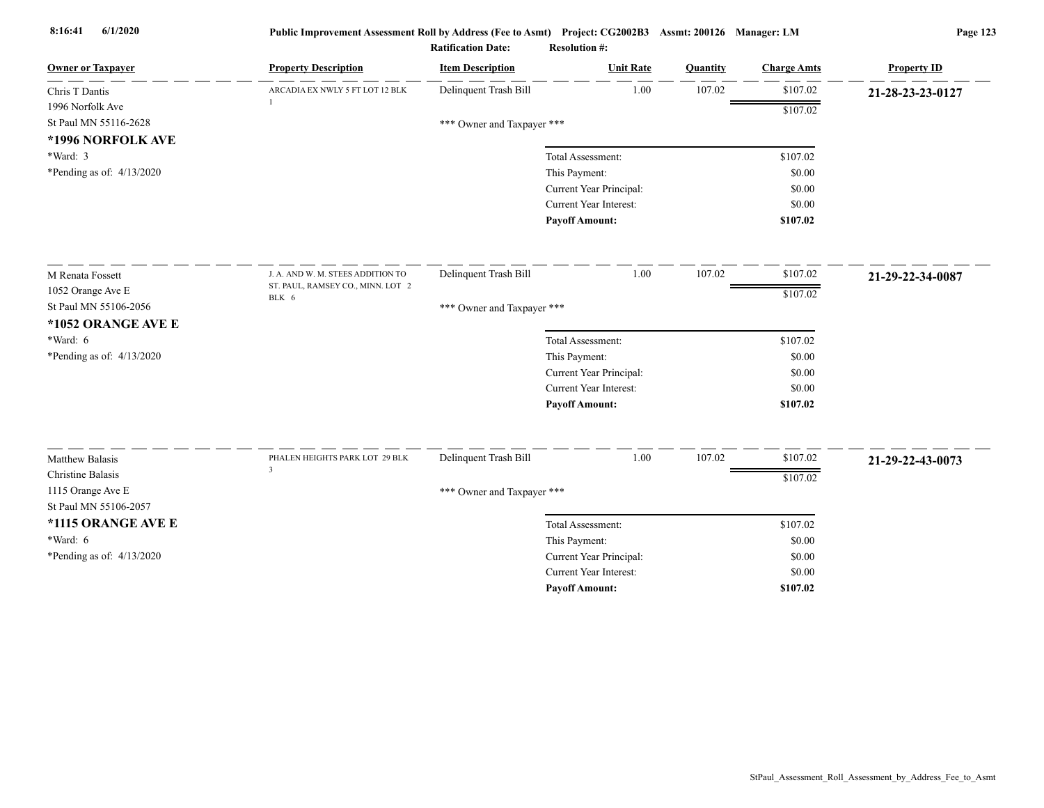| <b>Owner or Taxpayer</b>    | <b>Property Description</b>                      | <b>Item Description</b>    | <b>Unit Rate</b>        | Quantity | <b>Charge Amts</b> | <b>Property ID</b> |
|-----------------------------|--------------------------------------------------|----------------------------|-------------------------|----------|--------------------|--------------------|
| Chris T Dantis              | ARCADIA EX NWLY 5 FT LOT 12 BLK                  | Delinquent Trash Bill      | 1.00                    | 107.02   | \$107.02           | 21-28-23-23-0127   |
| 1996 Norfolk Ave            |                                                  |                            |                         |          | \$107.02           |                    |
| St Paul MN 55116-2628       |                                                  | *** Owner and Taxpayer *** |                         |          |                    |                    |
| *1996 NORFOLK AVE           |                                                  |                            |                         |          |                    |                    |
| *Ward: 3                    |                                                  |                            | Total Assessment:       |          | \$107.02           |                    |
| *Pending as of: $4/13/2020$ |                                                  |                            | This Payment:           |          | \$0.00             |                    |
|                             |                                                  |                            | Current Year Principal: |          | \$0.00             |                    |
|                             |                                                  |                            | Current Year Interest:  |          | \$0.00             |                    |
|                             |                                                  |                            | <b>Payoff Amount:</b>   |          | \$107.02           |                    |
| M Renata Fossett            | J. A. AND W. M. STEES ADDITION TO                | Delinquent Trash Bill      | 1.00                    | 107.02   | \$107.02           | 21-29-22-34-0087   |
| 1052 Orange Ave E           | ST. PAUL, RAMSEY CO., MINN. LOT 2                |                            |                         |          | \$107.02           |                    |
| St Paul MN 55106-2056       | BLK 6                                            | *** Owner and Taxpayer *** |                         |          |                    |                    |
| *1052 ORANGE AVE E          |                                                  |                            |                         |          |                    |                    |
| *Ward: $6$                  |                                                  |                            | Total Assessment:       |          | \$107.02           |                    |
| *Pending as of: 4/13/2020   |                                                  |                            | This Payment:           |          | \$0.00             |                    |
|                             |                                                  |                            | Current Year Principal: |          | \$0.00             |                    |
|                             |                                                  |                            | Current Year Interest:  |          | \$0.00             |                    |
|                             |                                                  |                            | <b>Payoff Amount:</b>   |          | \$107.02           |                    |
|                             |                                                  |                            |                         |          |                    |                    |
| Matthew Balasis             | PHALEN HEIGHTS PARK LOT 29 BLK<br>$\overline{3}$ | Delinquent Trash Bill      | 1.00                    | 107.02   | \$107.02           | 21-29-22-43-0073   |
| Christine Balasis           |                                                  |                            |                         |          | \$107.02           |                    |
| 1115 Orange Ave E           |                                                  | *** Owner and Taxpayer *** |                         |          |                    |                    |
| St Paul MN 55106-2057       |                                                  |                            |                         |          |                    |                    |
| *1115 ORANGE AVE E          |                                                  |                            | Total Assessment:       |          | \$107.02           |                    |
| *Ward: 6                    |                                                  |                            | This Payment:           |          | \$0.00             |                    |
| *Pending as of: 4/13/2020   |                                                  |                            | Current Year Principal: |          | \$0.00             |                    |
|                             |                                                  |                            | Current Year Interest:  |          | \$0.00             |                    |
|                             |                                                  |                            | <b>Payoff Amount:</b>   |          | \$107.02           |                    |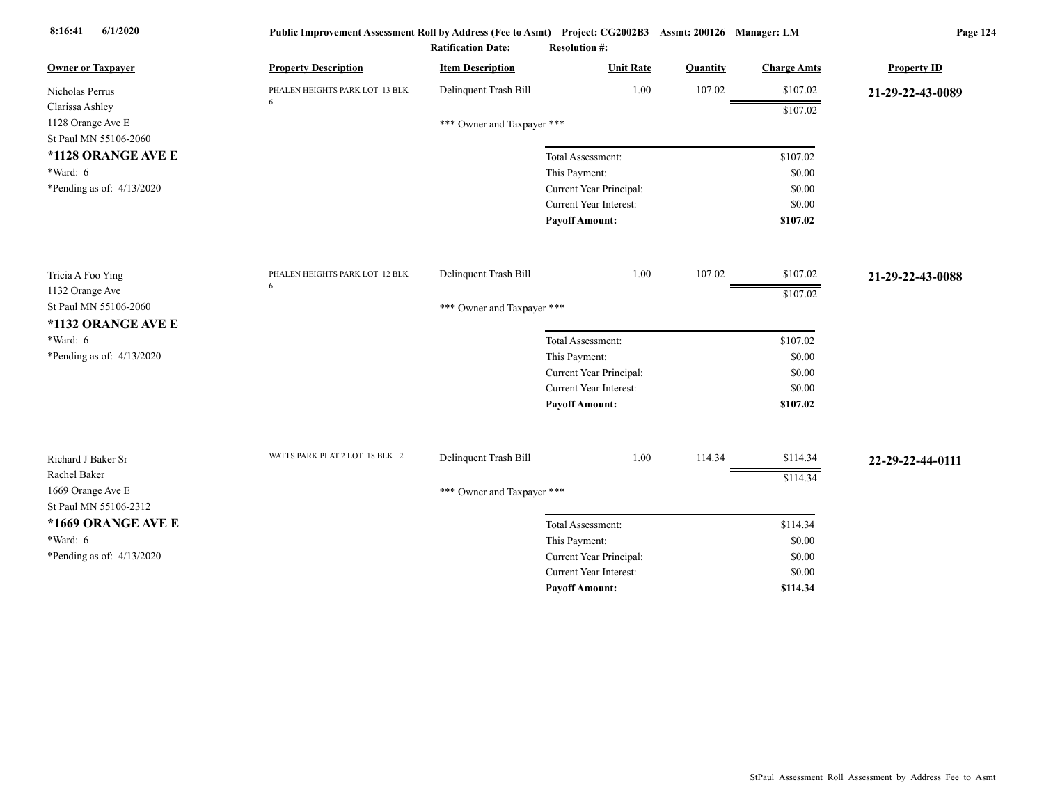| 107.02<br>\$107.02<br>Delinquent Trash Bill<br>1.00<br>PHALEN HEIGHTS PARK LOT 13 BLK<br>Nicholas Perrus<br>Clarissa Ashley | 21-29-22-43-0089 |
|-----------------------------------------------------------------------------------------------------------------------------|------------------|
|                                                                                                                             |                  |
| \$107.02                                                                                                                    |                  |
| 1128 Orange Ave E<br>*** Owner and Taxpayer ***                                                                             |                  |
| St Paul MN 55106-2060                                                                                                       |                  |
| *1128 ORANGE AVE E<br>\$107.02<br>Total Assessment:                                                                         |                  |
| $*Ward: 6$<br>This Payment:<br>\$0.00                                                                                       |                  |
| *Pending as of: $4/13/2020$<br>Current Year Principal:<br>\$0.00                                                            |                  |
| Current Year Interest:<br>\$0.00                                                                                            |                  |
| <b>Payoff Amount:</b><br>\$107.02                                                                                           |                  |
| Delinquent Trash Bill<br>1.00<br>107.02<br>\$107.02<br>PHALEN HEIGHTS PARK LOT 12 BLK<br>Tricia A Foo Ying                  | 21-29-22-43-0088 |
| 6<br>1132 Orange Ave<br>\$107.02                                                                                            |                  |
| St Paul MN 55106-2060<br>*** Owner and Taxpayer ***                                                                         |                  |
| *1132 ORANGE AVE E                                                                                                          |                  |
| *Ward: $6$<br>\$107.02<br>Total Assessment:                                                                                 |                  |
| *Pending as of: 4/13/2020<br>This Payment:<br>\$0.00                                                                        |                  |
| Current Year Principal:<br>\$0.00                                                                                           |                  |
| Current Year Interest:<br>\$0.00                                                                                            |                  |
| <b>Payoff Amount:</b><br>\$107.02                                                                                           |                  |
| WATTS PARK PLAT 2 LOT 18 BLK 2<br>Delinquent Trash Bill<br>1.00<br>114.34<br>\$114.34                                       |                  |
| Richard J Baker Sr<br>Rachel Baker                                                                                          | 22-29-22-44-0111 |
| \$114.34<br>1669 Orange Ave E                                                                                               |                  |
| *** Owner and Taxpayer ***<br>St Paul MN 55106-2312                                                                         |                  |
| *1669 ORANGE AVE E                                                                                                          |                  |
| Total Assessment:<br>\$114.34                                                                                               |                  |
| $*Ward: 6$<br>This Payment:<br>\$0.00                                                                                       |                  |
| *Pending as of: 4/13/2020<br>Current Year Principal:<br>\$0.00<br>Current Year Interest:<br>\$0.00                          |                  |
| <b>Payoff Amount:</b><br>\$114.34                                                                                           |                  |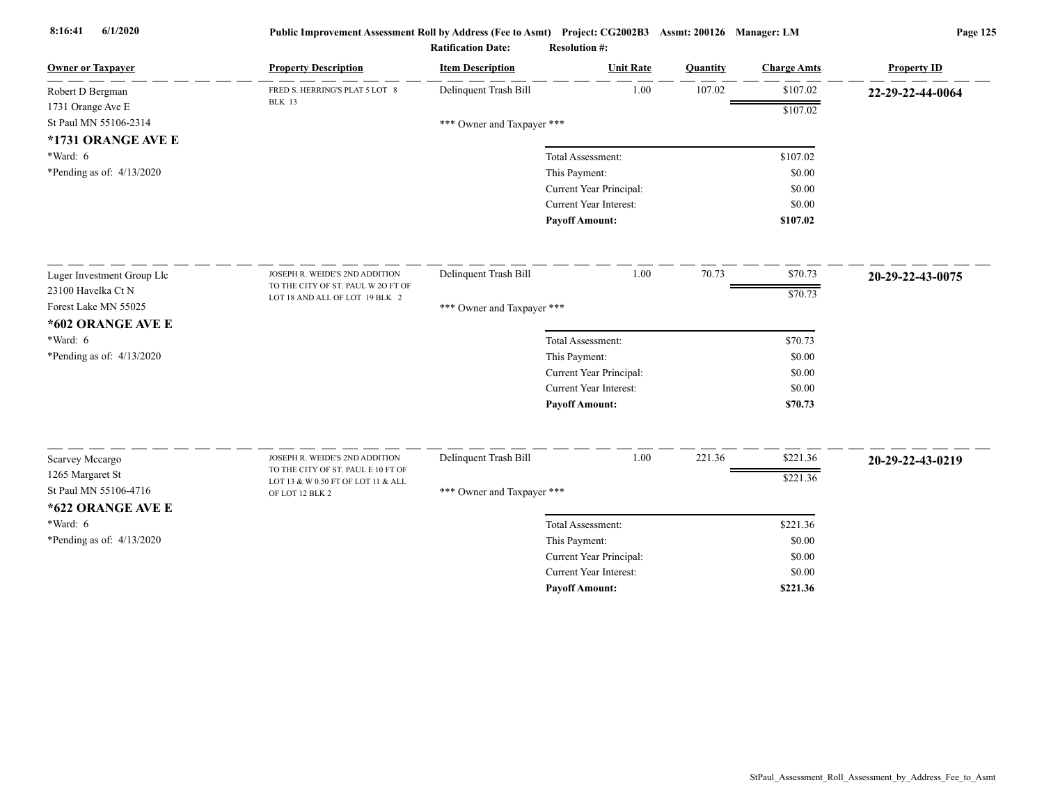| <b>Owner or Taxpayer</b>                  | <b>Property Description</b>        | <b>Item Description</b>    | <b>Unit Rate</b>              | Quantity | <b>Charge Amts</b> | <b>Property ID</b> |
|-------------------------------------------|------------------------------------|----------------------------|-------------------------------|----------|--------------------|--------------------|
| Robert D Bergman                          | FRED S. HERRING'S PLAT 5 LOT 8     | Delinquent Trash Bill      | 1.00                          | 107.02   | \$107.02           | 22-29-22-44-0064   |
| 1731 Orange Ave E                         | <b>BLK</b> 13                      |                            |                               |          | \$107.02           |                    |
| St Paul MN 55106-2314                     |                                    | *** Owner and Taxpayer *** |                               |          |                    |                    |
| *1731 ORANGE AVE E                        |                                    |                            |                               |          |                    |                    |
| *Ward: 6                                  |                                    |                            | Total Assessment:             |          | \$107.02           |                    |
| *Pending as of: 4/13/2020                 |                                    |                            | This Payment:                 |          | \$0.00             |                    |
|                                           |                                    |                            | Current Year Principal:       |          | \$0.00             |                    |
|                                           |                                    |                            | <b>Current Year Interest:</b> |          | \$0.00             |                    |
|                                           |                                    |                            | <b>Payoff Amount:</b>         |          | \$107.02           |                    |
| Luger Investment Group Llc                | JOSEPH R. WEIDE'S 2ND ADDITION     | Delinquent Trash Bill      | 1.00                          | 70.73    | \$70.73            | 20-29-22-43-0075   |
| 23100 Havelka Ct N                        | TO THE CITY OF ST. PAUL W 2O FT OF |                            |                               |          | \$70.73            |                    |
| Forest Lake MN 55025                      | LOT 18 AND ALL OF LOT 19 BLK 2     | *** Owner and Taxpayer *** |                               |          |                    |                    |
| *602 ORANGE AVE E                         |                                    |                            |                               |          |                    |                    |
| *Ward: 6                                  |                                    |                            | Total Assessment:             |          | \$70.73            |                    |
| *Pending as of: 4/13/2020                 |                                    |                            | This Payment:                 |          | \$0.00             |                    |
|                                           |                                    |                            | Current Year Principal:       |          | \$0.00             |                    |
|                                           |                                    |                            | <b>Current Year Interest:</b> |          | \$0.00             |                    |
|                                           |                                    |                            | <b>Payoff Amount:</b>         |          | \$70.73            |                    |
|                                           | JOSEPH R. WEIDE'S 2ND ADDITION     | Delinquent Trash Bill      | 1.00                          | 221.36   | \$221.36           |                    |
| Scarvey Mccargo                           | TO THE CITY OF ST. PAUL E 10 FT OF |                            |                               |          |                    | 20-29-22-43-0219   |
| 1265 Margaret St<br>St Paul MN 55106-4716 | LOT 13 & W 0.50 FT OF LOT 11 & ALL |                            |                               |          | \$221.36           |                    |
| *622 ORANGE AVE E                         | OF LOT 12 BLK 2                    | *** Owner and Taxpayer *** |                               |          |                    |                    |
| *Ward: 6                                  |                                    |                            | Total Assessment:             |          | \$221.36           |                    |
| *Pending as of: $4/13/2020$               |                                    |                            | This Payment:                 |          | \$0.00             |                    |
|                                           |                                    |                            | Current Year Principal:       |          | \$0.00             |                    |
|                                           |                                    |                            | <b>Current Year Interest:</b> |          | \$0.00             |                    |
|                                           |                                    |                            | <b>Pavoff Amount:</b>         |          | \$221.36           |                    |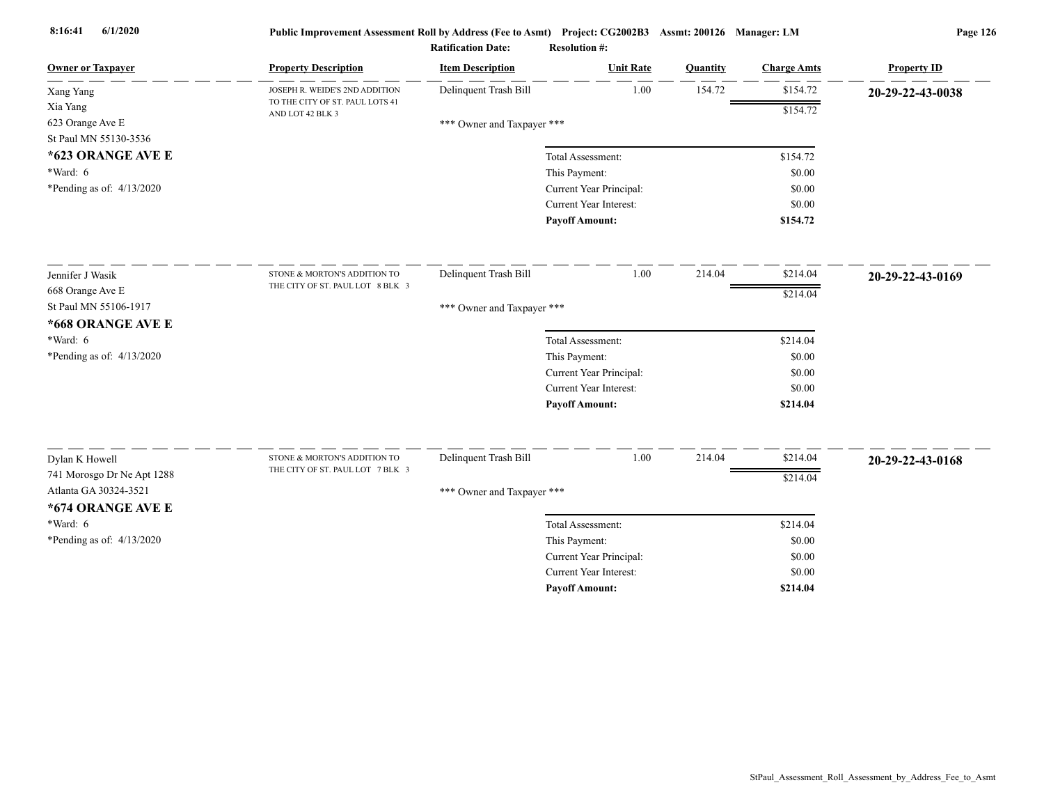| <b>Owner or Taxpayer</b>                     | <b>Property Description</b>                         | <b>Item Description</b>    | <b>Unit Rate</b>              | Quantity | <b>Charge Amts</b> | <b>Property ID</b> |
|----------------------------------------------|-----------------------------------------------------|----------------------------|-------------------------------|----------|--------------------|--------------------|
| Xang Yang                                    | JOSEPH R. WEIDE'S 2ND ADDITION                      | Delinquent Trash Bill      | 1.00                          | 154.72   | \$154.72           | 20-29-22-43-0038   |
| Xia Yang                                     | TO THE CITY OF ST. PAUL LOTS 41<br>AND LOT 42 BLK 3 |                            |                               |          | \$154.72           |                    |
| 623 Orange Ave E                             |                                                     | *** Owner and Taxpayer *** |                               |          |                    |                    |
| St Paul MN 55130-3536                        |                                                     |                            |                               |          |                    |                    |
| *623 ORANGE AVE E                            |                                                     |                            | Total Assessment:             |          | \$154.72           |                    |
| $*Ward: 6$                                   |                                                     |                            | This Payment:                 |          | \$0.00             |                    |
| *Pending as of: $4/13/2020$                  |                                                     |                            | Current Year Principal:       |          | \$0.00             |                    |
|                                              |                                                     |                            | Current Year Interest:        |          | \$0.00             |                    |
|                                              |                                                     |                            | <b>Payoff Amount:</b>         |          | \$154.72           |                    |
| Jennifer J Wasik                             | STONE & MORTON'S ADDITION TO                        | Delinquent Trash Bill      | 1.00                          | 214.04   | \$214.04           | 20-29-22-43-0169   |
| 668 Orange Ave E                             | THE CITY OF ST. PAUL LOT 8 BLK 3                    |                            |                               |          | \$214.04           |                    |
| St Paul MN 55106-1917                        |                                                     | *** Owner and Taxpayer *** |                               |          |                    |                    |
| *668 ORANGE AVE E                            |                                                     |                            |                               |          |                    |                    |
| $*Ward: 6$                                   |                                                     |                            | Total Assessment:             |          | \$214.04           |                    |
| *Pending as of: $4/13/2020$                  |                                                     |                            | This Payment:                 |          | \$0.00             |                    |
|                                              |                                                     |                            | Current Year Principal:       |          | \$0.00             |                    |
|                                              |                                                     |                            | <b>Current Year Interest:</b> |          | \$0.00             |                    |
|                                              |                                                     |                            | <b>Payoff Amount:</b>         |          | \$214.04           |                    |
|                                              | STONE & MORTON'S ADDITION TO                        | Delinquent Trash Bill      | 1.00                          | 214.04   | \$214.04           |                    |
| Dylan K Howell<br>741 Morosgo Dr Ne Apt 1288 | THE CITY OF ST. PAUL LOT 7 BLK 3                    |                            |                               |          |                    | 20-29-22-43-0168   |
| Atlanta GA 30324-3521                        |                                                     |                            |                               |          | \$214.04           |                    |
| *674 ORANGE AVE E                            |                                                     | *** Owner and Taxpayer *** |                               |          |                    |                    |
| *Ward: 6                                     |                                                     |                            | Total Assessment:             |          | \$214.04           |                    |
| *Pending as of: 4/13/2020                    |                                                     |                            | This Payment:                 |          | \$0.00             |                    |
|                                              |                                                     |                            | Current Year Principal:       |          | \$0.00             |                    |
|                                              |                                                     |                            | <b>Current Year Interest:</b> |          | \$0.00             |                    |
|                                              |                                                     |                            | <b>Pavoff Amount:</b>         |          | \$214.04           |                    |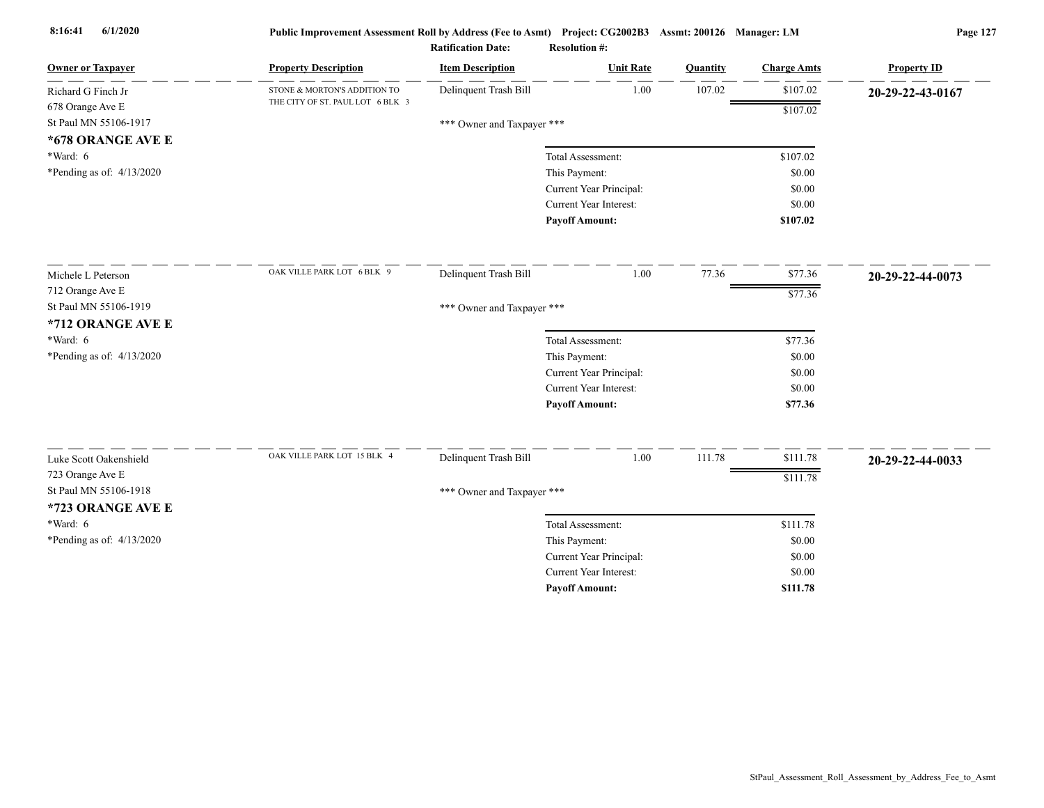| <b>Owner or Taxpayer</b>    | <b>Property Description</b>      | <b>Item Description</b>    | <b>Unit Rate</b>                                         | Quantity | <b>Charge Amts</b> | <b>Property ID</b> |
|-----------------------------|----------------------------------|----------------------------|----------------------------------------------------------|----------|--------------------|--------------------|
| Richard G Finch Jr          | STONE & MORTON'S ADDITION TO     | Delinquent Trash Bill      | 1.00                                                     | 107.02   | \$107.02           | 20-29-22-43-0167   |
| 678 Orange Ave E            | THE CITY OF ST. PAUL LOT 6 BLK 3 |                            |                                                          |          | \$107.02           |                    |
| St Paul MN 55106-1917       |                                  | *** Owner and Taxpayer *** |                                                          |          |                    |                    |
| *678 ORANGE AVE E           |                                  |                            |                                                          |          |                    |                    |
| $*Ward: 6$                  |                                  |                            | Total Assessment:                                        |          | \$107.02           |                    |
| *Pending as of: $4/13/2020$ |                                  |                            | This Payment:                                            |          | \$0.00             |                    |
|                             |                                  |                            | Current Year Principal:                                  |          | \$0.00             |                    |
|                             |                                  |                            | Current Year Interest:                                   |          | \$0.00             |                    |
|                             |                                  |                            | <b>Payoff Amount:</b>                                    |          | \$107.02           |                    |
| Michele L Peterson          | OAK VILLE PARK LOT 6 BLK 9       | Delinquent Trash Bill      | 1.00                                                     | 77.36    | \$77.36            | 20-29-22-44-0073   |
| 712 Orange Ave E            |                                  |                            |                                                          |          | \$77.36            |                    |
| St Paul MN 55106-1919       |                                  | *** Owner and Taxpayer *** |                                                          |          |                    |                    |
| *712 ORANGE AVE E           |                                  |                            |                                                          |          |                    |                    |
| $*Ward: 6$                  |                                  |                            | Total Assessment:                                        |          | \$77.36            |                    |
| *Pending as of: 4/13/2020   |                                  |                            | This Payment:                                            |          | \$0.00             |                    |
|                             |                                  |                            | Current Year Principal:                                  |          | \$0.00             |                    |
|                             |                                  |                            | <b>Current Year Interest:</b>                            |          | \$0.00             |                    |
|                             |                                  |                            | <b>Payoff Amount:</b>                                    |          | \$77.36            |                    |
| Luke Scott Oakenshield      | OAK VILLE PARK LOT 15 BLK 4      | Delinquent Trash Bill      | 1.00                                                     | 111.78   | \$111.78           |                    |
| 723 Orange Ave E            |                                  |                            |                                                          |          |                    | 20-29-22-44-0033   |
| St Paul MN 55106-1918       |                                  |                            |                                                          |          | \$111.78           |                    |
|                             |                                  | *** Owner and Taxpayer *** |                                                          |          |                    |                    |
| *723 ORANGE AVE E           |                                  |                            |                                                          |          |                    |                    |
| $*Ward: 6$                  |                                  |                            | Total Assessment:                                        |          | \$111.78           |                    |
| *Pending as of: $4/13/2020$ |                                  |                            | This Payment:                                            |          | \$0.00<br>\$0.00   |                    |
|                             |                                  |                            | Current Year Principal:<br><b>Current Year Interest:</b> |          | \$0.00             |                    |
|                             |                                  |                            |                                                          |          | \$111.78           |                    |
|                             |                                  |                            | <b>Payoff Amount:</b>                                    |          |                    |                    |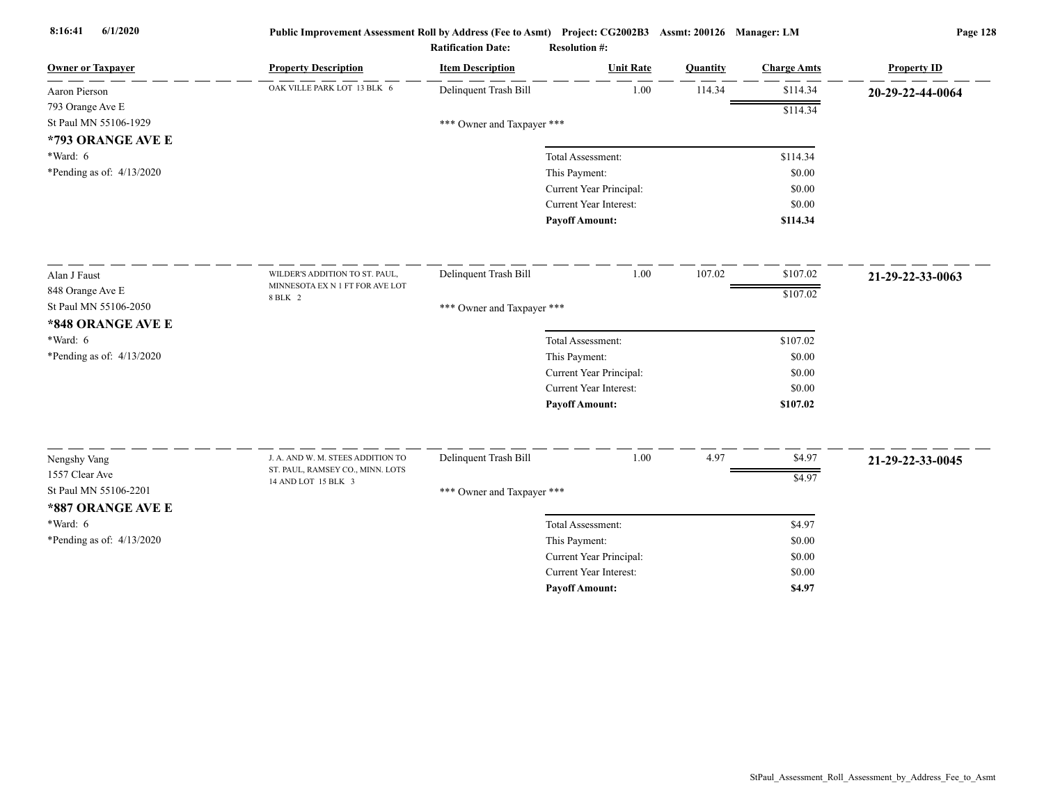| <b>Owner or Taxpayer</b>                | <b>Property Description</b>                                           | <b>Item Description</b>    | <b>Unit Rate</b>                                         | Quantity | <b>Charge Amts</b> | <b>Property ID</b> |
|-----------------------------------------|-----------------------------------------------------------------------|----------------------------|----------------------------------------------------------|----------|--------------------|--------------------|
| Aaron Pierson                           | OAK VILLE PARK LOT 13 BLK 6                                           | Delinquent Trash Bill      | 1.00                                                     | 114.34   | \$114.34           | 20-29-22-44-0064   |
| 793 Orange Ave E                        |                                                                       |                            |                                                          |          | \$114.34           |                    |
| St Paul MN 55106-1929                   |                                                                       | *** Owner and Taxpayer *** |                                                          |          |                    |                    |
| *793 ORANGE AVE E                       |                                                                       |                            |                                                          |          |                    |                    |
| *Ward: 6                                |                                                                       |                            | Total Assessment:                                        |          | \$114.34           |                    |
| *Pending as of: 4/13/2020               |                                                                       |                            | This Payment:                                            |          | \$0.00             |                    |
|                                         |                                                                       |                            | Current Year Principal:                                  |          | \$0.00             |                    |
|                                         |                                                                       |                            | Current Year Interest:                                   |          | \$0.00             |                    |
|                                         |                                                                       |                            | <b>Payoff Amount:</b>                                    |          | \$114.34           |                    |
| Alan J Faust                            | WILDER'S ADDITION TO ST. PAUL,                                        | Delinquent Trash Bill      | 1.00                                                     | 107.02   | \$107.02           | 21-29-22-33-0063   |
| 848 Orange Ave E                        | MINNESOTA EX N 1 FT FOR AVE LOT                                       |                            |                                                          |          | \$107.02           |                    |
| St Paul MN 55106-2050                   | 8 BLK 2                                                               | *** Owner and Taxpayer *** |                                                          |          |                    |                    |
| *848 ORANGE AVE E                       |                                                                       |                            |                                                          |          |                    |                    |
| *Ward: 6                                |                                                                       |                            | Total Assessment:                                        |          | \$107.02           |                    |
| *Pending as of: 4/13/2020               |                                                                       |                            | This Payment:                                            |          | \$0.00             |                    |
|                                         |                                                                       |                            | Current Year Principal:                                  |          | \$0.00             |                    |
|                                         |                                                                       |                            | Current Year Interest:                                   |          | \$0.00             |                    |
|                                         |                                                                       |                            | <b>Payoff Amount:</b>                                    |          | \$107.02           |                    |
|                                         |                                                                       |                            |                                                          |          |                    |                    |
| Nengshy Vang                            | J. A. AND W. M. STEES ADDITION TO<br>ST. PAUL, RAMSEY CO., MINN. LOTS | Delinquent Trash Bill      | 1.00                                                     | 4.97     | \$4.97             | 21-29-22-33-0045   |
| 1557 Clear Ave<br>St Paul MN 55106-2201 | 14 AND LOT 15 BLK 3                                                   |                            |                                                          |          | \$4.97             |                    |
|                                         |                                                                       | *** Owner and Taxpayer *** |                                                          |          |                    |                    |
| *887 ORANGE AVE E                       |                                                                       |                            |                                                          |          |                    |                    |
| $*Ward: 6$                              |                                                                       |                            | Total Assessment:                                        |          | \$4.97             |                    |
| *Pending as of: 4/13/2020               |                                                                       |                            | This Payment:                                            |          | \$0.00             |                    |
|                                         |                                                                       |                            | Current Year Principal:<br><b>Current Year Interest:</b> |          | \$0.00             |                    |
|                                         |                                                                       |                            | <b>Pavoff Amount:</b>                                    |          | \$0.00<br>\$4.97   |                    |
|                                         |                                                                       |                            |                                                          |          |                    |                    |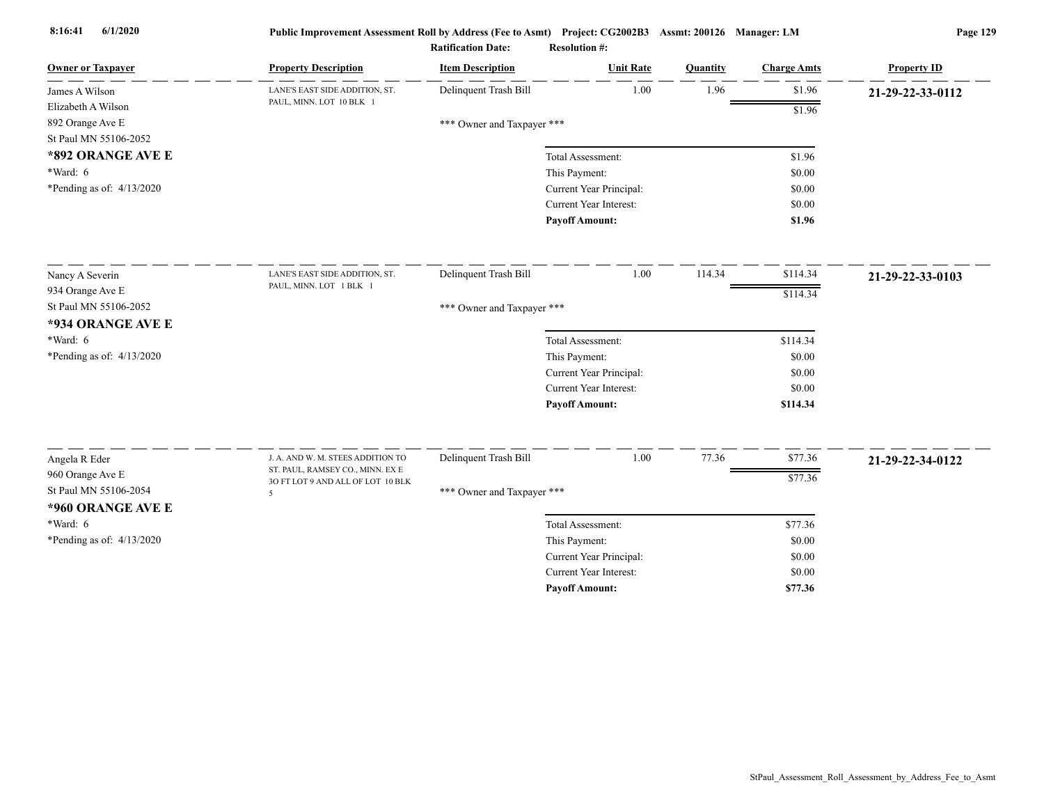| <b>Owner or Taxpayer</b>    | <b>Property Description</b>                                           | <b>Item Description</b>    | <b>Unit Rate</b>        | Quantity | <b>Charge Amts</b> | <b>Property ID</b> |
|-----------------------------|-----------------------------------------------------------------------|----------------------------|-------------------------|----------|--------------------|--------------------|
| James A Wilson              | LANE'S EAST SIDE ADDITION, ST.                                        | Delinquent Trash Bill      | 1.00                    | 1.96     | \$1.96             | 21-29-22-33-0112   |
| Elizabeth A Wilson          | PAUL, MINN. LOT 10 BLK 1                                              |                            |                         |          | \$1.96             |                    |
| 892 Orange Ave E            |                                                                       | *** Owner and Taxpayer *** |                         |          |                    |                    |
| St Paul MN 55106-2052       |                                                                       |                            |                         |          |                    |                    |
| *892 ORANGE AVE E           |                                                                       |                            | Total Assessment:       |          | \$1.96             |                    |
| $*Ward: 6$                  |                                                                       |                            | This Payment:           |          | \$0.00             |                    |
| *Pending as of: $4/13/2020$ |                                                                       |                            | Current Year Principal: |          | \$0.00             |                    |
|                             |                                                                       |                            | Current Year Interest:  |          | \$0.00             |                    |
|                             |                                                                       |                            | <b>Payoff Amount:</b>   |          | \$1.96             |                    |
| Nancy A Severin             | LANE'S EAST SIDE ADDITION, ST.                                        | Delinquent Trash Bill      | 1.00                    | 114.34   | \$114.34           | 21-29-22-33-0103   |
| 934 Orange Ave E            | PAUL, MINN. LOT 1 BLK 1                                               |                            |                         |          |                    |                    |
| St Paul MN 55106-2052       |                                                                       | *** Owner and Taxpayer *** |                         |          | \$114.34           |                    |
| *934 ORANGE AVE E           |                                                                       |                            |                         |          |                    |                    |
| *Ward: 6                    |                                                                       |                            | Total Assessment:       |          | \$114.34           |                    |
| *Pending as of: $4/13/2020$ |                                                                       |                            | This Payment:           |          | \$0.00             |                    |
|                             |                                                                       |                            | Current Year Principal: |          | \$0.00             |                    |
|                             |                                                                       |                            | Current Year Interest:  |          | \$0.00             |                    |
|                             |                                                                       |                            | <b>Payoff Amount:</b>   |          | \$114.34           |                    |
|                             |                                                                       |                            | 1.00                    | 77.36    | \$77.36            |                    |
| Angela R Eder               | J. A. AND W. M. STEES ADDITION TO<br>ST. PAUL, RAMSEY CO., MINN. EX E | Delinquent Trash Bill      |                         |          |                    | 21-29-22-34-0122   |
| 960 Orange Ave E            | 3O FT LOT 9 AND ALL OF LOT 10 BLK                                     |                            |                         |          | \$77.36            |                    |
| St Paul MN 55106-2054       | 5                                                                     | *** Owner and Taxpayer *** |                         |          |                    |                    |
| *960 ORANGE AVE E           |                                                                       |                            |                         |          |                    |                    |
| $*Ward: 6$                  |                                                                       |                            | Total Assessment:       |          | \$77.36            |                    |
| *Pending as of: 4/13/2020   |                                                                       |                            | This Payment:           |          | \$0.00             |                    |
|                             |                                                                       |                            | Current Year Principal: |          | \$0.00             |                    |
|                             |                                                                       |                            | Current Year Interest:  |          | \$0.00             |                    |
|                             |                                                                       |                            | <b>Pavoff Amount:</b>   |          | \$77.36            |                    |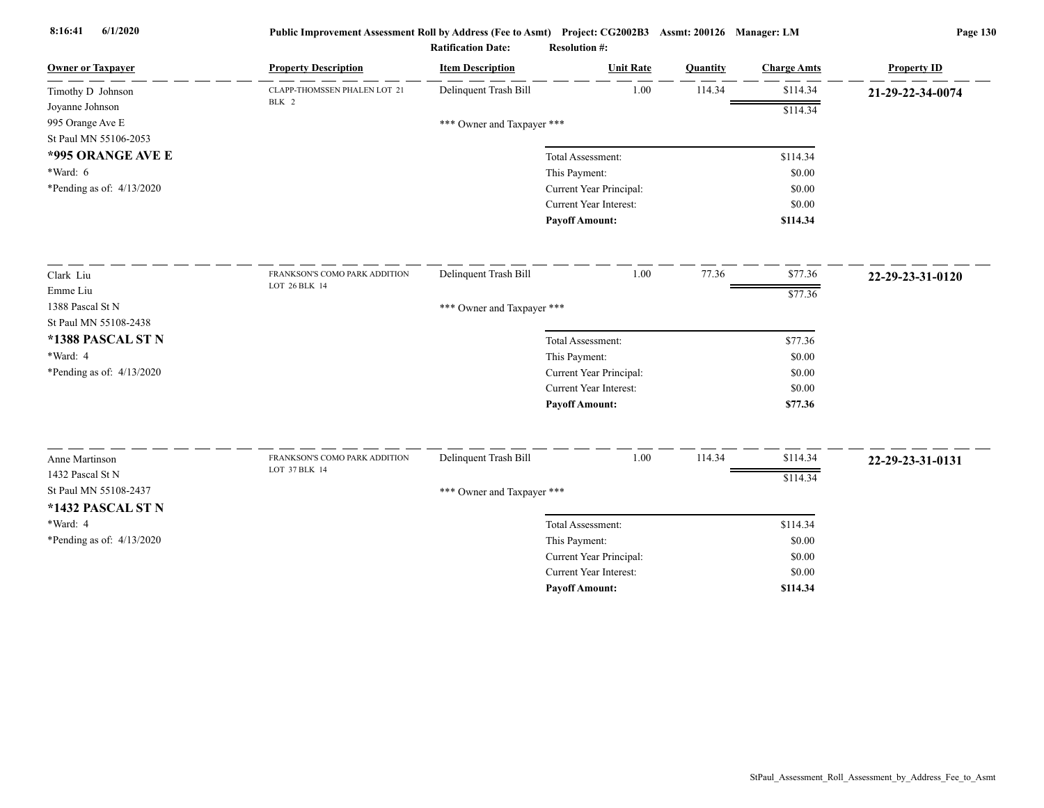| Delinquent Trash Bill<br>1.00<br>114.34<br>\$114.34<br>CLAPP-THOMSSEN PHALEN LOT 21<br>Timothy D Johnson<br>21-29-22-34-0074<br>BLK 2<br>Joyanne Johnson<br>\$114.34<br>995 Orange Ave E<br>*** Owner and Taxpayer ***<br>St Paul MN 55106-2053<br>*995 ORANGE AVE E<br>\$114.34<br>Total Assessment:<br>$*Ward: 6$<br>This Payment:<br>\$0.00<br>*Pending as of: 4/13/2020<br>Current Year Principal:<br>\$0.00<br>Current Year Interest:<br>\$0.00<br><b>Payoff Amount:</b><br>\$114.34<br>1.00<br>77.36<br>\$77.36<br>Delinquent Trash Bill<br>Clark Liu<br>FRANKSON'S COMO PARK ADDITION<br>22-29-23-31-0120<br>LOT 26 BLK 14<br>Emme Liu<br>\$77.36<br>1388 Pascal St N<br>*** Owner and Taxpayer ***<br>St Paul MN 55108-2438<br>*1388 PASCAL ST N<br>Total Assessment:<br>\$77.36<br>*Ward: 4<br>This Payment:<br>\$0.00<br>*Pending as of: $4/13/2020$<br>Current Year Principal:<br>\$0.00 | <b>Owner or Taxpayer</b> | <b>Property Description</b> | <b>Item Description</b> | <b>Unit Rate</b>              | Quantity | <b>Charge Amts</b> | <b>Property ID</b> |
|-----------------------------------------------------------------------------------------------------------------------------------------------------------------------------------------------------------------------------------------------------------------------------------------------------------------------------------------------------------------------------------------------------------------------------------------------------------------------------------------------------------------------------------------------------------------------------------------------------------------------------------------------------------------------------------------------------------------------------------------------------------------------------------------------------------------------------------------------------------------------------------------------------|--------------------------|-----------------------------|-------------------------|-------------------------------|----------|--------------------|--------------------|
|                                                                                                                                                                                                                                                                                                                                                                                                                                                                                                                                                                                                                                                                                                                                                                                                                                                                                                     |                          |                             |                         |                               |          |                    |                    |
|                                                                                                                                                                                                                                                                                                                                                                                                                                                                                                                                                                                                                                                                                                                                                                                                                                                                                                     |                          |                             |                         |                               |          |                    |                    |
|                                                                                                                                                                                                                                                                                                                                                                                                                                                                                                                                                                                                                                                                                                                                                                                                                                                                                                     |                          |                             |                         |                               |          |                    |                    |
|                                                                                                                                                                                                                                                                                                                                                                                                                                                                                                                                                                                                                                                                                                                                                                                                                                                                                                     |                          |                             |                         |                               |          |                    |                    |
|                                                                                                                                                                                                                                                                                                                                                                                                                                                                                                                                                                                                                                                                                                                                                                                                                                                                                                     |                          |                             |                         |                               |          |                    |                    |
|                                                                                                                                                                                                                                                                                                                                                                                                                                                                                                                                                                                                                                                                                                                                                                                                                                                                                                     |                          |                             |                         |                               |          |                    |                    |
|                                                                                                                                                                                                                                                                                                                                                                                                                                                                                                                                                                                                                                                                                                                                                                                                                                                                                                     |                          |                             |                         |                               |          |                    |                    |
|                                                                                                                                                                                                                                                                                                                                                                                                                                                                                                                                                                                                                                                                                                                                                                                                                                                                                                     |                          |                             |                         |                               |          |                    |                    |
|                                                                                                                                                                                                                                                                                                                                                                                                                                                                                                                                                                                                                                                                                                                                                                                                                                                                                                     |                          |                             |                         |                               |          |                    |                    |
|                                                                                                                                                                                                                                                                                                                                                                                                                                                                                                                                                                                                                                                                                                                                                                                                                                                                                                     |                          |                             |                         |                               |          |                    |                    |
|                                                                                                                                                                                                                                                                                                                                                                                                                                                                                                                                                                                                                                                                                                                                                                                                                                                                                                     |                          |                             |                         |                               |          |                    |                    |
|                                                                                                                                                                                                                                                                                                                                                                                                                                                                                                                                                                                                                                                                                                                                                                                                                                                                                                     |                          |                             |                         |                               |          |                    |                    |
|                                                                                                                                                                                                                                                                                                                                                                                                                                                                                                                                                                                                                                                                                                                                                                                                                                                                                                     |                          |                             |                         |                               |          |                    |                    |
|                                                                                                                                                                                                                                                                                                                                                                                                                                                                                                                                                                                                                                                                                                                                                                                                                                                                                                     |                          |                             |                         |                               |          |                    |                    |
|                                                                                                                                                                                                                                                                                                                                                                                                                                                                                                                                                                                                                                                                                                                                                                                                                                                                                                     |                          |                             |                         |                               |          |                    |                    |
|                                                                                                                                                                                                                                                                                                                                                                                                                                                                                                                                                                                                                                                                                                                                                                                                                                                                                                     |                          |                             |                         |                               |          |                    |                    |
|                                                                                                                                                                                                                                                                                                                                                                                                                                                                                                                                                                                                                                                                                                                                                                                                                                                                                                     |                          |                             |                         | <b>Current Year Interest:</b> |          | \$0.00             |                    |
| <b>Payoff Amount:</b><br>\$77.36                                                                                                                                                                                                                                                                                                                                                                                                                                                                                                                                                                                                                                                                                                                                                                                                                                                                    |                          |                             |                         |                               |          |                    |                    |
| Delinquent Trash Bill<br>1.00<br>114.34<br>\$114.34<br>FRANKSON'S COMO PARK ADDITION<br>Anne Martinson                                                                                                                                                                                                                                                                                                                                                                                                                                                                                                                                                                                                                                                                                                                                                                                              |                          |                             |                         |                               |          |                    |                    |
| 22-29-23-31-0131<br>LOT 37 BLK 14<br>1432 Pascal St N                                                                                                                                                                                                                                                                                                                                                                                                                                                                                                                                                                                                                                                                                                                                                                                                                                               |                          |                             |                         |                               |          |                    |                    |
| \$114.34<br>St Paul MN 55108-2437                                                                                                                                                                                                                                                                                                                                                                                                                                                                                                                                                                                                                                                                                                                                                                                                                                                                   |                          |                             |                         |                               |          |                    |                    |
| *** Owner and Taxpayer ***                                                                                                                                                                                                                                                                                                                                                                                                                                                                                                                                                                                                                                                                                                                                                                                                                                                                          |                          |                             |                         |                               |          |                    |                    |
| *1432 PASCAL ST N                                                                                                                                                                                                                                                                                                                                                                                                                                                                                                                                                                                                                                                                                                                                                                                                                                                                                   |                          |                             |                         |                               |          |                    |                    |
| *Ward: 4<br>Total Assessment:<br>\$114.34                                                                                                                                                                                                                                                                                                                                                                                                                                                                                                                                                                                                                                                                                                                                                                                                                                                           |                          |                             |                         |                               |          |                    |                    |
| *Pending as of: 4/13/2020<br>This Payment:<br>\$0.00                                                                                                                                                                                                                                                                                                                                                                                                                                                                                                                                                                                                                                                                                                                                                                                                                                                |                          |                             |                         |                               |          |                    |                    |
| Current Year Principal:<br>\$0.00<br><b>Current Year Interest:</b><br>\$0.00                                                                                                                                                                                                                                                                                                                                                                                                                                                                                                                                                                                                                                                                                                                                                                                                                        |                          |                             |                         |                               |          |                    |                    |
| <b>Pavoff Amount:</b><br>\$114.34                                                                                                                                                                                                                                                                                                                                                                                                                                                                                                                                                                                                                                                                                                                                                                                                                                                                   |                          |                             |                         |                               |          |                    |                    |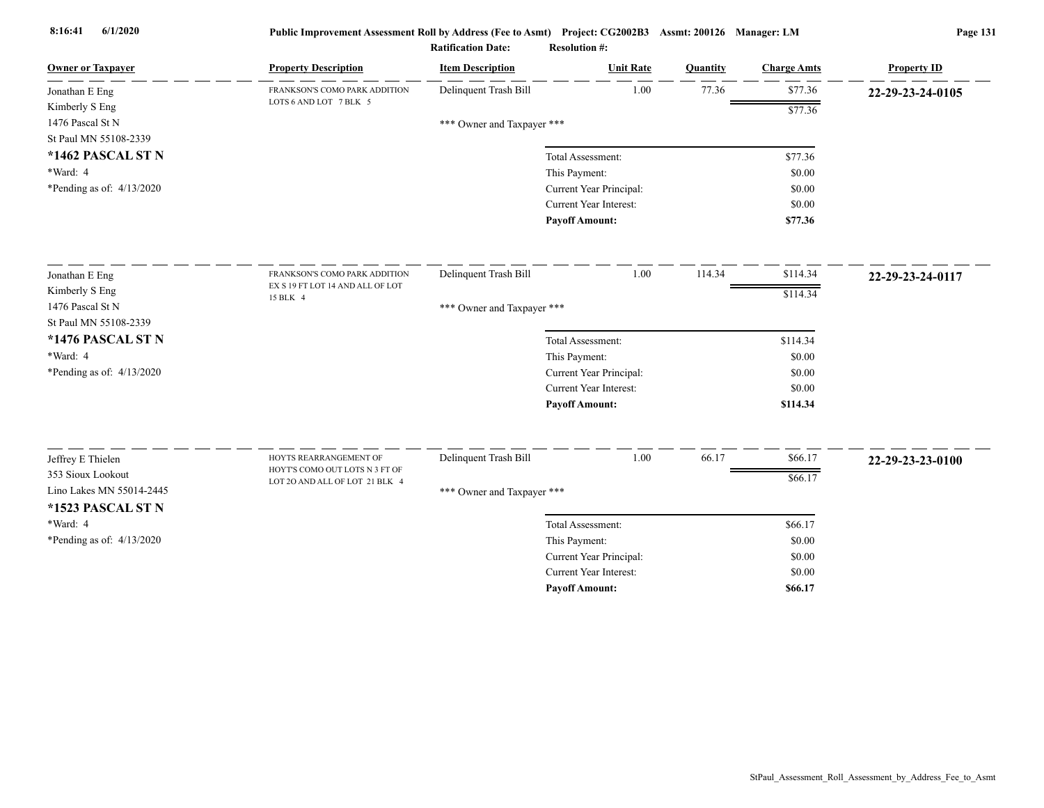| <b>Owner or Taxpayer</b>                  | <b>Property Description</b>                  | <b>Item Description</b>    | <b>Unit Rate</b>                         | Quantity | <b>Charge Amts</b> | <b>Property ID</b> |
|-------------------------------------------|----------------------------------------------|----------------------------|------------------------------------------|----------|--------------------|--------------------|
| Jonathan E Eng                            | FRANKSON'S COMO PARK ADDITION                | Delinquent Trash Bill      | 1.00                                     | 77.36    | \$77.36            | 22-29-23-24-0105   |
| Kimberly S Eng                            | LOTS 6 AND LOT 7 BLK 5                       |                            |                                          |          | \$77.36            |                    |
| 1476 Pascal St N<br>St Paul MN 55108-2339 |                                              | *** Owner and Taxpayer *** |                                          |          |                    |                    |
| *1462 PASCAL ST N                         |                                              |                            |                                          |          |                    |                    |
| *Ward: 4                                  |                                              |                            | Total Assessment:                        |          | \$77.36<br>\$0.00  |                    |
| *Pending as of: $4/13/2020$               |                                              |                            | This Payment:<br>Current Year Principal: |          | \$0.00             |                    |
|                                           |                                              |                            | Current Year Interest:                   |          | \$0.00             |                    |
|                                           |                                              |                            | <b>Payoff Amount:</b>                    |          | \$77.36            |                    |
|                                           |                                              |                            |                                          |          |                    |                    |
| Jonathan E Eng                            | FRANKSON'S COMO PARK ADDITION                | Delinquent Trash Bill      | 1.00                                     | 114.34   | \$114.34           | 22-29-23-24-0117   |
| Kimberly S Eng                            | EX S 19 FT LOT 14 AND ALL OF LOT<br>15 BLK 4 |                            |                                          |          | \$114.34           |                    |
| 1476 Pascal St N                          |                                              | *** Owner and Taxpayer *** |                                          |          |                    |                    |
| St Paul MN 55108-2339                     |                                              |                            |                                          |          |                    |                    |
| *1476 PASCAL ST N                         |                                              |                            | Total Assessment:                        |          | \$114.34           |                    |
| *Ward: 4                                  |                                              |                            | This Payment:                            |          | \$0.00             |                    |
| *Pending as of: $4/13/2020$               |                                              |                            | Current Year Principal:                  |          | \$0.00             |                    |
|                                           |                                              |                            | Current Year Interest:                   |          | \$0.00             |                    |
|                                           |                                              |                            | <b>Payoff Amount:</b>                    |          | \$114.34           |                    |
|                                           | HOYTS REARRANGEMENT OF                       |                            |                                          |          |                    |                    |
| Jeffrey E Thielen<br>353 Sioux Lookout    | HOYT'S COMO OUT LOTS N 3 FT OF               | Delinquent Trash Bill      | 1.00                                     | 66.17    | \$66.17            | 22-29-23-23-0100   |
| Lino Lakes MN 55014-2445                  | LOT 20 AND ALL OF LOT 21 BLK 4               |                            |                                          |          | \$66.17            |                    |
| *1523 PASCAL ST N                         |                                              | *** Owner and Taxpayer *** |                                          |          |                    |                    |
| *Ward: 4                                  |                                              |                            | Total Assessment:                        |          | \$66.17            |                    |
| *Pending as of: 4/13/2020                 |                                              |                            | This Payment:                            |          | \$0.00             |                    |
|                                           |                                              |                            | Current Year Principal:                  |          | \$0.00             |                    |
|                                           |                                              |                            | <b>Current Year Interest:</b>            |          | \$0.00             |                    |
|                                           |                                              |                            | <b>Pavoff Amount:</b>                    |          | \$66.17            |                    |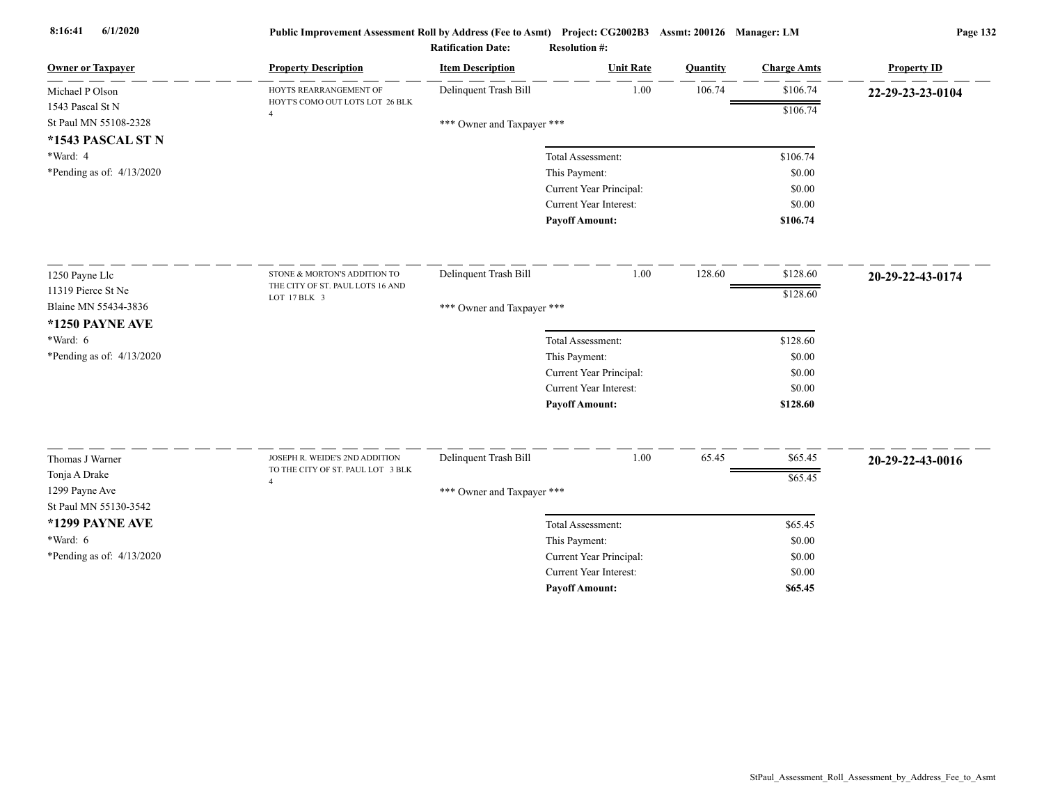| <b>Owner or Taxpayer</b>                | <b>Property Description</b>                                         | <b>Item Description</b>    | <b>Unit Rate</b>              | Quantity | <b>Charge Amts</b> | <b>Property ID</b> |
|-----------------------------------------|---------------------------------------------------------------------|----------------------------|-------------------------------|----------|--------------------|--------------------|
| Michael P Olson                         | HOYTS REARRANGEMENT OF                                              | Delinquent Trash Bill      | 1.00                          | 106.74   | \$106.74           | 22-29-23-23-0104   |
| 1543 Pascal St N                        | HOYT'S COMO OUT LOTS LOT 26 BLK<br>$\overline{4}$                   |                            |                               |          | \$106.74           |                    |
| St Paul MN 55108-2328                   |                                                                     | *** Owner and Taxpayer *** |                               |          |                    |                    |
| *1543 PASCAL ST N                       |                                                                     |                            |                               |          |                    |                    |
| *Ward: 4                                |                                                                     |                            | Total Assessment:             |          | \$106.74           |                    |
| *Pending as of: $4/13/2020$             |                                                                     |                            | This Payment:                 |          | \$0.00             |                    |
|                                         |                                                                     |                            | Current Year Principal:       |          | \$0.00             |                    |
|                                         |                                                                     |                            | Current Year Interest:        |          | \$0.00             |                    |
|                                         |                                                                     |                            | <b>Payoff Amount:</b>         |          | \$106.74           |                    |
| 1250 Payne Llc                          | STONE & MORTON'S ADDITION TO                                        | Delinquent Trash Bill      | 1.00                          | 128.60   | \$128.60           | 20-29-22-43-0174   |
| 11319 Pierce St Ne                      | THE CITY OF ST. PAUL LOTS 16 AND                                    |                            |                               |          | \$128.60           |                    |
| Blaine MN 55434-3836                    | LOT 17 BLK 3                                                        | *** Owner and Taxpayer *** |                               |          |                    |                    |
| <b>*1250 PAYNE AVE</b>                  |                                                                     |                            |                               |          |                    |                    |
| *Ward: 6                                |                                                                     |                            | Total Assessment:             |          | \$128.60           |                    |
| *Pending as of: 4/13/2020               |                                                                     |                            | This Payment:                 |          | \$0.00             |                    |
|                                         |                                                                     |                            | Current Year Principal:       |          | \$0.00             |                    |
|                                         |                                                                     |                            | <b>Current Year Interest:</b> |          | \$0.00             |                    |
|                                         |                                                                     |                            | <b>Payoff Amount:</b>         |          | \$128.60           |                    |
|                                         |                                                                     |                            |                               |          |                    |                    |
| Thomas J Warner                         | JOSEPH R. WEIDE'S 2ND ADDITION<br>TO THE CITY OF ST. PAUL LOT 3 BLK | Delinquent Trash Bill      | 1.00                          | 65.45    | \$65.45            | 20-29-22-43-0016   |
| Tonja A Drake                           | $\overline{4}$                                                      |                            |                               |          | \$65.45            |                    |
| 1299 Payne Ave<br>St Paul MN 55130-3542 |                                                                     | *** Owner and Taxpayer *** |                               |          |                    |                    |
| *1299 PAYNE AVE                         |                                                                     |                            | Total Assessment:             |          | \$65.45            |                    |
| *Ward: 6                                |                                                                     |                            | This Payment:                 |          | \$0.00             |                    |
| *Pending as of: 4/13/2020               |                                                                     |                            | Current Year Principal:       |          | \$0.00             |                    |
|                                         |                                                                     |                            | <b>Current Year Interest:</b> |          | \$0.00             |                    |
|                                         |                                                                     |                            | <b>Pavoff Amount:</b>         |          | \$65.45            |                    |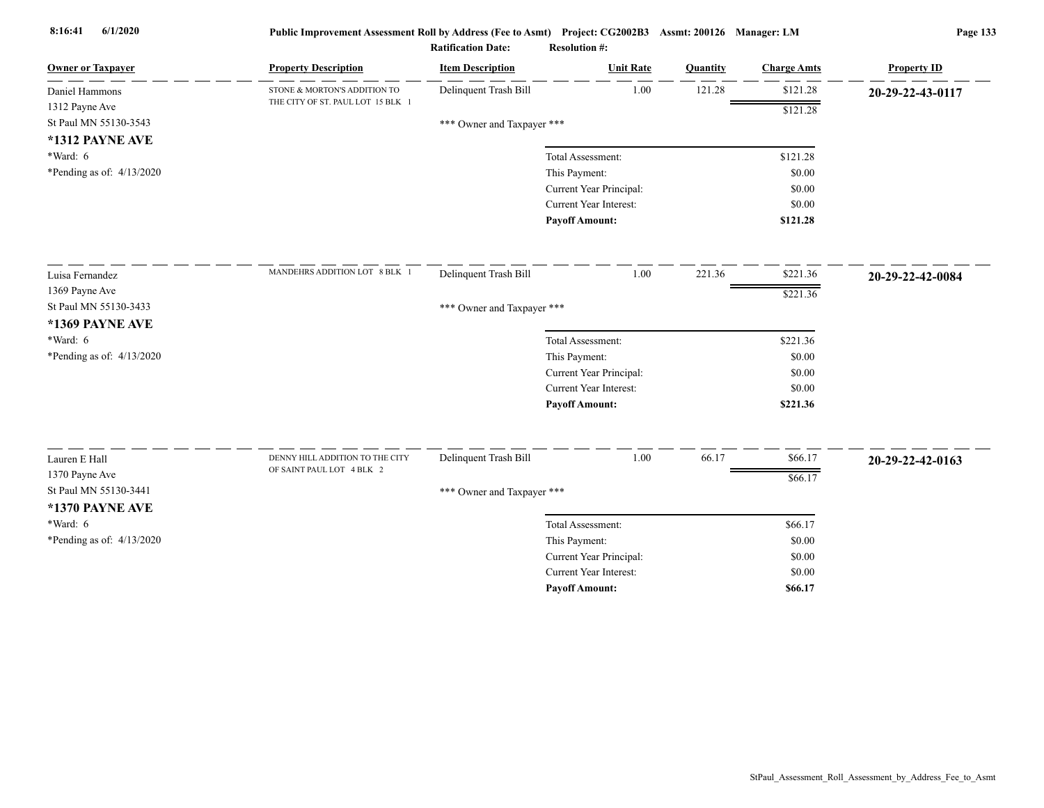| <b>Owner or Taxpayer</b>                | <b>Property Description</b>                                  | <b>Item Description</b>    | <b>Unit Rate</b>              | Quantity | <b>Charge Amts</b> | <b>Property ID</b> |
|-----------------------------------------|--------------------------------------------------------------|----------------------------|-------------------------------|----------|--------------------|--------------------|
| Daniel Hammons                          | STONE & MORTON'S ADDITION TO                                 | Delinquent Trash Bill      | 1.00                          | 121.28   | \$121.28           | 20-29-22-43-0117   |
| 1312 Payne Ave                          | THE CITY OF ST. PAUL LOT 15 BLK 1                            |                            |                               |          | \$121.28           |                    |
| St Paul MN 55130-3543                   |                                                              | *** Owner and Taxpayer *** |                               |          |                    |                    |
| *1312 PAYNE AVE                         |                                                              |                            |                               |          |                    |                    |
| $*Ward: 6$                              |                                                              |                            | Total Assessment:             |          | \$121.28           |                    |
| *Pending as of: $4/13/2020$             |                                                              |                            | This Payment:                 |          | \$0.00             |                    |
|                                         |                                                              |                            | Current Year Principal:       |          | \$0.00             |                    |
|                                         |                                                              |                            | Current Year Interest:        |          | \$0.00             |                    |
|                                         |                                                              |                            | <b>Payoff Amount:</b>         |          | \$121.28           |                    |
| Luisa Fernandez                         | MANDEHRS ADDITION LOT 8 BLK 1                                | Delinquent Trash Bill      | 1.00                          | 221.36   | \$221.36           | 20-29-22-42-0084   |
| 1369 Payne Ave                          |                                                              |                            |                               |          | \$221.36           |                    |
| St Paul MN 55130-3433                   |                                                              | *** Owner and Taxpayer *** |                               |          |                    |                    |
| *1369 PAYNE AVE                         |                                                              |                            |                               |          |                    |                    |
| *Ward: $6$                              |                                                              |                            | Total Assessment:             |          | \$221.36           |                    |
| *Pending as of: 4/13/2020               |                                                              |                            | This Payment:                 |          | \$0.00             |                    |
|                                         |                                                              |                            | Current Year Principal:       |          | \$0.00             |                    |
|                                         |                                                              |                            | <b>Current Year Interest:</b> |          | \$0.00             |                    |
|                                         |                                                              |                            | <b>Payoff Amount:</b>         |          | \$221.36           |                    |
|                                         |                                                              |                            |                               |          |                    |                    |
| Lauren E Hall                           | DENNY HILL ADDITION TO THE CITY<br>OF SAINT PAUL LOT 4 BLK 2 | Delinquent Trash Bill      | 1.00                          | 66.17    | \$66.17            | 20-29-22-42-0163   |
| 1370 Payne Ave<br>St Paul MN 55130-3441 |                                                              |                            |                               |          | \$66.17            |                    |
|                                         |                                                              | *** Owner and Taxpayer *** |                               |          |                    |                    |
| *1370 PAYNE AVE                         |                                                              |                            |                               |          |                    |                    |
| $*Ward: 6$                              |                                                              |                            | Total Assessment:             |          | \$66.17            |                    |
| *Pending as of: $4/13/2020$             |                                                              |                            | This Payment:                 |          | \$0.00             |                    |
|                                         |                                                              |                            | Current Year Principal:       |          | \$0.00             |                    |
|                                         |                                                              |                            | Current Year Interest:        |          | \$0.00             |                    |
|                                         |                                                              |                            | <b>Payoff Amount:</b>         |          | \$66.17            |                    |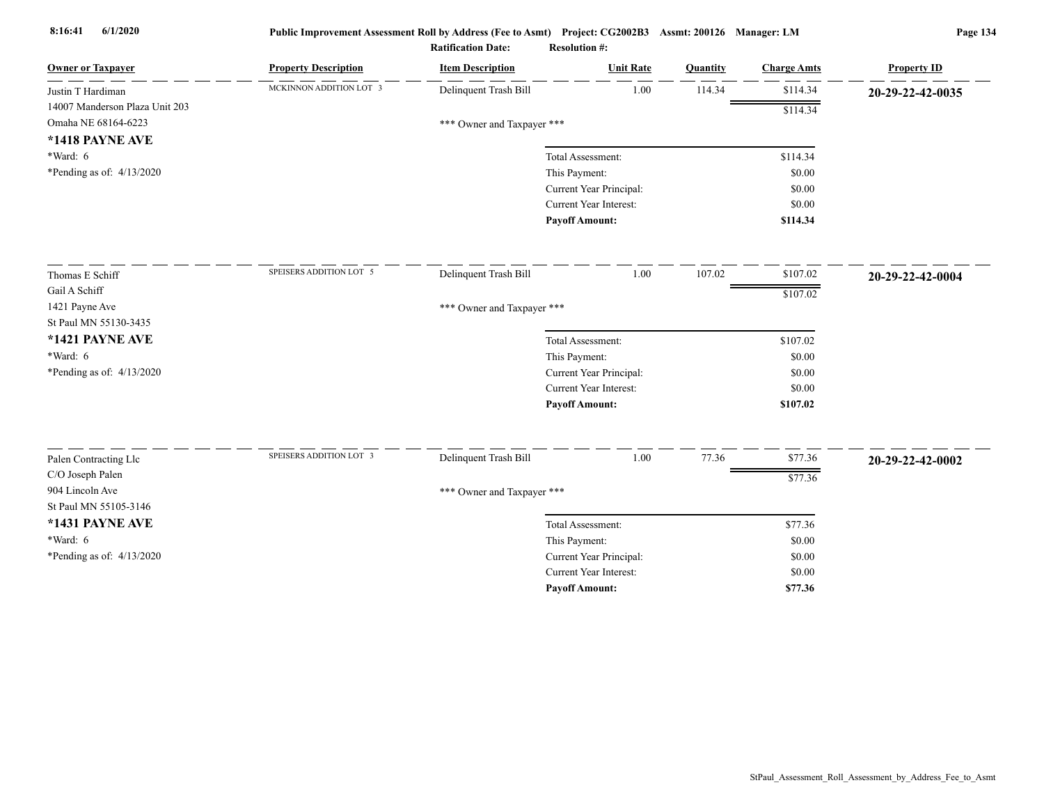| <b>Owner or Taxpayer</b>                 | <b>Property Description</b> | <b>Item Description</b>    | <b>Unit Rate</b>              | Quantity | <b>Charge Amts</b> | <b>Property ID</b> |
|------------------------------------------|-----------------------------|----------------------------|-------------------------------|----------|--------------------|--------------------|
| Justin T Hardiman                        | MCKINNON ADDITION LOT 3     | Delinquent Trash Bill      | 1.00                          | 114.34   | \$114.34           | 20-29-22-42-0035   |
| 14007 Manderson Plaza Unit 203           |                             |                            |                               |          | \$114.34           |                    |
| Omaha NE 68164-6223                      |                             | *** Owner and Taxpayer *** |                               |          |                    |                    |
| *1418 PAYNE AVE                          |                             |                            |                               |          |                    |                    |
| *Ward: 6                                 |                             |                            | Total Assessment:             |          | \$114.34           |                    |
| *Pending as of: $4/13/2020$              |                             |                            | This Payment:                 |          | \$0.00             |                    |
|                                          |                             |                            | Current Year Principal:       |          | \$0.00             |                    |
|                                          |                             |                            | Current Year Interest:        |          | \$0.00             |                    |
|                                          |                             |                            | <b>Payoff Amount:</b>         |          | \$114.34           |                    |
| Thomas E Schiff                          | SPEISERS ADDITION LOT 5     | Delinquent Trash Bill      | 1.00                          | 107.02   | \$107.02           | 20-29-22-42-0004   |
| Gail A Schiff                            |                             |                            |                               |          | \$107.02           |                    |
| 1421 Payne Ave                           |                             | *** Owner and Taxpayer *** |                               |          |                    |                    |
| St Paul MN 55130-3435                    |                             |                            |                               |          |                    |                    |
| *1421 PAYNE AVE                          |                             |                            | Total Assessment:             |          | \$107.02           |                    |
| *Ward: 6                                 |                             |                            | This Payment:                 |          | \$0.00             |                    |
| *Pending as of: 4/13/2020                |                             |                            | Current Year Principal:       |          | \$0.00             |                    |
|                                          |                             |                            | <b>Current Year Interest:</b> |          | \$0.00             |                    |
|                                          |                             |                            | <b>Payoff Amount:</b>         |          | \$107.02           |                    |
|                                          | SPEISERS ADDITION LOT 3     |                            |                               |          |                    |                    |
| Palen Contracting Llc                    |                             | Delinquent Trash Bill      | $1.00\,$                      | 77.36    | \$77.36            | 20-29-22-42-0002   |
| C/O Joseph Palen                         |                             |                            |                               |          | \$77.36            |                    |
| 904 Lincoln Ave<br>St Paul MN 55105-3146 |                             | *** Owner and Taxpayer *** |                               |          |                    |                    |
| *1431 PAYNE AVE                          |                             |                            | Total Assessment:             |          | \$77.36            |                    |
| *Ward: 6                                 |                             |                            | This Payment:                 |          | \$0.00             |                    |
| *Pending as of: 4/13/2020                |                             |                            | Current Year Principal:       |          | \$0.00             |                    |
|                                          |                             |                            | Current Year Interest:        |          | \$0.00             |                    |
|                                          |                             |                            | <b>Payoff Amount:</b>         |          | \$77.36            |                    |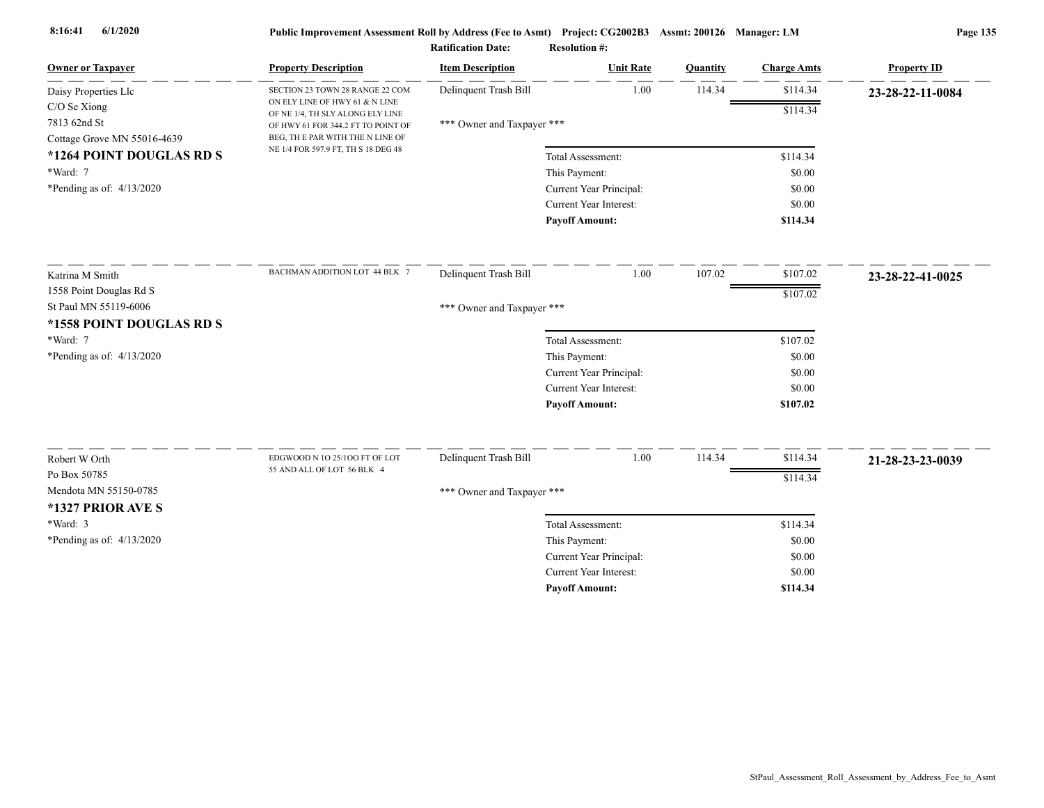|                                                         |                                                                        | <b>Ratification Date:</b>  | <b>Resolution #:</b>                            |          |                    |                    |
|---------------------------------------------------------|------------------------------------------------------------------------|----------------------------|-------------------------------------------------|----------|--------------------|--------------------|
| <b>Owner or Taxpayer</b>                                | <b>Property Description</b>                                            | <b>Item Description</b>    | <b>Unit Rate</b>                                | Quantity | <b>Charge Amts</b> | <b>Property ID</b> |
| Daisy Properties Llc                                    | SECTION 23 TOWN 28 RANGE 22 COM                                        | Delinquent Trash Bill      | 1.00                                            | 114.34   | \$114.34           | 23-28-22-11-0084   |
| $C/O$ Se Xiong                                          | ON ELY LINE OF HWY 61 & N LINE<br>OF NE 1/4, TH SLY ALONG ELY LINE     |                            |                                                 |          | \$114.34           |                    |
| 7813 62nd St                                            | OF HWY 61 FOR 344.2 FT TO POINT OF                                     | *** Owner and Taxpayer *** |                                                 |          |                    |                    |
| Cottage Grove MN 55016-4639<br>*1264 POINT DOUGLAS RD S | BEG, THE PAR WITH THE N LINE OF<br>NE 1/4 FOR 597.9 FT, TH S 18 DEG 48 |                            |                                                 |          |                    |                    |
|                                                         |                                                                        |                            | Total Assessment:                               |          | \$114.34           |                    |
| *Ward: 7                                                |                                                                        |                            | This Payment:                                   |          | \$0.00             |                    |
| *Pending as of: $4/13/2020$                             |                                                                        |                            | Current Year Principal:                         |          | \$0.00             |                    |
|                                                         |                                                                        |                            | Current Year Interest:                          |          | \$0.00             |                    |
|                                                         |                                                                        |                            | <b>Payoff Amount:</b>                           |          | \$114.34           |                    |
| Katrina M Smith                                         | BACHMAN ADDITION LOT 44 BLK 7                                          | Delinquent Trash Bill      | 1.00                                            | 107.02   | \$107.02           | 23-28-22-41-0025   |
| 1558 Point Douglas Rd S                                 |                                                                        |                            |                                                 |          | \$107.02           |                    |
| St Paul MN 55119-6006                                   |                                                                        | *** Owner and Taxpayer *** |                                                 |          |                    |                    |
| *1558 POINT DOUGLAS RD S                                |                                                                        |                            |                                                 |          |                    |                    |
| *Ward: 7                                                |                                                                        |                            | Total Assessment:                               |          | \$107.02           |                    |
| *Pending as of: $4/13/2020$                             |                                                                        |                            | This Payment:                                   |          | \$0.00             |                    |
|                                                         |                                                                        |                            | Current Year Principal:                         |          | \$0.00             |                    |
|                                                         |                                                                        |                            | Current Year Interest:                          |          | \$0.00             |                    |
|                                                         |                                                                        |                            | <b>Payoff Amount:</b>                           |          | \$107.02           |                    |
|                                                         |                                                                        |                            |                                                 |          |                    |                    |
| Robert W Orth                                           | EDGWOOD N 10 25/100 FT OF LOT<br>55 AND ALL OF LOT 56 BLK 4            | Delinquent Trash Bill      | 1.00                                            | 114.34   | \$114.34           | 21-28-23-23-0039   |
| Po Box 50785                                            |                                                                        |                            |                                                 |          | \$114.34           |                    |
| Mendota MN 55150-0785                                   |                                                                        | *** Owner and Taxpayer *** |                                                 |          |                    |                    |
| *1327 PRIOR AVE S                                       |                                                                        |                            |                                                 |          |                    |                    |
| $*Ward: 3$                                              |                                                                        |                            | Total Assessment:                               |          | \$114.34           |                    |
| *Pending as of: 4/13/2020                               |                                                                        |                            | This Payment:                                   |          | \$0.00             |                    |
|                                                         |                                                                        |                            | Current Year Principal:                         |          | \$0.00             |                    |
|                                                         |                                                                        |                            | Current Year Interest:<br><b>Payoff Amount:</b> |          | \$0.00<br>\$114.34 |                    |
|                                                         |                                                                        |                            |                                                 |          |                    |                    |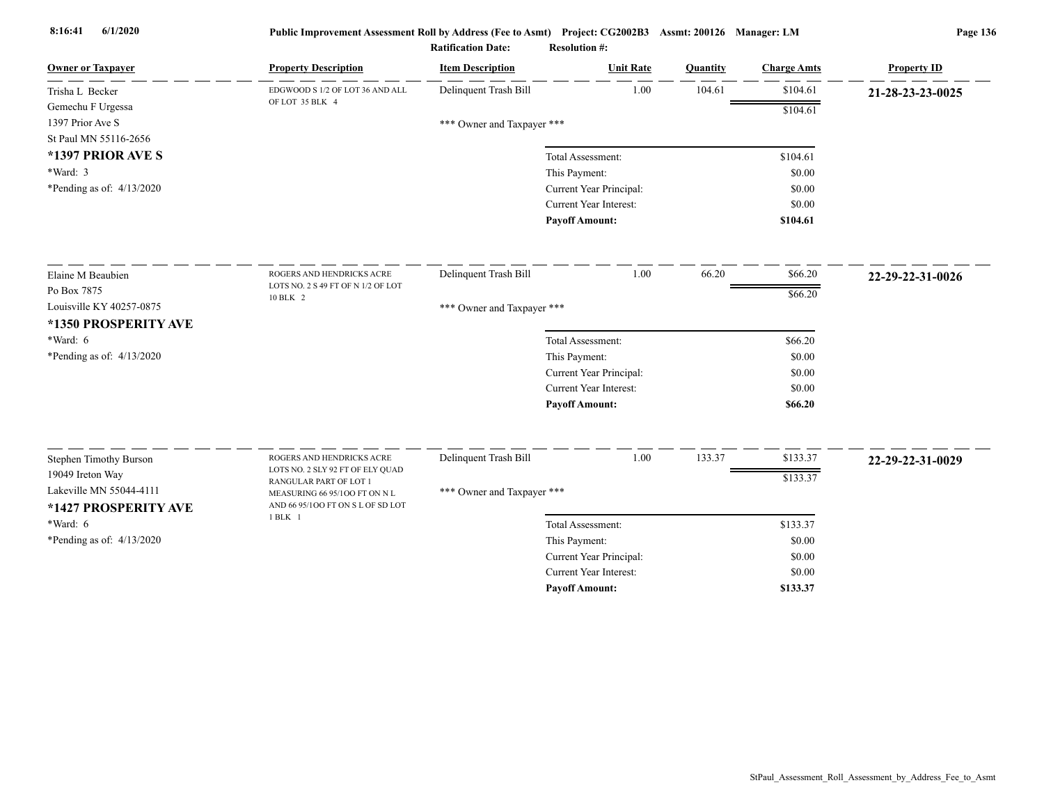| <b>Owner or Taxpayer</b>                        | <b>Property Description</b>                                        | <b>Item Description</b>    | <b>Unit Rate</b>              | <b>Quantity</b> | <b>Charge Amts</b> | <b>Property ID</b> |
|-------------------------------------------------|--------------------------------------------------------------------|----------------------------|-------------------------------|-----------------|--------------------|--------------------|
| Trisha L Becker                                 | EDGWOOD S 1/2 OF LOT 36 AND ALL                                    | Delinquent Trash Bill      | 1.00                          | 104.61          | \$104.61           | 21-28-23-23-0025   |
| Gemechu F Urgessa                               | OF LOT 35 BLK 4                                                    |                            |                               |                 | \$104.61           |                    |
| 1397 Prior Ave S                                |                                                                    | *** Owner and Taxpayer *** |                               |                 |                    |                    |
| St Paul MN 55116-2656                           |                                                                    |                            |                               |                 |                    |                    |
| *1397 PRIOR AVE S                               |                                                                    |                            | Total Assessment:             |                 | \$104.61           |                    |
| *Ward: 3                                        |                                                                    |                            | This Payment:                 |                 | \$0.00             |                    |
| *Pending as of: $4/13/2020$                     |                                                                    |                            | Current Year Principal:       |                 | \$0.00             |                    |
|                                                 |                                                                    |                            | <b>Current Year Interest:</b> |                 | \$0.00             |                    |
|                                                 |                                                                    |                            | <b>Payoff Amount:</b>         |                 | \$104.61           |                    |
| Elaine M Beaubien                               | ROGERS AND HENDRICKS ACRE                                          | Delinquent Trash Bill      | 1.00                          | 66.20           | \$66.20            | 22-29-22-31-0026   |
| Po Box 7875                                     | LOTS NO. 2 S 49 FT OF N 1/2 OF LOT                                 |                            |                               |                 | \$66.20            |                    |
| Louisville KY 40257-0875                        | 10 BLK 2                                                           | *** Owner and Taxpayer *** |                               |                 |                    |                    |
| *1350 PROSPERITY AVE                            |                                                                    |                            |                               |                 |                    |                    |
| *Ward: 6                                        |                                                                    |                            | Total Assessment:             |                 | \$66.20            |                    |
| *Pending as of: 4/13/2020                       |                                                                    |                            | This Payment:                 |                 | \$0.00             |                    |
|                                                 |                                                                    |                            | Current Year Principal:       |                 | \$0.00             |                    |
|                                                 |                                                                    |                            | Current Year Interest:        |                 | \$0.00             |                    |
|                                                 |                                                                    |                            | <b>Payoff Amount:</b>         |                 | \$66.20            |                    |
|                                                 |                                                                    |                            |                               |                 |                    |                    |
| <b>Stephen Timothy Burson</b>                   | ROGERS AND HENDRICKS ACRE<br>LOTS NO. 2 SLY 92 FT OF ELY QUAD      | Delinquent Trash Bill      | 1.00                          | 133.37          | \$133.37           | 22-29-22-31-0029   |
| 19049 Ireton Way                                | RANGULAR PART OF LOT 1                                             |                            |                               |                 | \$133.37           |                    |
| Lakeville MN 55044-4111<br>*1427 PROSPERITY AVE | MEASURING 66 95/100 FT ON N L<br>AND 66 95/100 FT ON S L OF SD LOT | *** Owner and Taxpayer *** |                               |                 |                    |                    |
| *Ward: 6                                        | 1 BLK 1                                                            |                            | Total Assessment:             |                 | \$133.37           |                    |
| *Pending as of: $4/13/2020$                     |                                                                    |                            | This Payment:                 |                 | \$0.00             |                    |
|                                                 |                                                                    |                            | Current Year Principal:       |                 | \$0.00             |                    |
|                                                 |                                                                    |                            | <b>Current Year Interest:</b> |                 | \$0.00             |                    |
|                                                 |                                                                    |                            | <b>Pavoff Amount:</b>         |                 | \$133.37           |                    |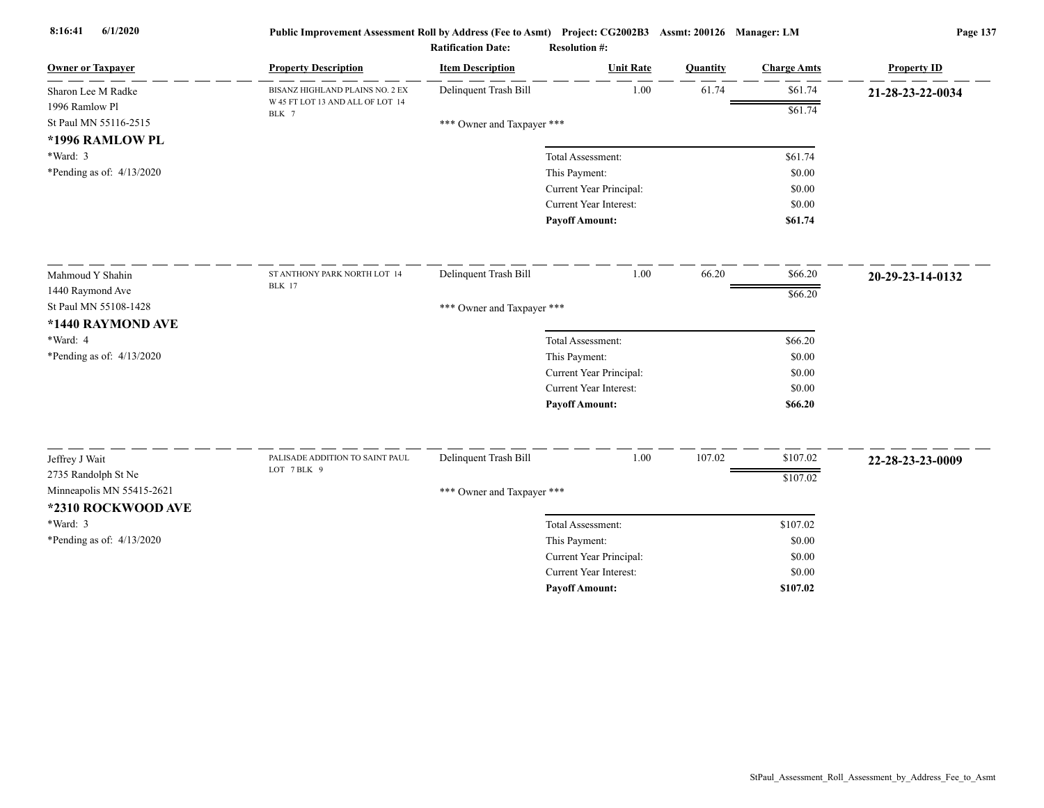| <b>Owner or Taxpayer</b>    | <b>Property Description</b>               | <b>Item Description</b>    | <b>Unit Rate</b>                                  | Quantity | <b>Charge Amts</b> | <b>Property ID</b> |
|-----------------------------|-------------------------------------------|----------------------------|---------------------------------------------------|----------|--------------------|--------------------|
| Sharon Lee M Radke          | BISANZ HIGHLAND PLAINS NO. 2 EX           | Delinquent Trash Bill      | 1.00                                              | 61.74    | \$61.74            | 21-28-23-22-0034   |
| 1996 Ramlow Pl              | W 45 FT LOT 13 AND ALL OF LOT 14<br>BLK 7 |                            |                                                   |          | \$61.74            |                    |
| St Paul MN 55116-2515       |                                           | *** Owner and Taxpayer *** |                                                   |          |                    |                    |
| *1996 RAMLOW PL             |                                           |                            |                                                   |          |                    |                    |
| *Ward: 3                    |                                           |                            | Total Assessment:                                 |          | \$61.74            |                    |
| *Pending as of: $4/13/2020$ |                                           |                            | This Payment:                                     |          | \$0.00<br>\$0.00   |                    |
|                             |                                           |                            | Current Year Principal:<br>Current Year Interest: |          | \$0.00             |                    |
|                             |                                           |                            | <b>Pavoff Amount:</b>                             |          | \$61.74            |                    |
|                             |                                           |                            |                                                   |          |                    |                    |
| Mahmoud Y Shahin            | ST ANTHONY PARK NORTH LOT 14              | Delinquent Trash Bill      | 1.00                                              | 66.20    | \$66.20            | 20-29-23-14-0132   |
| 1440 Raymond Ave            | <b>BLK</b> 17                             |                            |                                                   |          | \$66.20            |                    |
| St Paul MN 55108-1428       |                                           | *** Owner and Taxpayer *** |                                                   |          |                    |                    |
| *1440 RAYMOND AVE           |                                           |                            |                                                   |          |                    |                    |
| *Ward: 4                    |                                           |                            | Total Assessment:                                 |          | \$66.20            |                    |
| *Pending as of: 4/13/2020   |                                           |                            | This Payment:                                     |          | \$0.00             |                    |
|                             |                                           |                            | Current Year Principal:                           |          | \$0.00             |                    |
|                             |                                           |                            | Current Year Interest:                            |          | \$0.00             |                    |
|                             |                                           |                            | <b>Payoff Amount:</b>                             |          | \$66.20            |                    |
| Jeffrey J Wait              | PALISADE ADDITION TO SAINT PAUL           | Delinquent Trash Bill      | 1.00                                              | 107.02   | \$107.02           | 22-28-23-23-0009   |
| 2735 Randolph St Ne         | LOT 7BLK 9                                |                            |                                                   |          | \$107.02           |                    |
| Minneapolis MN 55415-2621   |                                           | *** Owner and Taxpayer *** |                                                   |          |                    |                    |
| *2310 ROCKWOOD AVE          |                                           |                            |                                                   |          |                    |                    |
| *Ward: 3                    |                                           |                            | Total Assessment:                                 |          | \$107.02           |                    |
| *Pending as of: $4/13/2020$ |                                           |                            | This Payment:                                     |          | \$0.00             |                    |
|                             |                                           |                            | Current Year Principal:                           |          | \$0.00             |                    |
|                             |                                           |                            | <b>Current Year Interest:</b>                     |          | \$0.00             |                    |
|                             |                                           |                            | <b>Pavoff Amount:</b>                             |          | \$107.02           |                    |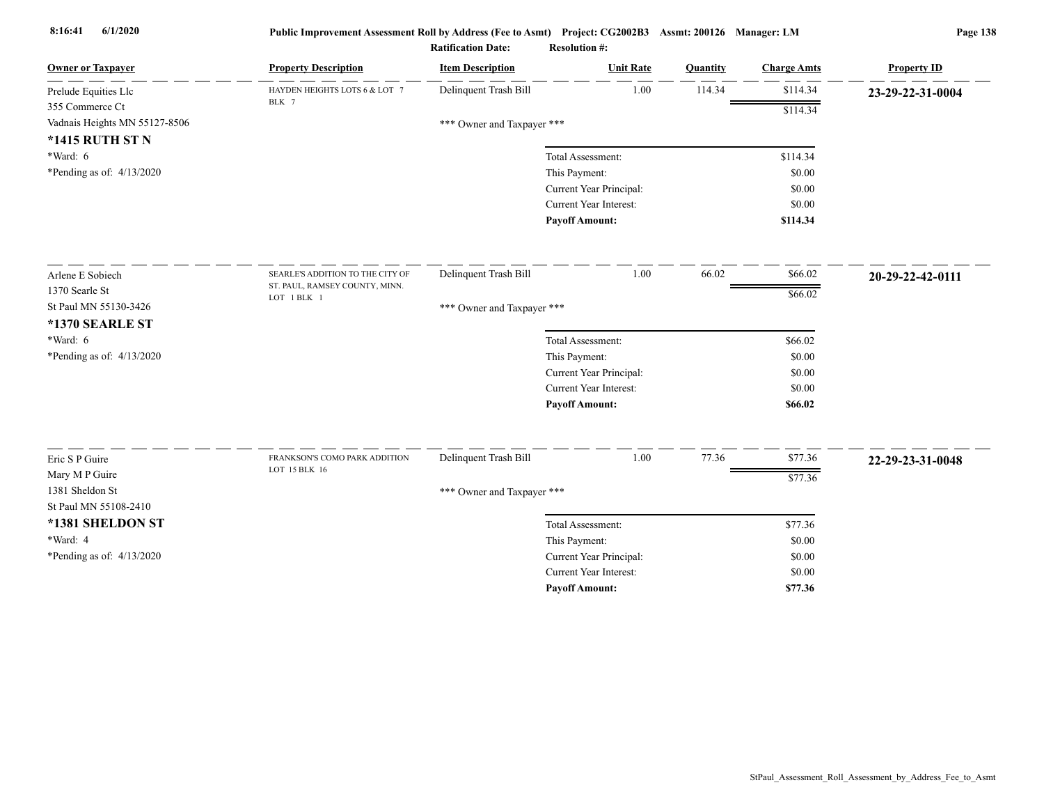| <b>Owner or Taxpayer</b>                 | <b>Property Description</b>                    | <b>Item Description</b>    | <b>Unit Rate</b>              | Quantity | <b>Charge Amts</b> | <b>Property ID</b> |
|------------------------------------------|------------------------------------------------|----------------------------|-------------------------------|----------|--------------------|--------------------|
| Prelude Equities Llc                     | HAYDEN HEIGHTS LOTS 6 & LOT 7                  | Delinquent Trash Bill      | 1.00                          | 114.34   | \$114.34           | 23-29-22-31-0004   |
| 355 Commerce Ct                          | BLK 7                                          |                            |                               |          | \$114.34           |                    |
| Vadnais Heights MN 55127-8506            |                                                | *** Owner and Taxpayer *** |                               |          |                    |                    |
| <b>*1415 RUTH ST N</b>                   |                                                |                            |                               |          |                    |                    |
| *Ward: 6                                 |                                                |                            | Total Assessment:             |          | \$114.34           |                    |
| *Pending as of: $4/13/2020$              |                                                |                            | This Payment:                 |          | \$0.00             |                    |
|                                          |                                                |                            | Current Year Principal:       |          | \$0.00             |                    |
|                                          |                                                |                            | <b>Current Year Interest:</b> |          | \$0.00             |                    |
|                                          |                                                |                            | <b>Payoff Amount:</b>         |          | \$114.34           |                    |
| Arlene E Sobiech                         | SEARLE'S ADDITION TO THE CITY OF               | Delinquent Trash Bill      | 1.00                          | 66.02    | \$66.02            | 20-29-22-42-0111   |
| 1370 Searle St                           | ST. PAUL, RAMSEY COUNTY, MINN.                 |                            |                               |          | \$66.02            |                    |
| St Paul MN 55130-3426                    | LOT 1 BLK 1                                    | *** Owner and Taxpayer *** |                               |          |                    |                    |
| *1370 SEARLE ST                          |                                                |                            |                               |          |                    |                    |
| $*Ward: 6$                               |                                                |                            | Total Assessment:             |          | \$66.02            |                    |
| *Pending as of: 4/13/2020                |                                                |                            | This Payment:                 |          | \$0.00             |                    |
|                                          |                                                |                            | Current Year Principal:       |          | \$0.00             |                    |
|                                          |                                                |                            | Current Year Interest:        |          | \$0.00             |                    |
|                                          |                                                |                            | <b>Payoff Amount:</b>         |          | \$66.02            |                    |
|                                          |                                                |                            |                               |          |                    |                    |
| Eric S P Guire                           | FRANKSON'S COMO PARK ADDITION<br>LOT 15 BLK 16 | Delinquent Trash Bill      | 1.00                          | 77.36    | \$77.36            | 22-29-23-31-0048   |
| Mary M P Guire                           |                                                |                            |                               |          | \$77.36            |                    |
| 1381 Sheldon St<br>St Paul MN 55108-2410 |                                                | *** Owner and Taxpayer *** |                               |          |                    |                    |
| *1381 SHELDON ST                         |                                                |                            | Total Assessment:             |          | \$77.36            |                    |
| *Ward: 4                                 |                                                |                            | This Payment:                 |          | \$0.00             |                    |
| *Pending as of: 4/13/2020                |                                                |                            | Current Year Principal:       |          | \$0.00             |                    |
|                                          |                                                |                            | Current Year Interest:        |          | \$0.00             |                    |
|                                          |                                                |                            | <b>Payoff Amount:</b>         |          | \$77.36            |                    |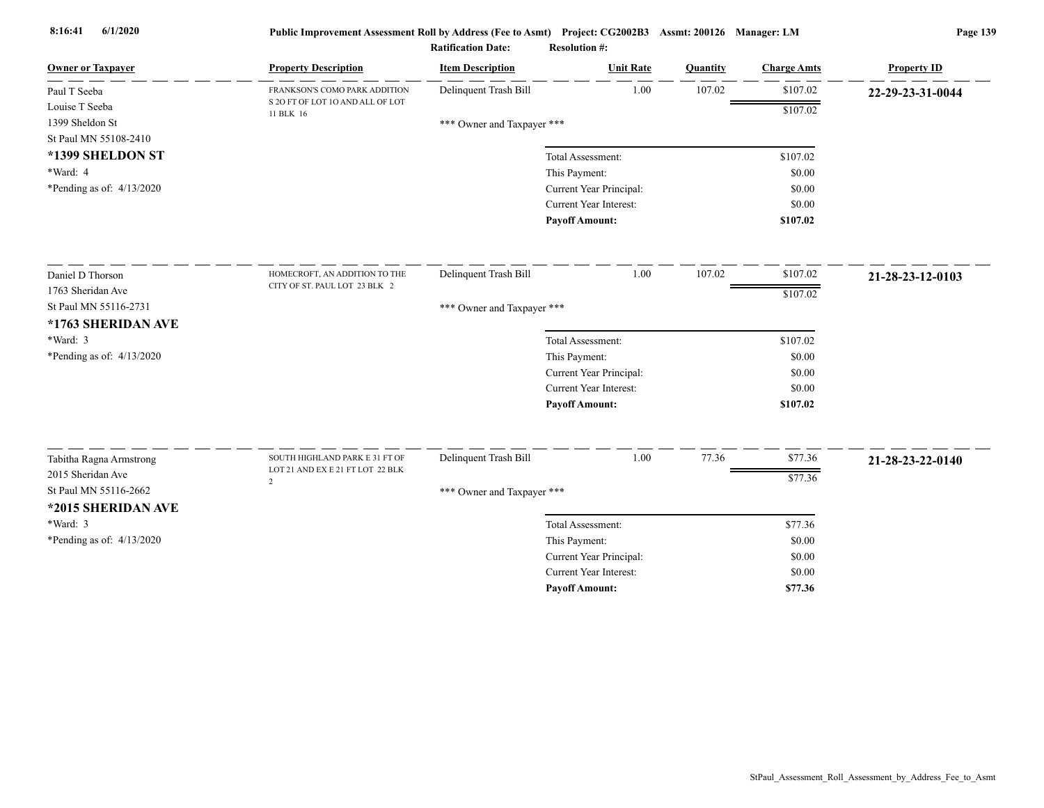| <b>Owner or Taxpayer</b>     | <b>Property Description</b>                   | <b>Item Description</b>    | <b>Unit Rate</b>                                         | Quantity | <b>Charge Amts</b> | <b>Property ID</b> |
|------------------------------|-----------------------------------------------|----------------------------|----------------------------------------------------------|----------|--------------------|--------------------|
| Paul T Seeba                 | FRANKSON'S COMO PARK ADDITION                 | Delinquent Trash Bill      | 1.00                                                     | 107.02   | \$107.02           | 22-29-23-31-0044   |
| Louise T Seeba               | S 2O FT OF LOT 1O AND ALL OF LOT<br>11 BLK 16 |                            |                                                          |          | \$107.02           |                    |
| 1399 Sheldon St              |                                               | *** Owner and Taxpayer *** |                                                          |          |                    |                    |
| St Paul MN 55108-2410        |                                               |                            |                                                          |          |                    |                    |
| *1399 SHELDON ST<br>*Ward: 4 |                                               |                            | Total Assessment:                                        |          | \$107.02           |                    |
|                              |                                               |                            | This Payment:                                            |          | \$0.00<br>\$0.00   |                    |
| *Pending as of: $4/13/2020$  |                                               |                            | Current Year Principal:<br><b>Current Year Interest:</b> |          | \$0.00             |                    |
|                              |                                               |                            | <b>Payoff Amount:</b>                                    |          | \$107.02           |                    |
|                              |                                               |                            |                                                          |          |                    |                    |
| Daniel D Thorson             | HOMECROFT, AN ADDITION TO THE                 | Delinquent Trash Bill      | 1.00                                                     | 107.02   | \$107.02           | 21-28-23-12-0103   |
| 1763 Sheridan Ave            | CITY OF ST. PAUL LOT 23 BLK 2                 |                            |                                                          |          | \$107.02           |                    |
| St Paul MN 55116-2731        |                                               | *** Owner and Taxpayer *** |                                                          |          |                    |                    |
| *1763 SHERIDAN AVE           |                                               |                            |                                                          |          |                    |                    |
| *Ward: 3                     |                                               |                            | Total Assessment:                                        |          | \$107.02           |                    |
| *Pending as of: 4/13/2020    |                                               |                            | This Payment:                                            |          | \$0.00             |                    |
|                              |                                               |                            | Current Year Principal:                                  |          | \$0.00             |                    |
|                              |                                               |                            | <b>Current Year Interest:</b>                            |          | \$0.00             |                    |
|                              |                                               |                            | <b>Payoff Amount:</b>                                    |          | \$107.02           |                    |
| Tabitha Ragna Armstrong      | SOUTH HIGHLAND PARK E 31 FT OF                | Delinquent Trash Bill      | 1.00                                                     | 77.36    | \$77.36            | 21-28-23-22-0140   |
| 2015 Sheridan Ave            | LOT 21 AND EX E 21 FT LOT 22 BLK              |                            |                                                          |          | \$77.36            |                    |
| St Paul MN 55116-2662        | $\overline{2}$                                | *** Owner and Taxpayer *** |                                                          |          |                    |                    |
| *2015 SHERIDAN AVE           |                                               |                            |                                                          |          |                    |                    |
| *Ward: 3                     |                                               |                            | Total Assessment:                                        |          | \$77.36            |                    |
| *Pending as of: 4/13/2020    |                                               |                            | This Payment:                                            |          | \$0.00             |                    |
|                              |                                               |                            | Current Year Principal:                                  |          | \$0.00             |                    |
|                              |                                               |                            | <b>Current Year Interest:</b>                            |          | \$0.00             |                    |
|                              |                                               |                            | <b>Pavoff Amount:</b>                                    |          | \$77.36            |                    |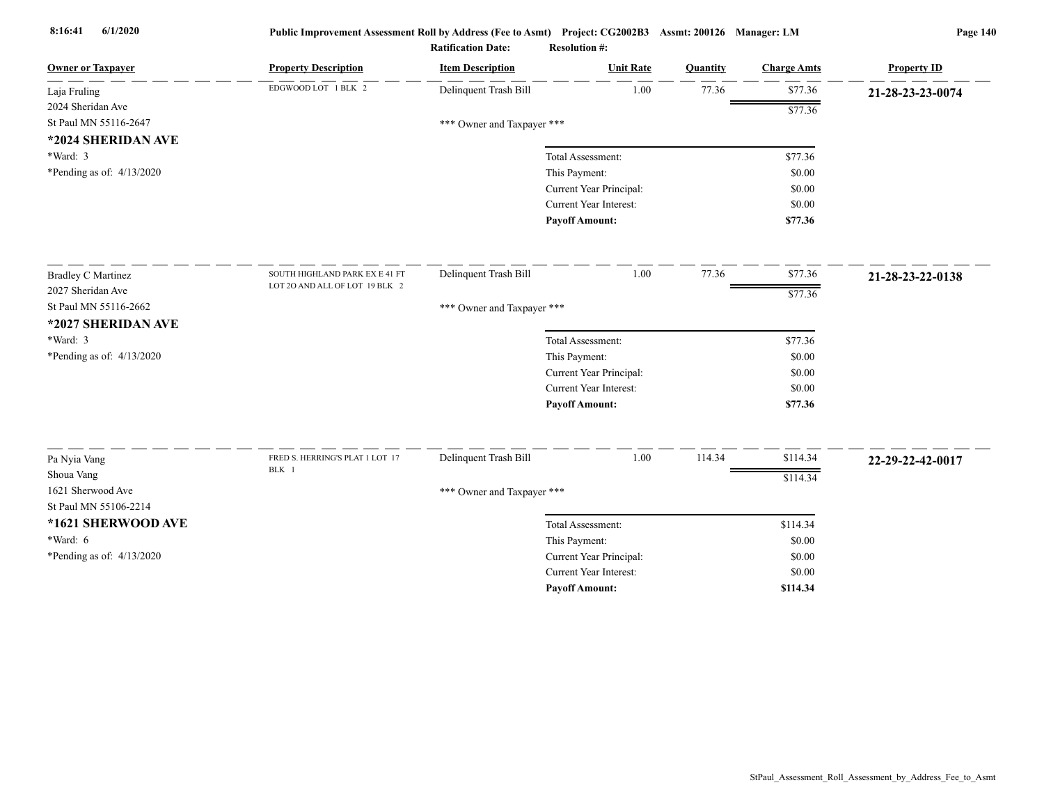|                                                |                                 | <b>Ratification Date:</b>  | <b>Resolution #:</b>                              |          |                    |                    |
|------------------------------------------------|---------------------------------|----------------------------|---------------------------------------------------|----------|--------------------|--------------------|
| <b>Owner or Taxpayer</b>                       | <b>Property Description</b>     | <b>Item Description</b>    | <b>Unit Rate</b>                                  | Quantity | <b>Charge Amts</b> | <b>Property ID</b> |
| Laja Fruling                                   | EDGWOOD LOT 1 BLK 2             | Delinquent Trash Bill      | 1.00                                              | 77.36    | \$77.36            | 21-28-23-23-0074   |
| 2024 Sheridan Ave                              |                                 |                            |                                                   |          | \$77.36            |                    |
| St Paul MN 55116-2647                          |                                 | *** Owner and Taxpayer *** |                                                   |          |                    |                    |
| *2024 SHERIDAN AVE                             |                                 |                            |                                                   |          |                    |                    |
| $*Ward: 3$                                     |                                 |                            | Total Assessment:                                 |          | \$77.36            |                    |
| *Pending as of: 4/13/2020                      |                                 |                            | This Payment:                                     |          | \$0.00             |                    |
|                                                |                                 |                            | Current Year Principal:                           |          | \$0.00             |                    |
|                                                |                                 |                            | Current Year Interest:                            |          | \$0.00             |                    |
|                                                |                                 |                            | <b>Payoff Amount:</b>                             |          | \$77.36            |                    |
|                                                | SOUTH HIGHLAND PARK EX E 41 FT  |                            | 1.00                                              | 77.36    |                    |                    |
| <b>Bradley C Martinez</b><br>2027 Sheridan Ave | LOT 20 AND ALL OF LOT 19 BLK 2  | Delinquent Trash Bill      |                                                   |          | \$77.36            | 21-28-23-22-0138   |
| St Paul MN 55116-2662                          |                                 |                            |                                                   |          | \$77.36            |                    |
| *2027 SHERIDAN AVE                             |                                 | *** Owner and Taxpayer *** |                                                   |          |                    |                    |
| *Ward: 3                                       |                                 |                            |                                                   |          |                    |                    |
| *Pending as of: 4/13/2020                      |                                 |                            | Total Assessment:                                 |          | \$77.36<br>\$0.00  |                    |
|                                                |                                 |                            | This Payment:                                     |          | \$0.00             |                    |
|                                                |                                 |                            | Current Year Principal:<br>Current Year Interest: |          | \$0.00             |                    |
|                                                |                                 |                            | <b>Payoff Amount:</b>                             |          | \$77.36            |                    |
|                                                |                                 |                            |                                                   |          |                    |                    |
| Pa Nyia Vang                                   | FRED S. HERRING'S PLAT 1 LOT 17 | Delinquent Trash Bill      | 1.00                                              | 114.34   | \$114.34           | 22-29-22-42-0017   |
| Shoua Vang                                     | BLK 1                           |                            |                                                   |          | \$114.34           |                    |
| 1621 Sherwood Ave                              |                                 | *** Owner and Taxpayer *** |                                                   |          |                    |                    |
| St Paul MN 55106-2214                          |                                 |                            |                                                   |          |                    |                    |
| *1621 SHERWOOD AVE                             |                                 |                            | Total Assessment:                                 |          | \$114.34           |                    |
| *Ward: $6$                                     |                                 |                            | This Payment:                                     |          | \$0.00             |                    |
| *Pending as of: 4/13/2020                      |                                 |                            | Current Year Principal:                           |          | \$0.00             |                    |
|                                                |                                 |                            | Current Year Interest:                            |          | \$0.00             |                    |
|                                                |                                 |                            | <b>Payoff Amount:</b>                             |          | \$114.34           |                    |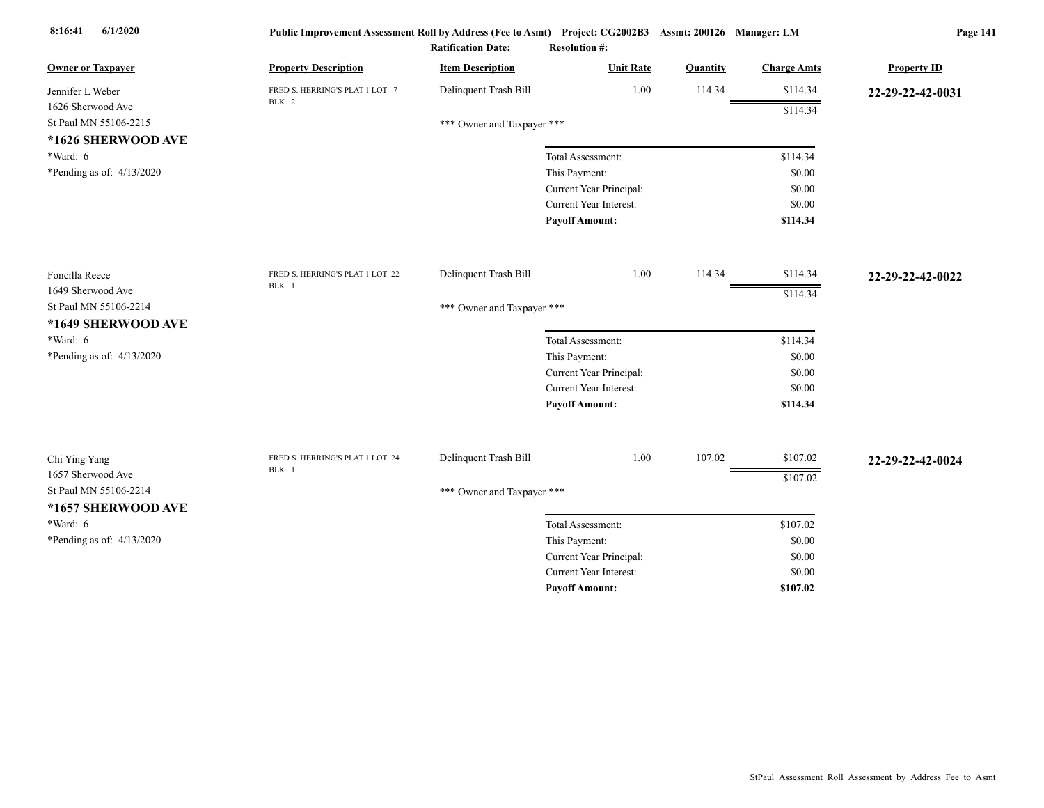| <b>Owner or Taxpayer</b>    | <b>Property Description</b>     | <b>Item Description</b>    | <b>Unit Rate</b>              | Quantity | <b>Charge Amts</b> | <b>Property ID</b> |
|-----------------------------|---------------------------------|----------------------------|-------------------------------|----------|--------------------|--------------------|
| Jennifer L Weber            | FRED S. HERRING'S PLAT 1 LOT 7  | Delinquent Trash Bill      | 1.00                          | 114.34   | \$114.34           | 22-29-22-42-0031   |
| 1626 Sherwood Ave           | BLK 2                           |                            |                               |          | \$114.34           |                    |
| St Paul MN 55106-2215       |                                 | *** Owner and Taxpayer *** |                               |          |                    |                    |
| *1626 SHERWOOD AVE          |                                 |                            |                               |          |                    |                    |
| *Ward: 6                    |                                 |                            | Total Assessment:             |          | \$114.34           |                    |
| *Pending as of: $4/13/2020$ |                                 |                            | This Payment:                 |          | \$0.00             |                    |
|                             |                                 |                            | Current Year Principal:       |          | \$0.00             |                    |
|                             |                                 |                            | <b>Current Year Interest:</b> |          | \$0.00             |                    |
|                             |                                 |                            | <b>Payoff Amount:</b>         |          | \$114.34           |                    |
| Foncilla Reece              | FRED S. HERRING'S PLAT 1 LOT 22 | Delinquent Trash Bill      | 1.00                          | 114.34   | \$114.34           | 22-29-22-42-0022   |
| 1649 Sherwood Ave           | BLK 1                           |                            |                               |          | \$114.34           |                    |
| St Paul MN 55106-2214       |                                 | *** Owner and Taxpayer *** |                               |          |                    |                    |
| *1649 SHERWOOD AVE          |                                 |                            |                               |          |                    |                    |
| $*Ward: 6$                  |                                 |                            | Total Assessment:             |          | \$114.34           |                    |
| *Pending as of: 4/13/2020   |                                 |                            | This Payment:                 |          | \$0.00             |                    |
|                             |                                 |                            | Current Year Principal:       |          | \$0.00             |                    |
|                             |                                 |                            | Current Year Interest:        |          | \$0.00             |                    |
|                             |                                 |                            | <b>Payoff Amount:</b>         |          | \$114.34           |                    |
| Chi Ying Yang               | FRED S. HERRING'S PLAT 1 LOT 24 | Delinquent Trash Bill      | 1.00                          | 107.02   | \$107.02           | 22-29-22-42-0024   |
| 1657 Sherwood Ave           | BLK 1                           |                            |                               |          | \$107.02           |                    |
| St Paul MN 55106-2214       |                                 | *** Owner and Taxpayer *** |                               |          |                    |                    |
| *1657 SHERWOOD AVE          |                                 |                            |                               |          |                    |                    |
| *Ward: 6                    |                                 |                            | Total Assessment:             |          | \$107.02           |                    |
| *Pending as of: 4/13/2020   |                                 |                            | This Payment:                 |          | \$0.00             |                    |
|                             |                                 |                            | Current Year Principal:       |          | \$0.00             |                    |
|                             |                                 |                            | <b>Current Year Interest:</b> |          | \$0.00             |                    |
|                             |                                 |                            | <b>Payoff Amount:</b>         |          | \$107.02           |                    |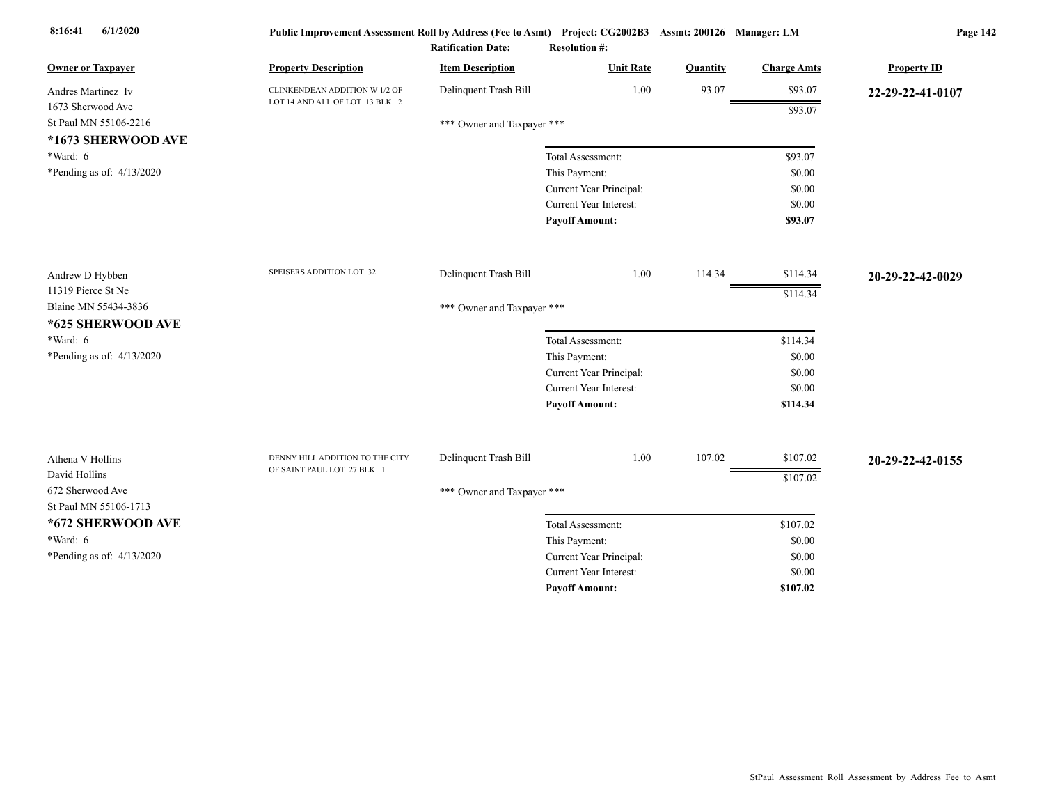| <b>Owner or Taxpayer</b>    | <b>Property Description</b>     | <b>Item Description</b>    | <b>Unit Rate</b>              | Quantity | <b>Charge Amts</b> | <b>Property ID</b> |
|-----------------------------|---------------------------------|----------------------------|-------------------------------|----------|--------------------|--------------------|
| Andres Martinez Iv          | CLINKENDEAN ADDITION W 1/2 OF   | Delinquent Trash Bill      | 1.00                          | 93.07    | \$93.07            | 22-29-22-41-0107   |
| 1673 Sherwood Ave           | LOT 14 AND ALL OF LOT 13 BLK 2  |                            |                               |          | \$93.07            |                    |
| St Paul MN 55106-2216       |                                 | *** Owner and Taxpayer *** |                               |          |                    |                    |
| *1673 SHERWOOD AVE          |                                 |                            |                               |          |                    |                    |
| $*Ward: 6$                  |                                 |                            | Total Assessment:             |          | \$93.07            |                    |
| *Pending as of: 4/13/2020   |                                 |                            | This Payment:                 |          | \$0.00             |                    |
|                             |                                 |                            | Current Year Principal:       |          | \$0.00             |                    |
|                             |                                 |                            | Current Year Interest:        |          | \$0.00             |                    |
|                             |                                 |                            | <b>Payoff Amount:</b>         |          | \$93.07            |                    |
| Andrew D Hybben             | SPEISERS ADDITION LOT 32        | Delinquent Trash Bill      | 1.00                          | 114.34   | \$114.34           | 20-29-22-42-0029   |
| 11319 Pierce St Ne          |                                 |                            |                               |          | \$114.34           |                    |
| Blaine MN 55434-3836        |                                 | *** Owner and Taxpayer *** |                               |          |                    |                    |
| *625 SHERWOOD AVE           |                                 |                            |                               |          |                    |                    |
| $*Ward: 6$                  |                                 |                            | Total Assessment:             |          | \$114.34           |                    |
| *Pending as of: $4/13/2020$ |                                 |                            | This Payment:                 |          | \$0.00             |                    |
|                             |                                 |                            | Current Year Principal:       |          | \$0.00             |                    |
|                             |                                 |                            | Current Year Interest:        |          | \$0.00             |                    |
|                             |                                 |                            | <b>Payoff Amount:</b>         |          | \$114.34           |                    |
| Athena V Hollins            | DENNY HILL ADDITION TO THE CITY | Delinquent Trash Bill      | 1.00                          | 107.02   | \$107.02           |                    |
| David Hollins               | OF SAINT PAUL LOT 27 BLK 1      |                            |                               |          |                    | 20-29-22-42-0155   |
| 672 Sherwood Ave            |                                 |                            |                               |          | \$107.02           |                    |
| St Paul MN 55106-1713       |                                 | *** Owner and Taxpayer *** |                               |          |                    |                    |
| *672 SHERWOOD AVE           |                                 |                            | Total Assessment:             |          | \$107.02           |                    |
| $*Ward: 6$                  |                                 |                            | This Payment:                 |          | \$0.00             |                    |
| *Pending as of: 4/13/2020   |                                 |                            | Current Year Principal:       |          | \$0.00             |                    |
|                             |                                 |                            | <b>Current Year Interest:</b> |          | \$0.00             |                    |
|                             |                                 |                            | <b>Pavoff Amount:</b>         |          | \$107.02           |                    |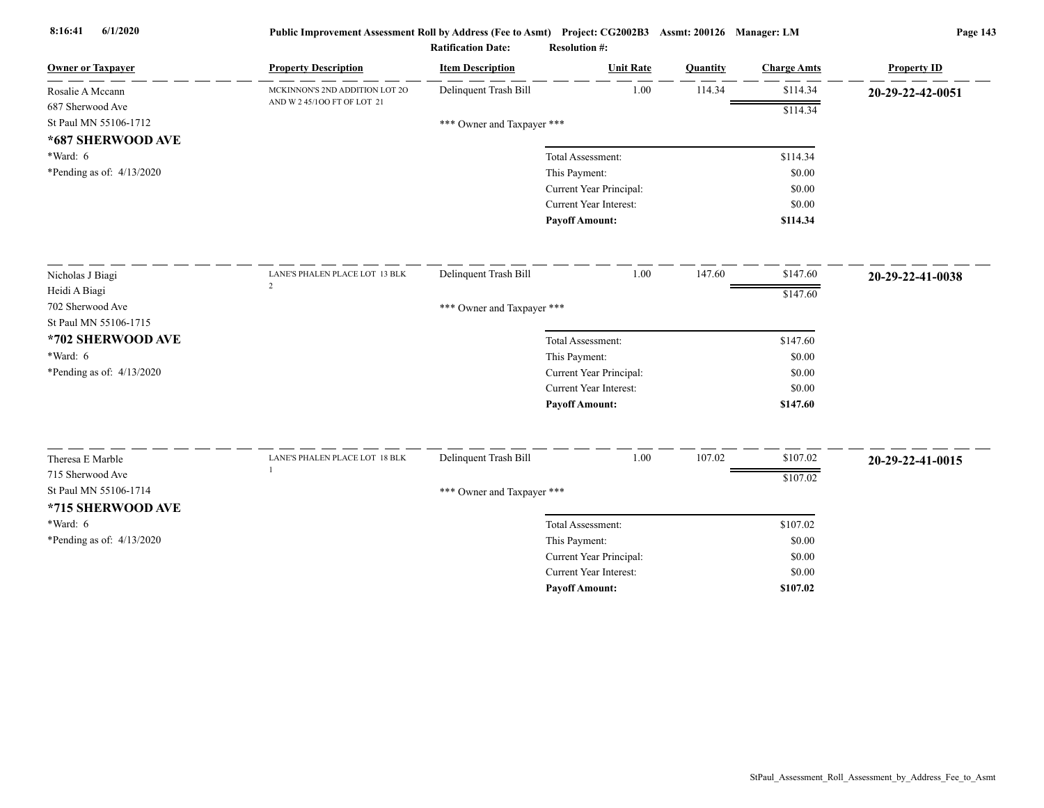| <b>Owner or Taxpayer</b>  | <b>Property Description</b>    | <b>Item Description</b>    | <b>Unit Rate</b>              | Quantity | <b>Charge Amts</b> | <b>Property ID</b> |
|---------------------------|--------------------------------|----------------------------|-------------------------------|----------|--------------------|--------------------|
| Rosalie A Mccann          | MCKINNON'S 2ND ADDITION LOT 2O | Delinquent Trash Bill      | 1.00                          | 114.34   | \$114.34           | 20-29-22-42-0051   |
| 687 Sherwood Ave          | AND W 2 45/100 FT OF LOT 21    |                            |                               |          | \$114.34           |                    |
| St Paul MN 55106-1712     |                                | *** Owner and Taxpayer *** |                               |          |                    |                    |
| *687 SHERWOOD AVE         |                                |                            |                               |          |                    |                    |
| *Ward: 6                  |                                |                            | Total Assessment:             |          | \$114.34           |                    |
| *Pending as of: 4/13/2020 |                                |                            | This Payment:                 |          | \$0.00             |                    |
|                           |                                |                            | Current Year Principal:       |          | \$0.00             |                    |
|                           |                                |                            | <b>Current Year Interest:</b> |          | \$0.00             |                    |
|                           |                                |                            | <b>Payoff Amount:</b>         |          | \$114.34           |                    |
| Nicholas J Biagi          | LANE'S PHALEN PLACE LOT 13 BLK | Delinquent Trash Bill      | 1.00                          | 147.60   | \$147.60           | 20-29-22-41-0038   |
| Heidi A Biagi             | $\overline{2}$                 |                            |                               |          | \$147.60           |                    |
| 702 Sherwood Ave          |                                | *** Owner and Taxpayer *** |                               |          |                    |                    |
| St Paul MN 55106-1715     |                                |                            |                               |          |                    |                    |
| *702 SHERWOOD AVE         |                                |                            | Total Assessment:             |          | \$147.60           |                    |
| *Ward: 6                  |                                |                            | This Payment:                 |          | \$0.00             |                    |
| *Pending as of: 4/13/2020 |                                |                            | Current Year Principal:       |          | \$0.00             |                    |
|                           |                                |                            | <b>Current Year Interest:</b> |          | \$0.00             |                    |
|                           |                                |                            | <b>Payoff Amount:</b>         |          | \$147.60           |                    |
| Theresa E Marble          | LANE'S PHALEN PLACE LOT 18 BLK | Delinquent Trash Bill      | 1.00                          | 107.02   | \$107.02           | 20-29-22-41-0015   |
| 715 Sherwood Ave          |                                |                            |                               |          | \$107.02           |                    |
| St Paul MN 55106-1714     |                                | *** Owner and Taxpayer *** |                               |          |                    |                    |
| *715 SHERWOOD AVE         |                                |                            |                               |          |                    |                    |
| *Ward: 6                  |                                |                            | Total Assessment:             |          | \$107.02           |                    |
| *Pending as of: 4/13/2020 |                                |                            | This Payment:                 |          | \$0.00             |                    |
|                           |                                |                            | Current Year Principal:       |          | \$0.00             |                    |
|                           |                                |                            | <b>Current Year Interest:</b> |          | \$0.00             |                    |
|                           |                                |                            | <b>Pavoff Amount:</b>         |          | \$107.02           |                    |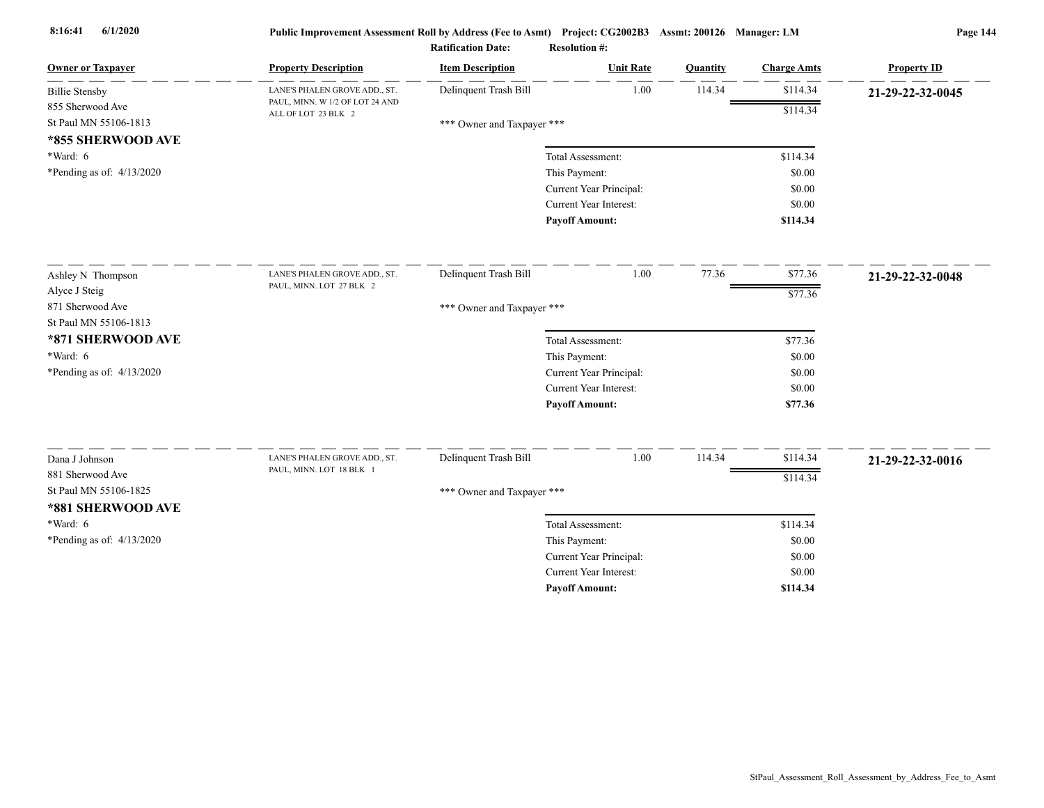| <b>Owner or Taxpayer</b>                   | <b>Property Description</b>                            | <b>Item Description</b>    | <b>Unit Rate</b>        | Quantity | <b>Charge Amts</b> | <b>Property ID</b> |
|--------------------------------------------|--------------------------------------------------------|----------------------------|-------------------------|----------|--------------------|--------------------|
| <b>Billie Stensby</b>                      | LANE'S PHALEN GROVE ADD., ST.                          | Delinquent Trash Bill      | 1.00                    | 114.34   | \$114.34           | 21-29-22-32-0045   |
| 855 Sherwood Ave                           | PAUL, MINN. W 1/2 OF LOT 24 AND<br>ALL OF LOT 23 BLK 2 |                            |                         |          | \$114.34           |                    |
| St Paul MN 55106-1813<br>*855 SHERWOOD AVE |                                                        | *** Owner and Taxpayer *** |                         |          |                    |                    |
| $*Ward: 6$                                 |                                                        |                            | Total Assessment:       |          | \$114.34           |                    |
| *Pending as of: $4/13/2020$                |                                                        |                            | This Payment:           |          | \$0.00             |                    |
|                                            |                                                        |                            | Current Year Principal: |          | \$0.00             |                    |
|                                            |                                                        |                            | Current Year Interest:  |          | \$0.00             |                    |
|                                            |                                                        |                            | <b>Payoff Amount:</b>   |          | \$114.34           |                    |
| Ashley N Thompson                          | LANE'S PHALEN GROVE ADD., ST.                          | Delinquent Trash Bill      | 1.00                    | 77.36    | \$77.36            | 21-29-22-32-0048   |
| Alyce J Steig                              | PAUL, MINN. LOT 27 BLK 2                               |                            |                         |          | \$77.36            |                    |
| 871 Sherwood Ave                           |                                                        | *** Owner and Taxpayer *** |                         |          |                    |                    |
| St Paul MN 55106-1813                      |                                                        |                            |                         |          |                    |                    |
| *871 SHERWOOD AVE                          |                                                        |                            | Total Assessment:       |          | \$77.36            |                    |
| *Ward: 6                                   |                                                        |                            | This Payment:           |          | \$0.00             |                    |
| *Pending as of: 4/13/2020                  |                                                        |                            | Current Year Principal: |          | \$0.00             |                    |
|                                            |                                                        |                            | Current Year Interest:  |          | \$0.00             |                    |
|                                            |                                                        |                            | <b>Payoff Amount:</b>   |          | \$77.36            |                    |
| Dana J Johnson                             | LANE'S PHALEN GROVE ADD., ST.                          | Delinquent Trash Bill      | 1.00                    | 114.34   | \$114.34           | 21-29-22-32-0016   |
| 881 Sherwood Ave                           | PAUL, MINN. LOT 18 BLK 1                               |                            |                         |          | \$114.34           |                    |
| St Paul MN 55106-1825<br>*881 SHERWOOD AVE |                                                        | *** Owner and Taxpayer *** |                         |          |                    |                    |
| $*Ward: 6$                                 |                                                        |                            | Total Assessment:       |          | \$114.34           |                    |
| *Pending as of: 4/13/2020                  |                                                        |                            | This Payment:           |          | \$0.00             |                    |
|                                            |                                                        |                            | Current Year Principal: |          | \$0.00             |                    |
|                                            |                                                        |                            | Current Year Interest:  |          | \$0.00             |                    |
|                                            |                                                        |                            | <b>Pavoff Amount:</b>   |          | \$114.34           |                    |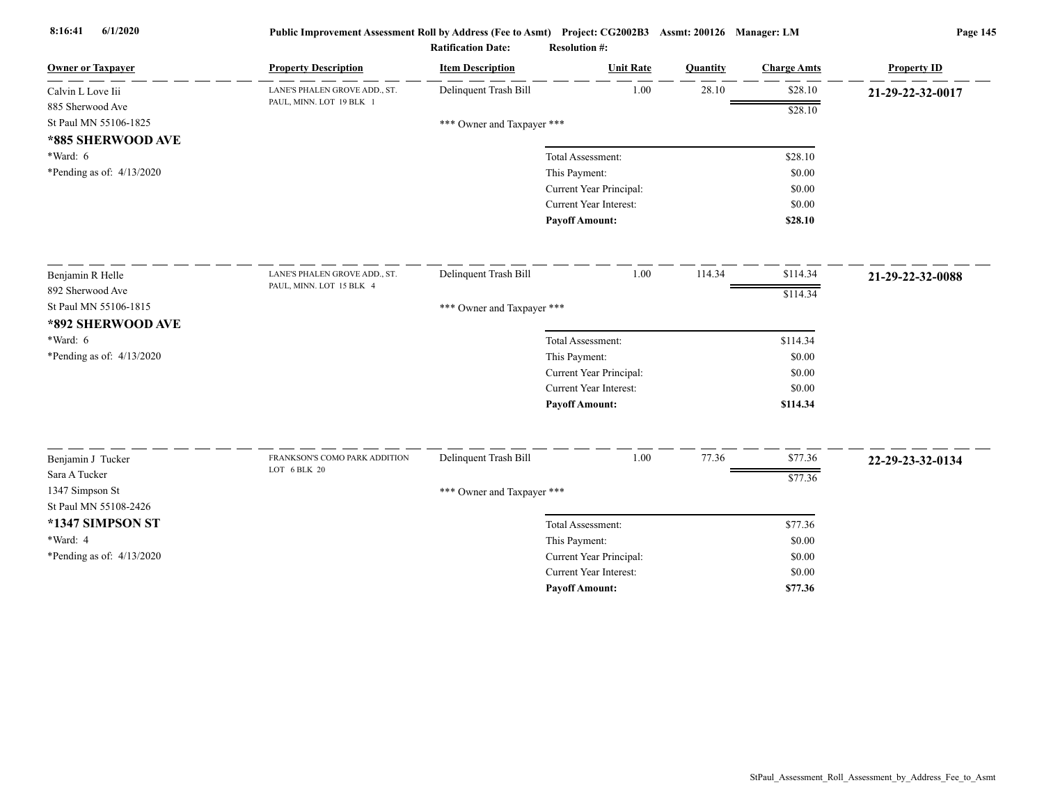| <b>Owner or Taxpayer</b>                 | <b>Property Description</b>                   | <b>Item Description</b>    | <b>Unit Rate</b>        | Quantity | <b>Charge Amts</b> | <b>Property ID</b> |
|------------------------------------------|-----------------------------------------------|----------------------------|-------------------------|----------|--------------------|--------------------|
| Calvin L Love Iii                        | LANE'S PHALEN GROVE ADD., ST.                 | Delinquent Trash Bill      | 1.00                    | 28.10    | \$28.10            | 21-29-22-32-0017   |
| 885 Sherwood Ave                         | PAUL, MINN. LOT 19 BLK 1                      |                            |                         |          | \$28.10            |                    |
| St Paul MN 55106-1825                    |                                               | *** Owner and Taxpayer *** |                         |          |                    |                    |
| *885 SHERWOOD AVE                        |                                               |                            |                         |          |                    |                    |
| $*Ward: 6$                               |                                               |                            | Total Assessment:       |          | \$28.10            |                    |
| *Pending as of: $4/13/2020$              |                                               |                            | This Payment:           |          | \$0.00             |                    |
|                                          |                                               |                            | Current Year Principal: |          | \$0.00             |                    |
|                                          |                                               |                            | Current Year Interest:  |          | \$0.00             |                    |
|                                          |                                               |                            | <b>Payoff Amount:</b>   |          | \$28.10            |                    |
| Benjamin R Helle                         | LANE'S PHALEN GROVE ADD., ST.                 | Delinquent Trash Bill      | 1.00                    | 114.34   | \$114.34           | 21-29-22-32-0088   |
| 892 Sherwood Ave                         | PAUL, MINN. LOT 15 BLK 4                      |                            |                         |          | \$114.34           |                    |
| St Paul MN 55106-1815                    |                                               | *** Owner and Taxpayer *** |                         |          |                    |                    |
| *892 SHERWOOD AVE                        |                                               |                            |                         |          |                    |                    |
| $*Ward: 6$                               |                                               |                            | Total Assessment:       |          | \$114.34           |                    |
| *Pending as of: $4/13/2020$              |                                               |                            | This Payment:           |          | \$0.00             |                    |
|                                          |                                               |                            | Current Year Principal: |          | \$0.00             |                    |
|                                          |                                               |                            | Current Year Interest:  |          | \$0.00             |                    |
|                                          |                                               |                            | <b>Payoff Amount:</b>   |          | \$114.34           |                    |
|                                          |                                               |                            |                         |          |                    |                    |
| Benjamin J Tucker                        | FRANKSON'S COMO PARK ADDITION<br>LOT 6 BLK 20 | Delinquent Trash Bill      | 1.00                    | 77.36    | \$77.36            | 22-29-23-32-0134   |
| Sara A Tucker                            |                                               |                            |                         |          | \$77.36            |                    |
| 1347 Simpson St<br>St Paul MN 55108-2426 |                                               | *** Owner and Taxpayer *** |                         |          |                    |                    |
|                                          |                                               |                            |                         |          |                    |                    |
| *1347 SIMPSON ST                         |                                               |                            | Total Assessment:       |          | \$77.36            |                    |
| *Ward: 4                                 |                                               |                            | This Payment:           |          | \$0.00             |                    |
| *Pending as of: 4/13/2020                |                                               |                            | Current Year Principal: |          | \$0.00             |                    |
|                                          |                                               |                            | Current Year Interest:  |          | \$0.00             |                    |
|                                          |                                               |                            | <b>Payoff Amount:</b>   |          | \$77.36            |                    |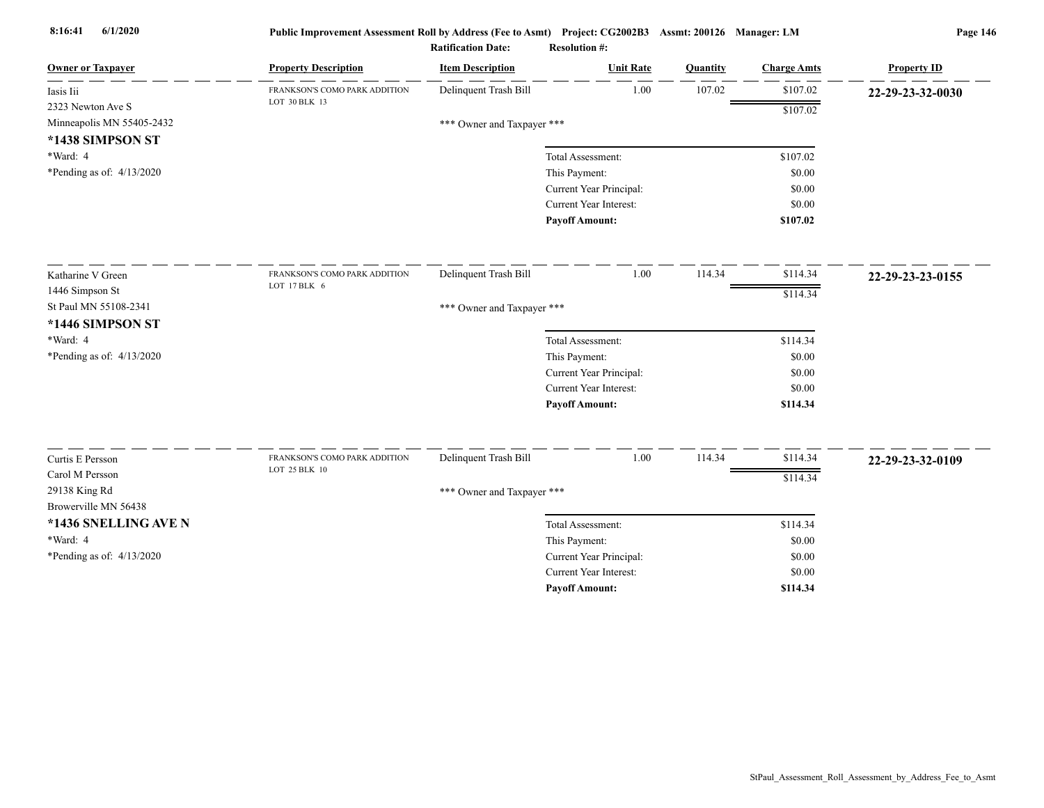| <b>Owner or Taxpayer</b>  | <b>Property Description</b>   | <b>Item Description</b>    | <b>Unit Rate</b>              | Quantity | <b>Charge Amts</b> | <b>Property ID</b> |
|---------------------------|-------------------------------|----------------------------|-------------------------------|----------|--------------------|--------------------|
| Iasis Iii                 | FRANKSON'S COMO PARK ADDITION | Delinquent Trash Bill      | 1.00                          | 107.02   | \$107.02           | 22-29-23-32-0030   |
| 2323 Newton Ave S         | LOT 30 BLK 13                 |                            |                               |          | \$107.02           |                    |
| Minneapolis MN 55405-2432 |                               | *** Owner and Taxpayer *** |                               |          |                    |                    |
| *1438 SIMPSON ST          |                               |                            |                               |          |                    |                    |
| *Ward: 4                  |                               |                            | Total Assessment:             |          | \$107.02           |                    |
| *Pending as of: 4/13/2020 |                               |                            | This Payment:                 |          | \$0.00             |                    |
|                           |                               |                            | Current Year Principal:       |          | \$0.00             |                    |
|                           |                               |                            | Current Year Interest:        |          | \$0.00             |                    |
|                           |                               |                            | <b>Payoff Amount:</b>         |          | \$107.02           |                    |
| Katharine V Green         | FRANKSON'S COMO PARK ADDITION | Delinquent Trash Bill      | 1.00                          | 114.34   | \$114.34           | 22-29-23-23-0155   |
| 1446 Simpson St           | LOT 17 BLK 6                  |                            |                               |          | \$114.34           |                    |
| St Paul MN 55108-2341     |                               | *** Owner and Taxpayer *** |                               |          |                    |                    |
| *1446 SIMPSON ST          |                               |                            |                               |          |                    |                    |
| *Ward: 4                  |                               |                            | Total Assessment:             |          | \$114.34           |                    |
| *Pending as of: 4/13/2020 |                               |                            | This Payment:                 |          | \$0.00             |                    |
|                           |                               |                            | Current Year Principal:       |          | \$0.00             |                    |
|                           |                               |                            | <b>Current Year Interest:</b> |          | \$0.00             |                    |
|                           |                               |                            | <b>Payoff Amount:</b>         |          | \$114.34           |                    |
| Curtis E Persson          | FRANKSON'S COMO PARK ADDITION | Delinquent Trash Bill      | 1.00                          | 114.34   | \$114.34           | 22-29-23-32-0109   |
| Carol M Persson           | LOT 25 BLK 10                 |                            |                               |          | \$114.34           |                    |
| 29138 King Rd             |                               | *** Owner and Taxpayer *** |                               |          |                    |                    |
| Browerville MN 56438      |                               |                            |                               |          |                    |                    |
| *1436 SNELLING AVE N      |                               |                            | Total Assessment:             |          | \$114.34           |                    |
| *Ward: 4                  |                               |                            | This Payment:                 |          | \$0.00             |                    |
| *Pending as of: 4/13/2020 |                               |                            | Current Year Principal:       |          | \$0.00             |                    |
|                           |                               |                            | Current Year Interest:        |          | \$0.00             |                    |
|                           |                               |                            | <b>Payoff Amount:</b>         |          | \$114.34           |                    |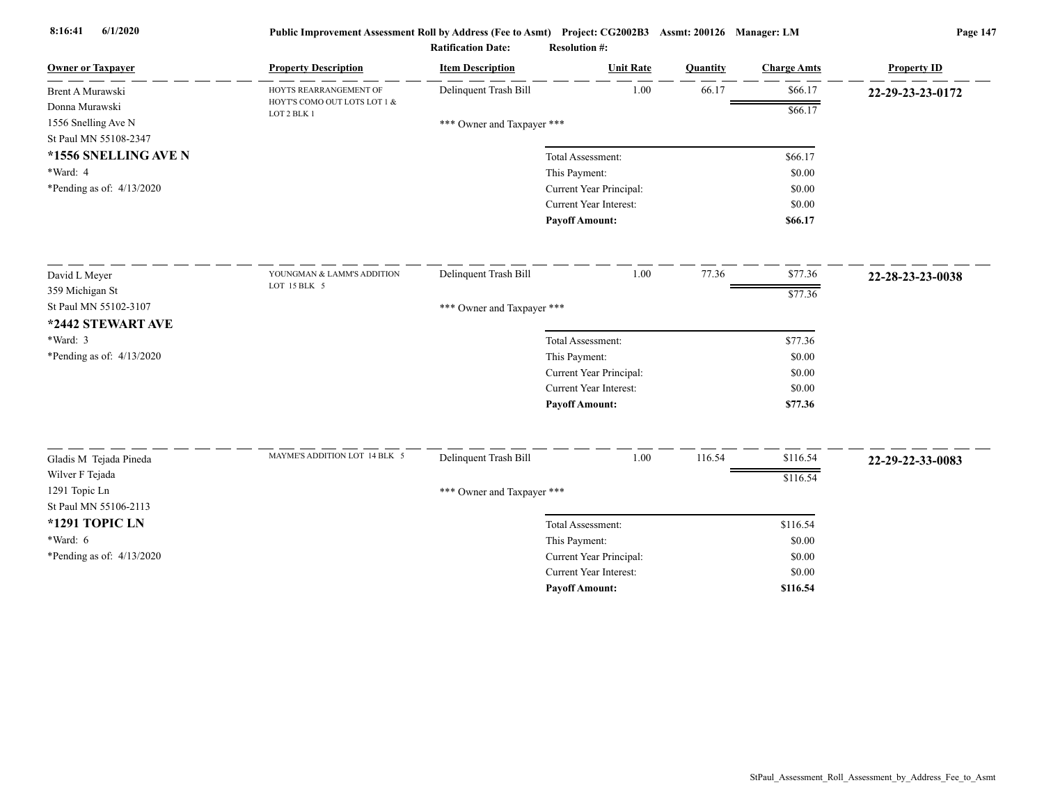| <b>Owner or Taxpayer</b>    | <b>Property Description</b>                       | <b>Item Description</b>    | <b>Unit Rate</b>        | Quantity | <b>Charge Amts</b> | <b>Property ID</b> |
|-----------------------------|---------------------------------------------------|----------------------------|-------------------------|----------|--------------------|--------------------|
| Brent A Murawski            | HOYTS REARRANGEMENT OF                            | Delinquent Trash Bill      | 1.00                    | 66.17    | \$66.17            | 22-29-23-23-0172   |
| Donna Murawski              | HOYT'S COMO OUT LOTS LOT 1 &<br>$\rm LOT$ 2 BLK 1 |                            |                         |          | \$66.17            |                    |
| 1556 Snelling Ave N         |                                                   | *** Owner and Taxpayer *** |                         |          |                    |                    |
| St Paul MN 55108-2347       |                                                   |                            |                         |          |                    |                    |
| *1556 SNELLING AVE N        |                                                   |                            | Total Assessment:       |          | \$66.17            |                    |
| *Ward: 4                    |                                                   |                            | This Payment:           |          | \$0.00             |                    |
| *Pending as of: $4/13/2020$ |                                                   |                            | Current Year Principal: |          | \$0.00             |                    |
|                             |                                                   |                            | Current Year Interest:  |          | \$0.00             |                    |
|                             |                                                   |                            | <b>Pavoff Amount:</b>   |          | \$66.17            |                    |
| David L Meyer               | YOUNGMAN & LAMM'S ADDITION                        | Delinquent Trash Bill      | 1.00                    | 77.36    | \$77.36            | 22-28-23-23-0038   |
| 359 Michigan St             | LOT 15 BLK 5                                      |                            |                         |          | \$77.36            |                    |
| St Paul MN 55102-3107       |                                                   | *** Owner and Taxpayer *** |                         |          |                    |                    |
| *2442 STEWART AVE           |                                                   |                            |                         |          |                    |                    |
| *Ward: 3                    |                                                   |                            | Total Assessment:       |          | \$77.36            |                    |
| *Pending as of: $4/13/2020$ |                                                   |                            | This Payment:           |          | \$0.00             |                    |
|                             |                                                   |                            | Current Year Principal: |          | \$0.00             |                    |
|                             |                                                   |                            | Current Year Interest:  |          | \$0.00             |                    |
|                             |                                                   |                            | <b>Payoff Amount:</b>   |          | \$77.36            |                    |
|                             |                                                   |                            |                         |          |                    |                    |
| Gladis M Tejada Pineda      | MAYME'S ADDITION LOT 14 BLK 5                     | Delinquent Trash Bill      | 1.00                    | 116.54   | \$116.54           | 22-29-22-33-0083   |
| Wilver F Tejada             |                                                   |                            |                         |          | \$116.54           |                    |
| 1291 Topic Ln               |                                                   | *** Owner and Taxpayer *** |                         |          |                    |                    |
| St Paul MN 55106-2113       |                                                   |                            |                         |          |                    |                    |
| *1291 TOPIC LN              |                                                   |                            | Total Assessment:       |          | \$116.54           |                    |
| $*Ward: 6$                  |                                                   |                            | This Payment:           |          | \$0.00             |                    |
| *Pending as of: 4/13/2020   |                                                   |                            | Current Year Principal: |          | \$0.00             |                    |
|                             |                                                   |                            | Current Year Interest:  |          | \$0.00             |                    |
|                             |                                                   |                            | <b>Payoff Amount:</b>   |          | \$116.54           |                    |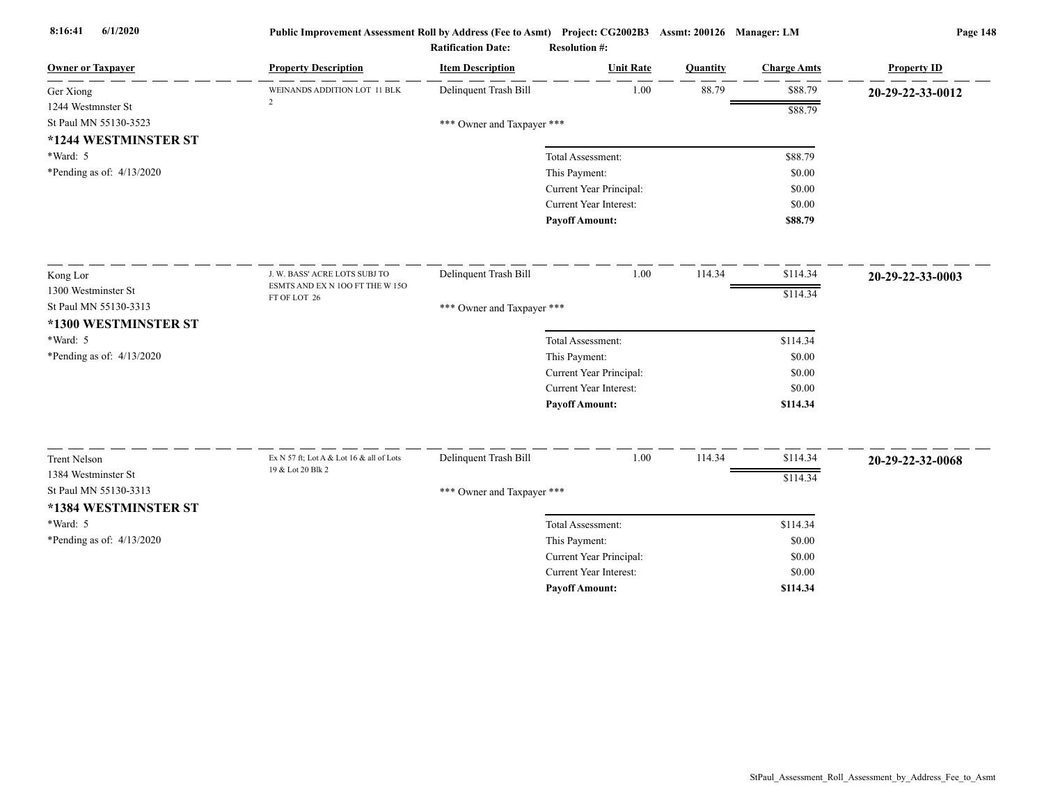| <b>Owner or Taxpayer</b>    | <b>Property Description</b>                                   | <b>Item Description</b>    | <b>Unit Rate</b>              | Quantity | <b>Charge Amts</b> | <b>Property ID</b> |
|-----------------------------|---------------------------------------------------------------|----------------------------|-------------------------------|----------|--------------------|--------------------|
| Ger Xiong                   | WEINANDS ADDITION LOT 11 BLK                                  | Delinquent Trash Bill      | 1.00                          | 88.79    | \$88.79            | 20-29-22-33-0012   |
| 1244 Westmnster St          | $\overline{2}$                                                |                            |                               |          | \$88.79            |                    |
| St Paul MN 55130-3523       |                                                               | *** Owner and Taxpayer *** |                               |          |                    |                    |
| *1244 WESTMINSTER ST        |                                                               |                            |                               |          |                    |                    |
| *Ward: 5                    |                                                               |                            | Total Assessment:             |          | \$88.79            |                    |
| *Pending as of: $4/13/2020$ |                                                               |                            | This Payment:                 |          | \$0.00             |                    |
|                             |                                                               |                            | Current Year Principal:       |          | \$0.00             |                    |
|                             |                                                               |                            | Current Year Interest:        |          | \$0.00             |                    |
|                             |                                                               |                            | <b>Payoff Amount:</b>         |          | \$88.79            |                    |
| Kong Lor                    | J. W. BASS' ACRE LOTS SUBJ TO                                 | Delinquent Trash Bill      | 1.00                          | 114.34   | \$114.34           | 20-29-22-33-0003   |
| 1300 Westminster St         | ESMTS AND EX N 100 FT THE W 150                               |                            |                               |          | \$114.34           |                    |
| St Paul MN 55130-3313       | FT OF LOT 26                                                  | *** Owner and Taxpayer *** |                               |          |                    |                    |
| *1300 WESTMINSTER ST        |                                                               |                            |                               |          |                    |                    |
| *Ward: 5                    |                                                               |                            | Total Assessment:             |          | \$114.34           |                    |
| *Pending as of: $4/13/2020$ |                                                               |                            | This Payment:                 |          | \$0.00             |                    |
|                             |                                                               |                            | Current Year Principal:       |          | \$0.00             |                    |
|                             |                                                               |                            | Current Year Interest:        |          | \$0.00             |                    |
|                             |                                                               |                            | <b>Payoff Amount:</b>         |          | \$114.34           |                    |
|                             |                                                               |                            |                               |          |                    |                    |
| <b>Trent Nelson</b>         | Ex N 57 ft; Lot A & Lot 16 & all of Lots<br>19 & Lot 20 Blk 2 | Delinquent Trash Bill      | 1.00                          | 114.34   | \$114.34           | 20-29-22-32-0068   |
| 1384 Westminster St         |                                                               |                            |                               |          | \$114.34           |                    |
| St Paul MN 55130-3313       |                                                               | *** Owner and Taxpayer *** |                               |          |                    |                    |
| *1384 WESTMINSTER ST        |                                                               |                            |                               |          |                    |                    |
| *Ward: 5                    |                                                               |                            | Total Assessment:             |          | \$114.34           |                    |
| *Pending as of: 4/13/2020   |                                                               |                            | This Payment:                 |          | \$0.00             |                    |
|                             |                                                               |                            | Current Year Principal:       |          | \$0.00             |                    |
|                             |                                                               |                            | <b>Current Year Interest:</b> |          | \$0.00             |                    |
|                             |                                                               |                            | <b>Pavoff Amount:</b>         |          | \$114.34           |                    |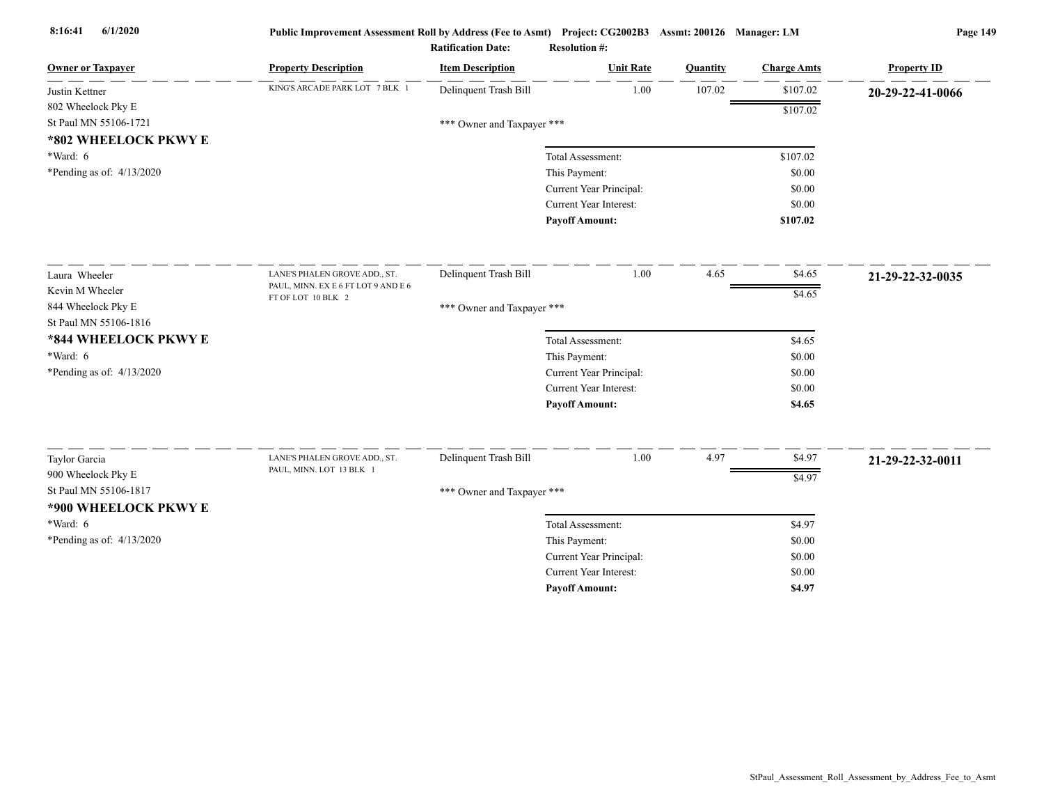| <b>Owner or Taxpayer</b>    | <b>Property Description</b>                               | <b>Item Description</b>    | <b>Unit Rate</b>              | Quantity | <b>Charge Amts</b> | <b>Property ID</b> |
|-----------------------------|-----------------------------------------------------------|----------------------------|-------------------------------|----------|--------------------|--------------------|
| Justin Kettner              | KING'S ARCADE PARK LOT 7 BLK 1                            | Delinquent Trash Bill      | 1.00                          | 107.02   | \$107.02           | 20-29-22-41-0066   |
| 802 Wheelock Pky E          |                                                           |                            |                               |          | \$107.02           |                    |
| St Paul MN 55106-1721       |                                                           | *** Owner and Taxpayer *** |                               |          |                    |                    |
| *802 WHEELOCK PKWY E        |                                                           |                            |                               |          |                    |                    |
| $*Ward: 6$                  |                                                           |                            | Total Assessment:             |          | \$107.02           |                    |
| *Pending as of: $4/13/2020$ |                                                           |                            | This Payment:                 |          | \$0.00             |                    |
|                             |                                                           |                            | Current Year Principal:       |          | \$0.00             |                    |
|                             |                                                           |                            | <b>Current Year Interest:</b> |          | \$0.00             |                    |
|                             |                                                           |                            | <b>Payoff Amount:</b>         |          | \$107.02           |                    |
| Laura Wheeler               | LANE'S PHALEN GROVE ADD., ST.                             | Delinquent Trash Bill      | 1.00                          | 4.65     | \$4.65             | 21-29-22-32-0035   |
| Kevin M Wheeler             | PAUL, MINN. EX E 6 FT LOT 9 AND E 6                       |                            |                               |          | \$4.65             |                    |
| 844 Wheelock Pky E          | FT OF LOT 10 BLK 2                                        | *** Owner and Taxpayer *** |                               |          |                    |                    |
| St Paul MN 55106-1816       |                                                           |                            |                               |          |                    |                    |
| *844 WHEELOCK PKWY E        |                                                           |                            | Total Assessment:             |          | \$4.65             |                    |
| $*Ward: 6$                  |                                                           |                            | This Payment:                 |          | \$0.00             |                    |
| *Pending as of: 4/13/2020   |                                                           |                            | Current Year Principal:       |          | \$0.00             |                    |
|                             |                                                           |                            | Current Year Interest:        |          | \$0.00             |                    |
|                             |                                                           |                            | <b>Payoff Amount:</b>         |          | \$4.65             |                    |
|                             |                                                           |                            |                               |          |                    |                    |
| Taylor Garcia               | LANE'S PHALEN GROVE ADD., ST.<br>PAUL, MINN. LOT 13 BLK 1 | Delinquent Trash Bill      | $1.00\,$                      | 4.97     | \$4.97             | 21-29-22-32-0011   |
| 900 Wheelock Pky E          |                                                           |                            |                               |          | \$4.97             |                    |
| St Paul MN 55106-1817       |                                                           | *** Owner and Taxpayer *** |                               |          |                    |                    |
| *900 WHEELOCK PKWY E        |                                                           |                            |                               |          |                    |                    |
| $*Ward: 6$                  |                                                           |                            | Total Assessment:             |          | \$4.97             |                    |
| *Pending as of: $4/13/2020$ |                                                           |                            | This Payment:                 |          | \$0.00             |                    |
|                             |                                                           |                            | Current Year Principal:       |          | \$0.00             |                    |
|                             |                                                           |                            | Current Year Interest:        |          | \$0.00             |                    |
|                             |                                                           |                            | <b>Pavoff Amount:</b>         |          | \$4.97             |                    |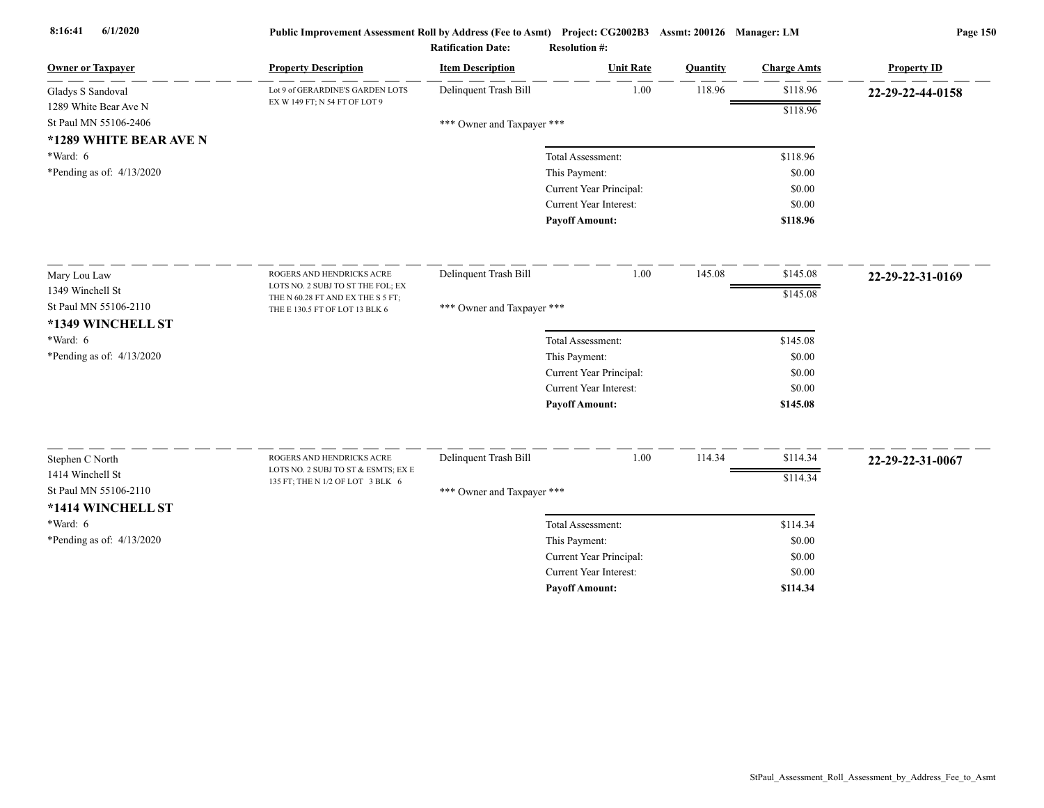| <b>Owner or Taxpayer</b><br><b>Property Description</b>                                      | <b>Item Description</b>    | <b>Unit Rate</b>                         | Quantity | <b>Charge Amts</b> | <b>Property ID</b> |
|----------------------------------------------------------------------------------------------|----------------------------|------------------------------------------|----------|--------------------|--------------------|
| Lot 9 of GERARDINE'S GARDEN LOTS<br>Gladys S Sandoval<br>EX W 149 FT; N 54 FT OF LOT 9       | Delinquent Trash Bill      | 1.00                                     | 118.96   | \$118.96           | 22-29-22-44-0158   |
| 1289 White Bear Ave N                                                                        |                            |                                          |          | \$118.96           |                    |
| St Paul MN 55106-2406                                                                        | *** Owner and Taxpayer *** |                                          |          |                    |                    |
| *1289 WHITE BEAR AVE N                                                                       |                            |                                          |          |                    |                    |
| *Ward: 6                                                                                     |                            | Total Assessment:                        |          | \$118.96           |                    |
| *Pending as of: $4/13/2020$                                                                  |                            | This Payment:                            |          | \$0.00             |                    |
|                                                                                              |                            | Current Year Principal:                  |          | \$0.00             |                    |
|                                                                                              |                            | <b>Current Year Interest:</b>            |          | \$0.00             |                    |
|                                                                                              |                            | <b>Payoff Amount:</b>                    |          | \$118.96           |                    |
| Mary Lou Law<br>ROGERS AND HENDRICKS ACRE                                                    | Delinquent Trash Bill      | 1.00                                     | 145.08   | \$145.08           | 22-29-22-31-0169   |
| LOTS NO. 2 SUBJ TO ST THE FOL; EX<br>1349 Winchell St                                        |                            |                                          |          | \$145.08           |                    |
| THE N 60.28 FT AND EX THE S 5 FT;<br>St Paul MN 55106-2110<br>THE E 130.5 FT OF LOT 13 BLK 6 | *** Owner and Taxpayer *** |                                          |          |                    |                    |
| *1349 WINCHELL ST                                                                            |                            |                                          |          |                    |                    |
| *Ward: 6                                                                                     |                            | Total Assessment:                        |          | \$145.08           |                    |
| *Pending as of: 4/13/2020                                                                    |                            | This Payment:                            |          | \$0.00             |                    |
|                                                                                              |                            | Current Year Principal:                  |          | \$0.00             |                    |
|                                                                                              |                            | <b>Current Year Interest:</b>            |          | \$0.00             |                    |
|                                                                                              |                            | <b>Payoff Amount:</b>                    |          | \$145.08           |                    |
| ROGERS AND HENDRICKS ACRE                                                                    | Delinquent Trash Bill      | 1.00                                     | 114.34   | \$114.34           |                    |
| Stephen C North<br>LOTS NO. 2 SUBJ TO ST & ESMTS; EX E<br>1414 Winchell St                   |                            |                                          |          |                    | 22-29-22-31-0067   |
| 135 FT; THE N 1/2 OF LOT 3 BLK 6<br>St Paul MN 55106-2110                                    |                            |                                          |          | \$114.34           |                    |
|                                                                                              | *** Owner and Taxpayer *** |                                          |          |                    |                    |
| *1414 WINCHELL ST<br>*Ward: 6                                                                |                            |                                          |          |                    |                    |
|                                                                                              |                            | Total Assessment:                        |          | \$114.34           |                    |
| *Pending as of: $4/13/2020$                                                                  |                            | This Payment:<br>Current Year Principal: |          | \$0.00<br>\$0.00   |                    |
|                                                                                              |                            | <b>Current Year Interest:</b>            |          | \$0.00             |                    |
|                                                                                              |                            | <b>Pavoff Amount:</b>                    |          | \$114.34           |                    |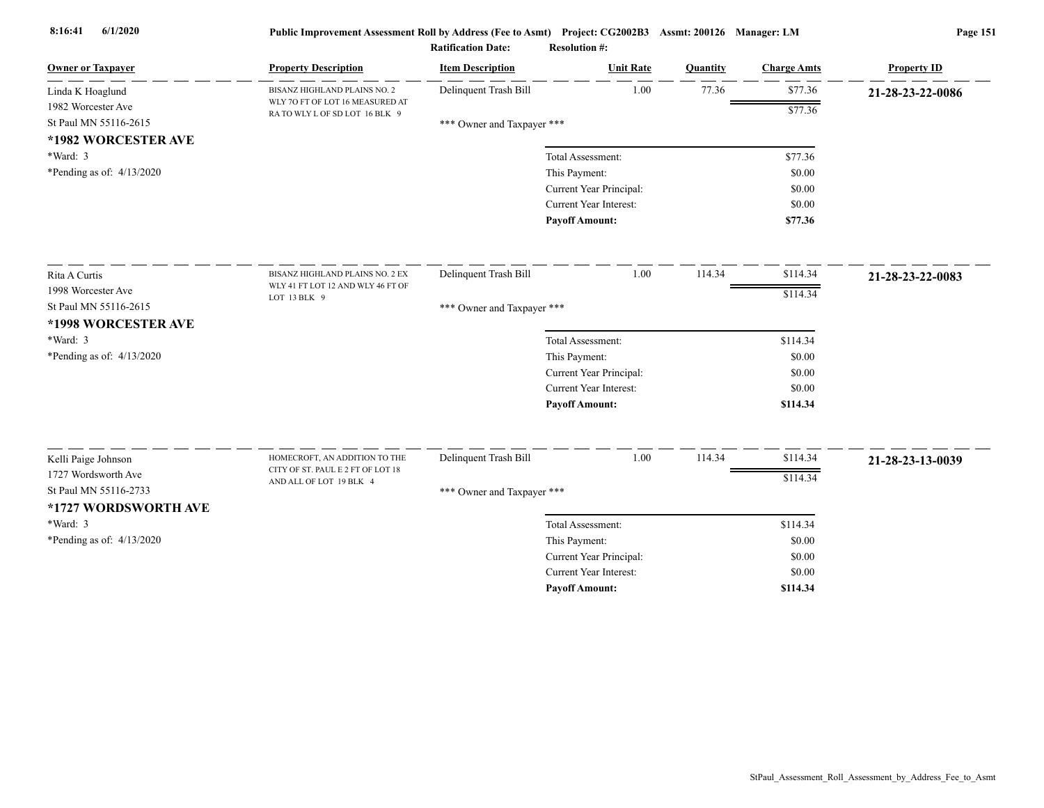| <b>Owner or Taxpayer</b>    | <b>Property Description</b>                                        | <b>Item Description</b>    | <b>Unit Rate</b>                                         | Quantity | <b>Charge Amts</b> | <b>Property ID</b> |
|-----------------------------|--------------------------------------------------------------------|----------------------------|----------------------------------------------------------|----------|--------------------|--------------------|
| Linda K Hoaglund            | BISANZ HIGHLAND PLAINS NO. 2                                       | Delinquent Trash Bill      | 1.00                                                     | 77.36    | \$77.36            | 21-28-23-22-0086   |
| 1982 Worcester Ave          | WLY 70 FT OF LOT 16 MEASURED AT<br>RA TO WLY L OF SD LOT 16 BLK 9  |                            |                                                          |          | \$77.36            |                    |
| St Paul MN 55116-2615       |                                                                    | *** Owner and Taxpayer *** |                                                          |          |                    |                    |
| *1982 WORCESTER AVE         |                                                                    |                            |                                                          |          |                    |                    |
| *Ward: 3                    |                                                                    |                            | Total Assessment:                                        |          | \$77.36            |                    |
| *Pending as of: $4/13/2020$ |                                                                    |                            | This Payment:                                            |          | \$0.00             |                    |
|                             |                                                                    |                            | Current Year Principal:                                  |          | \$0.00             |                    |
|                             |                                                                    |                            | Current Year Interest:                                   |          | \$0.00             |                    |
|                             |                                                                    |                            | <b>Payoff Amount:</b>                                    |          | \$77.36            |                    |
| Rita A Curtis               | BISANZ HIGHLAND PLAINS NO. 2 EX                                    | Delinquent Trash Bill      | 1.00                                                     | 114.34   | \$114.34           | 21-28-23-22-0083   |
| 1998 Worcester Ave          | WLY 41 FT LOT 12 AND WLY 46 FT OF                                  |                            |                                                          |          | \$114.34           |                    |
| St Paul MN 55116-2615       | LOT 13 BLK 9                                                       | *** Owner and Taxpayer *** |                                                          |          |                    |                    |
| *1998 WORCESTER AVE         |                                                                    |                            |                                                          |          |                    |                    |
| *Ward: 3                    |                                                                    |                            | Total Assessment:                                        |          | \$114.34           |                    |
| *Pending as of: 4/13/2020   |                                                                    |                            | This Payment:                                            |          | \$0.00             |                    |
|                             |                                                                    |                            | Current Year Principal:                                  |          | \$0.00             |                    |
|                             |                                                                    |                            | <b>Current Year Interest:</b>                            |          | \$0.00             |                    |
|                             |                                                                    |                            | <b>Payoff Amount:</b>                                    |          | \$114.34           |                    |
|                             |                                                                    |                            |                                                          |          |                    |                    |
| Kelli Paige Johnson         | HOMECROFT, AN ADDITION TO THE<br>CITY OF ST. PAUL E 2 FT OF LOT 18 | Delinquent Trash Bill      | 1.00                                                     | 114.34   | \$114.34           | 21-28-23-13-0039   |
| 1727 Wordsworth Ave         | AND ALL OF LOT 19 BLK 4                                            |                            |                                                          |          | \$114.34           |                    |
| St Paul MN 55116-2733       |                                                                    | *** Owner and Taxpayer *** |                                                          |          |                    |                    |
| *1727 WORDSWORTH AVE        |                                                                    |                            |                                                          |          |                    |                    |
| *Ward: 3                    |                                                                    |                            | Total Assessment:                                        |          | \$114.34           |                    |
| *Pending as of: $4/13/2020$ |                                                                    |                            | This Payment:                                            |          | \$0.00             |                    |
|                             |                                                                    |                            | Current Year Principal:<br><b>Current Year Interest:</b> |          | \$0.00             |                    |
|                             |                                                                    |                            | <b>Pavoff Amount:</b>                                    |          | \$0.00<br>\$114.34 |                    |
|                             |                                                                    |                            |                                                          |          |                    |                    |